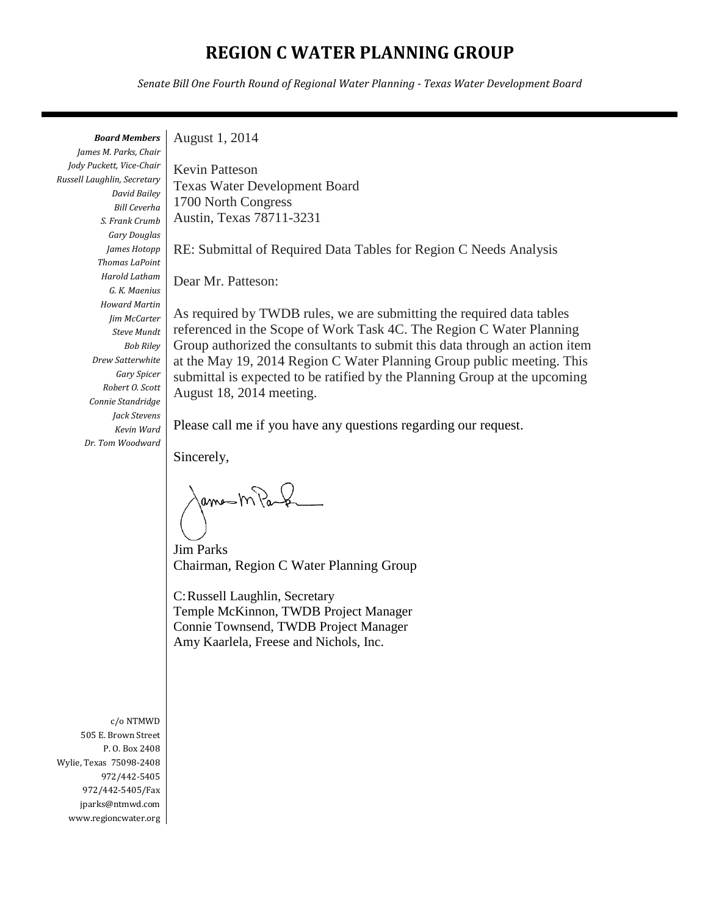# **REGION C WATER PLANNING GROUP**

*Senate Bill One Fourth Round of Regional Water Planning - Texas Water Development Board*

*Board Members*

*James M. Parks, Chair Jody Puckett, Vice-Chair Russell Laughlin, Secretary David Bailey Bill Ceverha S. Frank Crumb Gary Douglas James Hotopp Thomas LaPoint Harold Latham G. K. Maenius Howard Martin Jim McCarter Steve Mundt Bob Riley Drew Satterwhite Gary Spicer Robert O. Scott Connie Standridge Jack Stevens Kevin Ward Dr. Tom Woodward*

August 1, 2014

Kevin Patteson Texas Water Development Board 1700 North Congress Austin, Texas 78711-3231

RE: Submittal of Required Data Tables for Region C Needs Analysis

Dear Mr. Patteson:

As required by TWDB rules, we are submitting the required data tables referenced in the Scope of Work Task 4C. The Region C Water Planning Group authorized the consultants to submit this data through an action item at the May 19, 2014 Region C Water Planning Group public meeting. This submittal is expected to be ratified by the Planning Group at the upcoming August 18, 2014 meeting.

Please call me if you have any questions regarding our request.

Sincerely,

ames mas

Jim Parks Chairman, Region C Water Planning Group

C:Russell Laughlin, Secretary Temple McKinnon, TWDB Project Manager Connie Townsend, TWDB Project Manager Amy Kaarlela, Freese and Nichols, Inc.

c/o NTMWD 505 E. Brown Street P. O. Box 2408 Wylie, Texas 75098-2408 972/442-5405 972/442-5405/Fax jparks@ntmwd.com www.regioncwater.org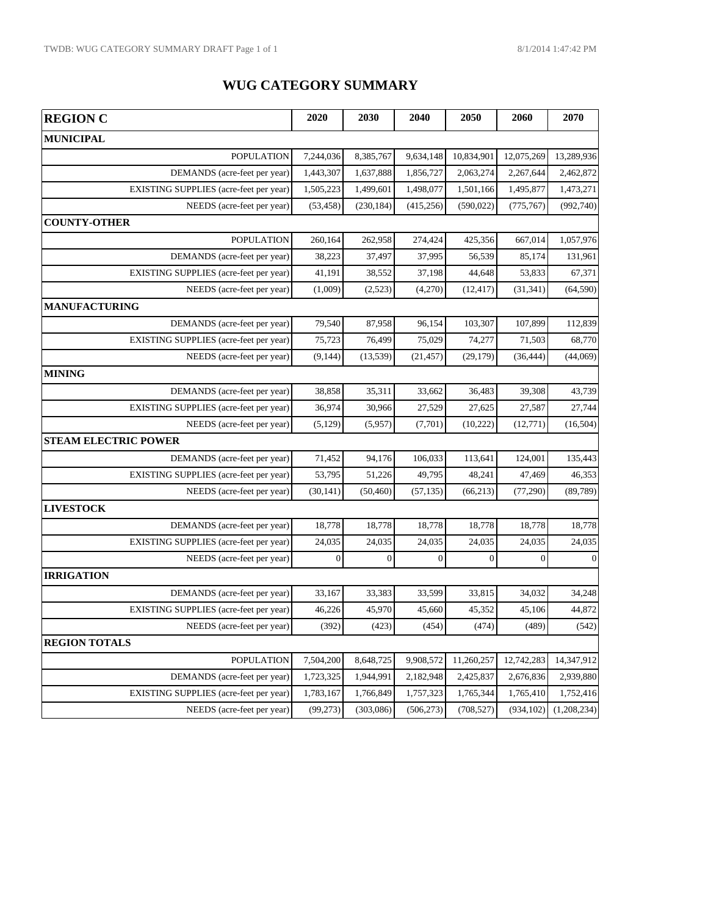## **WUG CATEGORY SUMMARY**

| <b>REGION C</b>                        | 2020      | 2030       | 2040       | 2050       | 2060       | 2070         |
|----------------------------------------|-----------|------------|------------|------------|------------|--------------|
| <b>MUNICIPAL</b>                       |           |            |            |            |            |              |
| <b>POPULATION</b>                      | 7,244,036 | 8,385,767  | 9,634,148  | 10,834,901 | 12,075,269 | 13,289,936   |
| DEMANDS (acre-feet per year)           | 1,443,307 | 1,637,888  | 1,856,727  | 2,063,274  | 2,267,644  | 2,462,872    |
| EXISTING SUPPLIES (acre-feet per year) | 1,505,223 | 1,499,601  | 1,498,077  | 1,501,166  | 1,495,877  | 1,473,271    |
| NEEDS (acre-feet per year)             | (53, 458) | (230, 184) | (415, 256) | (590, 022) | (775, 767) | (992, 740)   |
| <b>COUNTY-OTHER</b>                    |           |            |            |            |            |              |
| <b>POPULATION</b>                      | 260.164   | 262,958    | 274,424    | 425,356    | 667,014    | 1,057,976    |
| DEMANDS (acre-feet per year)           | 38,223    | 37,497     | 37,995     | 56.539     | 85,174     | 131,961      |
| EXISTING SUPPLIES (acre-feet per year) | 41,191    | 38,552     | 37,198     | 44.648     | 53,833     | 67,371       |
| NEEDS (acre-feet per year)             | (1,009)   | (2,523)    | (4,270)    | (12, 417)  | (31, 341)  | (64, 590)    |
| <b>MANUFACTURING</b>                   |           |            |            |            |            |              |
| DEMANDS (acre-feet per year)           | 79,540    | 87,958     | 96,154     | 103,307    | 107,899    | 112,839      |
| EXISTING SUPPLIES (acre-feet per year) | 75,723    | 76,499     | 75,029     | 74,277     | 71,503     | 68,770       |
| NEEDS (acre-feet per year)             | (9,144)   | (13, 539)  | (21, 457)  | (29, 179)  | (36, 444)  | (44,069)     |
| <b>MINING</b>                          |           |            |            |            |            |              |
| DEMANDS (acre-feet per year)           | 38,858    | 35,311     | 33,662     | 36,483     | 39,308     | 43,739       |
| EXISTING SUPPLIES (acre-feet per year) | 36,974    | 30,966     | 27,529     | 27,625     | 27.587     | 27,744       |
| NEEDS (acre-feet per year)             | (5, 129)  | (5,957)    | (7,701)    | (10, 222)  | (12, 771)  | (16,504)     |
| <b>STEAM ELECTRIC POWER</b>            |           |            |            |            |            |              |
| DEMANDS (acre-feet per year)           | 71,452    | 94,176     | 106,033    | 113,641    | 124,001    | 135,443      |
| EXISTING SUPPLIES (acre-feet per year) | 53,795    | 51,226     | 49,795     | 48,241     | 47,469     | 46,353       |
| NEEDS (acre-feet per year)             | (30, 141) | (50, 460)  | (57, 135)  | (66, 213)  | (77, 290)  | (89, 789)    |
| <b>LIVESTOCK</b>                       |           |            |            |            |            |              |
| DEMANDS (acre-feet per year)           | 18,778    | 18,778     | 18,778     | 18,778     | 18,778     | 18,778       |
| EXISTING SUPPLIES (acre-feet per year) | 24,035    | 24,035     | 24,035     | 24,035     | 24,035     | 24,035       |
| NEEDS (acre-feet per year)             | $\Omega$  | $\Omega$   | $\Omega$   | $\Omega$   | $\Omega$   | $\mathbf{0}$ |
| <b>IRRIGATION</b>                      |           |            |            |            |            |              |
| DEMANDS (acre-feet per year)           | 33,167    | 33,383     | 33,599     | 33,815     | 34,032     | 34,248       |
| EXISTING SUPPLIES (acre-feet per year) | 46,226    | 45,970     | 45,660     | 45,352     | 45,106     | 44,872       |
| NEEDS (acre-feet per year)             | (392)     | (423)      | (454)      | (474)      | (489)      | (542)        |
| <b>REGION TOTALS</b>                   |           |            |            |            |            |              |
| <b>POPULATION</b>                      | 7,504,200 | 8,648,725  | 9,908,572  | 11,260,257 | 12,742,283 | 14,347,912   |
| DEMANDS (acre-feet per year)           | 1,723,325 | 1,944,991  | 2,182,948  | 2,425,837  | 2,676,836  | 2,939,880    |
| EXISTING SUPPLIES (acre-feet per year) | 1,783,167 | 1,766,849  | 1,757,323  | 1,765,344  | 1,765,410  | 1,752,416    |
| NEEDS (acre-feet per year)             | (99, 273) | (303, 086) | (506, 273) | (708, 527) | (934, 102) | (1,208,234)  |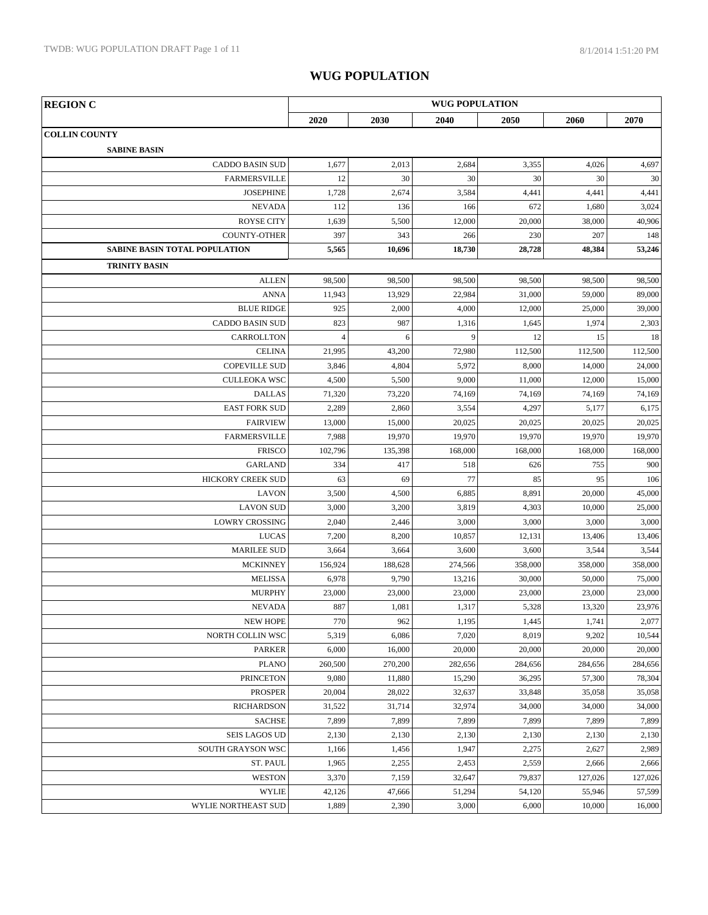| <b>REGION C</b>                      | <b>WUG POPULATION</b> |         |         |         |         |         |  |  |
|--------------------------------------|-----------------------|---------|---------|---------|---------|---------|--|--|
|                                      | 2020                  | 2030    | 2040    | 2050    | 2060    | 2070    |  |  |
| <b>COLLIN COUNTY</b>                 |                       |         |         |         |         |         |  |  |
| <b>SABINE BASIN</b>                  |                       |         |         |         |         |         |  |  |
| <b>CADDO BASIN SUD</b>               | 1,677                 | 2,013   | 2,684   | 3,355   | 4,026   | 4,697   |  |  |
| <b>FARMERSVILLE</b>                  | 12                    | 30      | 30      | 30      | 30      | 30      |  |  |
| <b>JOSEPHINE</b>                     | 1,728                 | 2,674   | 3,584   | 4,441   | 4,441   | 4,441   |  |  |
| <b>NEVADA</b>                        | 112                   | 136     | 166     | 672     | 1,680   | 3,024   |  |  |
| <b>ROYSE CITY</b>                    | 1,639                 | 5,500   | 12,000  | 20,000  | 38,000  | 40,906  |  |  |
| <b>COUNTY-OTHER</b>                  | 397                   | 343     | 266     | 230     | 207     | 148     |  |  |
| <b>SABINE BASIN TOTAL POPULATION</b> | 5,565                 | 10,696  | 18,730  | 28,728  | 48,384  | 53,246  |  |  |
| <b>TRINITY BASIN</b>                 |                       |         |         |         |         |         |  |  |
| <b>ALLEN</b>                         | 98,500                | 98,500  | 98,500  | 98,500  | 98,500  | 98,500  |  |  |
| <b>ANNA</b>                          | 11,943                | 13,929  | 22,984  | 31,000  | 59,000  | 89,000  |  |  |
| <b>BLUE RIDGE</b>                    | 925                   | 2,000   | 4,000   | 12,000  | 25,000  | 39,000  |  |  |
| <b>CADDO BASIN SUD</b>               | 823                   | 987     | 1,316   | 1,645   | 1,974   | 2,303   |  |  |
| CARROLLTON                           | $\overline{4}$        | 6       | 9       | 12      | 15      | 18      |  |  |
| <b>CELINA</b>                        | 21,995                | 43,200  | 72,980  | 112,500 | 112,500 | 112,500 |  |  |
| <b>COPEVILLE SUD</b>                 | 3,846                 | 4,804   | 5,972   | 8,000   | 14,000  | 24,000  |  |  |
| <b>CULLEOKA WSC</b>                  | 4,500                 | 5,500   | 9,000   | 11,000  | 12,000  | 15,000  |  |  |
| <b>DALLAS</b>                        | 71,320                | 73,220  | 74,169  | 74,169  | 74,169  | 74,169  |  |  |
| <b>EAST FORK SUD</b>                 | 2,289                 | 2,860   | 3,554   | 4,297   | 5,177   | 6,175   |  |  |
| <b>FAIRVIEW</b>                      | 13,000                | 15,000  | 20,025  | 20,025  | 20,025  | 20,025  |  |  |
| <b>FARMERSVILLE</b>                  | 7,988                 | 19,970  | 19,970  | 19,970  | 19,970  | 19,970  |  |  |
| <b>FRISCO</b>                        | 102,796               | 135,398 | 168,000 | 168,000 | 168,000 | 168,000 |  |  |
| <b>GARLAND</b>                       | 334                   | 417     | 518     | 626     | 755     | 900     |  |  |
| HICKORY CREEK SUD                    | 63                    | 69      | 77      | 85      | 95      | 106     |  |  |
| <b>LAVON</b>                         | 3,500                 | 4,500   | 6,885   | 8,891   | 20,000  | 45,000  |  |  |
| <b>LAVON SUD</b>                     | 3,000                 | 3,200   | 3,819   | 4,303   | 10,000  | 25,000  |  |  |
| <b>LOWRY CROSSING</b>                | 2,040                 | 2,446   | 3,000   | 3,000   | 3,000   | 3,000   |  |  |
| <b>LUCAS</b>                         | 7,200                 | 8,200   | 10,857  | 12,131  | 13,406  | 13,406  |  |  |
| <b>MARILEE SUD</b>                   | 3,664                 | 3,664   | 3,600   | 3,600   | 3,544   | 3,544   |  |  |
| <b>MCKINNEY</b>                      | 156,924               | 188,628 | 274,566 | 358,000 | 358,000 | 358,000 |  |  |
| <b>MELISSA</b>                       | 6,978                 | 9,790   | 13,216  | 30,000  | 50,000  | 75,000  |  |  |
| <b>MURPHY</b>                        | 23,000                | 23,000  | 23,000  | 23,000  | 23,000  | 23,000  |  |  |
| <b>NEVADA</b>                        | 887                   | 1,081   | 1,317   | 5,328   | 13,320  | 23,976  |  |  |
| <b>NEW HOPE</b>                      | 770                   | 962     | 1,195   | 1,445   | 1,741   | 2,077   |  |  |
| NORTH COLLIN WSC                     | 5,319                 | 6,086   | 7,020   | 8,019   | 9,202   | 10,544  |  |  |
| <b>PARKER</b>                        | 6,000                 | 16,000  | 20,000  | 20,000  | 20,000  | 20,000  |  |  |
| <b>PLANO</b>                         | 260,500               | 270,200 | 282,656 | 284,656 | 284,656 | 284,656 |  |  |
| <b>PRINCETON</b>                     | 9,080                 | 11,880  | 15,290  | 36,295  | 57,300  | 78,304  |  |  |
| <b>PROSPER</b>                       | 20,004                | 28,022  | 32,637  | 33,848  | 35,058  | 35,058  |  |  |
| <b>RICHARDSON</b>                    | 31,522                | 31,714  | 32,974  | 34,000  | 34,000  | 34,000  |  |  |
| <b>SACHSE</b>                        | 7,899                 | 7,899   | 7,899   | 7,899   | 7,899   | 7,899   |  |  |
| <b>SEIS LAGOS UD</b>                 | 2,130                 | 2,130   | 2,130   | 2,130   | 2,130   | 2,130   |  |  |
| SOUTH GRAYSON WSC                    | 1,166                 | 1,456   | 1,947   | 2,275   | 2,627   | 2,989   |  |  |
| ST. PAUL                             | 1,965                 | 2,255   | 2,453   | 2,559   | 2,666   | 2,666   |  |  |
| <b>WESTON</b>                        | 3,370                 | 7,159   | 32,647  | 79,837  | 127,026 | 127,026 |  |  |
| <b>WYLIE</b>                         | 42,126                | 47,666  | 51,294  | 54,120  | 55,946  | 57,599  |  |  |
| WYLIE NORTHEAST SUD                  | 1,889                 | 2,390   | 3,000   | 6,000   | 10,000  | 16,000  |  |  |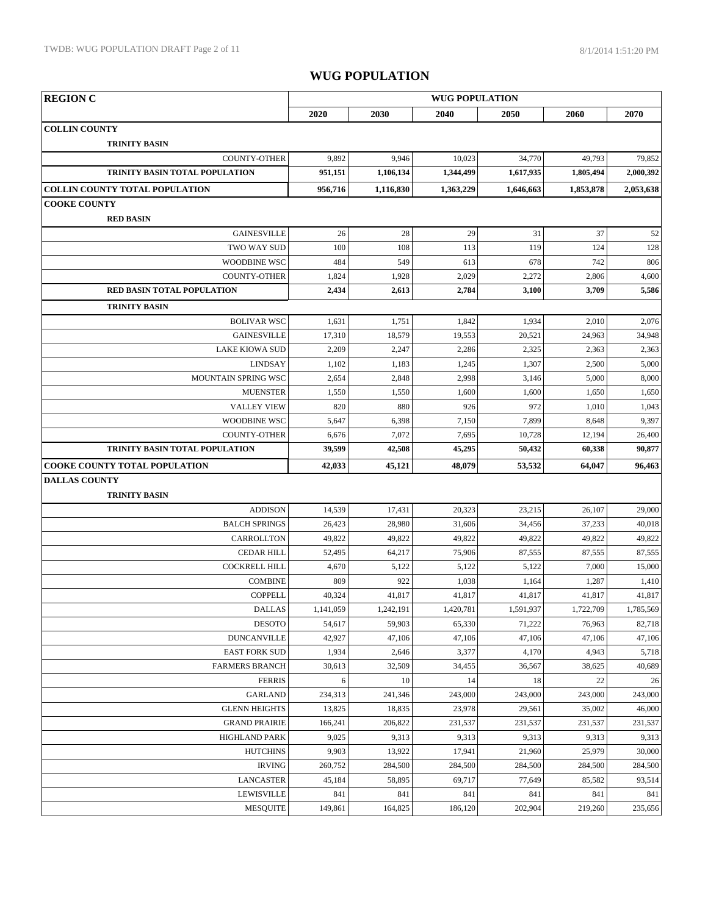| <b>REGION C</b>                              | <b>WUG POPULATION</b> |                   |                   |                   |                   |                   |
|----------------------------------------------|-----------------------|-------------------|-------------------|-------------------|-------------------|-------------------|
|                                              | 2020                  | 2030              | 2040              | 2050              | 2060              | 2070              |
| <b>COLLIN COUNTY</b>                         |                       |                   |                   |                   |                   |                   |
| <b>TRINITY BASIN</b>                         |                       |                   |                   |                   |                   |                   |
| <b>COUNTY-OTHER</b>                          | 9,892                 | 9,946             | 10,023            | 34,770            | 49,793            | 79,852            |
| TRINITY BASIN TOTAL POPULATION               | 951,151               | 1,106,134         | 1,344,499         | 1,617,935         | 1,805,494         | 2,000,392         |
| <b>COLLIN COUNTY TOTAL POPULATION</b>        | 956,716               | 1,116,830         | 1,363,229         | 1,646,663         | 1,853,878         | 2,053,638         |
| <b>COOKE COUNTY</b>                          |                       |                   |                   |                   |                   |                   |
| <b>RED BASIN</b>                             |                       |                   |                   |                   |                   |                   |
| <b>GAINESVILLE</b>                           | 26                    | 28                | 29                | 31                | 37                | 52                |
| TWO WAY SUD                                  | 100                   | 108               | 113               | 119               | 124               | 128               |
| WOODBINE WSC                                 | 484                   | 549               | 613               | 678               | 742               | 806               |
| <b>COUNTY-OTHER</b>                          | 1,824                 | 1,928             | 2,029             | 2,272             | 2,806             | 4,600             |
| RED BASIN TOTAL POPULATION                   | 2,434                 | 2,613             | 2,784             | 3,100             | 3,709             | 5,586             |
| <b>TRINITY BASIN</b>                         |                       |                   |                   |                   |                   |                   |
| <b>BOLIVAR WSC</b>                           | 1,631                 | 1,751             | 1,842             | 1,934             | 2,010             | 2,076             |
| <b>GAINESVILLE</b>                           | 17,310                | 18,579            | 19,553            | 20,521            | 24,963            | 34,948            |
| <b>LAKE KIOWA SUD</b>                        | 2,209                 | 2,247             | 2,286             | 2,325             | 2,363             | 2,363             |
| <b>LINDSAY</b>                               | 1,102                 | 1,183             | 1,245             | 1,307             | 2,500             | 5,000             |
| MOUNTAIN SPRING WSC                          | 2,654                 | 2,848             | 2,998             | 3,146             | 5,000             | 8,000             |
| <b>MUENSTER</b>                              | 1,550                 | 1,550             | 1,600             | 1,600             | 1,650             | 1,650             |
| <b>VALLEY VIEW</b>                           | 820                   | 880               | 926               | 972               | 1,010             | 1,043             |
| <b>WOODBINE WSC</b>                          | 5,647                 | 6,398             | 7,150             | 7,899             | 8,648             | 9,397             |
| <b>COUNTY-OTHER</b>                          | 6,676                 | 7,072             | 7,695             | 10,728            | 12,194            | 26,400            |
| TRINITY BASIN TOTAL POPULATION               | 39,599                | 42,508            | 45,295            | 50,432            | 60,338            | 90,877            |
| <b>COOKE COUNTY TOTAL POPULATION</b>         | 42,033                | 45,121            | 48,079            | 53,532            | 64,047            | 96,463            |
| <b>DALLAS COUNTY</b>                         |                       |                   |                   |                   |                   |                   |
| <b>TRINITY BASIN</b>                         |                       |                   |                   |                   |                   |                   |
| <b>ADDISON</b>                               | 14,539                | 17,431            | 20,323            | 23,215            | 26,107            | 29,000            |
| <b>BALCH SPRINGS</b>                         | 26,423                | 28,980            | 31,606            | 34,456            | 37,233            | 40,018            |
| CARROLLTON                                   | 49,822                | 49,822            | 49,822            | 49,822            | 49,822            | 49,822            |
| <b>CEDAR HILL</b>                            | 52,495                | 64,217            | 75,906            | 87,555            | 87,555            | 87,555            |
| <b>COCKRELL HILL</b>                         | 4,670                 | 5,122             | 5,122             | 5,122             | 7,000             | 15,000            |
| <b>COMBINE</b>                               | 809                   | 922               | 1,038             | 1,164             | 1,287             | 1,410             |
| <b>COPPELL</b>                               | 40,324                | 41,817            | 41,817            | 41,817            | 41,817            | 41,817            |
| DALLAS                                       | 1,141,059             | 1,242,191         | 1,420,781         | 1,591,937         | 1,722,709         | 1,785,569         |
| <b>DESOTO</b>                                | 54,617                | 59,903            | 65,330            | 71,222            | 76,963            | 82,718            |
| <b>DUNCANVILLE</b>                           | 42,927                | 47,106            | 47,106            | 47,106            | 47,106            | 47,106            |
| <b>EAST FORK SUD</b>                         | 1,934                 | 2,646             | 3,377             | 4,170             | 4,943             | 5,718             |
| <b>FARMERS BRANCH</b>                        | 30,613                | 32,509            | 34,455            | 36,567            | 38,625            | 40,689            |
| <b>FERRIS</b>                                | 6                     | 10                | 14                | 18                | 22                | 26                |
| <b>GARLAND</b>                               | 234,313               | 241,346           | 243,000           | 243,000           | 243,000           | 243,000           |
| <b>GLENN HEIGHTS</b>                         | 13,825                | 18,835            | 23,978            | 29,561            | 35,002            | 46,000            |
| <b>GRAND PRAIRIE</b><br><b>HIGHLAND PARK</b> | 166,241               | 206,822           | 231,537           | 231,537           | 231,537           | 231,537           |
| <b>HUTCHINS</b>                              | 9,025<br>9,903        | 9,313             | 9,313             | 9,313             | 9,313             | 9,313             |
| <b>IRVING</b>                                | 260,752               | 13,922<br>284,500 | 17,941            | 21,960<br>284,500 | 25,979<br>284,500 | 30,000            |
| <b>LANCASTER</b>                             | 45,184                | 58,895            | 284,500<br>69,717 | 77,649            | 85,582            | 284,500<br>93,514 |
| <b>LEWISVILLE</b>                            | 841                   | 841               | 841               | 841               | 841               | 841               |
| <b>MESQUITE</b>                              | 149,861               | 164,825           | 186,120           | 202,904           | 219,260           | 235,656           |
|                                              |                       |                   |                   |                   |                   |                   |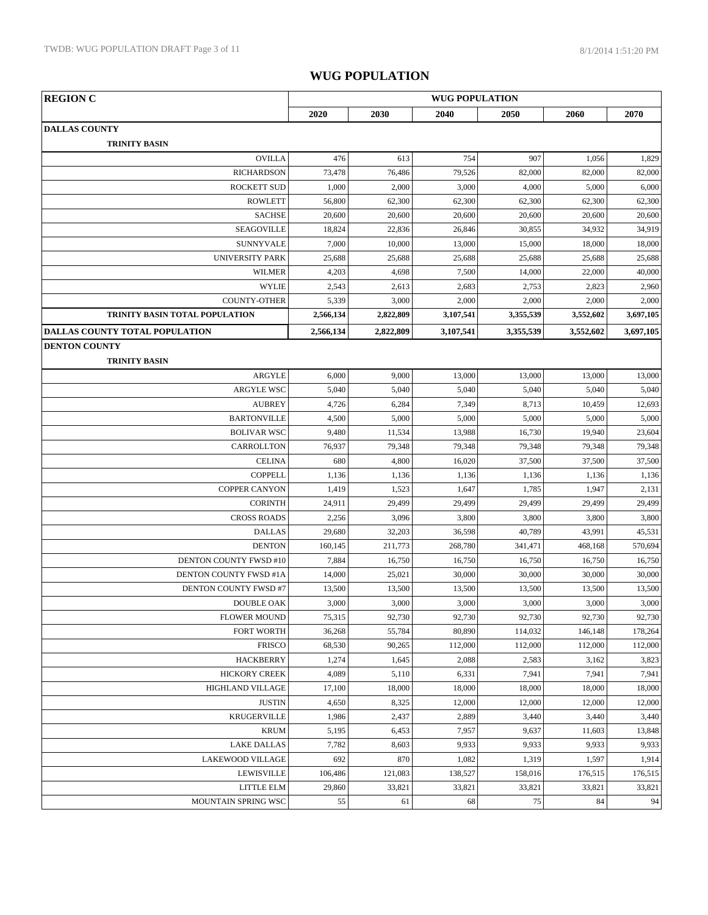| <b>REGION C</b>                       | <b>WUG POPULATION</b> |           |           |           |           |           |
|---------------------------------------|-----------------------|-----------|-----------|-----------|-----------|-----------|
|                                       | 2020                  | 2030      | 2040      | 2050      | 2060      | 2070      |
| <b>DALLAS COUNTY</b>                  |                       |           |           |           |           |           |
| <b>TRINITY BASIN</b>                  |                       |           |           |           |           |           |
| <b>OVILLA</b>                         | 476                   | 613       | 754       | 907       | 1,056     | 1,829     |
| <b>RICHARDSON</b>                     | 73,478                | 76,486    | 79,526    | 82,000    | 82,000    | 82,000    |
| <b>ROCKETT SUD</b>                    | 1,000                 | 2,000     | 3,000     | 4,000     | 5,000     | 6,000     |
| <b>ROWLETT</b>                        | 56,800                | 62,300    | 62,300    | 62,300    | 62,300    | 62,300    |
| <b>SACHSE</b>                         | 20,600                | 20,600    | 20,600    | 20,600    | 20,600    | 20,600    |
| SEAGOVILLE                            | 18,824                | 22,836    | 26,846    | 30,855    | 34,932    | 34,919    |
| <b>SUNNYVALE</b>                      | 7,000                 | 10,000    | 13,000    | 15,000    | 18,000    | 18,000    |
| <b>UNIVERSITY PARK</b>                | 25,688                | 25,688    | 25,688    | 25,688    | 25,688    | 25,688    |
| <b>WILMER</b>                         | 4,203                 | 4,698     | 7,500     | 14,000    | 22,000    | 40,000    |
| <b>WYLIE</b>                          | 2,543                 | 2,613     | 2,683     | 2,753     | 2,823     | 2,960     |
| <b>COUNTY-OTHER</b>                   | 5,339                 | 3,000     | 2,000     | 2,000     | 2,000     | 2,000     |
| TRINITY BASIN TOTAL POPULATION        | 2,566,134             | 2,822,809 | 3,107,541 | 3,355,539 | 3,552,602 | 3,697,105 |
| <b>DALLAS COUNTY TOTAL POPULATION</b> | 2,566,134             | 2,822,809 | 3,107,541 | 3,355,539 | 3,552,602 | 3,697,105 |
| <b>DENTON COUNTY</b>                  |                       |           |           |           |           |           |
| <b>TRINITY BASIN</b>                  |                       |           |           |           |           |           |
| ARGYLE                                | 6,000                 | 9,000     | 13,000    | 13,000    | 13,000    | 13,000    |
| <b>ARGYLE WSC</b>                     | 5,040                 | 5,040     | 5,040     | 5,040     | 5,040     | 5,040     |
| <b>AUBREY</b>                         | 4,726                 | 6,284     | 7,349     | 8,713     | 10,459    | 12,693    |
| <b>BARTONVILLE</b>                    | 4,500                 | 5,000     | 5,000     | 5,000     | 5,000     | 5,000     |
| <b>BOLIVAR WSC</b>                    | 9,480                 | 11,534    | 13,988    | 16,730    | 19,940    | 23,604    |
| CARROLLTON                            | 76,937                | 79,348    | 79,348    | 79,348    | 79,348    | 79,348    |
| <b>CELINA</b>                         | 680                   | 4,800     | 16,020    | 37,500    | 37,500    | 37,500    |
| <b>COPPELL</b>                        | 1,136                 | 1,136     | 1,136     | 1,136     | 1,136     | 1,136     |
| <b>COPPER CANYON</b>                  | 1,419                 | 1,523     | 1,647     | 1,785     | 1,947     | 2,131     |
| <b>CORINTH</b>                        | 24,911                | 29,499    | 29,499    | 29,499    | 29,499    | 29,499    |
| <b>CROSS ROADS</b>                    | 2,256                 | 3,096     | 3,800     | 3,800     | 3,800     | 3,800     |
| <b>DALLAS</b>                         | 29,680                | 32,203    | 36,598    | 40,789    | 43,991    | 45,531    |
| <b>DENTON</b>                         | 160,145               | 211,773   | 268,780   | 341,471   | 468,168   | 570,694   |
| DENTON COUNTY FWSD #10                | 7,884                 | 16,750    | 16,750    | 16,750    | 16,750    | 16,750    |
| DENTON COUNTY FWSD #1A                | 14,000                | 25,021    | 30,000    | 30,000    | 30,000    | 30,000    |
| DENTON COUNTY FWSD #7                 | 13,500                | 13,500    | 13,500    | 13,500    | 13,500    | 13,500    |
| <b>DOUBLE OAK</b>                     | 3,000                 | 3,000     | 3,000     | 3,000     | 3,000     | 3,000     |
| <b>FLOWER MOUND</b>                   | 75,315                | 92,730    | 92,730    | 92,730    | 92,730    | 92,730    |
| <b>FORT WORTH</b>                     | 36,268                | 55,784    | 80,890    | 114,032   | 146,148   | 178,264   |
| <b>FRISCO</b>                         | 68,530                | 90,265    | 112,000   | 112,000   | 112,000   | 112,000   |
| <b>HACKBERRY</b>                      | 1,274                 | 1,645     | 2,088     | 2,583     | 3,162     | 3,823     |
| <b>HICKORY CREEK</b>                  | 4,089                 | 5,110     | 6,331     | 7,941     | 7,941     | 7,941     |
| HIGHLAND VILLAGE                      | 17,100                | 18,000    | 18,000    | 18,000    | 18,000    | 18,000    |
| <b>JUSTIN</b>                         | 4,650                 | 8,325     | 12,000    | 12,000    | 12,000    | 12,000    |
| <b>KRUGERVILLE</b>                    | 1,986                 | 2,437     | 2,889     | 3,440     | 3,440     | 3,440     |
| <b>KRUM</b>                           | 5,195                 | 6,453     | 7,957     | 9,637     | 11,603    | 13,848    |
| <b>LAKE DALLAS</b>                    | 7,782                 | 8,603     | 9,933     | 9,933     | 9,933     | 9,933     |
| LAKEWOOD VILLAGE                      | 692                   | 870       | 1,082     | 1,319     | 1,597     | 1,914     |
| <b>LEWISVILLE</b>                     | 106,486               | 121,083   | 138,527   | 158,016   | 176,515   | 176,515   |
| LITTLE ELM                            | 29,860                | 33,821    | 33,821    | 33,821    | 33,821    | 33,821    |
| MOUNTAIN SPRING WSC                   | 55                    | 61        | 68        | 75        | 84        | 94        |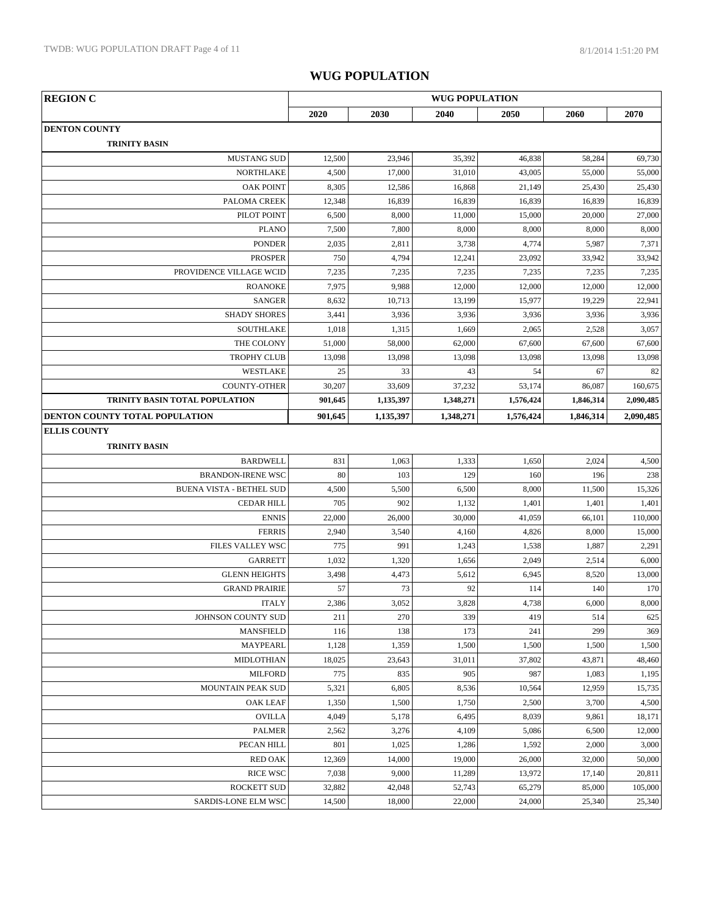| <b>REGION C</b>                      | <b>WUG POPULATION</b> |              |               |                 |                 |                 |
|--------------------------------------|-----------------------|--------------|---------------|-----------------|-----------------|-----------------|
|                                      | 2020                  | 2030         | 2040          | 2050            | 2060            | 2070            |
| <b>DENTON COUNTY</b>                 |                       |              |               |                 |                 |                 |
| <b>TRINITY BASIN</b>                 |                       |              |               |                 |                 |                 |
| <b>MUSTANG SUD</b>                   | 12,500                | 23,946       | 35,392        | 46,838          | 58,284          | 69,730          |
| <b>NORTHLAKE</b>                     | 4,500                 | 17,000       | 31,010        | 43,005          | 55,000          | 55,000          |
| <b>OAK POINT</b>                     | 8,305                 | 12,586       | 16,868        | 21,149          | 25,430          | 25,430          |
| PALOMA CREEK                         | 12,348                | 16,839       | 16,839        | 16,839          | 16,839          | 16,839          |
| PILOT POINT                          | 6,500                 | 8,000        | 11,000        | 15,000          | 20,000          | 27,000          |
| <b>PLANO</b>                         | 7,500                 | 7,800        | 8,000         | 8,000           | 8,000           | 8,000           |
| <b>PONDER</b>                        | 2,035                 | 2,811        | 3,738         | 4,774           | 5,987           | 7,371           |
| <b>PROSPER</b>                       | 750                   | 4,794        | 12,241        | 23,092          | 33,942          | 33,942          |
| PROVIDENCE VILLAGE WCID              | 7,235                 | 7,235        | 7,235         | 7,235           | 7,235           | 7,235           |
| <b>ROANOKE</b>                       | 7,975                 | 9,988        | 12,000        | 12,000          | 12,000          | 12,000          |
| <b>SANGER</b>                        | 8,632                 | 10,713       | 13,199        | 15,977          | 19,229          | 22,941          |
| <b>SHADY SHORES</b>                  | 3,441                 | 3,936        | 3,936         | 3,936           | 3,936           | 3,936           |
| <b>SOUTHLAKE</b>                     | 1,018                 | 1,315        | 1,669         | 2,065           | 2,528           | 3,057           |
| THE COLONY                           | 51,000                | 58,000       | 62,000        | 67,600          | 67,600          | 67,600          |
| <b>TROPHY CLUB</b>                   | 13,098                | 13,098       | 13,098        | 13,098          | 13,098          | 13,098          |
| WESTLAKE                             | 25                    | 33           | 43            | 54              | 67              | 82              |
| <b>COUNTY-OTHER</b>                  | 30,207                | 33,609       | 37,232        | 53,174          | 86,087          | 160,675         |
| TRINITY BASIN TOTAL POPULATION       | 901,645               | 1,135,397    | 1,348,271     | 1,576,424       | 1,846,314       | 2,090,485       |
| DENTON COUNTY TOTAL POPULATION       | 901,645               | 1,135,397    | 1,348,271     | 1,576,424       | 1,846,314       | 2,090,485       |
| <b>ELLIS COUNTY</b>                  |                       |              |               |                 |                 |                 |
| <b>TRINITY BASIN</b>                 |                       |              |               |                 |                 |                 |
| <b>BARDWELL</b>                      | 831                   | 1,063        | 1,333         | 1,650           | 2,024           | 4,500           |
| <b>BRANDON-IRENE WSC</b>             | 80                    | 103          | 129           | 160             | 196             | 238             |
| <b>BUENA VISTA - BETHEL SUD</b>      | 4,500                 | 5,500        | 6,500         | 8,000           | 11,500          | 15,326          |
| <b>CEDAR HILL</b>                    | 705                   | 902          | 1,132         | 1,401           | 1,401           | 1,401           |
| <b>ENNIS</b>                         | 22,000                | 26,000       | 30,000        | 41,059          | 66,101          | 110,000         |
| <b>FERRIS</b>                        | 2,940                 | 3,540        | 4,160         | 4,826           | 8,000           | 15,000          |
| FILES VALLEY WSC                     | 775                   | 991          | 1,243         | 1,538           | 1,887           | 2,291           |
| GARRETT                              | 1,032                 | 1,320        | 1,656         | 2,049           | 2,514           | 6,000           |
| <b>GLENN HEIGHTS</b>                 | 3,498                 | 4,473        | 5,612         | 6,945           | 8,520           | 13,000          |
| <b>GRAND PRAIRIE</b>                 | 57                    | 73           | 92            | 114             | 140             | 170             |
| <b>ITALY</b>                         | 2,386                 | 3,052        | 3,828         | 4,738           | 6,000           | 8,000           |
| JOHNSON COUNTY SUD                   | 211                   | 270          | 339           | 419             | 514             | 625             |
| <b>MANSFIELD</b>                     | 116                   | 138          | 173           | 241             | 299             | 369             |
| <b>MAYPEARL</b>                      | 1,128                 | 1,359        | 1,500         | 1,500<br>37,802 | 1,500           | 1,500           |
| <b>MIDLOTHIAN</b>                    | 18,025                | 23,643       | 31,011<br>905 | 987             | 43,871          | 48,460          |
| <b>MILFORD</b>                       | 775<br>5,321          | 835<br>6,805 | 8,536         |                 | 1,083<br>12,959 | 1,195           |
| MOUNTAIN PEAK SUD<br><b>OAK LEAF</b> | 1,350                 | 1,500        | 1,750         | 10,564<br>2,500 | 3,700           | 15,735<br>4,500 |
| <b>OVILLA</b>                        | 4,049                 | 5,178        | 6,495         | 8,039           | 9,861           | 18,171          |
| <b>PALMER</b>                        | 2,562                 | 3,276        | 4,109         | 5,086           | 6,500           | 12,000          |
| PECAN HILL                           | 801                   | 1,025        | 1,286         | 1,592           | 2,000           | 3,000           |
| <b>RED OAK</b>                       | 12,369                | 14,000       | 19,000        | 26,000          | 32,000          | 50,000          |
| <b>RICE WSC</b>                      | 7,038                 | 9,000        | 11,289        | 13,972          | 17,140          | 20,811          |
| ROCKETT SUD                          | 32,882                | 42,048       | 52,743        | 65,279          | 85,000          | 105,000         |
| SARDIS-LONE ELM WSC                  | 14,500                | 18,000       | 22,000        | 24,000          | 25,340          | 25,340          |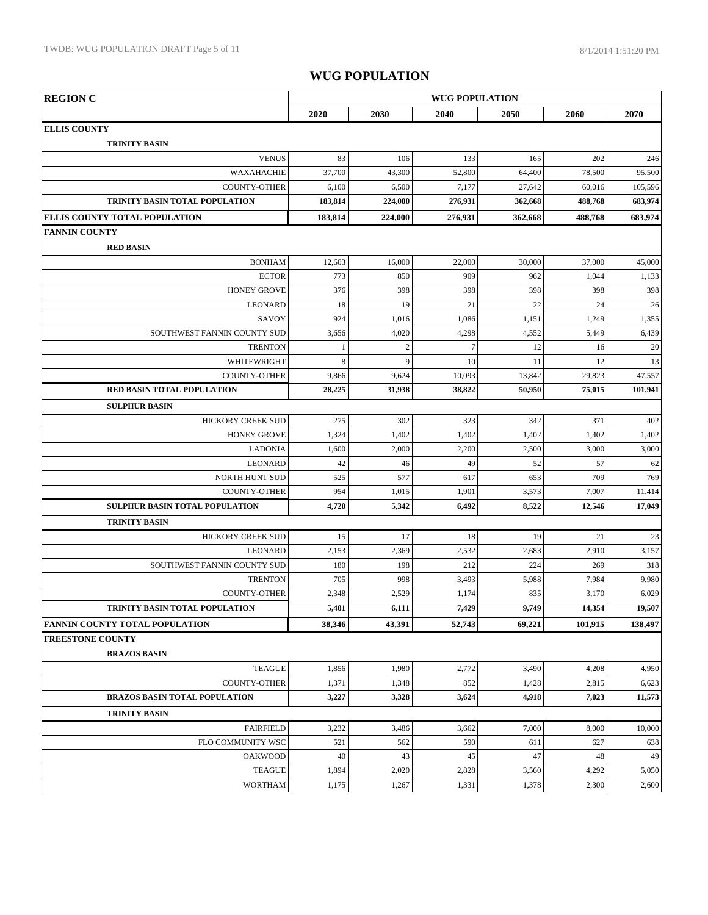| <b>REGION C</b>                      |         |              | <b>WUG POPULATION</b> |         |         |                 |
|--------------------------------------|---------|--------------|-----------------------|---------|---------|-----------------|
|                                      | 2020    | 2030         | 2040                  | 2050    | 2060    | 2070            |
| <b>ELLIS COUNTY</b>                  |         |              |                       |         |         |                 |
| <b>TRINITY BASIN</b>                 |         |              |                       |         |         |                 |
| <b>VENUS</b>                         | 83      | 106          | 133                   | 165     | 202     | 246             |
| WAXAHACHIE                           | 37,700  | 43,300       | 52,800                | 64,400  | 78,500  | 95,500          |
| <b>COUNTY-OTHER</b>                  | 6,100   | 6,500        | 7,177                 | 27,642  | 60,016  | 105,596         |
| TRINITY BASIN TOTAL POPULATION       | 183,814 | 224,000      | 276,931               | 362,668 | 488,768 | 683,974         |
| <b>ELLIS COUNTY TOTAL POPULATION</b> | 183,814 | 224,000      | 276,931               | 362,668 | 488,768 | 683,974         |
| <b>FANNIN COUNTY</b>                 |         |              |                       |         |         |                 |
| <b>RED BASIN</b>                     |         |              |                       |         |         |                 |
| <b>BONHAM</b>                        | 12,603  | 16,000       | 22,000                | 30,000  | 37,000  | 45,000          |
| <b>ECTOR</b>                         | 773     | 850          | 909                   | 962     | 1,044   | 1,133           |
| <b>HONEY GROVE</b>                   | 376     | 398          | 398                   | 398     | 398     | 398             |
| <b>LEONARD</b>                       | 18      | 19           | 21                    | 22      | 24      | 26              |
| SAVOY                                | 924     | 1,016        | 1,086                 | 1,151   | 1,249   | 1,355           |
| SOUTHWEST FANNIN COUNTY SUD          | 3,656   | 4,020        | 4,298                 | 4,552   | 5,449   | 6,439           |
| <b>TRENTON</b>                       | 1       | $\sqrt{2}$   | $\tau$                | 12      | 16      | 20 <sup>2</sup> |
| WHITEWRIGHT                          | 8       | $\mathbf{Q}$ | 10                    | 11      | 12      | 13              |
| <b>COUNTY-OTHER</b>                  | 9,866   | 9,624        | 10,093                | 13,842  | 29,823  | 47,557          |
| <b>RED BASIN TOTAL POPULATION</b>    | 28,225  | 31,938       | 38,822                | 50,950  | 75,015  | 101,941         |
| <b>SULPHUR BASIN</b>                 |         |              |                       |         |         |                 |
| <b>HICKORY CREEK SUD</b>             | 275     | 302          | 323                   | 342     | 371     | 402             |
| <b>HONEY GROVE</b>                   | 1,324   | 1,402        | 1,402                 | 1,402   | 1,402   | 1,402           |
| <b>LADONIA</b>                       | 1,600   | 2,000        | 2,200                 | 2,500   | 3,000   | 3,000           |
| <b>LEONARD</b>                       | 42      | 46           | 49                    | 52      | 57      | 62              |
| NORTH HUNT SUD                       | 525     | 577          | 617                   | 653     | 709     | 769             |
| <b>COUNTY-OTHER</b>                  | 954     | 1,015        | 1,901                 | 3,573   | 7,007   | 11,414          |
| SULPHUR BASIN TOTAL POPULATION       | 4,720   | 5,342        | 6,492                 | 8,522   | 12,546  | 17,049          |
| <b>TRINITY BASIN</b>                 |         |              |                       |         |         |                 |
| <b>HICKORY CREEK SUD</b>             | 15      | 17           | 18                    | 19      | 21      | 23              |
| <b>LEONARD</b>                       | 2,153   | 2,369        | 2,532                 | 2,683   | 2,910   | 3,157           |
| SOUTHWEST FANNIN COUNTY SUD          | 180     | 198          | 212                   | 224     | 269     | 318             |
| <b>TRENTON</b>                       | 705     | 998          | 3,493                 | 5,988   | 7,984   | 9,980           |
| <b>COUNTY-OTHER</b>                  | 2,348   | 2,529        | 1,174                 | 835     | 3,170   | 6,029           |
| TRINITY BASIN TOTAL POPULATION       | 5,401   | 6,111        | 7,429                 | 9,749   | 14,354  | 19,507          |
| FANNIN COUNTY TOTAL POPULATION       | 38,346  | 43,391       | 52,743                | 69,221  | 101,915 | 138,497         |
| <b>FREESTONE COUNTY</b>              |         |              |                       |         |         |                 |
| <b>BRAZOS BASIN</b>                  |         |              |                       |         |         |                 |
| <b>TEAGUE</b>                        | 1,856   | 1,980        | 2,772                 | 3,490   | 4,208   | 4,950           |
| <b>COUNTY-OTHER</b>                  | 1,371   | 1,348        | 852                   | 1,428   | 2,815   | 6,623           |
| <b>BRAZOS BASIN TOTAL POPULATION</b> | 3,227   | 3,328        | 3,624                 | 4,918   | 7,023   | 11,573          |
| <b>TRINITY BASIN</b>                 |         |              |                       |         |         |                 |
| <b>FAIRFIELD</b>                     | 3,232   | 3,486        | 3,662                 | 7,000   | 8,000   | 10,000          |
| FLO COMMUNITY WSC                    | 521     | 562          | 590                   | 611     | 627     | 638             |
| <b>OAKWOOD</b>                       | 40      | 43           | 45                    | 47      | 48      | 49              |
| <b>TEAGUE</b>                        | 1,894   | 2,020        | 2,828                 | 3,560   | 4,292   | 5,050           |
| <b>WORTHAM</b>                       | 1,175   | 1,267        | 1,331                 | 1,378   | 2,300   | 2,600           |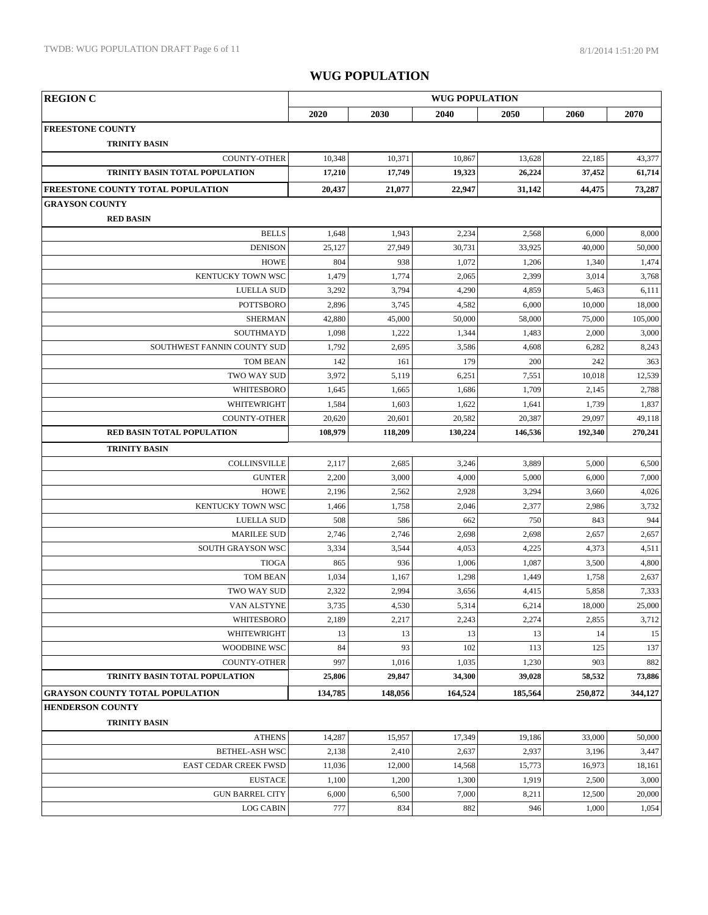| <b>REGION C</b>                        | <b>WUG POPULATION</b> |         |         |         |            |         |
|----------------------------------------|-----------------------|---------|---------|---------|------------|---------|
|                                        | 2020                  | 2030    | 2040    | 2050    | 2060       | 2070    |
| <b>FREESTONE COUNTY</b>                |                       |         |         |         |            |         |
| <b>TRINITY BASIN</b>                   |                       |         |         |         |            |         |
| <b>COUNTY-OTHER</b>                    | 10,348                | 10,371  | 10,867  | 13,628  | 22,185     | 43,377  |
| TRINITY BASIN TOTAL POPULATION         | 17,210                | 17,749  | 19,323  | 26,224  | 37,452     | 61,714  |
| FREESTONE COUNTY TOTAL POPULATION      | 20,437                | 21,077  | 22,947  | 31,142  | 44,475     | 73,287  |
| <b>GRAYSON COUNTY</b>                  |                       |         |         |         |            |         |
| <b>RED BASIN</b>                       |                       |         |         |         |            |         |
| <b>BELLS</b>                           | 1,648                 | 1,943   | 2,234   | 2,568   | 6,000      | 8,000   |
| <b>DENISON</b>                         | 25,127                | 27,949  | 30,731  | 33,925  | 40,000     | 50,000  |
| <b>HOWE</b>                            | 804                   | 938     | 1,072   | 1,206   | 1,340      | 1,474   |
| KENTUCKY TOWN WSC                      | 1,479                 | 1,774   | 2,065   | 2,399   | 3,014      | 3,768   |
| <b>LUELLA SUD</b>                      | 3,292                 | 3,794   | 4,290   | 4,859   | 5,463      | 6,111   |
| <b>POTTSBORO</b>                       | 2,896                 | 3,745   | 4,582   | 6,000   | 10,000     | 18,000  |
| <b>SHERMAN</b>                         | 42,880                | 45,000  | 50,000  | 58,000  | 75,000     | 105,000 |
| SOUTHMAYD                              | 1,098                 | 1,222   | 1,344   | 1,483   | 2,000      | 3,000   |
| SOUTHWEST FANNIN COUNTY SUD            | 1,792                 | 2,695   | 3,586   | 4,608   | 6,282      | 8,243   |
| <b>TOM BEAN</b>                        | 142                   | 161     | 179     | 200     | 242        | 363     |
| <b>TWO WAY SUD</b>                     | 3,972                 | 5,119   | 6,251   | 7,551   | 10,018     | 12,539  |
| WHITESBORO                             | 1,645                 | 1,665   | 1,686   | 1,709   | 2,145      | 2,788   |
| WHITEWRIGHT                            | 1,584                 | 1,603   | 1,622   | 1,641   | 1,739      | 1,837   |
| <b>COUNTY-OTHER</b>                    | 20,620                | 20,601  | 20,582  | 20,387  | 29,097     | 49,118  |
| RED BASIN TOTAL POPULATION             | 108,979               | 118,209 | 130,224 | 146,536 | 192,340    | 270,241 |
| <b>TRINITY BASIN</b>                   |                       |         |         |         |            |         |
| COLLINSVILLE                           | 2,117                 | 2,685   | 3,246   | 3,889   | 5,000      | 6,500   |
| <b>GUNTER</b>                          | 2,200                 | 3,000   | 4,000   | 5,000   | 6,000      | 7,000   |
| <b>HOWE</b>                            | 2,196                 | 2,562   | 2,928   | 3,294   | 3,660      | 4,026   |
| KENTUCKY TOWN WSC                      | 1,466                 | 1,758   | 2,046   | 2,377   | 2,986      | 3,732   |
| <b>LUELLA SUD</b>                      | 508                   | 586     | 662     | 750     | 843        | 944     |
| <b>MARILEE SUD</b>                     | 2,746                 | 2,746   | 2,698   | 2,698   | 2,657      | 2,657   |
| SOUTH GRAYSON WSC                      | 3,334                 | 3,544   | 4,053   | 4,225   | 4,373      | 4,511   |
| <b>TIOGA</b>                           | 865                   | 936     | 1,006   | 1,087   | 3,500      | 4,800   |
| <b>TOM BEAN</b>                        | 1,034                 | 1,167   | 1,298   | 1,449   | 1,758      | 2,637   |
| TWO WAY SUD                            | 2,322                 | 2,994   | 3,656   | 4,415   | 5,858      | 7,333   |
| VAN ALSTYNE                            | 3,735                 | 4,530   | 5,314   | 6,214   | $18,\!000$ | 25,000  |
| WHITESBORO                             | 2,189                 | 2,217   | 2,243   | 2,274   | 2,855      | 3,712   |
| WHITEWRIGHT                            | 13                    | 13      | 13      | 13      | 14         | 15      |
| <b>WOODBINE WSC</b>                    | 84                    | 93      | 102     | 113     | 125        | 137     |
| <b>COUNTY-OTHER</b>                    | 997                   | 1,016   | 1,035   | 1,230   | 903        | 882     |
| TRINITY BASIN TOTAL POPULATION         | 25,806                | 29,847  | 34,300  | 39,028  | 58,532     | 73,886  |
| <b>GRAYSON COUNTY TOTAL POPULATION</b> | 134,785               | 148,056 | 164,524 | 185,564 | 250,872    | 344,127 |
| <b>HENDERSON COUNTY</b>                |                       |         |         |         |            |         |
| <b>TRINITY BASIN</b>                   |                       |         |         |         |            |         |
| <b>ATHENS</b>                          | 14,287                | 15,957  | 17,349  | 19,186  | 33,000     | 50,000  |
| BETHEL-ASH WSC                         | 2,138                 | 2,410   | 2,637   | 2,937   | 3,196      | 3,447   |
| <b>EAST CEDAR CREEK FWSD</b>           | 11,036                | 12,000  | 14,568  | 15,773  | 16,973     | 18,161  |
| <b>EUSTACE</b>                         | 1,100                 | 1,200   | 1,300   | 1,919   | 2,500      | 3,000   |
| <b>GUN BARREL CITY</b>                 | 6,000                 | 6,500   | 7,000   | 8,211   | 12,500     | 20,000  |
| <b>LOG CABIN</b>                       | 777                   | 834     | 882     | 946     | 1,000      | 1,054   |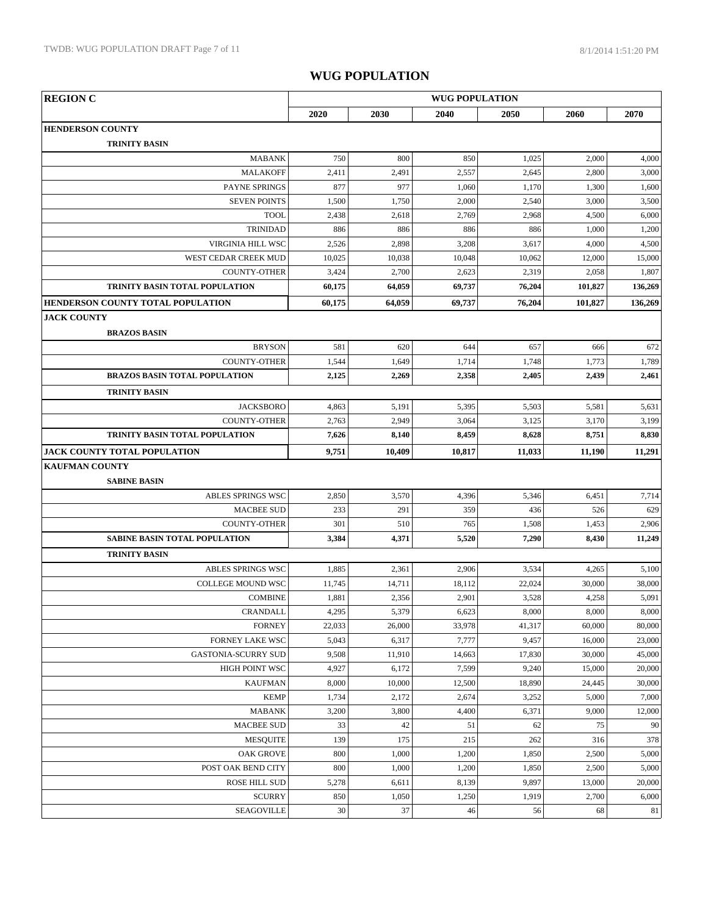| <b>REGION C</b><br><b>WUG POPULATION</b> |        |        |        |        |         |         |
|------------------------------------------|--------|--------|--------|--------|---------|---------|
|                                          | 2020   | 2030   | 2040   | 2050   | 2060    | 2070    |
| <b>HENDERSON COUNTY</b>                  |        |        |        |        |         |         |
| <b>TRINITY BASIN</b>                     |        |        |        |        |         |         |
| <b>MABANK</b>                            | 750    | 800    | 850    | 1,025  | 2,000   | 4,000   |
| <b>MALAKOFF</b>                          | 2,411  | 2,491  | 2,557  | 2,645  | 2,800   | 3,000   |
| PAYNE SPRINGS                            | 877    | 977    | 1,060  | 1,170  | 1,300   | 1,600   |
| <b>SEVEN POINTS</b>                      | 1,500  | 1,750  | 2,000  | 2,540  | 3,000   | 3,500   |
| <b>TOOL</b>                              | 2,438  | 2,618  | 2,769  | 2,968  | 4,500   | 6,000   |
| <b>TRINIDAD</b>                          | 886    | 886    | 886    | 886    | 1,000   | 1,200   |
| <b>VIRGINIA HILL WSC</b>                 | 2,526  | 2,898  | 3,208  | 3,617  | 4,000   | 4,500   |
| WEST CEDAR CREEK MUD                     | 10,025 | 10,038 | 10,048 | 10,062 | 12,000  | 15,000  |
| COUNTY-OTHER                             | 3,424  | 2,700  | 2,623  | 2,319  | 2,058   | 1,807   |
| TRINITY BASIN TOTAL POPULATION           | 60,175 | 64,059 | 69,737 | 76,204 | 101,827 | 136,269 |
| HENDERSON COUNTY TOTAL POPULATION        | 60,175 | 64,059 | 69,737 | 76,204 | 101,827 | 136,269 |
| <b>JACK COUNTY</b>                       |        |        |        |        |         |         |
| <b>BRAZOS BASIN</b>                      |        |        |        |        |         |         |
| <b>BRYSON</b>                            | 581    | 620    | 644    | 657    | 666     | 672     |
| <b>COUNTY-OTHER</b>                      | 1,544  | 1,649  | 1,714  | 1,748  | 1,773   | 1,789   |
| <b>BRAZOS BASIN TOTAL POPULATION</b>     | 2,125  | 2,269  | 2,358  | 2,405  | 2,439   | 2,461   |
| <b>TRINITY BASIN</b>                     |        |        |        |        |         |         |
| <b>JACKSBORO</b>                         | 4,863  | 5,191  | 5,395  | 5,503  | 5,581   | 5,631   |
| <b>COUNTY-OTHER</b>                      | 2,763  | 2,949  | 3,064  | 3,125  | 3,170   | 3,199   |
| TRINITY BASIN TOTAL POPULATION           | 7,626  | 8,140  | 8,459  | 8,628  | 8,751   | 8,830   |
| JACK COUNTY TOTAL POPULATION             | 9,751  | 10,409 | 10,817 | 11,033 | 11,190  | 11,291  |
| <b>KAUFMAN COUNTY</b>                    |        |        |        |        |         |         |
| <b>SABINE BASIN</b>                      |        |        |        |        |         |         |
| ABLES SPRINGS WSC                        | 2,850  | 3,570  | 4,396  | 5,346  | 6,451   | 7,714   |
| <b>MACBEE SUD</b>                        | 233    | 291    | 359    | 436    | 526     | 629     |
| <b>COUNTY-OTHER</b>                      | 301    | 510    | 765    | 1,508  | 1,453   | 2,906   |
| <b>SABINE BASIN TOTAL POPULATION</b>     | 3,384  | 4,371  | 5,520  | 7,290  | 8,430   | 11,249  |
| <b>TRINITY BASIN</b>                     |        |        |        |        |         |         |
| ABLES SPRINGS WSC                        | 1,885  | 2,361  | 2,906  | 3,534  | 4,265   | 5,100   |
| <b>COLLEGE MOUND WSC</b>                 | 11,745 | 14,711 | 18,112 | 22,024 | 30,000  | 38,000  |
| <b>COMBINE</b>                           | 1,881  | 2,356  | 2,901  | 3,528  | 4,258   | 5,091   |
| <b>CRANDALL</b>                          | 4,295  | 5,379  | 6,623  | 8,000  | 8,000   | 8,000   |
| <b>FORNEY</b>                            | 22,033 | 26,000 | 33,978 | 41,317 | 60,000  | 80,000  |
| <b>FORNEY LAKE WSC</b>                   | 5,043  | 6,317  | 7,777  | 9,457  | 16,000  | 23,000  |
| <b>GASTONIA-SCURRY SUD</b>               | 9,508  | 11,910 | 14,663 | 17,830 | 30,000  | 45,000  |
| <b>HIGH POINT WSC</b>                    | 4,927  | 6,172  | 7,599  | 9,240  | 15,000  | 20,000  |
| <b>KAUFMAN</b>                           | 8,000  | 10,000 | 12,500 | 18,890 | 24,445  | 30,000  |
| <b>KEMP</b>                              | 1,734  | 2,172  | 2,674  | 3,252  | 5,000   | 7,000   |
| <b>MABANK</b>                            | 3,200  | 3,800  | 4,400  | 6,371  | 9,000   | 12,000  |
| <b>MACBEE SUD</b>                        | 33     | 42     | 51     | 62     | 75      | 90      |
| <b>MESQUITE</b>                          | 139    | 175    | 215    | 262    | 316     | 378     |
| <b>OAK GROVE</b>                         | 800    | 1,000  | 1,200  | 1,850  | 2,500   | 5,000   |
| POST OAK BEND CITY                       | 800    | 1,000  | 1,200  | 1,850  | 2,500   | 5,000   |
| <b>ROSE HILL SUD</b>                     | 5,278  | 6,611  | 8,139  | 9,897  | 13,000  | 20,000  |
| <b>SCURRY</b>                            | 850    | 1,050  | 1,250  | 1,919  | 2,700   | 6,000   |
| SEAGOVILLE                               | 30     | 37     | 46     | 56     | 68      | 81      |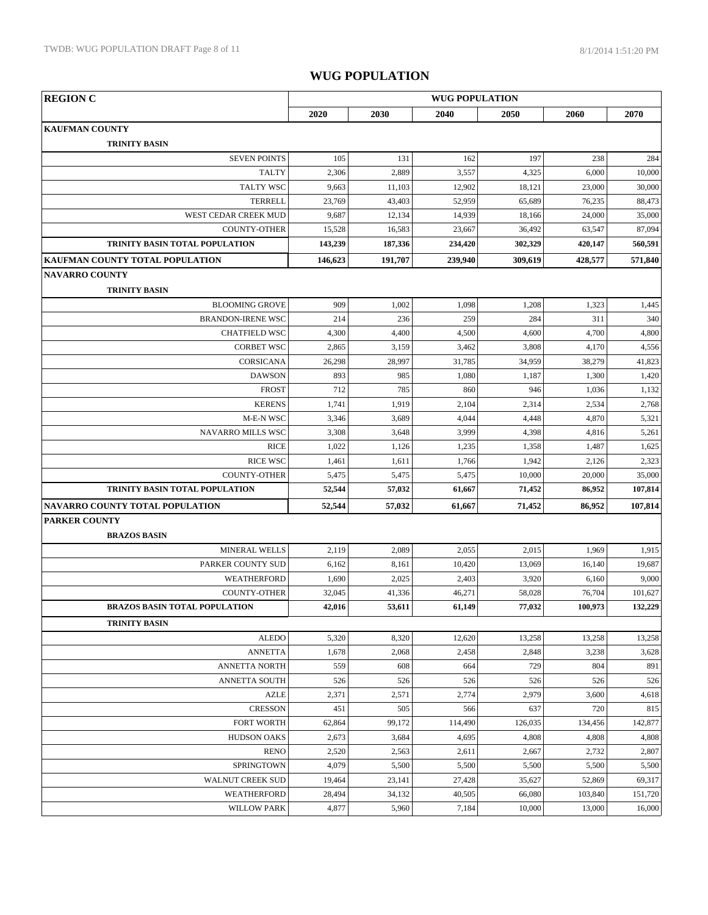| <b>REGION C</b>                      | <b>WUG POPULATION</b> |         |         |         |         |         |  |  |
|--------------------------------------|-----------------------|---------|---------|---------|---------|---------|--|--|
|                                      | 2020                  | 2030    | 2040    | 2050    | 2060    | 2070    |  |  |
| <b>KAUFMAN COUNTY</b>                |                       |         |         |         |         |         |  |  |
| <b>TRINITY BASIN</b>                 |                       |         |         |         |         |         |  |  |
| <b>SEVEN POINTS</b>                  | 105                   | 131     | 162     | 197     | 238     | 284     |  |  |
| <b>TALTY</b>                         | 2,306                 | 2,889   | 3,557   | 4,325   | 6,000   | 10,000  |  |  |
| <b>TALTY WSC</b>                     | 9,663                 | 11,103  | 12,902  | 18,121  | 23,000  | 30,000  |  |  |
| <b>TERRELL</b>                       | 23,769                | 43,403  | 52,959  | 65,689  | 76,235  | 88,473  |  |  |
| WEST CEDAR CREEK MUD                 | 9,687                 | 12,134  | 14,939  | 18,166  | 24,000  | 35,000  |  |  |
| <b>COUNTY-OTHER</b>                  | 15,528                | 16,583  | 23,667  | 36,492  | 63,547  | 87,094  |  |  |
| TRINITY BASIN TOTAL POPULATION       | 143,239               | 187,336 | 234,420 | 302,329 | 420,147 | 560,591 |  |  |
| KAUFMAN COUNTY TOTAL POPULATION      | 146,623               | 191,707 | 239,940 | 309,619 | 428,577 | 571,840 |  |  |
| <b>NAVARRO COUNTY</b>                |                       |         |         |         |         |         |  |  |
| <b>TRINITY BASIN</b>                 |                       |         |         |         |         |         |  |  |
| <b>BLOOMING GROVE</b>                | 909                   | 1,002   | 1,098   | 1,208   | 1,323   | 1,445   |  |  |
| <b>BRANDON-IRENE WSC</b>             | 214                   | 236     | 259     | 284     | 311     | 340     |  |  |
| <b>CHATFIELD WSC</b>                 | 4,300                 | 4,400   | 4,500   | 4,600   | 4,700   | 4,800   |  |  |
| <b>CORBET WSC</b>                    | 2,865                 | 3,159   | 3,462   | 3,808   | 4,170   | 4,556   |  |  |
| CORSICANA                            | 26,298                | 28,997  | 31,785  | 34,959  | 38,279  | 41,823  |  |  |
| <b>DAWSON</b>                        | 893                   | 985     | 1,080   | 1,187   | 1,300   | 1,420   |  |  |
| <b>FROST</b>                         | 712                   | 785     | 860     | 946     | 1,036   | 1,132   |  |  |
| <b>KERENS</b>                        | 1,741                 | 1,919   | 2,104   | 2,314   | 2,534   | 2,768   |  |  |
| M-E-N WSC                            | 3,346                 | 3,689   | 4,044   | 4,448   | 4,870   | 5,321   |  |  |
| <b>NAVARRO MILLS WSC</b>             | 3,308                 | 3,648   | 3,999   | 4,398   | 4,816   | 5,261   |  |  |
| <b>RICE</b>                          | 1,022                 | 1,126   | 1,235   | 1,358   | 1,487   | 1,625   |  |  |
| <b>RICE WSC</b>                      | 1,461                 | 1,611   | 1,766   | 1,942   | 2,126   | 2,323   |  |  |
| <b>COUNTY-OTHER</b>                  | 5,475                 | 5,475   | 5,475   | 10,000  | 20,000  | 35,000  |  |  |
| TRINITY BASIN TOTAL POPULATION       | 52,544                | 57,032  | 61,667  | 71,452  | 86,952  | 107,814 |  |  |
| NAVARRO COUNTY TOTAL POPULATION      | 52,544                | 57,032  | 61,667  | 71,452  | 86,952  | 107,814 |  |  |
| <b>PARKER COUNTY</b>                 |                       |         |         |         |         |         |  |  |
| <b>BRAZOS BASIN</b>                  |                       |         |         |         |         |         |  |  |
| <b>MINERAL WELLS</b>                 | 2,119                 | 2,089   | 2,055   | 2,015   | 1,969   | 1,915   |  |  |
| PARKER COUNTY SUD                    | 6,162                 | 8,161   | 10,420  | 13,069  | 16,140  | 19,687  |  |  |
| WEATHERFORD                          | 1,690                 | 2,025   | 2,403   | 3,920   | 6,160   | 9,000   |  |  |
| <b>COUNTY-OTHER</b>                  | 32,045                | 41,336  | 46,271  | 58,028  | 76,704  | 101,627 |  |  |
| <b>BRAZOS BASIN TOTAL POPULATION</b> | 42,016                | 53,611  | 61,149  | 77,032  | 100,973 | 132,229 |  |  |
| <b>TRINITY BASIN</b>                 |                       |         |         |         |         |         |  |  |
| <b>ALEDO</b>                         | 5,320                 | 8,320   | 12,620  | 13,258  | 13,258  | 13,258  |  |  |
| <b>ANNETTA</b>                       | 1,678                 | 2,068   | 2,458   | 2,848   | 3,238   | 3,628   |  |  |
| <b>ANNETTA NORTH</b>                 | 559                   | 608     | 664     | 729     | 804     | 891     |  |  |
| ANNETTA SOUTH                        | 526                   | 526     | 526     | 526     | 526     | 526     |  |  |
| <b>AZLE</b>                          | 2,371                 | 2,571   | 2,774   | 2,979   | 3,600   | 4,618   |  |  |
| <b>CRESSON</b>                       | 451                   | 505     | 566     | 637     | 720     | 815     |  |  |
| <b>FORT WORTH</b>                    | 62,864                | 99,172  | 114,490 | 126,035 | 134,456 | 142,877 |  |  |
| <b>HUDSON OAKS</b>                   | 2,673                 | 3,684   | 4,695   | 4,808   | 4,808   | 4,808   |  |  |
| <b>RENO</b>                          | 2,520                 | 2,563   | 2,611   | 2,667   | 2,732   | 2,807   |  |  |
| SPRINGTOWN                           | 4,079                 | 5,500   | 5,500   | 5,500   | 5,500   | 5,500   |  |  |
| WALNUT CREEK SUD                     | 19,464                | 23,141  | 27,428  | 35,627  | 52,869  | 69,317  |  |  |
| WEATHERFORD                          | 28,494                | 34,132  | 40,505  | 66,080  | 103,840 | 151,720 |  |  |
| <b>WILLOW PARK</b>                   | 4,877                 | 5,960   | 7,184   | 10,000  | 13,000  | 16,000  |  |  |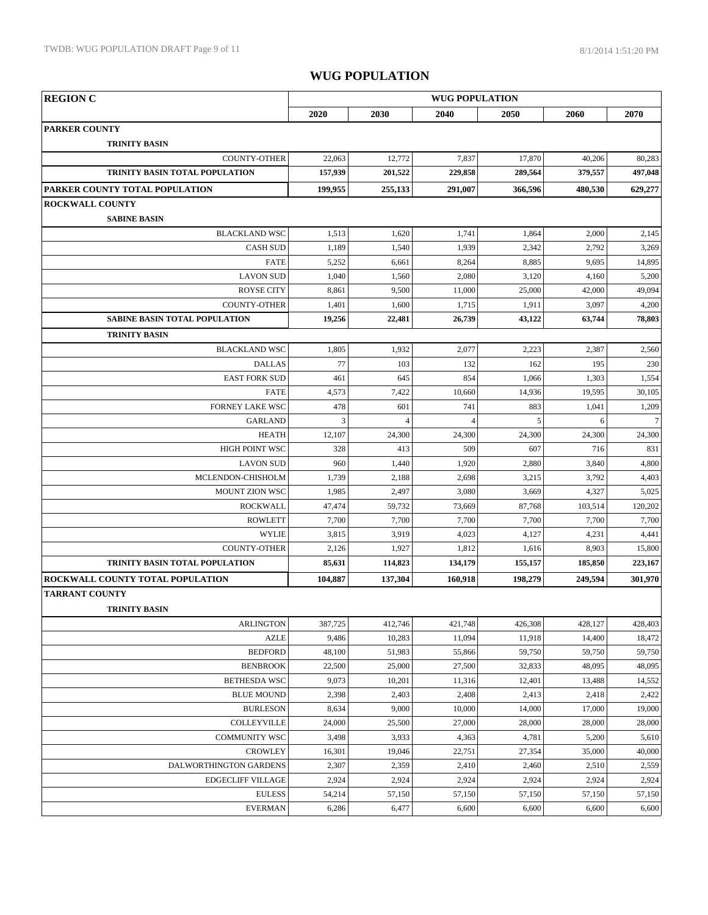| <b>REGION C</b>                      | <b>WUG POPULATION</b> |                |          |         |         |         |  |  |
|--------------------------------------|-----------------------|----------------|----------|---------|---------|---------|--|--|
|                                      | 2020                  | 2030           | 2040     | 2050    | 2060    | 2070    |  |  |
| <b>PARKER COUNTY</b>                 |                       |                |          |         |         |         |  |  |
| <b>TRINITY BASIN</b>                 |                       |                |          |         |         |         |  |  |
| <b>COUNTY-OTHER</b>                  | 22,063                | 12,772         | 7,837    | 17,870  | 40,206  | 80,283  |  |  |
| TRINITY BASIN TOTAL POPULATION       | 157,939               | 201,522        | 229,858  | 289,564 | 379,557 | 497,048 |  |  |
| PARKER COUNTY TOTAL POPULATION       | 199,955               | 255,133        | 291,007  | 366,596 | 480,530 | 629,277 |  |  |
| <b>ROCKWALL COUNTY</b>               |                       |                |          |         |         |         |  |  |
| <b>SABINE BASIN</b>                  |                       |                |          |         |         |         |  |  |
| <b>BLACKLAND WSC</b>                 | 1,513                 | 1,620          | 1,741    | 1,864   | 2,000   | 2,145   |  |  |
| <b>CASH SUD</b>                      | 1,189                 | 1,540          | 1,939    | 2,342   | 2,792   | 3,269   |  |  |
| <b>FATE</b>                          | 5,252                 | 6,661          | 8,264    | 8,885   | 9,695   | 14,895  |  |  |
| <b>LAVON SUD</b>                     | 1,040                 | 1,560          | 2,080    | 3,120   | 4,160   | 5,200   |  |  |
| <b>ROYSE CITY</b>                    | 8,861                 | 9,500          | 11,000   | 25,000  | 42,000  | 49,094  |  |  |
| <b>COUNTY-OTHER</b>                  | 1,401                 | 1,600          | 1,715    | 1,911   | 3,097   | 4,200   |  |  |
| <b>SABINE BASIN TOTAL POPULATION</b> | 19,256                | 22,481         | 26,739   | 43,122  | 63,744  | 78,803  |  |  |
| <b>TRINITY BASIN</b>                 |                       |                |          |         |         |         |  |  |
| <b>BLACKLAND WSC</b>                 | 1,805                 | 1,932          | 2,077    | 2,223   | 2,387   | 2,560   |  |  |
| <b>DALLAS</b>                        | 77                    | 103            | 132      | 162     | 195     | 230     |  |  |
| <b>EAST FORK SUD</b>                 | 461                   | 645            | 854      | 1,066   | 1,303   | 1,554   |  |  |
| <b>FATE</b>                          | 4,573                 | 7,422          | 10,660   | 14,936  | 19,595  | 30,105  |  |  |
| <b>FORNEY LAKE WSC</b>               | 478                   | 601            | 741      | 883     | 1,041   | 1,209   |  |  |
| <b>GARLAND</b>                       | 3                     | $\overline{4}$ | $\Delta$ | 5       | 6       | $\tau$  |  |  |
| <b>HEATH</b>                         | 12,107                | 24,300         | 24,300   | 24,300  | 24,300  | 24,300  |  |  |
| <b>HIGH POINT WSC</b>                | 328                   | 413            | 509      | 607     | 716     | 831     |  |  |
| <b>LAVON SUD</b>                     | 960                   | 1,440          | 1,920    | 2,880   | 3,840   | 4,800   |  |  |
| MCLENDON-CHISHOLM                    | 1,739                 | 2,188          | 2,698    | 3,215   | 3,792   | 4,403   |  |  |
| <b>MOUNT ZION WSC</b>                | 1,985                 | 2,497          | 3,080    | 3,669   | 4,327   | 5,025   |  |  |
| <b>ROCKWALL</b>                      | 47,474                | 59,732         | 73,669   | 87,768  | 103,514 | 120,202 |  |  |
| <b>ROWLETT</b>                       | 7,700                 | 7,700          | 7,700    | 7,700   | 7,700   | 7,700   |  |  |
| <b>WYLIE</b>                         | 3,815                 | 3,919          | 4,023    | 4,127   | 4,231   | 4,441   |  |  |
| <b>COUNTY-OTHER</b>                  | 2,126                 | 1,927          | 1,812    | 1,616   | 8,903   | 15,800  |  |  |
| TRINITY BASIN TOTAL POPULATION       | 85,631                | 114,823        | 134,179  | 155,157 | 185,850 | 223,167 |  |  |
| ROCKWALL COUNTY TOTAL POPULATION     | 104,887               | 137,304        | 160,918  | 198,279 | 249,594 | 301,970 |  |  |
| <b>TARRANT COUNTY</b>                |                       |                |          |         |         |         |  |  |
| <b>TRINITY BASIN</b>                 |                       |                |          |         |         |         |  |  |
| <b>ARLINGTON</b>                     | 387,725               | 412,746        | 421,748  | 426,308 | 428,127 | 428,403 |  |  |
| <b>AZLE</b>                          | 9,486                 | 10,283         | 11,094   | 11,918  | 14,400  | 18,472  |  |  |
| <b>BEDFORD</b>                       | 48,100                | 51,983         | 55,866   | 59,750  | 59,750  | 59,750  |  |  |
| <b>BENBROOK</b>                      | 22,500                | 25,000         | 27,500   | 32,833  | 48,095  | 48,095  |  |  |
| <b>BETHESDA WSC</b>                  | 9,073                 | 10,201         | 11,316   | 12,401  | 13,488  | 14,552  |  |  |
| <b>BLUE MOUND</b>                    | 2,398                 | 2,403          | 2,408    | 2,413   | 2,418   | 2,422   |  |  |
| <b>BURLESON</b>                      | 8,634                 | 9,000          | 10,000   | 14,000  | 17,000  | 19,000  |  |  |
| COLLEYVILLE                          | 24,000                | 25,500         | 27,000   | 28,000  | 28,000  | 28,000  |  |  |
| <b>COMMUNITY WSC</b>                 | 3,498                 | 3,933          | 4,363    | 4,781   | 5,200   | 5,610   |  |  |
| <b>CROWLEY</b>                       | 16,301                | 19,046         | 22,751   | 27,354  | 35,000  | 40,000  |  |  |
| DALWORTHINGTON GARDENS               | 2,307                 | 2,359          | 2,410    | 2,460   | 2,510   | 2,559   |  |  |
| <b>EDGECLIFF VILLAGE</b>             | 2,924                 | 2,924          | 2,924    | 2,924   | 2,924   | 2,924   |  |  |
| <b>EULESS</b>                        | 54,214                | 57,150         | 57,150   | 57,150  | 57,150  | 57,150  |  |  |
| <b>EVERMAN</b>                       | 6,286                 | 6,477          | 6,600    | 6,600   | 6,600   | 6,600   |  |  |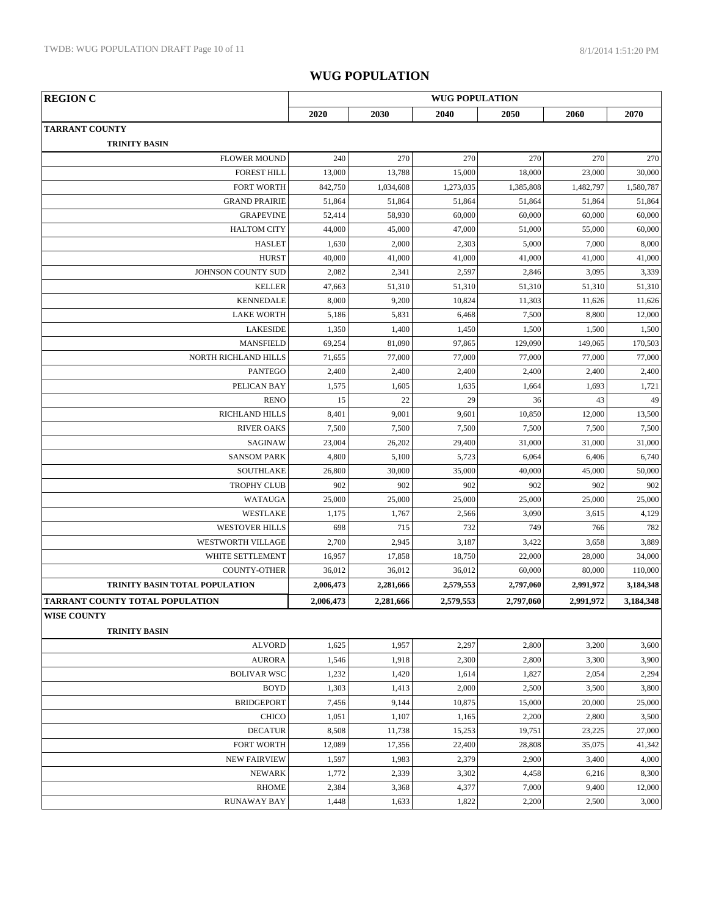| <b>REGION C</b>                        | <b>WUG POPULATION</b> |           |           |           |           |           |  |  |
|----------------------------------------|-----------------------|-----------|-----------|-----------|-----------|-----------|--|--|
|                                        | 2020                  | 2030      | 2040      | 2050      | 2060      | 2070      |  |  |
| <b>TARRANT COUNTY</b>                  |                       |           |           |           |           |           |  |  |
| <b>TRINITY BASIN</b>                   |                       |           |           |           |           |           |  |  |
| <b>FLOWER MOUND</b>                    | 240                   | 270       | 270       | 270       | 270       | 270       |  |  |
| <b>FOREST HILL</b>                     | 13,000                | 13,788    | 15,000    | 18,000    | 23,000    | 30,000    |  |  |
| <b>FORT WORTH</b>                      | 842,750               | 1,034,608 | 1,273,035 | 1,385,808 | 1,482,797 | 1,580,787 |  |  |
| <b>GRAND PRAIRIE</b>                   | 51,864                | 51,864    | 51,864    | 51,864    | 51,864    | 51,864    |  |  |
| <b>GRAPEVINE</b>                       | 52,414                | 58,930    | 60,000    | 60,000    | 60,000    | 60,000    |  |  |
| <b>HALTOM CITY</b>                     | 44,000                | 45,000    | 47,000    | 51,000    | 55,000    | 60,000    |  |  |
| <b>HASLET</b>                          | 1,630                 | 2,000     | 2,303     | 5,000     | 7,000     | 8,000     |  |  |
| <b>HURST</b>                           | 40,000                | 41,000    | 41,000    | 41,000    | 41,000    | 41,000    |  |  |
| JOHNSON COUNTY SUD                     | 2,082                 | 2,341     | 2,597     | 2,846     | 3,095     | 3,339     |  |  |
| <b>KELLER</b>                          | 47,663                | 51,310    | 51,310    | 51,310    | 51,310    | 51,310    |  |  |
| <b>KENNEDALE</b>                       | 8,000                 | 9,200     | 10,824    | 11,303    | 11,626    | 11,626    |  |  |
| <b>LAKE WORTH</b>                      | 5,186                 | 5,831     | 6,468     | 7,500     | 8,800     | 12,000    |  |  |
| <b>LAKESIDE</b>                        | 1,350                 | 1,400     | 1,450     | 1,500     | 1,500     | 1,500     |  |  |
| <b>MANSFIELD</b>                       | 69,254                | 81,090    | 97,865    | 129,090   | 149,065   | 170,503   |  |  |
| <b>NORTH RICHLAND HILLS</b>            | 71,655                | 77,000    | 77,000    | 77,000    | 77,000    | 77,000    |  |  |
| <b>PANTEGO</b>                         | 2,400                 | 2,400     | 2,400     | 2,400     | 2,400     | 2,400     |  |  |
| PELICAN BAY                            | 1,575                 | 1,605     | 1,635     | 1,664     | 1,693     | 1,721     |  |  |
| <b>RENO</b>                            | 15                    | 22        | 29        | 36        | 43        | 49        |  |  |
| <b>RICHLAND HILLS</b>                  | 8,401                 | 9,001     | 9,601     | 10,850    | 12,000    | 13,500    |  |  |
| <b>RIVER OAKS</b>                      | 7,500                 | 7,500     | 7,500     | 7,500     | 7,500     | 7,500     |  |  |
| SAGINAW                                | 23,004                | 26,202    | 29,400    | 31,000    | 31,000    | 31,000    |  |  |
| <b>SANSOM PARK</b>                     | 4,800                 | 5,100     | 5,723     | 6,064     | 6,406     | 6,740     |  |  |
| <b>SOUTHLAKE</b>                       | 26,800                | 30,000    | 35,000    | 40,000    | 45,000    | 50,000    |  |  |
| <b>TROPHY CLUB</b>                     | 902                   | 902       | 902       | 902       | 902       | 902       |  |  |
| <b>WATAUGA</b>                         | 25,000                | 25,000    | 25,000    | 25,000    | 25,000    | 25,000    |  |  |
| WESTLAKE                               | 1,175                 | 1,767     | 2,566     | 3,090     | 3,615     | 4,129     |  |  |
| <b>WESTOVER HILLS</b>                  | 698                   | 715       | 732       | 749       | 766       | 782       |  |  |
| WESTWORTH VILLAGE                      | 2,700                 | 2,945     | 3,187     | 3,422     | 3,658     | 3,889     |  |  |
| WHITE SETTLEMENT                       | 16,957                | 17,858    | 18,750    | 22,000    | 28,000    | 34,000    |  |  |
| <b>COUNTY-OTHER</b>                    | 36,012                | 36,012    | 36,012    | 60,000    | 80,000    | 110,000   |  |  |
| TRINITY BASIN TOTAL POPULATION         | 2,006,473             | 2,281,666 | 2,579,553 | 2,797,060 | 2,991,972 | 3,184,348 |  |  |
| <b>TARRANT COUNTY TOTAL POPULATION</b> | 2,006,473             | 2,281,666 | 2,579,553 | 2,797,060 | 2,991,972 | 3,184,348 |  |  |
| <b>WISE COUNTY</b>                     |                       |           |           |           |           |           |  |  |
| <b>TRINITY BASIN</b>                   |                       |           |           |           |           |           |  |  |
| <b>ALVORD</b>                          | 1,625                 | 1,957     | 2,297     | 2,800     | 3,200     | 3,600     |  |  |
| <b>AURORA</b>                          | 1,546                 | 1,918     | 2,300     | 2,800     | 3,300     | 3,900     |  |  |
| <b>BOLIVAR WSC</b>                     | 1,232                 | 1,420     | 1,614     | 1,827     | 2,054     | 2,294     |  |  |
| <b>BOYD</b>                            | 1,303                 | 1,413     | 2,000     | 2,500     | 3,500     | 3,800     |  |  |
| <b>BRIDGEPORT</b>                      | 7,456                 | 9,144     | 10,875    | 15,000    | 20,000    | 25,000    |  |  |
| <b>CHICO</b>                           | 1,051                 | 1,107     | 1,165     | 2,200     | 2,800     | 3,500     |  |  |
| <b>DECATUR</b>                         | 8,508                 | 11,738    | 15,253    | 19,751    | 23,225    | 27,000    |  |  |
| FORT WORTH                             | 12,089                | 17,356    | 22,400    | 28,808    | 35,075    | 41,342    |  |  |
| <b>NEW FAIRVIEW</b>                    | 1,597                 | 1,983     | 2,379     | 2,900     | 3,400     | 4,000     |  |  |
| <b>NEWARK</b>                          | 1,772                 | 2,339     | 3,302     | 4,458     | 6,216     | 8,300     |  |  |
| <b>RHOME</b>                           | 2,384                 | 3,368     | 4,377     | 7,000     | 9,400     | 12,000    |  |  |
| <b>RUNAWAY BAY</b>                     | 1,448                 | 1,633     | 1,822     | 2,200     | 2,500     | 3,000     |  |  |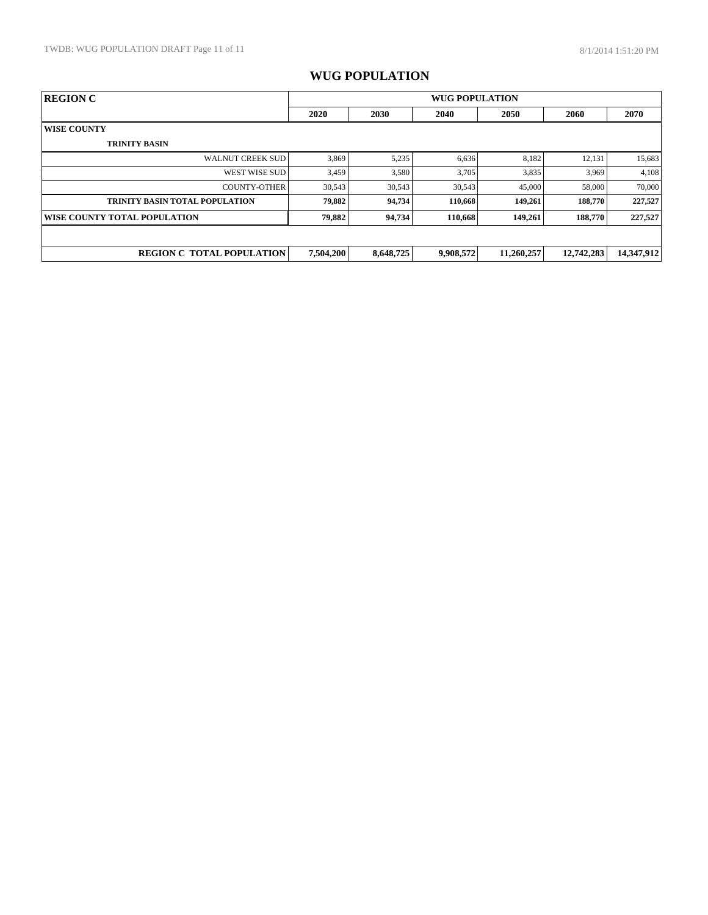| <b>REGION C</b>                       | <b>WUG POPULATION</b> |           |           |            |            |            |
|---------------------------------------|-----------------------|-----------|-----------|------------|------------|------------|
|                                       | 2020                  | 2030      | 2040      | 2050       | 2060       | 2070       |
| <b>WISE COUNTY</b>                    |                       |           |           |            |            |            |
| <b>TRINITY BASIN</b>                  |                       |           |           |            |            |            |
| <b>WALNUT CREEK SUD</b>               | 3,869                 | 5,235     | 6,636     | 8,182      | 12,131     | 15,683     |
| WEST WISE SUD                         | 3,459                 | 3,580     | 3,705     | 3,835      | 3,969      | 4,108      |
| <b>COUNTY-OTHER</b>                   | 30,543                | 30,543    | 30,543    | 45,000     | 58,000     | 70,000     |
| <b>TRINITY BASIN TOTAL POPULATION</b> | 79,882                | 94,734    | 110.668   | 149.261    | 188,770    | 227,527    |
| WISE COUNTY TOTAL POPULATION          | 79,882                | 94,734    | 110,668   | 149,261    | 188,770    | 227,527    |
|                                       |                       |           |           |            |            |            |
| <b>REGION C TOTAL POPULATION</b>      | 7,504,200             | 8,648,725 | 9,908,572 | 11,260,257 | 12,742,283 | 14,347,912 |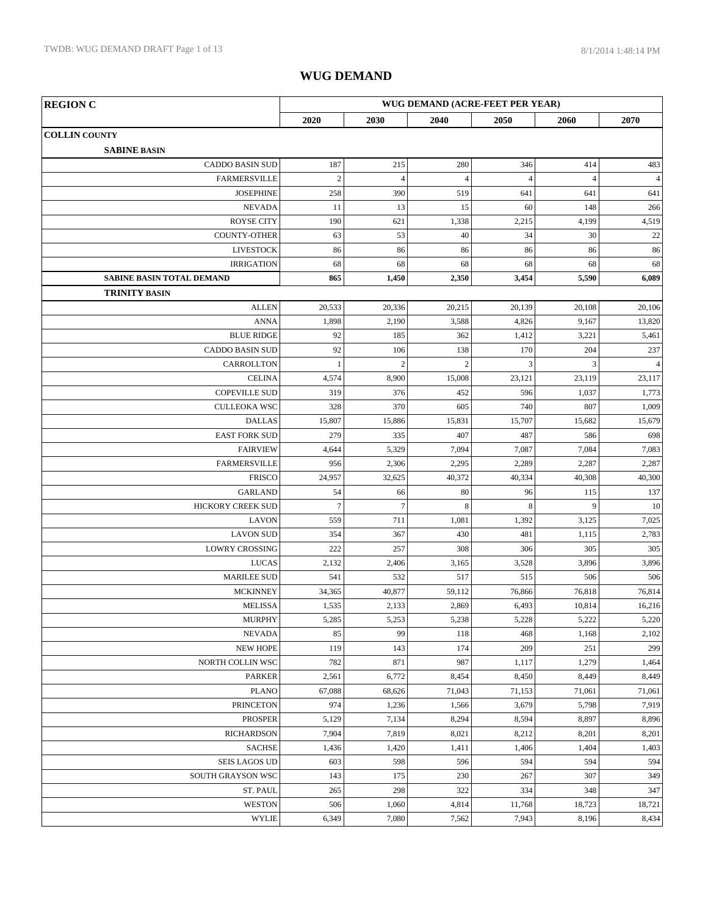| <b>REGION C</b>                           | WUG DEMAND (ACRE-FEET PER YEAR) |                |                |                |                |                |
|-------------------------------------------|---------------------------------|----------------|----------------|----------------|----------------|----------------|
|                                           | 2020                            | 2030           | 2040           | 2050           | 2060           | 2070           |
| <b>COLLIN COUNTY</b>                      |                                 |                |                |                |                |                |
| <b>SABINE BASIN</b>                       |                                 |                |                |                |                |                |
| <b>CADDO BASIN SUD</b>                    | 187                             | 215            | 280            | 346            | 414            | 483            |
| <b>FARMERSVILLE</b>                       | $\mathbf{2}$                    | $\overline{4}$ | $\overline{4}$ | $\overline{4}$ | $\overline{4}$ | $\overline{4}$ |
| <b>JOSEPHINE</b>                          | 258                             | 390            | 519            | 641            | 641            | 641            |
| <b>NEVADA</b>                             | 11                              | 13             | 15             | 60             | 148            | 266            |
| <b>ROYSE CITY</b>                         | 190                             | 621            | 1,338          | 2,215          | 4,199          | 4,519          |
| <b>COUNTY-OTHER</b>                       | 63                              | 53             | 40             | 34             | 30             | $22\,$         |
| <b>LIVESTOCK</b>                          | 86                              | 86             | 86             | 86             | 86             | 86             |
| <b>IRRIGATION</b>                         | 68                              | 68             | 68             | 68             | 68             | 68             |
| <b>SABINE BASIN TOTAL DEMAND</b>          | 865                             | 1,450          | 2,350          | 3,454          | 5,590          | 6,089          |
| <b>TRINITY BASIN</b>                      |                                 |                |                |                |                |                |
| <b>ALLEN</b>                              | 20,533                          | 20,336         | 20,215         | 20,139         | 20,108         | 20,106         |
| <b>ANNA</b>                               | 1,898                           | 2,190          | 3,588          | 4,826          | 9,167          | 13,820         |
| <b>BLUE RIDGE</b>                         | 92                              | 185            | 362            | 1,412          | 3,221          | 5,461          |
| <b>CADDO BASIN SUD</b>                    | 92                              | 106            | 138            | 170            | 204            | 237            |
| CARROLLTON                                | $\mathbf{1}$                    | $\overline{c}$ | $\overline{c}$ | 3              | 3              | $\overline{4}$ |
| <b>CELINA</b>                             | 4,574                           | 8,900          | 15,008         | 23,121         | 23,119         | 23,117         |
| <b>COPEVILLE SUD</b>                      | 319                             | 376            | 452            | 596            | 1,037          | 1,773          |
| <b>CULLEOKA WSC</b>                       | 328                             | 370            | 605            | 740            | 807            | 1,009          |
| <b>DALLAS</b>                             | 15,807                          | 15,886         | 15,831         | 15,707         | 15,682         | 15,679         |
| <b>EAST FORK SUD</b>                      | 279                             | 335            | 407            | 487            | 586            | 698            |
| <b>FAIRVIEW</b>                           | 4,644                           | 5,329          | 7,094          | 7,087          | 7,084          | 7,083          |
| <b>FARMERSVILLE</b>                       | 956                             | 2,306          | 2,295          | 2,289          | 2,287          | 2,287          |
| <b>FRISCO</b>                             | 24,957                          | 32,625         | 40,372         | 40,334         | 40,308         | 40,300         |
| <b>GARLAND</b>                            | 54                              | 66             | 80             | 96             | 115            | 137            |
| HICKORY CREEK SUD                         | $\tau$                          | $\tau$         | 8              | 8              | 9              | 10             |
| <b>LAVON</b>                              | 559<br>354                      | 711<br>367     | 1,081          | 1,392          | 3,125          | 7,025          |
| <b>LAVON SUD</b><br><b>LOWRY CROSSING</b> | 222                             | 257            | 430<br>308     | 481<br>306     | 1,115<br>305   | 2,783<br>305   |
| <b>LUCAS</b>                              | 2,132                           | 2,406          | 3,165          | 3,528          | 3,896          |                |
| <b>MARILEE SUD</b>                        | 541                             | 532            | 517            | 515            | 506            | 3,896<br>506   |
| <b>MCKINNEY</b>                           | 34,365                          | 40,877         | 59,112         | 76,866         | 76,818         | 76,814         |
| <b>MELISSA</b>                            | 1,535                           | 2,133          | 2,869          | 6,493          | 10,814         | 16,216         |
| <b>MURPHY</b>                             | 5,285                           | 5,253          | 5,238          | 5,228          | 5,222          | 5,220          |
| <b>NEVADA</b>                             | 85                              | 99             | 118            | 468            | 1,168          | 2,102          |
| <b>NEW HOPE</b>                           | 119                             | 143            | 174            | 209            | 251            | 299            |
| NORTH COLLIN WSC                          | 782                             | 871            | 987            | 1,117          | 1,279          | 1,464          |
| PARKER                                    | 2,561                           | 6,772          | 8,454          | 8,450          | 8,449          | 8,449          |
| <b>PLANO</b>                              | 67,088                          | 68,626         | 71,043         | 71,153         | 71,061         | 71,061         |
| <b>PRINCETON</b>                          | 974                             | 1,236          | 1,566          | 3,679          | 5,798          | 7,919          |
| <b>PROSPER</b>                            | 5,129                           | 7,134          | 8,294          | 8,594          | 8,897          | 8,896          |
| <b>RICHARDSON</b>                         | 7,904                           | 7,819          | 8,021          | 8,212          | 8,201          | 8,201          |
| <b>SACHSE</b>                             | 1,436                           | 1,420          | 1,411          | 1,406          | 1,404          | 1,403          |
| <b>SEIS LAGOS UD</b>                      | 603                             | 598            | 596            | 594            | 594            | 594            |
| SOUTH GRAYSON WSC                         | 143                             | 175            | 230            | 267            | 307            | 349            |
| ST. PAUL                                  | 265                             | 298            | 322            | 334            | 348            | 347            |
| <b>WESTON</b>                             | 506                             | 1,060          | 4,814          | 11,768         | 18,723         | 18,721         |
| <b>WYLIE</b>                              | 6,349                           | 7,080          | 7,562          | 7,943          | 8,196          | 8,434          |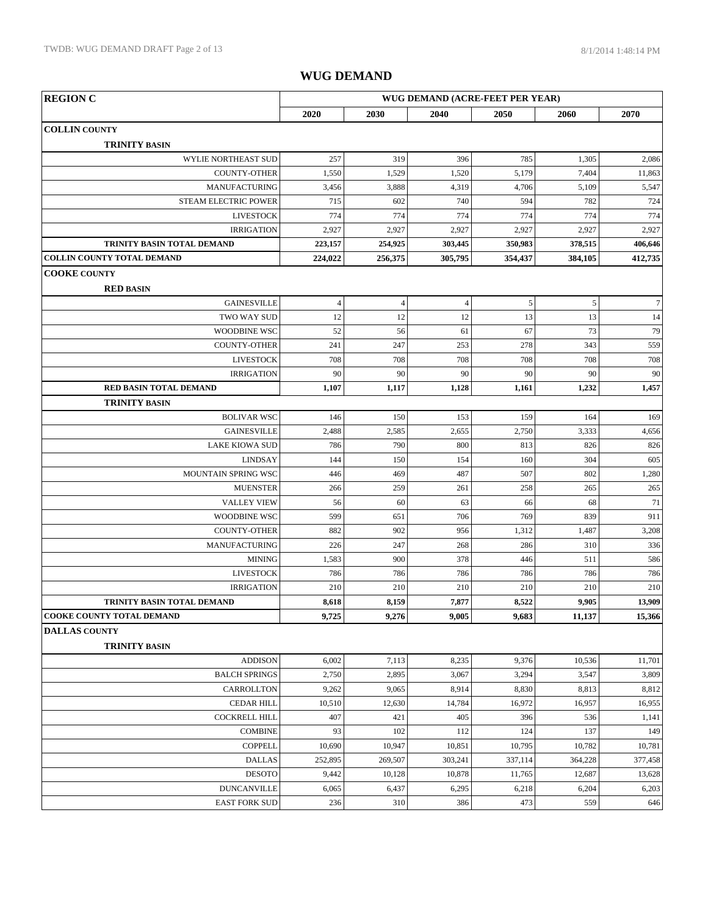| 2020<br>2030<br>2040<br>2050<br>2060                                                    | 2070             |
|-----------------------------------------------------------------------------------------|------------------|
| <b>COLLIN COUNTY</b>                                                                    |                  |
| <b>TRINITY BASIN</b>                                                                    |                  |
| 257<br>WYLIE NORTHEAST SUD<br>319<br>396<br>785<br>1,305                                | 2,086            |
| 1,550<br><b>COUNTY-OTHER</b><br>1,529<br>1,520<br>5,179<br>7,404                        | 11,863           |
| 3,888<br>MANUFACTURING<br>3,456<br>4,319<br>4,706<br>5,109                              | 5,547            |
| 715<br>602<br>740<br>594<br>782<br>STEAM ELECTRIC POWER                                 | 724              |
| 774<br>774<br>774<br>774<br>774<br><b>LIVESTOCK</b>                                     | 774              |
| 2,927<br>2,927<br>2,927<br>2,927<br>2,927<br><b>IRRIGATION</b>                          | 2,927            |
| TRINITY BASIN TOTAL DEMAND<br>254,925<br>223,157<br>303,445<br>350,983<br>378,515       | 406,646          |
| COLLIN COUNTY TOTAL DEMAND<br>224,022<br>256,375<br>305,795<br>354,437<br>384,105       | 412,735          |
| <b>COOKE COUNTY</b>                                                                     |                  |
| <b>RED BASIN</b>                                                                        |                  |
| $\sqrt{4}$<br>5<br>$\sqrt{5}$<br><b>GAINESVILLE</b><br>$\overline{4}$<br>$\overline{4}$ | $\boldsymbol{7}$ |
| 12<br>12<br>13<br>13<br>12<br>TWO WAY SUD                                               | 14               |
| 52<br>67<br>56<br>61<br>73<br><b>WOODBINE WSC</b>                                       | 79               |
| 241<br>247<br>278<br>343<br>COUNTY-OTHER<br>253                                         | 559              |
| 708<br>708<br>708<br><b>LIVESTOCK</b><br>708<br>708                                     | 708              |
| 90<br>90<br>90<br>90<br>90<br><b>IRRIGATION</b>                                         | 90               |
| 1,107<br>RED BASIN TOTAL DEMAND<br>1,117<br>1,128<br>1,161<br>1,232                     | 1,457            |
| <b>TRINITY BASIN</b>                                                                    |                  |
| 146<br>150<br>153<br>159<br>164<br><b>BOLIVAR WSC</b>                                   | 169              |
| 2,488<br><b>GAINESVILLE</b><br>2,585<br>2,655<br>2,750<br>3,333                         | 4,656            |
| <b>LAKE KIOWA SUD</b><br>786<br>790<br>813<br>800<br>826                                | 826              |
| 144<br>150<br>160<br><b>LINDSAY</b><br>154<br>304                                       | 605              |
| MOUNTAIN SPRING WSC<br>446<br>487<br>507<br>469<br>802                                  | 1,280            |
| 259<br><b>MUENSTER</b><br>266<br>261<br>258<br>265                                      | 265              |
| 56<br><b>VALLEY VIEW</b><br>60<br>63<br>66<br>68                                        | 71               |
| WOODBINE WSC<br>599<br>651<br>769<br>706<br>839                                         | 911              |
| 882<br><b>COUNTY-OTHER</b><br>902<br>956<br>1,312<br>1,487                              | 3,208            |
| MANUFACTURING<br>226<br>247<br>268<br>286<br>310                                        | 336              |
| <b>MINING</b><br>1,583<br>900<br>378<br>446<br>511                                      | 586              |
| <b>LIVESTOCK</b><br>786<br>786<br>786<br>786<br>786                                     | 786              |
| 210<br>210<br>210<br>210<br><b>IRRIGATION</b><br>210                                    | 210              |
| 8,618<br>8,159<br>7,877<br>8,522<br>9,905<br>TRINITY BASIN TOTAL DEMAND                 | 13,909           |
| 9,725<br><b>COOKE COUNTY TOTAL DEMAND</b><br>9,276<br>9,005<br>9,683<br>11,137          | 15,366           |
| <b>DALLAS COUNTY</b>                                                                    |                  |
| <b>TRINITY BASIN</b>                                                                    |                  |
| 6,002<br><b>ADDISON</b><br>7,113<br>8,235<br>9,376<br>10,536                            | 11,701           |
| <b>BALCH SPRINGS</b><br>2,750<br>2,895<br>3,294<br>3,547<br>3,067                       | 3,809            |
| CARROLLTON<br>9,262<br>9,065<br>8,914<br>8,830<br>8,813                                 | 8,812            |
| 10,510<br>16,972<br>16,957<br><b>CEDAR HILL</b><br>12,630<br>14,784                     | 16,955           |
| 407<br><b>COCKRELL HILL</b><br>421<br>405<br>396<br>536                                 | 1,141            |
| <b>COMBINE</b><br>93<br>102<br>112<br>124<br>137                                        | 149              |
| <b>COPPELL</b><br>10,690<br>10,947<br>10,851<br>10,795<br>10,782                        | 10,781           |
| <b>DALLAS</b><br>252,895<br>269,507<br>303,241<br>337,114<br>364,228                    | 377,458          |
| <b>DESOTO</b><br>9,442<br>10,128<br>10,878<br>11,765<br>12,687                          | 13,628           |
| <b>DUNCANVILLE</b><br>6,065<br>6,437<br>6,218<br>6,295<br>6,204                         | 6,203            |
| 236<br>$310\,$<br>473<br><b>EAST FORK SUD</b><br>386<br>559                             | 646              |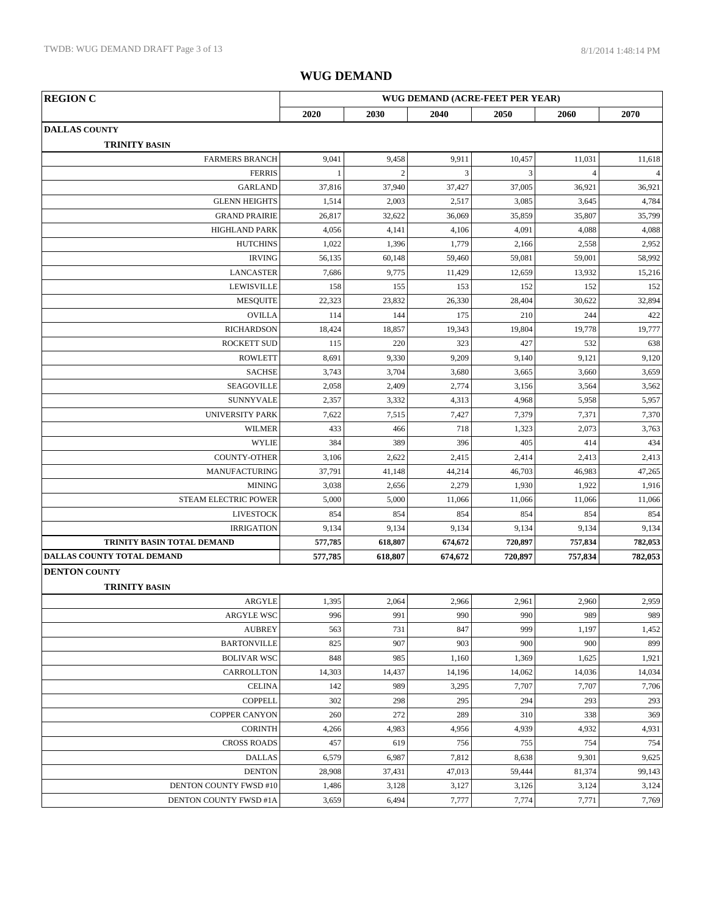| <b>REGION C</b>                              |              |                |                | WUG DEMAND (ACRE-FEET PER YEAR) |                |                |
|----------------------------------------------|--------------|----------------|----------------|---------------------------------|----------------|----------------|
|                                              | 2020         | 2030           | 2040           | 2050                            | 2060           | 2070           |
| <b>DALLAS COUNTY</b>                         |              |                |                |                                 |                |                |
| <b>TRINITY BASIN</b>                         |              |                |                |                                 |                |                |
| <b>FARMERS BRANCH</b>                        | 9,041        | 9,458          | 9,911          | 10,457                          | 11,031         | 11,618         |
| <b>FERRIS</b>                                | $\mathbf{1}$ | $\overline{c}$ | $\overline{3}$ | 3                               | $\overline{4}$ | $\overline{4}$ |
| <b>GARLAND</b>                               | 37,816       | 37,940         | 37,427         | 37,005                          | 36,921         | 36,921         |
| <b>GLENN HEIGHTS</b>                         | 1,514        | 2,003          | 2,517          | 3,085                           | 3,645          | 4,784          |
| <b>GRAND PRAIRIE</b>                         | 26,817       | 32,622         | 36,069         | 35,859                          | 35,807         | 35,799         |
| <b>HIGHLAND PARK</b>                         | 4,056        | 4,141          | 4,106          | 4,091                           | 4,088          | 4,088          |
| <b>HUTCHINS</b>                              | 1,022        | 1,396          | 1,779          | 2,166                           | 2,558          | 2,952          |
| <b>IRVING</b>                                | 56,135       | 60,148         | 59,460         | 59,081                          | 59,001         | 58,992         |
| <b>LANCASTER</b>                             | 7,686        | 9,775          | 11,429         | 12,659                          | 13,932         | 15,216         |
| <b>LEWISVILLE</b>                            | 158          | 155            | 153            | 152                             | 152            | 152            |
| <b>MESQUITE</b>                              | 22,323       | 23,832         | 26,330         | 28,404                          | 30,622         | 32,894         |
| <b>OVILLA</b>                                | 114          | 144            | 175            | 210                             | 244            | 422            |
| <b>RICHARDSON</b>                            | 18,424       | 18,857         | 19,343         | 19,804                          | 19,778         | 19,777         |
| <b>ROCKETT SUD</b>                           | 115          | 220            | 323            | 427                             | 532            | 638            |
| <b>ROWLETT</b>                               | 8,691        | 9,330          | 9,209          | 9,140                           | 9,121          | 9,120          |
| <b>SACHSE</b>                                | 3,743        | 3,704          | 3,680          | 3,665                           | 3,660          | 3,659          |
| SEAGOVILLE                                   | 2,058        | 2,409          | 2,774          | 3,156                           | 3,564          | 3,562          |
| <b>SUNNYVALE</b>                             | 2,357        | 3,332          | 4,313          | 4,968                           | 5,958          | 5,957          |
| <b>UNIVERSITY PARK</b>                       | 7,622        | 7,515          | 7,427          | 7,379                           | 7,371          | 7,370          |
| <b>WILMER</b>                                | 433          | 466            | 718            | 1,323                           | 2,073          | 3,763          |
| <b>WYLIE</b>                                 | 384          | 389            | 396            | 405                             | 414            | 434            |
| <b>COUNTY-OTHER</b>                          | 3,106        | 2,622          | 2,415          | 2,414                           | 2,413          | 2,413          |
| MANUFACTURING                                | 37,791       | 41,148         | 44,214         | 46,703                          | 46,983         | 47,265         |
| <b>MINING</b>                                | 3,038        | 2,656          | 2,279          | 1,930                           | 1,922          | 1,916          |
| STEAM ELECTRIC POWER                         | 5,000        | 5,000          | 11,066         | 11,066                          | 11,066         | 11,066         |
| <b>LIVESTOCK</b>                             | 854          | 854            | 854            | 854                             | 854            | 854            |
| <b>IRRIGATION</b>                            | 9,134        | 9,134          | 9,134          | 9,134                           | 9,134          | 9,134          |
| TRINITY BASIN TOTAL DEMAND                   | 577,785      | 618,807        | 674,672        | 720,897                         | 757,834        | 782,053        |
| DALLAS COUNTY TOTAL DEMAND                   | 577,785      | 618,807        | 674,672        | 720,897                         | 757,834        | 782,053        |
| <b>DENTON COUNTY</b><br><b>TRINITY BASIN</b> |              |                |                |                                 |                |                |
| ARGYLE                                       | 1,395        | 2,064          | 2,966          | 2,961                           | 2,960          | 2,959          |
| ARGYLE WSC                                   | 996          | 991            | 990            | 990                             | 989            | 989            |
| <b>AUBREY</b>                                | 563          | 731            | 847            | 999                             | 1,197          | 1,452          |
| <b>BARTONVILLE</b>                           | 825          | 907            | 903            | 900                             | 900            | 899            |
| <b>BOLIVAR WSC</b>                           | 848          | 985            | 1,160          | 1,369                           | 1,625          | 1,921          |
| CARROLLTON                                   | 14,303       | 14,437         | 14,196         | 14,062                          | 14,036         | 14,034         |
| <b>CELINA</b>                                | 142          | 989            | 3,295          | 7,707                           | 7,707          | 7,706          |
| <b>COPPELL</b>                               | 302          | 298            | 295            | 294                             | 293            | 293            |
| <b>COPPER CANYON</b>                         | 260          | 272            | 289            | 310                             | 338            | 369            |
| <b>CORINTH</b>                               | 4,266        | 4,983          | 4,956          | 4,939                           | 4,932          | 4,931          |
| <b>CROSS ROADS</b>                           | 457          | 619            | 756            | 755                             | 754            | 754            |
| <b>DALLAS</b>                                | 6,579        | 6,987          | 7,812          | 8,638                           | 9,301          | 9,625          |
| <b>DENTON</b>                                | 28,908       | 37,431         | 47,013         | 59,444                          | 81,374         | 99,143         |
|                                              |              |                |                |                                 |                |                |
| DENTON COUNTY FWSD #10                       | 1,486        | 3,128          | 3,127          | 3,126                           | 3,124          | 3,124          |
| DENTON COUNTY FWSD #1A                       | 3,659        | 6,494          | 7,777          | 7,774                           | 7,771          | 7,769          |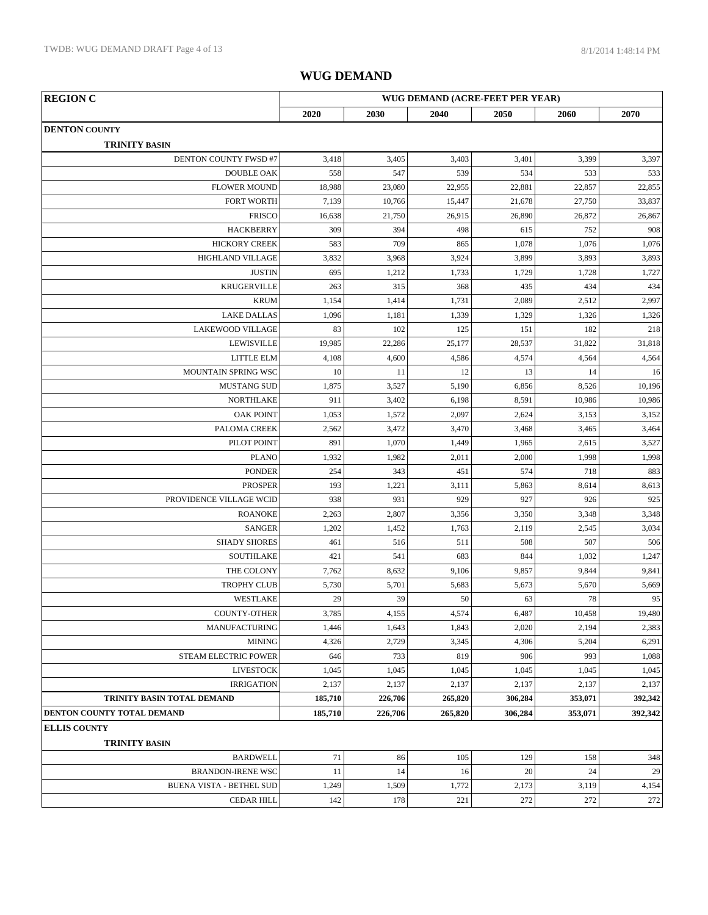| <b>REGION C</b>                                          |         |         |         | WUG DEMAND (ACRE-FEET PER YEAR) |         |         |
|----------------------------------------------------------|---------|---------|---------|---------------------------------|---------|---------|
|                                                          | 2020    | 2030    | 2040    | 2050                            | 2060    | 2070    |
| <b>DENTON COUNTY</b><br><b>TRINITY BASIN</b>             |         |         |         |                                 |         |         |
| DENTON COUNTY FWSD #7                                    | 3,418   | 3,405   | 3,403   | 3,401                           | 3,399   | 3,397   |
| <b>DOUBLE OAK</b>                                        | 558     | 547     | 539     | 534                             | 533     | 533     |
| <b>FLOWER MOUND</b>                                      | 18,988  | 23,080  | 22,955  | 22,881                          | 22,857  | 22,855  |
| <b>FORT WORTH</b>                                        | 7,139   | 10,766  | 15,447  | 21,678                          | 27,750  | 33,837  |
| <b>FRISCO</b>                                            | 16,638  | 21,750  | 26,915  | 26,890                          | 26,872  | 26,867  |
| <b>HACKBERRY</b>                                         | 309     | 394     | 498     | 615                             | 752     | 908     |
| <b>HICKORY CREEK</b>                                     | 583     | 709     | 865     | 1,078                           | 1,076   | 1,076   |
| HIGHLAND VILLAGE                                         | 3,832   | 3,968   | 3,924   | 3,899                           | 3,893   | 3,893   |
| <b>JUSTIN</b>                                            | 695     | 1,212   | 1,733   | 1,729                           | 1,728   | 1,727   |
| <b>KRUGERVILLE</b>                                       | 263     | 315     | 368     | 435                             | 434     | 434     |
| <b>KRUM</b>                                              | 1,154   | 1,414   | 1,731   | 2,089                           | 2,512   | 2,997   |
| <b>LAKE DALLAS</b>                                       | 1,096   | 1,181   | 1,339   | 1,329                           | 1,326   | 1,326   |
| <b>LAKEWOOD VILLAGE</b>                                  | 83      | 102     | 125     | 151                             | 182     | 218     |
| <b>LEWISVILLE</b>                                        | 19,985  | 22,286  | 25,177  | 28,537                          | 31,822  | 31,818  |
| LITTLE ELM                                               | 4,108   | 4,600   | 4,586   | 4,574                           | 4,564   | 4,564   |
| MOUNTAIN SPRING WSC                                      | 10      | 11      | 12      | 13                              | 14      | 16      |
| <b>MUSTANG SUD</b>                                       | 1,875   | 3,527   | 5,190   | 6,856                           | 8,526   | 10,196  |
| <b>NORTHLAKE</b>                                         | 911     | 3,402   | 6,198   | 8,591                           | 10,986  | 10,986  |
| <b>OAK POINT</b>                                         | 1,053   | 1,572   | 2,097   | 2,624                           | 3,153   | 3,152   |
| PALOMA CREEK                                             | 2,562   | 3,472   | 3,470   | 3,468                           | 3,465   | 3,464   |
| PILOT POINT                                              | 891     | 1,070   | 1,449   | 1,965                           | 2,615   | 3,527   |
| <b>PLANO</b>                                             | 1,932   | 1,982   | 2,011   | 2,000                           | 1,998   | 1,998   |
| <b>PONDER</b>                                            | 254     | 343     | 451     | 574                             | 718     | 883     |
| <b>PROSPER</b>                                           | 193     | 1,221   | 3,111   | 5,863                           | 8,614   | 8,613   |
| PROVIDENCE VILLAGE WCID                                  | 938     | 931     | 929     | 927                             | 926     | 925     |
| <b>ROANOKE</b>                                           | 2,263   | 2,807   | 3,356   | 3,350                           | 3,348   | 3,348   |
| <b>SANGER</b>                                            | 1,202   | 1,452   | 1,763   | 2,119                           | 2,545   | 3,034   |
| <b>SHADY SHORES</b>                                      | 461     | 516     | 511     | 508                             | 507     | 506     |
| <b>SOUTHLAKE</b>                                         | 421     | 541     | 683     | 844                             | 1,032   | 1,247   |
| THE COLONY                                               | 7,762   | 8,632   | 9,106   | 9,857                           | 9,844   | 9,841   |
| <b>TROPHY CLUB</b>                                       | 5,730   | 5,701   | 5,683   | 5,673                           | 5,670   | 5,669   |
| WESTLAKE                                                 | 29      | 39      | 50      | 63                              | 78      | 95      |
| <b>COUNTY-OTHER</b>                                      | 3,785   | 4,155   | 4,574   | 6,487                           | 10,458  | 19,480  |
| <b>MANUFACTURING</b>                                     | 1,446   | 1,643   | 1,843   | 2,020                           | 2,194   | 2,383   |
| <b>MINING</b>                                            | 4,326   | 2,729   | 3,345   | 4,306                           | 5,204   | 6,291   |
| STEAM ELECTRIC POWER                                     | 646     | 733     | 819     | 906                             | 993     | 1,088   |
| <b>LIVESTOCK</b>                                         | 1,045   | 1,045   | 1,045   | 1,045                           | 1,045   | 1,045   |
|                                                          |         |         |         |                                 |         |         |
| <b>IRRIGATION</b>                                        | 2,137   | 2,137   | 2,137   | 2,137                           | 2,137   | 2,137   |
| TRINITY BASIN TOTAL DEMAND<br>DENTON COUNTY TOTAL DEMAND | 185,710 | 226,706 | 265,820 | 306,284                         | 353,071 | 392,342 |
|                                                          | 185,710 | 226,706 | 265,820 | 306,284                         | 353,071 | 392,342 |
| <b>ELLIS COUNTY</b><br><b>TRINITY BASIN</b>              |         |         |         |                                 |         |         |
| <b>BARDWELL</b>                                          | 71      | 86      | 105     | 129                             | 158     | 348     |
| <b>BRANDON-IRENE WSC</b>                                 | 11      | 14      | 16      | 20                              | 24      | 29      |
| <b>BUENA VISTA - BETHEL SUD</b>                          | 1,249   | 1,509   | 1,772   | 2,173                           | 3,119   | 4,154   |
| <b>CEDAR HILL</b>                                        | 142     | 178     | 221     | 272                             | 272     | 272     |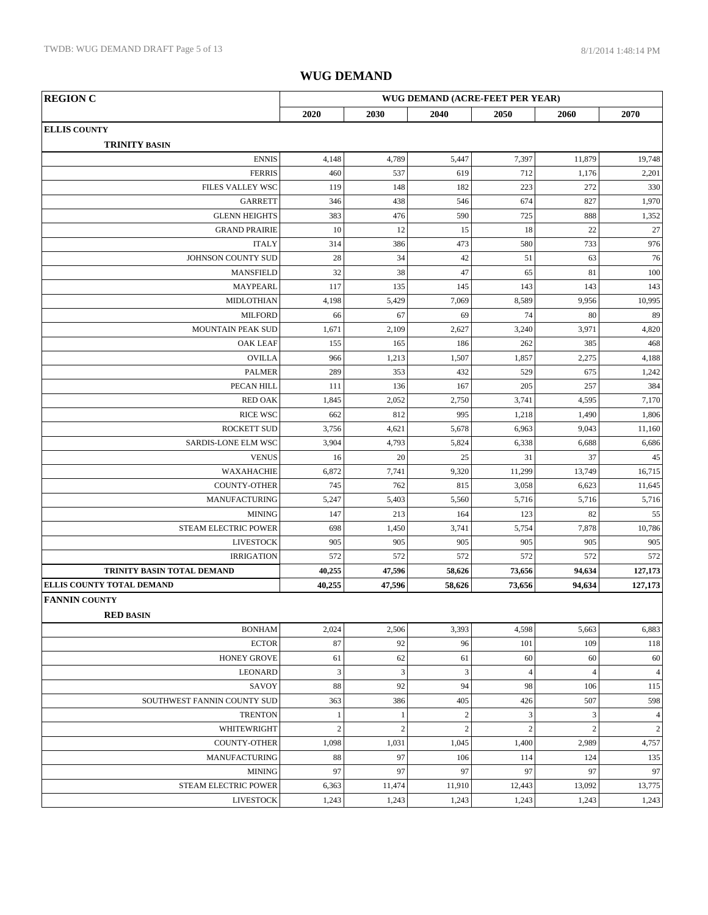| <b>REGION C</b>             | WUG DEMAND (ACRE-FEET PER YEAR) |              |                  |                |                |                          |
|-----------------------------|---------------------------------|--------------|------------------|----------------|----------------|--------------------------|
|                             | 2020                            | 2030         | 2040             | 2050           | 2060           | 2070                     |
| <b>ELLIS COUNTY</b>         |                                 |              |                  |                |                |                          |
| <b>TRINITY BASIN</b>        |                                 |              |                  |                |                |                          |
| <b>ENNIS</b>                | 4,148                           | 4,789        | 5,447            | 7,397          | 11,879         | 19,748                   |
| <b>FERRIS</b>               | 460                             | 537          | 619              | 712            | 1,176          | 2,201                    |
| FILES VALLEY WSC            | 119                             | 148          | 182              | 223            | 272            | 330                      |
| <b>GARRETT</b>              | 346                             | 438          | 546              | 674            | 827            | 1,970                    |
| <b>GLENN HEIGHTS</b>        | 383                             | 476          | 590              | 725            | 888            | 1,352                    |
| <b>GRAND PRAIRIE</b>        | 10                              | 12           | 15               | 18             | 22             | 27                       |
| <b>ITALY</b>                | 314                             | 386          | 473              | 580            | 733            | 976                      |
| JOHNSON COUNTY SUD          | 28                              | 34           | 42               | 51             | 63             | 76                       |
| <b>MANSFIELD</b>            | 32                              | 38           | 47               | 65             | 81             | 100                      |
| <b>MAYPEARL</b>             | 117                             | 135          | 145              | 143            | 143            | 143                      |
| MIDLOTHIAN                  | 4,198                           | 5,429        | 7,069            | 8,589          | 9,956          | 10,995                   |
| <b>MILFORD</b>              | 66                              | 67           | 69               | 74             | 80             | 89                       |
| MOUNTAIN PEAK SUD           | 1,671                           | 2,109        | 2,627            | 3,240          | 3,971          | 4,820                    |
| <b>OAK LEAF</b>             | 155                             | 165          | 186              | 262            | 385            | 468                      |
| <b>OVILLA</b>               | 966                             | 1,213        | 1,507            | 1,857          | 2,275          | 4,188                    |
| <b>PALMER</b>               | 289                             | 353          | 432              | 529            | 675            | 1,242                    |
| PECAN HILL                  | 111                             | 136          | 167              | 205            | 257            | 384                      |
| <b>RED OAK</b>              | 1,845                           | 2,052        | 2,750            | 3,741          | 4,595          | 7,170                    |
| <b>RICE WSC</b>             | 662                             | 812          | 995              | 1,218          | 1,490          | 1,806                    |
| <b>ROCKETT SUD</b>          | 3,756                           | 4,621        | 5,678            | 6,963          | 9,043          | 11,160                   |
| SARDIS-LONE ELM WSC         | 3,904                           | 4,793        | 5,824            | 6,338          | 6,688          | 6,686                    |
| <b>VENUS</b>                | 16                              | 20           | 25               | 31             | 37             | 45                       |
| WAXAHACHIE                  | 6,872                           | 7,741        | 9,320            | 11,299         | 13,749         | 16,715                   |
| <b>COUNTY-OTHER</b>         | 745                             | 762          | 815              | 3,058          | 6,623          | 11,645                   |
| <b>MANUFACTURING</b>        | 5,247                           | 5,403        | 5,560            | 5,716          | 5,716          | 5,716                    |
| <b>MINING</b>               | 147                             | 213          | 164              | 123            | 82             | 55                       |
| STEAM ELECTRIC POWER        | 698                             | 1,450        | 3,741            | 5,754          | 7,878          | 10,786                   |
| <b>LIVESTOCK</b>            | 905                             | 905          | 905              | 905            | 905            | 905                      |
| <b>IRRIGATION</b>           | 572                             | 572          | 572              | 572            | 572            | 572                      |
| TRINITY BASIN TOTAL DEMAND  | 40,255                          | 47,596       | 58,626           | 73,656         | 94,634         | 127,173                  |
| ELLIS COUNTY TOTAL DEMAND   | 40,255                          | 47,596       | 58,626           | 73,656         | 94,634         | 127,173                  |
| <b>FANNIN COUNTY</b>        |                                 |              |                  |                |                |                          |
| <b>RED BASIN</b>            |                                 |              |                  |                |                |                          |
| <b>BONHAM</b>               | 2,024                           | 2,506        | 3,393            | 4,598          | 5,663          | 6,883                    |
| <b>ECTOR</b>                | 87                              | 92           | 96               | 101            | 109            | 118                      |
| <b>HONEY GROVE</b>          | 61                              | 62           | 61               | 60             | 60             | 60                       |
| <b>LEONARD</b>              | $\ensuremath{\mathfrak{Z}}$     | $\mathbf{3}$ | $\mathfrak{Z}$   | $\overline{4}$ | $\overline{4}$ | $\overline{\mathcal{A}}$ |
| SAVOY                       | 88                              | 92           | 94               | 98             | 106            | 115                      |
| SOUTHWEST FANNIN COUNTY SUD | 363                             | 386          | 405              | 426            | 507            | 598                      |
| <b>TRENTON</b>              | $\,1$                           | $\mathbf{1}$ | $\sqrt{2}$       | $\mathfrak{Z}$ | 3              | $\overline{4}$           |
| WHITEWRIGHT                 | $\sqrt{2}$                      | $\sqrt{2}$   | $\boldsymbol{2}$ | $\sqrt{2}$     | $\overline{c}$ | $\sqrt{2}$               |
| <b>COUNTY-OTHER</b>         | 1,098                           | 1,031        | 1,045            | 1,400          | 2,989          | 4,757                    |
| <b>MANUFACTURING</b>        | 88                              | 97           | 106              | 114            | 124            | 135                      |
| <b>MINING</b>               | 97                              | 97           | 97               | 97             | 97             | 97                       |
| STEAM ELECTRIC POWER        | 6,363                           | 11,474       | 11,910           | 12,443         | 13,092         | 13,775                   |
| <b>LIVESTOCK</b>            | 1,243                           | 1,243        | 1,243            | 1,243          | 1,243          | 1,243                    |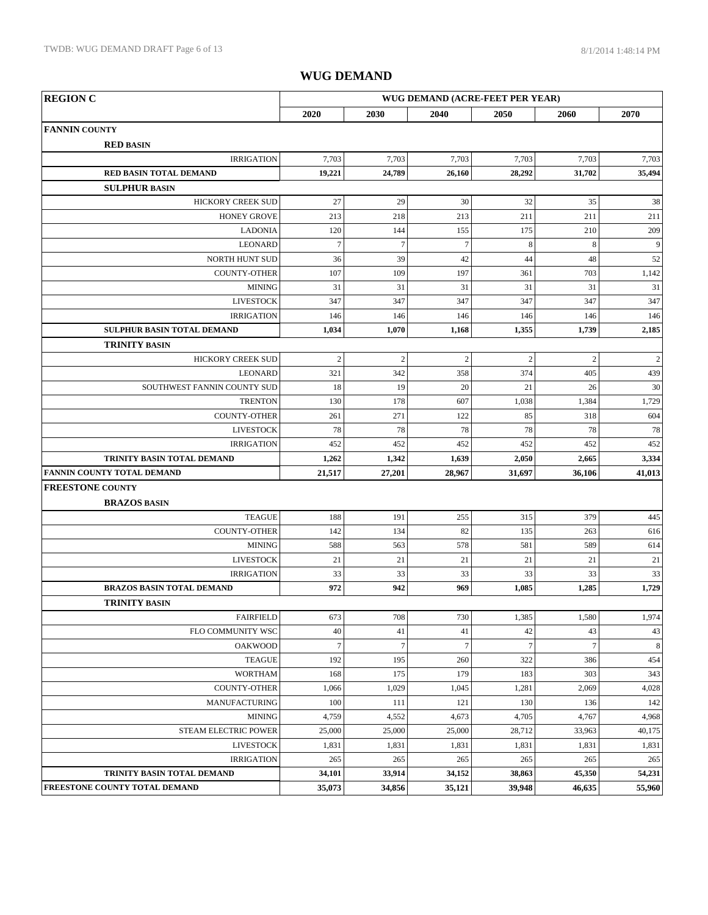| <b>REGION C</b><br>WUG DEMAND (ACRE-FEET PER YEAR) |                  |                |                  |                  |                |                |
|----------------------------------------------------|------------------|----------------|------------------|------------------|----------------|----------------|
|                                                    | 2020             | 2030           | 2040             | 2050             | 2060           | 2070           |
| <b>FANNIN COUNTY</b>                               |                  |                |                  |                  |                |                |
| <b>RED BASIN</b>                                   |                  |                |                  |                  |                |                |
| <b>IRRIGATION</b>                                  | 7,703            | 7,703          | 7,703            | 7,703            | 7,703          | 7,703          |
| RED BASIN TOTAL DEMAND                             | 19,221           | 24,789         | 26,160           | 28,292           | 31,702         | 35,494         |
| <b>SULPHUR BASIN</b>                               |                  |                |                  |                  |                |                |
| HICKORY CREEK SUD                                  | 27               | 29             | 30               | 32               | 35             | 38             |
| <b>HONEY GROVE</b>                                 | 213              | 218            | 213              | 211              | 211            | 211            |
| <b>LADONIA</b>                                     | 120              | 144            | 155              | 175              | 210            | 209            |
| LEONARD                                            | $\boldsymbol{7}$ | $\overline{7}$ | $\boldsymbol{7}$ | $\,8\,$          | $\,$ 8 $\,$    | 9              |
| NORTH HUNT SUD                                     | 36               | 39             | 42               | 44               | 48             | 52             |
| <b>COUNTY-OTHER</b>                                | 107              | 109            | 197              | 361              | 703            | 1,142          |
| <b>MINING</b>                                      | 31               | 31             | 31               | 31               | 31             | 31             |
| <b>LIVESTOCK</b>                                   | 347              | 347            | 347              | 347              | 347            | 347            |
| <b>IRRIGATION</b>                                  | 146              | 146            | 146              | 146              | 146            | 146            |
| <b>SULPHUR BASIN TOTAL DEMAND</b>                  | 1,034            | 1,070          | 1,168            | 1,355            | 1,739          | 2,185          |
| <b>TRINITY BASIN</b>                               |                  |                |                  |                  |                |                |
| <b>HICKORY CREEK SUD</b>                           | $\overline{c}$   | $\overline{2}$ | $\overline{c}$   | $\overline{c}$   | $\overline{2}$ | $\overline{c}$ |
| <b>LEONARD</b>                                     | 321              | 342            | 358              | 374              | 405            | 439            |
| SOUTHWEST FANNIN COUNTY SUD                        | 18               | 19             | 20               | 21               | 26             | 30             |
| <b>TRENTON</b>                                     | 130              | 178            | 607              | 1,038            | 1,384          | 1,729          |
| <b>COUNTY-OTHER</b>                                | 261              | 271            | 122              | 85               | 318            | 604            |
| <b>LIVESTOCK</b>                                   | 78               | 78             | 78               | 78               | 78             | 78             |
| <b>IRRIGATION</b>                                  | 452              | 452            | 452              | 452              | 452            | 452            |
| TRINITY BASIN TOTAL DEMAND                         | 1,262            | 1,342          | 1,639            | 2,050            | 2,665          | 3,334          |
| FANNIN COUNTY TOTAL DEMAND                         | 21,517           | 27,201         | 28,967           | 31,697           | 36,106         | 41,013         |
| <b>FREESTONE COUNTY</b>                            |                  |                |                  |                  |                |                |
| <b>BRAZOS BASIN</b>                                |                  |                |                  |                  |                |                |
| <b>TEAGUE</b>                                      | 188              | 191            | 255              | 315              | 379            | 445            |
| <b>COUNTY-OTHER</b>                                | 142              | 134            | 82               | 135              | 263            | 616            |
| <b>MINING</b>                                      | 588              | 563            | 578              | 581              | 589            | 614            |
| <b>LIVESTOCK</b>                                   | 21               | 21             | 21               | 21               | 21             | 21             |
| <b>IRRIGATION</b>                                  | 33               | 33             | 33               | 33               | 33             | 33             |
| <b>BRAZOS BASIN TOTAL DEMAND</b>                   | 972              | 942            | 969              | 1,085            | 1,285          | 1,729          |
| <b>TRINITY BASIN</b>                               |                  |                |                  |                  |                |                |
| <b>FAIRFIELD</b>                                   | 673              | 708            | 730              | 1,385            | 1,580          | 1,974          |
| FLO COMMUNITY WSC                                  | 40               | 41             | 41               | 42               | 43             | 43             |
| <b>OAKWOOD</b>                                     | $\boldsymbol{7}$ | $\overline{7}$ | $7\overline{ }$  | $\boldsymbol{7}$ | $\overline{7}$ | $\,8\,$        |
| <b>TEAGUE</b>                                      | 192              | 195            | 260              | 322              | 386            | 454            |
| <b>WORTHAM</b>                                     | 168              | 175            | 179              | 183              | 303            | 343            |
| COUNTY-OTHER                                       | 1,066            | 1,029          | 1,045            | 1,281            | 2,069          | 4,028          |
| <b>MANUFACTURING</b>                               | 100              | 111            | 121              | 130              | 136            | 142            |
| <b>MINING</b>                                      | 4,759            | 4,552          | 4,673            | 4,705            | 4,767          | 4,968          |
| <b>STEAM ELECTRIC POWER</b>                        | 25,000           | 25,000         | 25,000           | 28,712           | 33,963         | 40,175         |
| <b>LIVESTOCK</b>                                   | 1,831            | 1,831          | 1,831            | 1,831            | 1,831          | 1,831          |
| <b>IRRIGATION</b>                                  | 265              | 265            | 265              | 265              | 265            | 265            |
| TRINITY BASIN TOTAL DEMAND                         | 34,101           | 33,914         | 34,152           | 38,863           | 45,350         | 54,231         |
| FREESTONE COUNTY TOTAL DEMAND                      | 35,073           | 34,856         | 35,121           | 39,948           | 46,635         | 55,960         |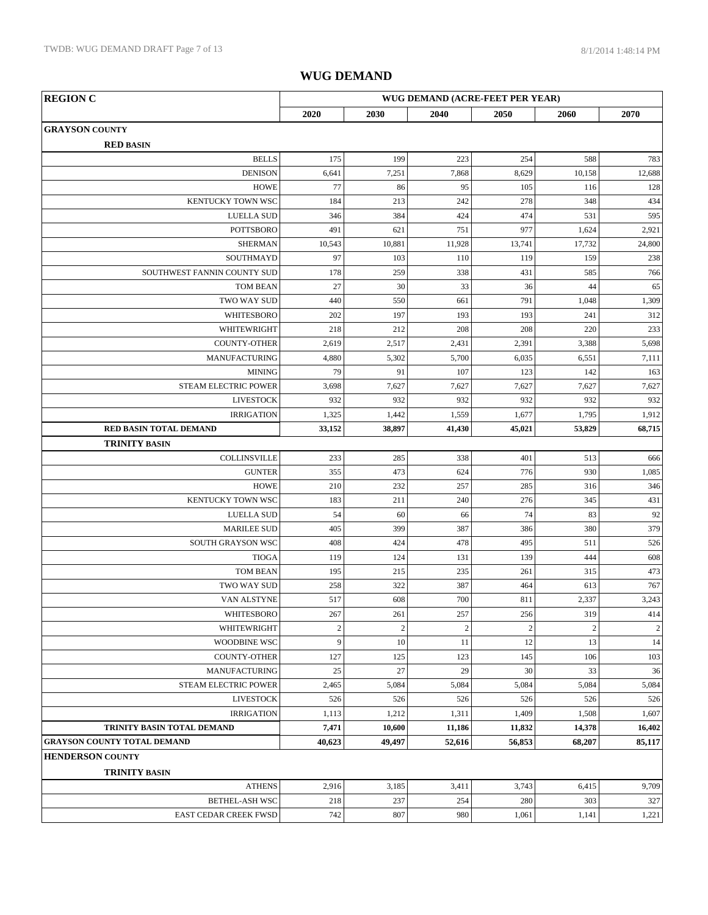| <b>REGION C</b>                    |                   |                   |                       | WUG DEMAND (ACRE-FEET PER YEAR) |                       |                  |
|------------------------------------|-------------------|-------------------|-----------------------|---------------------------------|-----------------------|------------------|
|                                    | 2020              | 2030              | 2040                  | 2050                            | 2060                  | 2070             |
| <b>GRAYSON COUNTY</b>              |                   |                   |                       |                                 |                       |                  |
| <b>RED BASIN</b>                   |                   |                   |                       |                                 |                       |                  |
| <b>BELLS</b>                       | 175               | 199               | 223                   | 254                             | 588                   | 783              |
| <b>DENISON</b>                     | 6,641             | 7,251             | 7,868                 | 8,629                           | 10,158                | 12,688           |
| <b>HOWE</b>                        | 77                | 86                | 95                    | 105                             | 116                   | 128              |
| KENTUCKY TOWN WSC                  | 184               | 213               | 242                   | 278                             | 348                   | 434              |
| <b>LUELLA SUD</b>                  | 346               | 384               | 424                   | 474                             | 531                   | 595              |
| <b>POTTSBORO</b>                   | 491               | 621               | 751                   | 977                             | 1,624                 | 2,921            |
| <b>SHERMAN</b>                     | 10,543            | 10,881            | 11,928                | 13,741                          | 17,732                | 24,800           |
| SOUTHMAYD                          | 97                | 103               | 110                   | 119                             | 159                   | 238              |
| SOUTHWEST FANNIN COUNTY SUD        | 178               | 259               | 338                   | 431                             | 585                   | 766              |
| <b>TOM BEAN</b>                    | 27                | 30                | 33                    | 36                              | 44                    | 65               |
| TWO WAY SUD                        | 440               | 550               | 661                   | 791                             | 1,048                 | 1,309            |
| WHITESBORO                         | 202               | 197               | 193                   | 193                             | 241                   | 312              |
| WHITEWRIGHT                        | 218               | 212               | 208                   | 208                             | 220                   | 233              |
| <b>COUNTY-OTHER</b>                | 2,619             | 2,517             | 2,431                 | 2,391                           | 3,388                 | 5,698            |
| <b>MANUFACTURING</b>               | 4,880             | 5,302             | 5,700                 | 6,035                           | 6,551                 | 7,111            |
| <b>MINING</b>                      | 79                | 91                | 107                   | 123                             | 142                   | 163              |
| STEAM ELECTRIC POWER               | 3,698             | 7,627             | 7,627                 | 7,627                           | 7,627                 | 7,627            |
| <b>LIVESTOCK</b>                   | 932               | 932               | 932                   | 932                             | 932                   | 932              |
| <b>IRRIGATION</b>                  | 1,325             | 1,442             | 1,559                 | 1,677                           | 1,795                 | 1,912            |
| RED BASIN TOTAL DEMAND             | 33,152            | 38,897            | 41,430                | 45,021                          | 53,829                | 68,715           |
| <b>TRINITY BASIN</b>               |                   |                   |                       |                                 |                       |                  |
| COLLINSVILLE                       | 233               | 285               | 338                   | 401                             | 513                   | 666              |
| <b>GUNTER</b>                      | 355               | 473               | 624                   | 776                             | 930                   | 1,085            |
| <b>HOWE</b>                        | 210               | 232               | 257                   | 285                             | 316                   | 346              |
| KENTUCKY TOWN WSC                  | 183               | 211               | 240                   | 276                             | 345                   | 431              |
| <b>LUELLA SUD</b>                  | 54                | 60                | 66                    | 74                              | 83                    | 92               |
| <b>MARILEE SUD</b>                 | 405               | 399               | 387                   | 386                             | 380                   | 379              |
| SOUTH GRAYSON WSC                  | 408               | 424               | 478                   | 495                             | 511                   | 526              |
| <b>TIOGA</b>                       | 119               | 124               | 131                   | 139                             | 444                   | 608              |
| <b>TOM BEAN</b><br>TWO WAY SUD     | 195               | 215               | 235                   | 261                             | 315                   | 473              |
|                                    | 258               | 322               | 387                   | 464                             | 613                   | 767              |
| VAN ALSTYNE                        | 517               | 608               | 700                   | 811                             | 2,337                 | 3,243            |
| WHITESBORO<br>WHITEWRIGHT          | 267<br>$\sqrt{2}$ | 261<br>$\sqrt{2}$ | 257<br>$\overline{c}$ | 256<br>$\overline{c}$           | 319<br>$\overline{2}$ | 414              |
| WOODBINE WSC                       | 9                 | 10                | 11                    | 12                              | 13                    | $\sqrt{2}$<br>14 |
| <b>COUNTY-OTHER</b>                | 127               | 125               | 123                   | 145                             | 106                   | 103              |
| <b>MANUFACTURING</b>               | 25                | 27                | 29                    | 30                              | 33                    | 36               |
| STEAM ELECTRIC POWER               | 2,465             | 5,084             | 5,084                 | 5,084                           | 5,084                 | 5,084            |
| <b>LIVESTOCK</b>                   | 526               | 526               | 526                   | 526                             | 526                   | 526              |
| <b>IRRIGATION</b>                  | 1,113             | 1,212             | 1,311                 | 1,409                           | 1,508                 | 1,607            |
| TRINITY BASIN TOTAL DEMAND         | 7,471             | 10,600            | 11,186                | 11,832                          | 14,378                | 16,402           |
| <b>GRAYSON COUNTY TOTAL DEMAND</b> | 40,623            | 49,497            | 52,616                | 56,853                          | 68,207                | 85,117           |
| <b>HENDERSON COUNTY</b>            |                   |                   |                       |                                 |                       |                  |
| <b>TRINITY BASIN</b>               |                   |                   |                       |                                 |                       |                  |
| <b>ATHENS</b>                      | 2,916             | 3,185             | 3,411                 | 3,743                           | 6,415                 | 9,709            |
| <b>BETHEL-ASH WSC</b>              | 218               | 237               | 254                   | 280                             | 303                   | 327              |
| EAST CEDAR CREEK FWSD              | 742               | 807               | 980                   | 1,061                           | 1,141                 | 1,221            |
|                                    |                   |                   |                       |                                 |                       |                  |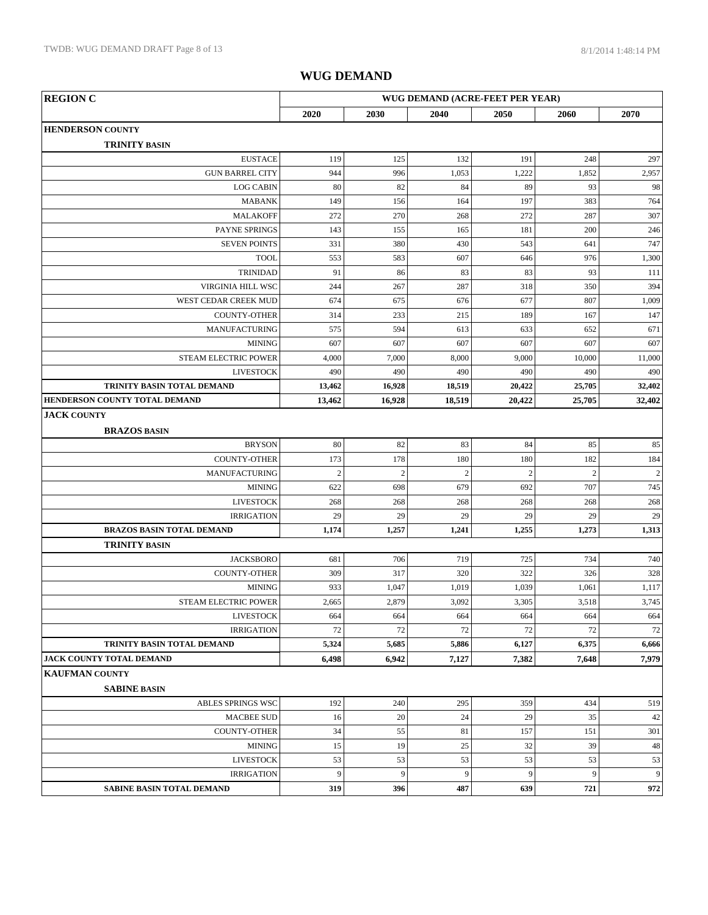| <b>REGION C</b>                       | WUG DEMAND (ACRE-FEET PER YEAR) |                |            |                |                |                |
|---------------------------------------|---------------------------------|----------------|------------|----------------|----------------|----------------|
|                                       | 2020                            | 2030           | 2040       | 2050           | 2060           | 2070           |
| <b>HENDERSON COUNTY</b>               |                                 |                |            |                |                |                |
| <b>TRINITY BASIN</b>                  |                                 |                |            |                |                |                |
| <b>EUSTACE</b>                        | 119                             | 125            | 132        | 191            | 248            | 297            |
| <b>GUN BARREL CITY</b>                | 944                             | 996            | 1,053      | 1,222          | 1,852          | 2,957          |
| <b>LOG CABIN</b>                      | 80                              | 82             | 84         | 89             | 93             | 98             |
| <b>MABANK</b>                         | 149                             | 156            | 164        | 197            | 383            | 764            |
| <b>MALAKOFF</b>                       | 272                             | 270            | 268        | 272            | 287            | 307            |
| PAYNE SPRINGS                         | 143                             | 155            | 165        | 181            | 200            | 246            |
| <b>SEVEN POINTS</b>                   | 331                             | 380            | 430        | 543            | 641            | 747            |
| <b>TOOL</b>                           | 553                             | 583            | 607        | 646            | 976            | 1,300          |
| <b>TRINIDAD</b>                       | 91                              | 86             | 83         | 83             | 93             | 111            |
| VIRGINIA HILL WSC                     | 244                             | 267            | 287        | 318            | 350            | 394            |
| WEST CEDAR CREEK MUD                  | 674                             | 675            | 676        | 677            | 807            | 1,009          |
| <b>COUNTY-OTHER</b>                   | 314                             | 233            | 215        | 189            | 167            | 147            |
| <b>MANUFACTURING</b>                  | 575                             | 594            | 613        | 633            | 652            | 671            |
| <b>MINING</b>                         | 607                             | 607            | 607        | 607            | 607            | 607            |
| <b>STEAM ELECTRIC POWER</b>           | 4,000                           | 7,000          | 8,000      | 9,000          | 10,000         | 11,000         |
| <b>LIVESTOCK</b>                      | 490                             | 490            | 490        | 490            | 490            | 490            |
| TRINITY BASIN TOTAL DEMAND            | 13,462                          | 16,928         | 18,519     | 20,422         | 25,705         | 32,402         |
| HENDERSON COUNTY TOTAL DEMAND         | 13,462                          | 16,928         | 18,519     | 20,422         | 25,705         | 32,402         |
| <b>JACK COUNTY</b>                    |                                 |                |            |                |                |                |
| <b>BRAZOS BASIN</b>                   |                                 |                |            |                |                |                |
| <b>BRYSON</b>                         | 80                              | 82             | 83         | 84             | 85             | 85             |
| <b>COUNTY-OTHER</b>                   | 173                             | 178            | 180        | 180            | 182            | 184            |
| <b>MANUFACTURING</b>                  | $\sqrt{2}$                      | $\overline{2}$ | $\sqrt{2}$ | $\overline{c}$ | $\overline{2}$ | $\overline{2}$ |
| <b>MINING</b>                         | 622                             | 698            | 679        | 692            | 707            | 745            |
| <b>LIVESTOCK</b>                      | 268                             | 268            | 268        | 268            | 268            | $268\,$        |
| <b>IRRIGATION</b>                     | 29                              | 29             | 29         | 29             | 29             | 29             |
| <b>BRAZOS BASIN TOTAL DEMAND</b>      | 1,174                           | 1,257          | 1,241      | 1,255          | 1,273          | 1,313          |
| <b>TRINITY BASIN</b>                  |                                 |                |            |                |                |                |
| <b>JACKSBORO</b>                      | 681                             | 706            | 719        | 725            | 734            | 740            |
| <b>COUNTY-OTHER</b>                   | 309                             | 317            | 320        | 322            | 326            | 328            |
| <b>MINING</b>                         | 933                             | 1,047          | 1,019      | 1,039          | 1,061          | 1,117          |
| STEAM ELECTRIC POWER                  | 2,665                           | 2,879          | 3,092      | 3,305          | 3,518          | 3,745          |
| <b>LIVESTOCK</b>                      | 664                             | 664            | 664        | 664            | 664            | 664            |
| <b>IRRIGATION</b>                     | 72                              | 72             | 72         | 72             | 72             | 72             |
| TRINITY BASIN TOTAL DEMAND            | 5,324                           | 5,685          | 5,886      | 6,127          | 6,375          | 6,666          |
| JACK COUNTY TOTAL DEMAND              | 6,498                           | 6,942          | 7,127      | 7,382          | 7,648          | 7,979          |
| KAUFMAN COUNTY                        |                                 |                |            |                |                |                |
| <b>SABINE BASIN</b>                   |                                 |                |            |                |                |                |
| ABLES SPRINGS WSC                     | 192                             | 240            | 295        | 359            | 434            | 519            |
| <b>MACBEE SUD</b>                     | 16                              | 20             | 24         | 29             | 35             | 42             |
| COUNTY-OTHER                          | 34                              | 55             | 81         | 157            | 151            | 301            |
| <b>MINING</b>                         | 15                              | 19             | 25         | 32             | 39             | 48             |
| <b>LIVESTOCK</b><br><b>IRRIGATION</b> | 53<br>9                         | 53<br>9        | 53<br>9    | 53<br>9        | 53<br>9        | 53<br>9        |
| SABINE BASIN TOTAL DEMAND             | 319                             | 396            | 487        | 639            | 721            |                |
|                                       |                                 |                |            |                |                | 972            |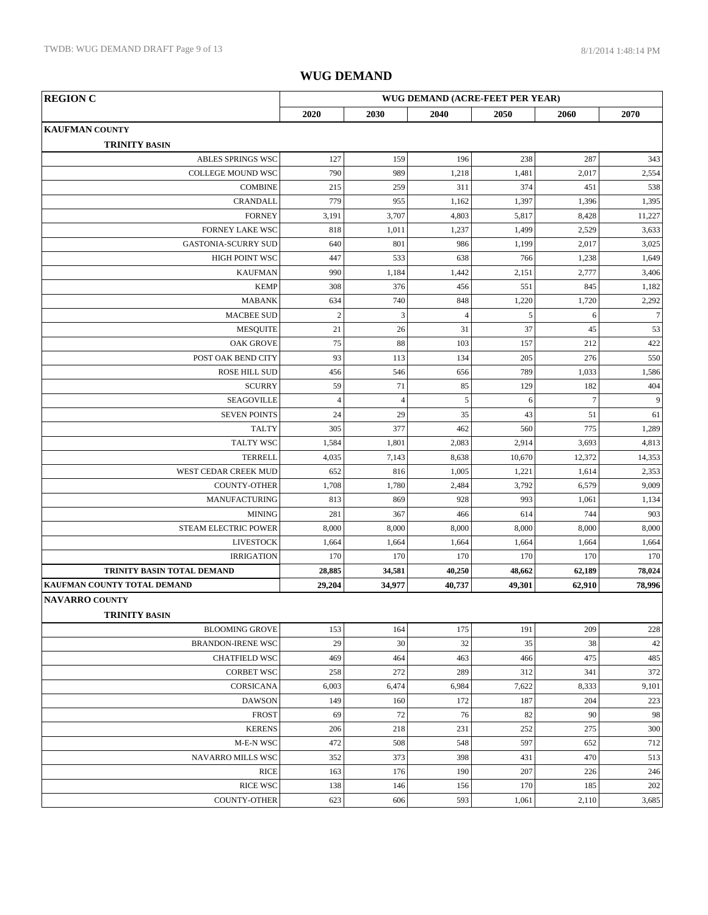| <b>REGION C</b>                               |                |                |                | WUG DEMAND (ACRE-FEET PER YEAR) |                |                 |
|-----------------------------------------------|----------------|----------------|----------------|---------------------------------|----------------|-----------------|
|                                               | 2020           | 2030           | 2040           | 2050                            | 2060           | 2070            |
| <b>KAUFMAN COUNTY</b><br><b>TRINITY BASIN</b> |                |                |                |                                 |                |                 |
| <b>ABLES SPRINGS WSC</b>                      | 127            | 159            | 196            | 238                             | 287            | 343             |
| COLLEGE MOUND WSC                             | 790            | 989            | 1,218          | 1,481                           | 2,017          | 2,554           |
| <b>COMBINE</b>                                | 215            | 259            | 311            | 374                             | 451            | 538             |
| <b>CRANDALL</b>                               | 779            | 955            | 1,162          | 1,397                           | 1,396          | 1,395           |
| <b>FORNEY</b>                                 | 3,191          | 3,707          | 4,803          | 5,817                           | 8,428          | 11,227          |
| <b>FORNEY LAKE WSC</b>                        | 818            | 1,011          | 1,237          | 1,499                           | 2,529          | 3,633           |
| <b>GASTONIA-SCURRY SUD</b>                    | 640            | 801            | 986            | 1,199                           | 2,017          | 3,025           |
| HIGH POINT WSC                                | 447            | 533            | 638            | 766                             | 1,238          | 1,649           |
| <b>KAUFMAN</b>                                | 990            | 1,184          | 1,442          | 2,151                           | 2,777          | 3,406           |
| <b>KEMP</b>                                   | 308            | 376            | 456            | 551                             | 845            | 1,182           |
| <b>MABANK</b>                                 | 634            | 740            | 848            | 1,220                           | 1,720          | 2,292           |
| <b>MACBEE SUD</b>                             | $\overline{2}$ | 3              | $\overline{4}$ | $\sqrt{5}$                      | 6              | $7\phantom{.0}$ |
| <b>MESOUITE</b>                               | 21             | 26             | 31             | 37                              | 45             | 53              |
| <b>OAK GROVE</b>                              | 75             | 88             | 103            | 157                             | 212            | 422             |
| POST OAK BEND CITY                            | 93             | 113            | 134            | 205                             | 276            | 550             |
| <b>ROSE HILL SUD</b>                          | 456            | 546            | 656            | 789                             | 1,033          | 1,586           |
| <b>SCURRY</b>                                 | 59             | 71             | 85             | 129                             | 182            | 404             |
| <b>SEAGOVILLE</b>                             | $\overline{4}$ | $\overline{4}$ | 5              | 6                               | $\overline{7}$ | 9               |
| <b>SEVEN POINTS</b>                           | 24             | 29             | 35             | 43                              | 51             | 61              |
| <b>TALTY</b>                                  | 305            | 377            | 462            | 560                             | 775            | 1,289           |
| <b>TALTY WSC</b>                              | 1,584          | 1,801          | 2,083          | 2,914                           | 3,693          | 4,813           |
| <b>TERRELL</b>                                | 4,035          | 7,143          | 8,638          | 10,670                          | 12,372         | 14,353          |
| WEST CEDAR CREEK MUD                          | 652            | 816            | 1,005          | 1,221                           | 1,614          | 2,353           |
| <b>COUNTY-OTHER</b>                           | 1,708          | 1,780          | 2,484          | 3,792                           | 6,579          | 9,009           |
| MANUFACTURING                                 | 813            | 869            | 928            | 993                             | 1,061          | 1,134           |
| <b>MINING</b>                                 | 281            | 367            | 466            | 614                             | 744            | 903             |
| <b>STEAM ELECTRIC POWER</b>                   | 8,000          | 8,000          | 8,000          | 8,000                           | 8,000          | 8,000           |
| <b>LIVESTOCK</b>                              | 1,664          | 1,664          | 1,664          | 1,664                           | 1,664          | 1,664           |
| <b>IRRIGATION</b>                             | 170            | 170            | 170            | 170                             | 170            | 170             |
| TRINITY BASIN TOTAL DEMAND                    | 28,885         | 34,581         | 40,250         | 48,662                          | 62,189         | 78,024          |
| KAUFMAN COUNTY TOTAL DEMAND                   | 29,204         | 34,977         | 40,737         | 49,301                          | 62,910         | 78,996          |
| <b>NAVARRO COUNTY</b><br><b>TRINITY BASIN</b> |                |                |                |                                 |                |                 |
| <b>BLOOMING GROVE</b>                         | 153            | 164            | 175            | 191                             | 209            | 228             |
| <b>BRANDON-IRENE WSC</b>                      | 29             | 30             | 32             | 35                              | 38             | 42              |
| <b>CHATFIELD WSC</b>                          | 469            | 464            | 463            | 466                             | 475            | 485             |
| <b>CORBET WSC</b>                             | 258            | 272            | 289            | 312                             | 341            | 372             |
| CORSICANA                                     | 6,003          | 6,474          | 6,984          | 7,622                           | 8,333          | 9,101           |
| <b>DAWSON</b>                                 | 149            | 160            | 172            | 187                             | 204            | 223             |
| <b>FROST</b>                                  | 69             | 72             | 76             | 82                              | 90             | 98              |
| <b>KERENS</b>                                 | 206            | 218            | 231            | 252                             | 275            | 300             |
| M-E-N WSC                                     | 472            | 508            | 548            | 597                             | 652            | 712             |
| <b>NAVARRO MILLS WSC</b>                      | 352            | 373            | 398            | 431                             | 470            | 513             |
| <b>RICE</b>                                   | 163            | 176            | 190            | 207                             | 226            | 246             |
| <b>RICE WSC</b>                               | 138            | 146            | 156            | 170                             | 185            | 202             |
| <b>COUNTY-OTHER</b>                           | 623            | 606            | 593            | 1,061                           | 2,110          | 3,685           |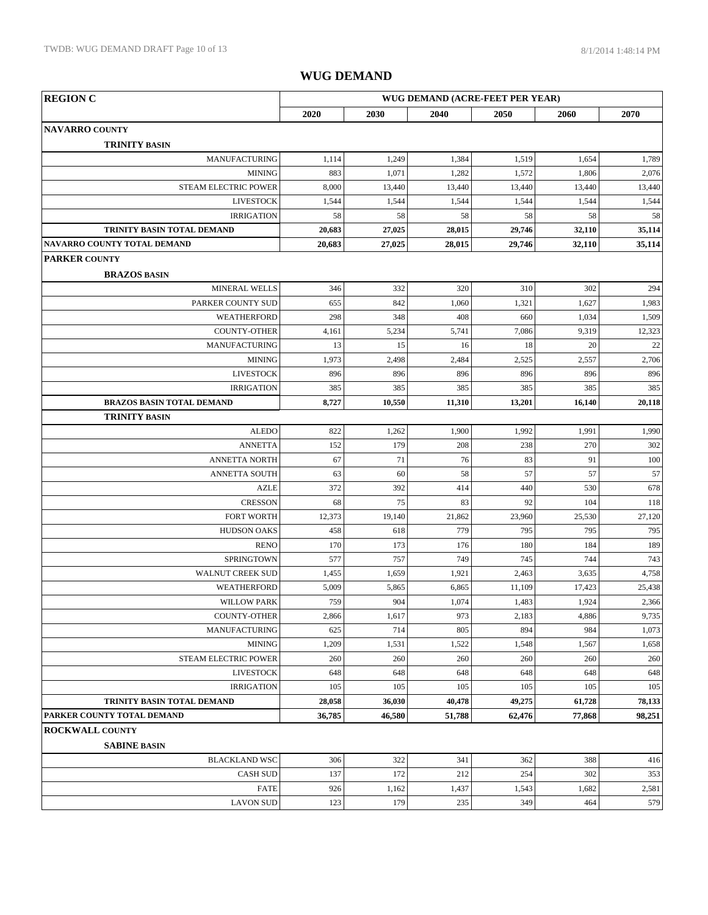| <b>REGION C</b>                  | WUG DEMAND (ACRE-FEET PER YEAR) |        |        |        |        |        |
|----------------------------------|---------------------------------|--------|--------|--------|--------|--------|
|                                  | 2020                            | 2030   | 2040   | 2050   | 2060   | 2070   |
| <b>NAVARRO COUNTY</b>            |                                 |        |        |        |        |        |
| <b>TRINITY BASIN</b>             |                                 |        |        |        |        |        |
| <b>MANUFACTURING</b>             | 1,114                           | 1,249  | 1,384  | 1,519  | 1,654  | 1,789  |
| <b>MINING</b>                    | 883                             | 1,071  | 1,282  | 1,572  | 1,806  | 2,076  |
| STEAM ELECTRIC POWER             | 8,000                           | 13,440 | 13,440 | 13,440 | 13,440 | 13,440 |
| <b>LIVESTOCK</b>                 | 1,544                           | 1,544  | 1,544  | 1,544  | 1,544  | 1,544  |
| <b>IRRIGATION</b>                | 58                              | 58     | 58     | 58     | 58     | 58     |
| TRINITY BASIN TOTAL DEMAND       | 20,683                          | 27,025 | 28,015 | 29,746 | 32,110 | 35,114 |
| NAVARRO COUNTY TOTAL DEMAND      | 20,683                          | 27,025 | 28,015 | 29,746 | 32,110 | 35,114 |
| <b>PARKER COUNTY</b>             |                                 |        |        |        |        |        |
| <b>BRAZOS BASIN</b>              |                                 |        |        |        |        |        |
| MINERAL WELLS                    | 346                             | 332    | 320    | 310    | 302    | 294    |
| PARKER COUNTY SUD                | 655                             | 842    | 1,060  | 1,321  | 1,627  | 1,983  |
| WEATHERFORD                      | 298                             | 348    | 408    | 660    | 1,034  | 1,509  |
| <b>COUNTY-OTHER</b>              | 4,161                           | 5,234  | 5,741  | 7,086  | 9,319  | 12,323 |
| MANUFACTURING                    | 13                              | 15     | 16     | 18     | 20     | 22     |
| <b>MINING</b>                    | 1,973                           | 2,498  | 2,484  | 2,525  | 2,557  | 2,706  |
| <b>LIVESTOCK</b>                 | 896                             | 896    | 896    | 896    | 896    | 896    |
| <b>IRRIGATION</b>                | 385                             | 385    | 385    | 385    | 385    | 385    |
| <b>BRAZOS BASIN TOTAL DEMAND</b> | 8,727                           | 10,550 | 11,310 | 13,201 | 16,140 | 20,118 |
| <b>TRINITY BASIN</b>             |                                 |        |        |        |        |        |
| <b>ALEDO</b>                     | 822                             | 1,262  | 1,900  | 1,992  | 1,991  | 1,990  |
| <b>ANNETTA</b>                   | 152                             | 179    | 208    | 238    | 270    | 302    |
| <b>ANNETTA NORTH</b>             | 67                              | 71     | 76     | 83     | 91     | 100    |
| <b>ANNETTA SOUTH</b>             | 63                              | 60     | 58     | 57     | 57     | 57     |
| <b>AZLE</b>                      | 372                             | 392    | 414    | 440    | 530    | 678    |
| <b>CRESSON</b>                   | 68                              | 75     | 83     | 92     | 104    | 118    |
| <b>FORT WORTH</b>                | 12,373                          | 19,140 | 21,862 | 23,960 | 25,530 | 27,120 |
| <b>HUDSON OAKS</b>               | 458                             | 618    | 779    | 795    | 795    | 795    |
| <b>RENO</b>                      | 170                             | 173    | 176    | 180    | 184    | 189    |
| SPRINGTOWN                       | 577                             | 757    | 749    | 745    | 744    | 743    |
| <b>WALNUT CREEK SUD</b>          | 1,455                           | 1,659  | 1,921  | 2,463  | 3,635  | 4,758  |
| <b>WEATHERFORD</b>               | 5,009                           | 5,865  | 6,865  | 11,109 | 17,423 | 25,438 |
| <b>WILLOW PARK</b>               | 759                             | 904    | 1,074  | 1,483  | 1,924  | 2,366  |
| <b>COUNTY-OTHER</b>              | 2,866                           | 1,617  | 973    | 2,183  | 4,886  | 9,735  |
| <b>MANUFACTURING</b>             | 625                             | 714    | 805    | 894    | 984    | 1,073  |
| <b>MINING</b>                    | 1,209                           | 1,531  | 1,522  | 1,548  | 1,567  | 1,658  |
| STEAM ELECTRIC POWER             | 260                             | 260    | 260    | 260    | 260    | 260    |
| <b>LIVESTOCK</b>                 | 648                             | 648    | 648    | 648    | 648    | 648    |
| <b>IRRIGATION</b>                | 105                             | 105    | 105    | 105    | 105    | 105    |
| TRINITY BASIN TOTAL DEMAND       | 28,058                          | 36,030 | 40,478 | 49,275 | 61,728 | 78,133 |
| PARKER COUNTY TOTAL DEMAND       | 36,785                          | 46,580 | 51,788 | 62,476 | 77,868 | 98,251 |
| <b>ROCKWALL COUNTY</b>           |                                 |        |        |        |        |        |
| <b>SABINE BASIN</b>              |                                 |        |        |        |        |        |
| <b>BLACKLAND WSC</b>             | 306                             | 322    | 341    | 362    | 388    | 416    |
| <b>CASH SUD</b>                  | 137                             | 172    | 212    | 254    | 302    | 353    |
| <b>FATE</b>                      | 926                             | 1,162  | 1,437  | 1,543  | 1,682  | 2,581  |
| <b>LAVON SUD</b>                 | 123                             | 179    | 235    | 349    | 464    | 579    |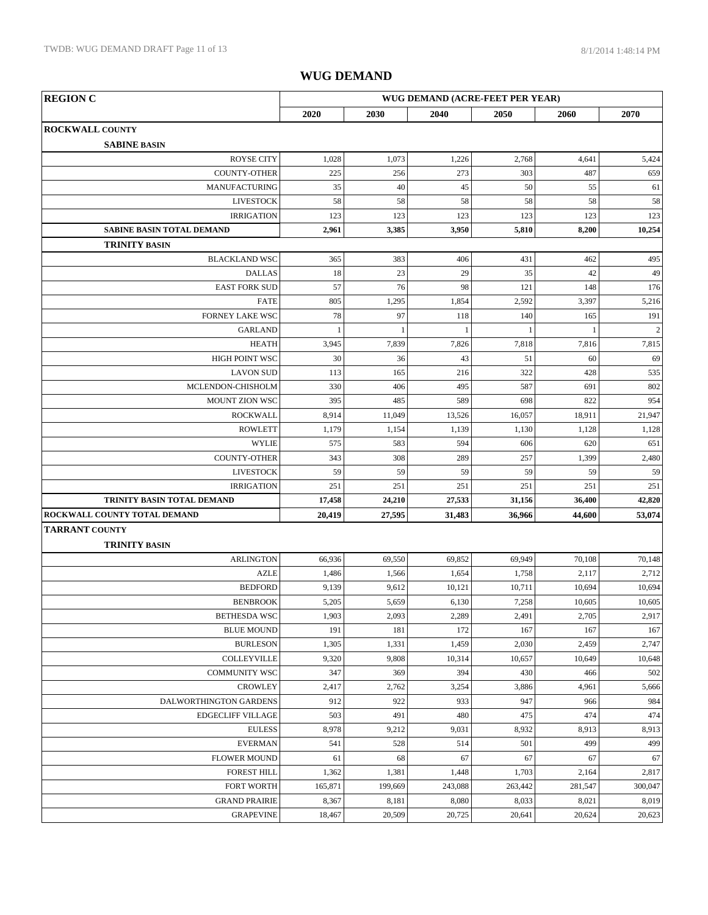| <b>REGION C</b>                                            |               | WUG DEMAND (ACRE-FEET PER YEAR) |               |               |                  |                  |  |
|------------------------------------------------------------|---------------|---------------------------------|---------------|---------------|------------------|------------------|--|
|                                                            | 2020          | 2030                            | 2040          | 2050          | 2060             | 2070             |  |
| <b>ROCKWALL COUNTY</b>                                     |               |                                 |               |               |                  |                  |  |
| <b>SABINE BASIN</b>                                        |               |                                 |               |               |                  |                  |  |
| <b>ROYSE CITY</b>                                          | 1,028         | 1,073                           | 1,226         | 2,768         | 4,641            | 5,424            |  |
| <b>COUNTY-OTHER</b>                                        | 225           | 256                             | 273           | 303           | 487              | 659              |  |
| <b>MANUFACTURING</b>                                       | 35            | 40                              | 45            | 50            | 55               | 61               |  |
| <b>LIVESTOCK</b>                                           | 58            | 58                              | 58            | 58            | 58               | 58               |  |
| <b>IRRIGATION</b>                                          | 123           | 123                             | 123           | 123           | 123              | 123              |  |
| <b>SABINE BASIN TOTAL DEMAND</b>                           | 2,961         | 3,385                           | 3,950         | 5,810         | 8,200            | 10,254           |  |
| <b>TRINITY BASIN</b>                                       |               |                                 |               |               |                  |                  |  |
| <b>BLACKLAND WSC</b>                                       | 365           | 383                             | 406           | 431           | 462              | 495              |  |
| <b>DALLAS</b>                                              | 18            | 23                              | 29            | 35            | 42               | 49               |  |
| <b>EAST FORK SUD</b>                                       | 57            | 76                              | 98            | 121           | 148              | 176              |  |
| <b>FATE</b>                                                | 805           | 1,295                           | 1,854         | 2,592         | 3,397            | 5,216            |  |
| FORNEY LAKE WSC                                            | 78            | 97                              | 118           | 140           | 165              | 191              |  |
| <b>GARLAND</b>                                             | $\mathbf{1}$  | $\mathbf{1}$                    | $\mathbf{1}$  | 1             | $\mathbf{1}$     | $\sqrt{2}$       |  |
| <b>HEATH</b>                                               | 3,945         | 7,839                           | 7,826         | 7,818         | 7,816            | 7,815            |  |
| HIGH POINT WSC                                             | 30            | 36                              | 43            | 51            | 60               | 69               |  |
| <b>LAVON SUD</b>                                           | 113           | 165                             | 216           | 322           | 428              | 535              |  |
| MCLENDON-CHISHOLM                                          | 330           | 406                             | 495           | 587           | 691              | 802              |  |
| <b>MOUNT ZION WSC</b>                                      | 395           | 485                             | 589           | 698           | 822              | 954              |  |
| <b>ROCKWALL</b>                                            | 8,914         | 11,049                          | 13,526        | 16,057        | 18,911           | 21,947           |  |
| <b>ROWLETT</b>                                             | 1,179         | 1,154                           | 1,139         | 1,130         | 1,128            | 1,128            |  |
| <b>WYLIE</b>                                               | 575           | 583                             | 594           | 606           | 620              | 651              |  |
| <b>COUNTY-OTHER</b>                                        | 343           | 308                             | 289           | 257           | 1,399            | 2,480            |  |
| <b>LIVESTOCK</b>                                           | 59            | 59                              | 59            | 59            | 59               | 59               |  |
| <b>IRRIGATION</b>                                          | 251<br>17,458 | 251<br>24,210                   | 251<br>27,533 | 251<br>31,156 | 251              | 251              |  |
| TRINITY BASIN TOTAL DEMAND<br>ROCKWALL COUNTY TOTAL DEMAND | 20,419        | 27,595                          | 31,483        | 36,966        | 36,400<br>44,600 | 42,820<br>53,074 |  |
| <b>TARRANT COUNTY</b>                                      |               |                                 |               |               |                  |                  |  |
| <b>TRINITY BASIN</b>                                       |               |                                 |               |               |                  |                  |  |
| <b>ARLINGTON</b>                                           | 66,936        | 69,550                          | 69,852        | 69,949        | 70,108           | 70,148           |  |
| <b>AZLE</b>                                                | 1,486         | 1,566                           | 1,654         | 1,758         | 2,117            | 2,712            |  |
| <b>BEDFORD</b>                                             | 9,139         | 9,612                           | 10,121        | 10,711        | 10,694           | 10,694           |  |
| <b>BENBROOK</b>                                            | 5,205         | 5,659                           | 6,130         | 7,258         | 10,605           | 10,605           |  |
| BETHESDA WSC                                               | 1,903         | 2,093                           | 2,289         | 2,491         | 2,705            | 2,917            |  |
| <b>BLUE MOUND</b>                                          | 191           | 181                             | 172           | 167           | 167              | 167              |  |
| <b>BURLESON</b>                                            | 1,305         | 1,331                           | 1,459         | 2,030         | 2,459            | 2,747            |  |
| <b>COLLEYVILLE</b>                                         | 9,320         | 9,808                           | 10,314        | 10,657        | 10,649           | 10,648           |  |
| <b>COMMUNITY WSC</b>                                       | 347           | 369                             | 394           | 430           | 466              | 502              |  |
| <b>CROWLEY</b>                                             | 2,417         | 2,762                           | 3,254         | 3,886         | 4,961            | 5,666            |  |
| DALWORTHINGTON GARDENS                                     | 912           | 922                             | 933           | 947           | 966              | 984              |  |
| <b>EDGECLIFF VILLAGE</b>                                   | 503           | 491                             | 480           | 475           | 474              | 474              |  |
| <b>EULESS</b>                                              | 8,978         | 9,212                           | 9,031         | 8,932         | 8,913            | 8,913            |  |
| <b>EVERMAN</b>                                             | 541           | 528                             | 514           | 501           | 499              | 499              |  |
| <b>FLOWER MOUND</b>                                        | 61            | 68                              | 67            | 67            | 67               | 67               |  |
| <b>FOREST HILL</b>                                         | 1,362         | 1,381                           | 1,448         | 1,703         | 2,164            | 2,817            |  |
| FORT WORTH                                                 | 165,871       | 199,669                         | 243,088       | 263,442       | 281,547          | 300,047          |  |
| <b>GRAND PRAIRIE</b>                                       | 8,367         | 8,181                           | 8,080         | 8,033         | 8,021            | 8,019            |  |
| <b>GRAPEVINE</b>                                           | 18,467        | 20,509                          | 20,725        | 20,641        | 20,624           | 20,623           |  |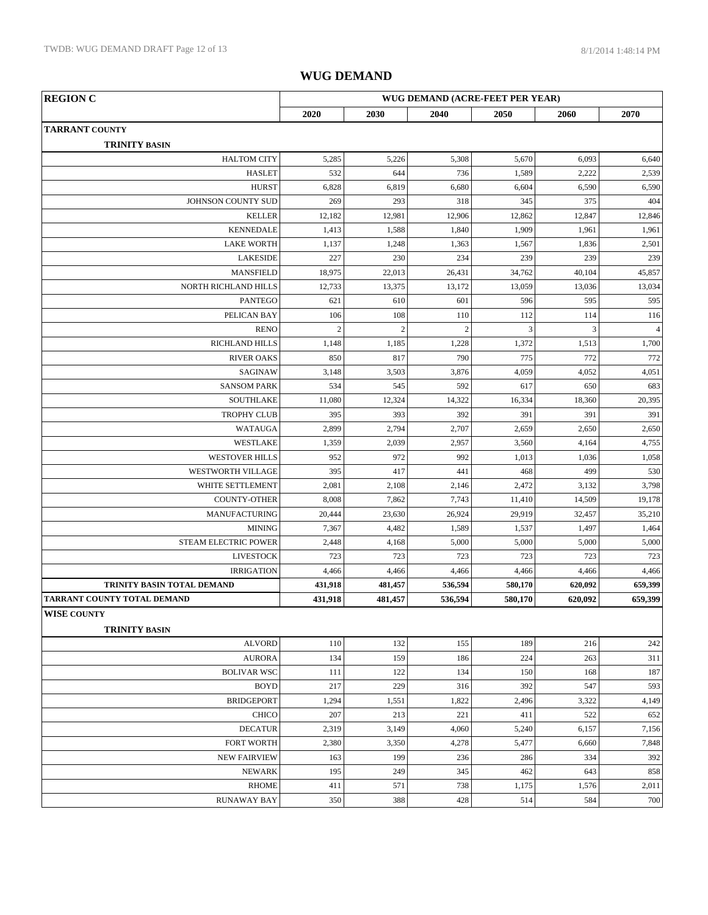| <b>REGION C</b>                            | WUG DEMAND (ACRE-FEET PER YEAR) |                  |                |         |         |                |  |
|--------------------------------------------|---------------------------------|------------------|----------------|---------|---------|----------------|--|
|                                            | 2020                            | 2030             | 2040           | 2050    | 2060    | 2070           |  |
| <b>TARRANT COUNTY</b>                      |                                 |                  |                |         |         |                |  |
| <b>TRINITY BASIN</b>                       |                                 |                  |                |         |         |                |  |
| <b>HALTOM CITY</b>                         | 5,285                           | 5,226            | 5,308          | 5,670   | 6,093   | 6,640          |  |
| <b>HASLET</b>                              | 532                             | 644              | 736            | 1,589   | 2,222   | 2,539          |  |
| <b>HURST</b>                               | 6,828                           | 6,819            | 6,680          | 6,604   | 6,590   | 6,590          |  |
| JOHNSON COUNTY SUD                         | 269                             | 293              | 318            | 345     | 375     | 404            |  |
| <b>KELLER</b>                              | 12,182                          | 12,981           | 12,906         | 12,862  | 12,847  | 12,846         |  |
| <b>KENNEDALE</b>                           | 1,413                           | 1,588            | 1,840          | 1,909   | 1,961   | 1,961          |  |
| <b>LAKE WORTH</b>                          | 1,137                           | 1,248            | 1,363          | 1,567   | 1,836   | 2,501          |  |
| LAKESIDE                                   | 227                             | 230              | 234            | 239     | 239     | 239            |  |
| <b>MANSFIELD</b>                           | 18,975                          | 22,013           | 26,431         | 34,762  | 40,104  | 45,857         |  |
| NORTH RICHLAND HILLS                       | 12,733                          | 13,375           | 13,172         | 13,059  | 13,036  | 13,034         |  |
| <b>PANTEGO</b>                             | 621                             | 610              | 601            | 596     | 595     | 595            |  |
| PELICAN BAY                                | 106                             | 108              | 110            | 112     | 114     | 116            |  |
| <b>RENO</b>                                | $\sqrt{2}$                      | $\boldsymbol{2}$ | $\overline{c}$ | 3       | 3       | $\overline{4}$ |  |
| RICHLAND HILLS                             | 1,148                           | 1,185            | 1,228          | 1,372   | 1,513   | 1,700          |  |
| <b>RIVER OAKS</b>                          | 850                             | 817              | 790            | 775     | 772     | 772            |  |
| SAGINAW                                    | 3,148                           | 3,503            | 3,876          | 4,059   | 4,052   | 4,051          |  |
| <b>SANSOM PARK</b>                         | 534                             | 545              | 592            | 617     | 650     | 683            |  |
| <b>SOUTHLAKE</b>                           | 11,080                          | 12,324           | 14,322         | 16,334  | 18,360  | 20,395         |  |
| <b>TROPHY CLUB</b>                         | 395                             | 393              | 392            | 391     | 391     | 391            |  |
| <b>WATAUGA</b>                             | 2,899                           | 2,794            | 2,707          | 2,659   | 2,650   | 2,650          |  |
| WESTLAKE                                   | 1,359                           | 2,039            | 2,957          | 3,560   | 4,164   | 4,755          |  |
| <b>WESTOVER HILLS</b>                      | 952                             | 972              | 992            | 1,013   | 1,036   | 1,058          |  |
| WESTWORTH VILLAGE                          | 395                             | 417              | 441            | 468     | 499     | 530            |  |
| WHITE SETTLEMENT                           | 2,081                           | 2,108            | 2,146          | 2,472   | 3,132   | 3,798          |  |
| <b>COUNTY-OTHER</b>                        | 8,008                           | 7,862            | 7,743          | 11,410  | 14,509  | 19,178         |  |
| MANUFACTURING                              | 20,444                          | 23,630           | 26,924         | 29,919  | 32,457  | 35,210         |  |
| <b>MINING</b>                              | 7,367                           | 4,482            | 1,589          | 1,537   | 1,497   | 1,464          |  |
| STEAM ELECTRIC POWER                       | 2,448                           | 4,168            | 5,000          | 5,000   | 5,000   | 5,000          |  |
| <b>LIVESTOCK</b>                           | 723                             | 723              | 723            | 723     | 723     | 723            |  |
| <b>IRRIGATION</b>                          | 4,466                           | 4,466            | 4,466          | 4,466   | 4,466   | 4,466          |  |
| TRINITY BASIN TOTAL DEMAND                 | 431,918                         | 481,457          | 536,594        | 580,170 | 620,092 | 659,399        |  |
| TARRANT COUNTY TOTAL DEMAND                | 431,918                         | 481,457          | 536,594        | 580,170 | 620,092 | 659,399        |  |
| <b>WISE COUNTY</b><br><b>TRINITY BASIN</b> |                                 |                  |                |         |         |                |  |
| <b>ALVORD</b>                              | 110                             | 132              | 155            | 189     | 216     | 242            |  |
| <b>AURORA</b>                              | 134                             | 159              | 186            | 224     | 263     | 311            |  |
| <b>BOLIVAR WSC</b>                         | 111                             | 122              | 134            | 150     | 168     | 187            |  |
| <b>BOYD</b>                                | 217                             | 229              | 316            | 392     | 547     | 593            |  |
| <b>BRIDGEPORT</b>                          | 1,294                           | 1,551            | 1,822          | 2,496   | 3,322   | 4,149          |  |
| <b>CHICO</b>                               | 207                             | 213              | 221            | 411     | 522     | 652            |  |
| <b>DECATUR</b>                             | 2,319                           | 3,149            | 4,060          | 5,240   | 6,157   | 7,156          |  |
| FORT WORTH                                 | 2,380                           | 3,350            | 4,278          | 5,477   | 6,660   | 7,848          |  |
| <b>NEW FAIRVIEW</b>                        | 163                             | 199              | 236            | 286     | 334     | 392            |  |
| <b>NEWARK</b>                              | 195                             | 249              | 345            | 462     | 643     | 858            |  |
| <b>RHOME</b>                               | 411                             | 571              | 738            | 1,175   | 1,576   | 2,011          |  |
| <b>RUNAWAY BAY</b>                         | 350                             | 388              | 428            | 514     | 584     | 700            |  |
|                                            |                                 |                  |                |         |         |                |  |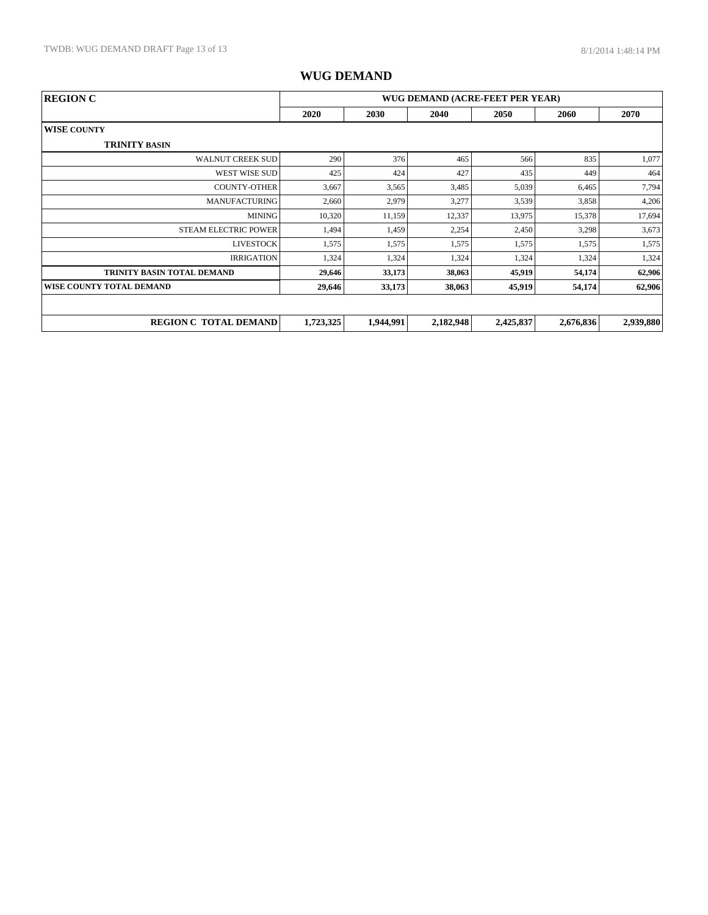| WUG DEMAND (ACRE-FEET PER YEAR)<br><b>REGION C</b> |           |           |           |           |           |           |  |
|----------------------------------------------------|-----------|-----------|-----------|-----------|-----------|-----------|--|
|                                                    | 2020      | 2030      | 2040      | 2050      | 2060      | 2070      |  |
| <b>WISE COUNTY</b>                                 |           |           |           |           |           |           |  |
| <b>TRINITY BASIN</b>                               |           |           |           |           |           |           |  |
| <b>WALNUT CREEK SUD</b>                            | 290       | 376       | 465       | 566       | 835       | 1,077     |  |
| WEST WISE SUD                                      | 425       | 424       | 427       | 435       | 449       | 464       |  |
| <b>COUNTY-OTHER</b>                                | 3,667     | 3,565     | 3,485     | 5,039     | 6,465     | 7,794     |  |
| <b>MANUFACTURING</b>                               | 2,660     | 2,979     | 3,277     | 3,539     | 3,858     | 4,206     |  |
| <b>MINING</b>                                      | 10,320    | 11,159    | 12,337    | 13,975    | 15,378    | 17,694    |  |
| <b>STEAM ELECTRIC POWER</b>                        | 1,494     | 1,459     | 2,254     | 2,450     | 3,298     | 3,673     |  |
| <b>LIVESTOCK</b>                                   | 1,575     | 1,575     | 1,575     | 1,575     | 1,575     | 1,575     |  |
| <b>IRRIGATION</b>                                  | 1,324     | 1,324     | 1,324     | 1,324     | 1,324     | 1,324     |  |
| <b>TRINITY BASIN TOTAL DEMAND</b>                  | 29,646    | 33,173    | 38,063    | 45,919    | 54,174    | 62,906    |  |
| WISE COUNTY TOTAL DEMAND                           | 29,646    | 33,173    | 38,063    | 45,919    | 54,174    | 62,906    |  |
|                                                    |           |           |           |           |           |           |  |
| <b>REGION C TOTAL DEMAND</b>                       | 1,723,325 | 1,944,991 | 2,182,948 | 2,425,837 | 2,676,836 | 2,939,880 |  |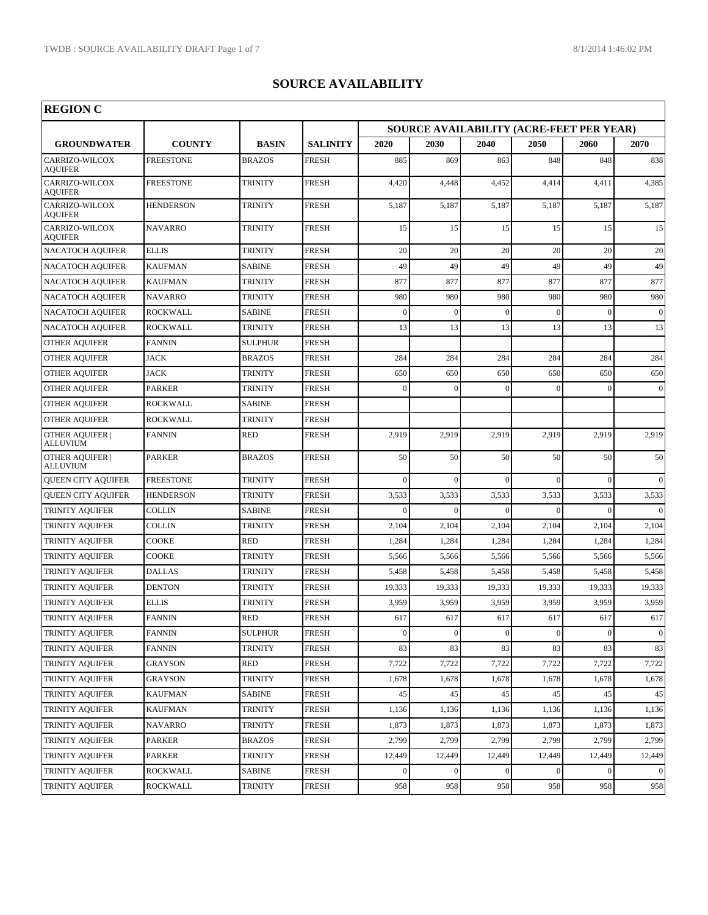r

| <b>REGION C</b>                    |                  |                |                 |                                                 |                |              |                |                  |                 |  |  |
|------------------------------------|------------------|----------------|-----------------|-------------------------------------------------|----------------|--------------|----------------|------------------|-----------------|--|--|
| <b>GROUNDWATER</b>                 |                  |                |                 | <b>SOURCE AVAILABILITY (ACRE-FEET PER YEAR)</b> |                |              |                |                  |                 |  |  |
|                                    | <b>COUNTY</b>    | <b>BASIN</b>   | <b>SALINITY</b> | 2020                                            | 2030           | 2040         | 2050           | 2060             | 2070            |  |  |
| CARRIZO-WILCOX<br><b>AOUIFER</b>   | FREESTONE        | <b>BRAZOS</b>  | <b>FRESH</b>    | 885                                             | 869            | 863          | 848            | 848              | 838             |  |  |
| CARRIZO-WILCOX<br><b>AOUIFER</b>   | <b>FREESTONE</b> | <b>TRINITY</b> | <b>FRESH</b>    | 4,420                                           | 4,448          | 4,452        | 4,414          | 4,411            | 4,385           |  |  |
| CARRIZO-WILCOX<br>AQUIFER          | HENDERSON        | <b>TRINITY</b> | <b>FRESH</b>    | 5,187                                           | 5,187          | 5,187        | 5,187          | 5,187            | 5,187           |  |  |
| CARRIZO-WILCOX<br><b>AQUIFER</b>   | <b>NAVARRO</b>   | <b>TRINITY</b> | <b>FRESH</b>    | 15                                              | 15             | 15           | 15             | 15               | 15              |  |  |
| <b>NACATOCH AQUIFER</b>            | <b>ELLIS</b>     | <b>TRINITY</b> | <b>FRESH</b>    | 20                                              | 20             | 20           | 20             | 20               | 20              |  |  |
| <b>NACATOCH AQUIFER</b>            | <b>KAUFMAN</b>   | <b>SABINE</b>  | <b>FRESH</b>    | 49                                              | 49             | 49           | 49             | 49               | 49              |  |  |
| <b>NACATOCH AQUIFER</b>            | <b>KAUFMAN</b>   | <b>TRINITY</b> | <b>FRESH</b>    | 877                                             | 877            | 877          | 877            | 877              | 877             |  |  |
| <b>NACATOCH AQUIFER</b>            | <b>NAVARRO</b>   | <b>TRINITY</b> | <b>FRESH</b>    | 980                                             | 980            | 980          | 980            | 980              | 980             |  |  |
| <b>NACATOCH AQUIFER</b>            | <b>ROCKWALL</b>  | <b>SABINE</b>  | <b>FRESH</b>    | $\mathbf{0}$                                    | $\overline{0}$ | $\Omega$     | $\Omega$       | $\Omega$         | $\mathbf{0}$    |  |  |
| <b>NACATOCH AQUIFER</b>            | <b>ROCKWALL</b>  | TRINITY        | FRESH           | 13                                              | 13             | 13           | 13             | 13               | 13              |  |  |
| <b>OTHER AQUIFER</b>               | <b>FANNIN</b>    | <b>SULPHUR</b> | <b>FRESH</b>    |                                                 |                |              |                |                  |                 |  |  |
| <b>OTHER AQUIFER</b>               | <b>JACK</b>      | <b>BRAZOS</b>  | <b>FRESH</b>    | 284                                             | 284            | 284          | 284            | 284              | 284             |  |  |
| <b>OTHER AQUIFER</b>               | <b>JACK</b>      | <b>TRINITY</b> | <b>FRESH</b>    | 650                                             | 650            | 650          | 650            | 650              | 650             |  |  |
| <b>OTHER AQUIFER</b>               | <b>PARKER</b>    | <b>TRINITY</b> | <b>FRESH</b>    | $\mathbf{0}$                                    | $\Omega$       | $\Omega$     |                |                  | $\overline{0}$  |  |  |
| OTHER AQUIFER                      | ROCKWALL         | <b>SABINE</b>  | <b>FRESH</b>    |                                                 |                |              |                |                  |                 |  |  |
| OTHER AQUIFER                      | ROCKWALL         | <b>TRINITY</b> | <b>FRESH</b>    |                                                 |                |              |                |                  |                 |  |  |
| <b>OTHER AQUIFER  </b><br>ALLUVIUM | <b>FANNIN</b>    | <b>RED</b>     | <b>FRESH</b>    | 2,919                                           | 2,919          | 2,919        | 2,919          | 2,919            | 2,919           |  |  |
| <b>OTHER AQUIFER  </b><br>ALLUVIUM | <b>PARKER</b>    | <b>BRAZOS</b>  | <b>FRESH</b>    | 50                                              | 50             | 50           | 50             | 50               | 50              |  |  |
| QUEEN CITY AQUIFER                 | FREESTONE        | <b>TRINITY</b> | <b>FRESH</b>    | $\mathbf{0}$                                    | $\Omega$       | $\Omega$     | $\Omega$       | $\Omega$         | $\mathbf{0}$    |  |  |
| <b>QUEEN CITY AQUIFER</b>          | <b>HENDERSON</b> | <b>TRINITY</b> | <b>FRESH</b>    | 3,533                                           | 3,533          | 3,533        | 3,533          | 3,533            | 3,533           |  |  |
| TRINITY AQUIFER                    | COLLIN           | <b>SABINE</b>  | <b>FRESH</b>    | $\mathbf{0}$                                    | $\Omega$       | $\Omega$     | $\Omega$       | $\Omega$         | $\theta$        |  |  |
| TRINITY AQUIFER                    | <b>COLLIN</b>    | <b>TRINITY</b> | <b>FRESH</b>    | 2,104                                           | 2,104          | 2,104        | 2,104          | 2,104            | 2,104           |  |  |
| TRINITY AQUIFER                    | COOKE            | <b>RED</b>     | <b>FRESH</b>    | 1,284                                           | 1,284          | 1,284        | 1,284          | 1,284            | 1,284           |  |  |
| TRINITY AQUIFER                    | COOKE            | <b>TRINITY</b> | FRESH           | 5,566                                           | 5,566          | 5,566        | 5,566          | 5,566            | 5,566           |  |  |
| TRINITY AQUIFER                    | <b>DALLAS</b>    | <b>TRINITY</b> | <b>FRESH</b>    | 5,458                                           | 5,458          | 5,458        | 5,458          | 5,458            | 5,458           |  |  |
| TRINITY AQUIFER                    | <b>DENTON</b>    | <b>TRINITY</b> | <b>FRESH</b>    | 19,333                                          | 19,333         | 19,333       | 19,333         | 19,333           | 19,333          |  |  |
| TRINITY AQUIFER                    | <b>ELLIS</b>     | <b>TRINITY</b> | <b>FRESH</b>    | 3,959                                           | 3,959          | 3,959        | 3,959          | 3,959            | 3,959           |  |  |
| TRINITY AQUIFER                    | <b>FANNIN</b>    | <b>RED</b>     | <b>FRESH</b>    | 617                                             | 617            | 617          | 617            | 617              | 617             |  |  |
| TRINITY AQUIFER                    | <b>FANNIN</b>    | <b>SULPHUR</b> | FRESH           | $\boldsymbol{0}$                                | $\mathbf{0}$   | $\mathbf{0}$ | $\overline{0}$ | $\boldsymbol{0}$ | $\vert 0 \vert$ |  |  |
| <b>TRINITY AQUIFER</b>             | <b>FANNIN</b>    | <b>TRINITY</b> | FRESH           | 83                                              | 83             | 83           | 83             | 83               | 83              |  |  |
| TRINITY AQUIFER                    | GRAYSON          | RED            | FRESH           | 7,722                                           | 7,722          | 7,722        | 7,722          | 7,722            | 7,722           |  |  |
| TRINITY AQUIFER                    | GRAYSON          | <b>TRINITY</b> | FRESH           | 1,678                                           | 1,678          | 1,678        | 1,678          | 1,678            | 1,678           |  |  |
| TRINITY AQUIFER                    | KAUFMAN          | <b>SABINE</b>  | FRESH           | 45                                              | 45             | 45           | 45             | 45               | 45              |  |  |
| TRINITY AQUIFER                    | KAUFMAN          | TRINITY        | FRESH           | 1,136                                           | 1,136          | 1,136        | 1,136          | 1,136            | 1,136           |  |  |
| TRINITY AQUIFER                    | NAVARRO          | <b>TRINITY</b> | FRESH           | 1,873                                           | 1,873          | 1,873        | 1,873          | 1,873            | 1,873           |  |  |
| TRINITY AQUIFER                    | PARKER           | <b>BRAZOS</b>  | FRESH           | 2,799                                           | 2,799          | 2,799        | 2,799          | 2,799            | 2,799           |  |  |
| TRINITY AQUIFER                    | <b>PARKER</b>    | <b>TRINITY</b> | FRESH           | 12,449                                          | 12,449         | 12,449       | 12,449         | 12,449           | 12,449          |  |  |
| <b>TRINITY AQUIFER</b>             | ROCKWALL         | <b>SABINE</b>  | FRESH           | $\mathbf{0}$                                    | $\Omega$       |              |                |                  | $\Omega$        |  |  |
| TRINITY AQUIFER                    | ROCKWALL         | TRINITY        | FRESH           | 958                                             | 958            | 958          | 958            | 958              | 958             |  |  |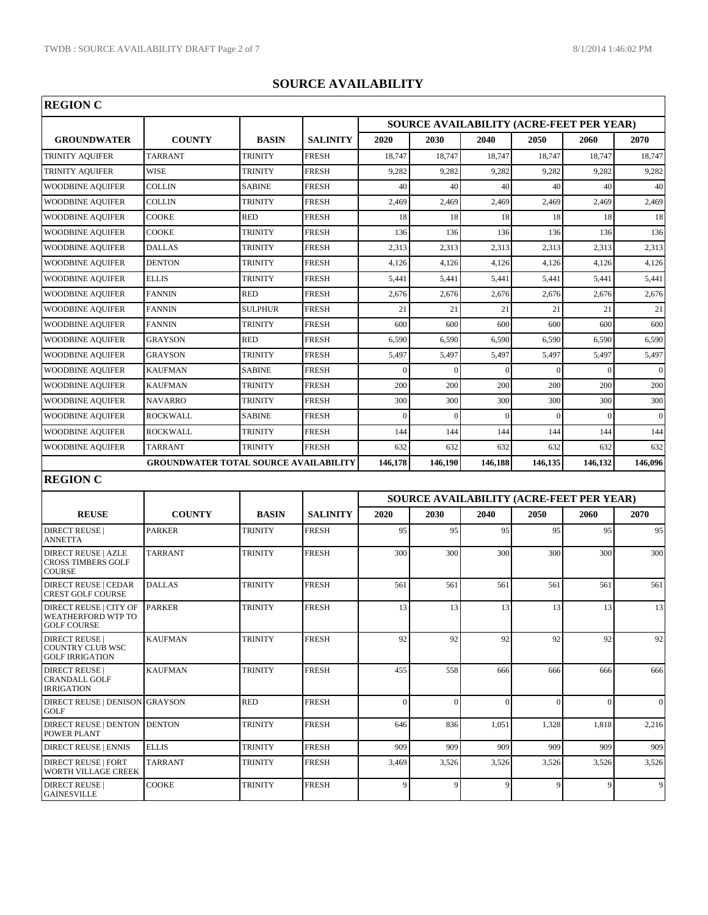| <b>REGION C</b>                                                           |                                              |                |                 |                                                 |              |          |          |                                                 |                 |  |
|---------------------------------------------------------------------------|----------------------------------------------|----------------|-----------------|-------------------------------------------------|--------------|----------|----------|-------------------------------------------------|-----------------|--|
|                                                                           |                                              |                |                 | <b>SOURCE AVAILABILITY (ACRE-FEET PER YEAR)</b> |              |          |          |                                                 |                 |  |
| <b>GROUNDWATER</b>                                                        | <b>COUNTY</b>                                | <b>BASIN</b>   | <b>SALINITY</b> | 2020                                            | 2030         | 2040     | 2050     | 2060                                            | 2070            |  |
| TRINITY AQUIFER                                                           | <b>TARRANT</b>                               | TRINITY        | <b>FRESH</b>    | 18,747                                          | 18,747       | 18,747   | 18,747   | 18,747                                          | 18,747          |  |
| TRINITY AQUIFER                                                           | <b>WISE</b>                                  | <b>TRINITY</b> | <b>FRESH</b>    | 9,282                                           | 9,282        | 9,282    | 9,282    | 9,282                                           | 9,282           |  |
| <b>WOODBINE AQUIFER</b>                                                   | <b>COLLIN</b>                                | <b>SABINE</b>  | <b>FRESH</b>    | 40                                              | 40           | 40       | 40       | 40                                              | 40 <sup>°</sup> |  |
| <b>WOODBINE AQUIFER</b>                                                   | <b>COLLIN</b>                                | <b>TRINITY</b> | <b>FRESH</b>    | 2,469                                           | 2,469        | 2,469    | 2,469    | 2,469                                           | 2,469           |  |
| <b>WOODBINE AQUIFER</b>                                                   | <b>COOKE</b>                                 | <b>RED</b>     | <b>FRESH</b>    | 18                                              | 18           | 18       | 18       | 18                                              | 18              |  |
| <b>WOODBINE AQUIFER</b>                                                   | <b>COOKE</b>                                 | <b>TRINITY</b> | <b>FRESH</b>    | 136                                             | 136          | 136      | 136      | 136                                             | 136             |  |
| <b>WOODBINE AQUIFER</b>                                                   | <b>DALLAS</b>                                | <b>TRINITY</b> | <b>FRESH</b>    | 2,313                                           | 2,313        | 2,313    | 2,313    | 2,313                                           | 2,313           |  |
| <b>WOODBINE AQUIFER</b>                                                   | <b>DENTON</b>                                | <b>TRINITY</b> | <b>FRESH</b>    | 4,126                                           | 4,126        | 4,126    | 4,126    | 4,126                                           | 4,126           |  |
| <b>WOODBINE AQUIFER</b>                                                   | <b>ELLIS</b>                                 | <b>TRINITY</b> | <b>FRESH</b>    | 5,441                                           | 5,441        | 5,441    | 5,441    | 5,441                                           | 5,441           |  |
| <b>WOODBINE AQUIFER</b>                                                   | <b>FANNIN</b>                                | <b>RED</b>     | <b>FRESH</b>    | 2,676                                           | 2,676        | 2,676    | 2,676    | 2,676                                           | 2,676           |  |
| <b>WOODBINE AQUIFER</b>                                                   | <b>FANNIN</b>                                | <b>SULPHUR</b> | <b>FRESH</b>    | 21                                              | 21           | 21       | 21       | 21                                              | 21              |  |
| <b>WOODBINE AQUIFER</b>                                                   | <b>FANNIN</b>                                | <b>TRINITY</b> | <b>FRESH</b>    | 600                                             | 600          | 600      | 600      | 600                                             | 600             |  |
| <b>WOODBINE AQUIFER</b>                                                   | <b>GRAYSON</b>                               | <b>RED</b>     | <b>FRESH</b>    | 6,590                                           | 6,590        | 6,590    | 6,590    | 6,590                                           | 6,590           |  |
| <b>WOODBINE AQUIFER</b>                                                   | <b>GRAYSON</b>                               | <b>TRINITY</b> | <b>FRESH</b>    | 5,497                                           | 5,497        | 5,497    | 5,497    | 5,497                                           | 5,497           |  |
| <b>WOODBINE AQUIFER</b>                                                   | <b>KAUFMAN</b>                               | <b>SABINE</b>  | <b>FRESH</b>    | $\Omega$                                        | $\sqrt{ }$   |          | $\Omega$ | $\Omega$                                        | $\vert$ 0       |  |
| <b>WOODBINE AQUIFER</b>                                                   | <b>KAUFMAN</b>                               | <b>TRINITY</b> | <b>FRESH</b>    | 200                                             | 200          | 200      | 200      | 200                                             | 200             |  |
| <b>WOODBINE AQUIFER</b>                                                   | <b>NAVARRO</b>                               | <b>TRINITY</b> | <b>FRESH</b>    | 300                                             | 300          | 300      | 300      | 300                                             | 300             |  |
| <b>WOODBINE AQUIFER</b>                                                   | <b>ROCKWALL</b>                              | <b>SABINE</b>  | <b>FRESH</b>    | $\overline{0}$                                  | $\theta$     | $\Omega$ | $\Omega$ | $\theta$                                        | $\vert 0 \vert$ |  |
| <b>WOODBINE AQUIFER</b>                                                   | <b>ROCKWALL</b>                              | <b>TRINITY</b> | <b>FRESH</b>    | 144                                             | 144          | 144      | 144      | 144                                             | 144             |  |
| <b>WOODBINE AQUIFER</b>                                                   | <b>TARRANT</b>                               | TRINITY        | <b>FRESH</b>    | 632                                             | 632          | 632      | 632      | 632                                             | 632             |  |
|                                                                           | <b>GROUNDWATER TOTAL SOURCE AVAILABILITY</b> |                |                 | 146,178                                         | 146,190      | 146,188  | 146,135  | 146,132                                         | 146,096         |  |
| <b>REGION C</b>                                                           |                                              |                |                 |                                                 |              |          |          |                                                 |                 |  |
|                                                                           |                                              |                |                 |                                                 |              |          |          | <b>SOURCE AVAILABILITY (ACRE-FEET PER YEAR)</b> |                 |  |
| <b>REUSE</b>                                                              | <b>COUNTY</b>                                | <b>BASIN</b>   | <b>SALINITY</b> | 2020                                            | 2030         | 2040     | 2050     | 2060                                            | 2070            |  |
| <b>DIRECT REUSE</b>                                                       | <b>PARKER</b>                                | TRINITY        | <b>FRESH</b>    | 95                                              | 95           | 95       | 95       | 95                                              | 95              |  |
| ANNETTA                                                                   |                                              |                |                 |                                                 |              |          |          |                                                 |                 |  |
| <b>DIRECT REUSE   AZLE</b><br><b>CROSS TIMBERS GOLF</b><br><b>COURSE</b>  | <b>TARRANT</b>                               | TRINITY        | <b>FRESH</b>    | 300                                             | 300          | 300      | 300      | 300                                             | 300             |  |
| <b>DIRECT REUSE   CEDAR</b><br>CREST GOLF COURSE                          | <b>DALLAS</b>                                | <b>TRINITY</b> | <b>FRESH</b>    | 561                                             | 561          | 561      | 561      | 561                                             | 561             |  |
| <b>DIRECT REUSE   CITY OF</b><br>WEATHERFORD WTP TO<br><b>GOLF COURSE</b> | <b>PARKER</b>                                | TRINITY        | <b>FRESH</b>    | 13                                              | 13           | 13       | 13       | 13                                              | 13              |  |
| <b>DIRECT REUSE</b><br><b>COUNTRY CLUB WSC</b><br><b>GOLF IRRIGATION</b>  | <b>KAUFMAN</b>                               | <b>TRINITY</b> | <b>FRESH</b>    | 92                                              | 92           | 92       | 92       | 92                                              | 92              |  |
| <b>DIRECT REUSE</b>  <br><b>CRANDALL GOLF</b><br><b>IRRIGATION</b>        | <b>KAUFMAN</b>                               | <b>TRINITY</b> | <b>FRESH</b>    | 455                                             | 558          | 666      | 666      | 666                                             | 666             |  |
| DIRECT REUSE   DENISON<br>GOLF                                            | <b>GRAYSON</b>                               | <b>RED</b>     | <b>FRESH</b>    | $\overline{0}$                                  | $\theta$     | $\Omega$ | $\Omega$ | $\overline{0}$                                  | $\vert 0 \vert$ |  |
| <b>DIRECT REUSE   DENTON</b><br>POWER PLANT                               | <b>DENTON</b>                                | TRINITY        | <b>FRESH</b>    | 646                                             | 836          | 1,051    | 1,328    | 1,818                                           | 2,216           |  |
| <b>DIRECT REUSE   ENNIS</b>                                               | <b>ELLIS</b>                                 | <b>TRINITY</b> | <b>FRESH</b>    | 909                                             | 909          | 909      | 909      | 909                                             | 909             |  |
| <b>DIRECT REUSE   FORT</b><br>WORTH VILLAGE CREEK                         | <b>TARRANT</b>                               | <b>TRINITY</b> | <b>FRESH</b>    | 3,469                                           | 3,526        | 3,526    | 3,526    | 3,526                                           | 3,526           |  |
| <b>DIRECT REUSE</b><br><b>GAINESVILLE</b>                                 | COOKE                                        | <b>TRINITY</b> | <b>FRESH</b>    | 9                                               | $\mathbf{q}$ | 9        | 9        | 9                                               | $\overline{9}$  |  |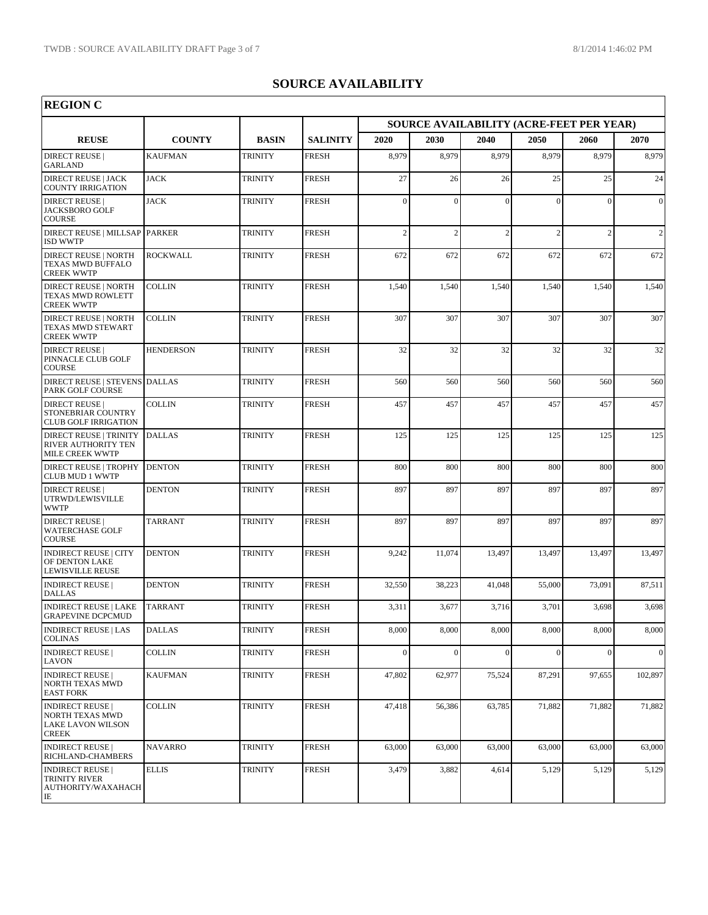| <b>REGION C</b>                                                                |                  |                |                 |                |                                          |               |          |                |                |
|--------------------------------------------------------------------------------|------------------|----------------|-----------------|----------------|------------------------------------------|---------------|----------|----------------|----------------|
|                                                                                |                  |                |                 |                | SOURCE AVAILABILITY (ACRE-FEET PER YEAR) |               |          |                |                |
| <b>REUSE</b>                                                                   | <b>COUNTY</b>    | <b>BASIN</b>   | <b>SALINITY</b> | 2020           | 2030                                     | 2040          | 2050     | 2060           | 2070           |
| <b>DIRECT REUSE</b>  <br><b>GARLAND</b>                                        | <b>KAUFMAN</b>   | <b>TRINITY</b> | <b>FRESH</b>    | 8,979          | 8,979                                    | 8,979         | 8,979    | 8,979          | 8,979          |
| <b>DIRECT REUSE   JACK</b><br><b>COUNTY IRRIGATION</b>                         | <b>JACK</b>      | TRINITY        | <b>FRESH</b>    | 27             | 26                                       | 26            | 25       | 25             | 24             |
| <b>DIRECT REUSE</b><br><b>JACKSBORO GOLF</b><br><b>COURSE</b>                  | <b>JACK</b>      | <b>TRINITY</b> | <b>FRESH</b>    | $\mathbf{0}$   | $\theta$                                 | $\theta$      | $\Omega$ | $\theta$       | $\theta$       |
| DIRECT REUSE   MILLSAP   PARKER<br><b>ISD WWTP</b>                             |                  | <b>TRINITY</b> | <b>FRESH</b>    | $\overline{c}$ | $\overline{2}$                           | $\mathcal{D}$ | 2        | $\overline{2}$ | $\overline{2}$ |
| <b>DIRECT REUSE   NORTH</b><br>TEXAS MWD BUFFALO<br><b>CREEK WWTP</b>          | <b>ROCKWALL</b>  | <b>TRINITY</b> | <b>FRESH</b>    | 672            | 672                                      | 672           | 672      | 672            | 672            |
| <b>DIRECT REUSE   NORTH</b><br>TEXAS MWD ROWLETT<br><b>CREEK WWTP</b>          | COLLIN           | TRINITY        | <b>FRESH</b>    | 1,540          | 1,540                                    | 1,540         | 1,540    | 1,540          | 1,540          |
| <b>DIRECT REUSE   NORTH</b><br>TEXAS MWD STEWART<br><b>CREEK WWTP</b>          | <b>COLLIN</b>    | <b>TRINITY</b> | <b>FRESH</b>    | 307            | 307                                      | 307           | 307      | 307            | 307            |
| <b>DIRECT REUSE  </b><br>PINNACLE CLUB GOLF<br><b>COURSE</b>                   | <b>HENDERSON</b> | <b>TRINITY</b> | <b>FRESH</b>    | 32             | 32                                       | 32            | 32       | 32             | 32             |
| DIRECT REUSE   STEVENS DALLAS<br>PARK GOLF COURSE                              |                  | <b>TRINITY</b> | <b>FRESH</b>    | 560            | 560                                      | 560           | 560      | 560            | 560            |
| <b>DIRECT REUSE</b><br>STONEBRIAR COUNTRY<br><b>CLUB GOLF IRRIGATION</b>       | COLLIN           | <b>TRINITY</b> | <b>FRESH</b>    | 457            | 457                                      | 457           | 457      | 457            | 457            |
| <b>DIRECT REUSE   TRINITY</b><br>RIVER AUTHORITY TEN<br><b>MILE CREEK WWTP</b> | <b>DALLAS</b>    | <b>TRINITY</b> | <b>FRESH</b>    | 125            | 125                                      | 125           | 125      | 125            | 125            |
| <b>DIRECT REUSE   TROPHY</b><br>CLUB MUD 1 WWTP                                | <b>DENTON</b>    | <b>TRINITY</b> | <b>FRESH</b>    | 800            | 800                                      | 800           | 800      | 800            | 800            |
| <b>DIRECT REUSE</b>  <br>UTRWD/LEWISVILLE<br>WWTP                              | <b>DENTON</b>    | TRINITY        | <b>FRESH</b>    | 897            | 897                                      | 897           | 897      | 897            | 897            |
| <b>DIRECT REUSE</b><br>WATERCHASE GOLF<br><b>COURSE</b>                        | <b>TARRANT</b>   | <b>TRINITY</b> | <b>FRESH</b>    | 897            | 897                                      | 897           | 897      | 897            | 897            |
| <b>INDIRECT REUSE   CITY</b><br>OF DENTON LAKE<br>LEWISVILLE REUSE             | <b>DENTON</b>    | <b>TRINITY</b> | <b>FRESH</b>    | 9,242          | 11,074                                   | 13,497        | 13,497   | 13,497         | 13,497         |
| <b>INDIRECT REUSE</b><br><b>DALLAS</b>                                         | <b>DENTON</b>    | TRINITY        | <b>FRESH</b>    | 32,550         | 38,223                                   | 41,048        | 55,000   | 73,091         | 87,511         |
| INDIRECT REUSE   LAKE   TARRANT<br><b>GRAPEVINE DCPCMUD</b>                    |                  | <b>TRINITY</b> | <b>FRESH</b>    | 3,311          | 3,677                                    | 3,716         | 3,701    | 3,698          | 3,698          |
| <b>INDIRECT REUSE   LAS</b><br><b>COLINAS</b>                                  | <b>DALLAS</b>    | TRINITY        | <b>FRESH</b>    | 8,000          | 8,000                                    | 8,000         | 8,000    | 8,000          | 8,000          |
| <b>INDIRECT REUSE</b><br>LAVON                                                 | <b>COLLIN</b>    | <b>TRINITY</b> | <b>FRESH</b>    | $\mathbf{0}$   | $\Omega$                                 | $\Omega$      | $\Omega$ | $\theta$       | $\Omega$       |
| <b>INDIRECT REUSE</b><br>NORTH TEXAS MWD<br><b>EAST FORK</b>                   | KAUFMAN          | <b>TRINITY</b> | <b>FRESH</b>    | 47,802         | 62,977                                   | 75,524        | 87,291   | 97,655         | 102,897        |
| <b>INDIRECT REUSE</b><br>NORTH TEXAS MWD<br>LAKE LAVON WILSON<br><b>CREEK</b>  | COLLIN           | <b>TRINITY</b> | <b>FRESH</b>    | 47,418         | 56,386                                   | 63,785        | 71,882   | 71,882         | 71,882         |
| <b>INDIRECT REUSE</b><br>RICHLAND-CHAMBERS                                     | <b>NAVARRO</b>   | <b>TRINITY</b> | <b>FRESH</b>    | 63,000         | 63,000                                   | 63,000        | 63,000   | 63,000         | 63,000         |
| <b>INDIRECT REUSE</b><br>TRINITY RIVER<br>AUTHORITY/WAXAHACH<br>IE             | <b>ELLIS</b>     | <b>TRINITY</b> | <b>FRESH</b>    | 3,479          | 3,882                                    | 4,614         | 5,129    | 5,129          | 5,129          |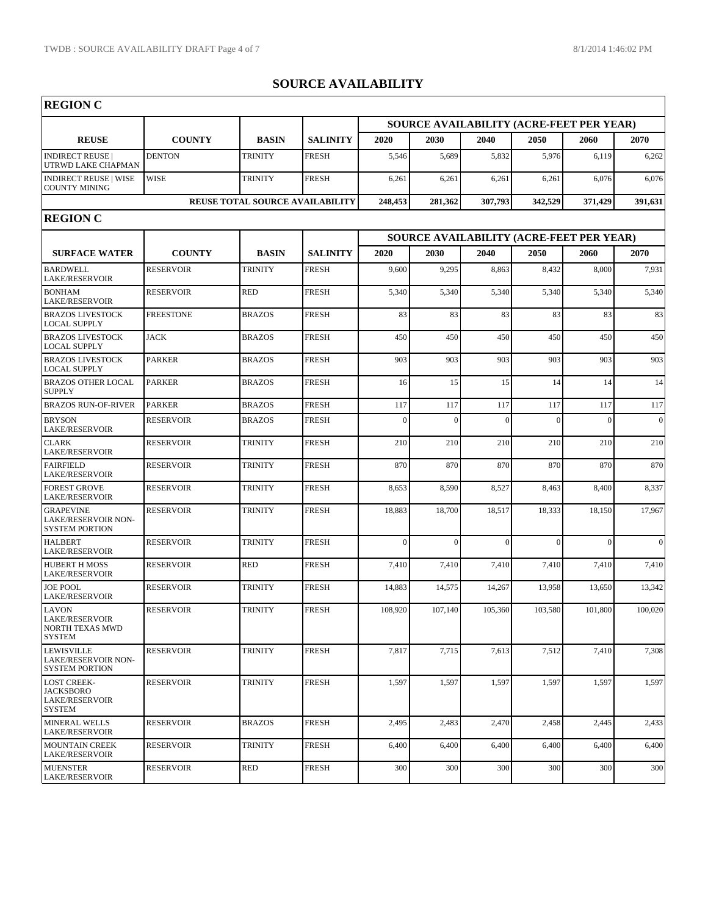| <b>REGION C</b>                                                                  |                  |                                        |                 |                                                 |          |          |          |                                          |                 |  |
|----------------------------------------------------------------------------------|------------------|----------------------------------------|-----------------|-------------------------------------------------|----------|----------|----------|------------------------------------------|-----------------|--|
|                                                                                  |                  |                                        |                 | <b>SOURCE AVAILABILITY (ACRE-FEET PER YEAR)</b> |          |          |          |                                          |                 |  |
| <b>REUSE</b>                                                                     | <b>COUNTY</b>    | <b>BASIN</b>                           | <b>SALINITY</b> | 2020                                            | 2030     | 2040     | 2050     | 2060                                     | 2070            |  |
| <b>INDIRECT REUSE</b><br>UTRWD LAKE CHAPMAN                                      | <b>DENTON</b>    | TRINITY                                | <b>FRESH</b>    | 5,546                                           | 5,689    | 5,832    | 5,976    | 6,119                                    | 6,262           |  |
| <b>INDIRECT REUSE   WISE</b><br><b>COUNTY MINING</b>                             | <b>WISE</b>      | <b>TRINITY</b>                         | <b>FRESH</b>    | 6,261                                           | 6,261    | 6,261    | 6,261    | 6,076                                    | 6,076           |  |
|                                                                                  |                  | <b>REUSE TOTAL SOURCE AVAILABILITY</b> |                 | 248,453                                         | 281,362  | 307,793  | 342,529  | 371,429                                  | 391,631         |  |
| <b>REGION C</b>                                                                  |                  |                                        |                 |                                                 |          |          |          |                                          |                 |  |
|                                                                                  |                  |                                        |                 |                                                 |          |          |          | SOURCE AVAILABILITY (ACRE-FEET PER YEAR) |                 |  |
| <b>SURFACE WATER</b>                                                             | <b>COUNTY</b>    | <b>BASIN</b>                           | <b>SALINITY</b> | 2020                                            | 2030     | 2040     | 2050     | 2060                                     | 2070            |  |
| <b>BARDWELL</b><br><b>LAKE/RESERVOIR</b>                                         | <b>RESERVOIR</b> | <b>TRINITY</b>                         | <b>FRESH</b>    | 9,600                                           | 9,295    | 8,863    | 8,432    | 8,000                                    | 7,931           |  |
| <b>BONHAM</b><br><b>LAKE/RESERVOIR</b>                                           | <b>RESERVOIR</b> | <b>RED</b>                             | <b>FRESH</b>    | 5,340                                           | 5,340    | 5,340    | 5,340    | 5,340                                    | 5,340           |  |
| <b>BRAZOS LIVESTOCK</b><br><b>LOCAL SUPPLY</b>                                   | <b>FREESTONE</b> | <b>BRAZOS</b>                          | <b>FRESH</b>    | 83                                              | 83       | 83       | 83       | 83                                       | 83              |  |
| <b>BRAZOS LIVESTOCK</b><br><b>LOCAL SUPPLY</b>                                   | <b>JACK</b>      | <b>BRAZOS</b>                          | <b>FRESH</b>    | 450                                             | 450      | 450      | 450      | 450                                      | 450             |  |
| <b>BRAZOS LIVESTOCK</b><br><b>LOCAL SUPPLY</b>                                   | <b>PARKER</b>    | <b>BRAZOS</b>                          | <b>FRESH</b>    | 903                                             | 903      | 903      | 903      | 903                                      | 903             |  |
| <b>BRAZOS OTHER LOCAL</b><br><b>SUPPLY</b>                                       | <b>PARKER</b>    | <b>BRAZOS</b>                          | <b>FRESH</b>    | 16                                              | 15       | 15       | 14       | 14                                       | 14              |  |
| <b>BRAZOS RUN-OF-RIVER</b>                                                       | <b>PARKER</b>    | <b>BRAZOS</b>                          | <b>FRESH</b>    | 117                                             | 117      | 117      | 117      | 117                                      | 117             |  |
| <b>BRYSON</b><br><b>LAKE/RESERVOIR</b>                                           | <b>RESERVOIR</b> | <b>BRAZOS</b>                          | <b>FRESH</b>    | $\theta$                                        | $\Omega$ | $\Omega$ | $\Omega$ | $\theta$                                 | $\vert 0 \vert$ |  |
| <b>CLARK</b><br><b>LAKE/RESERVOIR</b>                                            | <b>RESERVOIR</b> | <b>TRINITY</b>                         | <b>FRESH</b>    | 210                                             | 210      | 210      | 210      | 210                                      | 210             |  |
| <b>FAIRFIELD</b><br><b>LAKE/RESERVOIR</b>                                        | <b>RESERVOIR</b> | <b>TRINITY</b>                         | <b>FRESH</b>    | 870                                             | 870      | 870      | 870      | 870                                      | 870             |  |
| <b>FOREST GROVE</b><br><b>LAKE/RESERVOIR</b>                                     | <b>RESERVOIR</b> | <b>TRINITY</b>                         | <b>FRESH</b>    | 8,653                                           | 8,590    | 8,527    | 8,463    | 8,400                                    | 8,337           |  |
| <b>GRAPEVINE</b><br>LAKE/RESERVOIR NON-<br><b>SYSTEM PORTION</b>                 | <b>RESERVOIR</b> | <b>TRINITY</b>                         | <b>FRESH</b>    | 18,883                                          | 18,700   | 18,517   | 18,333   | 18,150                                   | 17,967          |  |
| <b>HALBERT</b><br><b>LAKE/RESERVOIR</b>                                          | <b>RESERVOIR</b> | <b>TRINITY</b>                         | <b>FRESH</b>    | $\overline{0}$                                  | $\Omega$ | $\Omega$ | $\Omega$ | $\theta$                                 | $\vert$ 0       |  |
| <b>HUBERT H MOSS</b><br><b>LAKE/RESERVOIR</b>                                    | <b>RESERVOIR</b> | <b>RED</b>                             | <b>FRESH</b>    | 7,410                                           | 7,410    | 7,410    | 7,410    | 7,410                                    | 7,410           |  |
| <b>JOE POOL</b><br><b>LAKE/RESERVOIR</b>                                         | <b>RESERVOIR</b> | <b>TRINITY</b>                         | <b>FRESH</b>    | 14,883                                          | 14,575   | 14,267   | 13,958   | 13,650                                   | 13,342          |  |
| <b>LAVON</b><br>LAKE/RESERVOIR<br><b>NORTH TEXAS MWD</b><br><b>SYSTEM</b>        | <b>RESERVOIR</b> | <b>TRINITY</b>                         | <b>FRESH</b>    | 108,920                                         | 107,140  | 105,360  | 103,580  | 101,800                                  | 100,020         |  |
| <b>LEWISVILLE</b><br><b>LAKE/RESERVOIR NON-</b><br><b>SYSTEM PORTION</b>         | <b>RESERVOIR</b> | <b>TRINITY</b>                         | <b>FRESH</b>    | 7,817                                           | 7,715    | 7,613    | 7,512    | 7,410                                    | 7,308           |  |
| <b>LOST CREEK-</b><br><b>JACKSBORO</b><br><b>LAKE/RESERVOIR</b><br><b>SYSTEM</b> | <b>RESERVOIR</b> | <b>TRINITY</b>                         | <b>FRESH</b>    | 1,597                                           | 1,597    | 1,597    | 1,597    | 1,597                                    | 1,597           |  |
| <b>MINERAL WELLS</b><br><b>LAKE/RESERVOIR</b>                                    | <b>RESERVOIR</b> | <b>BRAZOS</b>                          | <b>FRESH</b>    | 2,495                                           | 2,483    | 2,470    | 2,458    | 2,445                                    | 2,433           |  |
| <b>MOUNTAIN CREEK</b><br><b>LAKE/RESERVOIR</b>                                   | <b>RESERVOIR</b> | <b>TRINITY</b>                         | <b>FRESH</b>    | 6,400                                           | 6,400    | 6,400    | 6,400    | 6,400                                    | 6,400           |  |
| <b>MUENSTER</b><br><b>LAKE/RESERVOIR</b>                                         | <b>RESERVOIR</b> | <b>RED</b>                             | <b>FRESH</b>    | 300                                             | 300      | 300      | 300      | 300                                      | 300             |  |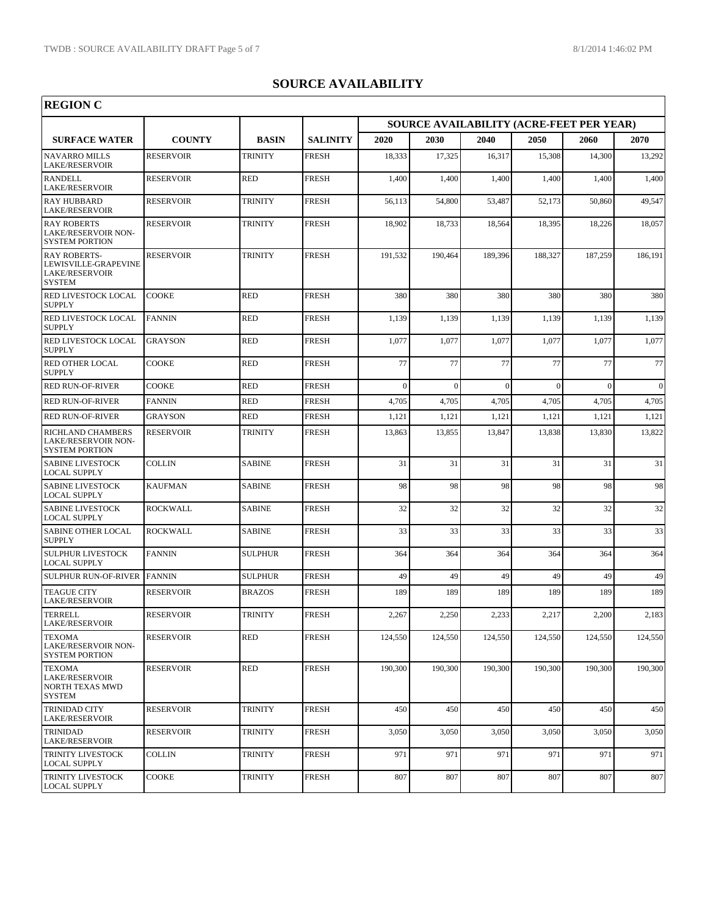٦

| <b>REGION C</b>                                                                   |                  |                |                 |          |                                          |          |              |          |                 |
|-----------------------------------------------------------------------------------|------------------|----------------|-----------------|----------|------------------------------------------|----------|--------------|----------|-----------------|
|                                                                                   |                  |                |                 |          | SOURCE AVAILABILITY (ACRE-FEET PER YEAR) |          |              |          |                 |
| <b>SURFACE WATER</b>                                                              | <b>COUNTY</b>    | <b>BASIN</b>   | <b>SALINITY</b> | 2020     | 2030                                     | 2040     | 2050         | 2060     | 2070            |
| <b>NAVARRO MILLS</b><br><b>LAKE/RESERVOIR</b>                                     | <b>RESERVOIR</b> | <b>TRINITY</b> | <b>FRESH</b>    | 18,333   | 17,325                                   | 16,317   | 15,308       | 14,300   | 13,292          |
| <b>RANDELL</b><br><b>LAKE/RESERVOIR</b>                                           | <b>RESERVOIR</b> | <b>RED</b>     | <b>FRESH</b>    | 1,400    | 1,400                                    | 1,400    | 1,400        | 1,400    | 1,400           |
| <b>RAY HUBBARD</b><br><b>LAKE/RESERVOIR</b>                                       | <b>RESERVOIR</b> | <b>TRINITY</b> | <b>FRESH</b>    | 56,113   | 54,800                                   | 53,487   | 52,173       | 50,860   | 49,547          |
| <b>RAY ROBERTS</b><br><b>LAKE/RESERVOIR NON-</b><br><b>SYSTEM PORTION</b>         | <b>RESERVOIR</b> | <b>TRINITY</b> | <b>FRESH</b>    | 18,902   | 18,733                                   | 18,564   | 18,395       | 18,226   | 18,057          |
| <b>RAY ROBERTS-</b><br>LEWISVILLE-GRAPEVINE<br>LAKE/RESERVOIR<br><b>SYSTEM</b>    | <b>RESERVOIR</b> | <b>TRINITY</b> | <b>FRESH</b>    | 191,532  | 190,464                                  | 189,396  | 188,327      | 187,259  | 186,191         |
| RED LIVESTOCK LOCAL<br><b>SUPPLY</b>                                              | <b>COOKE</b>     | <b>RED</b>     | <b>FRESH</b>    | 380      | 380                                      | 380      | 380          | 380      | 380             |
| RED LIVESTOCK LOCAL<br><b>SUPPLY</b>                                              | <b>FANNIN</b>    | <b>RED</b>     | <b>FRESH</b>    | 1,139    | 1,139                                    | 1,139    | 1,139        | 1,139    | 1,139           |
| RED LIVESTOCK LOCAL<br><b>SUPPLY</b>                                              | <b>GRAYSON</b>   | <b>RED</b>     | <b>FRESH</b>    | 1,077    | 1,077                                    | 1,077    | 1,077        | 1,077    | 1,077           |
| RED OTHER LOCAL<br><b>SUPPLY</b>                                                  | COOKE            | <b>RED</b>     | <b>FRESH</b>    | 77       | 77                                       | 77       | 77           | 77       | 77              |
| <b>RED RUN-OF-RIVER</b>                                                           | <b>COOKE</b>     | <b>RED</b>     | <b>FRESH</b>    | $\theta$ | $\sqrt{ }$                               | $\Omega$ | $\mathbf{0}$ | $\Omega$ | $\vert 0 \vert$ |
| <b>RED RUN-OF-RIVER</b>                                                           | <b>FANNIN</b>    | <b>RED</b>     | <b>FRESH</b>    | 4.705    | 4,705                                    | 4,705    | 4,705        | 4,705    | 4,705           |
| <b>RED RUN-OF-RIVER</b>                                                           | <b>GRAYSON</b>   | <b>RED</b>     | <b>FRESH</b>    | 1,121    | 1,121                                    | 1,121    | 1,121        | 1,121    | 1,121           |
| RICHLAND CHAMBERS<br>LAKE/RESERVOIR NON-<br><b>SYSTEM PORTION</b>                 | <b>RESERVOIR</b> | <b>TRINITY</b> | <b>FRESH</b>    | 13,863   | 13,855                                   | 13,847   | 13,838       | 13,830   | 13,822          |
| <b>SABINE LIVESTOCK</b><br><b>LOCAL SUPPLY</b>                                    | <b>COLLIN</b>    | <b>SABINE</b>  | <b>FRESH</b>    | 31       | 31                                       | 31       | 31           | 31       | 31              |
| <b>SABINE LIVESTOCK</b><br>LOCAL SUPPLY                                           | <b>KAUFMAN</b>   | <b>SABINE</b>  | <b>FRESH</b>    | 98       | 98                                       | 98       | 98           | 98       | 98              |
| <b>SABINE LIVESTOCK</b><br><b>LOCAL SUPPLY</b>                                    | <b>ROCKWALL</b>  | <b>SABINE</b>  | <b>FRESH</b>    | 32       | 32                                       | 32       | 32           | 32       | 32              |
| <b>SABINE OTHER LOCAL</b><br><b>SUPPLY</b>                                        | <b>ROCKWALL</b>  | <b>SABINE</b>  | <b>FRESH</b>    | 33       | 33                                       | 33       | 33           | 33       | 33              |
| <b>SULPHUR LIVESTOCK</b><br><b>LOCAL SUPPLY</b>                                   | <b>FANNIN</b>    | <b>SULPHUR</b> | <b>FRESH</b>    | 364      | 364                                      | 364      | 364          | 364      | 364             |
| <b>SULPHUR RUN-OF-RIVER</b>                                                       | <b>FANNIN</b>    | <b>SULPHUR</b> | <b>FRESH</b>    | 49       | 49                                       | 49       | 49           | 49       | 49              |
| <b>TEAGUE CITY</b><br><b>LAKE/RESERVOIR</b>                                       | <b>RESERVOIR</b> | <b>BRAZOS</b>  | <b>FRESH</b>    | 189      | 189                                      | 189      | 189          | 189      | 189             |
| TERRELL<br><b>LAKE/RESERVOIR</b>                                                  | <b>RESERVOIR</b> | TRINITY        | <b>FRESH</b>    | 2,267    | 2,250                                    | 2,233    | 2,217        | 2,200    | 2,183           |
| <b>TEXOMA</b><br>LAKE/RESERVOIR NON-<br><b>SYSTEM PORTION</b>                     | <b>RESERVOIR</b> | <b>RED</b>     | <b>FRESH</b>    | 124,550  | 124,550                                  | 124,550  | 124,550      | 124,550  | 124,550         |
| <b>TEXOMA</b><br><b>LAKE/RESERVOIR</b><br><b>NORTH TEXAS MWD</b><br><b>SYSTEM</b> | RESERVOIR        | <b>RED</b>     | <b>FRESH</b>    | 190,300  | 190,300                                  | 190,300  | 190,300      | 190,300  | 190,300         |
| <b>TRINIDAD CITY</b><br><b>LAKE/RESERVOIR</b>                                     | <b>RESERVOIR</b> | <b>TRINITY</b> | <b>FRESH</b>    | 450      | 450                                      | 450      | 450          | 450      | 450             |
| TRINIDAD<br>LAKE/RESERVOIR                                                        | RESERVOIR        | <b>TRINITY</b> | <b>FRESH</b>    | 3,050    | 3,050                                    | 3,050    | 3,050        | 3,050    | 3,050           |
| TRINITY LIVESTOCK<br><b>LOCAL SUPPLY</b>                                          | COLLIN           | <b>TRINITY</b> | <b>FRESH</b>    | 971      | 971                                      | 971      | 971          | 971      | 971             |
| TRINITY LIVESTOCK<br><b>LOCAL SUPPLY</b>                                          | COOKE            | <b>TRINITY</b> | FRESH           | 807      | 807                                      | 807      | 807          | 807      | 807             |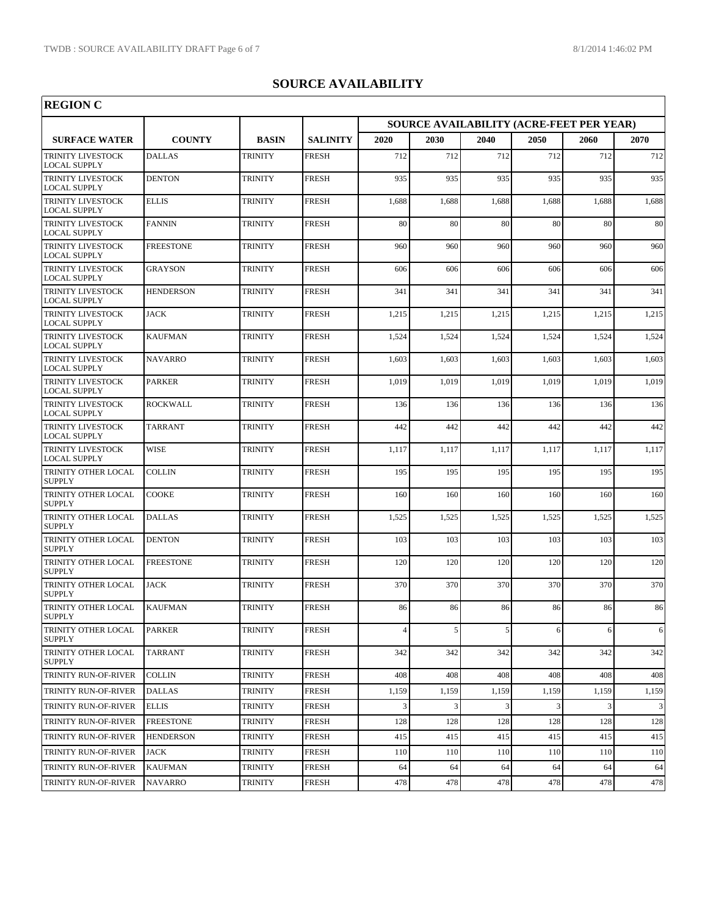| <b>REGION C</b>                                 |                  |                |                 |                                                 |       |       |       |       |           |
|-------------------------------------------------|------------------|----------------|-----------------|-------------------------------------------------|-------|-------|-------|-------|-----------|
|                                                 |                  |                |                 | <b>SOURCE AVAILABILITY (ACRE-FEET PER YEAR)</b> |       |       |       |       |           |
| <b>SURFACE WATER</b>                            | <b>COUNTY</b>    | <b>BASIN</b>   | <b>SALINITY</b> | 2020                                            | 2030  | 2040  | 2050  | 2060  | 2070      |
| TRINITY LIVESTOCK<br><b>LOCAL SUPPLY</b>        | <b>DALLAS</b>    | <b>TRINITY</b> | <b>FRESH</b>    | 712                                             | 712   | 712   | 712   | 712   | 712       |
| TRINITY LIVESTOCK<br><b>LOCAL SUPPLY</b>        | <b>DENTON</b>    | <b>TRINITY</b> | <b>FRESH</b>    | 935                                             | 935   | 935   | 935   | 935   | 935       |
| TRINITY LIVESTOCK<br><b>LOCAL SUPPLY</b>        | <b>ELLIS</b>     | <b>TRINITY</b> | <b>FRESH</b>    | 1,688                                           | 1,688 | 1,688 | 1,688 | 1,688 | 1,688     |
| TRINITY LIVESTOCK<br><b>LOCAL SUPPLY</b>        | <b>FANNIN</b>    | <b>TRINITY</b> | <b>FRESH</b>    | 80                                              | 80    | 80    | 80    | 80    | 80        |
| TRINITY LIVESTOCK<br><b>LOCAL SUPPLY</b>        | <b>FREESTONE</b> | <b>TRINITY</b> | <b>FRESH</b>    | 960                                             | 960   | 960   | 960   | 960   | 960       |
| TRINITY LIVESTOCK<br><b>LOCAL SUPPLY</b>        | <b>GRAYSON</b>   | <b>TRINITY</b> | <b>FRESH</b>    | 606                                             | 606   | 606   | 606   | 606   | 606       |
| <b>TRINITY LIVESTOCK</b><br><b>LOCAL SUPPLY</b> | <b>HENDERSON</b> | <b>TRINITY</b> | <b>FRESH</b>    | 341                                             | 341   | 341   | 341   | 341   | 341       |
| TRINITY LIVESTOCK<br><b>LOCAL SUPPLY</b>        | <b>JACK</b>      | <b>TRINITY</b> | <b>FRESH</b>    | 1,215                                           | 1,215 | 1,215 | 1,215 | 1,215 | 1,215     |
| TRINITY LIVESTOCK<br><b>LOCAL SUPPLY</b>        | <b>KAUFMAN</b>   | <b>TRINITY</b> | <b>FRESH</b>    | 1,524                                           | 1,524 | 1,524 | 1,524 | 1,524 | 1,524     |
| TRINITY LIVESTOCK<br><b>LOCAL SUPPLY</b>        | <b>NAVARRO</b>   | <b>TRINITY</b> | <b>FRESH</b>    | 1,603                                           | 1,603 | 1,603 | 1,603 | 1,603 | 1,603     |
| TRINITY LIVESTOCK<br>LOCAL SUPPLY               | <b>PARKER</b>    | <b>TRINITY</b> | <b>FRESH</b>    | 1,019                                           | 1,019 | 1,019 | 1,019 | 1,019 | 1,019     |
| TRINITY LIVESTOCK<br><b>LOCAL SUPPLY</b>        | <b>ROCKWALL</b>  | <b>TRINITY</b> | <b>FRESH</b>    | 136                                             | 136   | 136   | 136   | 136   | 136       |
| TRINITY LIVESTOCK<br><b>LOCAL SUPPLY</b>        | <b>TARRANT</b>   | <b>TRINITY</b> | <b>FRESH</b>    | 442                                             | 442   | 442   | 442   | 442   | 442       |
| TRINITY LIVESTOCK<br><b>LOCAL SUPPLY</b>        | <b>WISE</b>      | <b>TRINITY</b> | <b>FRESH</b>    | 1,117                                           | 1,117 | 1,117 | 1,117 | 1,117 | 1,117     |
| TRINITY OTHER LOCAL<br><b>SUPPLY</b>            | <b>COLLIN</b>    | <b>TRINITY</b> | <b>FRESH</b>    | 195                                             | 195   | 195   | 195   | 195   | 195       |
| TRINITY OTHER LOCAL<br><b>SUPPLY</b>            | COOKE            | <b>TRINITY</b> | <b>FRESH</b>    | 160                                             | 160   | 160   | 160   | 160   | 160       |
| TRINITY OTHER LOCAL<br><b>SUPPLY</b>            | <b>DALLAS</b>    | <b>TRINITY</b> | <b>FRESH</b>    | 1,525                                           | 1,525 | 1,525 | 1,525 | 1,525 | 1,525     |
| TRINITY OTHER LOCAL<br><b>SUPPLY</b>            | <b>DENTON</b>    | <b>TRINITY</b> | <b>FRESH</b>    | 103                                             | 103   | 103   | 103   | 103   | 103       |
| TRINITY OTHER LOCAL<br><b>SUPPLY</b>            | <b>FREESTONE</b> | <b>TRINITY</b> | <b>FRESH</b>    | 120                                             | 120   | 120   | 120   | 120   | 120       |
| TRINITY OTHER LOCAL<br><b>SUPPLY</b>            | <b>JACK</b>      | <b>TRINITY</b> | <b>FRESH</b>    | 370                                             | 370   | 370   | 370   | 370   | 370       |
| TRINITY OTHER LOCAL<br><b>SUPPLY</b>            | <b>KAUFMAN</b>   | <b>TRINITY</b> | <b>FRESH</b>    | 86                                              | 86    | 86    | 86    | 86    | 86        |
| TRINITY OTHER LOCAL<br><b>SUPPLY</b>            | PARKER           | <b>TRINITY</b> | <b>FRESH</b>    | $\overline{4}$                                  | 5     | 5     | 6     | 6     | 6         |
| TRINITY OTHER LOCAL<br><b>SUPPLY</b>            | <b>TARRANT</b>   | <b>TRINITY</b> | <b>FRESH</b>    | 342                                             | 342   | 342   | 342   | 342   | 342       |
| TRINITY RUN-OF-RIVER                            | COLLIN           | <b>TRINITY</b> | <b>FRESH</b>    | 408                                             | 408   | 408   | 408   | 408   | 408       |
| TRINITY RUN-OF-RIVER                            | <b>DALLAS</b>    | <b>TRINITY</b> | <b>FRESH</b>    | 1,159                                           | 1,159 | 1,159 | 1,159 | 1,159 | 1,159     |
| TRINITY RUN-OF-RIVER                            | <b>ELLIS</b>     | <b>TRINITY</b> | <b>FRESH</b>    | 3                                               | 3     | 3     | 3     | 3     | $\vert$ 3 |
| TRINITY RUN-OF-RIVER                            | <b>FREESTONE</b> | <b>TRINITY</b> | <b>FRESH</b>    | 128                                             | 128   | 128   | 128   | 128   | 128       |
| TRINITY RUN-OF-RIVER                            | <b>HENDERSON</b> | <b>TRINITY</b> | <b>FRESH</b>    | 415                                             | 415   | 415   | 415   | 415   | 415       |
| TRINITY RUN-OF-RIVER                            | JACK             | <b>TRINITY</b> | <b>FRESH</b>    | 110                                             | 110   | 110   | 110   | 110   | 110       |
| TRINITY RUN-OF-RIVER                            | <b>KAUFMAN</b>   | <b>TRINITY</b> | <b>FRESH</b>    | 64                                              | 64    | 64    | 64    | 64    | 64        |
| TRINITY RUN-OF-RIVER                            | <b>NAVARRO</b>   | <b>TRINITY</b> | <b>FRESH</b>    | 478                                             | 478   | 478   | 478   | 478   | 478       |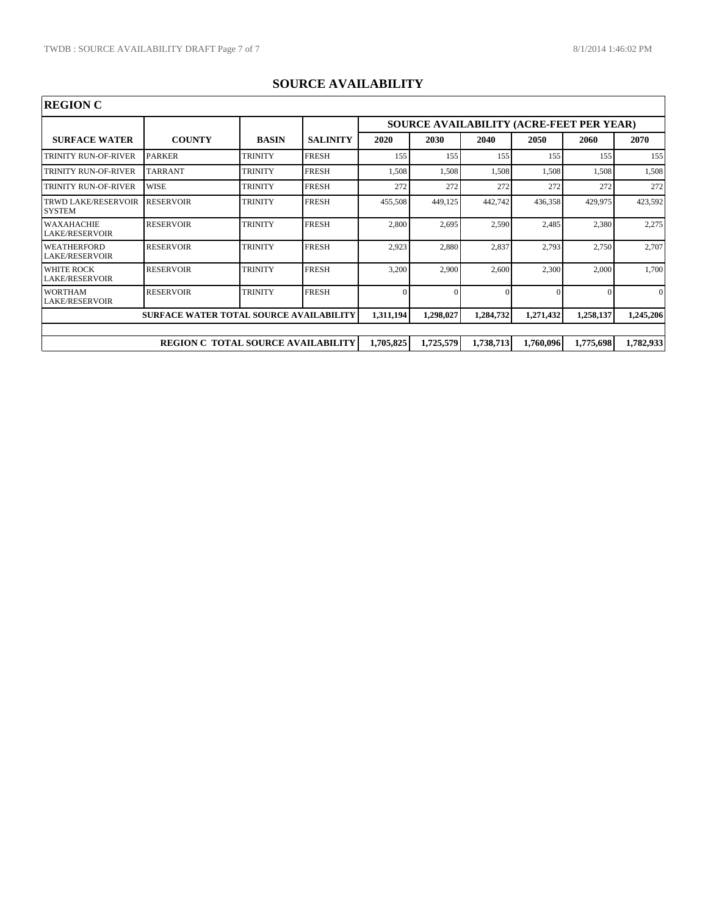| <b>REGION C</b>                                |                                           |                |                 |           |           |                                                 |           |           |           |  |
|------------------------------------------------|-------------------------------------------|----------------|-----------------|-----------|-----------|-------------------------------------------------|-----------|-----------|-----------|--|
|                                                |                                           |                |                 |           |           | <b>SOURCE AVAILABILITY (ACRE-FEET PER YEAR)</b> |           |           |           |  |
| <b>SURFACE WATER</b>                           | <b>COUNTY</b>                             | <b>BASIN</b>   | <b>SALINITY</b> | 2020      | 2030      | 2040                                            | 2050      | 2060      | 2070      |  |
| TRINITY RUN-OF-RIVER                           | <b>PARKER</b>                             | <b>TRINITY</b> | <b>FRESH</b>    | 155       | 155       | 155                                             | 155       | 155       | 155       |  |
| <b>TRINITY RUN-OF-RIVER</b>                    | <b>TARRANT</b>                            | <b>TRINITY</b> | <b>FRESH</b>    | 1,508     | 1,508     | 1,508                                           | 1,508     | 1,508     | 1,508     |  |
| TRINITY RUN-OF-RIVER                           | <b>WISE</b>                               | <b>TRINITY</b> | <b>FRESH</b>    | 272       | 272       | 272                                             | 272       | 272       | 272       |  |
| <b>TRWD LAKE/RESERVOIR</b><br><b>SYSTEM</b>    | <b>RESERVOIR</b>                          | <b>TRINITY</b> | <b>FRESH</b>    | 455,508   | 449,125   | 442,742                                         | 436,358   | 429,975   | 423,592   |  |
| WAXAHACHIE<br><b>LAKE/RESERVOIR</b>            | <b>RESERVOIR</b>                          | <b>TRINITY</b> | <b>FRESH</b>    | 2,800     | 2,695     | 2,590                                           | 2,485     | 2,380     | 2,275     |  |
| <b>WEATHERFORD</b><br>LAKE/RESERVOIR           | <b>RESERVOIR</b>                          | <b>TRINITY</b> | <b>FRESH</b>    | 2,923     | 2,880     | 2,837                                           | 2,793     | 2,750     | 2,707     |  |
| <b>WHITE ROCK</b><br><b>LAKE/RESERVOIR</b>     | <b>RESERVOIR</b>                          | <b>TRINITY</b> | <b>FRESH</b>    | 3,200     | 2,900     | 2,600                                           | 2,300     | 2,000     | 1,700     |  |
| <b>WORTHAM</b><br><b>LAKE/RESERVOIR</b>        | <b>RESERVOIR</b>                          | <b>TRINITY</b> | <b>FRESH</b>    | 0         |           | $\Omega$                                        |           |           | $\Omega$  |  |
| <b>SURFACE WATER TOTAL SOURCE AVAILABILITY</b> |                                           |                |                 | 1,311,194 | 1,298,027 | 1,284,732                                       | 1,271,432 | 1,258,137 | 1,245,206 |  |
|                                                |                                           |                |                 |           |           |                                                 |           |           |           |  |
|                                                | <b>REGION C TOTAL SOURCE AVAILABILITY</b> |                |                 | 1,705,825 | 1,725,579 | 1,738,713                                       | 1,760,096 | 1,775,698 | 1,782,933 |  |

## **SOURCE AVAILABILITY**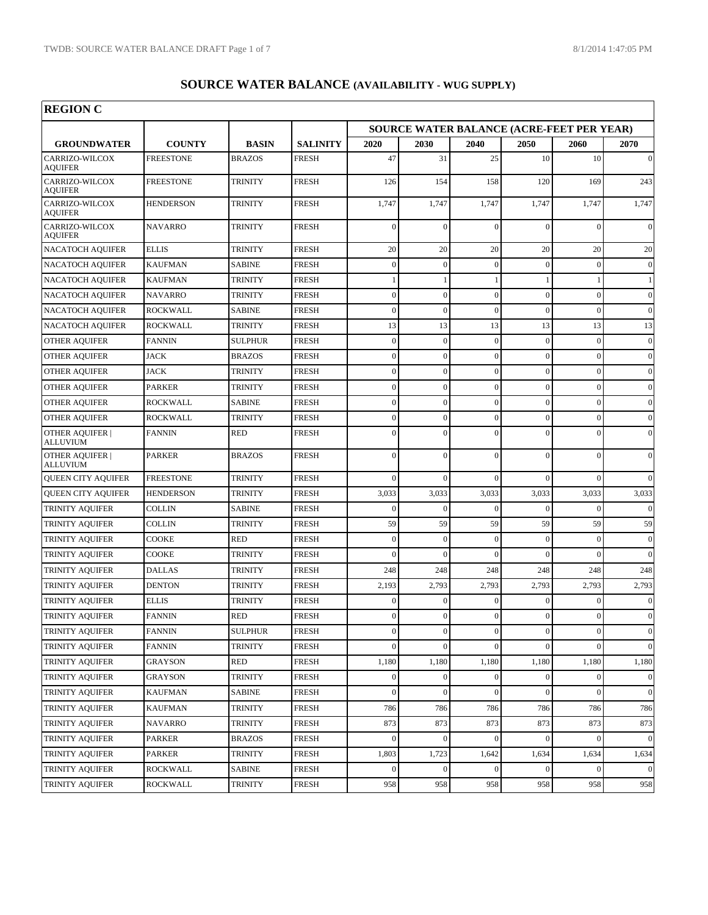| <b>REGION C</b>                           |                  |                |                 |                                                  |                  |                  |                  |                  |                  |  |  |
|-------------------------------------------|------------------|----------------|-----------------|--------------------------------------------------|------------------|------------------|------------------|------------------|------------------|--|--|
|                                           |                  |                |                 | <b>SOURCE WATER BALANCE (ACRE-FEET PER YEAR)</b> |                  |                  |                  |                  |                  |  |  |
| <b>GROUNDWATER</b>                        | <b>COUNTY</b>    | <b>BASIN</b>   | <b>SALINITY</b> | 2020                                             | 2030             | 2040             | 2050             | 2060             | 2070             |  |  |
| CARRIZO-WILCOX<br><b>AOUIFER</b>          | <b>FREESTONE</b> | <b>BRAZOS</b>  | <b>FRESH</b>    | 47                                               | 31               | 25               | 10               | 10               | $\mathbf{0}$     |  |  |
| CARRIZO-WILCOX<br><b>AQUIFER</b>          | <b>FREESTONE</b> | <b>TRINITY</b> | <b>FRESH</b>    | 126                                              | 154              | 158              | 120              | 169              | 243              |  |  |
| CARRIZO-WILCOX<br><b>AQUIFER</b>          | <b>HENDERSON</b> | <b>TRINITY</b> | <b>FRESH</b>    | 1,747                                            | 1,747            | 1,747            | 1,747            | 1,747            | 1,747            |  |  |
| CARRIZO-WILCOX<br><b>AQUIFER</b>          | <b>NAVARRO</b>   | <b>TRINITY</b> | <b>FRESH</b>    | $\mathbf{0}$                                     | $\Omega$         | $\mathbf{0}$     | $\Omega$         | $\Omega$         | $\Omega$         |  |  |
| <b>NACATOCH AQUIFER</b>                   | <b>ELLIS</b>     | <b>TRINITY</b> | <b>FRESH</b>    | 20                                               | 20               | 20               | 20               | 20               | 20               |  |  |
| <b>NACATOCH AQUIFER</b>                   | <b>KAUFMAN</b>   | <b>SABINE</b>  | <b>FRESH</b>    | $\boldsymbol{0}$                                 | $\mathbf{0}$     | $\mathbf{0}$     | $\Omega$         | $\mathbf{0}$     | $\mathbf{0}$     |  |  |
| <b>NACATOCH AQUIFER</b>                   | <b>KAUFMAN</b>   | <b>TRINITY</b> | <b>FRESH</b>    | 1                                                |                  | 1                |                  |                  | $\mathbf{1}$     |  |  |
| <b>NACATOCH AQUIFER</b>                   | <b>NAVARRO</b>   | <b>TRINITY</b> | <b>FRESH</b>    | $\boldsymbol{0}$                                 | $\mathbf{0}$     | $\overline{0}$   | $\theta$         | $\mathbf{0}$     | $\mathbf{0}$     |  |  |
| <b>NACATOCH AQUIFER</b>                   | <b>ROCKWALL</b>  | <b>SABINE</b>  | <b>FRESH</b>    | $\overline{0}$                                   | $\Omega$         | $\overline{0}$   | $\Omega$         | $\Omega$         | $\mathbf{0}$     |  |  |
| <b>NACATOCH AQUIFER</b>                   | <b>ROCKWALL</b>  | TRINITY        | <b>FRESH</b>    | 13                                               | 13               | 13               | 13               | 13               | 13               |  |  |
| <b>OTHER AQUIFER</b>                      | <b>FANNIN</b>    | <b>SULPHUR</b> | <b>FRESH</b>    | $\boldsymbol{0}$                                 | $\mathbf{0}$     | $\mathbf{0}$     | $\theta$         | $\boldsymbol{0}$ | $\boldsymbol{0}$ |  |  |
| <b>OTHER AQUIFER</b>                      | <b>JACK</b>      | <b>BRAZOS</b>  | <b>FRESH</b>    | $\overline{0}$                                   | $\mathbf{0}$     | $\mathbf{0}$     | $\Omega$         | $\Omega$         | $\boldsymbol{0}$ |  |  |
| <b>OTHER AQUIFER</b>                      | <b>JACK</b>      | TRINITY        | <b>FRESH</b>    | $\boldsymbol{0}$                                 | $\mathbf{0}$     | $\overline{0}$   | $\theta$         | $\mathbf{0}$     | $\boldsymbol{0}$ |  |  |
| <b>OTHER AQUIFER</b>                      | <b>PARKER</b>    | <b>TRINITY</b> | <b>FRESH</b>    | $\overline{0}$                                   | $\Omega$         | $\overline{0}$   | $\Omega$         | $\mathbf{0}$     | $\mathbf{0}$     |  |  |
| <b>OTHER AQUIFER</b>                      | <b>ROCKWALL</b>  | SABINE         | <b>FRESH</b>    | $\boldsymbol{0}$                                 | $\mathbf{0}$     | $\overline{0}$   | $\overline{0}$   | $\mathbf{0}$     | $\boldsymbol{0}$ |  |  |
| OTHER AQUIFER                             | ROCKWALL         | <b>TRINITY</b> | <b>FRESH</b>    | $\overline{0}$                                   | $\mathbf{0}$     | $\overline{0}$   | $\Omega$         | $\mathbf{0}$     | $\mathbf{0}$     |  |  |
| <b>OTHER AOUIFER  </b><br><b>ALLUVIUM</b> | <b>FANNIN</b>    | <b>RED</b>     | <b>FRESH</b>    | $\overline{0}$                                   | $\Omega$         | $\overline{0}$   | $\Omega$         | $\mathbf{0}$     | $\mathbf{0}$     |  |  |
| <b>OTHER AQUIFER  </b><br><b>ALLUVIUM</b> | <b>PARKER</b>    | <b>BRAZOS</b>  | <b>FRESH</b>    | $\overline{0}$                                   | $\theta$         | $\overline{0}$   | $\Omega$         | $\mathbf{0}$     | $\Omega$         |  |  |
| <b>QUEEN CITY AQUIFER</b>                 | <b>FREESTONE</b> | <b>TRINITY</b> | <b>FRESH</b>    | $\mathbf{0}$                                     | $\mathbf{0}$     | $\overline{0}$   | $\theta$         | $\mathbf{0}$     | $\mathbf{0}$     |  |  |
| <b>QUEEN CITY AQUIFER</b>                 | <b>HENDERSON</b> | <b>TRINITY</b> | <b>FRESH</b>    | 3,033                                            | 3,033            | 3,033            | 3,033            | 3,033            | 3,033            |  |  |
| TRINITY AQUIFER                           | <b>COLLIN</b>    | <b>SABINE</b>  | <b>FRESH</b>    | $\mathbf{0}$                                     | $\Omega$         | $\mathbf{0}$     | $\Omega$         | $\Omega$         | $\mathbf{0}$     |  |  |
| TRINITY AQUIFER                           | <b>COLLIN</b>    | <b>TRINITY</b> | <b>FRESH</b>    | 59                                               | 59               | 59               | 59               | 59               | 59               |  |  |
| TRINITY AQUIFER                           | <b>COOKE</b>     | <b>RED</b>     | <b>FRESH</b>    | $\overline{0}$                                   | $\mathbf{0}$     | $\overline{0}$   | $\Omega$         | $\Omega$         | $\boldsymbol{0}$ |  |  |
| <b>TRINITY AQUIFER</b>                    | COOKE            | TRINITY        | <b>FRESH</b>    | $\mathbf{0}$                                     | $\Omega$         | $\theta$         | $\Omega$         | $\Omega$         | $\mathbf{0}$     |  |  |
| <b>TRINITY AQUIFER</b>                    | <b>DALLAS</b>    | <b>TRINITY</b> | <b>FRESH</b>    | 248                                              | 248              | 248              | 248              | 248              | 248              |  |  |
| TRINITY AQUIFER                           | <b>DENTON</b>    | <b>TRINITY</b> | <b>FRESH</b>    | 2,193                                            | 2,793            | 2,793            | 2,793            | 2,793            | 2,793            |  |  |
| TRINITY AQUIFER                           | <b>ELLIS</b>     | <b>TRINITY</b> | <b>FRESH</b>    | $\mathbf{0}$                                     | $\mathbf{0}$     | $\mathbf{0}$     | $\Omega$         | $\Omega$         | $\mathbf{0}$     |  |  |
| TRINITY AQUIFER                           | <b>FANNIN</b>    | <b>RED</b>     | <b>FRESH</b>    | $\mathbf{0}$                                     | $\Omega$         | $\mathbf{0}$     | $\Omega$         | $\Omega$         | $\Omega$         |  |  |
| <b>TRINITY AQUIFER</b>                    | <b>FANNIN</b>    | SULPHUR        | <b>FRESH</b>    | $\boldsymbol{0}$                                 | $\boldsymbol{0}$ | $\boldsymbol{0}$ | $\boldsymbol{0}$ | $\boldsymbol{0}$ | $\vert 0 \vert$  |  |  |
| <b>TRINITY AQUIFER</b>                    | <b>FANNIN</b>    | <b>TRINITY</b> | <b>FRESH</b>    | $\overline{0}$                                   | $\Omega$         | $\mathbf{0}$     | $\Omega$         | $\Omega$         | $\mathbf{0}$     |  |  |
| TRINITY AQUIFER                           | <b>GRAYSON</b>   | RED            | <b>FRESH</b>    | 1,180                                            | 1,180            | 1,180            | 1,180            | 1,180            | 1,180            |  |  |
| TRINITY AQUIFER                           | <b>GRAYSON</b>   | <b>TRINITY</b> | <b>FRESH</b>    | $\boldsymbol{0}$                                 | $\mathbf{0}$     | $\mathbf{0}$     | $\Omega$         |                  | $\mathbf{0}$     |  |  |
| TRINITY AQUIFER                           | KAUFMAN          | SABINE         | FRESH           | $\boldsymbol{0}$                                 | $\mathbf{0}$     | $\mathbf{0}$     | $\Omega$         | $\mathbf{0}$     | $\overline{0}$   |  |  |
| TRINITY AQUIFER                           | <b>KAUFMAN</b>   | TRINITY        | FRESH           | 786                                              | 786              | 786              | 786              | 786              | 786              |  |  |
| TRINITY AQUIFER                           | <b>NAVARRO</b>   | TRINITY        | <b>FRESH</b>    | 873                                              | 873              | 873              | 873              | 873              | 873              |  |  |
| TRINITY AQUIFER                           | <b>PARKER</b>    | <b>BRAZOS</b>  | <b>FRESH</b>    | $\vert 0 \vert$                                  | $\mathbf{0}$     | $\mathbf{0}$     | $\Omega$         | $\overline{0}$   | $\vert 0 \vert$  |  |  |
| TRINITY AQUIFER                           | <b>PARKER</b>    | <b>TRINITY</b> | <b>FRESH</b>    | 1,803                                            | 1,723            | 1,642            | 1,634            | 1,634            | 1,634            |  |  |
| <b>TRINITY AQUIFER</b>                    | <b>ROCKWALL</b>  | SABINE         | FRESH           | $\boldsymbol{0}$                                 | $\mathbf{0}$     | $\boldsymbol{0}$ | $\Omega$         | $\mathbf{0}$     | $\vert 0 \vert$  |  |  |
| TRINITY AQUIFER                           | ROCKWALL         | <b>TRINITY</b> | FRESH           | 958                                              | 958              | 958              | 958              | 958              | 958              |  |  |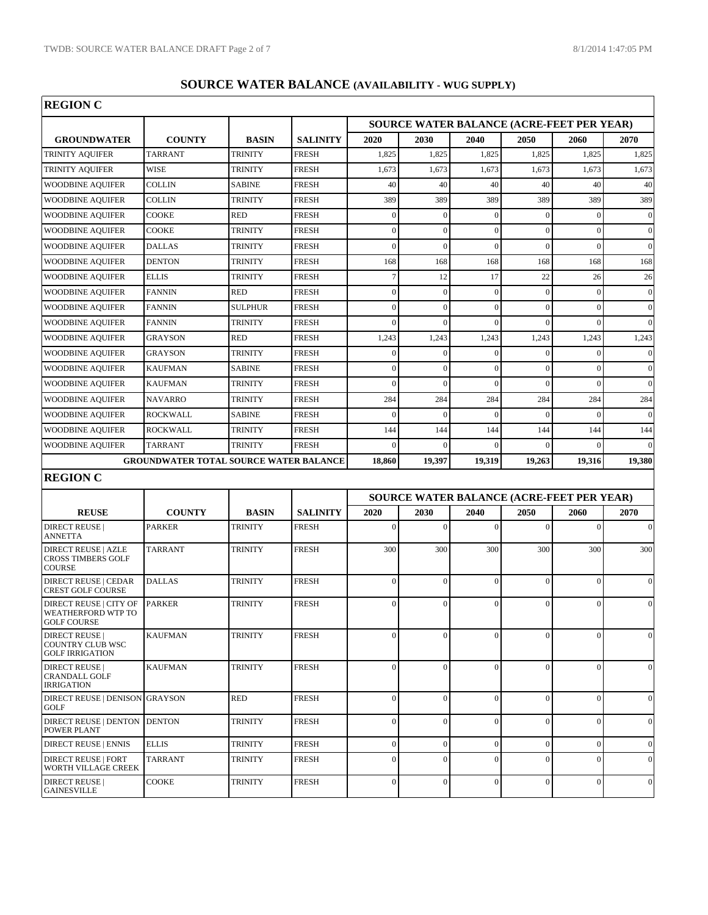| <b>REGION C</b>                                                                                       |                                               |                |                 |                  |              |                                           |                |                  |                 |
|-------------------------------------------------------------------------------------------------------|-----------------------------------------------|----------------|-----------------|------------------|--------------|-------------------------------------------|----------------|------------------|-----------------|
|                                                                                                       |                                               |                |                 |                  |              | SOURCE WATER BALANCE (ACRE-FEET PER YEAR) |                |                  |                 |
| <b>GROUNDWATER</b>                                                                                    | <b>COUNTY</b>                                 | <b>BASIN</b>   | <b>SALINITY</b> | 2020             | <b>2030</b>  | 2040                                      | 2050           | 2060             | 2070            |
| <b>TRINITY AQUIFER</b>                                                                                | <b>TARRANT</b>                                | <b>TRINITY</b> | <b>FRESH</b>    | 1,825            | 1,825        | 1,825                                     | 1,825          | 1,825            | 1,825           |
| <b>TRINITY AQUIFER</b>                                                                                | WISE                                          | TRINITY        | <b>FRESH</b>    | 1,673            | 1,673        | 1,673                                     | 1,673          | 1,673            | 1,673           |
| <b>WOODBINE AQUIFER</b>                                                                               | <b>COLLIN</b>                                 | <b>SABINE</b>  | <b>FRESH</b>    | 40               | 40           | 40                                        | 40             | 40               | 40              |
| <b>WOODBINE AQUIFER</b>                                                                               | <b>COLLIN</b>                                 | <b>TRINITY</b> | <b>FRESH</b>    | 389              | 389          | 389                                       | 389            | 389              | 389             |
| <b>WOODBINE AQUIFER</b>                                                                               | <b>COOKE</b>                                  | <b>RED</b>     | <b>FRESH</b>    | $\mathbf{0}$     | $\mathbf{0}$ | $\mathbf{0}$                              | $\theta$       | $\mathbf{0}$     | $\vert 0 \vert$ |
| <b>WOODBINE AQUIFER</b>                                                                               | <b>COOKE</b>                                  | <b>TRINITY</b> | <b>FRESH</b>    | $\overline{0}$   | $\mathbf{0}$ | $\overline{0}$                            | $\Omega$       | $\mathbf{0}$     | $\vert 0 \vert$ |
| <b>WOODBINE AQUIFER</b>                                                                               | <b>DALLAS</b>                                 | TRINITY        | <b>FRESH</b>    | $\mathbf{0}$     | $\mathbf{0}$ | $\overline{0}$                            | $\Omega$       | $\mathbf{0}$     | $\vert 0 \vert$ |
| <b>WOODBINE AQUIFER</b>                                                                               | <b>DENTON</b>                                 | <b>TRINITY</b> | <b>FRESH</b>    | 168              | 168          | 168                                       | 168            | 168              | 168             |
| <b>WOODBINE AQUIFER</b>                                                                               | <b>ELLIS</b>                                  | <b>TRINITY</b> | <b>FRESH</b>    | $\tau$           | 12           | 17                                        | 22             | 26               | 26              |
| <b>WOODBINE AQUIFER</b>                                                                               | <b>FANNIN</b>                                 | <b>RED</b>     | <b>FRESH</b>    | $\mathbf{0}$     | $\mathbf{0}$ | $\mathbf{0}$                              | $\Omega$       | $\mathbf{0}$     | $\vert 0 \vert$ |
| <b>WOODBINE AQUIFER</b>                                                                               | <b>FANNIN</b>                                 | <b>SULPHUR</b> | <b>FRESH</b>    | $\overline{0}$   | $\Omega$     | $\overline{0}$                            | $\Omega$       | $\mathbf{0}$     | $\vert 0 \vert$ |
| <b>WOODBINE AQUIFER</b>                                                                               | <b>FANNIN</b>                                 | TRINITY        | <b>FRESH</b>    | $\mathbf{0}$     | $\Omega$     | $\overline{0}$                            | $\theta$       | $\mathbf{0}$     | $\vert 0 \vert$ |
| <b>WOODBINE AQUIFER</b>                                                                               | <b>GRAYSON</b>                                | <b>RED</b>     | <b>FRESH</b>    | 1,243            | 1,243        | 1,243                                     | 1,243          | 1,243            | 1,243           |
| <b>WOODBINE AQUIFER</b>                                                                               | <b>GRAYSON</b>                                | <b>TRINITY</b> | <b>FRESH</b>    | $\overline{0}$   | $\mathbf{0}$ | $\mathbf{0}$                              | $\Omega$       | $\Omega$         | $\vert 0 \vert$ |
| <b>WOODBINE AQUIFER</b>                                                                               | <b>KAUFMAN</b>                                | <b>SABINE</b>  | <b>FRESH</b>    | $\boldsymbol{0}$ | $\mathbf{0}$ | $\mathbf{0}$                              | $\theta$       | $\mathbf{0}$     | $\vert 0 \vert$ |
| <b>WOODBINE AQUIFER</b>                                                                               | <b>KAUFMAN</b>                                | <b>TRINITY</b> | <b>FRESH</b>    | $\overline{0}$   | $\Omega$     | $\theta$                                  | $\Omega$       | $\Omega$         | $\vert 0 \vert$ |
| <b>WOODBINE AQUIFER</b>                                                                               | <b>NAVARRO</b>                                | <b>TRINITY</b> | <b>FRESH</b>    | 284              | 284          | 284                                       | 284            | 284              | 284             |
| <b>WOODBINE AQUIFER</b>                                                                               | <b>ROCKWALL</b>                               | <b>SABINE</b>  | <b>FRESH</b>    | $\mathbf{0}$     | $\Omega$     | $\mathbf{0}$                              | $\Omega$       | $\Omega$         | $\vert 0 \vert$ |
| <b>WOODBINE AQUIFER</b>                                                                               | <b>ROCKWALL</b>                               | <b>TRINITY</b> | <b>FRESH</b>    | 144              | 144          | 144                                       | 144            | 144              | 144             |
| <b>WOODBINE AQUIFER</b>                                                                               | <b>TARRANT</b>                                | <b>TRINITY</b> | <b>FRESH</b>    | $\mathbf{0}$     | $\Omega$     | $\mathbf{0}$                              | $\theta$       | $\Omega$         | $\Omega$        |
|                                                                                                       | <b>GROUNDWATER TOTAL SOURCE WATER BALANCE</b> |                |                 | 18,860           | 19,397       | 19,319                                    | 19,263         | 19,316           | 19,380          |
| <b>REGION C</b>                                                                                       |                                               |                |                 |                  |              |                                           |                |                  |                 |
|                                                                                                       |                                               |                |                 |                  |              | SOURCE WATER BALANCE (ACRE-FEET PER YEAR) |                |                  |                 |
| <b>REUSE</b>                                                                                          | <b>COUNTY</b>                                 | <b>BASIN</b>   | <b>SALINITY</b> | 2020             | 2030         | 2040                                      | 2050           | 2060             | 2070            |
| <b>DIRECT REUSE</b>  <br><b>ANNETTA</b>                                                               | <b>PARKER</b>                                 | <b>TRINITY</b> | <b>FRESH</b>    | $\mathbf{0}$     | $\Omega$     | $\overline{0}$                            | $\theta$       | $\mathbf{0}$     | $\vert 0 \vert$ |
| <b>DIRECT REUSE   AZLE</b><br><b>CROSS TIMBERS GOLF</b>                                               | <b>TARRANT</b>                                | <b>TRINITY</b> | <b>FRESH</b>    | 300              | 300          | 300                                       | 300            | 300              | 300             |
| <b>COURSE</b><br><b>DIRECT REUSE   CEDAR</b>                                                          | <b>DALLAS</b>                                 | <b>TRINITY</b> | <b>FRESH</b>    | $\mathbf{0}$     | $\Omega$     | $\overline{0}$                            | $\Omega$       | $\Omega$         | $\vert 0 \vert$ |
| <b>CREST GOLF COURSE</b><br><b>DIRECT REUSE   CITY OF</b><br>WEATHERFORD WTP TO<br><b>GOLF COURSE</b> | <b>PARKER</b>                                 | <b>TRINITY</b> | <b>FRESH</b>    | $\mathbf{0}$     | $\Omega$     | $\mathbf{0}$                              | $\theta$       | $\mathbf{0}$     | $\vert 0 \vert$ |
| <b>DIRECT REUSE</b><br><b>COUNTRY CLUB WSC</b><br><b>GOLF IRRIGATION</b>                              | <b>KAUFMAN</b>                                | <b>TRINITY</b> | <b>FRESH</b>    | $\mathbf{0}$     | $\theta$     | 0                                         | $\Omega$       | 0                | $\vert 0 \vert$ |
| <b>DIRECT REUSE</b>  <br><b>CRANDALL GOLF</b><br><b>IRRIGATION</b>                                    | <b>KAUFMAN</b>                                | <b>TRINITY</b> | <b>FRESH</b>    | $\mathbf{0}$     | $\Omega$     | $\mathbf{0}$                              | $\overline{0}$ | $\mathbf{0}$     | $\vert 0 \vert$ |
| <b>DIRECT REUSE   DENISON</b><br><b>GOLF</b>                                                          | <b>GRAYSON</b>                                | <b>RED</b>     | <b>FRESH</b>    | $\overline{0}$   | $\Omega$     | $\overline{0}$                            | $\Omega$       | $\mathbf{0}$     | $\vert 0 \vert$ |
| <b>DIRECT REUSE   DENTON</b><br><b>POWER PLANT</b>                                                    | <b>DENTON</b>                                 | <b>TRINITY</b> | <b>FRESH</b>    | $\overline{0}$   | $\Omega$     | $\overline{0}$                            | $\Omega$       | $\mathbf{0}$     | $\vert 0 \vert$ |
| <b>DIRECT REUSE   ENNIS</b>                                                                           | <b>ELLIS</b>                                  | <b>TRINITY</b> | <b>FRESH</b>    | $\overline{0}$   | $\mathbf{0}$ | $\mathbf{0}$                              | $\mathbf{0}$   | $\boldsymbol{0}$ | $\vert 0 \vert$ |
| <b>DIRECT REUSE   FORT</b><br>WORTH VILLAGE CREEK                                                     | TARRANT                                       | TRINITY        | <b>FRESH</b>    | $\overline{0}$   | $\Omega$     | $\overline{0}$                            | $\theta$       | $\mathbf{0}$     | $\vert 0 \vert$ |
| <b>DIRECT REUSE</b>  <br><b>GAINESVILLE</b>                                                           | <b>COOKE</b>                                  | <b>TRINITY</b> | <b>FRESH</b>    | $\overline{0}$   | $\theta$     | $\overline{0}$                            | $\overline{0}$ | $\mathbf{0}$     | $\vert 0 \vert$ |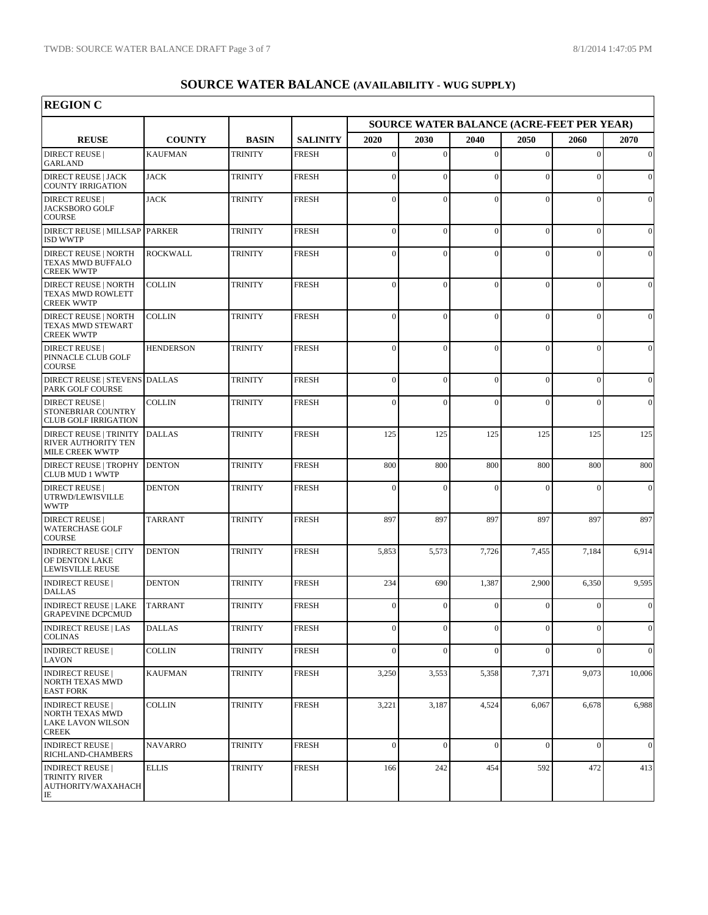$\overline{\phantom{a}}$ 

| <b>REGION C</b>                                                                      |                  |                |                 |                                           |              |                |                |              |                 |  |
|--------------------------------------------------------------------------------------|------------------|----------------|-----------------|-------------------------------------------|--------------|----------------|----------------|--------------|-----------------|--|
|                                                                                      |                  |                |                 | SOURCE WATER BALANCE (ACRE-FEET PER YEAR) |              |                |                |              |                 |  |
| <b>REUSE</b>                                                                         | <b>COUNTY</b>    | <b>BASIN</b>   | <b>SALINITY</b> | 2020                                      | <b>2030</b>  | 2040           | 2050           | 2060         | 2070            |  |
| <b>DIRECT REUSE</b>  <br><b>GARLAND</b>                                              | <b>KAUFMAN</b>   | <b>TRINITY</b> | <b>FRESH</b>    | $\mathbf{0}$                              | $\Omega$     | $\mathbf{0}$   | $\Omega$       | $\mathbf{0}$ | $\vert 0 \vert$ |  |
| <b>DIRECT REUSE   JACK</b><br><b>COUNTY IRRIGATION</b>                               | <b>JACK</b>      | <b>TRINITY</b> | <b>FRESH</b>    | $\mathbf{0}$                              | $\Omega$     | $\mathbf{0}$   | $\Omega$       | $\mathbf{0}$ | $\vert 0 \vert$ |  |
| <b>DIRECT REUSE</b><br>JACKSBORO GOLF<br><b>COURSE</b>                               | <b>JACK</b>      | <b>TRINITY</b> | <b>FRESH</b>    | $\mathbf{0}$                              | $\Omega$     | $\overline{0}$ | $\sqrt{ }$     | 0            | $\vert 0 \vert$ |  |
| DIRECT REUSE   MILLSAP PARKER<br><b>ISD WWTP</b>                                     |                  | <b>TRINITY</b> | <b>FRESH</b>    | $\overline{0}$                            | $\Omega$     | $\overline{0}$ | $\theta$       | $\mathbf{0}$ | $\vert 0 \vert$ |  |
| <b>DIRECT REUSE   NORTH</b><br>TEXAS MWD BUFFALO<br><b>CREEK WWTP</b>                | <b>ROCKWALL</b>  | <b>TRINITY</b> | <b>FRESH</b>    | $\mathbf{0}$                              | $\Omega$     | $\mathbf{0}$   | $\Omega$       | $\mathbf{0}$ | $\vert 0 \vert$ |  |
| <b>DIRECT REUSE   NORTH</b><br><b>TEXAS MWD ROWLETT</b><br><b>CREEK WWTP</b>         | <b>COLLIN</b>    | <b>TRINITY</b> | <b>FRESH</b>    | $\mathbf{0}$                              | $\Omega$     | $\mathbf{0}$   | $\theta$       | $\Omega$     | $\vert 0 \vert$ |  |
| <b>DIRECT REUSE   NORTH</b><br>TEXAS MWD STEWART<br><b>CREEK WWTP</b>                | COLLIN           | <b>TRINITY</b> | <b>FRESH</b>    | $\Omega$                                  | $\Omega$     | $\Omega$       | $\Omega$       | $\Omega$     | $\vert 0 \vert$ |  |
| <b>DIRECT REUSE</b><br>PINNACLE CLUB GOLF<br><b>COURSE</b>                           | <b>HENDERSON</b> | <b>TRINITY</b> | <b>FRESH</b>    | $\mathbf{0}$                              | $\Omega$     | $\mathbf{0}$   | $\Omega$       | $\mathbf{0}$ | $\vert 0 \vert$ |  |
| <b>DIRECT REUSE   STEVENS</b><br>PARK GOLF COURSE                                    | <b>DALLAS</b>    | <b>TRINITY</b> | <b>FRESH</b>    | $\mathbf{0}$                              | $\Omega$     | $\mathbf{0}$   | $\Omega$       | $\mathbf{0}$ | $\vert 0 \vert$ |  |
| <b>DIRECT REUSE</b>  <br>STONEBRIAR COUNTRY<br><b>CLUB GOLF IRRIGATION</b>           | <b>COLLIN</b>    | <b>TRINITY</b> | <b>FRESH</b>    | $\mathbf{0}$                              | $\theta$     | $\mathbf{0}$   | $\theta$       | $\mathbf{0}$ | $\vert 0 \vert$ |  |
| <b>DIRECT REUSE   TRINITY</b><br>RIVER AUTHORITY TEN<br><b>MILE CREEK WWTP</b>       | <b>DALLAS</b>    | <b>TRINITY</b> | <b>FRESH</b>    | 125                                       | 125          | 125            | 125            | 125          | 125             |  |
| <b>DIRECT REUSE   TROPHY</b><br><b>CLUB MUD 1 WWTP</b>                               | <b>DENTON</b>    | <b>TRINITY</b> | <b>FRESH</b>    | 800                                       | 800          | 800            | 800            | 800          | 800             |  |
| <b>DIRECT REUSE</b><br>UTRWD/LEWISVILLE<br><b>WWTP</b>                               | <b>DENTON</b>    | <b>TRINITY</b> | <b>FRESH</b>    | $\mathbf{0}$                              | $\theta$     | $\Omega$       | $\Omega$       | $\Omega$     | $\vert 0 \vert$ |  |
| <b>DIRECT REUSE</b><br><b>WATERCHASE GOLF</b><br><b>COURSE</b>                       | TARRANT          | <b>TRINITY</b> | <b>FRESH</b>    | 897                                       | 897          | 897            | 897            | 897          | 897             |  |
| <b>INDIRECT REUSE   CITY</b><br>OF DENTON LAKE<br>LEWISVILLE REUSE                   | <b>DENTON</b>    | <b>TRINITY</b> | <b>FRESH</b>    | 5,853                                     | 5,573        | 7,726          | 7,455          | 7,184        | 6,914           |  |
| <b>INDIRECT REUSE</b><br><b>DALLAS</b>                                               | <b>DENTON</b>    | <b>TRINITY</b> | <b>FRESH</b>    | 234                                       | 690          | 1,387          | 2,900          | 6,350        | 9,595           |  |
| <b>INDIRECT REUSE   LAKE</b><br><b>GRAPEVINE DCPCMUD</b>                             | <b>TARRANT</b>   | <b>TRINITY</b> | <b>FRESH</b>    | $\mathbf{0}$                              | $\Omega$     | $\overline{0}$ | $\Omega$       | $\mathbf{0}$ | $\vert 0 \vert$ |  |
| <b>INDIRECT REUSE   LAS</b><br><b>COLINAS</b>                                        | <b>DALLAS</b>    | <b>TRINITY</b> | <b>FRESH</b>    | $\overline{0}$                            | $\mathbf{0}$ | $\mathbf{0}$   | $\mathbf{0}$   | $\mathbf{0}$ | $\vert 0 \vert$ |  |
| <b>INDIRECT REUSE</b><br><b>LAVON</b>                                                | <b>COLLIN</b>    | <b>TRINITY</b> | <b>FRESH</b>    | $\overline{0}$                            | $\mathbf{0}$ | $\overline{0}$ | $\overline{0}$ | $\mathbf{0}$ | $\vert 0 \vert$ |  |
| <b>INDIRECT REUSE</b><br>NORTH TEXAS MWD<br><b>EAST FORK</b>                         | KAUFMAN          | <b>TRINITY</b> | <b>FRESH</b>    | 3,250                                     | 3,553        | 5,358          | 7,371          | 9,073        | 10,006          |  |
| <b>INDIRECT REUSE</b><br>NORTH TEXAS MWD<br><b>LAKE LAVON WILSON</b><br><b>CREEK</b> | COLLIN           | TRINITY        | FRESH           | 3,221                                     | 3,187        | 4,524          | 6,067          | 6,678        | 6,988           |  |
| <b>INDIRECT REUSE</b><br>RICHLAND-CHAMBERS                                           | NAVARRO          | <b>TRINITY</b> | <b>FRESH</b>    | $\mathbf{0}$                              | $\Omega$     | $\mathbf{0}$   | $\mathbf{0}$   | $\mathbf{0}$ | $\vert 0 \vert$ |  |
| <b>INDIRECT REUSE</b><br>TRINITY RIVER<br>AUTHORITY/WAXAHACH<br>IE                   | <b>ELLIS</b>     | <b>TRINITY</b> | <b>FRESH</b>    | 166                                       | 242          | 454            | 592            | 472          | 413             |  |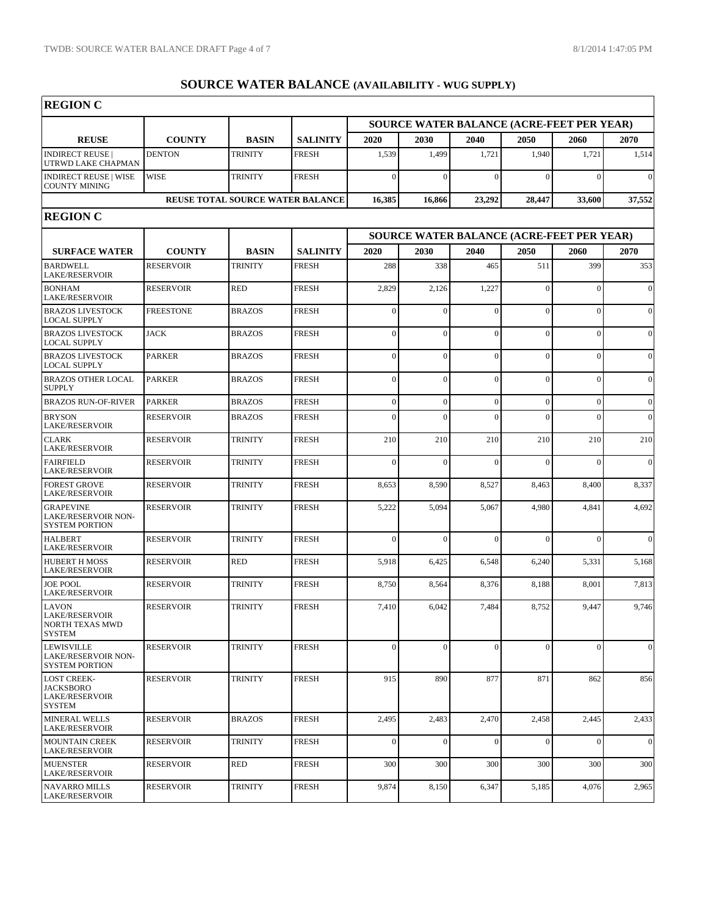$\overline{\phantom{a}}$ 

| <b>REGION C</b>                                                                  |                  |                                         |                 |                |                                                  |                  |                |                                           |                |  |  |  |
|----------------------------------------------------------------------------------|------------------|-----------------------------------------|-----------------|----------------|--------------------------------------------------|------------------|----------------|-------------------------------------------|----------------|--|--|--|
|                                                                                  |                  |                                         |                 |                | <b>SOURCE WATER BALANCE (ACRE-FEET PER YEAR)</b> |                  |                |                                           |                |  |  |  |
| <b>REUSE</b>                                                                     | <b>COUNTY</b>    | <b>BASIN</b>                            | <b>SALINITY</b> | 2020           | 2030                                             | 2040             | 2050           | 2060                                      | 2070           |  |  |  |
| <b>INDIRECT REUSE</b><br>UTRWD LAKE CHAPMAN                                      | <b>DENTON</b>    | <b>TRINITY</b>                          | <b>FRESH</b>    | 1,539          | 1,499                                            | 1,721            | 1,940          | 1,721                                     | 1,514          |  |  |  |
| <b>INDIRECT REUSE   WISE</b><br><b>COUNTY MINING</b>                             | <b>WISE</b>      | <b>TRINITY</b>                          | <b>FRESH</b>    | $\overline{0}$ | $\theta$                                         | $\mathbf{0}$     | $\Omega$       | $\Omega$                                  | $\Omega$       |  |  |  |
|                                                                                  |                  | <b>REUSE TOTAL SOURCE WATER BALANCE</b> |                 | 16,385         | 16,866                                           | 23,292           | 28,447         | 33,600                                    | 37,552         |  |  |  |
| <b>REGION C</b>                                                                  |                  |                                         |                 |                |                                                  |                  |                |                                           |                |  |  |  |
|                                                                                  |                  |                                         |                 |                |                                                  |                  |                | SOURCE WATER BALANCE (ACRE-FEET PER YEAR) |                |  |  |  |
| <b>SURFACE WATER</b>                                                             | <b>COUNTY</b>    | <b>BASIN</b>                            | <b>SALINITY</b> | 2020           | 2030                                             | 2040             | 2050           | 2060                                      | 2070           |  |  |  |
| <b>BARDWELL</b><br><b>LAKE/RESERVOIR</b>                                         | <b>RESERVOIR</b> | <b>TRINITY</b>                          | <b>FRESH</b>    | 288            | 338                                              | 465              | 511            | 399                                       | 353            |  |  |  |
| <b>BONHAM</b><br><b>LAKE/RESERVOIR</b>                                           | <b>RESERVOIR</b> | <b>RED</b>                              | <b>FRESH</b>    | 2,829          | 2,126                                            | 1,227            | $\theta$       | $\Omega$                                  | $\overline{0}$ |  |  |  |
| <b>BRAZOS LIVESTOCK</b><br><b>LOCAL SUPPLY</b>                                   | <b>FREESTONE</b> | <b>BRAZOS</b>                           | <b>FRESH</b>    | $\overline{0}$ | $\theta$                                         | $\mathbf{0}$     | $\Omega$       | $\sqrt{ }$                                | $\overline{0}$ |  |  |  |
| <b>BRAZOS LIVESTOCK</b><br><b>LOCAL SUPPLY</b>                                   | <b>JACK</b>      | <b>BRAZOS</b>                           | <b>FRESH</b>    | $\overline{0}$ | $\theta$                                         | $\mathbf{0}$     | $\theta$       | $\Omega$                                  | $\overline{0}$ |  |  |  |
| <b>BRAZOS LIVESTOCK</b><br><b>LOCAL SUPPLY</b>                                   | <b>PARKER</b>    | <b>BRAZOS</b>                           | <b>FRESH</b>    | $\overline{0}$ | $\theta$                                         | $\overline{0}$   | $\Omega$       | $\Omega$                                  | $\theta$       |  |  |  |
| <b>BRAZOS OTHER LOCAL</b><br><b>SUPPLY</b>                                       | <b>PARKER</b>    | <b>BRAZOS</b>                           | <b>FRESH</b>    | $\overline{0}$ | $\Omega$                                         | $\Omega$         | $\theta$       | $\Omega$                                  | $\overline{0}$ |  |  |  |
| <b>BRAZOS RUN-OF-RIVER</b>                                                       | <b>PARKER</b>    | <b>BRAZOS</b>                           | <b>FRESH</b>    | $\overline{0}$ | $\overline{0}$                                   | $\boldsymbol{0}$ | $\Omega$       | $\Omega$                                  | $\overline{0}$ |  |  |  |
| <b>BRYSON</b><br><b>LAKE/RESERVOIR</b>                                           | <b>RESERVOIR</b> | <b>BRAZOS</b>                           | <b>FRESH</b>    | $\theta$       | $\theta$                                         | $\Omega$         | $\Omega$       | $\Omega$                                  | $\overline{0}$ |  |  |  |
| <b>CLARK</b><br><b>LAKE/RESERVOIR</b>                                            | <b>RESERVOIR</b> | <b>TRINITY</b>                          | <b>FRESH</b>    | 210            | 210                                              | 210              | 210            | 210                                       | 210            |  |  |  |
| <b>FAIRFIELD</b><br><b>LAKE/RESERVOIR</b>                                        | <b>RESERVOIR</b> | <b>TRINITY</b>                          | <b>FRESH</b>    | $\Omega$       | $\Omega$                                         | $\Omega$         | $\Omega$       | $\Omega$                                  | $\theta$       |  |  |  |
| <b>FOREST GROVE</b><br><b>LAKE/RESERVOIR</b>                                     | <b>RESERVOIR</b> | <b>TRINITY</b>                          | <b>FRESH</b>    | 8,653          | 8,590                                            | 8,527            | 8,463          | 8,400                                     | 8,337          |  |  |  |
| <b>GRAPEVINE</b><br>LAKE/RESERVOIR NON-<br><b>SYSTEM PORTION</b>                 | <b>RESERVOIR</b> | <b>TRINITY</b>                          | <b>FRESH</b>    | 5,222          | 5,094                                            | 5,067            | 4,980          | 4,841                                     | 4,692          |  |  |  |
| <b>HALBERT</b><br><b>LAKE/RESERVOIR</b>                                          | <b>RESERVOIR</b> | <b>TRINITY</b>                          | <b>FRESH</b>    | $\theta$       | $\Omega$                                         | $\Omega$         | $\Omega$       | $\Omega$                                  | $\Omega$       |  |  |  |
| <b>HUBERT H MOSS</b><br><b>LAKE/RESERVOIR</b>                                    | <b>RESERVOIR</b> | <b>RED</b>                              | <b>FRESH</b>    | 5,918          | 6,425                                            | 6,548            | 6,240          | 5,331                                     | 5,168          |  |  |  |
| <b>JOE POOL</b><br><b>LAKE/RESERVOIR</b>                                         | <b>RESERVOIR</b> | <b>TRINITY</b>                          | <b>FRESH</b>    | 8,750          | 8,564                                            | 8,376            | 8,188          | 8,001                                     | 7,813          |  |  |  |
| <b>LAVON</b><br><b>LAKE/RESERVOIR</b><br>NORTH TEXAS MWD<br>SYSTEM               | <b>RESERVOIR</b> | <b>TRINITY</b>                          | <b>FRESH</b>    | 7,410          | 6,042                                            | 7,484            | 8,752          | 9,447                                     | 9,746          |  |  |  |
| <b>LEWISVILLE</b><br>LAKE/RESERVOIR NON-<br><b>SYSTEM PORTION</b>                | <b>RESERVOIR</b> | <b>TRINITY</b>                          | <b>FRESH</b>    | $\overline{0}$ | $\theta$                                         | $\mathbf{0}$     | $\overline{0}$ | $\Omega$                                  | $\overline{0}$ |  |  |  |
| <b>LOST CREEK-</b><br><b>JACKSBORO</b><br><b>LAKE/RESERVOIR</b><br><b>SYSTEM</b> | <b>RESERVOIR</b> | <b>TRINITY</b>                          | <b>FRESH</b>    | 915            | 890                                              | 877              | 871            | 862                                       | 856            |  |  |  |
| <b>MINERAL WELLS</b><br><b>LAKE/RESERVOIR</b>                                    | <b>RESERVOIR</b> | <b>BRAZOS</b>                           | <b>FRESH</b>    | 2,495          | 2,483                                            | 2,470            | 2,458          | 2,445                                     | 2,433          |  |  |  |
| <b>MOUNTAIN CREEK</b><br><b>LAKE/RESERVOIR</b>                                   | <b>RESERVOIR</b> | <b>TRINITY</b>                          | <b>FRESH</b>    | $\mathbf{0}$   | $\overline{0}$                                   | $\mathbf{0}$     | $\Omega$       | $\Omega$                                  | $\mathbf{0}$   |  |  |  |
| <b>MUENSTER</b><br><b>LAKE/RESERVOIR</b>                                         | <b>RESERVOIR</b> | <b>RED</b>                              | <b>FRESH</b>    | 300            | 300                                              | 300              | 300            | 300                                       | 300            |  |  |  |
| <b>NAVARRO MILLS</b><br><b>LAKE/RESERVOIR</b>                                    | <b>RESERVOIR</b> | TRINITY                                 | <b>FRESH</b>    | 9,874          | 8,150                                            | 6,347            | 5,185          | 4,076                                     | 2,965          |  |  |  |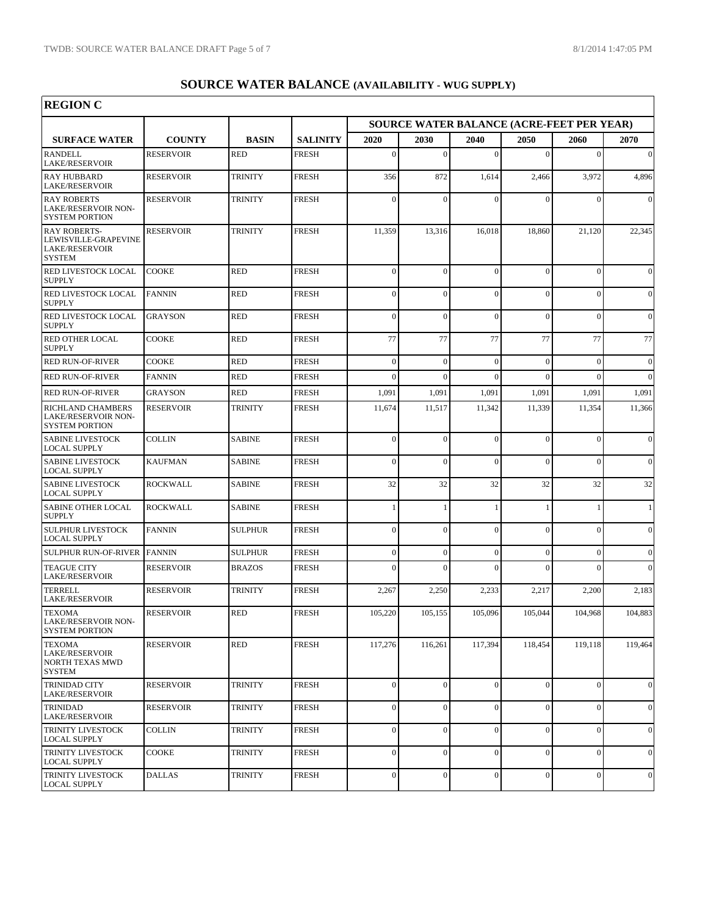٦

| <b>REGION C</b>                                                                       |                  |                |                 |                  |                  |                  |                |                                           |                  |
|---------------------------------------------------------------------------------------|------------------|----------------|-----------------|------------------|------------------|------------------|----------------|-------------------------------------------|------------------|
|                                                                                       |                  |                |                 |                  |                  |                  |                | SOURCE WATER BALANCE (ACRE-FEET PER YEAR) |                  |
| <b>SURFACE WATER</b>                                                                  | <b>COUNTY</b>    | <b>BASIN</b>   | <b>SALINITY</b> | 2020             | 2030             | 2040             | 2050           | 2060                                      | 2070             |
| <b>RANDELL</b><br><b>LAKE/RESERVOIR</b>                                               | <b>RESERVOIR</b> | <b>RED</b>     | <b>FRESH</b>    | $\overline{0}$   | $\Omega$         | $\overline{0}$   | $\Omega$       | $\mathbf{0}$                              | $\vert 0 \vert$  |
| <b>RAY HUBBARD</b><br><b>LAKE/RESERVOIR</b>                                           | <b>RESERVOIR</b> | <b>TRINITY</b> | <b>FRESH</b>    | 356              | 872              | 1,614            | 2,466          | 3,972                                     | 4,896            |
| <b>RAY ROBERTS</b><br>LAKE/RESERVOIR NON-<br><b>SYSTEM PORTION</b>                    | <b>RESERVOIR</b> | <b>TRINITY</b> | <b>FRESH</b>    | $\Omega$         | $\theta$         | $\mathbf{0}$     | ſ              | $\Omega$                                  | $\vert 0 \vert$  |
| <b>RAY ROBERTS-</b><br>LEWISVILLE-GRAPEVINE<br><b>LAKE/RESERVOIR</b><br><b>SYSTEM</b> | <b>RESERVOIR</b> | <b>TRINITY</b> | <b>FRESH</b>    | 11,359           | 13,316           | 16,018           | 18,860         | 21,120                                    | 22,345           |
| RED LIVESTOCK LOCAL<br><b>SUPPLY</b>                                                  | <b>COOKE</b>     | <b>RED</b>     | <b>FRESH</b>    | $\overline{0}$   | $\theta$         | $\overline{0}$   | $\Omega$       | $\Omega$                                  | $\vert 0 \vert$  |
| RED LIVESTOCK LOCAL<br><b>SUPPLY</b>                                                  | <b>FANNIN</b>    | <b>RED</b>     | <b>FRESH</b>    | $\theta$         | $\theta$         | $\overline{0}$   | $\Omega$       | $\overline{0}$                            | $\vert 0 \vert$  |
| RED LIVESTOCK LOCAL<br><b>SUPPLY</b>                                                  | <b>GRAYSON</b>   | <b>RED</b>     | <b>FRESH</b>    | $\overline{0}$   | $\theta$         | $\overline{0}$   | $\Omega$       | $\Omega$                                  | $\vert 0 \vert$  |
| RED OTHER LOCAL<br><b>SUPPLY</b>                                                      | COOKE            | <b>RED</b>     | <b>FRESH</b>    | 77               | 77               | 77               | 77             | 77                                        | 77               |
| <b>RED RUN-OF-RIVER</b>                                                               | <b>COOKE</b>     | <b>RED</b>     | <b>FRESH</b>    | $\overline{0}$   | $\mathbf{0}$     | $\boldsymbol{0}$ | $\Omega$       | $\mathbf{0}$                              | $\vert 0 \vert$  |
| <b>RED RUN-OF-RIVER</b>                                                               | <b>FANNIN</b>    | RED            | <b>FRESH</b>    | $\theta$         | $\Omega$         | $\theta$         | $\Omega$       | $\Omega$                                  | $\Omega$         |
| <b>RED RUN-OF-RIVER</b>                                                               | GRAYSON          | <b>RED</b>     | <b>FRESH</b>    | 1,091            | 1,091            | 1,091            | 1,091          | 1,091                                     | 1,091            |
| RICHLAND CHAMBERS<br><b>LAKE/RESERVOIR NON-</b><br><b>SYSTEM PORTION</b>              | <b>RESERVOIR</b> | <b>TRINITY</b> | <b>FRESH</b>    | 11,674           | 11,517           | 11,342           | 11,339         | 11,354                                    | 11,366           |
| <b>SABINE LIVESTOCK</b><br><b>LOCAL SUPPLY</b>                                        | COLLIN           | <b>SABINE</b>  | <b>FRESH</b>    | $\overline{0}$   | $\theta$         | $\overline{0}$   | $\Omega$       | $\theta$                                  | $\vert 0 \vert$  |
| <b>SABINE LIVESTOCK</b><br><b>LOCAL SUPPLY</b>                                        | <b>KAUFMAN</b>   | <b>SABINE</b>  | <b>FRESH</b>    | $\overline{0}$   | $\theta$         | $\overline{0}$   | $\Omega$       | $\Omega$                                  | $\vert 0 \vert$  |
| <b>SABINE LIVESTOCK</b><br><b>LOCAL SUPPLY</b>                                        | <b>ROCKWALL</b>  | <b>SABINE</b>  | <b>FRESH</b>    | 32               | 32               | 32               | 32             | 32                                        | 32               |
| SABINE OTHER LOCAL<br><b>SUPPLY</b>                                                   | <b>ROCKWALL</b>  | <b>SABINE</b>  | <b>FRESH</b>    | $\mathbf{1}$     | 1                | $\mathbf{1}$     |                |                                           | $\left  \right $ |
| <b>SULPHUR LIVESTOCK</b><br><b>LOCAL SUPPLY</b>                                       | <b>FANNIN</b>    | <b>SULPHUR</b> | <b>FRESH</b>    | $\theta$         | $\theta$         | $\overline{0}$   | $\Omega$       | $\theta$                                  | $\vert 0 \vert$  |
| <b>SULPHUR RUN-OF-RIVER</b>                                                           | <b>FANNIN</b>    | <b>SULPHUR</b> | <b>FRESH</b>    | $\boldsymbol{0}$ | $\boldsymbol{0}$ | $\boldsymbol{0}$ | $\theta$       | $\mathbf{0}$                              | $\vert 0 \vert$  |
| <b>TEAGUE CITY</b><br><b>LAKE/RESERVOIR</b>                                           | <b>RESERVOIR</b> | <b>BRAZOS</b>  | <b>FRESH</b>    | $\Omega$         | $\theta$         | $\theta$         | $\sqrt{ }$     | $\theta$                                  | $\vert 0 \vert$  |
| <b>TERRELL</b><br><b>LAKE/RESERVOIR</b>                                               | <b>RESERVOIR</b> | <b>TRINITY</b> | <b>FRESH</b>    | 2,267            | 2,250            | 2,233            | 2,217          | 2,200                                     | 2,183            |
| <b>TEXOMA</b><br>LAKE/RESERVOIR NON-<br><b>SYSTEM PORTION</b>                         | <b>RESERVOIR</b> | RED            | <b>FRESH</b>    | 105,220          | 105,155          | 105,096          | 105,044        | 104,968                                   | 104,883          |
| <b>TEXOMA</b><br><b>LAKE/RESERVOIR</b><br>NORTH TEXAS MWD<br><b>SYSTEM</b>            | <b>RESERVOIR</b> | <b>RED</b>     | <b>FRESH</b>    | 117,276          | 116,261          | 117,394          | 118,454        | 119,118                                   | 119,464          |
| <b>TRINIDAD CITY</b><br><b>LAKE/RESERVOIR</b>                                         | <b>RESERVOIR</b> | <b>TRINITY</b> | <b>FRESH</b>    | $\mathbf{0}$     | $\mathbf{0}$     | $\overline{0}$   | $\Omega$       | $\mathbf{0}$                              | $\vert 0 \vert$  |
| <b>TRINIDAD</b><br><b>LAKE/RESERVOIR</b>                                              | <b>RESERVOIR</b> | <b>TRINITY</b> | <b>FRESH</b>    | $\mathbf{0}$     | $\overline{0}$   | $\overline{0}$   | $\Omega$       | $\boldsymbol{0}$                          | $\vert 0 \vert$  |
| TRINITY LIVESTOCK<br><b>LOCAL SUPPLY</b>                                              | <b>COLLIN</b>    | <b>TRINITY</b> | <b>FRESH</b>    | $\overline{0}$   | $\overline{0}$   | $\overline{0}$   | $\Omega$       | $\boldsymbol{0}$                          | $\vert 0 \vert$  |
| TRINITY LIVESTOCK<br><b>LOCAL SUPPLY</b>                                              | COOKE            | <b>TRINITY</b> | <b>FRESH</b>    | $\mathbf{0}$     | $\overline{0}$   | $\overline{0}$   | $\mathbf{0}$   | $\mathbf{0}$                              | $\vert 0 \vert$  |
| TRINITY LIVESTOCK<br><b>LOCAL SUPPLY</b>                                              | <b>DALLAS</b>    | <b>TRINITY</b> | <b>FRESH</b>    | $\overline{0}$   | $\overline{0}$   | $\boldsymbol{0}$ | $\overline{0}$ | $\boldsymbol{0}$                          | $\vert 0 \vert$  |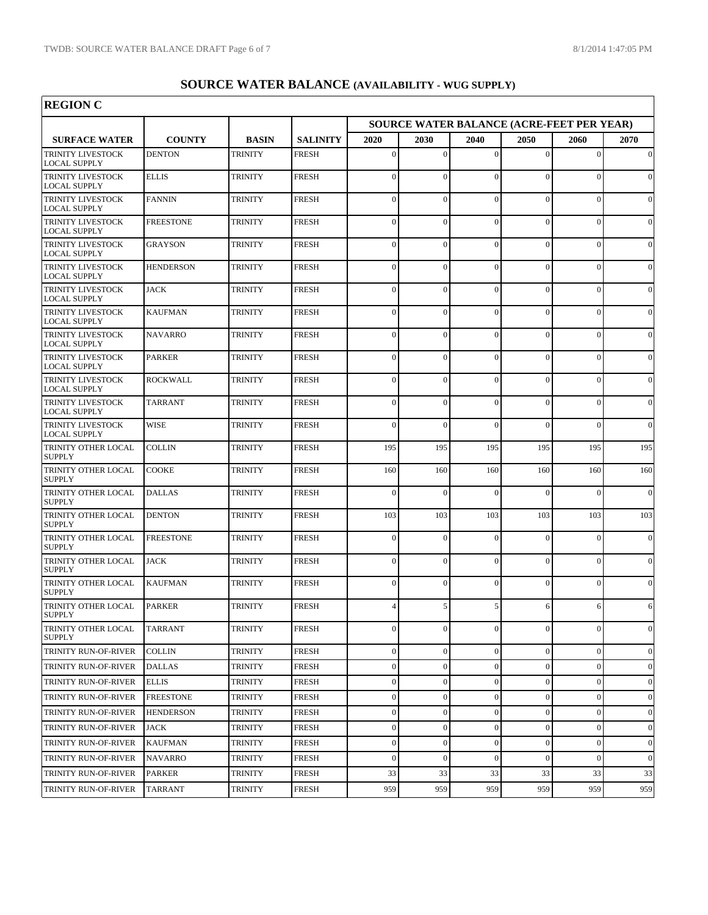| <b>REGION C</b>                                 |                  |                |                 |                  |                  |                  |              |                                                   |              |
|-------------------------------------------------|------------------|----------------|-----------------|------------------|------------------|------------------|--------------|---------------------------------------------------|--------------|
| <b>SURFACE WATER</b>                            | <b>COUNTY</b>    | <b>BASIN</b>   | <b>SALINITY</b> | 2020             | 2030             | 2040             | 2050         | SOURCE WATER BALANCE (ACRE-FEET PER YEAR)<br>2060 | 2070         |
| <b>TRINITY LIVESTOCK</b><br><b>LOCAL SUPPLY</b> | <b>DENTON</b>    | <b>TRINITY</b> | <b>FRESH</b>    | $\Omega$         | $\mathbf{0}$     | $\overline{0}$   | $\Omega$     | $\theta$                                          | $\mathbf{0}$ |
| <b>TRINITY LIVESTOCK</b><br>LOCAL SUPPLY        | <b>ELLIS</b>     | <b>TRINITY</b> | <b>FRESH</b>    | $\overline{0}$   | $\mathbf{0}$     | $\overline{0}$   | $\mathbf{0}$ | $\overline{0}$                                    | $\mathbf{0}$ |
| TRINITY LIVESTOCK<br><b>LOCAL SUPPLY</b>        | <b>FANNIN</b>    | <b>TRINITY</b> | <b>FRESH</b>    | $\theta$         | $\mathbf{0}$     | $\overline{0}$   | $\mathbf{0}$ | $\overline{0}$                                    | $\mathbf{0}$ |
| <b>TRINITY LIVESTOCK</b><br>LOCAL SUPPLY        | <b>FREESTONE</b> | <b>TRINITY</b> | <b>FRESH</b>    | $\overline{0}$   | $\mathbf{0}$     | $\overline{0}$   | $\mathbf{0}$ | $\overline{0}$                                    | $\mathbf{0}$ |
| <b>TRINITY LIVESTOCK</b><br><b>LOCAL SUPPLY</b> | <b>GRAYSON</b>   | <b>TRINITY</b> | <b>FRESH</b>    | $\overline{0}$   | $\mathbf{0}$     | $\overline{0}$   | $\mathbf{0}$ | $\overline{0}$                                    | $\mathbf{0}$ |
| TRINITY LIVESTOCK<br>LOCAL SUPPLY               | <b>HENDERSON</b> | <b>TRINITY</b> | <b>FRESH</b>    | $\overline{0}$   | $\mathbf{0}$     | $\overline{0}$   | $\mathbf{0}$ | $\overline{0}$                                    | $\mathbf{0}$ |
| TRINITY LIVESTOCK<br>LOCAL SUPPLY               | <b>JACK</b>      | <b>TRINITY</b> | <b>FRESH</b>    | $\Omega$         | $\mathbf{0}$     | $\overline{0}$   | $\theta$     | $\theta$                                          | $\mathbf{0}$ |
| TRINITY LIVESTOCK<br><b>LOCAL SUPPLY</b>        | <b>KAUFMAN</b>   | <b>TRINITY</b> | <b>FRESH</b>    | $\overline{0}$   | $\mathbf{0}$     | $\overline{0}$   | $\mathbf{0}$ | $\overline{0}$                                    | $\mathbf{0}$ |
| TRINITY LIVESTOCK<br><b>LOCAL SUPPLY</b>        | <b>NAVARRO</b>   | <b>TRINITY</b> | <b>FRESH</b>    | $\overline{0}$   | $\mathbf{0}$     | $\overline{0}$   | $\mathbf{0}$ | $\overline{0}$                                    | $\mathbf{0}$ |
| TRINITY LIVESTOCK<br>LOCAL SUPPLY               | <b>PARKER</b>    | <b>TRINITY</b> | <b>FRESH</b>    | $\overline{0}$   | $\mathbf{0}$     | $\overline{0}$   | $\Omega$     | $\overline{0}$                                    | $\mathbf{0}$ |
| TRINITY LIVESTOCK<br><b>LOCAL SUPPLY</b>        | <b>ROCKWALL</b>  | <b>TRINITY</b> | <b>FRESH</b>    | $\theta$         | $\mathbf{0}$     | $\overline{0}$   | $\Omega$     | $\theta$                                          | $\mathbf{0}$ |
| <b>TRINITY LIVESTOCK</b><br><b>LOCAL SUPPLY</b> | <b>TARRANT</b>   | <b>TRINITY</b> | <b>FRESH</b>    | $\overline{0}$   | $\mathbf{0}$     | $\overline{0}$   | $\mathbf{0}$ | $\overline{0}$                                    | $\mathbf{0}$ |
| <b>TRINITY LIVESTOCK</b><br><b>LOCAL SUPPLY</b> | <b>WISE</b>      | <b>TRINITY</b> | <b>FRESH</b>    | $\overline{0}$   | $\mathbf{0}$     | $\overline{0}$   | $\Omega$     | $\theta$                                          | $\mathbf{0}$ |
| TRINITY OTHER LOCAL<br><b>SUPPLY</b>            | <b>COLLIN</b>    | <b>TRINITY</b> | <b>FRESH</b>    | 195              | 195              | 195              | 195          | 195                                               | 195          |
| TRINITY OTHER LOCAL<br><b>SUPPLY</b>            | <b>COOKE</b>     | <b>TRINITY</b> | <b>FRESH</b>    | 160              | 160              | 160              | 160          | 160                                               | 160          |
| TRINITY OTHER LOCAL<br>SUPPLY                   | <b>DALLAS</b>    | <b>TRINITY</b> | <b>FRESH</b>    | $\theta$         | $\mathbf{0}$     | $\overline{0}$   | $\Omega$     | $\theta$                                          | $\mathbf{0}$ |
| TRINITY OTHER LOCAL<br><b>SUPPLY</b>            | <b>DENTON</b>    | <b>TRINITY</b> | <b>FRESH</b>    | 103              | 103              | 103              | 103          | 103                                               | 103          |
| TRINITY OTHER LOCAL<br><b>SUPPLY</b>            | <b>FREESTONE</b> | <b>TRINITY</b> | <b>FRESH</b>    | $\theta$         | $\Omega$         | $\overline{0}$   | $\Omega$     | $\overline{0}$                                    | $\mathbf{0}$ |
| TRINITY OTHER LOCAL<br><b>SUPPLY</b>            | <b>JACK</b>      | <b>TRINITY</b> | <b>FRESH</b>    | $\theta$         | $\mathbf{0}$     | $\overline{0}$   | $\Omega$     | $\theta$                                          | $\Omega$     |
| TRINITY OTHER LOCAL<br><b>SUPPLY</b>            | <b>KAUFMAN</b>   | <b>TRINITY</b> | <b>FRESH</b>    | $\theta$         | $\mathbf{0}$     | $\theta$         | $\Omega$     | $\theta$                                          | $\mathbf{0}$ |
| TRINITY OTHER LOCAL<br><b>SUPPLY</b>            | <b>PARKER</b>    | <b>TRINITY</b> | <b>FRESH</b>    | $\overline{4}$   | 5                | 5                | 6            | 6                                                 | 6            |
| TRINITY OTHER LOCAL<br><b>SUPPLY</b>            | <b>TARRANT</b>   | <b>TRINITY</b> | <b>FRESH</b>    | $\mathbf{0}$     | $\mathbf{0}$     | $\mathbf{0}$     | $\mathbf{0}$ | $\Omega$                                          | $\mathbf{0}$ |
| TRINITY RUN-OF-RIVER                            | <b>COLLIN</b>    | <b>TRINITY</b> | <b>FRESH</b>    | $\boldsymbol{0}$ | $\boldsymbol{0}$ | $\mathbf{0}$     | $\mathbf{0}$ | $\overline{0}$                                    | $\mathbf{0}$ |
| TRINITY RUN-OF-RIVER                            | <b>DALLAS</b>    | TRINITY        | <b>FRESH</b>    | $\boldsymbol{0}$ | $\boldsymbol{0}$ | $\mathbf{0}$     | $\mathbf{0}$ | $\mathbf{0}$                                      | $\mathbf{0}$ |
| TRINITY RUN-OF-RIVER                            | <b>ELLIS</b>     | TRINITY        | <b>FRESH</b>    | $\mathbf{0}$     | $\boldsymbol{0}$ | $\mathbf{0}$     | $\mathbf{0}$ | $\mathbf{0}$                                      | $\mathbf{0}$ |
| TRINITY RUN-OF-RIVER                            | <b>FREESTONE</b> | TRINITY        | <b>FRESH</b>    | $\boldsymbol{0}$ | $\boldsymbol{0}$ | $\boldsymbol{0}$ | $\mathbf{0}$ | $\boldsymbol{0}$                                  | $\mathbf{0}$ |
| TRINITY RUN-OF-RIVER                            | <b>HENDERSON</b> | <b>TRINITY</b> | <b>FRESH</b>    | $\boldsymbol{0}$ | $\boldsymbol{0}$ | $\mathbf{0}$     | $\mathbf{0}$ | $\boldsymbol{0}$                                  | $\mathbf{0}$ |
| TRINITY RUN-OF-RIVER                            | <b>JACK</b>      | TRINITY        | <b>FRESH</b>    | $\boldsymbol{0}$ | $\boldsymbol{0}$ | $\boldsymbol{0}$ | $\mathbf{0}$ | $\boldsymbol{0}$                                  | $\mathbf{0}$ |
| TRINITY RUN-OF-RIVER                            | <b>KAUFMAN</b>   | TRINITY        | <b>FRESH</b>    | $\boldsymbol{0}$ | $\boldsymbol{0}$ | $\boldsymbol{0}$ | $\mathbf{0}$ | $\boldsymbol{0}$                                  | $\mathbf{0}$ |
| TRINITY RUN-OF-RIVER                            | <b>NAVARRO</b>   | <b>TRINITY</b> | <b>FRESH</b>    | $\mathbf{0}$     | $\mathbf{0}$     | $\theta$         | $\mathbf{0}$ | $\overline{0}$                                    | $\mathbf{0}$ |
| TRINITY RUN-OF-RIVER                            | PARKER           | <b>TRINITY</b> | <b>FRESH</b>    | 33               | 33               | 33               | 33           | 33                                                | 33           |
| TRINITY RUN-OF-RIVER                            | <b>TARRANT</b>   | <b>TRINITY</b> | FRESH           | 959              | 959              | 959              | 959          | 959                                               | 959          |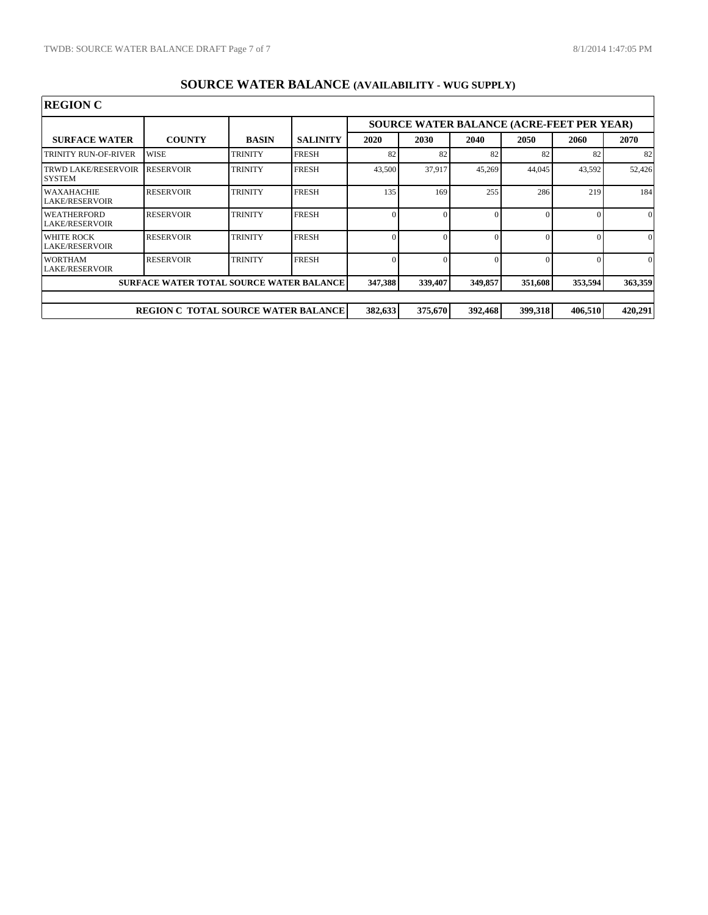$\overline{\phantom{a}}$ 

| <b>REGION C</b>                         |                                                 |                |                 |         |         |                                           |         |         |          |
|-----------------------------------------|-------------------------------------------------|----------------|-----------------|---------|---------|-------------------------------------------|---------|---------|----------|
|                                         |                                                 |                |                 |         |         | SOURCE WATER BALANCE (ACRE-FEET PER YEAR) |         |         |          |
| <b>SURFACE WATER</b>                    | <b>COUNTY</b>                                   | <b>BASIN</b>   | <b>SALINITY</b> | 2020    | 2030    | 2040                                      | 2050    | 2060    | 2070     |
| TRINITY RUN-OF-RIVER                    | <b>WISE</b>                                     | <b>TRINITY</b> | <b>FRESH</b>    | 82      | 82      | 82                                        | 82      | 82      | 82       |
| TRWD LAKE/RESERVOIR<br><b>SYSTEM</b>    | <b>RESERVOIR</b>                                | <b>TRINITY</b> | <b>FRESH</b>    | 43,500  | 37.917  | 45,269                                    | 44,045  | 43,592  | 52,426   |
| WAXAHACHIE<br><b>LAKE/RESERVOIR</b>     | <b>RESERVOIR</b>                                | <b>TRINITY</b> | <b>FRESH</b>    | 135     | 169     | 255                                       | 286     | 219     | 184      |
| <b>WEATHERFORD</b><br>LAKE/RESERVOIR    | <b>RESERVOIR</b>                                | <b>TRINITY</b> | <b>FRESH</b>    |         |         |                                           |         |         | $\Omega$ |
| WHITE ROCK<br><b>LAKE/RESERVOIR</b>     | <b>RESERVOIR</b>                                | <b>TRINITY</b> | <b>FRESH</b>    |         |         | $\Omega$                                  |         |         | $\Omega$ |
| <b>WORTHAM</b><br><b>LAKE/RESERVOIR</b> | <b>RESERVOIR</b>                                | <b>TRINITY</b> | <b>FRESH</b>    |         |         | $\Omega$                                  |         |         | $\Omega$ |
|                                         | <b>SURFACE WATER TOTAL SOURCE WATER BALANCE</b> |                |                 | 347,388 | 339,407 | 349,857                                   | 351,608 | 353,594 | 363,359  |
|                                         |                                                 |                |                 |         |         |                                           |         |         |          |
|                                         | <b>REGION C TOTAL SOURCE WATER BALANCE</b>      |                |                 | 382,633 | 375,670 | 392,468                                   | 399,318 | 406,510 | 420,291  |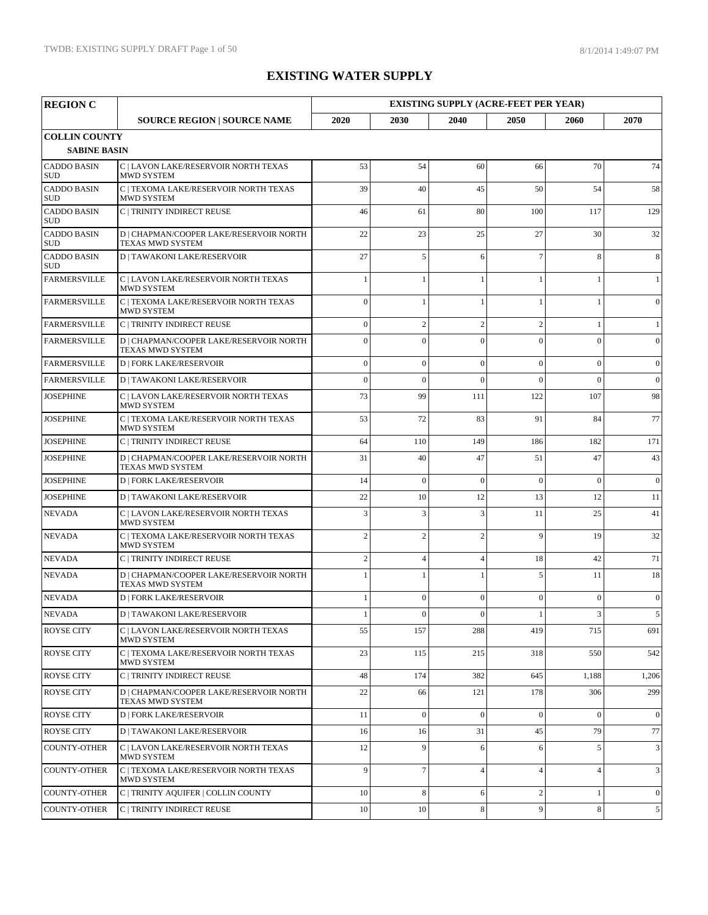| <b>REGION C</b>                             |                                                                    |                |                  |                  | <b>EXISTING SUPPLY (ACRE-FEET PER YEAR)</b> |                         |                 |
|---------------------------------------------|--------------------------------------------------------------------|----------------|------------------|------------------|---------------------------------------------|-------------------------|-----------------|
|                                             | <b>SOURCE REGION   SOURCE NAME</b>                                 | 2020           | 2030             | 2040             | 2050                                        | 2060                    | 2070            |
| <b>COLLIN COUNTY</b><br><b>SABINE BASIN</b> |                                                                    |                |                  |                  |                                             |                         |                 |
| <b>CADDO BASIN</b><br><b>SUD</b>            | C   LAVON LAKE/RESERVOIR NORTH TEXAS<br><b>MWD SYSTEM</b>          | 53             | 54               | 60               | 66                                          | 70                      | 74              |
| <b>CADDO BASIN</b><br>SUD                   | C   TEXOMA LAKE/RESERVOIR NORTH TEXAS<br><b>MWD SYSTEM</b>         | 39             | 40               | 45               | 50                                          | 54                      | 58              |
| <b>CADDO BASIN</b><br>SUD                   | C   TRINITY INDIRECT REUSE                                         | 46             | 61               | 80               | 100                                         | 117                     | 129             |
| <b>CADDO BASIN</b><br>SUD                   | D   CHAPMAN/COOPER LAKE/RESERVOIR NORTH<br><b>TEXAS MWD SYSTEM</b> | 22             | 23               | 25               | 27                                          | 30                      | 32              |
| <b>CADDO BASIN</b><br><b>SUD</b>            | <b>D   TAWAKONI LAKE/RESERVOIR</b>                                 | 27             | 5                | 6                | $\overline{7}$                              | 8                       | 8               |
| <b>FARMERSVILLE</b>                         | C   LAVON LAKE/RESERVOIR NORTH TEXAS<br>MWD SYSTEM                 | -1             | $\mathbf{1}$     |                  |                                             |                         | $\mathbf{1}$    |
| <b>FARMERSVILLE</b>                         | C   TEXOMA LAKE/RESERVOIR NORTH TEXAS<br>MWD SYSTEM                | $\theta$       | $\mathbf{1}$     |                  |                                             |                         | $\overline{0}$  |
| <b>FARMERSVILLE</b>                         | C   TRINITY INDIRECT REUSE                                         | $\theta$       | $\overline{c}$   | $\overline{2}$   | $\overline{2}$                              |                         | $\mathbf{1}$    |
| <b>FARMERSVILLE</b>                         | D   CHAPMAN/COOPER LAKE/RESERVOIR NORTH<br><b>TEXAS MWD SYSTEM</b> | $\overline{0}$ | $\mathbf{0}$     | $\theta$         | $\mathbf{0}$                                | $\theta$                | $\overline{0}$  |
| <b>FARMERSVILLE</b>                         | <b>D   FORK LAKE/RESERVOIR</b>                                     | $\overline{0}$ | $\mathbf{0}$     | $\overline{0}$   | $\overline{0}$                              | $\theta$                | $\overline{0}$  |
| <b>FARMERSVILLE</b>                         | <b>D   TAWAKONI LAKE/RESERVOIR</b>                                 | $\overline{0}$ | $\mathbf{0}$     | $\theta$         | $\Omega$                                    | $\theta$                | $\vert 0 \vert$ |
| <b>JOSEPHINE</b>                            | C   LAVON LAKE/RESERVOIR NORTH TEXAS<br><b>MWD SYSTEM</b>          | 73             | 99               | 111              | 122                                         | 107                     | 98              |
| <b>JOSEPHINE</b>                            | C   TEXOMA LAKE/RESERVOIR NORTH TEXAS<br><b>MWD SYSTEM</b>         | 53             | 72               | 83               | 91                                          | 84                      | 77              |
| <b>JOSEPHINE</b>                            | C   TRINITY INDIRECT REUSE                                         | 64             | 110              | 149              | 186                                         | 182                     | 171             |
| <b>JOSEPHINE</b>                            | D   CHAPMAN/COOPER LAKE/RESERVOIR NORTH<br><b>TEXAS MWD SYSTEM</b> | 31             | 40               | 47               | 51                                          | 47                      | 43              |
| <b>JOSEPHINE</b>                            | <b>D   FORK LAKE/RESERVOIR</b>                                     | 14             | $\mathbf{0}$     | $\Omega$         | $\Omega$                                    | $\theta$                | $\vert 0 \vert$ |
| <b>JOSEPHINE</b>                            | <b>D   TAWAKONI LAKE/RESERVOIR</b>                                 | 22             | 10               | 12               | 13                                          | 12                      | 11              |
| <b>NEVADA</b>                               | C   LAVON LAKE/RESERVOIR NORTH TEXAS<br>MWD SYSTEM                 | 3              | $\overline{3}$   | 3                | 11                                          | 25                      | 41              |
| <b>NEVADA</b>                               | C   TEXOMA LAKE/RESERVOIR NORTH TEXAS<br>MWD SYSTEM                | $\overline{2}$ | $\overline{c}$   | $\overline{2}$   | 9                                           | 19                      | 32              |
| <b>NEVADA</b>                               | C   TRINITY INDIRECT REUSE                                         | $\overline{c}$ | $\overline{4}$   | $\overline{4}$   | 18                                          | 42                      | 71              |
| <b>NEVADA</b>                               | D   CHAPMAN/COOPER LAKE/RESERVOIR NORTH<br><b>TEXAS MWD SYSTEM</b> |                | $\mathbf{1}$     | 1                | 5                                           | 11                      | 18              |
| <b>NEVADA</b>                               | <b>D   FORK LAKE/RESERVOIR</b>                                     | -1             | $\mathbf{0}$     | $\mathbf{0}$     | $\mathbf{0}$                                | $\theta$                | $\overline{0}$  |
| <b>NEVADA</b>                               | D   TAWAKONI LAKE/RESERVOIR                                        |                | $\Omega$         | $\Omega$         |                                             | $\overline{\mathbf{3}}$ | 5               |
| ROYSE CITY                                  | C   LAVON LAKE/RESERVOIR NORTH TEXAS<br><b>MWD SYSTEM</b>          | 55             | 157              | 288              | 419                                         | 715                     | 691             |
| <b>ROYSE CITY</b>                           | C   TEXOMA LAKE/RESERVOIR NORTH TEXAS<br>MWD SYSTEM                | 23             | 115              | 215              | 318                                         | 550                     | 542             |
| <b>ROYSE CITY</b>                           | C   TRINITY INDIRECT REUSE                                         | 48             | 174              | 382              | 645                                         | 1,188                   | 1,206           |
| <b>ROYSE CITY</b>                           | D   CHAPMAN/COOPER LAKE/RESERVOIR NORTH<br><b>TEXAS MWD SYSTEM</b> | 22             | 66               | 121              | 178                                         | 306                     | 299             |
| ROYSE CITY                                  | <b>D   FORK LAKE/RESERVOIR</b>                                     | 11             | $\boldsymbol{0}$ | $\boldsymbol{0}$ | $\boldsymbol{0}$                            | $\overline{0}$          | $\overline{0}$  |
| <b>ROYSE CITY</b>                           | <b>D   TAWAKONI LAKE/RESERVOIR</b>                                 | 16             | 16               | 31               | 45                                          | 79                      | 77              |
| <b>COUNTY-OTHER</b>                         | C   LAVON LAKE/RESERVOIR NORTH TEXAS<br><b>MWD SYSTEM</b>          | 12             | 9                | 6                | 6                                           | 5                       | $\mathbf{3}$    |
| <b>COUNTY-OTHER</b>                         | C   TEXOMA LAKE/RESERVOIR NORTH TEXAS<br>MWD SYSTEM                | 9              | $\tau$           | $\overline{4}$   | $\overline{4}$                              | $\overline{4}$          | 3               |
| <b>COUNTY-OTHER</b>                         | C   TRINITY AQUIFER   COLLIN COUNTY                                | 10             | 8                | 6                | $\mathbf{2}$                                |                         | $\overline{0}$  |
| COUNTY-OTHER                                | C   TRINITY INDIRECT REUSE                                         | 10             | 10               | $\,8\,$          | 9                                           | 8                       | 5 <sup>5</sup>  |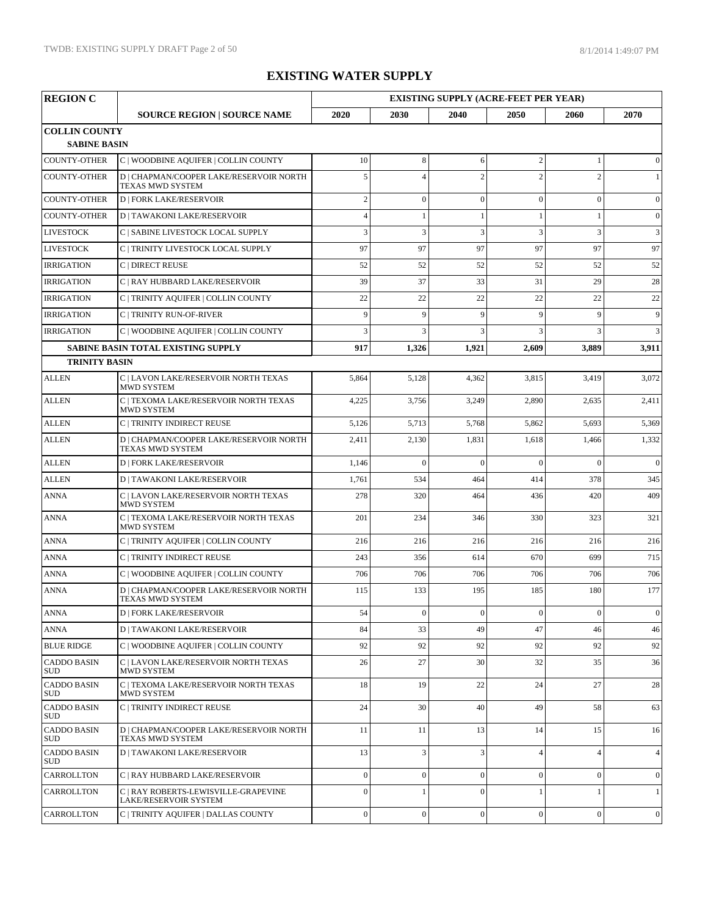| <b>REGION C</b>                             |                                                               | <b>EXISTING SUPPLY (ACRE-FEET PER YEAR)</b> |                  |                  |                  |                  |                  |  |  |
|---------------------------------------------|---------------------------------------------------------------|---------------------------------------------|------------------|------------------|------------------|------------------|------------------|--|--|
|                                             | <b>SOURCE REGION   SOURCE NAME</b>                            | 2020                                        | 2030             | 2040             | 2050             | 2060             | 2070             |  |  |
| <b>COLLIN COUNTY</b><br><b>SABINE BASIN</b> |                                                               |                                             |                  |                  |                  |                  |                  |  |  |
| <b>COUNTY-OTHER</b>                         | C   WOODBINE AQUIFER   COLLIN COUNTY                          | 10                                          | $8\,$            | 6                | $\sqrt{2}$       | 1                | $\mathbf{0}$     |  |  |
| <b>COUNTY-OTHER</b>                         | D   CHAPMAN/COOPER LAKE/RESERVOIR NORTH<br>TEXAS MWD SYSTEM   | 5                                           | $\overline{4}$   | $\overline{2}$   | $\overline{2}$   | $\overline{2}$   | $\mathbf{1}$     |  |  |
| <b>COUNTY-OTHER</b>                         | <b>D   FORK LAKE/RESERVOIR</b>                                | $\overline{c}$                              | $\mathbf{0}$     | $\overline{0}$   | $\mathbf{0}$     | $\overline{0}$   | $\boldsymbol{0}$ |  |  |
| <b>COUNTY-OTHER</b>                         | <b>D   TAWAKONI LAKE/RESERVOIR</b>                            | $\overline{4}$                              | 1                |                  | 1                |                  | $\overline{0}$   |  |  |
| <b>LIVESTOCK</b>                            | C   SABINE LIVESTOCK LOCAL SUPPLY                             | 3                                           | 3                | 3                | 3                | 3                | $\mathfrak{Z}$   |  |  |
| <b>LIVESTOCK</b>                            | C   TRINITY LIVESTOCK LOCAL SUPPLY                            | 97                                          | 97               | 97               | 97               | 97               | 97               |  |  |
| <b>IRRIGATION</b>                           | C   DIRECT REUSE                                              | 52                                          | 52               | 52               | 52               | 52               | 52               |  |  |
| <b>IRRIGATION</b>                           | C   RAY HUBBARD LAKE/RESERVOIR                                | 39                                          | 37               | 33               | 31               | 29               | 28               |  |  |
| <b>IRRIGATION</b>                           | C   TRINITY AQUIFER   COLLIN COUNTY                           | 22                                          | 22               | 22               | 22               | 22               | 22               |  |  |
| <b>IRRIGATION</b>                           | C   TRINITY RUN-OF-RIVER                                      | 9                                           | 9                | 9                | 9                | $\mathbf{Q}$     | 9                |  |  |
| <b>IRRIGATION</b>                           | C   WOODBINE AQUIFER   COLLIN COUNTY                          | $\overline{3}$                              | 3                | 3                | $\overline{3}$   | 3                | 3                |  |  |
|                                             | SABINE BASIN TOTAL EXISTING SUPPLY                            | 917                                         | 1,326            | 1,921            | 2,609            | 3,889            | 3,911            |  |  |
| <b>TRINITY BASIN</b>                        |                                                               |                                             |                  |                  |                  |                  |                  |  |  |
| <b>ALLEN</b>                                | C LAVON LAKE/RESERVOIR NORTH TEXAS<br>MWD SYSTEM              | 5,864                                       | 5,128            | 4,362            | 3,815            | 3,419            | 3,072            |  |  |
| <b>ALLEN</b>                                | C   TEXOMA LAKE/RESERVOIR NORTH TEXAS<br><b>MWD SYSTEM</b>    | 4,225                                       | 3,756            | 3,249            | 2,890            | 2,635            | 2,411            |  |  |
| <b>ALLEN</b>                                | <b>C   TRINITY INDIRECT REUSE</b>                             | 5,126                                       | 5,713            | 5,768            | 5,862            | 5,693            | 5,369            |  |  |
| <b>ALLEN</b>                                | D   CHAPMAN/COOPER LAKE/RESERVOIR NORTH<br>TEXAS MWD SYSTEM   | 2,411                                       | 2,130            | 1,831            | 1,618            | 1,466            | 1,332            |  |  |
| <b>ALLEN</b>                                | <b>D   FORK LAKE/RESERVOIR</b>                                | 1,146                                       | $\Omega$         | $\theta$         | $\Omega$         | $\Omega$         | $\Omega$         |  |  |
| <b>ALLEN</b>                                | <b>D   TAWAKONI LAKE/RESERVOIR</b>                            | 1,761                                       | 534              | 464              | 414              | 378              | 345              |  |  |
| <b>ANNA</b>                                 | C   LAVON LAKE/RESERVOIR NORTH TEXAS<br>MWD SYSTEM            | 278                                         | 320              | 464              | 436              | 420              | 409              |  |  |
| <b>ANNA</b>                                 | C   TEXOMA LAKE/RESERVOIR NORTH TEXAS<br><b>MWD SYSTEM</b>    | 201                                         | 234              | 346              | 330              | 323              | 321              |  |  |
| <b>ANNA</b>                                 | C   TRINITY AQUIFER   COLLIN COUNTY                           | 216                                         | 216              | 216              | 216              | 216              | 216              |  |  |
| <b>ANNA</b>                                 | C   TRINITY INDIRECT REUSE                                    | 243                                         | 356              | 614              | 670              | 699              | 715              |  |  |
| <b>ANNA</b>                                 | C   WOODBINE AQUIFER   COLLIN COUNTY                          | 706                                         | 706              | 706              | 706              | 706              | 706              |  |  |
| <b>ANNA</b>                                 | D   CHAPMAN/COOPER LAKE/RESERVOIR NORTH<br>TEXAS MWD SYSTEM   | 115                                         | 133              | 195              | 185              | 180              | 177              |  |  |
| ANNA                                        | <b>D   FORK LAKE/RESERVOIR</b>                                | 54                                          | $\boldsymbol{0}$ | $\boldsymbol{0}$ | $\boldsymbol{0}$ | $\boldsymbol{0}$ | $\overline{0}$   |  |  |
| <b>ANNA</b>                                 | <b>D   TAWAKONI LAKE/RESERVOIR</b>                            | 84                                          | 33               | 49               | 47               | 46               | 46               |  |  |
| <b>BLUE RIDGE</b>                           | C   WOODBINE AQUIFER   COLLIN COUNTY                          | 92                                          | 92               | 92               | 92               | 92               | 92               |  |  |
| <b>CADDO BASIN</b><br>SUD.                  | C   LAVON LAKE/RESERVOIR NORTH TEXAS<br>MWD SYSTEM            | 26                                          | 27               | 30               | 32               | 35               | 36               |  |  |
| <b>CADDO BASIN</b><br><b>SUD</b>            | C   TEXOMA LAKE/RESERVOIR NORTH TEXAS<br><b>MWD SYSTEM</b>    | 18                                          | 19               | 22               | 24               | 27               | 28               |  |  |
| <b>CADDO BASIN</b><br><b>SUD</b>            | C   TRINITY INDIRECT REUSE                                    | 24                                          | 30               | 40               | 49               | 58               | 63               |  |  |
| <b>CADDO BASIN</b><br><b>SUD</b>            | D   CHAPMAN/COOPER LAKE/RESERVOIR NORTH<br>TEXAS MWD SYSTEM   | 11                                          | 11               | 13               | 14               | 15               | 16               |  |  |
| <b>CADDO BASIN</b><br><b>SUD</b>            | <b>D</b>   TAWAKONI LAKE/RESERVOIR                            | 13                                          | 3                | 3                | $\overline{4}$   | $\overline{4}$   | $\overline{4}$   |  |  |
| CARROLLTON                                  | C   RAY HUBBARD LAKE/RESERVOIR                                | $\mathbf{0}$                                | $\mathbf{0}$     | $\mathbf{0}$     | $\mathbf{0}$     | $\overline{0}$   | $\mathbf{0}$     |  |  |
| CARROLLTON                                  | C   RAY ROBERTS-LEWISVILLE-GRAPEVINE<br>LAKE/RESERVOIR SYSTEM | $\Omega$                                    |                  | $\theta$         |                  |                  | $\mathbf{1}$     |  |  |
| CARROLLTON                                  | C   TRINITY AQUIFER   DALLAS COUNTY                           | $\boldsymbol{0}$                            | $\boldsymbol{0}$ | $\boldsymbol{0}$ | $\boldsymbol{0}$ | $\mathbf{0}$     | $\overline{0}$   |  |  |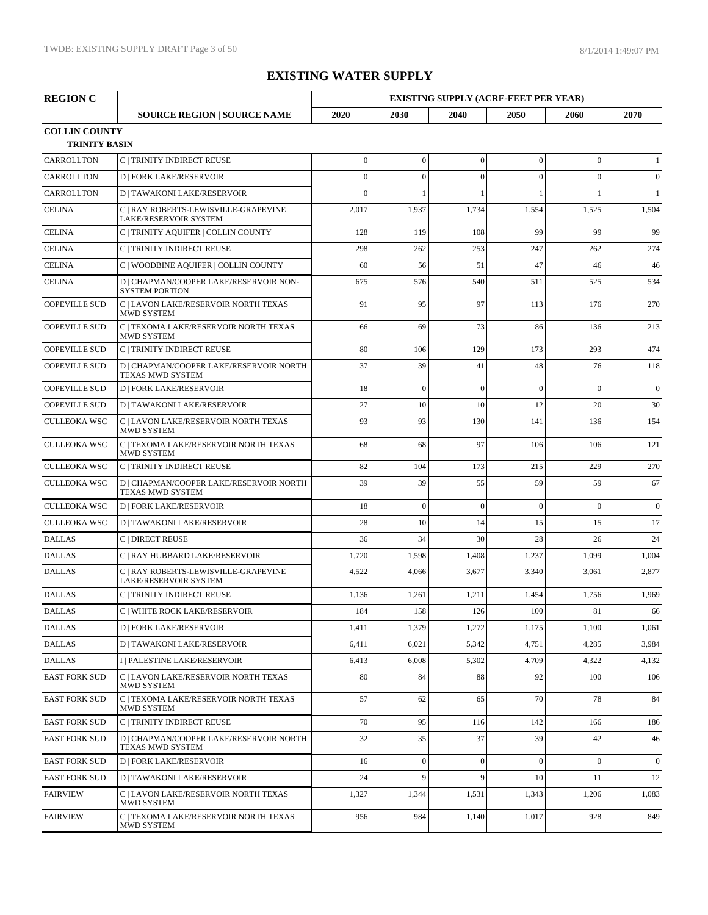| <b>REGION C</b>                              |                                                                      | <b>EXISTING SUPPLY (ACRE-FEET PER YEAR)</b> |                  |                |                  |                |                 |  |
|----------------------------------------------|----------------------------------------------------------------------|---------------------------------------------|------------------|----------------|------------------|----------------|-----------------|--|
|                                              | <b>SOURCE REGION   SOURCE NAME</b>                                   | 2020                                        | 2030             | 2040           | 2050             | 2060           | 2070            |  |
| <b>COLLIN COUNTY</b><br><b>TRINITY BASIN</b> |                                                                      |                                             |                  |                |                  |                |                 |  |
| CARROLLTON                                   | C   TRINITY INDIRECT REUSE                                           | $\mathbf{0}$                                | $\boldsymbol{0}$ | $\mathbf{0}$   | $\boldsymbol{0}$ | $\overline{0}$ | $\mathbf{1}$    |  |
| CARROLLTON                                   | <b>D   FORK LAKE/RESERVOIR</b>                                       | $\overline{0}$                              | $\overline{0}$   | $\mathbf{0}$   | $\overline{0}$   | $\theta$       | $\vert 0 \vert$ |  |
| CARROLLTON                                   | <b>D   TAWAKONI LAKE/RESERVOIR</b>                                   | $\overline{0}$                              | $\mathbf{1}$     | $\mathbf{1}$   |                  |                | $\mathbf{1}$    |  |
| <b>CELINA</b>                                | C   RAY ROBERTS-LEWISVILLE-GRAPEVINE<br><b>LAKE/RESERVOIR SYSTEM</b> | 2,017                                       | 1,937            | 1,734          | 1,554            | 1,525          | 1,504           |  |
| <b>CELINA</b>                                | C   TRINITY AQUIFER   COLLIN COUNTY                                  | 128                                         | 119              | 108            | 99               | 99             | 99              |  |
| <b>CELINA</b>                                | C   TRINITY INDIRECT REUSE                                           | 298                                         | 262              | 253            | 247              | 262            | 274             |  |
| <b>CELINA</b>                                | C   WOODBINE AQUIFER   COLLIN COUNTY                                 | 60                                          | 56               | 51             | 47               | 46             | 46              |  |
| <b>CELINA</b>                                | D   CHAPMAN/COOPER LAKE/RESERVOIR NON-<br><b>SYSTEM PORTION</b>      | 675                                         | 576              | 540            | 511              | 525            | 534             |  |
| <b>COPEVILLE SUD</b>                         | C   LAVON LAKE/RESERVOIR NORTH TEXAS<br><b>MWD SYSTEM</b>            | 91                                          | 95               | 97             | 113              | 176            | 270             |  |
| <b>COPEVILLE SUD</b>                         | C   TEXOMA LAKE/RESERVOIR NORTH TEXAS<br><b>MWD SYSTEM</b>           | 66                                          | 69               | 73             | 86               | 136            | 213             |  |
| <b>COPEVILLE SUD</b>                         | C   TRINITY INDIRECT REUSE                                           | 80                                          | 106              | 129            | 173              | 293            | 474             |  |
| <b>COPEVILLE SUD</b>                         | D   CHAPMAN/COOPER LAKE/RESERVOIR NORTH<br><b>TEXAS MWD SYSTEM</b>   | 37                                          | 39               | 41             | 48               | 76             | 118             |  |
| <b>COPEVILLE SUD</b>                         | <b>D   FORK LAKE/RESERVOIR</b>                                       | 18                                          | $\mathbf{0}$     | $\mathbf{0}$   | $\overline{0}$   | $\theta$       | $\overline{0}$  |  |
| <b>COPEVILLE SUD</b>                         | <b>D   TAWAKONI LAKE/RESERVOIR</b>                                   | 27                                          | 10               | 10             | 12               | 20             | 30              |  |
| <b>CULLEOKA WSC</b>                          | C   LAVON LAKE/RESERVOIR NORTH TEXAS<br><b>MWD SYSTEM</b>            | 93                                          | 93               | 130            | 141              | 136            | 154             |  |
| <b>CULLEOKA WSC</b>                          | C   TEXOMA LAKE/RESERVOIR NORTH TEXAS<br><b>MWD SYSTEM</b>           | 68                                          | 68               | 97             | 106              | 106            | 121             |  |
| <b>CULLEOKA WSC</b>                          | C   TRINITY INDIRECT REUSE                                           | 82                                          | 104              | 173            | 215              | 229            | 270             |  |
| <b>CULLEOKA WSC</b>                          | D   CHAPMAN/COOPER LAKE/RESERVOIR NORTH<br>TEXAS MWD SYSTEM          | 39                                          | 39               | 55             | 59               | 59             | 67              |  |
| <b>CULLEOKA WSC</b>                          | <b>D   FORK LAKE/RESERVOIR</b>                                       | 18                                          | $\overline{0}$   | $\mathbf{0}$   | $\overline{0}$   | $\theta$       | $\overline{0}$  |  |
| <b>CULLEOKA WSC</b>                          | <b>D   TAWAKONI LAKE/RESERVOIR</b>                                   | 28                                          | 10               | 14             | 15               | 15             | 17              |  |
| <b>DALLAS</b>                                | C   DIRECT REUSE                                                     | 36                                          | 34               | 30             | 28               | 26             | 24              |  |
| <b>DALLAS</b>                                | C   RAY HUBBARD LAKE/RESERVOIR                                       | 1,720                                       | 1,598            | 1,408          | 1,237            | 1,099          | 1,004           |  |
| <b>DALLAS</b>                                | C   RAY ROBERTS-LEWISVILLE-GRAPEVINE<br>LAKE/RESERVOIR SYSTEM        | 4,522                                       | 4,066            | 3,677          | 3,340            | 3,061          | 2,877           |  |
| <b>DALLAS</b>                                | <b>C   TRINITY INDIRECT REUSE</b>                                    | 1,136                                       | 1,261            | 1,211          | 1,454            | 1,756          | 1,969           |  |
| <b>DALLAS</b>                                | C   WHITE ROCK LAKE/RESERVOIR                                        | 184                                         | 158              | <sup>126</sup> | 100              | 81             | 66              |  |
| <b>DALLAS</b>                                | <b>D   FORK LAKE/RESERVOIR</b>                                       | 1,411                                       | 1,379            | 1,272          | 1,175            | 1,100          | 1,061           |  |
| <b>DALLAS</b>                                | <b>D   TAWAKONI LAKE/RESERVOIR</b>                                   | 6,411                                       | 6,021            | 5,342          | 4,751            | 4,285          | 3,984           |  |
| <b>DALLAS</b>                                | I   PALESTINE LAKE/RESERVOIR                                         | 6,413                                       | 6,008            | 5,302          | 4,709            | 4,322          | 4,132           |  |
| <b>EAST FORK SUD</b>                         | C   LAVON LAKE/RESERVOIR NORTH TEXAS<br>MWD SYSTEM                   | 80                                          | 84               | 88             | 92               | 100            | 106             |  |
| <b>EAST FORK SUD</b>                         | C   TEXOMA LAKE/RESERVOIR NORTH TEXAS<br>MWD SYSTEM                  | 57                                          | 62               | 65             | 70               | 78             | 84              |  |
| <b>EAST FORK SUD</b>                         | C   TRINITY INDIRECT REUSE                                           | 70                                          | 95               | 116            | 142              | 166            | 186             |  |
| <b>EAST FORK SUD</b>                         | D   CHAPMAN/COOPER LAKE/RESERVOIR NORTH<br>TEXAS MWD SYSTEM          | 32                                          | 35               | 37             | 39               | 42             | 46              |  |
| <b>EAST FORK SUD</b>                         | <b>D   FORK LAKE/RESERVOIR</b>                                       | 16                                          | $\boldsymbol{0}$ | $\mathbf{0}$   | $\overline{0}$   | $\theta$       | $\vert 0 \vert$ |  |
| <b>EAST FORK SUD</b>                         | <b>D   TAWAKONI LAKE/RESERVOIR</b>                                   | 24                                          | 9                | 9              | 10               | 11             | 12              |  |
| <b>FAIRVIEW</b>                              | C   LAVON LAKE/RESERVOIR NORTH TEXAS<br>MWD SYSTEM                   | 1,327                                       | 1,344            | 1,531          | 1,343            | 1,206          | 1,083           |  |
| <b>FAIRVIEW</b>                              | C   TEXOMA LAKE/RESERVOIR NORTH TEXAS<br>MWD SYSTEM                  | 956                                         | 984              | 1,140          | 1,017            | 928            | 849             |  |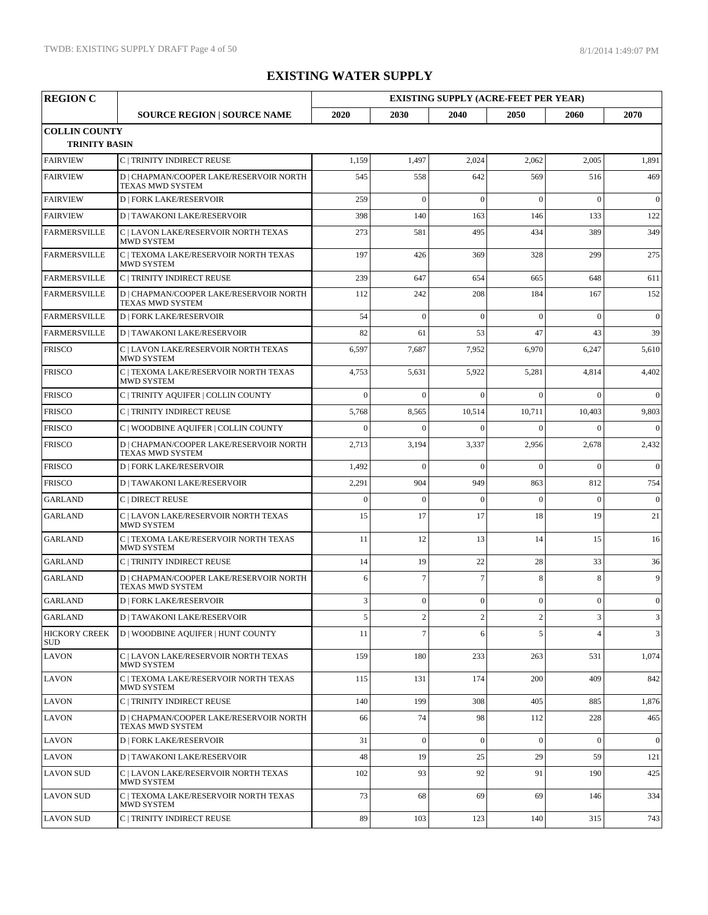| <b>REGION C</b>                              |                                                                    | <b>EXISTING SUPPLY (ACRE-FEET PER YEAR)</b> |                |                |              |          |                |  |
|----------------------------------------------|--------------------------------------------------------------------|---------------------------------------------|----------------|----------------|--------------|----------|----------------|--|
|                                              | <b>SOURCE REGION   SOURCE NAME</b>                                 | 2020                                        | 2030           | 2040           | 2050         | 2060     | 2070           |  |
| <b>COLLIN COUNTY</b><br><b>TRINITY BASIN</b> |                                                                    |                                             |                |                |              |          |                |  |
| <b>FAIRVIEW</b>                              | C   TRINITY INDIRECT REUSE                                         | 1,159                                       | 1,497          | 2,024          | 2,062        | 2,005    | 1,891          |  |
| <b>FAIRVIEW</b>                              | D   CHAPMAN/COOPER LAKE/RESERVOIR NORTH<br>TEXAS MWD SYSTEM        | 545                                         | 558            | 642            | 569          | 516      | 469            |  |
| <b>FAIRVIEW</b>                              | <b>D   FORK LAKE/RESERVOIR</b>                                     | 259                                         | $\Omega$       | $\theta$       | $\Omega$     | $\Omega$ | $\overline{0}$ |  |
| <b>FAIRVIEW</b>                              | <b>D   TAWAKONI LAKE/RESERVOIR</b>                                 | 398                                         | 140            | 163            | 146          | 133      | 122            |  |
| <b>FARMERSVILLE</b>                          | C   LAVON LAKE/RESERVOIR NORTH TEXAS<br>MWD SYSTEM                 | 273                                         | 581            | 495            | 434          | 389      | 349            |  |
| <b>FARMERSVILLE</b>                          | C   TEXOMA LAKE/RESERVOIR NORTH TEXAS<br>MWD SYSTEM                | 197                                         | 426            | 369            | 328          | 299      | 275            |  |
| <b>FARMERSVILLE</b>                          | C   TRINITY INDIRECT REUSE                                         | 239                                         | 647            | 654            | 665          | 648      | 611            |  |
| <b>FARMERSVILLE</b>                          | D   CHAPMAN/COOPER LAKE/RESERVOIR NORTH<br>TEXAS MWD SYSTEM        | 112                                         | 242            | 208            | 184          | 167      | 152            |  |
| <b>FARMERSVILLE</b>                          | <b>D   FORK LAKE/RESERVOIR</b>                                     | 54                                          | $\theta$       | $\theta$       | $\Omega$     | $\theta$ | $\mathbf{0}$   |  |
| <b>FARMERSVILLE</b>                          | <b>D   TAWAKONI LAKE/RESERVOIR</b>                                 | 82                                          | 61             | 53             | 47           | 43       | 39             |  |
| <b>FRISCO</b>                                | C   LAVON LAKE/RESERVOIR NORTH TEXAS<br>MWD SYSTEM                 | 6,597                                       | 7,687          | 7,952          | 6,970        | 6,247    | 5,610          |  |
| <b>FRISCO</b>                                | C   TEXOMA LAKE/RESERVOIR NORTH TEXAS<br><b>MWD SYSTEM</b>         | 4,753                                       | 5,631          | 5,922          | 5,281        | 4,814    | 4,402          |  |
| <b>FRISCO</b>                                | C   TRINITY AQUIFER   COLLIN COUNTY                                | $\mathbf{0}$                                | $\Omega$       | $\theta$       | $\theta$     | $\Omega$ | $\theta$       |  |
| <b>FRISCO</b>                                | C   TRINITY INDIRECT REUSE                                         | 5,768                                       | 8,565          | 10,514         | 10,711       | 10,403   | 9,803          |  |
| <b>FRISCO</b>                                | C   WOODBINE AQUIFER   COLLIN COUNTY                               | $\Omega$                                    | $\Omega$       | $\Omega$       | $\Omega$     | $\Omega$ | $\theta$       |  |
| <b>FRISCO</b>                                | D   CHAPMAN/COOPER LAKE/RESERVOIR NORTH<br><b>TEXAS MWD SYSTEM</b> | 2,713                                       | 3,194          | 3,337          | 2,956        | 2,678    | 2,432          |  |
| <b>FRISCO</b>                                | <b>D   FORK LAKE/RESERVOIR</b>                                     | 1,492                                       | $\theta$       | $\theta$       | $\Omega$     | $\theta$ | $\theta$       |  |
| <b>FRISCO</b>                                | <b>D   TAWAKONI LAKE/RESERVOIR</b>                                 | 2,291                                       | 904            | 949            | 863          | 812      | 754            |  |
| <b>GARLAND</b>                               | C   DIRECT REUSE                                                   | $\Omega$                                    | $\Omega$       | $\theta$       | $\Omega$     | $\Omega$ | $\mathbf{0}$   |  |
| <b>GARLAND</b>                               | C   LAVON LAKE/RESERVOIR NORTH TEXAS<br><b>MWD SYSTEM</b>          | 15                                          | 17             | 17             | 18           | 19       | 21             |  |
| <b>GARLAND</b>                               | C   TEXOMA LAKE/RESERVOIR NORTH TEXAS<br><b>MWD SYSTEM</b>         | 11                                          | 12             | 13             | 14           | 15       | 16             |  |
| <b>GARLAND</b>                               | <b>C   TRINITY INDIRECT REUSE</b>                                  | 14                                          | 19             | 22             | 28           | 33       | 36             |  |
| <b>GARLAND</b>                               | D   CHAPMAN/COOPER LAKE/RESERVOIR NORTH<br>TEXAS MWD SYSTEM        | 6                                           | $\overline{7}$ | $\overline{7}$ | 8            | 8        | 9              |  |
| <b>GARLAND</b>                               | <b>D   FORK LAKE/RESERVOIR</b>                                     | 3                                           | $\mathbf{0}$   | $\mathbf{0}$   | $\mathbf{0}$ | $\theta$ | $\mathbf{0}$   |  |
| <b>GARLAND</b>                               | <b>D   TAWAKONI LAKE/RESERVOIR</b>                                 | $\sqrt{5}$                                  | $\sqrt{2}$     | $\sqrt{2}$     | $\sqrt{2}$   | 3        | 3              |  |
| <b>HICKORY CREEK</b><br><b>SUD</b>           | <b>D   WOODBINE AQUIFER   HUNT COUNTY</b>                          | 11                                          | $\overline{7}$ | 6              | 5            | Δ        | 3              |  |
| <b>LAVON</b>                                 | C   LAVON LAKE/RESERVOIR NORTH TEXAS<br>MWD SYSTEM                 | 159                                         | 180            | 233            | 263          | 531      | 1,074          |  |
| <b>LAVON</b>                                 | C   TEXOMA LAKE/RESERVOIR NORTH TEXAS<br>MWD SYSTEM                | 115                                         | 131            | 174            | 200          | 409      | 842            |  |
| <b>LAVON</b>                                 | C   TRINITY INDIRECT REUSE                                         | 140                                         | 199            | 308            | 405          | 885      | 1,876          |  |
| <b>LAVON</b>                                 | D   CHAPMAN/COOPER LAKE/RESERVOIR NORTH<br>TEXAS MWD SYSTEM        | 66                                          | 74             | 98             | 112          | 228      | 465            |  |
| <b>LAVON</b>                                 | <b>D   FORK LAKE/RESERVOIR</b>                                     | 31                                          | $\mathbf{0}$   | $\Omega$       | $\mathbf{0}$ | $\Omega$ | $\mathbf{0}$   |  |
| LAVON                                        | <b>D   TAWAKONI LAKE/RESERVOIR</b>                                 | 48                                          | 19             | 25             | 29           | 59       | 121            |  |
| <b>LAVON SUD</b>                             | C   LAVON LAKE/RESERVOIR NORTH TEXAS<br>MWD SYSTEM                 | 102                                         | 93             | 92             | 91           | 190      | 425            |  |
| <b>LAVON SUD</b>                             | C   TEXOMA LAKE/RESERVOIR NORTH TEXAS<br>MWD SYSTEM                | 73                                          | 68             | 69             | 69           | 146      | 334            |  |
| <b>LAVON SUD</b>                             | C   TRINITY INDIRECT REUSE                                         | 89                                          | 103            | 123            | 140          | 315      | 743            |  |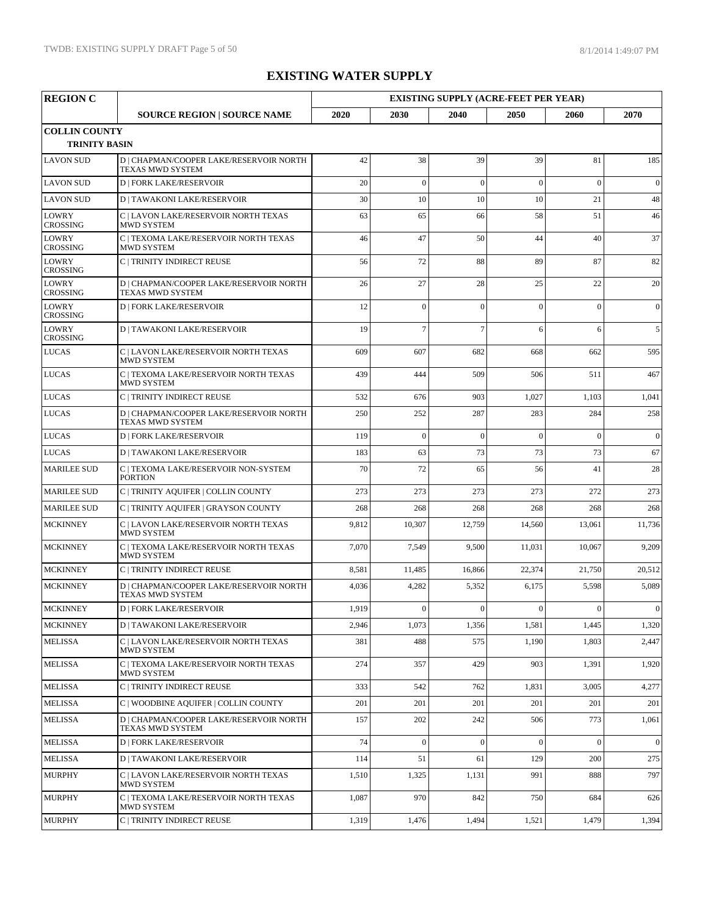| <b>REGION C</b>                              |                                                                    | <b>EXISTING SUPPLY (ACRE-FEET PER YEAR)</b> |                  |                  |                  |                  |                |
|----------------------------------------------|--------------------------------------------------------------------|---------------------------------------------|------------------|------------------|------------------|------------------|----------------|
|                                              | <b>SOURCE REGION   SOURCE NAME</b>                                 | 2020                                        | 2030             | 2040             | 2050             | 2060             | 2070           |
| <b>COLLIN COUNTY</b><br><b>TRINITY BASIN</b> |                                                                    |                                             |                  |                  |                  |                  |                |
| <b>LAVON SUD</b>                             | D   CHAPMAN/COOPER LAKE/RESERVOIR NORTH<br><b>TEXAS MWD SYSTEM</b> | 42                                          | 38               | 39               | 39               | 81               | 185            |
| <b>LAVON SUD</b>                             | <b>D   FORK LAKE/RESERVOIR</b>                                     | 20                                          | $\overline{0}$   | $\Omega$         | $\mathbf{0}$     | $\theta$         | $\mathbf{0}$   |
| <b>LAVON SUD</b>                             | <b>D   TAWAKONI LAKE/RESERVOIR</b>                                 | 30                                          | 10               | 10               | 10               | 21               | 48             |
| LOWRY<br><b>CROSSING</b>                     | C   LAVON LAKE/RESERVOIR NORTH TEXAS<br><b>MWD SYSTEM</b>          | 63                                          | 65               | 66               | 58               | 51               | 46             |
| <b>LOWRY</b><br><b>CROSSING</b>              | C   TEXOMA LAKE/RESERVOIR NORTH TEXAS<br><b>MWD SYSTEM</b>         | 46                                          | 47               | 50               | 44               | 40               | 37             |
| <b>LOWRY</b><br><b>CROSSING</b>              | C   TRINITY INDIRECT REUSE                                         | 56                                          | 72               | 88               | 89               | 87               | 82             |
| <b>LOWRY</b><br><b>CROSSING</b>              | D   CHAPMAN/COOPER LAKE/RESERVOIR NORTH<br>TEXAS MWD SYSTEM        | 26                                          | 27               | 28               | 25               | 22               | 20             |
| LOWRY<br><b>CROSSING</b>                     | <b>D   FORK LAKE/RESERVOIR</b>                                     | 12                                          | $\mathbf{0}$     | $\theta$         | $\Omega$         | $\theta$         | $\overline{0}$ |
| <b>LOWRY</b><br><b>CROSSING</b>              | <b>D   TAWAKONI LAKE/RESERVOIR</b>                                 | 19                                          | $\overline{7}$   | $\overline{7}$   | 6                | 6                | 5              |
| <b>LUCAS</b>                                 | C   LAVON LAKE/RESERVOIR NORTH TEXAS<br><b>MWD SYSTEM</b>          | 609                                         | 607              | 682              | 668              | 662              | 595            |
| <b>LUCAS</b>                                 | C   TEXOMA LAKE/RESERVOIR NORTH TEXAS<br><b>MWD SYSTEM</b>         | 439                                         | 444              | 509              | 506              | 511              | 467            |
| <b>LUCAS</b>                                 | C   TRINITY INDIRECT REUSE                                         | 532                                         | 676              | 903              | 1,027            | 1,103            | 1,041          |
| <b>LUCAS</b>                                 | D   CHAPMAN/COOPER LAKE/RESERVOIR NORTH<br>TEXAS MWD SYSTEM        | 250                                         | 252              | 287              | 283              | 284              | 258            |
| <b>LUCAS</b>                                 | <b>D   FORK LAKE/RESERVOIR</b>                                     | 119                                         | $\overline{0}$   | $\overline{0}$   | $\Omega$         | $\theta$         | $\mathbf{0}$   |
| <b>LUCAS</b>                                 | <b>D   TAWAKONI LAKE/RESERVOIR</b>                                 | 183                                         | 63               | 73               | 73               | 73               | 67             |
| <b>MARILEE SUD</b>                           | C   TEXOMA LAKE/RESERVOIR NON-SYSTEM<br><b>PORTION</b>             | 70                                          | 72               | 65               | 56               | 41               | 28             |
| <b>MARILEE SUD</b>                           | C   TRINITY AQUIFER   COLLIN COUNTY                                | 273                                         | 273              | 273              | 273              | 272              | 273            |
| <b>MARILEE SUD</b>                           | C   TRINITY AQUIFER   GRAYSON COUNTY                               | 268                                         | 268              | 268              | 268              | 268              | 268            |
| <b>MCKINNEY</b>                              | C   LAVON LAKE/RESERVOIR NORTH TEXAS<br><b>MWD SYSTEM</b>          | 9,812                                       | 10,307           | 12,759           | 14,560           | 13,061           | 11,736         |
| <b>MCKINNEY</b>                              | C   TEXOMA LAKE/RESERVOIR NORTH TEXAS<br><b>MWD SYSTEM</b>         | 7,070                                       | 7,549            | 9,500            | 11,031           | 10,067           | 9,209          |
| <b>MCKINNEY</b>                              | C   TRINITY INDIRECT REUSE                                         | 8,581                                       | 11,485           | 16,866           | 22,374           | 21,750           | 20,512         |
| <b>MCKINNEY</b>                              | D   CHAPMAN/COOPER LAKE/RESERVOIR NORTH<br>TEXAS MWD SYSTEM        | 4,036                                       | 4,282            | 5,352            | 6,175            | 5,598            | 5,089          |
| <b>MCKINNEY</b>                              | <b>D   FORK LAKE/RESERVOIR</b>                                     | 1,919                                       | $\boldsymbol{0}$ | $\boldsymbol{0}$ | $\boldsymbol{0}$ | $\boldsymbol{0}$ | $\overline{0}$ |
| <b>MCKINNEY</b>                              | <b>D   TAWAKONI LAKE/RESERVOIR</b>                                 | 2,946                                       | 1,073            | 1,356            | 1,581            | 1,445            | 1,320          |
| <b>MELISSA</b>                               | C   LAVON LAKE/RESERVOIR NORTH TEXAS<br>MWD SYSTEM                 | 381                                         | 488              | 575              | 1,190            | 1,803            | 2,447          |
| <b>MELISSA</b>                               | C   TEXOMA LAKE/RESERVOIR NORTH TEXAS<br>MWD SYSTEM                | 274                                         | 357              | 429              | 903              | 1,391            | 1,920          |
| <b>MELISSA</b>                               | C   TRINITY INDIRECT REUSE                                         | 333                                         | 542              | 762              | 1,831            | 3,005            | 4,277          |
| <b>MELISSA</b>                               | C   WOODBINE AQUIFER   COLLIN COUNTY                               | 201                                         | 201              | 201              | 201              | 201              | 201            |
| <b>MELISSA</b>                               | D   CHAPMAN/COOPER LAKE/RESERVOIR NORTH<br>TEXAS MWD SYSTEM        | 157                                         | 202              | 242              | 506              | 773              | 1,061          |
| <b>MELISSA</b>                               | <b>D   FORK LAKE/RESERVOIR</b>                                     | 74                                          | $\mathbf{0}$     | $\overline{0}$   | $\mathbf{0}$     | $\mathbf{0}$     | $\mathbf{0}$   |
| <b>MELISSA</b>                               | <b>D   TAWAKONI LAKE/RESERVOIR</b>                                 | 114                                         | 51               | 61               | 129              | 200              | 275            |
| <b>MURPHY</b>                                | C   LAVON LAKE/RESERVOIR NORTH TEXAS<br>MWD SYSTEM                 | 1,510                                       | 1,325            | 1,131            | 991              | 888              | 797            |
| <b>MURPHY</b>                                | C   TEXOMA LAKE/RESERVOIR NORTH TEXAS<br>MWD SYSTEM                | 1,087                                       | 970              | 842              | 750              | 684              | 626            |
| <b>MURPHY</b>                                | C   TRINITY INDIRECT REUSE                                         | 1,319                                       | 1,476            | 1,494            | 1,521            | 1,479            | 1,394          |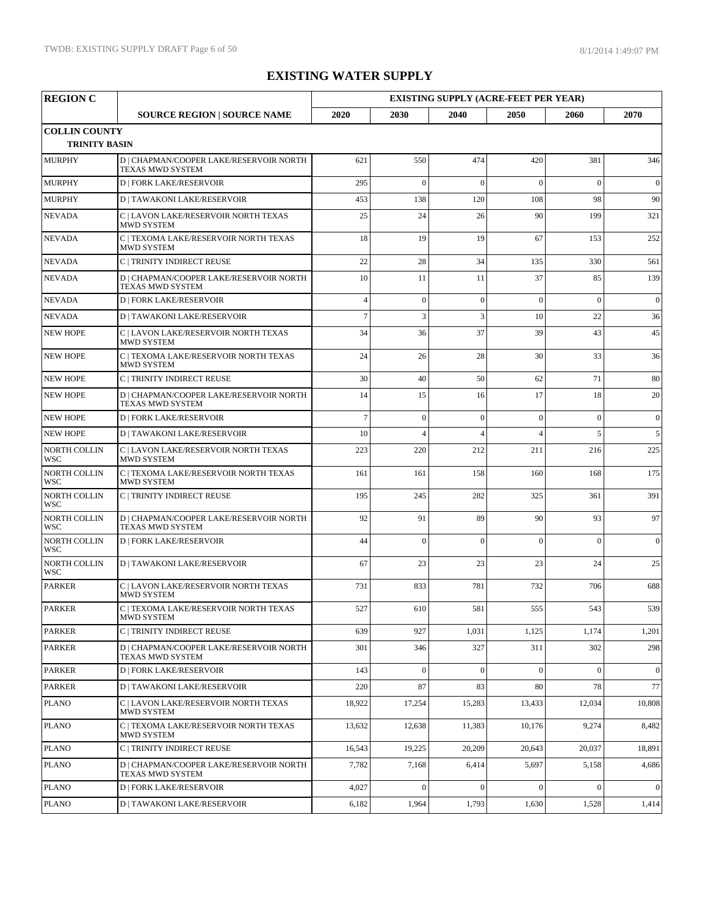| <b>REGION C</b>                              |                                                                    | <b>EXISTING SUPPLY (ACRE-FEET PER YEAR)</b> |                |                |                |              |              |  |
|----------------------------------------------|--------------------------------------------------------------------|---------------------------------------------|----------------|----------------|----------------|--------------|--------------|--|
|                                              | <b>SOURCE REGION   SOURCE NAME</b>                                 | 2020                                        | 2030           | 2040           | 2050           | 2060         | 2070         |  |
| <b>COLLIN COUNTY</b><br><b>TRINITY BASIN</b> |                                                                    |                                             |                |                |                |              |              |  |
| <b>MURPHY</b>                                | D   CHAPMAN/COOPER LAKE/RESERVOIR NORTH<br>TEXAS MWD SYSTEM        | 621                                         | 550            | 474            | 420            | 381          | 346          |  |
| <b>MURPHY</b>                                | <b>D   FORK LAKE/RESERVOIR</b>                                     | 295                                         | $\mathbf{0}$   | $\overline{0}$ | $\theta$       | $\theta$     | $\mathbf{0}$ |  |
| <b>MURPHY</b>                                | <b>D   TAWAKONI LAKE/RESERVOIR</b>                                 | 453                                         | 138            | 120            | 108            | 98           | 90           |  |
| <b>NEVADA</b>                                | C   LAVON LAKE/RESERVOIR NORTH TEXAS<br><b>MWD SYSTEM</b>          | 25                                          | 24             | 26             | 90             | 199          | 321          |  |
| <b>NEVADA</b>                                | C   TEXOMA LAKE/RESERVOIR NORTH TEXAS<br><b>MWD SYSTEM</b>         | 18                                          | 19             | 19             | 67             | 153          | 252          |  |
| <b>NEVADA</b>                                | C   TRINITY INDIRECT REUSE                                         | 22                                          | 28             | 34             | 135            | 330          | 561          |  |
| <b>NEVADA</b>                                | D   CHAPMAN/COOPER LAKE/RESERVOIR NORTH<br><b>TEXAS MWD SYSTEM</b> | 10                                          | 11             | 11             | 37             | 85           | 139          |  |
| <b>NEVADA</b>                                | <b>D   FORK LAKE/RESERVOIR</b>                                     | $\overline{4}$                              | $\mathbf{0}$   | $\overline{0}$ | $\mathbf{0}$   | $\theta$     | $\mathbf{0}$ |  |
| <b>NEVADA</b>                                | <b>D   TAWAKONI LAKE/RESERVOIR</b>                                 | $\overline{7}$                              | $\overline{3}$ | $\overline{3}$ | 10             | 22           | 36           |  |
| <b>NEW HOPE</b>                              | C   LAVON LAKE/RESERVOIR NORTH TEXAS<br><b>MWD SYSTEM</b>          | 34                                          | 36             | 37             | 39             | 43           | 45           |  |
| <b>NEW HOPE</b>                              | C   TEXOMA LAKE/RESERVOIR NORTH TEXAS<br><b>MWD SYSTEM</b>         | 24                                          | 26             | 28             | 30             | 33           | 36           |  |
| <b>NEW HOPE</b>                              | C   TRINITY INDIRECT REUSE                                         | 30                                          | 40             | 50             | 62             | 71           | 80           |  |
| <b>NEW HOPE</b>                              | D   CHAPMAN/COOPER LAKE/RESERVOIR NORTH<br>TEXAS MWD SYSTEM        | 14                                          | 15             | 16             | 17             | 18           | 20           |  |
| <b>NEW HOPE</b>                              | <b>D   FORK LAKE/RESERVOIR</b>                                     | $\overline{7}$                              | $\overline{0}$ | $\mathbf{0}$   | $\mathbf{0}$   | $\theta$     | $\mathbf{0}$ |  |
| <b>NEW HOPE</b>                              | <b>D   TAWAKONI LAKE/RESERVOIR</b>                                 | 10                                          | $\overline{4}$ | $\overline{4}$ | $\overline{4}$ | 5            | 5            |  |
| <b>NORTH COLLIN</b><br><b>WSC</b>            | C   LAVON LAKE/RESERVOIR NORTH TEXAS<br><b>MWD SYSTEM</b>          | 223                                         | 220            | 212            | 211            | 216          | 225          |  |
| NORTH COLLIN<br><b>WSC</b>                   | C   TEXOMA LAKE/RESERVOIR NORTH TEXAS<br><b>MWD SYSTEM</b>         | 161                                         | 161            | 158            | 160            | 168          | 175          |  |
| <b>NORTH COLLIN</b><br>WSC                   | C   TRINITY INDIRECT REUSE                                         | 195                                         | 245            | 282            | 325            | 361          | 391          |  |
| <b>NORTH COLLIN</b><br>WSC                   | D   CHAPMAN/COOPER LAKE/RESERVOIR NORTH<br>TEXAS MWD SYSTEM        | 92                                          | 91             | 89             | 90             | 93           | 97           |  |
| <b>NORTH COLLIN</b><br><b>WSC</b>            | <b>D   FORK LAKE/RESERVOIR</b>                                     | 44                                          | $\mathbf{0}$   | $\theta$       | $\Omega$       | $\theta$     | $\mathbf{0}$ |  |
| <b>NORTH COLLIN</b><br><b>WSC</b>            | <b>D   TAWAKONI LAKE/RESERVOIR</b>                                 | 67                                          | 23             | 23             | 23             | 24           | 25           |  |
| <b>PARKER</b>                                | C   LAVON LAKE/RESERVOIR NORTH TEXAS<br>MWD SYSTEM                 | 731                                         | 833            | 781            | 732            | 706          | 688          |  |
| <b>PARKER</b>                                | $\mathbf C$   TEXOMA LAKE/RESERVOIR NORTH TEXAS<br>MWD SYSTEM      | 527                                         | 610            | 581            | 555            | 543          | 539          |  |
| <b>PARKER</b>                                | C   TRINITY INDIRECT REUSE                                         | 639                                         | 927            | 1,031          | 1,125          | 1,174        | 1,201        |  |
| <b>PARKER</b>                                | D   CHAPMAN/COOPER LAKE/RESERVOIR NORTH<br>TEXAS MWD SYSTEM        | 301                                         | 346            | 327            | 311            | 302          | 298          |  |
| <b>PARKER</b>                                | <b>D   FORK LAKE/RESERVOIR</b>                                     | 143                                         | $\mathbf{0}$   | $\mathbf{0}$   | $\mathbf{0}$   | $\mathbf{0}$ | $\mathbf{0}$ |  |
| PARKER                                       | <b>D   TAWAKONI LAKE/RESERVOIR</b>                                 | 220                                         | 87             | 83             | 80             | 78           | 77           |  |
| <b>PLANO</b>                                 | C   LAVON LAKE/RESERVOIR NORTH TEXAS<br>MWD SYSTEM                 | 18,922                                      | 17,254         | 15,283         | 13,433         | 12,034       | 10,808       |  |
| <b>PLANO</b>                                 | C   TEXOMA LAKE/RESERVOIR NORTH TEXAS<br>MWD SYSTEM                | 13,632                                      | 12,638         | 11,383         | 10,176         | 9,274        | 8,482        |  |
| <b>PLANO</b>                                 | C   TRINITY INDIRECT REUSE                                         | 16,543                                      | 19,225         | 20,209         | 20,643         | 20,037       | 18,891       |  |
| <b>PLANO</b>                                 | D   CHAPMAN/COOPER LAKE/RESERVOIR NORTH<br>TEXAS MWD SYSTEM        | 7,782                                       | 7,168          | 6,414          | 5,697          | 5,158        | 4,686        |  |
| <b>PLANO</b>                                 | <b>D   FORK LAKE/RESERVOIR</b>                                     | 4,027                                       | $\mathbf{0}$   | $\mathbf{0}$   | $\mathbf{0}$   | $\Omega$     | $\mathbf{0}$ |  |
| <b>PLANO</b>                                 | <b>D   TAWAKONI LAKE/RESERVOIR</b>                                 | 6,182                                       | 1,964          | 1,793          | 1,630          | 1,528        | 1,414        |  |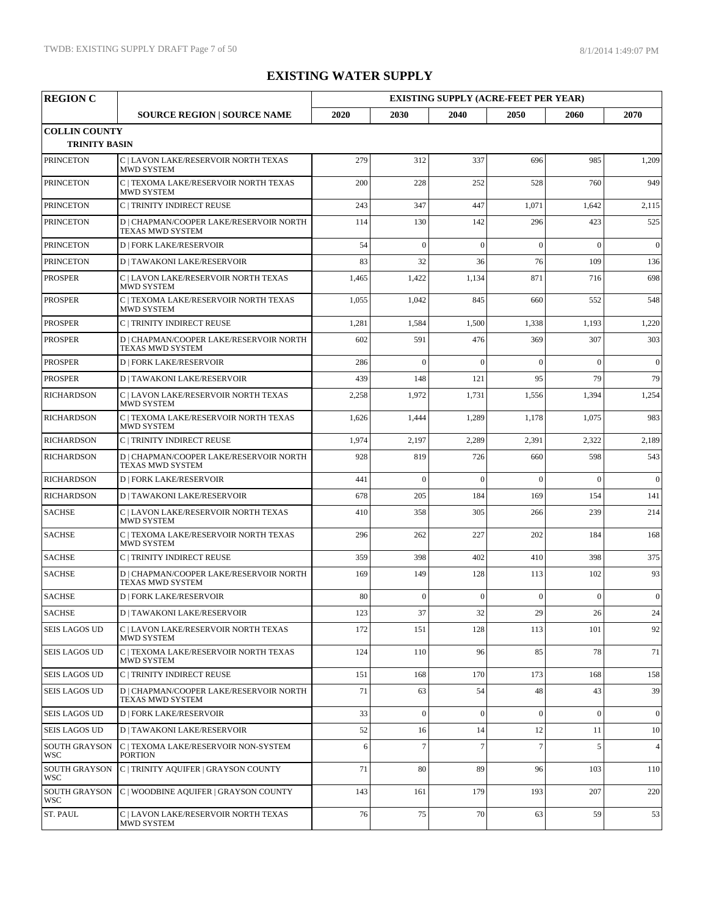| <b>REGION C</b>                              |                                                                    | <b>EXISTING SUPPLY (ACRE-FEET PER YEAR)</b> |                 |                 |                |                |                |
|----------------------------------------------|--------------------------------------------------------------------|---------------------------------------------|-----------------|-----------------|----------------|----------------|----------------|
|                                              | <b>SOURCE REGION   SOURCE NAME</b>                                 | 2020                                        | 2030            | 2040            | 2050           | 2060           | 2070           |
| <b>COLLIN COUNTY</b><br><b>TRINITY BASIN</b> |                                                                    |                                             |                 |                 |                |                |                |
| <b>PRINCETON</b>                             | C   LAVON LAKE/RESERVOIR NORTH TEXAS<br><b>MWD SYSTEM</b>          | 279                                         | 312             | 337             | 696            | 985            | 1,209          |
| <b>PRINCETON</b>                             | C   TEXOMA LAKE/RESERVOIR NORTH TEXAS<br><b>MWD SYSTEM</b>         | 200                                         | 228             | 252             | 528            | 760            | 949            |
| <b>PRINCETON</b>                             | C   TRINITY INDIRECT REUSE                                         | 243                                         | 347             | 447             | 1,071          | 1,642          | 2,115          |
| <b>PRINCETON</b>                             | D   CHAPMAN/COOPER LAKE/RESERVOIR NORTH<br><b>TEXAS MWD SYSTEM</b> | 114                                         | 130             | 142             | 296            | 423            | 525            |
| <b>PRINCETON</b>                             | <b>D   FORK LAKE/RESERVOIR</b>                                     | 54                                          | $\theta$        | $\overline{0}$  | $\theta$       | $\theta$       | $\overline{0}$ |
| <b>PRINCETON</b>                             | <b>D   TAWAKONI LAKE/RESERVOIR</b>                                 | 83                                          | 32              | 36              | 76             | 109            | 136            |
| <b>PROSPER</b>                               | C   LAVON LAKE/RESERVOIR NORTH TEXAS<br>MWD SYSTEM                 | 1,465                                       | 1,422           | 1,134           | 871            | 716            | 698            |
| <b>PROSPER</b>                               | C   TEXOMA LAKE/RESERVOIR NORTH TEXAS<br><b>MWD SYSTEM</b>         | 1,055                                       | 1,042           | 845             | 660            | 552            | 548            |
| <b>PROSPER</b>                               | C   TRINITY INDIRECT REUSE                                         | 1,281                                       | 1,584           | 1,500           | 1,338          | 1,193          | 1,220          |
| <b>PROSPER</b>                               | D   CHAPMAN/COOPER LAKE/RESERVOIR NORTH<br><b>TEXAS MWD SYSTEM</b> | 602                                         | 591             | 476             | 369            | 307            | 303            |
| <b>PROSPER</b>                               | <b>D   FORK LAKE/RESERVOIR</b>                                     | 286                                         | $\overline{0}$  | $\mathbf{0}$    | $\theta$       | $\overline{0}$ | $\mathbf{0}$   |
| <b>PROSPER</b>                               | <b>D   TAWAKONI LAKE/RESERVOIR</b>                                 | 439                                         | 148             | 121             | 95             | 79             | 79             |
| <b>RICHARDSON</b>                            | C   LAVON LAKE/RESERVOIR NORTH TEXAS<br><b>MWD SYSTEM</b>          | 2,258                                       | 1,972           | 1,731           | 1,556          | 1,394          | 1,254          |
| <b>RICHARDSON</b>                            | C   TEXOMA LAKE/RESERVOIR NORTH TEXAS<br><b>MWD SYSTEM</b>         | 1,626                                       | 1,444           | 1,289           | 1,178          | 1,075          | 983            |
| <b>RICHARDSON</b>                            | C   TRINITY INDIRECT REUSE                                         | 1,974                                       | 2,197           | 2,289           | 2,391          | 2,322          | 2,189          |
| <b>RICHARDSON</b>                            | D   CHAPMAN/COOPER LAKE/RESERVOIR NORTH<br><b>TEXAS MWD SYSTEM</b> | 928                                         | 819             | 726             | 660            | 598            | 543            |
| <b>RICHARDSON</b>                            | <b>D   FORK LAKE/RESERVOIR</b>                                     | 441                                         | $\overline{0}$  | $\mathbf{0}$    | $\overline{0}$ | $\overline{0}$ | $\mathbf{0}$   |
| <b>RICHARDSON</b>                            | <b>D   TAWAKONI LAKE/RESERVOIR</b>                                 | 678                                         | 205             | 184             | 169            | 154            | 141            |
| <b>SACHSE</b>                                | C   LAVON LAKE/RESERVOIR NORTH TEXAS<br><b>MWD SYSTEM</b>          | 410                                         | 358             | 305             | 266            | 239            | 214            |
| <b>SACHSE</b>                                | C   TEXOMA LAKE/RESERVOIR NORTH TEXAS<br><b>MWD SYSTEM</b>         | 296                                         | 262             | 227             | 202            | 184            | 168            |
| <b>SACHSE</b>                                | <b>C   TRINITY INDIRECT REUSE</b>                                  | 359                                         | 398             | 402             | 410            | 398            | 375            |
| <b>SACHSE</b>                                | D   CHAPMAN/COOPER LAKE/RESERVOIR NORTH<br>TEXAS MWD SYSTEM        | 169                                         | 149             | 128             | 113            | 102            | 93             |
| <b>SACHSE</b>                                | <b>D   FORK LAKE/RESERVOIR</b>                                     | 80                                          | $\mathbf{0}$    | $\mathbf{0}$    | $\overline{0}$ | $\theta$       | $\overline{0}$ |
| <b>SACHSE</b>                                | <b>D   TAWAKONI LAKE/RESERVOIR</b>                                 | 123                                         | 37              | 32              | 29             | 26             | 24             |
| <b>SEIS LAGOS UD</b>                         | C   LAVON LAKE/RESERVOIR NORTH TEXAS<br>MWD SYSTEM                 | 172                                         | 151             | 128             | 113            | 101            | 92             |
| <b>SEIS LAGOS UD</b>                         | C   TEXOMA LAKE/RESERVOIR NORTH TEXAS<br>MWD SYSTEM                | 124                                         | 110             | 96              | 85             | 78             | 71             |
| <b>SEIS LAGOS UD</b>                         | C   TRINITY INDIRECT REUSE                                         | 151                                         | 168             | 170             | 173            | 168            | 158            |
| <b>SEIS LAGOS UD</b>                         | D   CHAPMAN/COOPER LAKE/RESERVOIR NORTH<br>TEXAS MWD SYSTEM        | 71                                          | 63              | 54              | 48             | 43             | 39             |
| <b>SEIS LAGOS UD</b>                         | <b>D   FORK LAKE/RESERVOIR</b>                                     | 33                                          | $\mathbf{0}$    | $\mathbf{0}$    | $\overline{0}$ | $\overline{0}$ | $\overline{0}$ |
| <b>SEIS LAGOS UD</b>                         | <b>D   TAWAKONI LAKE/RESERVOIR</b>                                 | 52                                          | 16              | 14              | 12             | 11             | 10             |
| <b>SOUTH GRAYSON</b><br><b>WSC</b>           | C   TEXOMA LAKE/RESERVOIR NON-SYSTEM<br><b>PORTION</b>             | 6                                           | $7\phantom{.0}$ | $7\phantom{.0}$ | $\overline{7}$ | 5              | $\overline{4}$ |
| <b>SOUTH GRAYSON</b><br>WSC                  | C   TRINITY AQUIFER   GRAYSON COUNTY                               | 71                                          | 80              | 89              | 96             | 103            | 110            |
| <b>SOUTH GRAYSON</b><br><b>WSC</b>           | C   WOODBINE AQUIFER   GRAYSON COUNTY                              | 143                                         | 161             | 179             | 193            | 207            | 220            |
| ST. PAUL                                     | C   LAVON LAKE/RESERVOIR NORTH TEXAS<br>MWD SYSTEM                 | 76                                          | 75              | 70              | 63             | 59             | 53             |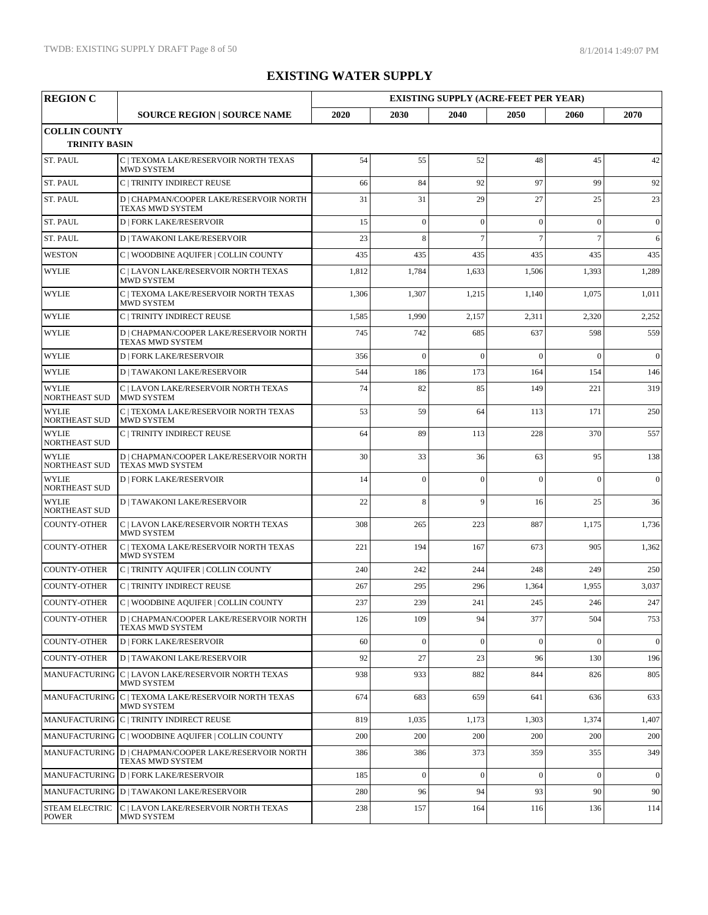| <b>REGION C</b>                              |                                                                           | <b>EXISTING SUPPLY (ACRE-FEET PER YEAR)</b> |                |                |                |                |                  |
|----------------------------------------------|---------------------------------------------------------------------------|---------------------------------------------|----------------|----------------|----------------|----------------|------------------|
|                                              | <b>SOURCE REGION   SOURCE NAME</b>                                        | 2020                                        | 2030           | 2040           | 2050           | 2060           | 2070             |
| <b>COLLIN COUNTY</b><br><b>TRINITY BASIN</b> |                                                                           |                                             |                |                |                |                |                  |
| ST. PAUL                                     | C   TEXOMA LAKE/RESERVOIR NORTH TEXAS<br><b>MWD SYSTEM</b>                | 54                                          | 55             | 52             | 48             | 45             | 42               |
| ST. PAUL                                     | C   TRINITY INDIRECT REUSE                                                | 66                                          | 84             | 92             | 97             | 99             | 92               |
| <b>ST. PAUL</b>                              | D   CHAPMAN/COOPER LAKE/RESERVOIR NORTH<br><b>TEXAS MWD SYSTEM</b>        | 31                                          | 31             | 29             | 27             | 25             | 23               |
| ST. PAUL                                     | <b>D   FORK LAKE/RESERVOIR</b>                                            | 15                                          | $\mathbf{0}$   | $\mathbf{0}$   | $\mathbf{0}$   | $\overline{0}$ | $\mathbf{0}$     |
| <b>ST. PAUL</b>                              | <b>D   TAWAKONI LAKE/RESERVOIR</b>                                        | 23                                          | 8              | $\overline{7}$ | $\overline{7}$ | $\overline{7}$ | 6                |
| <b>WESTON</b>                                | C   WOODBINE AQUIFER   COLLIN COUNTY                                      | 435                                         | 435            | 435            | 435            | 435            | 435              |
| <b>WYLIE</b>                                 | C   LAVON LAKE/RESERVOIR NORTH TEXAS<br><b>MWD SYSTEM</b>                 | 1,812                                       | 1,784          | 1,633          | 1,506          | 1,393          | 1,289            |
| <b>WYLIE</b>                                 | C   TEXOMA LAKE/RESERVOIR NORTH TEXAS<br><b>MWD SYSTEM</b>                | 1,306                                       | 1,307          | 1,215          | 1,140          | 1,075          | 1,011            |
| <b>WYLIE</b>                                 | C   TRINITY INDIRECT REUSE                                                | 1,585                                       | 1,990          | 2,157          | 2,311          | 2,320          | 2,252            |
| <b>WYLIE</b>                                 | D   CHAPMAN/COOPER LAKE/RESERVOIR NORTH<br><b>TEXAS MWD SYSTEM</b>        | 745                                         | 742            | 685            | 637            | 598            | 559              |
| <b>WYLIE</b>                                 | <b>D   FORK LAKE/RESERVOIR</b>                                            | 356                                         | $\theta$       | $\theta$       | $\Omega$       | $\theta$       | $\mathbf{0}$     |
| <b>WYLIE</b>                                 | <b>D   TAWAKONI LAKE/RESERVOIR</b>                                        | 544                                         | 186            | 173            | 164            | 154            | 146              |
| <b>WYLIE</b><br><b>NORTHEAST SUD</b>         | C   LAVON LAKE/RESERVOIR NORTH TEXAS<br><b>MWD SYSTEM</b>                 | 74                                          | 82             | 85             | 149            | 221            | 319              |
| <b>WYLIE</b><br><b>NORTHEAST SUD</b>         | C   TEXOMA LAKE/RESERVOIR NORTH TEXAS<br><b>MWD SYSTEM</b>                | 53                                          | 59             | 64             | 113            | 171            | 250              |
| <b>WYLIE</b><br><b>NORTHEAST SUD</b>         | C   TRINITY INDIRECT REUSE                                                | 64                                          | 89             | 113            | 228            | 370            | 557              |
| <b>WYLIE</b><br><b>NORTHEAST SUD</b>         | D   CHAPMAN/COOPER LAKE/RESERVOIR NORTH<br><b>TEXAS MWD SYSTEM</b>        | 30                                          | 33             | 36             | 63             | 95             | 138              |
| <b>WYLIE</b><br><b>NORTHEAST SUD</b>         | <b>D   FORK LAKE/RESERVOIR</b>                                            | 14                                          | $\overline{0}$ | $\theta$       | $\overline{0}$ | $\Omega$       | $\mathbf{0}$     |
| <b>WYLIE</b><br><b>NORTHEAST SUD</b>         | <b>D   TAWAKONI LAKE/RESERVOIR</b>                                        | 22                                          | 8              | 9              | 16             | 25             | 36               |
| <b>COUNTY-OTHER</b>                          | C   LAVON LAKE/RESERVOIR NORTH TEXAS<br><b>MWD SYSTEM</b>                 | 308                                         | 265            | 223            | 887            | 1,175          | 1,736            |
| <b>COUNTY-OTHER</b>                          | C   TEXOMA LAKE/RESERVOIR NORTH TEXAS<br><b>MWD SYSTEM</b>                | 221                                         | 194            | 167            | 673            | 905            | 1,362            |
| <b>COUNTY-OTHER</b>                          | C   TRINITY AQUIFER   COLLIN COUNTY                                       | 240                                         | 242            | 244            | 248            | 249            | 250              |
| <b>COUNTY-OTHER</b>                          | C   TRINITY INDIRECT REUSE                                                | 267                                         | 295            | 296            | 1,364          | 1,955          | 3,037            |
| <b>COUNTY-OTHER</b>                          | C   WOODBINE AQUIFER   COLLIN COUNTY                                      | 237                                         | 239            | 241            | 245            | 246            | 247              |
| <b>COUNTY-OTHER</b>                          | D   CHAPMAN/COOPER LAKE/RESERVOIR NORTH<br><b>TEXAS MWD SYSTEM</b>        | 126                                         | 109            | 94             | 377            | 504            | 753              |
| <b>COUNTY-OTHER</b>                          | <b>D   FORK LAKE/RESERVOIR</b>                                            | 60                                          | $\mathbf{0}$   | $\mathbf{0}$   | $\mathbf{0}$   | $\mathbf{0}$   | $\boldsymbol{0}$ |
| COUNTY-OTHER                                 | <b>D</b>   TAWAKONI LAKE/RESERVOIR                                        | 92                                          | 27             | 23             | 96             | 130            | 196              |
|                                              | MANUFACTURING C   LAVON LAKE/RESERVOIR NORTH TEXAS<br>MWD SYSTEM          | 938                                         | 933            | 882            | 844            | 826            | 805              |
|                                              | MANUFACTURING C   TEXOMA LAKE/RESERVOIR NORTH TEXAS<br><b>MWD SYSTEM</b>  | 674                                         | 683            | 659            | 641            | 636            | 633              |
|                                              | MANUFACTURING C   TRINITY INDIRECT REUSE                                  | 819                                         | 1,035          | 1,173          | 1,303          | 1,374          | 1,407            |
|                                              | MANUFACTURING C   WOODBINE AQUIFER   COLLIN COUNTY                        | 200                                         | 200            | 200            | 200            | 200            | 200              |
|                                              | MANUFACTURING D   CHAPMAN/COOPER LAKE/RESERVOIR NORTH<br>TEXAS MWD SYSTEM | 386                                         | 386            | 373            | 359            | 355            | 349              |
|                                              | MANUFACTURING D   FORK LAKE/RESERVOIR                                     | 185                                         | $\mathbf{0}$   | $\mathbf{0}$   | $\mathbf{0}$   | $\theta$       | $\mathbf{0}$     |
|                                              | MANUFACTURING D   TAWAKONI LAKE/RESERVOIR                                 | 280                                         | 96             | 94             | 93             | 90             | 90               |
| <b>STEAM ELECTRIC</b><br><b>POWER</b>        | C   LAVON LAKE/RESERVOIR NORTH TEXAS<br>MWD SYSTEM                        | 238                                         | 157            | 164            | 116            | 136            | 114              |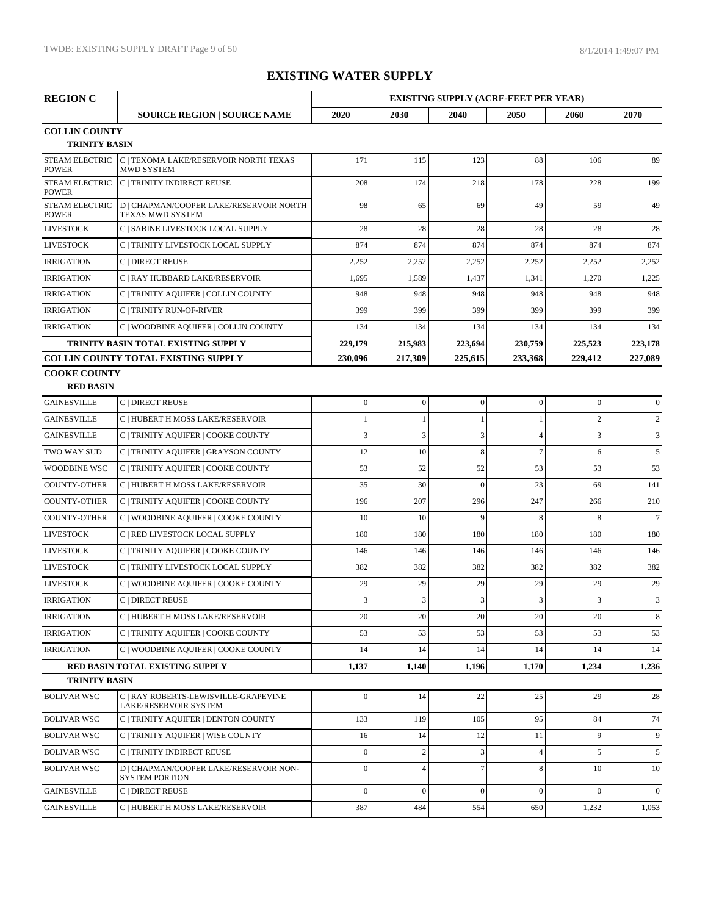| <b>REGION C</b>                       |                                                                           | <b>EXISTING SUPPLY (ACRE-FEET PER YEAR)</b> |                  |                  |                  |                |                 |
|---------------------------------------|---------------------------------------------------------------------------|---------------------------------------------|------------------|------------------|------------------|----------------|-----------------|
|                                       | <b>SOURCE REGION   SOURCE NAME</b>                                        | 2020                                        | 2030             | 2040             | 2050             | 2060           | 2070            |
| <b>COLLIN COUNTY</b>                  |                                                                           |                                             |                  |                  |                  |                |                 |
| <b>TRINITY BASIN</b>                  |                                                                           |                                             |                  |                  |                  |                |                 |
| <b>POWER</b>                          | STEAM ELECTRIC C   TEXOMA LAKE/RESERVOIR NORTH TEXAS<br><b>MWD SYSTEM</b> | 171                                         | 115              | 123              | 88               | 106            | 89              |
| <b>STEAM ELECTRIC</b><br><b>POWER</b> | C   TRINITY INDIRECT REUSE                                                | 208                                         | 174              | 218              | 178              | 228            | 199             |
| <b>STEAM ELECTRIC</b><br><b>POWER</b> | D   CHAPMAN/COOPER LAKE/RESERVOIR NORTH<br>TEXAS MWD SYSTEM               | 98                                          | 65               | 69               | 49               | 59             | 49              |
| <b>LIVESTOCK</b>                      | C   SABINE LIVESTOCK LOCAL SUPPLY                                         | 28                                          | 28               | 28               | 28               | 28             | 28              |
| <b>LIVESTOCK</b>                      | C   TRINITY LIVESTOCK LOCAL SUPPLY                                        | 874                                         | 874              | 874              | 874              | 874            | 874             |
| <b>IRRIGATION</b>                     | C   DIRECT REUSE                                                          | 2,252                                       | 2,252            | 2,252            | 2,252            | 2,252          | 2,252           |
| <b>IRRIGATION</b>                     | C   RAY HUBBARD LAKE/RESERVOIR                                            | 1,695                                       | 1,589            | 1,437            | 1,341            | 1,270          | 1,225           |
| <b>IRRIGATION</b>                     | C   TRINITY AQUIFER   COLLIN COUNTY                                       | 948                                         | 948              | 948              | 948              | 948            | 948             |
| <b>IRRIGATION</b>                     | C   TRINITY RUN-OF-RIVER                                                  | 399                                         | 399              | 399              | 399              | 399            | 399             |
| <b>IRRIGATION</b>                     | C   WOODBINE AQUIFER   COLLIN COUNTY                                      | 134                                         | 134              | 134              | 134              | 134            | 134             |
|                                       | TRINITY BASIN TOTAL EXISTING SUPPLY                                       | 229,179                                     | 215,983          | 223,694          | 230,759          | 225,523        | 223,178         |
|                                       | <b>COLLIN COUNTY TOTAL EXISTING SUPPLY</b>                                | 230,096                                     | 217,309          | 225,615          | 233,368          | 229,412        | 227,089         |
| <b>COOKE COUNTY</b>                   |                                                                           |                                             |                  |                  |                  |                |                 |
| <b>RED BASIN</b>                      |                                                                           |                                             |                  |                  |                  |                |                 |
| <b>GAINESVILLE</b>                    | C   DIRECT REUSE                                                          | $\boldsymbol{0}$                            | $\boldsymbol{0}$ | $\boldsymbol{0}$ | $\boldsymbol{0}$ | $\overline{0}$ | $\overline{0}$  |
| <b>GAINESVILLE</b>                    | C   HUBERT H MOSS LAKE/RESERVOIR                                          | $\mathbf{1}$                                | $\mathbf{1}$     | $\mathbf{1}$     | $\mathbf{1}$     | $\overline{c}$ | 2               |
| <b>GAINESVILLE</b>                    | C   TRINITY AQUIFER   COOKE COUNTY                                        | 3                                           | $\mathfrak z$    | $\mathfrak z$    | $\overline{4}$   | 3              | $\mathfrak{Z}$  |
| <b>TWO WAY SUD</b>                    | C   TRINITY AQUIFER   GRAYSON COUNTY                                      | 12                                          | 10               | 8                | $\overline{7}$   | 6              | 5               |
| <b>WOODBINE WSC</b>                   | C   TRINITY AQUIFER   COOKE COUNTY                                        | 53                                          | 52               | 52               | 53               | 53             | 53              |
| <b>COUNTY-OTHER</b>                   | C   HUBERT H MOSS LAKE/RESERVOIR                                          | 35                                          | 30               | $\mathbf{0}$     | 23               | 69             | 141             |
| <b>COUNTY-OTHER</b>                   | C   TRINITY AQUIFER   COOKE COUNTY                                        | 196                                         | 207              | 296              | 247              | 266            | 210             |
| COUNTY-OTHER                          | C   WOODBINE AQUIFER   COOKE COUNTY                                       | 10                                          | 10               | 9                | 8                | 8              | $7\overline{ }$ |
| <b>LIVESTOCK</b>                      | C   RED LIVESTOCK LOCAL SUPPLY                                            | 180                                         | 180              | 180              | 180              | 180            | 180             |
| <b>LIVESTOCK</b>                      | C   TRINITY AQUIFER   COOKE COUNTY                                        | 146                                         | 146              | 146              | 146              | 146            | 146             |
| <b>LIVESTOCK</b>                      | C   TRINITY LIVESTOCK LOCAL SUPPLY                                        | 382                                         | 382              | 382              | 382              | 382            | 382             |
| <b>LIVESTOCK</b>                      | C   WOODBINE AQUIFER   COOKE COUNTY                                       | 29                                          | 29               | 29               | 29               | 29             | 29              |
| <b>IRRIGATION</b>                     | C   DIRECT REUSE                                                          | $\overline{3}$                              | $\mathfrak{Z}$   | $\overline{3}$   | 3                | 3              | $\sqrt{3}$      |
| <b>IRRIGATION</b>                     | C   HUBERT H MOSS LAKE/RESERVOIR                                          | 20                                          | 20               | 20               | 20               | 20             | 8               |
| <b>IRRIGATION</b>                     | C   TRINITY AQUIFER   COOKE COUNTY                                        | 53                                          | 53               | 53               | 53               | 53             | 53              |
| <b>IRRIGATION</b>                     | C   WOODBINE AQUIFER   COOKE COUNTY                                       | 14                                          | 14               | 14               | 14               | 14             | 14              |
|                                       | <b>RED BASIN TOTAL EXISTING SUPPLY</b>                                    | 1,137                                       | 1,140            | 1,196            | 1,170            | 1,234          | 1,236           |
| <b>TRINITY BASIN</b>                  |                                                                           |                                             |                  |                  |                  |                |                 |
| <b>BOLIVAR WSC</b>                    | C   RAY ROBERTS-LEWISVILLE-GRAPEVINE<br><b>LAKE/RESERVOIR SYSTEM</b>      | $\mathbf{0}$                                | 14               | 22               | 25               | 29             | 28              |
| <b>BOLIVAR WSC</b>                    | C   TRINITY AQUIFER   DENTON COUNTY                                       | 133                                         | 119              | 105              | 95               | 84             | 74              |
| <b>BOLIVAR WSC</b>                    | C   TRINITY AQUIFER   WISE COUNTY                                         | 16                                          | 14               | 12               | 11               | 9              | 9               |
| <b>BOLIVAR WSC</b>                    | C   TRINITY INDIRECT REUSE                                                | $\boldsymbol{0}$                            | $\mathbf{2}$     | $\mathfrak{Z}$   | $\overline{4}$   | 5              | 5 <sup>5</sup>  |
| <b>BOLIVAR WSC</b>                    | D   CHAPMAN/COOPER LAKE/RESERVOIR NON-<br><b>SYSTEM PORTION</b>           | $\mathbf{0}$                                | $\overline{4}$   | $\overline{7}$   | 8                | 10             | 10              |
| <b>GAINESVILLE</b>                    | C   DIRECT REUSE                                                          | $\mathbf{0}$                                | $\boldsymbol{0}$ | $\overline{0}$   | $\boldsymbol{0}$ | $\overline{0}$ | $\overline{0}$  |
| <b>GAINESVILLE</b>                    | C   HUBERT H MOSS LAKE/RESERVOIR                                          | 387                                         | 484              | 554              | 650              | 1,232          | 1,053           |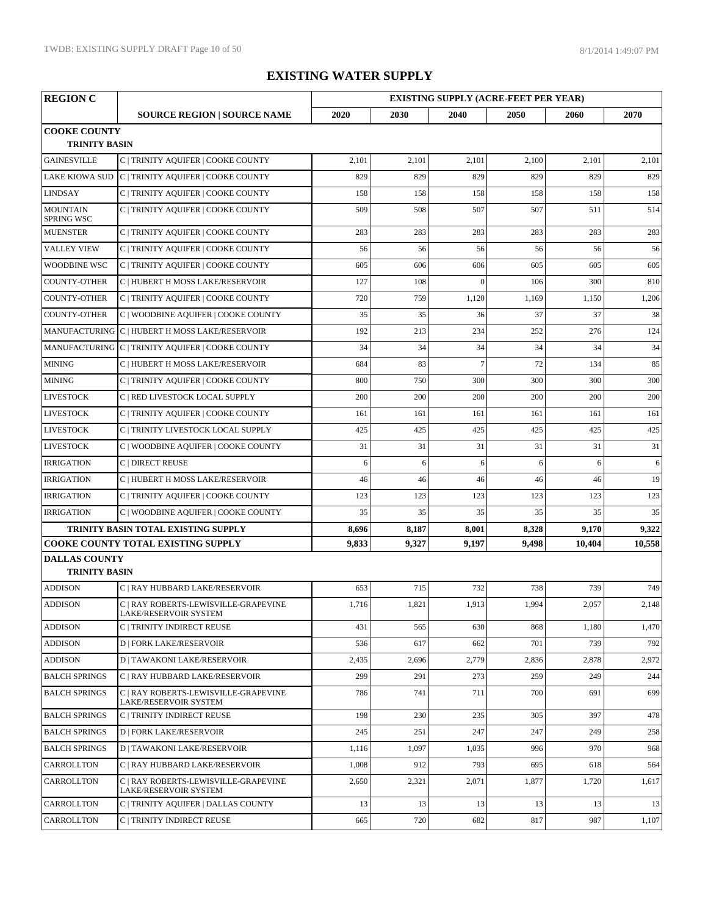| <b>REGION C</b>                              | <b>EXISTING SUPPLY (ACRE-FEET PER YEAR)</b>                   |       |       |                |       |        |        |
|----------------------------------------------|---------------------------------------------------------------|-------|-------|----------------|-------|--------|--------|
|                                              | <b>SOURCE REGION   SOURCE NAME</b>                            | 2020  | 2030  | 2040           | 2050  | 2060   | 2070   |
| <b>COOKE COUNTY</b><br><b>TRINITY BASIN</b>  |                                                               |       |       |                |       |        |        |
| <b>GAINESVILLE</b>                           | C   TRINITY AQUIFER   COOKE COUNTY                            | 2,101 | 2,101 | 2,101          | 2,100 | 2,101  | 2,101  |
| <b>LAKE KIOWA SUD</b>                        | C   TRINITY AQUIFER   COOKE COUNTY                            | 829   | 829   | 829            | 829   | 829    | 829    |
| <b>LINDSAY</b>                               | C   TRINITY AQUIFER   COOKE COUNTY                            | 158   | 158   | 158            | 158   | 158    | 158    |
| <b>MOUNTAIN</b><br><b>SPRING WSC</b>         | C   TRINITY AQUIFER   COOKE COUNTY                            | 509   | 508   | 507            | 507   | 511    | 514    |
| <b>MUENSTER</b>                              | C   TRINITY AQUIFER   COOKE COUNTY                            | 283   | 283   | 283            | 283   | 283    | 283    |
| <b>VALLEY VIEW</b>                           | C   TRINITY AQUIFER   COOKE COUNTY                            | 56    | 56    | 56             | 56    | 56     | 56     |
| <b>WOODBINE WSC</b>                          | C   TRINITY AQUIFER   COOKE COUNTY                            | 605   | 606   | 606            | 605   | 605    | 605    |
| <b>COUNTY-OTHER</b>                          | C   HUBERT H MOSS LAKE/RESERVOIR                              | 127   | 108   | $\theta$       | 106   | 300    | 810    |
| <b>COUNTY-OTHER</b>                          | C   TRINITY AQUIFER   COOKE COUNTY                            | 720   | 759   | 1,120          | 1,169 | 1,150  | 1,206  |
| <b>COUNTY-OTHER</b>                          | C   WOODBINE AQUIFER   COOKE COUNTY                           | 35    | 35    | 36             | 37    | 37     | 38     |
|                                              | MANUFACTURING C   HUBERT H MOSS LAKE/RESERVOIR                | 192   | 213   | 234            | 252   | 276    | 124    |
|                                              | MANUFACTURING C   TRINITY AQUIFER   COOKE COUNTY              | 34    | 34    | 34             | 34    | 34     | 34     |
| <b>MINING</b>                                | C   HUBERT H MOSS LAKE/RESERVOIR                              | 684   | 83    | $\overline{7}$ | 72    | 134    | 85     |
| <b>MINING</b>                                | C   TRINITY AQUIFER   COOKE COUNTY                            | 800   | 750   | 300            | 300   | 300    | 300    |
| <b>LIVESTOCK</b>                             | C   RED LIVESTOCK LOCAL SUPPLY                                | 200   | 200   | 200            | 200   | 200    | 200    |
| <b>LIVESTOCK</b>                             | C   TRINITY AQUIFER   COOKE COUNTY                            | 161   | 161   | 161            | 161   | 161    | 161    |
| <b>LIVESTOCK</b>                             | C   TRINITY LIVESTOCK LOCAL SUPPLY                            | 425   | 425   | 425            | 425   | 425    | 425    |
| <b>LIVESTOCK</b>                             | C   WOODBINE AQUIFER   COOKE COUNTY                           | 31    | 31    | 31             | 31    | 31     | 31     |
| <b>IRRIGATION</b>                            | C   DIRECT REUSE                                              | 6     | 6     | 6              | 6     | 6      | 6      |
| <b>IRRIGATION</b>                            | C   HUBERT H MOSS LAKE/RESERVOIR                              | 46    | 46    | 46             | 46    | 46     | 19     |
| <b>IRRIGATION</b>                            | C   TRINITY AQUIFER   COOKE COUNTY                            | 123   | 123   | 123            | 123   | 123    | 123    |
| <b>IRRIGATION</b>                            | C   WOODBINE AQUIFER   COOKE COUNTY                           | 35    | 35    | 35             | 35    | 35     | 35     |
|                                              | TRINITY BASIN TOTAL EXISTING SUPPLY                           | 8,696 | 8,187 | 8,001          | 8,328 | 9,170  | 9,322  |
|                                              | <b>COOKE COUNTY TOTAL EXISTING SUPPLY</b>                     | 9,833 | 9,327 | 9,197          | 9,498 | 10,404 | 10,558 |
| <b>DALLAS COUNTY</b><br><b>TRINITY BASIN</b> |                                                               |       |       |                |       |        |        |
| <b>ADDISON</b>                               | C   RAY HUBBARD LAKE/RESERVOIR                                | 653   | 715   | 732            | 738   | 739    | 749    |
| <b>ADDISON</b>                               | C   RAY ROBERTS-LEWISVILLE-GRAPEVINE<br>LAKE/RESERVOIR SYSTEM | 1,716 | 1,821 | 1,913          | 1,994 | 2,057  | 2,148  |
| <b>ADDISON</b>                               | C   TRINITY INDIRECT REUSE                                    | 431   | 565   | 630            | 868   | 1,180  | 1,470  |
| <b>ADDISON</b>                               | <b>D   FORK LAKE/RESERVOIR</b>                                | 536   | 617   | 662            | 701   | 739    | 792    |
| <b>ADDISON</b>                               | <b>D   TAWAKONI LAKE/RESERVOIR</b>                            | 2,435 | 2,696 | 2,779          | 2,836 | 2,878  | 2,972  |
| <b>BALCH SPRINGS</b>                         | C   RAY HUBBARD LAKE/RESERVOIR                                | 299   | 291   | 273            | 259   | 249    | 244    |
| <b>BALCH SPRINGS</b>                         | C   RAY ROBERTS-LEWISVILLE-GRAPEVINE<br>LAKE/RESERVOIR SYSTEM | 786   | 741   | 711            | 700   | 691    | 699    |
| <b>BALCH SPRINGS</b>                         | C   TRINITY INDIRECT REUSE                                    | 198   | 230   | 235            | 305   | 397    | 478    |
| <b>BALCH SPRINGS</b>                         | <b>D   FORK LAKE/RESERVOIR</b>                                | 245   | 251   | 247            | 247   | 249    | 258    |
| <b>BALCH SPRINGS</b>                         | <b>D   TAWAKONI LAKE/RESERVOIR</b>                            | 1,116 | 1,097 | 1,035          | 996   | 970    | 968    |
| <b>CARROLLTON</b>                            | C   RAY HUBBARD LAKE/RESERVOIR                                | 1,008 | 912   | 793            | 695   | 618    | 564    |
| <b>CARROLLTON</b>                            | C   RAY ROBERTS-LEWISVILLE-GRAPEVINE<br>LAKE/RESERVOIR SYSTEM | 2,650 | 2,321 | 2,071          | 1,877 | 1,720  | 1,617  |
| CARROLLTON                                   | C   TRINITY AQUIFER   DALLAS COUNTY                           | 13    | 13    | 13             | 13    | 13     | 13     |
| <b>CARROLLTON</b>                            | C   TRINITY INDIRECT REUSE                                    | 665   | 720   | 682            | 817   | 987    | 1,107  |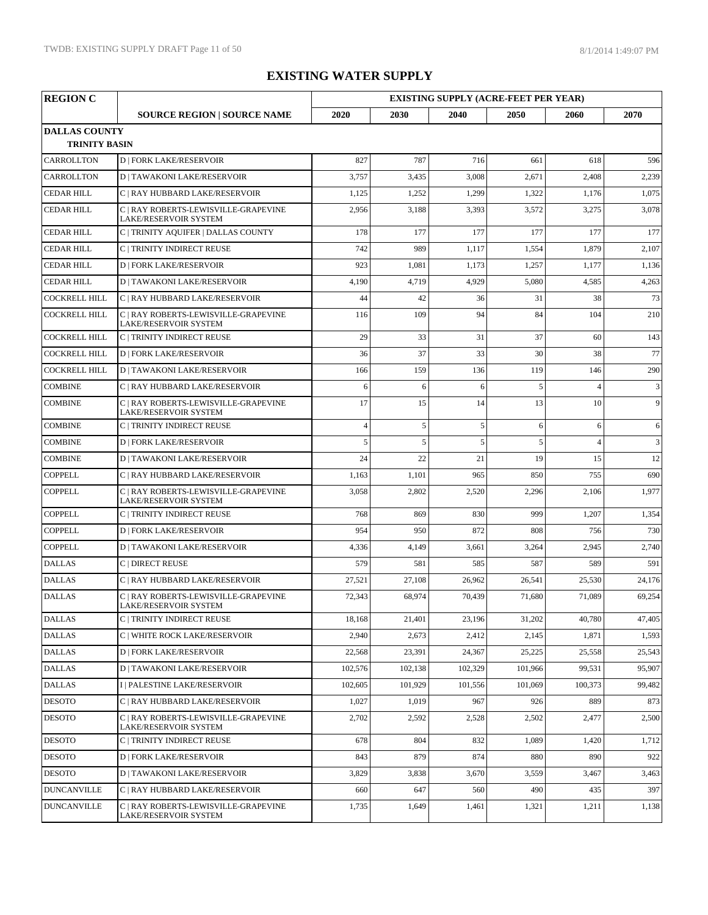| <b>REGION C</b>      |                                                                      |                | <b>EXISTING SUPPLY (ACRE-FEET PER YEAR)</b> |         |         |                |                |
|----------------------|----------------------------------------------------------------------|----------------|---------------------------------------------|---------|---------|----------------|----------------|
|                      | <b>SOURCE REGION   SOURCE NAME</b>                                   | 2020           | 2030                                        | 2040    | 2050    | 2060           | 2070           |
| <b>DALLAS COUNTY</b> |                                                                      |                |                                             |         |         |                |                |
| <b>TRINITY BASIN</b> |                                                                      |                |                                             |         |         |                |                |
| <b>CARROLLTON</b>    | <b>D   FORK LAKE/RESERVOIR</b>                                       | 827            | 787                                         | 716     | 661     | 618            | 596            |
| <b>CARROLLTON</b>    | <b>D   TAWAKONI LAKE/RESERVOIR</b>                                   | 3,757          | 3,435                                       | 3,008   | 2,671   | 2,408          | 2,239          |
| <b>CEDAR HILL</b>    | C   RAY HUBBARD LAKE/RESERVOIR                                       | 1,125          | 1,252                                       | 1,299   | 1,322   | 1,176          | 1,075          |
| <b>CEDAR HILL</b>    | C   RAY ROBERTS-LEWISVILLE-GRAPEVINE<br><b>LAKE/RESERVOIR SYSTEM</b> | 2,956          | 3,188                                       | 3,393   | 3,572   | 3,275          | 3,078          |
| <b>CEDAR HILL</b>    | C   TRINITY AQUIFER   DALLAS COUNTY                                  | 178            | 177                                         | 177     | 177     | 177            | 177            |
| <b>CEDAR HILL</b>    | C   TRINITY INDIRECT REUSE                                           | 742            | 989                                         | 1,117   | 1,554   | 1,879          | 2,107          |
| <b>CEDAR HILL</b>    | <b>D   FORK LAKE/RESERVOIR</b>                                       | 923            | 1,081                                       | 1,173   | 1,257   | 1,177          | 1,136          |
| <b>CEDAR HILL</b>    | <b>D   TAWAKONI LAKE/RESERVOIR</b>                                   | 4,190          | 4,719                                       | 4,929   | 5,080   | 4,585          | 4,263          |
| <b>COCKRELL HILL</b> | C   RAY HUBBARD LAKE/RESERVOIR                                       | 44             | 42                                          | 36      | 31      | 38             | 73             |
| <b>COCKRELL HILL</b> | C   RAY ROBERTS-LEWISVILLE-GRAPEVINE<br>LAKE/RESERVOIR SYSTEM        | 116            | 109                                         | 94      | 84      | 104            | 210            |
| <b>COCKRELL HILL</b> | C   TRINITY INDIRECT REUSE                                           | 29             | 33                                          | 31      | 37      | 60             | 143            |
| <b>COCKRELL HILL</b> | <b>D   FORK LAKE/RESERVOIR</b>                                       | 36             | 37                                          | 33      | 30      | 38             | 77             |
| <b>COCKRELL HILL</b> | <b>D   TAWAKONI LAKE/RESERVOIR</b>                                   | 166            | 159                                         | 136     | 119     | 146            | 290            |
| <b>COMBINE</b>       | C   RAY HUBBARD LAKE/RESERVOIR                                       | 6              | 6                                           | 6       | 5       | $\overline{4}$ | 3              |
| <b>COMBINE</b>       | C   RAY ROBERTS-LEWISVILLE-GRAPEVINE<br>LAKE/RESERVOIR SYSTEM        | 17             | 15                                          | 14      | 13      | 10             | $\overline{9}$ |
| <b>COMBINE</b>       | C   TRINITY INDIRECT REUSE                                           | $\overline{4}$ | 5                                           | 5       | 6       | 6              | 6              |
| <b>COMBINE</b>       | <b>D   FORK LAKE/RESERVOIR</b>                                       | 5              | 5                                           | 5       | 5       | $\overline{A}$ | 3              |
| <b>COMBINE</b>       | <b>D   TAWAKONI LAKE/RESERVOIR</b>                                   | 24             | 22                                          | 21      | 19      | 15             | 12             |
| <b>COPPELL</b>       | C   RAY HUBBARD LAKE/RESERVOIR                                       | 1,163          | 1,101                                       | 965     | 850     | 755            | 690            |
| <b>COPPELL</b>       | C   RAY ROBERTS-LEWISVILLE-GRAPEVINE<br>LAKE/RESERVOIR SYSTEM        | 3,058          | 2,802                                       | 2,520   | 2,296   | 2,106          | 1,977          |
| <b>COPPELL</b>       | C   TRINITY INDIRECT REUSE                                           | 768            | 869                                         | 830     | 999     | 1,207          | 1,354          |
| <b>COPPELL</b>       | <b>D   FORK LAKE/RESERVOIR</b>                                       | 954            | 950                                         | 872     | 808     | 756            | 730            |
| <b>COPPELL</b>       | <b>D   TAWAKONI LAKE/RESERVOIR</b>                                   | 4,336          | 4,149                                       | 3,661   | 3,264   | 2,945          | 2,740          |
| <b>DALLAS</b>        | C   DIRECT REUSE                                                     | 579            | 581                                         | 585     | 587     | 589            | 591            |
| <b>DALLAS</b>        | C   RAY HUBBARD LAKE/RESERVOIR                                       | 27,521         | 27,108                                      | 26,962  | 26,541  | 25,530         | 24,176         |
| <b>DALLAS</b>        | C   RAY ROBERTS-LEWISVILLE-GRAPEVINE<br>LAKE/RESERVOIR SYSTEM        | 72,343         | 68,974                                      | 70.439  | 71,680  | 71,089         | 69,254         |
| <b>DALLAS</b>        | C   TRINITY INDIRECT REUSE                                           | 18,168         | 21,401                                      | 23,196  | 31,202  | 40,780         | 47,405         |
| <b>DALLAS</b>        | C   WHITE ROCK LAKE/RESERVOIR                                        | 2,940          | 2,673                                       | 2,412   | 2,145   | 1,871          | 1,593          |
| <b>DALLAS</b>        | <b>D   FORK LAKE/RESERVOIR</b>                                       | 22,568         | 23,391                                      | 24,367  | 25,225  | 25,558         | 25,543         |
| <b>DALLAS</b>        | <b>D   TAWAKONI LAKE/RESERVOIR</b>                                   | 102.576        | 102,138                                     | 102,329 | 101,966 | 99,531         | 95,907         |
| <b>DALLAS</b>        | I   PALESTINE LAKE/RESERVOIR                                         | 102,605        | 101,929                                     | 101,556 | 101,069 | 100,373        | 99,482         |
| <b>DESOTO</b>        | C   RAY HUBBARD LAKE/RESERVOIR                                       | 1,027          | 1,019                                       | 967     | 926     | 889            | 873            |
| <b>DESOTO</b>        | C   RAY ROBERTS-LEWISVILLE-GRAPEVINE<br>LAKE/RESERVOIR SYSTEM        | 2,702          | 2,592                                       | 2,528   | 2,502   | 2,477          | 2,500          |
| <b>DESOTO</b>        | C   TRINITY INDIRECT REUSE                                           | 678            | 804                                         | 832     | 1,089   | 1,420          | 1,712          |
| <b>DESOTO</b>        | <b>D   FORK LAKE/RESERVOIR</b>                                       | 843            | 879                                         | 874     | 880     | 890            | 922            |
| <b>DESOTO</b>        | <b>D   TAWAKONI LAKE/RESERVOIR</b>                                   | 3,829          | 3,838                                       | 3,670   | 3,559   | 3,467          | 3,463          |
| <b>DUNCANVILLE</b>   | C   RAY HUBBARD LAKE/RESERVOIR                                       | 660            | 647                                         | 560     | 490     | 435            | 397            |
| <b>DUNCANVILLE</b>   | C   RAY ROBERTS-LEWISVILLE-GRAPEVINE<br>LAKE/RESERVOIR SYSTEM        | 1,735          | 1,649                                       | 1,461   | 1,321   | 1,211          | 1,138          |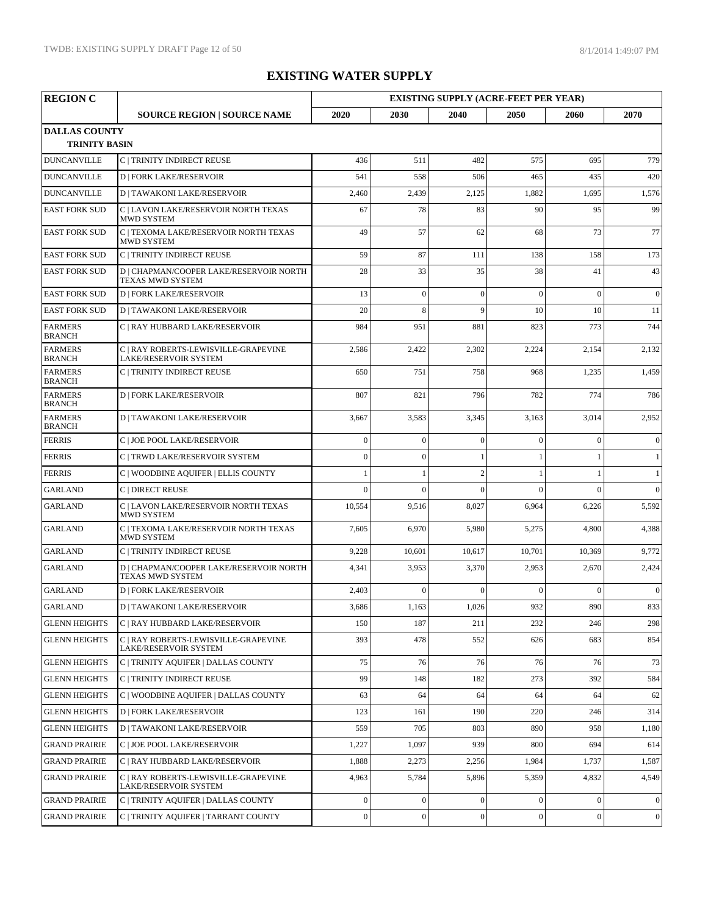| <b>REGION C</b>                              |                                                                      |                  |                  | <b>EXISTING SUPPLY (ACRE-FEET PER YEAR)</b> |                  |                |                |
|----------------------------------------------|----------------------------------------------------------------------|------------------|------------------|---------------------------------------------|------------------|----------------|----------------|
|                                              | <b>SOURCE REGION   SOURCE NAME</b>                                   | 2020             | 2030             | 2040                                        | 2050             | 2060           | 2070           |
| <b>DALLAS COUNTY</b><br><b>TRINITY BASIN</b> |                                                                      |                  |                  |                                             |                  |                |                |
| <b>DUNCANVILLE</b>                           | C   TRINITY INDIRECT REUSE                                           | 436              | 511              | 482                                         | 575              | 695            | 779            |
| <b>DUNCANVILLE</b>                           | <b>D   FORK LAKE/RESERVOIR</b>                                       | 541              | 558              | 506                                         | 465              | 435            | 420            |
| <b>DUNCANVILLE</b>                           | <b>D   TAWAKONI LAKE/RESERVOIR</b>                                   | 2,460            | 2,439            | 2,125                                       | 1,882            | 1,695          | 1,576          |
| <b>EAST FORK SUD</b>                         | C   LAVON LAKE/RESERVOIR NORTH TEXAS<br><b>MWD SYSTEM</b>            | 67               | 78               | 83                                          | 90               | 95             | 99             |
| <b>EAST FORK SUD</b>                         | C   TEXOMA LAKE/RESERVOIR NORTH TEXAS<br><b>MWD SYSTEM</b>           | 49               | 57               | 62                                          | 68               | 73             | 77             |
| <b>EAST FORK SUD</b>                         | C   TRINITY INDIRECT REUSE                                           | 59               | 87               | 111                                         | 138              | 158            | 173            |
| <b>EAST FORK SUD</b>                         | D   CHAPMAN/COOPER LAKE/RESERVOIR NORTH<br>TEXAS MWD SYSTEM          | 28               | 33               | 35                                          | 38               | 41             | 43             |
| <b>EAST FORK SUD</b>                         | <b>D   FORK LAKE/RESERVOIR</b>                                       | 13               | $\overline{0}$   | $\overline{0}$                              | $\overline{0}$   | $\theta$       | $\mathbf{0}$   |
| <b>EAST FORK SUD</b>                         | <b>D   TAWAKONI LAKE/RESERVOIR</b>                                   | 20               | 8                | $\mathbf{Q}$                                | 10               | 10             | 11             |
| <b>FARMERS</b><br><b>BRANCH</b>              | C   RAY HUBBARD LAKE/RESERVOIR                                       | 984              | 951              | 881                                         | 823              | 773            | 744            |
| <b>FARMERS</b><br><b>BRANCH</b>              | C   RAY ROBERTS-LEWISVILLE-GRAPEVINE<br><b>LAKE/RESERVOIR SYSTEM</b> | 2,586            | 2,422            | 2,302                                       | 2,224            | 2,154          | 2,132          |
| <b>FARMERS</b><br><b>BRANCH</b>              | C   TRINITY INDIRECT REUSE                                           | 650              | 751              | 758                                         | 968              | 1,235          | 1,459          |
| <b>FARMERS</b><br><b>BRANCH</b>              | <b>D   FORK LAKE/RESERVOIR</b>                                       | 807              | 821              | 796                                         | 782              | 774            | 786            |
| <b>FARMERS</b><br><b>BRANCH</b>              | <b>D   TAWAKONI LAKE/RESERVOIR</b>                                   | 3,667            | 3,583            | 3,345                                       | 3,163            | 3,014          | 2,952          |
| <b>FERRIS</b>                                | C   JOE POOL LAKE/RESERVOIR                                          | $\overline{0}$   | $\overline{0}$   | $\overline{0}$                              | $\overline{0}$   | $\theta$       | $\mathbf{0}$   |
| <b>FERRIS</b>                                | C   TRWD LAKE/RESERVOIR SYSTEM                                       | $\mathbf{0}$     | $\mathbf{0}$     |                                             | 1                |                | $\mathbf{1}$   |
| <b>FERRIS</b>                                | C   WOODBINE AQUIFER   ELLIS COUNTY                                  |                  |                  | $\overline{2}$                              |                  |                | 1              |
| <b>GARLAND</b>                               | C   DIRECT REUSE                                                     | $\Omega$         | $\Omega$         | $\theta$                                    | $\theta$         | $\Omega$       | $\mathbf{0}$   |
| <b>GARLAND</b>                               | C   LAVON LAKE/RESERVOIR NORTH TEXAS<br><b>MWD SYSTEM</b>            | 10,554           | 9,516            | 8,027                                       | 6,964            | 6,226          | 5,592          |
| <b>GARLAND</b>                               | C   TEXOMA LAKE/RESERVOIR NORTH TEXAS<br><b>MWD SYSTEM</b>           | 7,605            | 6,970            | 5,980                                       | 5,275            | 4,800          | 4,388          |
| <b>GARLAND</b>                               | C   TRINITY INDIRECT REUSE                                           | 9,228            | 10,601           | 10,617                                      | 10,701           | 10,369         | 9,772          |
| <b>GARLAND</b>                               | D   CHAPMAN/COOPER LAKE/RESERVOIR NORTH<br>TEXAS MWD SYSTEM          | 4,341            | 3,953            | 3,370                                       | 2,953            | 2,670          | 2,424          |
| <b>GARLAND</b>                               | <b>D   FORK LAKE/RESERVOIR</b>                                       | 2,403            | $\theta$         | $\overline{0}$                              | $\overline{0}$   | $\overline{0}$ | $\mathbf{0}$   |
| <b>GARLAND</b>                               | <b>D   TAWAKONI LAKE/RESERVOIR</b>                                   | 3,686            | 1,163            | 1,026                                       | 932              | 890            | 833            |
| <b>GLENN HEIGHTS</b>                         | C   RAY HUBBARD LAKE/RESERVOIR                                       | 150              | 187              | 211                                         | 232              | 246            | 298            |
| <b>GLENN HEIGHTS</b>                         | C   RAY ROBERTS-LEWISVILLE-GRAPEVINE<br><b>LAKE/RESERVOIR SYSTEM</b> | 393              | 478              | 552                                         | 626              | 683            | 854            |
| <b>GLENN HEIGHTS</b>                         | C   TRINITY AQUIFER   DALLAS COUNTY                                  | 75               | 76               | 76                                          | 76               | 76             | 73             |
| <b>GLENN HEIGHTS</b>                         | C   TRINITY INDIRECT REUSE                                           | 99               | 148              | 182                                         | 273              | 392            | 584            |
| <b>GLENN HEIGHTS</b>                         | C   WOODBINE AQUIFER   DALLAS COUNTY                                 | 63               | 64               | 64                                          | 64               | 64             | 62             |
| <b>GLENN HEIGHTS</b>                         | <b>D   FORK LAKE/RESERVOIR</b>                                       | 123              | 161              | 190                                         | 220              | 246            | 314            |
| <b>GLENN HEIGHTS</b>                         | <b>D   TAWAKONI LAKE/RESERVOIR</b>                                   | 559              | 705              | 803                                         | 890              | 958            | 1,180          |
| <b>GRAND PRAIRIE</b>                         | C   JOE POOL LAKE/RESERVOIR                                          | 1,227            | 1,097            | 939                                         | 800              | 694            | 614            |
| <b>GRAND PRAIRIE</b>                         | C   RAY HUBBARD LAKE/RESERVOIR                                       | 1,888            | 2,273            | 2,256                                       | 1,984            | 1,737          | 1,587          |
| <b>GRAND PRAIRIE</b>                         | C   RAY ROBERTS-LEWISVILLE-GRAPEVINE<br>LAKE/RESERVOIR SYSTEM        | 4,963            | 5,784            | 5,896                                       | 5,359            | 4,832          | 4,549          |
| <b>GRAND PRAIRIE</b>                         | C   TRINITY AQUIFER   DALLAS COUNTY                                  | $\boldsymbol{0}$ | $\boldsymbol{0}$ | $\boldsymbol{0}$                            | $\boldsymbol{0}$ | $\mathbf{0}$   | $\overline{0}$ |
| <b>GRAND PRAIRIE</b>                         | C   TRINITY AQUIFER   TARRANT COUNTY                                 | $\boldsymbol{0}$ | $\boldsymbol{0}$ | $\boldsymbol{0}$                            | $\boldsymbol{0}$ | $\mathbf{0}$   | $\overline{0}$ |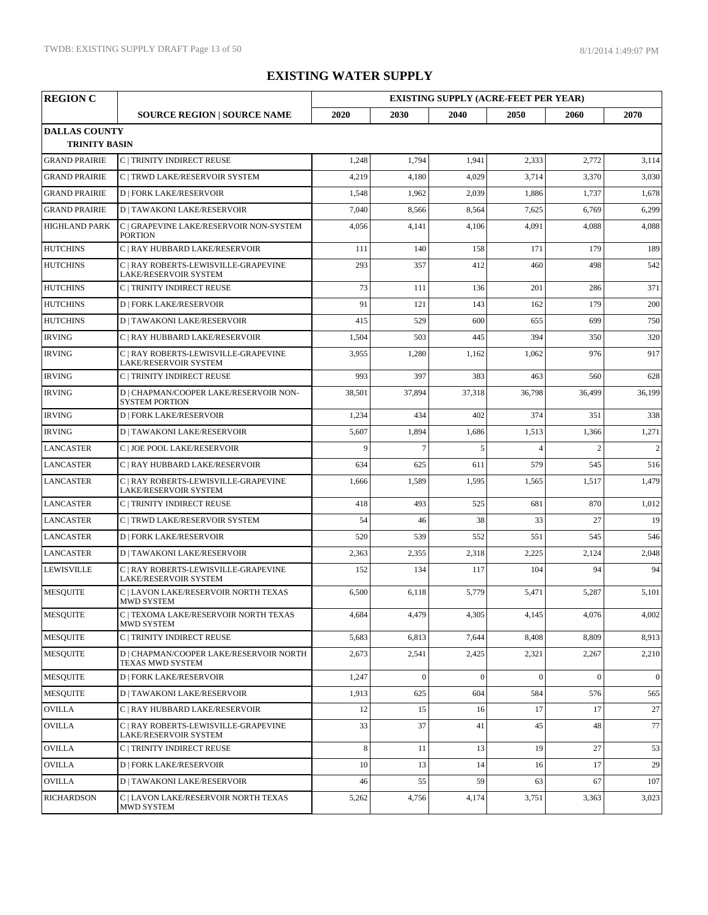| <b>REGION C</b>                              |                                                                 | <b>EXISTING SUPPLY (ACRE-FEET PER YEAR)</b> |          |              |                |                |              |
|----------------------------------------------|-----------------------------------------------------------------|---------------------------------------------|----------|--------------|----------------|----------------|--------------|
|                                              | <b>SOURCE REGION   SOURCE NAME</b>                              | 2020                                        | 2030     | 2040         | 2050           | 2060           | 2070         |
| <b>DALLAS COUNTY</b><br><b>TRINITY BASIN</b> |                                                                 |                                             |          |              |                |                |              |
| <b>GRAND PRAIRIE</b>                         | C   TRINITY INDIRECT REUSE                                      | 1,248                                       | 1,794    | 1,941        | 2,333          | 2,772          | 3,114        |
| <b>GRAND PRAIRIE</b>                         | C   TRWD LAKE/RESERVOIR SYSTEM                                  | 4,219                                       | 4,180    | 4,029        | 3,714          | 3,370          | 3,030        |
| <b>GRAND PRAIRIE</b>                         | <b>D   FORK LAKE/RESERVOIR</b>                                  | 1,548                                       | 1,962    | 2,039        | 1,886          | 1,737          | 1,678        |
| <b>GRAND PRAIRIE</b>                         | <b>D   TAWAKONI LAKE/RESERVOIR</b>                              | 7,040                                       | 8,566    | 8,564        | 7,625          | 6,769          | 6,299        |
| <b>HIGHLAND PARK</b>                         | C   GRAPEVINE LAKE/RESERVOIR NON-SYSTEM<br><b>PORTION</b>       | 4,056                                       | 4,141    | 4,106        | 4,091          | 4,088          | 4,088        |
| <b>HUTCHINS</b>                              | C   RAY HUBBARD LAKE/RESERVOIR                                  | 111                                         | 140      | 158          | 171            | 179            | 189          |
| <b>HUTCHINS</b>                              | C   RAY ROBERTS-LEWISVILLE-GRAPEVINE<br>LAKE/RESERVOIR SYSTEM   | 293                                         | 357      | 412          | 460            | 498            | 542          |
| <b>HUTCHINS</b>                              | C   TRINITY INDIRECT REUSE                                      | 73                                          | 111      | 136          | 201            | 286            | 371          |
| <b>HUTCHINS</b>                              | <b>D   FORK LAKE/RESERVOIR</b>                                  | 91                                          | 121      | 143          | 162            | 179            | 200          |
| <b>HUTCHINS</b>                              | <b>D   TAWAKONI LAKE/RESERVOIR</b>                              | 415                                         | 529      | 600          | 655            | 699            | 750          |
| <b>IRVING</b>                                | C   RAY HUBBARD LAKE/RESERVOIR                                  | 1,504                                       | 503      | 445          | 394            | 350            | 320          |
| <b>IRVING</b>                                | C   RAY ROBERTS-LEWISVILLE-GRAPEVINE<br>LAKE/RESERVOIR SYSTEM   | 3,955                                       | 1,280    | 1,162        | 1,062          | 976            | 917          |
| <b>IRVING</b>                                | <b>C   TRINITY INDIRECT REUSE</b>                               | 993                                         | 397      | 383          | 463            | 560            | 628          |
| <b>IRVING</b>                                | D   CHAPMAN/COOPER LAKE/RESERVOIR NON-<br><b>SYSTEM PORTION</b> | 38,501                                      | 37,894   | 37,318       | 36,798         | 36,499         | 36,199       |
| <b>IRVING</b>                                | <b>D   FORK LAKE/RESERVOIR</b>                                  | 1,234                                       | 434      | 402          | 374            | 351            | 338          |
| <b>IRVING</b>                                | <b>D   TAWAKONI LAKE/RESERVOIR</b>                              | 5,607                                       | 1,894    | 1,686        | 1,513          | 1,366          | 1,271        |
| <b>LANCASTER</b>                             | C   JOE POOL LAKE/RESERVOIR                                     | 9                                           | $\tau$   | 5            | $\overline{4}$ | $\overline{2}$ | 2            |
| <b>LANCASTER</b>                             | C   RAY HUBBARD LAKE/RESERVOIR                                  | 634                                         | 625      | 611          | 579            | 545            | 516          |
| <b>LANCASTER</b>                             | C   RAY ROBERTS-LEWISVILLE-GRAPEVINE<br>LAKE/RESERVOIR SYSTEM   | 1,666                                       | 1,589    | 1,595        | 1,565          | 1,517          | 1,479        |
| <b>LANCASTER</b>                             | C   TRINITY INDIRECT REUSE                                      | 418                                         | 493      | 525          | 681            | 870            | 1,012        |
| <b>LANCASTER</b>                             | C   TRWD LAKE/RESERVOIR SYSTEM                                  | 54                                          | 46       | 38           | 33             | 27             | 19           |
| <b>LANCASTER</b>                             | <b>D   FORK LAKE/RESERVOIR</b>                                  | 520                                         | 539      | 552          | 551            | 545            | 546          |
| <b>LANCASTER</b>                             | <b>D   TAWAKONI LAKE/RESERVOIR</b>                              | 2,363                                       | 2,355    | 2,318        | 2,225          | 2,124          | 2,048        |
| <b>LEWISVILLE</b>                            | C   RAY ROBERTS-LEWISVILLE-GRAPEVINE<br>LAKE/RESERVOIR SYSTEM   | 152                                         | 134      | 117          | 104            | 94             | 94           |
| <b>MESQUITE</b>                              | C   LAVON LAKE/RESERVOIR NORTH TEXAS<br><b>MWD SYSTEM</b>       | 6,500                                       | 6,118    | 5,779        | 5,471          | 5,287          | 5,101        |
| <b>MESOUITE</b>                              | C   TEXOMA LAKE/RESERVOIR NORTH TEXAS<br>MWD SYSTEM             | 4,684                                       | 4,479    | 4,305        | 4,145          | 4,076          | 4,002        |
| <b>MESQUITE</b>                              | C   TRINITY INDIRECT REUSE                                      | 5,683                                       | 6,813    | 7,644        | 8,408          | 8,809          | 8,913        |
| <b>MESQUITE</b>                              | D   CHAPMAN/COOPER LAKE/RESERVOIR NORTH<br>TEXAS MWD SYSTEM     | 2,673                                       | 2,541    | 2,425        | 2,321          | 2,267          | 2,210        |
| <b>MESQUITE</b>                              | <b>D   FORK LAKE/RESERVOIR</b>                                  | 1,247                                       | $\theta$ | $\mathbf{0}$ | $\Omega$       | $\mathbf{0}$   | $\mathbf{0}$ |
| <b>MESQUITE</b>                              | <b>D   TAWAKONI LAKE/RESERVOIR</b>                              | 1,913                                       | 625      | 604          | 584            | 576            | 565          |
| <b>OVILLA</b>                                | C   RAY HUBBARD LAKE/RESERVOIR                                  | 12                                          | 15       | 16           | 17             | 17             | 27           |
| <b>OVILLA</b>                                | C   RAY ROBERTS-LEWISVILLE-GRAPEVINE<br>LAKE/RESERVOIR SYSTEM   | 33                                          | 37       | 41           | 45             | 48             | 77           |
| <b>OVILLA</b>                                | C   TRINITY INDIRECT REUSE                                      | $\,8\,$                                     | 11       | 13           | 19             | 27             | 53           |
| <b>OVILLA</b>                                | <b>D   FORK LAKE/RESERVOIR</b>                                  | 10                                          | 13       | 14           | 16             | 17             | 29           |
| <b>OVILLA</b>                                | <b>D   TAWAKONI LAKE/RESERVOIR</b>                              | 46                                          | 55       | 59           | 63             | 67             | 107          |
| <b>RICHARDSON</b>                            | C   LAVON LAKE/RESERVOIR NORTH TEXAS<br>MWD SYSTEM              | 5,262                                       | 4,756    | 4,174        | 3,751          | 3,363          | 3,023        |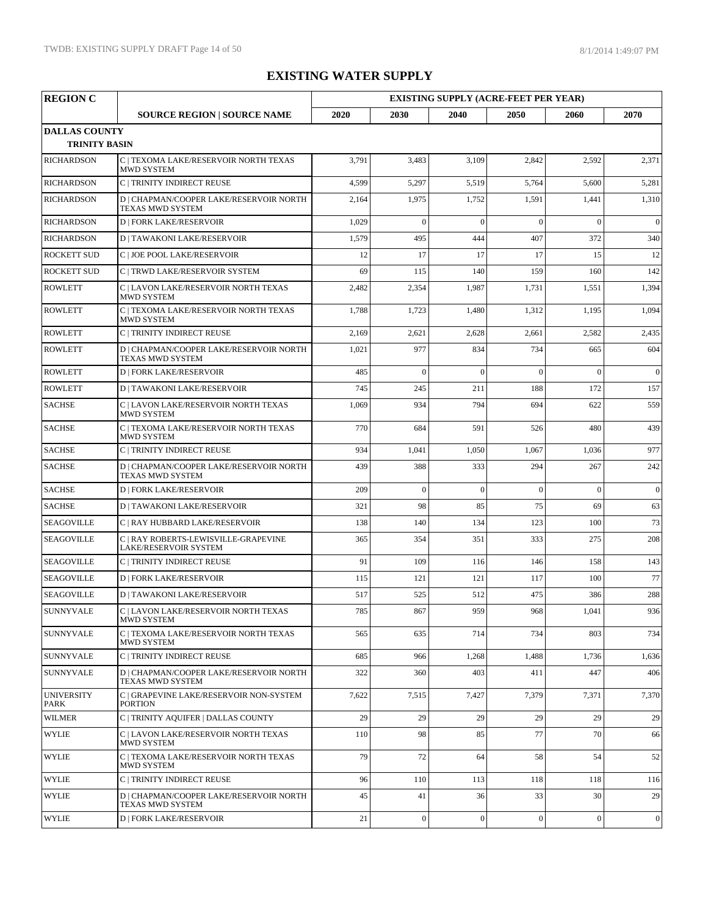| <b>REGION C</b>                              |                                                                      | <b>EXISTING SUPPLY (ACRE-FEET PER YEAR)</b> |                  |                  |                  |                  |                  |
|----------------------------------------------|----------------------------------------------------------------------|---------------------------------------------|------------------|------------------|------------------|------------------|------------------|
|                                              | <b>SOURCE REGION   SOURCE NAME</b>                                   | 2020                                        | 2030             | 2040             | 2050             | 2060             | 2070             |
| <b>DALLAS COUNTY</b><br><b>TRINITY BASIN</b> |                                                                      |                                             |                  |                  |                  |                  |                  |
| <b>RICHARDSON</b>                            | C   TEXOMA LAKE/RESERVOIR NORTH TEXAS<br><b>MWD SYSTEM</b>           | 3,791                                       | 3,483            | 3,109            | 2,842            | 2,592            | 2,371            |
| <b>RICHARDSON</b>                            | C   TRINITY INDIRECT REUSE                                           | 4,599                                       | 5,297            | 5,519            | 5,764            | 5,600            | 5,281            |
| <b>RICHARDSON</b>                            | D   CHAPMAN/COOPER LAKE/RESERVOIR NORTH<br>TEXAS MWD SYSTEM          | 2,164                                       | 1,975            | 1,752            | 1,591            | 1,441            | 1,310            |
| <b>RICHARDSON</b>                            | <b>D   FORK LAKE/RESERVOIR</b>                                       | 1,029                                       | $\mathbf{0}$     | $\overline{0}$   | $\mathbf{0}$     | $\overline{0}$   | $\boldsymbol{0}$ |
| <b>RICHARDSON</b>                            | <b>D   TAWAKONI LAKE/RESERVOIR</b>                                   | 1,579                                       | 495              | 444              | 407              | 372              | 340              |
| <b>ROCKETT SUD</b>                           | C   JOE POOL LAKE/RESERVOIR                                          | 12                                          | 17               | 17               | 17               | 15               | 12               |
| <b>ROCKETT SUD</b>                           | C   TRWD LAKE/RESERVOIR SYSTEM                                       | 69                                          | 115              | 140              | 159              | 160              | 142              |
| <b>ROWLETT</b>                               | C   LAVON LAKE/RESERVOIR NORTH TEXAS<br>MWD SYSTEM                   | 2,482                                       | 2,354            | 1,987            | 1,731            | 1,551            | 1,394            |
| <b>ROWLETT</b>                               | C   TEXOMA LAKE/RESERVOIR NORTH TEXAS<br><b>MWD SYSTEM</b>           | 1,788                                       | 1,723            | 1,480            | 1,312            | 1,195            | 1,094            |
| <b>ROWLETT</b>                               | C   TRINITY INDIRECT REUSE                                           | 2,169                                       | 2,621            | 2,628            | 2,661            | 2,582            | 2,435            |
| <b>ROWLETT</b>                               | D   CHAPMAN/COOPER LAKE/RESERVOIR NORTH<br>TEXAS MWD SYSTEM          | 1,021                                       | 977              | 834              | 734              | 665              | 604              |
| <b>ROWLETT</b>                               | <b>D   FORK LAKE/RESERVOIR</b>                                       | 485                                         | $\theta$         | $\theta$         | $\theta$         | $\theta$         | $\boldsymbol{0}$ |
| <b>ROWLETT</b>                               | <b>D   TAWAKONI LAKE/RESERVOIR</b>                                   | 745                                         | 245              | 211              | 188              | 172              | 157              |
| <b>SACHSE</b>                                | C   LAVON LAKE/RESERVOIR NORTH TEXAS<br>MWD SYSTEM                   | 1,069                                       | 934              | 794              | 694              | 622              | 559              |
| <b>SACHSE</b>                                | C   TEXOMA LAKE/RESERVOIR NORTH TEXAS<br><b>MWD SYSTEM</b>           | 770                                         | 684              | 591              | 526              | 480              | 439              |
| <b>SACHSE</b>                                | C   TRINITY INDIRECT REUSE                                           | 934                                         | 1,041            | 1,050            | 1,067            | 1,036            | 977              |
| <b>SACHSE</b>                                | D   CHAPMAN/COOPER LAKE/RESERVOIR NORTH<br>TEXAS MWD SYSTEM          | 439                                         | 388              | 333              | 294              | 267              | 242              |
| <b>SACHSE</b>                                | <b>D   FORK LAKE/RESERVOIR</b>                                       | 209                                         | $\overline{0}$   | $\overline{0}$   | $\overline{0}$   | $\overline{0}$   | $\boldsymbol{0}$ |
| <b>SACHSE</b>                                | <b>D   TAWAKONI LAKE/RESERVOIR</b>                                   | 321                                         | 98               | 85               | 75               | 69               | 63               |
| <b>SEAGOVILLE</b>                            | C   RAY HUBBARD LAKE/RESERVOIR                                       | 138                                         | 140              | 134              | 123              | 100              | 73               |
| <b>SEAGOVILLE</b>                            | C   RAY ROBERTS-LEWISVILLE-GRAPEVINE<br><b>LAKE/RESERVOIR SYSTEM</b> | 365                                         | 354              | 351              | 333              | 275              | 208              |
| <b>SEAGOVILLE</b>                            | C   TRINITY INDIRECT REUSE                                           | 91                                          | 109              | 116              | 146              | 158              | 143              |
| <b>SEAGOVILLE</b>                            | <b>D   FORK LAKE/RESERVOIR</b>                                       | 115                                         | 121              | 121              | 117              | 100              | 77               |
| <b>SEAGOVILLE</b>                            | <b>D   TAWAKONI LAKE/RESERVOIR</b>                                   | 517                                         | 525              | 512              | 475              | 386              | 288              |
| SUNNYVALE                                    | C   LAVON LAKE/RESERVOIR NORTH TEXAS<br><b>MWD SYSTEM</b>            | 785                                         | 867              | 959              | 968              | 1,041            | 936              |
| <b>SUNNYVALE</b>                             | C   TEXOMA LAKE/RESERVOIR NORTH TEXAS<br>MWD SYSTEM                  | 565                                         | 635              | 714              | 734              | 803              | 734              |
| <b>SUNNYVALE</b>                             | C   TRINITY INDIRECT REUSE                                           | 685                                         | 966              | 1,268            | 1,488            | 1,736            | 1,636            |
| <b>SUNNYVALE</b>                             | D   CHAPMAN/COOPER LAKE/RESERVOIR NORTH<br><b>TEXAS MWD SYSTEM</b>   | 322                                         | 360              | 403              | 411              | 447              | 406              |
| <b>UNIVERSITY</b><br>PARK                    | C   GRAPEVINE LAKE/RESERVOIR NON-SYSTEM<br><b>PORTION</b>            | 7,622                                       | 7,515            | 7,427            | 7,379            | 7,371            | 7,370            |
| <b>WILMER</b>                                | C   TRINITY AOUIFER   DALLAS COUNTY                                  | 29                                          | 29               | 29               | 29               | 29               | 29               |
| <b>WYLIE</b>                                 | C   LAVON LAKE/RESERVOIR NORTH TEXAS<br>MWD SYSTEM                   | 110                                         | 98               | 85               | 77               | 70               | 66               |
| <b>WYLIE</b>                                 | C   TEXOMA LAKE/RESERVOIR NORTH TEXAS<br>MWD SYSTEM                  | 79                                          | 72               | 64               | 58               | 54               | 52               |
| <b>WYLIE</b>                                 | C   TRINITY INDIRECT REUSE                                           | 96                                          | 110              | 113              | 118              | 118              | 116              |
| <b>WYLIE</b>                                 | D   CHAPMAN/COOPER LAKE/RESERVOIR NORTH<br>TEXAS MWD SYSTEM          | 45                                          | 41               | 36               | 33               | 30               | 29               |
| <b>WYLIE</b>                                 | <b>D   FORK LAKE/RESERVOIR</b>                                       | 21                                          | $\boldsymbol{0}$ | $\boldsymbol{0}$ | $\boldsymbol{0}$ | $\boldsymbol{0}$ | $\overline{0}$   |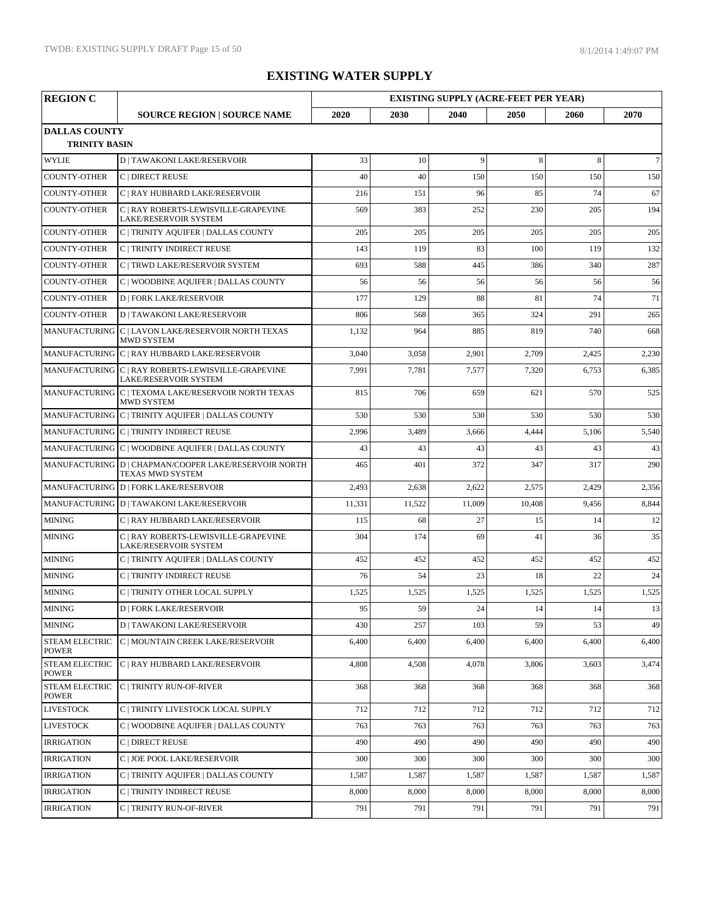| <b>REGION C</b>                              | <b>EXISTING SUPPLY (ACRE-FEET PER YEAR)</b>                                        |        |        |        |        |       |        |
|----------------------------------------------|------------------------------------------------------------------------------------|--------|--------|--------|--------|-------|--------|
|                                              | <b>SOURCE REGION   SOURCE NAME</b>                                                 | 2020   | 2030   | 2040   | 2050   | 2060  | 2070   |
| <b>DALLAS COUNTY</b><br><b>TRINITY BASIN</b> |                                                                                    |        |        |        |        |       |        |
| <b>WYLIE</b>                                 | <b>D   TAWAKONI LAKE/RESERVOIR</b>                                                 | 33     | 10     | 9      | 8      | 8     | $\tau$ |
| <b>COUNTY-OTHER</b>                          | C   DIRECT REUSE                                                                   | 40     | 40     | 150    | 150    | 150   | 150    |
| <b>COUNTY-OTHER</b>                          | C   RAY HUBBARD LAKE/RESERVOIR                                                     | 216    | 151    | 96     | 85     | 74    | 67     |
| <b>COUNTY-OTHER</b>                          | C   RAY ROBERTS-LEWISVILLE-GRAPEVINE<br>LAKE/RESERVOIR SYSTEM                      | 569    | 383    | 252    | 230    | 205   | 194    |
| <b>COUNTY-OTHER</b>                          | C   TRINITY AQUIFER   DALLAS COUNTY                                                | 205    | 205    | 205    | 205    | 205   | 205    |
| <b>COUNTY-OTHER</b>                          | C   TRINITY INDIRECT REUSE                                                         | 143    | 119    | 83     | 100    | 119   | 132    |
| <b>COUNTY-OTHER</b>                          | C   TRWD LAKE/RESERVOIR SYSTEM                                                     | 693    | 588    | 445    | 386    | 340   | 287    |
| <b>COUNTY-OTHER</b>                          | C   WOODBINE AQUIFER   DALLAS COUNTY                                               | 56     | 56     | 56     | 56     | 56    | 56     |
| <b>COUNTY-OTHER</b>                          | <b>D   FORK LAKE/RESERVOIR</b>                                                     | 177    | 129    | 88     | 81     | 74    | 71     |
| <b>COUNTY-OTHER</b>                          | <b>D   TAWAKONI LAKE/RESERVOIR</b>                                                 | 806    | 568    | 365    | 324    | 291   | 265    |
|                                              | MANUFACTURING C   LAVON LAKE/RESERVOIR NORTH TEXAS<br><b>MWD SYSTEM</b>            | 1,132  | 964    | 885    | 819    | 740   | 668    |
|                                              | MANUFACTURING C   RAY HUBBARD LAKE/RESERVOIR                                       | 3,040  | 3,058  | 2,901  | 2,709  | 2,425 | 2,230  |
|                                              | MANUFACTURING C   RAY ROBERTS-LEWISVILLE-GRAPEVINE<br><b>LAKE/RESERVOIR SYSTEM</b> | 7,991  | 7,781  | 7,577  | 7,320  | 6,753 | 6,385  |
|                                              | MANUFACTURING C   TEXOMA LAKE/RESERVOIR NORTH TEXAS<br>MWD SYSTEM                  | 815    | 706    | 659    | 621    | 570   | 525    |
|                                              | MANUFACTURING C   TRINITY AQUIFER   DALLAS COUNTY                                  | 530    | 530    | 530    | 530    | 530   | 530    |
|                                              | MANUFACTURING C   TRINITY INDIRECT REUSE                                           | 2,996  | 3,489  | 3,666  | 4,444  | 5,106 | 5,540  |
|                                              | MANUFACTURING C   WOODBINE AQUIFER   DALLAS COUNTY                                 | 43     | 43     | 43     | 43     | 43    | 43     |
|                                              | MANUFACTURING D   CHAPMAN/COOPER LAKE/RESERVOIR NORTH<br>TEXAS MWD SYSTEM          | 465    | 401    | 372    | 347    | 317   | 290    |
|                                              | MANUFACTURING D   FORK LAKE/RESERVOIR                                              | 2,493  | 2,638  | 2,622  | 2,575  | 2,429 | 2,356  |
|                                              | MANUFACTURING D   TAWAKONI LAKE/RESERVOIR                                          | 11,331 | 11,522 | 11,009 | 10,408 | 9,456 | 8,844  |
| <b>MINING</b>                                | C   RAY HUBBARD LAKE/RESERVOIR                                                     | 115    | 68     | 27     | 15     | 14    | 12     |
| <b>MINING</b>                                | C   RAY ROBERTS-LEWISVILLE-GRAPEVINE<br>LAKE/RESERVOIR SYSTEM                      | 304    | 174    | 69     | 41     | 36    | 35     |
| <b>MINING</b>                                | C   TRINITY AQUIFER   DALLAS COUNTY                                                | 452    | 452    | 452    | 452    | 452   | 452    |
| <b>MINING</b>                                | C   TRINITY INDIRECT REUSE                                                         | 76     | 54     | 23     | 18     | 22    | 24     |
| <b>MINING</b>                                | C   TRINITY OTHER LOCAL SUPPLY                                                     | 1,525  | 1,525  | 1,525  | 1,525  | 1,525 | 1,525  |
| MINING                                       | $\boxed{\texttt{D} \mid \texttt{FORK}\ \texttt{LAKE/RESERVOIR}}$                   | 95     | 59     | 24     | 14     | 14    | 13     |
| <b>MINING</b>                                | <b>D   TAWAKONI LAKE/RESERVOIR</b>                                                 | 430    | 257    | 103    | 59     | 53    | 49     |
| <b>STEAM ELECTRIC</b><br><b>POWER</b>        | C   MOUNTAIN CREEK LAKE/RESERVOIR                                                  | 6,400  | 6,400  | 6,400  | 6,400  | 6,400 | 6,400  |
| <b>STEAM ELECTRIC</b><br><b>POWER</b>        | C   RAY HUBBARD LAKE/RESERVOIR                                                     | 4,808  | 4,508  | 4,078  | 3,806  | 3,603 | 3,474  |
| STEAM ELECTRIC<br><b>POWER</b>               | C   TRINITY RUN-OF-RIVER                                                           | 368    | 368    | 368    | 368    | 368   | 368    |
| <b>LIVESTOCK</b>                             | C   TRINITY LIVESTOCK LOCAL SUPPLY                                                 | 712    | 712    | 712    | 712    | 712   | 712    |
| <b>LIVESTOCK</b>                             | C   WOODBINE AQUIFER   DALLAS COUNTY                                               | 763    | 763    | 763    | 763    | 763   | 763    |
| <b>IRRIGATION</b>                            | C   DIRECT REUSE                                                                   | 490    | 490    | 490    | 490    | 490   | 490    |
| <b>IRRIGATION</b>                            | C   JOE POOL LAKE/RESERVOIR                                                        | 300    | 300    | 300    | 300    | 300   | 300    |
| <b>IRRIGATION</b>                            | C   TRINITY AQUIFER   DALLAS COUNTY                                                | 1,587  | 1,587  | 1,587  | 1,587  | 1,587 | 1,587  |
| <b>IRRIGATION</b>                            | C   TRINITY INDIRECT REUSE                                                         | 8,000  | 8,000  | 8,000  | 8,000  | 8,000 | 8,000  |
| <b>IRRIGATION</b>                            | C   TRINITY RUN-OF-RIVER                                                           | 791    | 791    | 791    | 791    | 791   | 791    |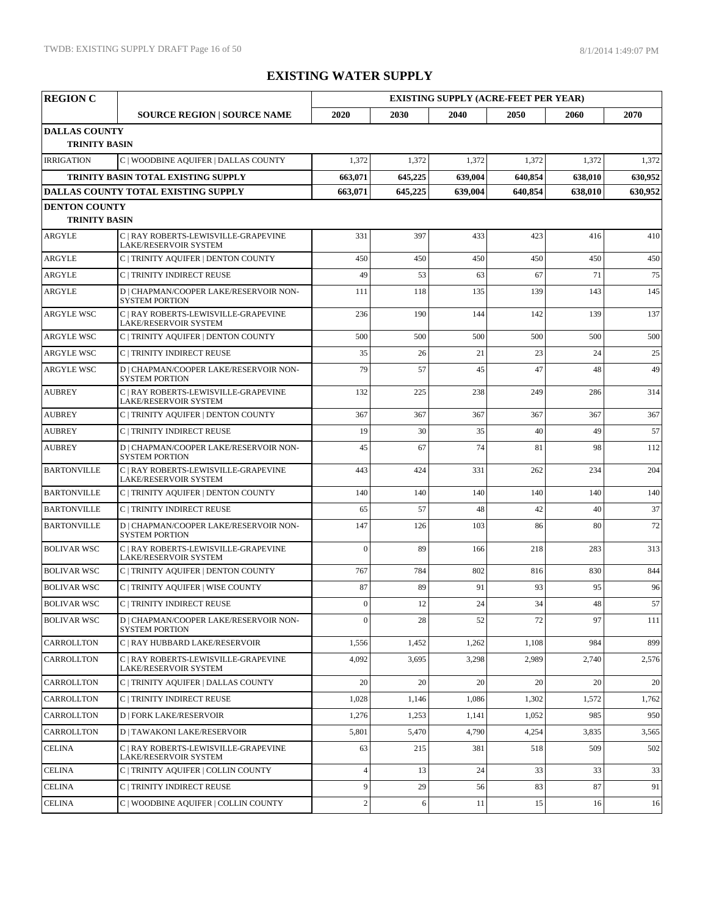| <b>REGION C</b>      |                                                                      | <b>EXISTING SUPPLY (ACRE-FEET PER YEAR)</b> |         |         |         |         |         |  |
|----------------------|----------------------------------------------------------------------|---------------------------------------------|---------|---------|---------|---------|---------|--|
|                      | <b>SOURCE REGION   SOURCE NAME</b>                                   | 2020                                        | 2030    | 2040    | 2050    | 2060    | 2070    |  |
| <b>DALLAS COUNTY</b> |                                                                      |                                             |         |         |         |         |         |  |
| <b>TRINITY BASIN</b> |                                                                      |                                             |         |         |         |         |         |  |
| <b>IRRIGATION</b>    | C   WOODBINE AQUIFER   DALLAS COUNTY                                 | 1,372                                       | 1,372   | 1,372   | 1,372   | 1,372   | 1,372   |  |
|                      | TRINITY BASIN TOTAL EXISTING SUPPLY                                  | 663,071                                     | 645,225 | 639,004 | 640,854 | 638,010 | 630,952 |  |
|                      | DALLAS COUNTY TOTAL EXISTING SUPPLY                                  | 663,071                                     | 645,225 | 639,004 | 640,854 | 638,010 | 630,952 |  |
| <b>DENTON COUNTY</b> |                                                                      |                                             |         |         |         |         |         |  |
| <b>TRINITY BASIN</b> |                                                                      |                                             |         |         |         |         |         |  |
| ARGYLE               | C   RAY ROBERTS-LEWISVILLE-GRAPEVINE<br><b>LAKE/RESERVOIR SYSTEM</b> | 331                                         | 397     | 433     | 423     | 416     | 410     |  |
| ARGYLE               | C   TRINITY AQUIFER   DENTON COUNTY                                  | 450                                         | 450     | 450     | 450     | 450     | 450     |  |
| <b>ARGYLE</b>        | C   TRINITY INDIRECT REUSE                                           | 49                                          | 53      | 63      | 67      | 71      | 75      |  |
| <b>ARGYLE</b>        | D   CHAPMAN/COOPER LAKE/RESERVOIR NON-<br><b>SYSTEM PORTION</b>      | 111                                         | 118     | 135     | 139     | 143     | 145     |  |
| <b>ARGYLE WSC</b>    | C   RAY ROBERTS-LEWISVILLE-GRAPEVINE<br>LAKE/RESERVOIR SYSTEM        | 236                                         | 190     | 144     | 142     | 139     | 137     |  |
| <b>ARGYLE WSC</b>    | C   TRINITY AQUIFER   DENTON COUNTY                                  | 500                                         | 500     | 500     | 500     | 500     | 500     |  |
| <b>ARGYLE WSC</b>    | C   TRINITY INDIRECT REUSE                                           | 35                                          | 26      | 21      | 23      | 24      | 25      |  |
| <b>ARGYLE WSC</b>    | D   CHAPMAN/COOPER LAKE/RESERVOIR NON-<br><b>SYSTEM PORTION</b>      | 79                                          | 57      | 45      | 47      | 48      | 49      |  |
| <b>AUBREY</b>        | C   RAY ROBERTS-LEWISVILLE-GRAPEVINE<br>LAKE/RESERVOIR SYSTEM        | 132                                         | 225     | 238     | 249     | 286     | 314     |  |
| <b>AUBREY</b>        | C   TRINITY AQUIFER   DENTON COUNTY                                  | 367                                         | 367     | 367     | 367     | 367     | 367     |  |
| <b>AUBREY</b>        | C   TRINITY INDIRECT REUSE                                           | 19                                          | 30      | 35      | 40      | 49      | 57      |  |
| <b>AUBREY</b>        | D   CHAPMAN/COOPER LAKE/RESERVOIR NON-<br><b>SYSTEM PORTION</b>      | 45                                          | 67      | 74      | 81      | 98      | 112     |  |
| <b>BARTONVILLE</b>   | C   RAY ROBERTS-LEWISVILLE-GRAPEVINE<br><b>LAKE/RESERVOIR SYSTEM</b> | 443                                         | 424     | 331     | 262     | 234     | 204     |  |
| <b>BARTONVILLE</b>   | C   TRINITY AQUIFER   DENTON COUNTY                                  | 140                                         | 140     | 140     | 140     | 140     | 140     |  |
| <b>BARTONVILLE</b>   | C   TRINITY INDIRECT REUSE                                           | 65                                          | 57      | 48      | 42      | 40      | 37      |  |
| <b>BARTONVILLE</b>   | D   CHAPMAN/COOPER LAKE/RESERVOIR NON-<br><b>SYSTEM PORTION</b>      | 147                                         | 126     | 103     | 86      | 80      | 72      |  |
| <b>BOLIVAR WSC</b>   | C   RAY ROBERTS-LEWISVILLE-GRAPEVINE<br>LAKE/RESERVOIR SYSTEM        | $\Omega$                                    | 89      | 166     | 218     | 283     | 313     |  |
| <b>BOLIVAR WSC</b>   | C   TRINITY AQUIFER   DENTON COUNTY                                  | 767                                         | 784     | 802     | 816     | 830     | 844     |  |
| <b>BOLIVAR WSC</b>   | C   TRINITY AQUIFER   WISE COUNTY                                    | 87                                          | 89      | 91      | 93      | 95      | 96      |  |
| <b>BOLIVAR WSC</b>   | C   TRINITY INDIRECT REUSE                                           | $\Omega$                                    | 12      | 24      | 34      | 48      | 57      |  |
| <b>BOLIVAR WSC</b>   | D   CHAPMAN/COOPER LAKE/RESERVOIR NON-<br><b>SYSTEM PORTION</b>      | $\theta$                                    | 28      | 52      | 72      | 97      | 111     |  |
| <b>CARROLLTON</b>    | C   RAY HUBBARD LAKE/RESERVOIR                                       | 1,556                                       | 1,452   | 1,262   | 1,108   | 984     | 899     |  |
| CARROLLTON           | C   RAY ROBERTS-LEWISVILLE-GRAPEVINE<br>LAKE/RESERVOIR SYSTEM        | 4,092                                       | 3,695   | 3,298   | 2,989   | 2,740   | 2,576   |  |
| CARROLLTON           | C   TRINITY AOUIFER   DALLAS COUNTY                                  | 20                                          | 20      | 20      | 20      | 20      | 20      |  |
| CARROLLTON           | <b>C   TRINITY INDIRECT REUSE</b>                                    | 1,028                                       | 1,146   | 1,086   | 1,302   | 1,572   | 1,762   |  |
| CARROLLTON           | <b>D   FORK LAKE/RESERVOIR</b>                                       | 1,276                                       | 1,253   | 1,141   | 1,052   | 985     | 950     |  |
| CARROLLTON           | <b>D   TAWAKONI LAKE/RESERVOIR</b>                                   | 5,801                                       | 5,470   | 4,790   | 4,254   | 3,835   | 3,565   |  |
| <b>CELINA</b>        | C   RAY ROBERTS-LEWISVILLE-GRAPEVINE<br>LAKE/RESERVOIR SYSTEM        | 63                                          | 215     | 381     | 518     | 509     | 502     |  |
| <b>CELINA</b>        | C   TRINITY AQUIFER   COLLIN COUNTY                                  | $\overline{4}$                              | 13      | 24      | 33      | 33      | 33      |  |
| <b>CELINA</b>        | C   TRINITY INDIRECT REUSE                                           | 9                                           | 29      | 56      | 83      | 87      | 91      |  |
| <b>CELINA</b>        | C   WOODBINE AQUIFER   COLLIN COUNTY                                 | $\overline{c}$                              | 6       | 11      | 15      | 16      | 16      |  |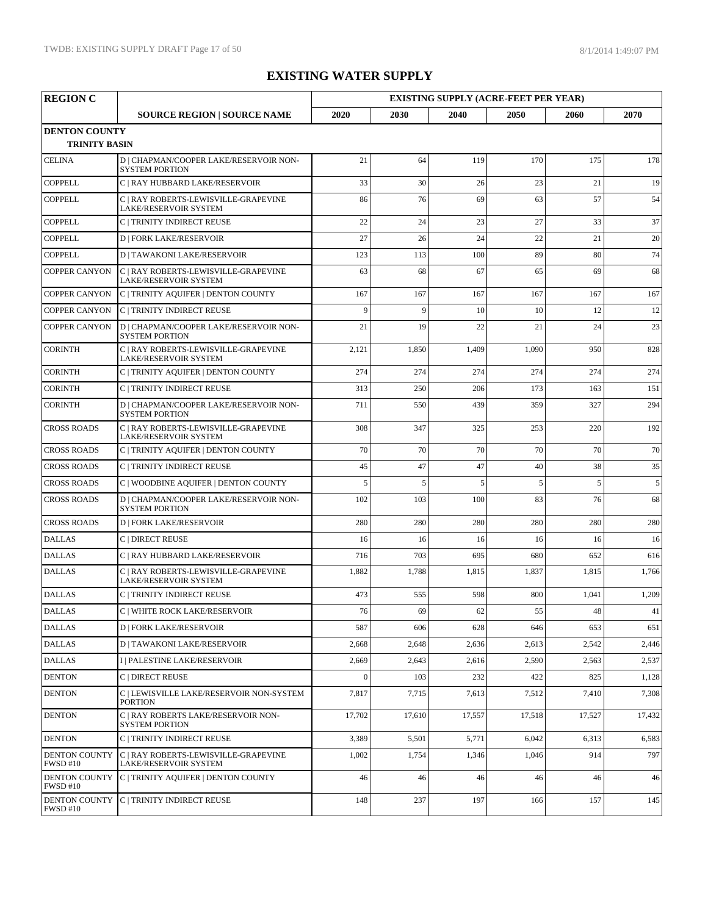| <b>REGION C</b>                         |                                                                      | <b>EXISTING SUPPLY (ACRE-FEET PER YEAR)</b> |              |        |        |        |        |
|-----------------------------------------|----------------------------------------------------------------------|---------------------------------------------|--------------|--------|--------|--------|--------|
|                                         | <b>SOURCE REGION   SOURCE NAME</b>                                   | 2020                                        | 2030         | 2040   | 2050   | 2060   | 2070   |
| <b>DENTON COUNTY</b>                    |                                                                      |                                             |              |        |        |        |        |
| <b>TRINITY BASIN</b>                    |                                                                      |                                             |              |        |        |        |        |
| <b>CELINA</b>                           | D   CHAPMAN/COOPER LAKE/RESERVOIR NON-<br><b>SYSTEM PORTION</b>      | 21                                          | 64           | 119    | 170    | 175    | 178    |
| <b>COPPELL</b>                          | C   RAY HUBBARD LAKE/RESERVOIR                                       | 33                                          | 30           | 26     | 23     | 21     | 19     |
| <b>COPPELL</b>                          | C   RAY ROBERTS-LEWISVILLE-GRAPEVINE<br>LAKE/RESERVOIR SYSTEM        | 86                                          | 76           | 69     | 63     | 57     | 54     |
| <b>COPPELL</b>                          | C   TRINITY INDIRECT REUSE                                           | 22                                          | 24           | 23     | 27     | 33     | 37     |
| <b>COPPELL</b>                          | <b>D   FORK LAKE/RESERVOIR</b>                                       | 27                                          | 26           | 24     | 22     | 21     | 20     |
| <b>COPPELL</b>                          | <b>D   TAWAKONI LAKE/RESERVOIR</b>                                   | 123                                         | 113          | 100    | 89     | 80     | 74     |
| <b>COPPER CANYON</b>                    | C   RAY ROBERTS-LEWISVILLE-GRAPEVINE<br>LAKE/RESERVOIR SYSTEM        | 63                                          | 68           | 67     | 65     | 69     | 68     |
| <b>COPPER CANYON</b>                    | C   TRINITY AQUIFER   DENTON COUNTY                                  | 167                                         | 167          | 167    | 167    | 167    | 167    |
| <b>COPPER CANYON</b>                    | C   TRINITY INDIRECT REUSE                                           | $\overline{9}$                              | $\mathbf{Q}$ | 10     | 10     | 12     | 12     |
| <b>COPPER CANYON</b>                    | D   CHAPMAN/COOPER LAKE/RESERVOIR NON-<br><b>SYSTEM PORTION</b>      | 21                                          | 19           | 22     | 21     | 24     | 23     |
| <b>CORINTH</b>                          | C   RAY ROBERTS-LEWISVILLE-GRAPEVINE<br>LAKE/RESERVOIR SYSTEM        | 2,121                                       | 1,850        | 1,409  | 1,090  | 950    | 828    |
| <b>CORINTH</b>                          | C   TRINITY AQUIFER   DENTON COUNTY                                  | 274                                         | 274          | 274    | 274    | 274    | 274    |
| <b>CORINTH</b>                          | <b>C   TRINITY INDIRECT REUSE</b>                                    | 313                                         | 250          | 206    | 173    | 163    | 151    |
| <b>CORINTH</b>                          | D   CHAPMAN/COOPER LAKE/RESERVOIR NON-<br><b>SYSTEM PORTION</b>      | 711                                         | 550          | 439    | 359    | 327    | 294    |
| <b>CROSS ROADS</b>                      | C   RAY ROBERTS-LEWISVILLE-GRAPEVINE<br>LAKE/RESERVOIR SYSTEM        | 308                                         | 347          | 325    | 253    | 220    | 192    |
| <b>CROSS ROADS</b>                      | C   TRINITY AQUIFER   DENTON COUNTY                                  | 70                                          | 70           | 70     | 70     | 70     | 70     |
| <b>CROSS ROADS</b>                      | C   TRINITY INDIRECT REUSE                                           | 45                                          | 47           | 47     | 40     | 38     | 35     |
| <b>CROSS ROADS</b>                      | C   WOODBINE AQUIFER   DENTON COUNTY                                 | 5                                           | 5            | 5      | 5      | 5      | 5      |
| <b>CROSS ROADS</b>                      | D   CHAPMAN/COOPER LAKE/RESERVOIR NON-<br><b>SYSTEM PORTION</b>      | 102                                         | 103          | 100    | 83     | 76     | 68     |
| <b>CROSS ROADS</b>                      | <b>D   FORK LAKE/RESERVOIR</b>                                       | 280                                         | 280          | 280    | 280    | 280    | 280    |
| <b>DALLAS</b>                           | C   DIRECT REUSE                                                     | 16                                          | 16           | 16     | 16     | 16     | 16     |
| <b>DALLAS</b>                           | C   RAY HUBBARD LAKE/RESERVOIR                                       | 716                                         | 703          | 695    | 680    | 652    | 616    |
| <b>DALLAS</b>                           | C   RAY ROBERTS-LEWISVILLE-GRAPEVINE<br><b>LAKE/RESERVOIR SYSTEM</b> | 1,882                                       | 1,788        | 1,815  | 1,837  | 1,815  | 1,766  |
| <b>DALLAS</b>                           | C   TRINITY INDIRECT REUSE                                           | 473                                         | 555          | 598    | 800    | 1,041  | 1,209  |
| <b>DALLAS</b>                           | C   WHITE ROCK LAKE/RESERVOIR                                        | 76                                          | 69           | 62     | 55     | 48     | 41     |
| <b>DALLAS</b>                           | <b>D   FORK LAKE/RESERVOIR</b>                                       | 587                                         | 606          | 628    | 646    | 653    | 651    |
| <b>DALLAS</b>                           | <b>D   TAWAKONI LAKE/RESERVOIR</b>                                   | 2,668                                       | 2,648        | 2,636  | 2,613  | 2,542  | 2,446  |
| <b>DALLAS</b>                           | I   PALESTINE LAKE/RESERVOIR                                         | 2,669                                       | 2,643        | 2,616  | 2,590  | 2,563  | 2,537  |
| <b>DENTON</b>                           | C   DIRECT REUSE                                                     | $\Omega$                                    | 103          | 232    | 422    | 825    | 1,128  |
| <b>DENTON</b>                           | C   LEWISVILLE LAKE/RESERVOIR NON-SYSTEM<br><b>PORTION</b>           | 7,817                                       | 7,715        | 7,613  | 7,512  | 7,410  | 7,308  |
| <b>DENTON</b>                           | C   RAY ROBERTS LAKE/RESERVOIR NON-<br><b>SYSTEM PORTION</b>         | 17,702                                      | 17,610       | 17,557 | 17,518 | 17,527 | 17,432 |
| <b>DENTON</b>                           | C   TRINITY INDIRECT REUSE                                           | 3,389                                       | 5,501        | 5,771  | 6,042  | 6,313  | 6,583  |
| <b>DENTON COUNTY</b><br><b>FWSD #10</b> | C   RAY ROBERTS-LEWISVILLE-GRAPEVINE<br>LAKE/RESERVOIR SYSTEM        | 1,002                                       | 1,754        | 1,346  | 1,046  | 914    | 797    |
| <b>DENTON COUNTY</b><br><b>FWSD #10</b> | C   TRINITY AQUIFER   DENTON COUNTY                                  | 46                                          | 46           | 46     | 46     | 46     | 46     |
| <b>DENTON COUNTY</b><br><b>FWSD #10</b> | C   TRINITY INDIRECT REUSE                                           | 148                                         | 237          | 197    | 166    | 157    | 145    |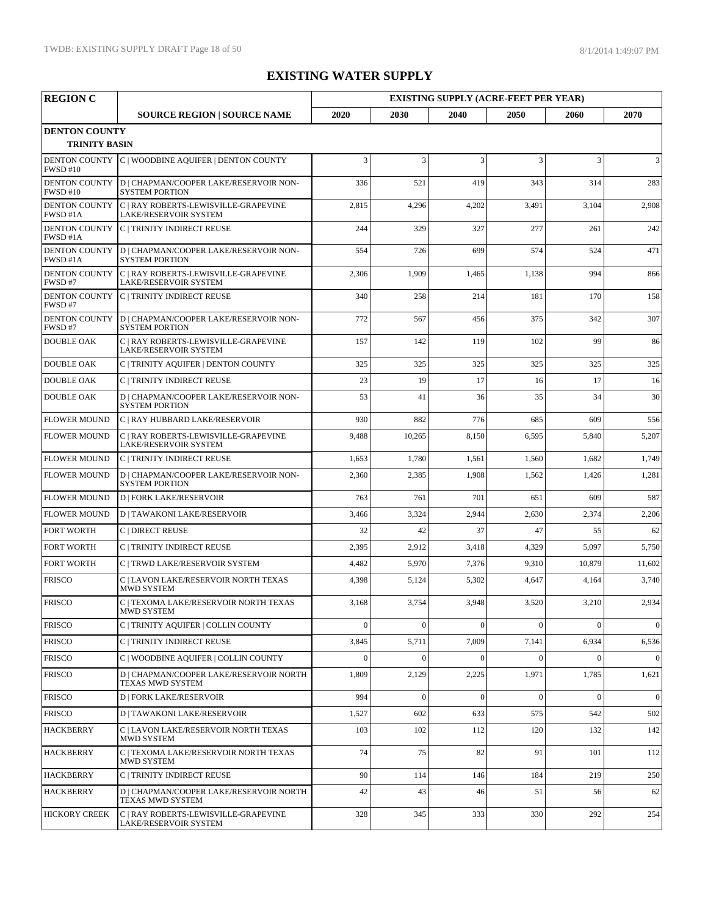| <b>REGION C</b>                              |                                                                 |          |          | <b>EXISTING SUPPLY (ACRE-FEET PER YEAR)</b> |          |                |                 |
|----------------------------------------------|-----------------------------------------------------------------|----------|----------|---------------------------------------------|----------|----------------|-----------------|
|                                              | <b>SOURCE REGION   SOURCE NAME</b>                              | 2020     | 2030     | 2040                                        | 2050     | 2060           | 2070            |
| <b>DENTON COUNTY</b><br><b>TRINITY BASIN</b> |                                                                 |          |          |                                             |          |                |                 |
| <b>DENTON COUNTY</b><br><b>FWSD #10</b>      | C   WOODBINE AQUIFER   DENTON COUNTY                            | 3        | 3        | 3                                           | 3        | 3              | 3               |
| <b>DENTON COUNTY</b><br><b>FWSD #10</b>      | D   CHAPMAN/COOPER LAKE/RESERVOIR NON-<br><b>SYSTEM PORTION</b> | 336      | 521      | 419                                         | 343      | 314            | 283             |
| <b>DENTON COUNTY</b><br>FWSD #1A             | C   RAY ROBERTS-LEWISVILLE-GRAPEVINE<br>LAKE/RESERVOIR SYSTEM   | 2,815    | 4,296    | 4,202                                       | 3,491    | 3,104          | 2,908           |
| <b>DENTON COUNTY</b><br>FWSD #1A             | C   TRINITY INDIRECT REUSE                                      | 244      | 329      | 327                                         | 277      | 261            | 242             |
| <b>DENTON COUNTY</b><br>FWSD #1A             | D   CHAPMAN/COOPER LAKE/RESERVOIR NON-<br><b>SYSTEM PORTION</b> | 554      | 726      | 699                                         | 574      | 524            | 471             |
| <b>DENTON COUNTY</b><br>FWSD#7               | C   RAY ROBERTS-LEWISVILLE-GRAPEVINE<br>LAKE/RESERVOIR SYSTEM   | 2,306    | 1,909    | 1,465                                       | 1,138    | 994            | 866             |
| <b>DENTON COUNTY</b><br>FWSD#7               | C   TRINITY INDIRECT REUSE                                      | 340      | 258      | 214                                         | 181      | 170            | 158             |
| <b>DENTON COUNTY</b><br>FWSD#7               | D   CHAPMAN/COOPER LAKE/RESERVOIR NON-<br><b>SYSTEM PORTION</b> | 772      | 567      | 456                                         | 375      | 342            | 307             |
| <b>DOUBLE OAK</b>                            | C   RAY ROBERTS-LEWISVILLE-GRAPEVINE<br>LAKE/RESERVOIR SYSTEM   | 157      | 142      | 119                                         | 102      | 99             | 86              |
| <b>DOUBLE OAK</b>                            | C   TRINITY AQUIFER   DENTON COUNTY                             | 325      | 325      | 325                                         | 325      | 325            | 325             |
| <b>DOUBLE OAK</b>                            | C   TRINITY INDIRECT REUSE                                      | 23       | 19       | 17                                          | 16       | 17             | 16              |
| <b>DOUBLE OAK</b>                            | D   CHAPMAN/COOPER LAKE/RESERVOIR NON-<br><b>SYSTEM PORTION</b> | 53       | 41       | 36                                          | 35       | 34             | 30              |
| <b>FLOWER MOUND</b>                          | C   RAY HUBBARD LAKE/RESERVOIR                                  | 930      | 882      | 776                                         | 685      | 609            | 556             |
| <b>FLOWER MOUND</b>                          | C   RAY ROBERTS-LEWISVILLE-GRAPEVINE<br>LAKE/RESERVOIR SYSTEM   | 9,488    | 10,265   | 8,150                                       | 6,595    | 5,840          | 5,207           |
| <b>FLOWER MOUND</b>                          | C   TRINITY INDIRECT REUSE                                      | 1,653    | 1,780    | 1,561                                       | 1,560    | 1,682          | 1,749           |
| <b>FLOWER MOUND</b>                          | D   CHAPMAN/COOPER LAKE/RESERVOIR NON-<br><b>SYSTEM PORTION</b> | 2,360    | 2,385    | 1,908                                       | 1,562    | 1,426          | 1,281           |
| <b>FLOWER MOUND</b>                          | <b>D   FORK LAKE/RESERVOIR</b>                                  | 763      | 761      | 701                                         | 651      | 609            | 587             |
| <b>FLOWER MOUND</b>                          | <b>D   TAWAKONI LAKE/RESERVOIR</b>                              | 3,466    | 3,324    | 2,944                                       | 2,630    | 2,374          | 2,206           |
| <b>FORT WORTH</b>                            | C   DIRECT REUSE                                                | 32       | 42       | 37                                          | 47       | 55             | 62              |
| <b>FORT WORTH</b>                            | C   TRINITY INDIRECT REUSE                                      | 2,395    | 2,912    | 3,418                                       | 4,329    | 5,097          | 5,750           |
| <b>FORT WORTH</b>                            | C   TRWD LAKE/RESERVOIR SYSTEM                                  | 4,482    | 5,970    | 7,376                                       | 9,310    | 10,879         | 11,602          |
| <b>FRISCO</b>                                | C   LAVON LAKE/RESERVOIR NORTH TEXAS<br>MWD SYSTEM              | 4,398    | 5,124    | 5,302                                       | 4,647    | 4,164          | 3,740           |
| <b>FRISCO</b>                                | C   TEXOMA LAKE/RESERVOIR NORTH TEXAS<br>MWD SYSTEM             | 3,168    | 3,754    | 3,948                                       | 3,520    | 3,210          | 2,934           |
| <b>FRISCO</b>                                | C   TRINITY AQUIFER   COLLIN COUNTY                             | $\Omega$ | $\theta$ | $\theta$                                    | $\theta$ | $\Omega$       | $\vert 0 \vert$ |
| <b>FRISCO</b>                                | C   TRINITY INDIRECT REUSE                                      | 3,845    | 5,711    | 7,009                                       | 7,141    | 6,934          | 6,536           |
| <b>FRISCO</b>                                | C   WOODBINE AQUIFER   COLLIN COUNTY                            | $\Omega$ | $\theta$ | $\theta$                                    | $\Omega$ | $\Omega$       | $\vert 0 \vert$ |
| <b>FRISCO</b>                                | D   CHAPMAN/COOPER LAKE/RESERVOIR NORTH<br>TEXAS MWD SYSTEM     | 1,809    | 2,129    | 2,225                                       | 1,971    | 1,785          | 1,621           |
| <b>FRISCO</b>                                | <b>D   FORK LAKE/RESERVOIR</b>                                  | 994      | $\theta$ | $\theta$                                    | $\Omega$ | $\overline{0}$ | $\vert 0 \vert$ |
| <b>FRISCO</b>                                | <b>D   TAWAKONI LAKE/RESERVOIR</b>                              | 1,527    | 602      | 633                                         | 575      | 542            | 502             |
| <b>HACKBERRY</b>                             | C   LAVON LAKE/RESERVOIR NORTH TEXAS<br>MWD SYSTEM              | 103      | 102      | 112                                         | 120      | 132            | 142             |
| <b>HACKBERRY</b>                             | C   TEXOMA LAKE/RESERVOIR NORTH TEXAS<br>MWD SYSTEM             | 74       | 75       | 82                                          | 91       | 101            | 112             |
| <b>HACKBERRY</b>                             | C   TRINITY INDIRECT REUSE                                      | 90       | 114      | 146                                         | 184      | 219            | 250             |
| <b>HACKBERRY</b>                             | D   CHAPMAN/COOPER LAKE/RESERVOIR NORTH<br>TEXAS MWD SYSTEM     | 42       | 43       | 46                                          | 51       | 56             | 62              |
| <b>HICKORY CREEK</b>                         | C   RAY ROBERTS-LEWISVILLE-GRAPEVINE<br>LAKE/RESERVOIR SYSTEM   | 328      | 345      | 333                                         | 330      | 292            | 254             |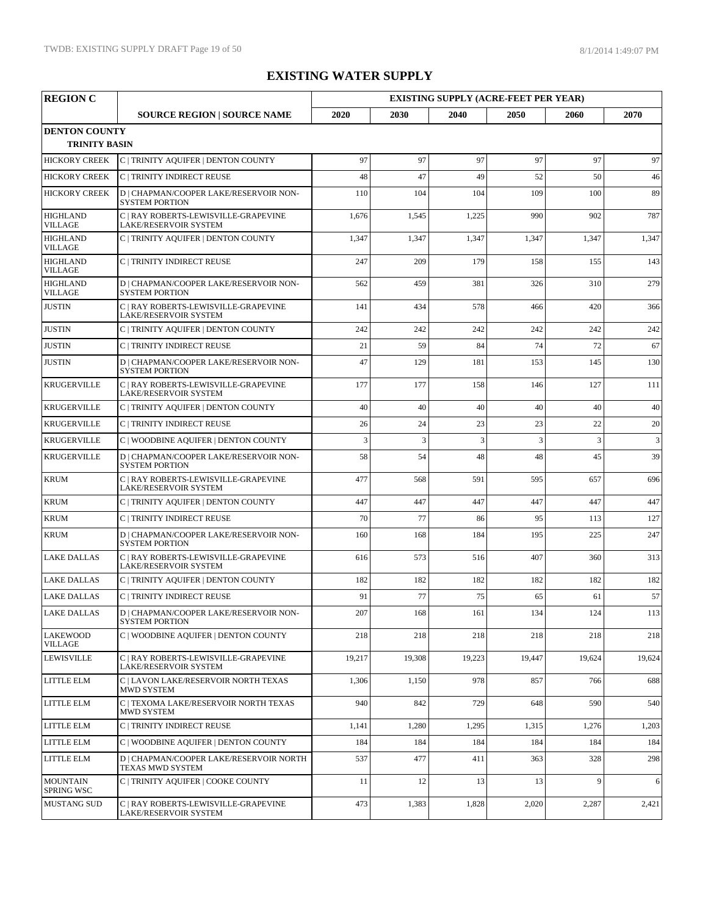| <b>REGION C</b>                   |                                                                 |        |                |        | <b>EXISTING SUPPLY (ACRE-FEET PER YEAR)</b> |        |        |  |
|-----------------------------------|-----------------------------------------------------------------|--------|----------------|--------|---------------------------------------------|--------|--------|--|
|                                   | <b>SOURCE REGION   SOURCE NAME</b>                              | 2020   | 2030           | 2040   | 2050                                        | 2060   | 2070   |  |
| <b>DENTON COUNTY</b>              |                                                                 |        |                |        |                                             |        |        |  |
| <b>TRINITY BASIN</b>              |                                                                 |        |                |        |                                             |        |        |  |
| <b>HICKORY CREEK</b>              | C   TRINITY AQUIFER   DENTON COUNTY                             | 97     | 97             | 97     | 97                                          | 97     | 97     |  |
| <b>HICKORY CREEK</b>              | C   TRINITY INDIRECT REUSE                                      | 48     | 47             | 49     | 52                                          | 50     | 46     |  |
| <b>HICKORY CREEK</b>              | D   CHAPMAN/COOPER LAKE/RESERVOIR NON-<br><b>SYSTEM PORTION</b> | 110    | 104            | 104    | 109                                         | 100    | 89     |  |
| <b>HIGHLAND</b><br><b>VILLAGE</b> | C   RAY ROBERTS-LEWISVILLE-GRAPEVINE<br>LAKE/RESERVOIR SYSTEM   | 1,676  | 1,545          | 1,225  | 990                                         | 902    | 787    |  |
| <b>HIGHLAND</b><br><b>VILLAGE</b> | C   TRINITY AQUIFER   DENTON COUNTY                             | 1,347  | 1,347          | 1,347  | 1,347                                       | 1,347  | 1,347  |  |
| <b>HIGHLAND</b><br><b>VILLAGE</b> | C   TRINITY INDIRECT REUSE                                      | 247    | 209            | 179    | 158                                         | 155    | 143    |  |
| <b>HIGHLAND</b><br><b>VILLAGE</b> | D   CHAPMAN/COOPER LAKE/RESERVOIR NON-<br><b>SYSTEM PORTION</b> | 562    | 459            | 381    | 326                                         | 310    | 279    |  |
| <b>JUSTIN</b>                     | C   RAY ROBERTS-LEWISVILLE-GRAPEVINE<br>LAKE/RESERVOIR SYSTEM   | 141    | 434            | 578    | 466                                         | 420    | 366    |  |
| <b>JUSTIN</b>                     | C   TRINITY AQUIFER   DENTON COUNTY                             | 242    | 242            | 242    | 242                                         | 242    | 242    |  |
| <b>JUSTIN</b>                     | C   TRINITY INDIRECT REUSE                                      | 21     | 59             | 84     | 74                                          | 72     | 67     |  |
| <b>JUSTIN</b>                     | D   CHAPMAN/COOPER LAKE/RESERVOIR NON-<br><b>SYSTEM PORTION</b> | 47     | 129            | 181    | 153                                         | 145    | 130    |  |
| <b>KRUGERVILLE</b>                | C   RAY ROBERTS-LEWISVILLE-GRAPEVINE<br>LAKE/RESERVOIR SYSTEM   | 177    | 177            | 158    | 146                                         | 127    | 111    |  |
| <b>KRUGERVILLE</b>                | C   TRINITY AQUIFER   DENTON COUNTY                             | 40     | 40             | 40     | 40                                          | 40     | 40     |  |
| <b>KRUGERVILLE</b>                | C   TRINITY INDIRECT REUSE                                      | 26     | 24             | 23     | 23                                          | 22     | 20     |  |
| <b>KRUGERVILLE</b>                | C   WOODBINE AQUIFER   DENTON COUNTY                            | 3      | $\overline{3}$ | 3      | 3                                           | 3      | 3      |  |
| <b>KRUGERVILLE</b>                | D   CHAPMAN/COOPER LAKE/RESERVOIR NON-<br><b>SYSTEM PORTION</b> | 58     | 54             | 48     | 48                                          | 45     | 39     |  |
| <b>KRUM</b>                       | C   RAY ROBERTS-LEWISVILLE-GRAPEVINE<br>LAKE/RESERVOIR SYSTEM   | 477    | 568            | 591    | 595                                         | 657    | 696    |  |
| <b>KRUM</b>                       | C   TRINITY AQUIFER   DENTON COUNTY                             | 447    | 447            | 447    | 447                                         | 447    | 447    |  |
| <b>KRUM</b>                       | C   TRINITY INDIRECT REUSE                                      | 70     | 77             | 86     | 95                                          | 113    | 127    |  |
| <b>KRUM</b>                       | D   CHAPMAN/COOPER LAKE/RESERVOIR NON-<br><b>SYSTEM PORTION</b> | 160    | 168            | 184    | 195                                         | 225    | 247    |  |
| <b>LAKE DALLAS</b>                | C   RAY ROBERTS-LEWISVILLE-GRAPEVINE<br>LAKE/RESERVOIR SYSTEM   | 616    | 573            | 516    | 407                                         | 360    | 313    |  |
| <b>LAKE DALLAS</b>                | C   TRINITY AQUIFER   DENTON COUNTY                             | 182    | 182            | 182    | 182                                         | 182    | 182    |  |
| <b>LAKE DALLAS</b>                | C   TRINITY INDIRECT REUSE                                      | 91     | 77             | 75     | 65                                          | 61     | 57     |  |
| <b>LAKE DALLAS</b>                | D   CHAPMAN/COOPER LAKE/RESERVOIR NON-<br><b>SYSTEM PORTION</b> | 207    | 168            | 161    | 134                                         | 124    | 113    |  |
| <b>LAKEWOOD</b><br>VILLAGE        | C   WOODBINE AQUIFER   DENTON COUNTY                            | 218    | 218            | 218    | 218                                         | 218    | 218    |  |
| <b>LEWISVILLE</b>                 | C   RAY ROBERTS-LEWISVILLE-GRAPEVINE<br>LAKE/RESERVOIR SYSTEM   | 19,217 | 19,308         | 19,223 | 19,447                                      | 19,624 | 19,624 |  |
| <b>LITTLE ELM</b>                 | C   LAVON LAKE/RESERVOIR NORTH TEXAS<br><b>MWD SYSTEM</b>       | 1,306  | 1,150          | 978    | 857                                         | 766    | 688    |  |
| LITTLE ELM                        | C   TEXOMA LAKE/RESERVOIR NORTH TEXAS<br>MWD SYSTEM             | 940    | 842            | 729    | 648                                         | 590    | 540    |  |
| <b>LITTLE ELM</b>                 | C   TRINITY INDIRECT REUSE                                      | 1,141  | 1,280          | 1,295  | 1,315                                       | 1,276  | 1,203  |  |
| LITTLE ELM                        | C   WOODBINE AOUIFER   DENTON COUNTY                            | 184    | 184            | 184    | 184                                         | 184    | 184    |  |
| LITTLE ELM                        | D   CHAPMAN/COOPER LAKE/RESERVOIR NORTH<br>TEXAS MWD SYSTEM     | 537    | 477            | 411    | 363                                         | 328    | 298    |  |
| <b>MOUNTAIN</b><br>SPRING WSC     | C   TRINITY AQUIFER   COOKE COUNTY                              | 11     | 12             | 13     | 13                                          | 9      | 6      |  |
| <b>MUSTANG SUD</b>                | C   RAY ROBERTS-LEWISVILLE-GRAPEVINE<br>LAKE/RESERVOIR SYSTEM   | 473    | 1,383          | 1,828  | 2,020                                       | 2,287  | 2,421  |  |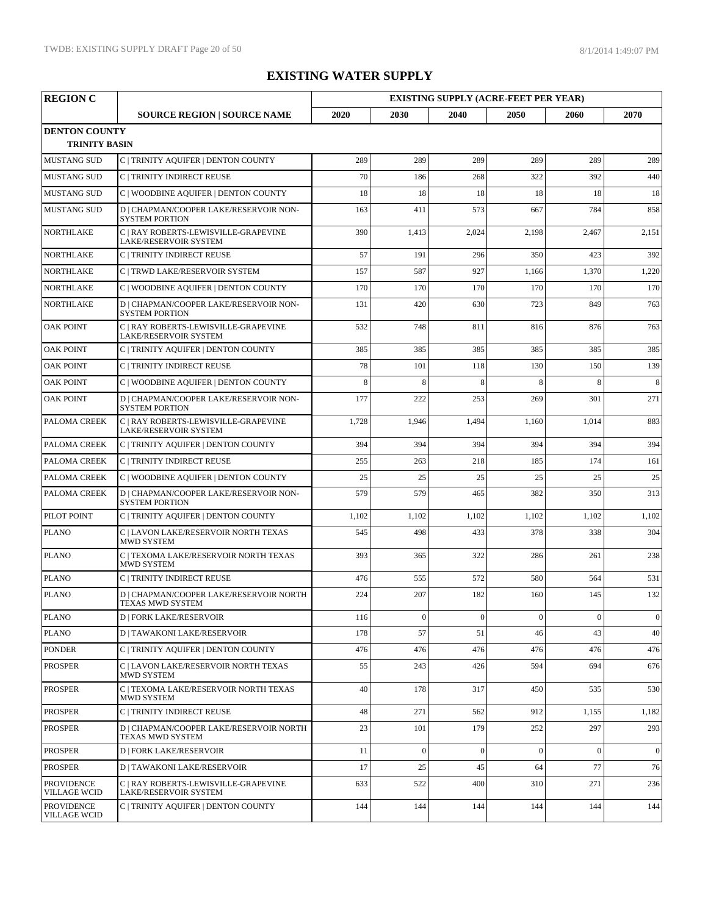| <b>REGION C</b>                   |                                                                 |       |                  |                  | <b>EXISTING SUPPLY (ACRE-FEET PER YEAR)</b> |                  |                 |
|-----------------------------------|-----------------------------------------------------------------|-------|------------------|------------------|---------------------------------------------|------------------|-----------------|
|                                   | <b>SOURCE REGION   SOURCE NAME</b>                              | 2020  | 2030             | 2040             | 2050                                        | 2060             | 2070            |
| <b>DENTON COUNTY</b>              |                                                                 |       |                  |                  |                                             |                  |                 |
| <b>TRINITY BASIN</b>              |                                                                 |       |                  |                  |                                             |                  |                 |
| <b>MUSTANG SUD</b>                | C   TRINITY AQUIFER   DENTON COUNTY                             | 289   | 289              | 289              | 289                                         | 289              | 289             |
| <b>MUSTANG SUD</b>                | C   TRINITY INDIRECT REUSE                                      | 70    | 186              | 268              | 322                                         | 392              | 440             |
| <b>MUSTANG SUD</b>                | C   WOODBINE AQUIFER   DENTON COUNTY                            | 18    | 18               | 18               | 18                                          | 18               | 18              |
| <b>MUSTANG SUD</b>                | D   CHAPMAN/COOPER LAKE/RESERVOIR NON-<br><b>SYSTEM PORTION</b> | 163   | 411              | 573              | 667                                         | 784              | 858             |
| <b>NORTHLAKE</b>                  | C   RAY ROBERTS-LEWISVILLE-GRAPEVINE<br>LAKE/RESERVOIR SYSTEM   | 390   | 1,413            | 2,024            | 2,198                                       | 2,467            | 2,151           |
| <b>NORTHLAKE</b>                  | C   TRINITY INDIRECT REUSE                                      | 57    | 191              | 296              | 350                                         | 423              | 392             |
| <b>NORTHLAKE</b>                  | C   TRWD LAKE/RESERVOIR SYSTEM                                  | 157   | 587              | 927              | 1,166                                       | 1,370            | 1,220           |
| <b>NORTHLAKE</b>                  | C   WOODBINE AQUIFER   DENTON COUNTY                            | 170   | 170              | 170              | 170                                         | 170              | 170             |
| <b>NORTHLAKE</b>                  | D   CHAPMAN/COOPER LAKE/RESERVOIR NON-<br><b>SYSTEM PORTION</b> | 131   | 420              | 630              | 723                                         | 849              | 763             |
| <b>OAK POINT</b>                  | C   RAY ROBERTS-LEWISVILLE-GRAPEVINE<br>LAKE/RESERVOIR SYSTEM   | 532   | 748              | 811              | 816                                         | 876              | 763             |
| <b>OAK POINT</b>                  | C   TRINITY AQUIFER   DENTON COUNTY                             | 385   | 385              | 385              | 385                                         | 385              | 385             |
| <b>OAK POINT</b>                  | C   TRINITY INDIRECT REUSE                                      | 78    | 101              | 118              | 130                                         | 150              | 139             |
| <b>OAK POINT</b>                  | C   WOODBINE AQUIFER   DENTON COUNTY                            | 8     | 8                | 8                | 8                                           | 8                | $\,8\,$         |
| <b>OAK POINT</b>                  | D   CHAPMAN/COOPER LAKE/RESERVOIR NON-<br><b>SYSTEM PORTION</b> | 177   | 222              | 253              | 269                                         | 301              | 271             |
| PALOMA CREEK                      | C   RAY ROBERTS-LEWISVILLE-GRAPEVINE<br>LAKE/RESERVOIR SYSTEM   | 1,728 | 1,946            | 1,494            | 1,160                                       | 1,014            | 883             |
| PALOMA CREEK                      | C   TRINITY AQUIFER   DENTON COUNTY                             | 394   | 394              | 394              | 394                                         | 394              | 394             |
| PALOMA CREEK                      | C   TRINITY INDIRECT REUSE                                      | 255   | 263              | 218              | 185                                         | 174              | 161             |
| PALOMA CREEK                      | C   WOODBINE AQUIFER   DENTON COUNTY                            | 25    | 25               | 25               | 25                                          | 25               | 25              |
| PALOMA CREEK                      | D   CHAPMAN/COOPER LAKE/RESERVOIR NON-<br><b>SYSTEM PORTION</b> | 579   | 579              | 465              | 382                                         | 350              | 313             |
| PILOT POINT                       | C   TRINITY AQUIFER   DENTON COUNTY                             | 1,102 | 1,102            | 1,102            | 1,102                                       | 1,102            | 1,102           |
| <b>PLANO</b>                      | C   LAVON LAKE/RESERVOIR NORTH TEXAS<br><b>MWD SYSTEM</b>       | 545   | 498              | 433              | 378                                         | 338              | 304             |
| <b>PLANO</b>                      | C   TEXOMA LAKE/RESERVOIR NORTH TEXAS<br><b>MWD SYSTEM</b>      | 393   | 365              | 322              | 286                                         | 261              | 238             |
| <b>PLANO</b>                      | C   TRINITY INDIRECT REUSE                                      | 476   | 555              | 572              | 580                                         | 564              | 531             |
| <b>PLANO</b>                      | D   CHAPMAN/COOPER LAKE/RESERVOIR NORTH<br>TEXAS MWD SYSTEM     | 224   | 207              | 182              | 160                                         | 145              | 132             |
| <b>PLANO</b>                      | <b>D   FORK LAKE/RESERVOIR</b>                                  | 116   | $\boldsymbol{0}$ | $\boldsymbol{0}$ | $\boldsymbol{0}$                            | $\boldsymbol{0}$ | $\vert 0 \vert$ |
| <b>PLANO</b>                      | <b>D   TAWAKONI LAKE/RESERVOIR</b>                              | 178   | 57               | 51               | 46                                          | 43               | 40              |
| <b>PONDER</b>                     | C   TRINITY AQUIFER   DENTON COUNTY                             | 476   | 476              | 476              | 476                                         | 476              | 476             |
| <b>PROSPER</b>                    | C   LAVON LAKE/RESERVOIR NORTH TEXAS<br>MWD SYSTEM              | 55    | 243              | 426              | 594                                         | 694              | 676             |
| <b>PROSPER</b>                    | C   TEXOMA LAKE/RESERVOIR NORTH TEXAS<br>MWD SYSTEM             | 40    | 178              | 317              | 450                                         | 535              | 530             |
| <b>PROSPER</b>                    | C   TRINITY INDIRECT REUSE                                      | 48    | 271              | 562              | 912                                         | 1,155            | 1,182           |
| <b>PROSPER</b>                    | D   CHAPMAN/COOPER LAKE/RESERVOIR NORTH<br>TEXAS MWD SYSTEM     | 23    | 101              | 179              | 252                                         | 297              | 293             |
| <b>PROSPER</b>                    | <b>D   FORK LAKE/RESERVOIR</b>                                  | 11    | $\mathbf{0}$     | $\mathbf{0}$     | $\mathbf{0}$                                | $\mathbf{0}$     | $\vert 0 \vert$ |
| <b>PROSPER</b>                    | <b>D   TAWAKONI LAKE/RESERVOIR</b>                              | 17    | 25               | 45               | 64                                          | 77               | 76              |
| PROVIDENCE<br><b>VILLAGE WCID</b> | C   RAY ROBERTS-LEWISVILLE-GRAPEVINE<br>LAKE/RESERVOIR SYSTEM   | 633   | 522              | 400              | 310                                         | 271              | 236             |
| PROVIDENCE<br><b>VILLAGE WCID</b> | C   TRINITY AQUIFER   DENTON COUNTY                             | 144   | 144              | 144              | 144                                         | 144              | 144             |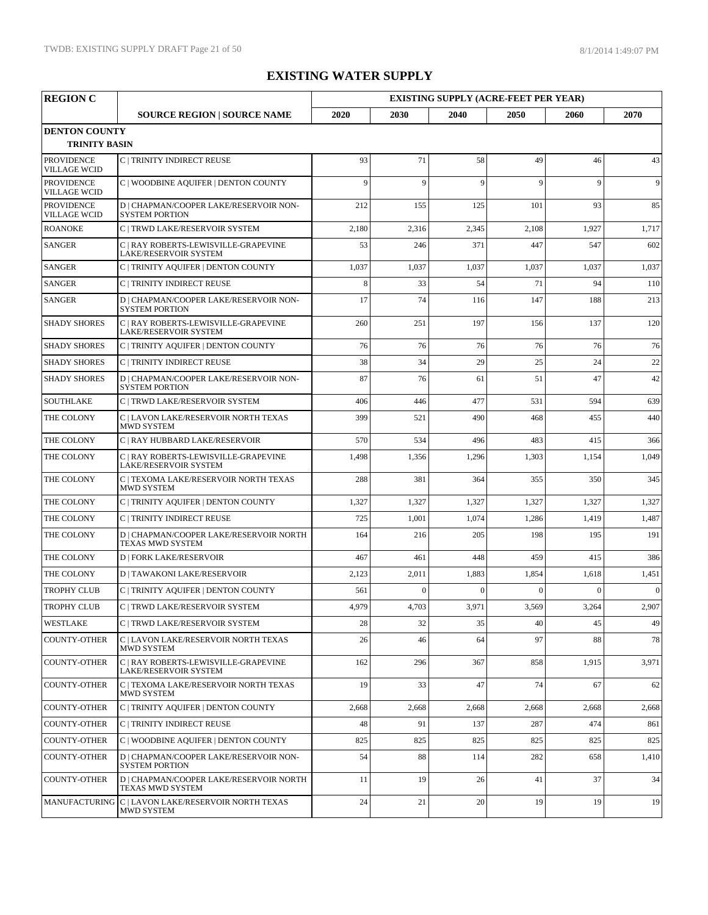| <b>REGION C</b>                          |                                                                      |              |              |              | <b>EXISTING SUPPLY (ACRE-FEET PER YEAR)</b> |              |              |
|------------------------------------------|----------------------------------------------------------------------|--------------|--------------|--------------|---------------------------------------------|--------------|--------------|
|                                          | <b>SOURCE REGION   SOURCE NAME</b>                                   | 2020         | 2030         | 2040         | 2050                                        | 2060         | 2070         |
| <b>DENTON COUNTY</b>                     |                                                                      |              |              |              |                                             |              |              |
| <b>TRINITY BASIN</b>                     |                                                                      |              |              |              |                                             |              |              |
| <b>PROVIDENCE</b><br><b>VILLAGE WCID</b> | C   TRINITY INDIRECT REUSE                                           | 93           | 71           | 58           | 49                                          | 46           | 43           |
| <b>PROVIDENCE</b><br><b>VILLAGE WCID</b> | C   WOODBINE AQUIFER   DENTON COUNTY                                 | $\mathbf{Q}$ | $\mathbf{Q}$ | 9            | 9                                           | 9            | 9            |
| <b>PROVIDENCE</b><br><b>VILLAGE WCID</b> | D   CHAPMAN/COOPER LAKE/RESERVOIR NON-<br><b>SYSTEM PORTION</b>      | 212          | 155          | 125          | 101                                         | 93           | 85           |
| <b>ROANOKE</b>                           | C   TRWD LAKE/RESERVOIR SYSTEM                                       | 2,180        | 2,316        | 2,345        | 2,108                                       | 1,927        | 1,717        |
| <b>SANGER</b>                            | C   RAY ROBERTS-LEWISVILLE-GRAPEVINE<br>LAKE/RESERVOIR SYSTEM        | 53           | 246          | 371          | 447                                         | 547          | 602          |
| <b>SANGER</b>                            | C   TRINITY AQUIFER   DENTON COUNTY                                  | 1,037        | 1,037        | 1,037        | 1,037                                       | 1,037        | 1,037        |
| <b>SANGER</b>                            | C   TRINITY INDIRECT REUSE                                           | 8            | 33           | 54           | 71                                          | 94           | 110          |
| <b>SANGER</b>                            | D   CHAPMAN/COOPER LAKE/RESERVOIR NON-<br><b>SYSTEM PORTION</b>      | 17           | 74           | 116          | 147                                         | 188          | 213          |
| <b>SHADY SHORES</b>                      | C   RAY ROBERTS-LEWISVILLE-GRAPEVINE<br><b>LAKE/RESERVOIR SYSTEM</b> | 260          | 251          | 197          | 156                                         | 137          | 120          |
| <b>SHADY SHORES</b>                      | C   TRINITY AQUIFER   DENTON COUNTY                                  | 76           | 76           | 76           | 76                                          | 76           | 76           |
| <b>SHADY SHORES</b>                      | C   TRINITY INDIRECT REUSE                                           | 38           | 34           | 29           | 25                                          | 24           | 22           |
| <b>SHADY SHORES</b>                      | D   CHAPMAN/COOPER LAKE/RESERVOIR NON-<br><b>SYSTEM PORTION</b>      | 87           | 76           | 61           | 51                                          | 47           | 42           |
| <b>SOUTHLAKE</b>                         | C   TRWD LAKE/RESERVOIR SYSTEM                                       | 406          | 446          | 477          | 531                                         | 594          | 639          |
| THE COLONY                               | C   LAVON LAKE/RESERVOIR NORTH TEXAS<br><b>MWD SYSTEM</b>            | 399          | 521          | 490          | 468                                         | 455          | 440          |
| THE COLONY                               | C   RAY HUBBARD LAKE/RESERVOIR                                       | 570          | 534          | 496          | 483                                         | 415          | 366          |
| THE COLONY                               | C   RAY ROBERTS-LEWISVILLE-GRAPEVINE<br>LAKE/RESERVOIR SYSTEM        | 1,498        | 1,356        | 1,296        | 1,303                                       | 1,154        | 1,049        |
| THE COLONY                               | C   TEXOMA LAKE/RESERVOIR NORTH TEXAS<br><b>MWD SYSTEM</b>           | 288          | 381          | 364          | 355                                         | 350          | 345          |
| THE COLONY                               | C   TRINITY AQUIFER   DENTON COUNTY                                  | 1,327        | 1,327        | 1,327        | 1,327                                       | 1,327        | 1,327        |
| THE COLONY                               | C   TRINITY INDIRECT REUSE                                           | 725          | 1,001        | 1,074        | 1,286                                       | 1,419        | 1,487        |
| THE COLONY                               | D   CHAPMAN/COOPER LAKE/RESERVOIR NORTH<br>TEXAS MWD SYSTEM          | 164          | 216          | 205          | 198                                         | 195          | 191          |
| THE COLONY                               | <b>D   FORK LAKE/RESERVOIR</b>                                       | 467          | 461          | 448          | 459                                         | 415          | 386          |
| THE COLONY                               | <b>D   TAWAKONI LAKE/RESERVOIR</b>                                   | 2,123        | 2,011        | 1,883        | 1,854                                       | 1,618        | 1,451        |
| <b>TROPHY CLUB</b>                       | C   TRINITY AQUIFER   DENTON COUNTY                                  | 561          | $\theta$     | $\mathbf{0}$ | $\Omega$                                    | $\mathbf{0}$ | $\mathbf{0}$ |
| <b>TROPHY CLUB</b>                       | C   TRWD LAKE/RESERVOIR SYSTEM                                       | 4.979        | 4,703        | 3.971        | 3,569                                       | 3,264        | 2.907        |
| WESTLAKE                                 | C   TRWD LAKE/RESERVOIR SYSTEM                                       | 28           | 32           | 35           | 40                                          | 45           | 49           |
| <b>COUNTY-OTHER</b>                      | C   LAVON LAKE/RESERVOIR NORTH TEXAS<br>MWD SYSTEM                   | 26           | 46           | 64           | 97                                          | 88           | 78           |
| <b>COUNTY-OTHER</b>                      | C   RAY ROBERTS-LEWISVILLE-GRAPEVINE<br>LAKE/RESERVOIR SYSTEM        | 162          | 296          | 367          | 858                                         | 1,915        | 3,971        |
| <b>COUNTY-OTHER</b>                      | C   TEXOMA LAKE/RESERVOIR NORTH TEXAS<br>MWD SYSTEM                  | 19           | 33           | 47           | 74                                          | 67           | 62           |
| <b>COUNTY-OTHER</b>                      | C   TRINITY AQUIFER   DENTON COUNTY                                  | 2,668        | 2,668        | 2,668        | 2,668                                       | 2,668        | 2,668        |
| <b>COUNTY-OTHER</b>                      | C   TRINITY INDIRECT REUSE                                           | 48           | 91           | 137          | 287                                         | 474          | 861          |
| <b>COUNTY-OTHER</b>                      | C   WOODBINE AQUIFER   DENTON COUNTY                                 | 825          | 825          | 825          | 825                                         | 825          | 825          |
| <b>COUNTY-OTHER</b>                      | D   CHAPMAN/COOPER LAKE/RESERVOIR NON-<br><b>SYSTEM PORTION</b>      | 54           | 88           | 114          | 282                                         | 658          | 1,410        |
| <b>COUNTY-OTHER</b>                      | D   CHAPMAN/COOPER LAKE/RESERVOIR NORTH<br>TEXAS MWD SYSTEM          | 11           | 19           | 26           | 41                                          | 37           | 34           |
|                                          | MANUFACTURING C   LAVON LAKE/RESERVOIR NORTH TEXAS<br>MWD SYSTEM     | 24           | 21           | 20           | 19                                          | 19           | 19           |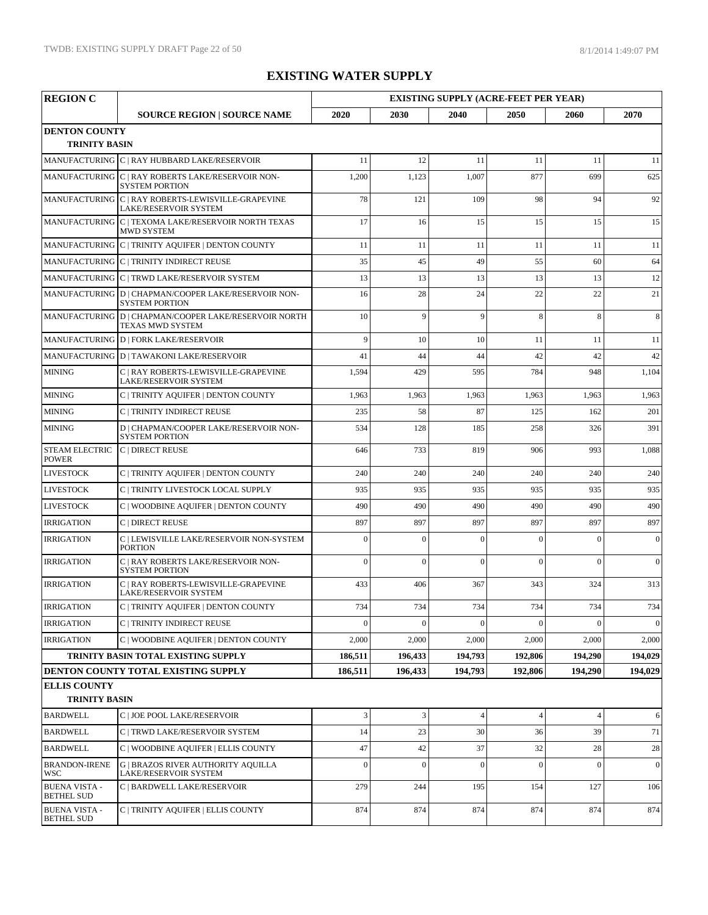| <b>REGION C</b>                              |                                                                               |                |                  | <b>EXISTING SUPPLY (ACRE-FEET PER YEAR)</b> |                |                |                |
|----------------------------------------------|-------------------------------------------------------------------------------|----------------|------------------|---------------------------------------------|----------------|----------------|----------------|
|                                              | <b>SOURCE REGION   SOURCE NAME</b>                                            | 2020           | 2030             | 2040                                        | 2050           | 2060           | 2070           |
| <b>DENTON COUNTY</b><br><b>TRINITY BASIN</b> |                                                                               |                |                  |                                             |                |                |                |
|                                              | MANUFACTURING C   RAY HUBBARD LAKE/RESERVOIR                                  | 11             | 12               | 11                                          | 11             | 11             | 11             |
|                                              | MANUFACTURING C   RAY ROBERTS LAKE/RESERVOIR NON-<br><b>SYSTEM PORTION</b>    | 1,200          | 1,123            | 1,007                                       | 877            | 699            | 625            |
|                                              | MANUFACTURING C   RAY ROBERTS-LEWISVILLE-GRAPEVINE<br>LAKE/RESERVOIR SYSTEM   | 78             | 121              | 109                                         | 98             | 94             | 92             |
|                                              | MANUFACTURING C   TEXOMA LAKE/RESERVOIR NORTH TEXAS<br><b>MWD SYSTEM</b>      | 17             | 16               | 15                                          | 15             | 15             | 15             |
|                                              | MANUFACTURING C   TRINITY AQUIFER   DENTON COUNTY                             | 11             | 11               | 11                                          | 11             | 11             | 11             |
|                                              | MANUFACTURING C   TRINITY INDIRECT REUSE                                      | 35             | 45               | 49                                          | 55             | 60             | 64             |
|                                              | MANUFACTURING C   TRWD LAKE/RESERVOIR SYSTEM                                  | 13             | 13               | 13                                          | 13             | 13             | 12             |
|                                              | MANUFACTURING D   CHAPMAN/COOPER LAKE/RESERVOIR NON-<br><b>SYSTEM PORTION</b> | 16             | 28               | 24                                          | 22             | 22             | 21             |
|                                              | MANUFACTURING D   CHAPMAN/COOPER LAKE/RESERVOIR NORTH<br>TEXAS MWD SYSTEM     | 10             | 9                | 9                                           | 8              | 8              | 8              |
|                                              | MANUFACTURING D   FORK LAKE/RESERVOIR                                         | 9              | 10               | 10                                          | 11             | 11             | 11             |
|                                              | MANUFACTURING D   TAWAKONI LAKE/RESERVOIR                                     | 41             | 44               | 44                                          | 42             | 42             | 42             |
| <b>MINING</b>                                | C   RAY ROBERTS-LEWISVILLE-GRAPEVINE<br><b>LAKE/RESERVOIR SYSTEM</b>          | 1,594          | 429              | 595                                         | 784            | 948            | 1,104          |
| <b>MINING</b>                                | C   TRINITY AQUIFER   DENTON COUNTY                                           | 1,963          | 1,963            | 1,963                                       | 1,963          | 1,963          | 1,963          |
| <b>MINING</b>                                | C   TRINITY INDIRECT REUSE                                                    | 235            | 58               | 87                                          | 125            | 162            | 201            |
| <b>MINING</b>                                | D   CHAPMAN/COOPER LAKE/RESERVOIR NON-<br><b>SYSTEM PORTION</b>               | 534            | 128              | 185                                         | 258            | 326            | 391            |
| <b>STEAM ELECTRIC</b><br><b>POWER</b>        | C   DIRECT REUSE                                                              | 646            | 733              | 819                                         | 906            | 993            | 1,088          |
| <b>LIVESTOCK</b>                             | C   TRINITY AQUIFER   DENTON COUNTY                                           | 240            | 240              | 240                                         | 240            | 240            | 240            |
| <b>LIVESTOCK</b>                             | C   TRINITY LIVESTOCK LOCAL SUPPLY                                            | 935            | 935              | 935                                         | 935            | 935            | 935            |
| <b>LIVESTOCK</b>                             | C   WOODBINE AQUIFER   DENTON COUNTY                                          | 490            | 490              | 490                                         | 490            | 490            | 490            |
| <b>IRRIGATION</b>                            | C   DIRECT REUSE                                                              | 897            | 897              | 897                                         | 897            | 897            | 897            |
| <b>IRRIGATION</b>                            | C   LEWISVILLE LAKE/RESERVOIR NON-SYSTEM<br><b>PORTION</b>                    | $\Omega$       | $\overline{0}$   | $\Omega$                                    | $\theta$       | $\theta$       | $\overline{0}$ |
| <b>IRRIGATION</b>                            | C   RAY ROBERTS LAKE/RESERVOIR NON-<br><b>SYSTEM PORTION</b>                  | $\theta$       | $\overline{0}$   | $\Omega$                                    | $\theta$       | $\theta$       | $\mathbf{0}$   |
| <b>IRRIGATION</b>                            | C   RAY ROBERTS-LEWISVILLE-GRAPEVINE<br>LAKE/RESERVOIR SYSTEM                 | 433            | 406              | 367                                         | 343            | 324            | 313            |
| <b>IRRIGATION</b>                            | $\mathcal{C}\mid$ TRINITY AQUIFER $\mid$ DENTON COUNTY                        | 734            | 734              | 734                                         | 734            | 734            | 734            |
| <b>IRRIGATION</b>                            | C   TRINITY INDIRECT REUSE                                                    | $\mathbf{0}$   | $\overline{0}$   | $\overline{0}$                              | $\theta$       | $\mathbf{0}$   | $\mathbf{0}$   |
| <b>IRRIGATION</b>                            | C   WOODBINE AQUIFER   DENTON COUNTY                                          | 2,000          | 2,000            | 2,000                                       | 2,000          | 2,000          | 2,000          |
|                                              | TRINITY BASIN TOTAL EXISTING SUPPLY                                           | 186,511        | 196,433          | 194,793                                     | 192,806        | 194,290        | 194,029        |
|                                              | DENTON COUNTY TOTAL EXISTING SUPPLY                                           | 186,511        | 196.433          | 194,793                                     | 192,806        | 194.290        | 194,029        |
| <b>ELLIS COUNTY</b><br><b>TRINITY BASIN</b>  |                                                                               |                |                  |                                             |                |                |                |
| <b>BARDWELL</b>                              | C   JOE POOL LAKE/RESERVOIR                                                   | $\mathfrak{Z}$ | $\mathfrak{Z}$   | $\overline{4}$                              | $\overline{4}$ | $\overline{4}$ | 6              |
| <b>BARDWELL</b>                              | C   TRWD LAKE/RESERVOIR SYSTEM                                                | 14             | 23               | 30                                          | 36             | 39             | 71             |
| <b>BARDWELL</b>                              | C   WOODBINE AQUIFER   ELLIS COUNTY                                           | 47             | 42               | 37                                          | 32             | 28             | 28             |
| <b>BRANDON-IRENE</b><br>WSC                  | <b>G   BRAZOS RIVER AUTHORITY AQUILLA</b><br>LAKE/RESERVOIR SYSTEM            | $\mathbf{0}$   | $\boldsymbol{0}$ | $\theta$                                    | $\overline{0}$ | $\theta$       | $\mathbf{0}$   |
| <b>BUENA VISTA -</b><br><b>BETHEL SUD</b>    | C   BARDWELL LAKE/RESERVOIR                                                   | 279            | 244              | 195                                         | 154            | 127            | 106            |
| <b>BUENA VISTA -</b><br><b>BETHEL SUD</b>    | C   TRINITY AQUIFER   ELLIS COUNTY                                            | 874            | 874              | 874                                         | 874            | 874            | 874            |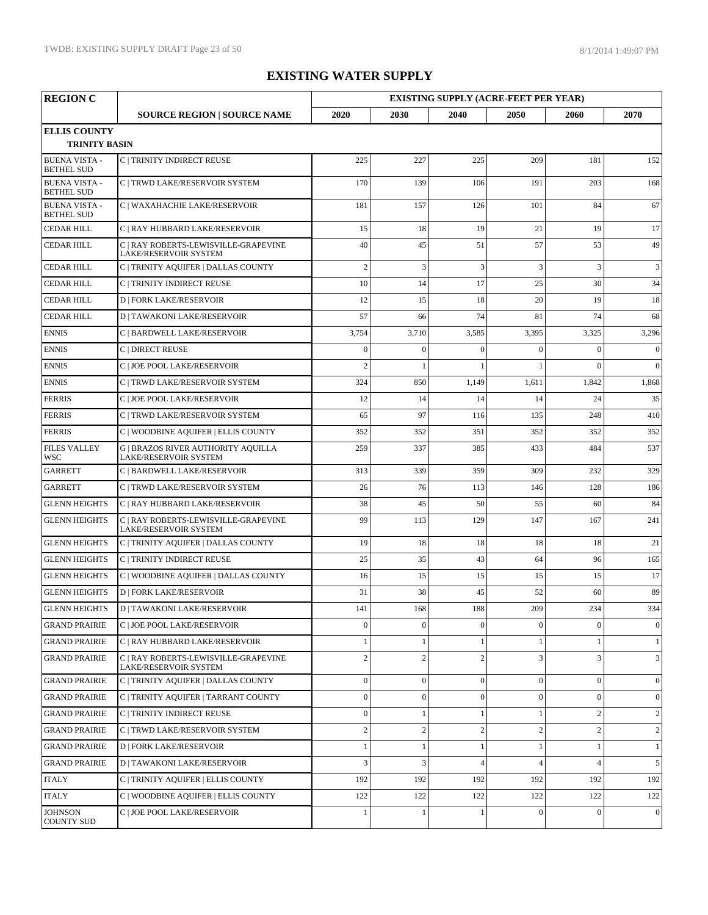| <b>REGION C</b>                           |                                                                    |                  |                  | <b>EXISTING SUPPLY (ACRE-FEET PER YEAR)</b> |                |                |                |
|-------------------------------------------|--------------------------------------------------------------------|------------------|------------------|---------------------------------------------|----------------|----------------|----------------|
|                                           | <b>SOURCE REGION   SOURCE NAME</b>                                 | 2020             | 2030             | 2040                                        | 2050           | 2060           | 2070           |
| <b>ELLIS COUNTY</b>                       |                                                                    |                  |                  |                                             |                |                |                |
| <b>TRINITY BASIN</b>                      |                                                                    |                  |                  |                                             |                |                |                |
| <b>BUENA VISTA -</b><br><b>BETHEL SUD</b> | C   TRINITY INDIRECT REUSE                                         | 225              | 227              | 225                                         | 209            | 181            | 152            |
| <b>BUENA VISTA -</b><br><b>BETHEL SUD</b> | C   TRWD LAKE/RESERVOIR SYSTEM                                     | 170              | 139              | 106                                         | 191            | 203            | 168            |
| <b>BUENA VISTA -</b><br><b>BETHEL SUD</b> | C   WAXAHACHIE LAKE/RESERVOIR                                      | 181              | 157              | 126                                         | 101            | 84             | 67             |
| <b>CEDAR HILL</b>                         | C   RAY HUBBARD LAKE/RESERVOIR                                     | 15               | 18               | 19                                          | 21             | 19             | 17             |
| <b>CEDAR HILL</b>                         | C   RAY ROBERTS-LEWISVILLE-GRAPEVINE<br>LAKE/RESERVOIR SYSTEM      | 40               | 45               | 51                                          | 57             | 53             | 49             |
| <b>CEDAR HILL</b>                         | C   TRINITY AQUIFER   DALLAS COUNTY                                | $\overline{c}$   | 3                | 3                                           | 3              | 3              | 3              |
| <b>CEDAR HILL</b>                         | C   TRINITY INDIRECT REUSE                                         | 10               | 14               | 17                                          | 25             | 30             | 34             |
| <b>CEDAR HILL</b>                         | <b>D   FORK LAKE/RESERVOIR</b>                                     | 12               | 15               | 18                                          | 20             | 19             | 18             |
| <b>CEDAR HILL</b>                         | <b>D   TAWAKONI LAKE/RESERVOIR</b>                                 | 57               | 66               | 74                                          | 81             | 74             | 68             |
| <b>ENNIS</b>                              | C   BARDWELL LAKE/RESERVOIR                                        | 3,754            | 3,710            | 3,585                                       | 3,395          | 3,325          | 3,296          |
| <b>ENNIS</b>                              | C   DIRECT REUSE                                                   | $\overline{0}$   | $\overline{0}$   | $\theta$                                    | $\Omega$       | $\Omega$       | $\mathbf{0}$   |
| <b>ENNIS</b>                              | C   JOE POOL LAKE/RESERVOIR                                        | $\overline{2}$   |                  |                                             |                | $\theta$       | $\overline{0}$ |
| <b>ENNIS</b>                              | C   TRWD LAKE/RESERVOIR SYSTEM                                     | 324              | 850              | 1,149                                       | 1,611          | 1,842          | 1,868          |
| <b>FERRIS</b>                             | C   JOE POOL LAKE/RESERVOIR                                        | 12               | 14               | 14                                          | 14             | 24             | 35             |
| <b>FERRIS</b>                             | C   TRWD LAKE/RESERVOIR SYSTEM                                     | 65               | 97               | 116                                         | 135            | 248            | 410            |
| <b>FERRIS</b>                             | C   WOODBINE AQUIFER   ELLIS COUNTY                                | 352              | 352              | 351                                         | 352            | 352            | 352            |
| <b>FILES VALLEY</b><br>WSC                | <b>G   BRAZOS RIVER AUTHORITY AQUILLA</b><br>LAKE/RESERVOIR SYSTEM | 259              | 337              | 385                                         | 433            | 484            | 537            |
| <b>GARRETT</b>                            | C   BARDWELL LAKE/RESERVOIR                                        | 313              | 339              | 359                                         | 309            | 232            | 329            |
| <b>GARRETT</b>                            | C   TRWD LAKE/RESERVOIR SYSTEM                                     | 26               | 76               | 113                                         | 146            | 128            | 186            |
| <b>GLENN HEIGHTS</b>                      | C   RAY HUBBARD LAKE/RESERVOIR                                     | 38               | 45               | 50                                          | 55             | 60             | 84             |
| <b>GLENN HEIGHTS</b>                      | C   RAY ROBERTS-LEWISVILLE-GRAPEVINE<br>LAKE/RESERVOIR SYSTEM      | 99               | 113              | 129                                         | 147            | 167            | 241            |
| <b>GLENN HEIGHTS</b>                      | C   TRINITY AQUIFER   DALLAS COUNTY                                | 19               | 18               | 18                                          | 18             | 18             | 21             |
| <b>GLENN HEIGHTS</b>                      | C   TRINITY INDIRECT REUSE                                         | 25               | 35               | 43                                          | 64             | 96             | 165            |
| <b>GLENN HEIGHTS</b>                      | C   WOODBINE AQUIFER   DALLAS COUNTY                               | 16               | 15               | 15                                          | 15             | 15             | 17             |
| <b>GLENN HEIGHTS</b>                      | <b>D   FORK LAKE/RESERVOIR</b>                                     | 31               | 38               | 45                                          | 52             | 60             | 89             |
| <b>GLENN HEIGHTS</b>                      | $\mathbf{D}$   TAWAKONI LAKE/RESERVOIR                             | 141              | 168              | 188                                         | 209            | 234            | 334            |
| <b>GRAND PRAIRIE</b>                      | C   JOE POOL LAKE/RESERVOIR                                        | $\mathbf{0}$     | $\boldsymbol{0}$ | $\mathbf{0}$                                | $\mathbf{0}$   | $\Omega$       | $\overline{0}$ |
| <b>GRAND PRAIRIE</b>                      | C   RAY HUBBARD LAKE/RESERVOIR                                     |                  | $\mathbf{1}$     |                                             |                | 1              | 1              |
| <b>GRAND PRAIRIE</b>                      | C   RAY ROBERTS-LEWISVILLE-GRAPEVINE<br>LAKE/RESERVOIR SYSTEM      | $\overline{2}$   | $\mathbf{2}$     | $\overline{c}$                              | 3              | 3              | 3              |
| <b>GRAND PRAIRIE</b>                      | C   TRINITY AQUIFER   DALLAS COUNTY                                | $\boldsymbol{0}$ | $\boldsymbol{0}$ | $\boldsymbol{0}$                            | $\mathbf{0}$   | $\mathbf{0}$   | $\overline{0}$ |
| <b>GRAND PRAIRIE</b>                      | C   TRINITY AQUIFER   TARRANT COUNTY                               | $\mathbf{0}$     | $\boldsymbol{0}$ | $\mathbf{0}$                                | $\mathbf{0}$   | $\Omega$       | $\overline{0}$ |
| <b>GRAND PRAIRIE</b>                      | C   TRINITY INDIRECT REUSE                                         | $\mathbf{0}$     | $\mathbf{1}$     | $\mathbf{1}$                                | 1              | $\overline{c}$ | 2              |
| <b>GRAND PRAIRIE</b>                      | C   TRWD LAKE/RESERVOIR SYSTEM                                     | $\overline{2}$   | $\sqrt{2}$       | $\overline{2}$                              | $\overline{2}$ | $\overline{c}$ | 2              |
| <b>GRAND PRAIRIE</b>                      | <b>D   FORK LAKE/RESERVOIR</b>                                     |                  | 1                |                                             |                | 1              | 1              |
| <b>GRAND PRAIRIE</b>                      | <b>D   TAWAKONI LAKE/RESERVOIR</b>                                 | 3                | 3                | $\overline{4}$                              | $\Delta$       | $\overline{4}$ | 5              |
| <b>ITALY</b>                              | C   TRINITY AQUIFER   ELLIS COUNTY                                 | 192              | 192              | 192                                         | 192            | 192            | 192            |
| <b>ITALY</b>                              | C   WOODBINE AQUIFER   ELLIS COUNTY                                | 122              | 122              | 122                                         | 122            | 122            | 122            |
| JOHNSON<br><b>COUNTY SUD</b>              | C   JOE POOL LAKE/RESERVOIR                                        |                  |                  |                                             | $\theta$       | $\mathbf{0}$   | $\overline{0}$ |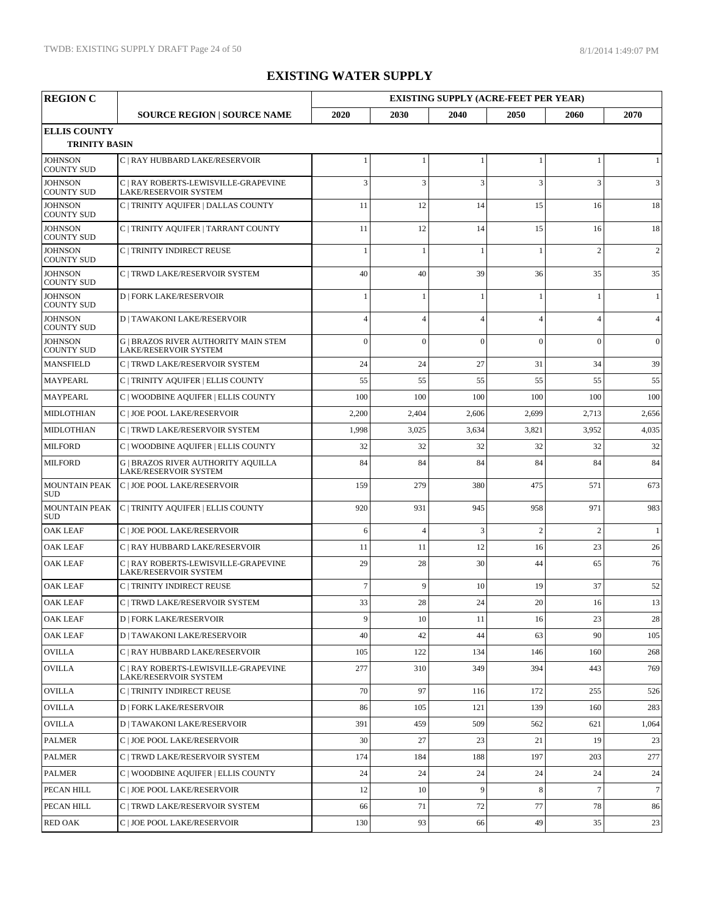| <b>REGION C</b>                             |                                                                             |                |                | <b>EXISTING SUPPLY (ACRE-FEET PER YEAR)</b> |                          |                |                |
|---------------------------------------------|-----------------------------------------------------------------------------|----------------|----------------|---------------------------------------------|--------------------------|----------------|----------------|
|                                             | <b>SOURCE REGION   SOURCE NAME</b>                                          | 2020           | 2030           | 2040                                        | 2050                     | 2060           | 2070           |
| <b>ELLIS COUNTY</b><br><b>TRINITY BASIN</b> |                                                                             |                |                |                                             |                          |                |                |
| <b>JOHNSON</b><br><b>COUNTY SUD</b>         | C   RAY HUBBARD LAKE/RESERVOIR                                              |                | $\mathbf{1}$   | $\mathbf{1}$                                | 1                        | $\mathbf{1}$   | 1              |
| <b>JOHNSON</b><br><b>COUNTY SUD</b>         | C   RAY ROBERTS-LEWISVILLE-GRAPEVINE<br>LAKE/RESERVOIR SYSTEM               | 3              | 3              | 3                                           | 3                        | 3              | 3              |
| <b>JOHNSON</b><br><b>COUNTY SUD</b>         | C   TRINITY AQUIFER   DALLAS COUNTY                                         | 11             | 12             | 14                                          | 15                       | 16             | 18             |
| <b>JOHNSON</b><br><b>COUNTY SUD</b>         | C   TRINITY AQUIFER   TARRANT COUNTY                                        | 11             | 12             | 14                                          | 15                       | 16             | 18             |
| <b>JOHNSON</b><br><b>COUNTY SUD</b>         | C   TRINITY INDIRECT REUSE                                                  |                | -1             | $\blacksquare$                              |                          | $\overline{2}$ | $\overline{c}$ |
| <b>JOHNSON</b><br><b>COUNTY SUD</b>         | C   TRWD LAKE/RESERVOIR SYSTEM                                              | 40             | 40             | 39                                          | 36                       | 35             | 35             |
| <b>JOHNSON</b><br><b>COUNTY SUD</b>         | <b>D   FORK LAKE/RESERVOIR</b>                                              |                | $\mathbf{1}$   | $\blacksquare$                              | 1                        | 1              | $\mathbf{1}$   |
| <b>JOHNSON</b><br><b>COUNTY SUD</b>         | <b>D   TAWAKONI LAKE/RESERVOIR</b>                                          | $\overline{4}$ | $\overline{4}$ | $\overline{A}$                              | $\overline{\mathcal{A}}$ | $\overline{A}$ | $\overline{4}$ |
| <b>JOHNSON</b><br><b>COUNTY SUD</b>         | <b>G   BRAZOS RIVER AUTHORITY MAIN STEM</b><br><b>LAKE/RESERVOIR SYSTEM</b> | $\overline{0}$ | $\overline{0}$ | $\theta$                                    | $\theta$                 | $\Omega$       | $\mathbf{0}$   |
| <b>MANSFIELD</b>                            | C   TRWD LAKE/RESERVOIR SYSTEM                                              | 24             | 24             | 27                                          | 31                       | 34             | 39             |
| <b>MAYPEARL</b>                             | C   TRINITY AQUIFER   ELLIS COUNTY                                          | 55             | 55             | 55                                          | 55                       | 55             | 55             |
| <b>MAYPEARL</b>                             | C   WOODBINE AQUIFER   ELLIS COUNTY                                         | 100            | 100            | 100                                         | 100                      | 100            | 100            |
| <b>MIDLOTHIAN</b>                           | C   JOE POOL LAKE/RESERVOIR                                                 | 2,200          | 2,404          | 2,606                                       | 2,699                    | 2,713          | 2,656          |
| <b>MIDLOTHIAN</b>                           | C   TRWD LAKE/RESERVOIR SYSTEM                                              | 1,998          | 3,025          | 3,634                                       | 3,821                    | 3,952          | 4,035          |
| <b>MILFORD</b>                              | C   WOODBINE AQUIFER   ELLIS COUNTY                                         | 32             | 32             | 32                                          | 32                       | 32             | 32             |
| <b>MILFORD</b>                              | <b>G   BRAZOS RIVER AUTHORITY AQUILLA</b><br>LAKE/RESERVOIR SYSTEM          | 84             | 84             | 84                                          | 84                       | 84             | 84             |
| <b>MOUNTAIN PEAK</b><br><b>SUD</b>          | C   JOE POOL LAKE/RESERVOIR                                                 | 159            | 279            | 380                                         | 475                      | 571            | 673            |
| <b>MOUNTAIN PEAK</b><br><b>SUD</b>          | C   TRINITY AQUIFER   ELLIS COUNTY                                          | 920            | 931            | 945                                         | 958                      | 971            | 983            |
| <b>OAK LEAF</b>                             | C   JOE POOL LAKE/RESERVOIR                                                 | 6              | $\overline{4}$ | 3                                           | $\overline{2}$           | $\overline{2}$ | 1              |
| <b>OAK LEAF</b>                             | C   RAY HUBBARD LAKE/RESERVOIR                                              | 11             | 11             | 12                                          | 16                       | 23             | 26             |
| <b>OAK LEAF</b>                             | C   RAY ROBERTS-LEWISVILLE-GRAPEVINE<br>LAKE/RESERVOIR SYSTEM               | 29             | 28             | 30                                          | 44                       | 65             | 76             |
| <b>OAK LEAF</b>                             | C   TRINITY INDIRECT REUSE                                                  | $\overline{7}$ | $\mathbf{q}$   | 10                                          | 19                       | 37             | 52             |
| <b>OAK LEAF</b>                             | C   TRWD LAKE/RESERVOIR SYSTEM                                              | 33             | 28             | 24                                          | 20                       | 16             | 13             |
| <b>OAK LEAF</b>                             | <b>D   FORK LAKE/RESERVOIR</b>                                              | 9              | 10             | 11                                          | 16                       | 23             | 28             |
| <b>OAK LEAF</b>                             | <b>D   TAWAKONI LAKE/RESERVOIR</b>                                          | 40             | 42             | 44                                          | 63                       | 90             | 105            |
| <b>OVILLA</b>                               | C   RAY HUBBARD LAKE/RESERVOIR                                              | 105            | 122            | 134                                         | 146                      | 160            | 268            |
| <b>OVILLA</b>                               | C   RAY ROBERTS-LEWISVILLE-GRAPEVINE<br><b>LAKE/RESERVOIR SYSTEM</b>        | 277            | 310            | 349                                         | 394                      | 443            | 769            |
| <b>OVILLA</b>                               | C   TRINITY INDIRECT REUSE                                                  | 70             | 97             | 116                                         | 172                      | 255            | 526            |
| <b>OVILLA</b>                               | <b>D   FORK LAKE/RESERVOIR</b>                                              | 86             | 105            | 121                                         | 139                      | 160            | 283            |
| <b>OVILLA</b>                               | <b>D   TAWAKONI LAKE/RESERVOIR</b>                                          | 391            | 459            | 509                                         | 562                      | 621            | 1,064          |
| <b>PALMER</b>                               | C   JOE POOL LAKE/RESERVOIR                                                 | 30             | 27             | 23                                          | 21                       | 19             | 23             |
| <b>PALMER</b>                               | C   TRWD LAKE/RESERVOIR SYSTEM                                              | 174            | 184            | 188                                         | 197                      | 203            | 277            |
| <b>PALMER</b>                               | C   WOODBINE AQUIFER   ELLIS COUNTY                                         | 24             | 24             | 24                                          | 24                       | 24             | 24             |
| PECAN HILL                                  | C   JOE POOL LAKE/RESERVOIR                                                 | 12             | 10             | $\overline{9}$                              | 8                        | $\overline{7}$ | $\tau$         |
| PECAN HILL                                  | C   TRWD LAKE/RESERVOIR SYSTEM                                              | 66             | 71             | 72                                          | 77                       | 78             | 86             |
| <b>RED OAK</b>                              | C   JOE POOL LAKE/RESERVOIR                                                 | 130            | 93             | 66                                          | 49                       | 35             | 23             |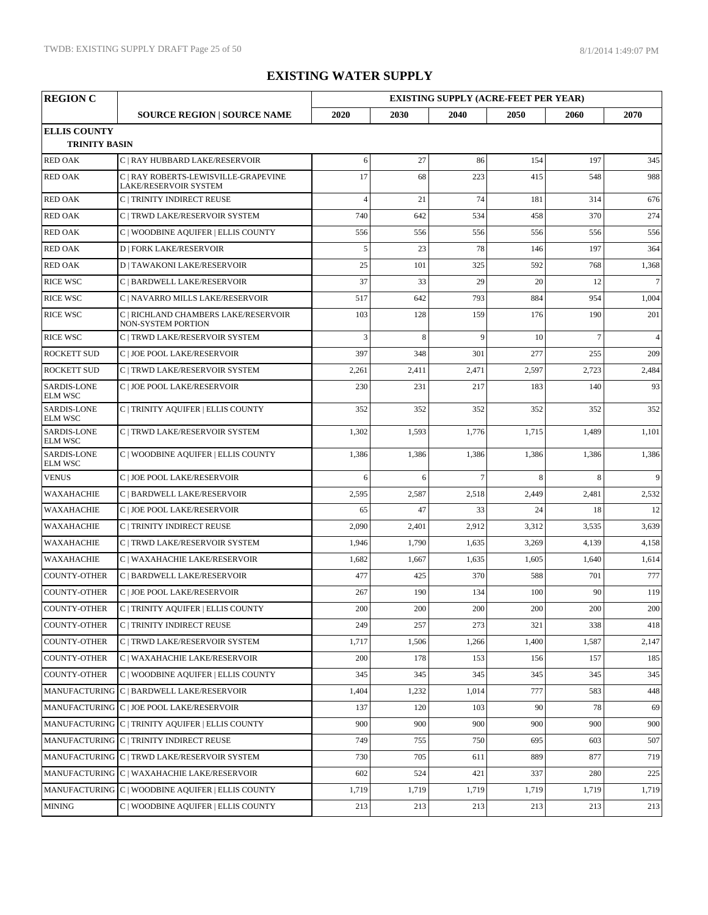| <b>REGION C</b>                             |                                                                   |                |         | <b>EXISTING SUPPLY (ACRE-FEET PER YEAR)</b> |         |                |                 |
|---------------------------------------------|-------------------------------------------------------------------|----------------|---------|---------------------------------------------|---------|----------------|-----------------|
|                                             | <b>SOURCE REGION   SOURCE NAME</b>                                | 2020           | 2030    | 2040                                        | 2050    | 2060           | 2070            |
| <b>ELLIS COUNTY</b><br><b>TRINITY BASIN</b> |                                                                   |                |         |                                             |         |                |                 |
| <b>RED OAK</b>                              | C   RAY HUBBARD LAKE/RESERVOIR                                    | 6              | 27      | 86                                          | 154     | 197            | 345             |
| <b>RED OAK</b>                              | C   RAY ROBERTS-LEWISVILLE-GRAPEVINE<br>LAKE/RESERVOIR SYSTEM     | 17             | 68      | 223                                         | 415     | 548            | 988             |
| <b>RED OAK</b>                              | C   TRINITY INDIRECT REUSE                                        | $\overline{4}$ | 21      | 74                                          | 181     | 314            | 676             |
| <b>RED OAK</b>                              | C   TRWD LAKE/RESERVOIR SYSTEM                                    | 740            | 642     | 534                                         | 458     | 370            | 274             |
| <b>RED OAK</b>                              | C   WOODBINE AQUIFER   ELLIS COUNTY                               | 556            | 556     | 556                                         | 556     | 556            | 556             |
| <b>RED OAK</b>                              | <b>D   FORK LAKE/RESERVOIR</b>                                    | 5              | 23      | 78                                          | 146     | 197            | 364             |
| <b>RED OAK</b>                              | <b>D   TAWAKONI LAKE/RESERVOIR</b>                                | 25             | 101     | 325                                         | 592     | 768            | 1,368           |
| <b>RICE WSC</b>                             | C   BARDWELL LAKE/RESERVOIR                                       | 37             | 33      | 29                                          | 20      | 12             | $7\overline{ }$ |
| <b>RICE WSC</b>                             | C   NAVARRO MILLS LAKE/RESERVOIR                                  | 517            | 642     | 793                                         | 884     | 954            | 1,004           |
| <b>RICE WSC</b>                             | C   RICHLAND CHAMBERS LAKE/RESERVOIR<br><b>NON-SYSTEM PORTION</b> | 103            | 128     | 159                                         | 176     | 190            | 201             |
| <b>RICE WSC</b>                             | C   TRWD LAKE/RESERVOIR SYSTEM                                    | 3              | 8       | 9                                           | 10      | $\overline{7}$ | $\overline{4}$  |
| <b>ROCKETT SUD</b>                          | C   JOE POOL LAKE/RESERVOIR                                       | 397            | 348     | 301                                         | 277     | 255            | 209             |
| <b>ROCKETT SUD</b>                          | C   TRWD LAKE/RESERVOIR SYSTEM                                    | 2,261          | 2,411   | 2,471                                       | 2,597   | 2,723          | 2,484           |
| <b>SARDIS-LONE</b><br><b>ELM WSC</b>        | C   JOE POOL LAKE/RESERVOIR                                       | 230            | 231     | 217                                         | 183     | 140            | 93              |
| <b>SARDIS-LONE</b><br><b>ELM WSC</b>        | C   TRINITY AQUIFER   ELLIS COUNTY                                | 352            | 352     | 352                                         | 352     | 352            | 352             |
| <b>SARDIS-LONE</b><br><b>ELM WSC</b>        | C   TRWD LAKE/RESERVOIR SYSTEM                                    | 1,302          | 1,593   | 1,776                                       | 1,715   | 1,489          | 1,101           |
| <b>SARDIS-LONE</b><br><b>ELM WSC</b>        | C   WOODBINE AQUIFER   ELLIS COUNTY                               | 1,386          | 1,386   | 1,386                                       | 1,386   | 1,386          | 1,386           |
| <b>VENUS</b>                                | C   JOE POOL LAKE/RESERVOIR                                       | 6              | 6       | $\overline{7}$                              | 8       | 8              | $\overline{9}$  |
| <b>WAXAHACHIE</b>                           | C   BARDWELL LAKE/RESERVOIR                                       | 2,595          | 2,587   | 2,518                                       | 2,449   | 2,481          | 2,532           |
| WAXAHACHIE                                  | C   JOE POOL LAKE/RESERVOIR                                       | 65             | 47      | 33                                          | 24      | 18             | 12              |
| <b>WAXAHACHIE</b>                           | C   TRINITY INDIRECT REUSE                                        | 2,090          | 2,401   | 2,912                                       | 3,312   | 3,535          | 3,639           |
| WAXAHACHIE                                  | C   TRWD LAKE/RESERVOIR SYSTEM                                    | 1,946          | 1,790   | 1,635                                       | 3,269   | 4,139          | 4,158           |
| WAXAHACHIE                                  | C   WAXAHACHIE LAKE/RESERVOIR                                     | 1,682          | 1,667   | 1,635                                       | 1,605   | 1,640          | 1,614           |
| <b>COUNTY-OTHER</b>                         | C   BARDWELL LAKE/RESERVOIR                                       | 477            | 425     | 370                                         | 588     | 701            | 777             |
| <b>COUNTY-OTHER</b>                         | C   JOE POOL LAKE/RESERVOIR                                       | 267            | 190     | 134                                         | 100     | 90             | 119             |
|                                             | COUNTY-OTHER C   TRINITY AQUIFER   ELLIS COUNTY                   | $200\,$        | $200\,$ | $200\,$                                     | $200\,$ | $200\,$        | 200             |
| <b>COUNTY-OTHER</b>                         | C   TRINITY INDIRECT REUSE                                        | 249            | 257     | 273                                         | 321     | 338            | 418             |
| <b>COUNTY-OTHER</b>                         | C   TRWD LAKE/RESERVOIR SYSTEM                                    | 1,717          | 1,506   | 1,266                                       | 1,400   | 1,587          | 2,147           |
| <b>COUNTY-OTHER</b>                         | C   WAXAHACHIE LAKE/RESERVOIR                                     | 200            | 178     | 153                                         | 156     | 157            | 185             |
| <b>COUNTY-OTHER</b>                         | C   WOODBINE AQUIFER   ELLIS COUNTY                               | 345            | 345     | 345                                         | 345     | 345            | 345             |
|                                             | MANUFACTURING C   BARDWELL LAKE/RESERVOIR                         | 1,404          | 1,232   | 1,014                                       | 777     | 583            | 448             |
|                                             | MANUFACTURING C   JOE POOL LAKE/RESERVOIR                         | 137            | 120     | 103                                         | 90      | 78             | 69              |
|                                             | MANUFACTURING C   TRINITY AQUIFER   ELLIS COUNTY                  | 900            | 900     | 900                                         | 900     | 900            | 900             |
|                                             | MANUFACTURING C   TRINITY INDIRECT REUSE                          | 749            | 755     | 750                                         | 695     | 603            | 507             |
|                                             | MANUFACTURING C   TRWD LAKE/RESERVOIR SYSTEM                      | 730            | 705     | 611                                         | 889     | 877            | 719             |
|                                             | MANUFACTURING C   WAXAHACHIE LAKE/RESERVOIR                       | 602            | 524     | 421                                         | 337     | 280            | 225             |
|                                             | MANUFACTURING C   WOODBINE AQUIFER   ELLIS COUNTY                 | 1,719          | 1,719   | 1,719                                       | 1,719   | 1,719          | 1,719           |
| <b>MINING</b>                               | C   WOODBINE AQUIFER   ELLIS COUNTY                               | 213            | 213     | 213                                         | 213     | 213            | 213             |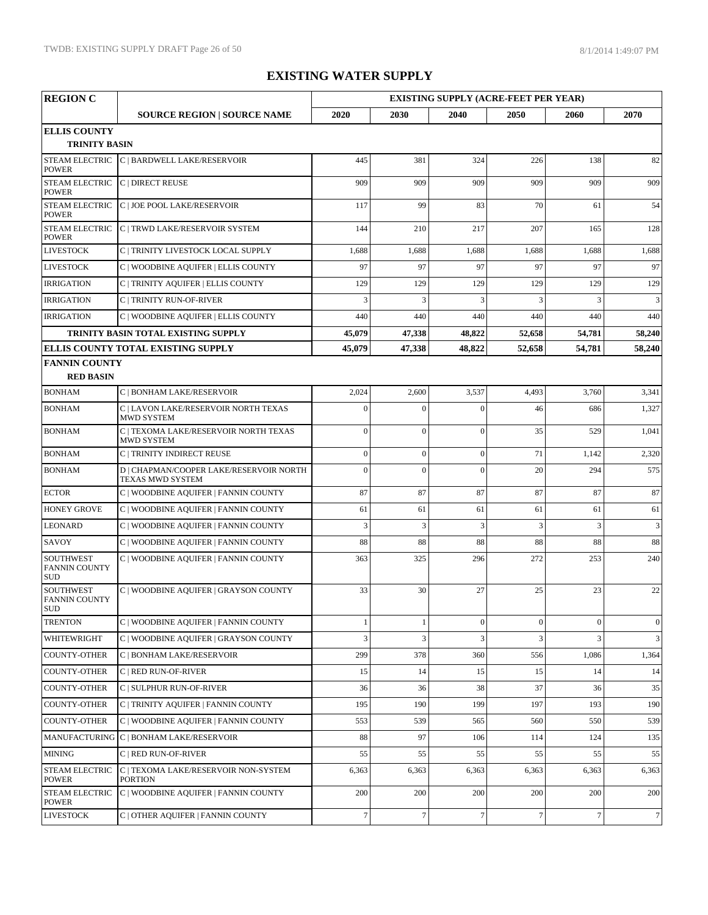| <b>REGION C</b>                                        |                                                             |                  |                  |                  | <b>EXISTING SUPPLY (ACRE-FEET PER YEAR)</b> |                  |                |  |
|--------------------------------------------------------|-------------------------------------------------------------|------------------|------------------|------------------|---------------------------------------------|------------------|----------------|--|
|                                                        | <b>SOURCE REGION   SOURCE NAME</b>                          | 2020             | 2030             | 2040             | 2050                                        | 2060             | 2070           |  |
| <b>ELLIS COUNTY</b>                                    |                                                             |                  |                  |                  |                                             |                  |                |  |
| <b>TRINITY BASIN</b>                                   |                                                             |                  |                  |                  |                                             |                  |                |  |
| <b>STEAM ELECTRIC</b><br><b>POWER</b>                  | C   BARDWELL LAKE/RESERVOIR                                 | 445              | 381              | 324              | 226                                         | 138              | 82             |  |
| <b>STEAM ELECTRIC</b><br><b>POWER</b>                  | <b>C   DIRECT REUSE</b>                                     | 909              | 909              | 909              | 909                                         | 909              | 909            |  |
| <b>STEAM ELECTRIC</b><br><b>POWER</b>                  | C   JOE POOL LAKE/RESERVOIR                                 | 117              | 99               | 83               | 70                                          | 61               | 54             |  |
| <b>POWER</b>                                           | STEAM ELECTRIC C   TRWD LAKE/RESERVOIR SYSTEM               | 144              | 210              | 217              | 207                                         | 165              | 128            |  |
| <b>LIVESTOCK</b>                                       | C   TRINITY LIVESTOCK LOCAL SUPPLY                          | 1,688            | 1,688            | 1,688            | 1,688                                       | 1,688            | 1,688          |  |
| <b>LIVESTOCK</b>                                       | C   WOODBINE AQUIFER   ELLIS COUNTY                         | 97               | 97               | 97               | 97                                          | 97               | 97             |  |
| <b>IRRIGATION</b>                                      | C   TRINITY AQUIFER   ELLIS COUNTY                          | 129              | 129              | 129              | 129                                         | 129              | 129            |  |
| <b>IRRIGATION</b>                                      | C   TRINITY RUN-OF-RIVER                                    | 3                | 3                | 3                | 3                                           | 3                | 3              |  |
| <b>IRRIGATION</b>                                      | C   WOODBINE AQUIFER   ELLIS COUNTY                         | 440              | 440              | 440              | 440                                         | 440              | 440            |  |
|                                                        | TRINITY BASIN TOTAL EXISTING SUPPLY                         | 45,079           | 47,338           | 48,822           | 52,658                                      | 54,781           | 58,240         |  |
|                                                        | ELLIS COUNTY TOTAL EXISTING SUPPLY                          | 45,079           | 47,338           | 48,822           | 52,658                                      | 54,781           | 58,240         |  |
| <b>FANNIN COUNTY</b>                                   |                                                             |                  |                  |                  |                                             |                  |                |  |
| <b>RED BASIN</b>                                       |                                                             |                  |                  |                  |                                             |                  |                |  |
| <b>BONHAM</b>                                          | C   BONHAM LAKE/RESERVOIR                                   | 2,024            | 2,600            | 3,537            | 4,493                                       | 3,760            | 3,341          |  |
| <b>BONHAM</b>                                          | C   LAVON LAKE/RESERVOIR NORTH TEXAS<br><b>MWD SYSTEM</b>   | $\boldsymbol{0}$ | $\boldsymbol{0}$ | $\boldsymbol{0}$ | 46                                          | 686              | 1,327          |  |
| <b>BONHAM</b>                                          | C   TEXOMA LAKE/RESERVOIR NORTH TEXAS<br><b>MWD SYSTEM</b>  | $\overline{0}$   | $\mathbf{0}$     | $\mathbf{0}$     | 35                                          | 529              | 1,041          |  |
| <b>BONHAM</b>                                          | C   TRINITY INDIRECT REUSE                                  | $\mathbf{0}$     | $\boldsymbol{0}$ | $\mathbf{0}$     | 71                                          | 1,142            | 2,320          |  |
| <b>BONHAM</b>                                          | D   CHAPMAN/COOPER LAKE/RESERVOIR NORTH<br>TEXAS MWD SYSTEM | $\overline{0}$   | $\overline{0}$   | $\mathbf{0}$     | 20                                          | 294              | 575            |  |
| <b>ECTOR</b>                                           | C   WOODBINE AQUIFER   FANNIN COUNTY                        | 87               | 87               | 87               | 87                                          | 87               | 87             |  |
| <b>HONEY GROVE</b>                                     | C   WOODBINE AQUIFER   FANNIN COUNTY                        | 61               | 61               | 61               | 61                                          | 61               | 61             |  |
| <b>LEONARD</b>                                         | C   WOODBINE AQUIFER   FANNIN COUNTY                        | 3                | $\overline{3}$   | 3                | 3                                           | $\overline{3}$   | 3              |  |
| SAVOY                                                  | C   WOODBINE AQUIFER   FANNIN COUNTY                        | 88               | 88               | 88               | 88                                          | 88               | 88             |  |
| <b>SOUTHWEST</b><br><b>FANNIN COUNTY</b><br><b>SUD</b> | C   WOODBINE AQUIFER   FANNIN COUNTY                        | 363              | 325              | 296              | 272                                         | 253              | 240            |  |
| <b>SOUTHWEST</b><br><b>FANNIN COUNTY</b><br>SUD        | C   WOODBINE AQUIFER   GRAYSON COUNTY                       | 33               | 30               | 27               | 25                                          | 23               | 22             |  |
| <b>TRENTON</b>                                         | C   WOODBINE AQUIFER   FANNIN COUNTY                        | $\mathbf{1}$     | $\mathbf{1}$     | $\mathbf{0}$     | $\boldsymbol{0}$                            | $\boldsymbol{0}$ | $\mathbf{0}$   |  |
| WHITEWRIGHT                                            | C   WOODBINE AQUIFER   GRAYSON COUNTY                       | 3                | 3                | 3                | 3                                           | 3                | $\mathbf{3}$   |  |
| COUNTY-OTHER                                           | C   BONHAM LAKE/RESERVOIR                                   | 299              | 378              | 360              | 556                                         | 1,086            | 1,364          |  |
| <b>COUNTY-OTHER</b>                                    | C   RED RUN-OF-RIVER                                        | 15               | 14               | 15               | 15                                          | 14               | 14             |  |
| COUNTY-OTHER                                           | C   SULPHUR RUN-OF-RIVER                                    | 36               | 36               | 38               | 37                                          | 36               | 35             |  |
| COUNTY-OTHER                                           | C   TRINITY AQUIFER   FANNIN COUNTY                         | 195              | 190              | 199              | 197                                         | 193              | 190            |  |
| <b>COUNTY-OTHER</b>                                    | C   WOODBINE AQUIFER   FANNIN COUNTY                        | 553              | 539              | 565              | 560                                         | 550              | 539            |  |
|                                                        | MANUFACTURING C   BONHAM LAKE/RESERVOIR                     | 88               | 97               | 106              | 114                                         | 124              | 135            |  |
| <b>MINING</b>                                          | C   RED RUN-OF-RIVER                                        | 55               | 55               | 55               | 55                                          | 55               | 55             |  |
| <b>STEAM ELECTRIC</b><br><b>POWER</b>                  | C   TEXOMA LAKE/RESERVOIR NON-SYSTEM<br><b>PORTION</b>      | 6,363            | 6,363            | 6,363            | 6,363                                       | 6,363            | 6,363          |  |
| <b>STEAM ELECTRIC</b><br><b>POWER</b>                  | C   WOODBINE AQUIFER   FANNIN COUNTY                        | 200              | 200              | 200              | 200                                         | 200              | 200            |  |
| <b>LIVESTOCK</b>                                       | C   OTHER AQUIFER   FANNIN COUNTY                           | $\tau$           | $\tau$           | $\tau$           | $\tau$                                      | $7\phantom{.0}$  | 7 <sup>1</sup> |  |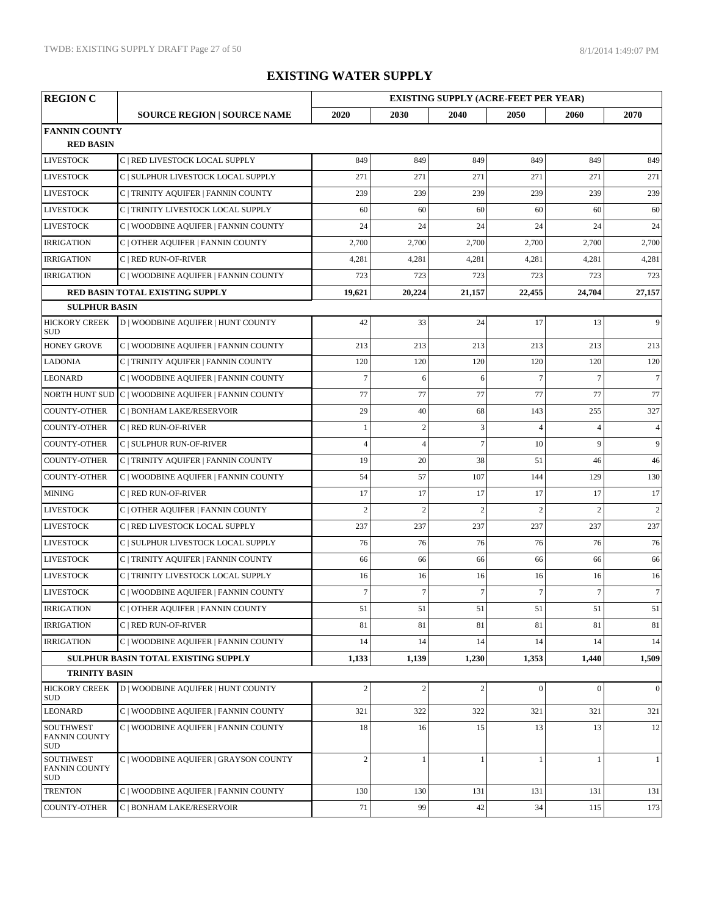| <b>REGION C</b>                                        |                                                                           |                |                | <b>EXISTING SUPPLY (ACRE-FEET PER YEAR)</b> |                 |                |                 |  |
|--------------------------------------------------------|---------------------------------------------------------------------------|----------------|----------------|---------------------------------------------|-----------------|----------------|-----------------|--|
|                                                        | <b>SOURCE REGION   SOURCE NAME</b>                                        | 2020           | 2030           | 2040                                        | 2050            | 2060           | 2070            |  |
| <b>FANNIN COUNTY</b>                                   |                                                                           |                |                |                                             |                 |                |                 |  |
| <b>RED BASIN</b>                                       |                                                                           |                |                |                                             |                 |                |                 |  |
| <b>LIVESTOCK</b>                                       | C   RED LIVESTOCK LOCAL SUPPLY                                            | 849            | 849            | 849                                         | 849             | 849            | 849             |  |
| <b>LIVESTOCK</b>                                       | C   SULPHUR LIVESTOCK LOCAL SUPPLY                                        | 271            | 271            | 271                                         | 271             | 271            | 271             |  |
| <b>LIVESTOCK</b>                                       | C   TRINITY AQUIFER   FANNIN COUNTY                                       | 239            | 239            | 239                                         | 239             | 239            | 239             |  |
| <b>LIVESTOCK</b>                                       | C   TRINITY LIVESTOCK LOCAL SUPPLY                                        | 60             | 60             | 60                                          | 60              | 60             | 60              |  |
| <b>LIVESTOCK</b>                                       | C   WOODBINE AQUIFER   FANNIN COUNTY                                      | 24             | 24             | 24                                          | 24              | 24             | 24              |  |
| <b>IRRIGATION</b>                                      | C   OTHER AQUIFER   FANNIN COUNTY                                         | 2,700          | 2,700          | 2,700                                       | 2,700           | 2,700          | 2,700           |  |
| <b>IRRIGATION</b>                                      | C   RED RUN-OF-RIVER                                                      | 4,281          | 4,281          | 4,281                                       | 4,281           | 4,281          | 4,281           |  |
| <b>IRRIGATION</b>                                      | C   WOODBINE AQUIFER   FANNIN COUNTY                                      | 723            | 723            | 723                                         | 723             | 723            | 723             |  |
|                                                        | RED BASIN TOTAL EXISTING SUPPLY                                           | 19,621         | 20,224         | 21,157                                      | 22,455          | 24,704         | 27,157          |  |
| <b>SULPHUR BASIN</b>                                   |                                                                           |                |                |                                             |                 |                |                 |  |
| <b>HICKORY CREEK</b><br><b>SUD</b>                     | D   WOODBINE AQUIFER   HUNT COUNTY                                        | 42             | 33             | 24                                          | 17              | 13             | 9               |  |
| <b>HONEY GROVE</b>                                     | C   WOODBINE AQUIFER   FANNIN COUNTY                                      | 213            | 213            | 213                                         | 213             | 213            | 213             |  |
| <b>LADONIA</b>                                         | C   TRINITY AQUIFER   FANNIN COUNTY                                       | 120            | 120            | 120                                         | 120             | 120            | 120             |  |
| <b>LEONARD</b>                                         | C   WOODBINE AQUIFER   FANNIN COUNTY                                      | $\overline{7}$ | 6              | 6                                           | $7\phantom{.0}$ | $\overline{7}$ | 7 <sup>1</sup>  |  |
|                                                        | NORTH HUNT SUD C   WOODBINE AQUIFER   FANNIN COUNTY                       | 77             | 77             | 77                                          | 77              | 77             | 77              |  |
| <b>COUNTY-OTHER</b>                                    | C   BONHAM LAKE/RESERVOIR                                                 | 29             | 40             | 68                                          | 143             | 255            | 327             |  |
| <b>COUNTY-OTHER</b>                                    | C   RED RUN-OF-RIVER                                                      | $\mathbf{1}$   | $\overline{c}$ | 3                                           | $\overline{4}$  | $\overline{4}$ | $\overline{4}$  |  |
| <b>COUNTY-OTHER</b>                                    | C   SULPHUR RUN-OF-RIVER                                                  | $\overline{4}$ | $\overline{4}$ | $\overline{7}$                              | 10              | 9              | 9               |  |
| <b>COUNTY-OTHER</b>                                    | C   TRINITY AQUIFER   FANNIN COUNTY                                       | 19             | 20             | 38                                          | 51              | 46             | 46              |  |
| <b>COUNTY-OTHER</b>                                    | C   WOODBINE AQUIFER   FANNIN COUNTY                                      | 54             | 57             | 107                                         | 144             | 129            | 130             |  |
| <b>MINING</b>                                          | C   RED RUN-OF-RIVER                                                      | 17             | 17             | 17                                          | 17              | 17             | 17              |  |
| <b>LIVESTOCK</b>                                       | C   OTHER AQUIFER   FANNIN COUNTY                                         | $\overline{2}$ | $\overline{c}$ | $\overline{2}$                              | $\overline{c}$  | $\overline{c}$ | 2               |  |
| <b>LIVESTOCK</b>                                       | C   RED LIVESTOCK LOCAL SUPPLY                                            | 237            | 237            | 237                                         | 237             | 237            | 237             |  |
| <b>LIVESTOCK</b>                                       | C   SULPHUR LIVESTOCK LOCAL SUPPLY                                        | 76             | 76             | 76                                          | 76              | 76             | 76              |  |
| <b>LIVESTOCK</b>                                       | C   TRINITY AQUIFER   FANNIN COUNTY                                       | 66             | 66             | 66                                          | 66              | 66             | 66              |  |
| <b>LIVESTOCK</b>                                       | C   TRINITY LIVESTOCK LOCAL SUPPLY                                        | 16             | 16             | 16                                          | 16              | 16             | 16              |  |
| <b>LIVESTOCK</b>                                       | C   WOODBINE AQUIFER   FANNIN COUNTY                                      | $\overline{7}$ | $\tau$         | $\tau$                                      | $\overline{7}$  | $\tau$         | $7\overline{ }$ |  |
| <b>IRRIGATION</b>                                      | $\overline{\text{C} \mid \text{OTHER AQUIFER} \mid \text{FANNIN COUNTY}}$ | 51             | 51             | 51                                          | 51              | 51             | $51\,$          |  |
| <b>IRRIGATION</b>                                      | C   RED RUN-OF-RIVER                                                      | 81             | 81             | 81                                          | 81              | 81             | 81              |  |
| <b>IRRIGATION</b>                                      | C   WOODBINE AQUIFER   FANNIN COUNTY                                      | 14             | 14             | 14                                          | 14              | 14             | 14              |  |
|                                                        | SULPHUR BASIN TOTAL EXISTING SUPPLY                                       | 1,133          | 1,139          | 1,230                                       | 1,353           | 1,440          | 1,509           |  |
| <b>TRINITY BASIN</b>                                   |                                                                           |                |                |                                             |                 |                |                 |  |
| <b>HICKORY CREEK</b><br><b>SUD</b>                     | <b>D   WOODBINE AQUIFER   HUNT COUNTY</b>                                 | $\mathbf{2}$   | $\overline{c}$ | $\overline{2}$                              | $\mathbf{0}$    | $\theta$       | $\overline{0}$  |  |
| <b>LEONARD</b>                                         | C   WOODBINE AQUIFER   FANNIN COUNTY                                      | 321            | 322            | 322                                         | 321             | 321            | 321             |  |
| <b>SOUTHWEST</b><br><b>FANNIN COUNTY</b><br><b>SUD</b> | C   WOODBINE AQUIFER   FANNIN COUNTY                                      | 18             | 16             | 15                                          | 13              | 13             | 12              |  |
| <b>SOUTHWEST</b><br><b>FANNIN COUNTY</b><br>SUD        | C   WOODBINE AQUIFER   GRAYSON COUNTY                                     | $\overline{2}$ | 1              | -1                                          | $\mathbf{1}$    | $\mathbf{1}$   | $\mathbf{1}$    |  |
| <b>TRENTON</b>                                         | C   WOODBINE AQUIFER   FANNIN COUNTY                                      | 130            | 130            | 131                                         | 131             | 131            | 131             |  |
| <b>COUNTY-OTHER</b>                                    | C   BONHAM LAKE/RESERVOIR                                                 | 71             | 99             | 42                                          | 34              | 115            | 173             |  |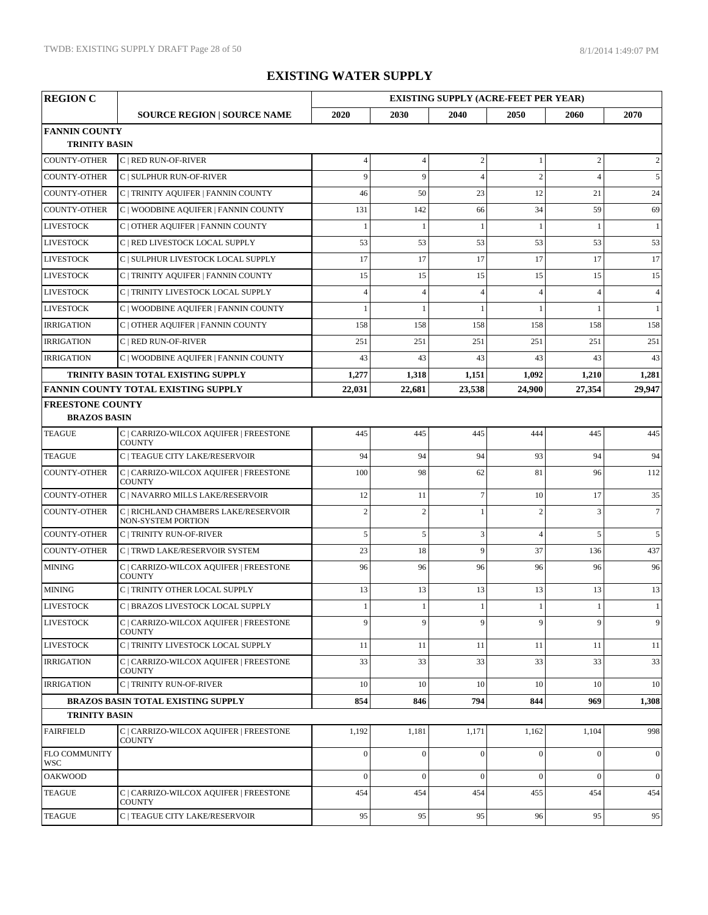| <b>REGION C</b>             |                                                            |                | <b>EXISTING SUPPLY (ACRE-FEET PER YEAR)</b> |                  |                |                |                 |  |
|-----------------------------|------------------------------------------------------------|----------------|---------------------------------------------|------------------|----------------|----------------|-----------------|--|
|                             | <b>SOURCE REGION   SOURCE NAME</b>                         | 2020           | 2030                                        | 2040             | 2050           | 2060           | 2070            |  |
| <b>FANNIN COUNTY</b>        |                                                            |                |                                             |                  |                |                |                 |  |
| <b>TRINITY BASIN</b>        |                                                            |                |                                             |                  |                |                |                 |  |
| <b>COUNTY-OTHER</b>         | C   RED RUN-OF-RIVER                                       | $\overline{4}$ | $\overline{4}$                              | $\sqrt{2}$       | 1              | $\overline{c}$ | 2               |  |
| <b>COUNTY-OTHER</b>         | C   SULPHUR RUN-OF-RIVER                                   | 9              | 9                                           | $\overline{4}$   | $\overline{2}$ | $\overline{4}$ | 5               |  |
| <b>COUNTY-OTHER</b>         | C   TRINITY AQUIFER   FANNIN COUNTY                        | 46             | 50                                          | 23               | 12             | 21             | 24              |  |
| <b>COUNTY-OTHER</b>         | C   WOODBINE AQUIFER   FANNIN COUNTY                       | 131            | 142                                         | 66               | 34             | 59             | 69              |  |
| <b>LIVESTOCK</b>            | C   OTHER AQUIFER   FANNIN COUNTY                          |                | $\mathbf{1}$                                | -1               | 1              | $\mathbf{1}$   | 1               |  |
| <b>LIVESTOCK</b>            | C   RED LIVESTOCK LOCAL SUPPLY                             | 53             | 53                                          | 53               | 53             | 53             | 53              |  |
| <b>LIVESTOCK</b>            | C   SULPHUR LIVESTOCK LOCAL SUPPLY                         | 17             | 17                                          | 17               | 17             | 17             | 17              |  |
| <b>LIVESTOCK</b>            | C   TRINITY AQUIFER   FANNIN COUNTY                        | 15             | 15                                          | 15               | 15             | 15             | 15              |  |
| <b>LIVESTOCK</b>            | C   TRINITY LIVESTOCK LOCAL SUPPLY                         | $\overline{4}$ | $\overline{4}$                              | $\overline{4}$   | $\overline{4}$ | $\overline{4}$ | $\overline{4}$  |  |
| <b>LIVESTOCK</b>            | C   WOODBINE AQUIFER   FANNIN COUNTY                       |                | $\mathbf{1}$                                | $\mathbf{1}$     | $\overline{1}$ | $\mathbf{1}$   | $\mathbf{1}$    |  |
| <b>IRRIGATION</b>           | C   OTHER AQUIFER   FANNIN COUNTY                          | 158            | 158                                         | 158              | 158            | 158            | 158             |  |
| <b>IRRIGATION</b>           | C   RED RUN-OF-RIVER                                       | 251            | 251                                         | 251              | 251            | 251            | 251             |  |
| <b>IRRIGATION</b>           | C   WOODBINE AQUIFER   FANNIN COUNTY                       | 43             | 43                                          | 43               | 43             | 43             | 43              |  |
|                             | TRINITY BASIN TOTAL EXISTING SUPPLY                        | 1,277          | 1,318                                       | 1,151            | 1,092          | 1,210          | 1,281           |  |
|                             | <b>FANNIN COUNTY TOTAL EXISTING SUPPLY</b>                 | 22,031         | 22,681                                      | 23,538           | 24,900         | 27.354         | 29,947          |  |
| <b>FREESTONE COUNTY</b>     |                                                            |                |                                             |                  |                |                |                 |  |
| <b>BRAZOS BASIN</b>         |                                                            |                |                                             |                  |                |                |                 |  |
| <b>TEAGUE</b>               | C   CARRIZO-WILCOX AQUIFER   FREESTONE<br>COUNTY           | 445            | 445                                         | 445              | 444            | 445            | 445             |  |
| <b>TEAGUE</b>               | C   TEAGUE CITY LAKE/RESERVOIR                             | 94             | 94                                          | 94               | 93             | 94             | 94              |  |
| <b>COUNTY-OTHER</b>         | C   CARRIZO-WILCOX AQUIFER   FREESTONE<br><b>COUNTY</b>    | 100            | 98                                          | 62               | 81             | 96             | 112             |  |
| <b>COUNTY-OTHER</b>         | C   NAVARRO MILLS LAKE/RESERVOIR                           | 12             | 11                                          | $\overline{7}$   | 10             | 17             | 35              |  |
| <b>COUNTY-OTHER</b>         | C   RICHLAND CHAMBERS LAKE/RESERVOIR<br>NON-SYSTEM PORTION | $\overline{2}$ | $\overline{c}$                              |                  | $\overline{c}$ | 3              | 7 <sup>1</sup>  |  |
| <b>COUNTY-OTHER</b>         | <b>C   TRINITY RUN-OF-RIVER</b>                            | 5              | 5                                           | $\mathfrak{Z}$   | $\overline{4}$ | 5              | 5               |  |
| <b>COUNTY-OTHER</b>         | C   TRWD LAKE/RESERVOIR SYSTEM                             | 23             | 18                                          | 9                | 37             | 136            | 437             |  |
| <b>MINING</b>               | C   CARRIZO-WILCOX AQUIFER   FREESTONE<br>COUNTY           | 96             | 96                                          | 96               | 96             | 96             | 96              |  |
| <b>MINING</b>               | C   TRINITY OTHER LOCAL SUPPLY                             | 13             | 13                                          | 13               | 13             | 13             | 13              |  |
| <b>LIVESTOCK</b>            | C   BRAZOS LIVESTOCK LOCAL SUPPLY                          |                | $\mathbf{1}$                                |                  |                |                | $\mathbf{1}$    |  |
| <b>LIVESTOCK</b>            | C   CARRIZO-WILCOX AQUIFER   FREESTONE<br><b>COUNTY</b>    | 9              | 9                                           | 9                | 9              | 9              | 9               |  |
| <b>LIVESTOCK</b>            | C   TRINITY LIVESTOCK LOCAL SUPPLY                         | 11             | 11                                          | 11               | 11             | 11             | 11              |  |
| <b>IRRIGATION</b>           | C   CARRIZO-WILCOX AQUIFER   FREESTONE<br><b>COUNTY</b>    | 33             | 33                                          | 33               | 33             | 33             | 33              |  |
| <b>IRRIGATION</b>           | C   TRINITY RUN-OF-RIVER                                   | 10             | 10                                          | 10               | 10             | 10             | 10              |  |
|                             | <b>BRAZOS BASIN TOTAL EXISTING SUPPLY</b>                  | 854            | 846                                         | 794              | 844            | 969            | 1,308           |  |
| <b>TRINITY BASIN</b>        |                                                            |                |                                             |                  |                |                |                 |  |
| <b>FAIRFIELD</b>            | C   CARRIZO-WILCOX AQUIFER   FREESTONE<br><b>COUNTY</b>    | 1,192          | 1,181                                       | 1,171            | 1,162          | 1,104          | 998             |  |
| FLO COMMUNITY<br><b>WSC</b> |                                                            | $\overline{0}$ | $\boldsymbol{0}$                            | $\overline{0}$   | $\mathbf{0}$   | $\overline{0}$ | $\vert 0 \vert$ |  |
| <b>OAKWOOD</b>              |                                                            | $\mathbf{0}$   | $\boldsymbol{0}$                            | $\boldsymbol{0}$ | $\mathbf{0}$   | $\mathbf{0}$   | $\vert 0 \vert$ |  |
| <b>TEAGUE</b>               | C   CARRIZO-WILCOX AQUIFER   FREESTONE<br>COUNTY           | 454            | 454                                         | 454              | 455            | 454            | 454             |  |
| <b>TEAGUE</b>               | C   TEAGUE CITY LAKE/RESERVOIR                             | 95             | 95                                          | 95               | 96             | 95             | 95              |  |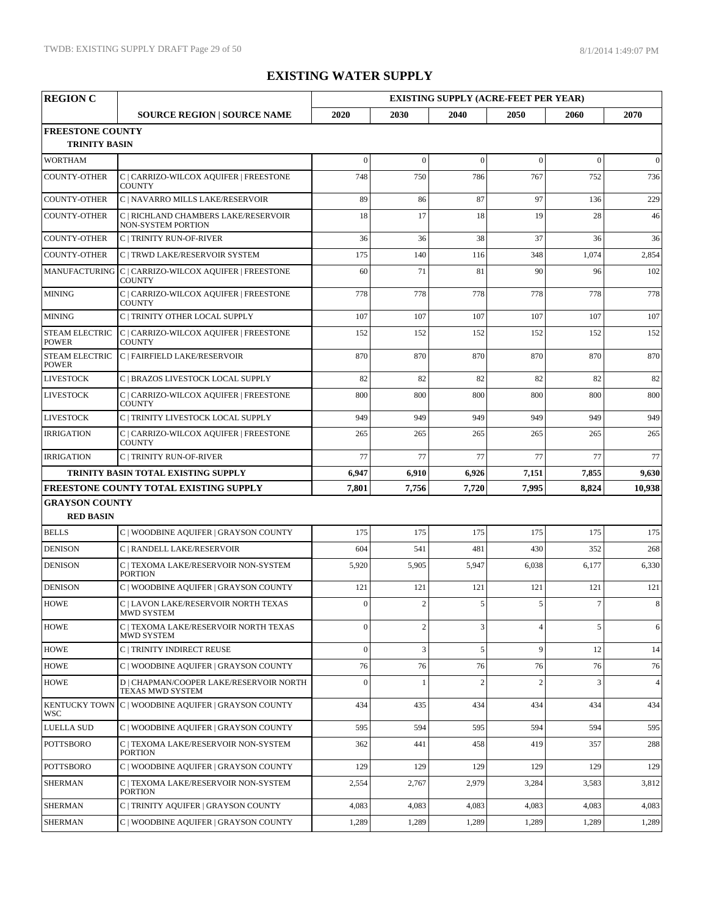| <b>REGION C</b>                           |                                                                       | <b>EXISTING SUPPLY (ACRE-FEET PER YEAR)</b> |              |                |                |          |                |  |  |
|-------------------------------------------|-----------------------------------------------------------------------|---------------------------------------------|--------------|----------------|----------------|----------|----------------|--|--|
|                                           | <b>SOURCE REGION   SOURCE NAME</b>                                    | 2020                                        | 2030         | 2040           | 2050           | 2060     | 2070           |  |  |
| <b>FREESTONE COUNTY</b>                   |                                                                       |                                             |              |                |                |          |                |  |  |
| <b>TRINITY BASIN</b>                      |                                                                       |                                             |              |                |                |          |                |  |  |
| <b>WORTHAM</b>                            |                                                                       | $\mathbf{0}$                                | $\mathbf{0}$ | $\theta$       | $\mathbf{0}$   | $\theta$ | $\theta$       |  |  |
| <b>COUNTY-OTHER</b>                       | C   CARRIZO-WILCOX AQUIFER   FREESTONE<br><b>COUNTY</b>               | 748                                         | 750          | 786            | 767            | 752      | 736            |  |  |
| <b>COUNTY-OTHER</b>                       | C   NAVARRO MILLS LAKE/RESERVOIR                                      | 89                                          | 86           | 87             | 97             | 136      | 229            |  |  |
| <b>COUNTY-OTHER</b>                       | C   RICHLAND CHAMBERS LAKE/RESERVOIR<br>NON-SYSTEM PORTION            | 18                                          | 17           | 18             | 19             | 28       | 46             |  |  |
| <b>COUNTY-OTHER</b>                       | <b>C   TRINITY RUN-OF-RIVER</b>                                       | 36                                          | 36           | 38             | 37             | 36       | 36             |  |  |
| <b>COUNTY-OTHER</b>                       | C   TRWD LAKE/RESERVOIR SYSTEM                                        | 175                                         | 140          | 116            | 348            | 1,074    | 2,854          |  |  |
|                                           | MANUFACTURING C   CARRIZO-WILCOX AQUIFER   FREESTONE<br><b>COUNTY</b> | 60                                          | 71           | 81             | 90             | 96       | 102            |  |  |
| <b>MINING</b>                             | C   CARRIZO-WILCOX AQUIFER   FREESTONE<br><b>COUNTY</b>               | 778                                         | 778          | 778            | 778            | 778      | 778            |  |  |
| <b>MINING</b>                             | C   TRINITY OTHER LOCAL SUPPLY                                        | 107                                         | 107          | 107            | 107            | 107      | 107            |  |  |
| <b>STEAM ELECTRIC</b><br><b>POWER</b>     | C   CARRIZO-WILCOX AQUIFER   FREESTONE<br><b>COUNTY</b>               | 152                                         | 152          | 152            | 152            | 152      | 152            |  |  |
| <b>STEAM ELECTRIC</b><br><b>POWER</b>     | C   FAIRFIELD LAKE/RESERVOIR                                          | 870                                         | 870          | 870            | 870            | 870      | 870            |  |  |
| <b>LIVESTOCK</b>                          | C   BRAZOS LIVESTOCK LOCAL SUPPLY                                     | 82                                          | 82           | 82             | 82             | 82       | 82             |  |  |
| <b>LIVESTOCK</b>                          | C   CARRIZO-WILCOX AQUIFER   FREESTONE<br><b>COUNTY</b>               | 800                                         | 800          | 800            | 800            | 800      | 800            |  |  |
| <b>LIVESTOCK</b>                          | C   TRINITY LIVESTOCK LOCAL SUPPLY                                    | 949                                         | 949          | 949            | 949            | 949      | 949            |  |  |
| <b>IRRIGATION</b>                         | C   CARRIZO-WILCOX AQUIFER   FREESTONE<br><b>COUNTY</b>               | 265                                         | 265          | 265            | 265            | 265      | 265            |  |  |
| <b>IRRIGATION</b>                         | C   TRINITY RUN-OF-RIVER                                              | 77                                          | 77           | 77             | 77             | 77       | 77             |  |  |
|                                           | TRINITY BASIN TOTAL EXISTING SUPPLY                                   | 6,947                                       | 6,910        | 6,926          | 7,151          | 7,855    | 9,630          |  |  |
|                                           | <b>FREESTONE COUNTY TOTAL EXISTING SUPPLY</b>                         | 7,801                                       | 7,756        | 7,720          | 7,995          | 8,824    | 10,938         |  |  |
| <b>GRAYSON COUNTY</b><br><b>RED BASIN</b> |                                                                       |                                             |              |                |                |          |                |  |  |
| <b>BELLS</b>                              | C   WOODBINE AQUIFER   GRAYSON COUNTY                                 | 175                                         | 175          | 175            | 175            | 175      | 175            |  |  |
| <b>DENISON</b>                            | C   RANDELL LAKE/RESERVOIR                                            | 604                                         | 541          | 481            | 430            | 352      | 268            |  |  |
| <b>DENISON</b>                            | C   TEXOMA LAKE/RESERVOIR NON-SYSTEM<br><b>PORTION</b>                | 5,920                                       | 5,905        | 5,947          | 6,038          | 6,177    | 6,330          |  |  |
| <b>DENISON</b>                            | C   WOODBINE AQUIFER   GRAYSON COUNTY                                 | 121                                         | 121          | 121            | 121            | 121      | 121            |  |  |
| <b>HOWE</b>                               | C   LAVON LAKE/RESERVOIR NORTH TEXAS<br>MWD SYSTEM                    | $\overline{0}$                              | $\mathbf{2}$ | 5              | 5              | $\tau$   | 8              |  |  |
| <b>HOWE</b>                               | C   TEXOMA LAKE/RESERVOIR NORTH TEXAS<br><b>MWD SYSTEM</b>            | $\overline{0}$                              | $\sqrt{2}$   | 3              | 4              | 5        | 6              |  |  |
| <b>HOWE</b>                               | C   TRINITY INDIRECT REUSE                                            | $\overline{0}$                              | 3            | 5              | 9              | 12       | 14             |  |  |
| <b>HOWE</b>                               | C   WOODBINE AQUIFER   GRAYSON COUNTY                                 | 76                                          | 76           | 76             | 76             | 76       | 76             |  |  |
| <b>HOWE</b>                               | D   CHAPMAN/COOPER LAKE/RESERVOIR NORTH<br>TEXAS MWD SYSTEM           | $\overline{0}$                              | 1            | $\overline{2}$ | $\overline{2}$ | 3        | $\overline{4}$ |  |  |
| <b>WSC</b>                                | KENTUCKY TOWN C   WOODBINE AQUIFER   GRAYSON COUNTY                   | 434                                         | 435          | 434            | 434            | 434      | 434            |  |  |
| <b>LUELLA SUD</b>                         | C   WOODBINE AQUIFER   GRAYSON COUNTY                                 | 595                                         | 594          | 595            | 594            | 594      | 595            |  |  |
| POTTSBORO                                 | C   TEXOMA LAKE/RESERVOIR NON-SYSTEM<br><b>PORTION</b>                | 362                                         | 441          | 458            | 419            | 357      | 288            |  |  |
| <b>POTTSBORO</b>                          | C   WOODBINE AQUIFER   GRAYSON COUNTY                                 | 129                                         | 129          | 129            | 129            | 129      | 129            |  |  |
| <b>SHERMAN</b>                            | C   TEXOMA LAKE/RESERVOIR NON-SYSTEM<br><b>PORTION</b>                | 2,554                                       | 2,767        | 2,979          | 3,284          | 3,583    | 3,812          |  |  |
| <b>SHERMAN</b>                            | C   TRINITY AQUIFER   GRAYSON COUNTY                                  | 4,083                                       | 4,083        | 4,083          | 4,083          | 4,083    | 4,083          |  |  |
| <b>SHERMAN</b>                            | C   WOODBINE AQUIFER   GRAYSON COUNTY                                 | 1,289                                       | 1,289        | 1,289          | 1,289          | 1,289    | 1,289          |  |  |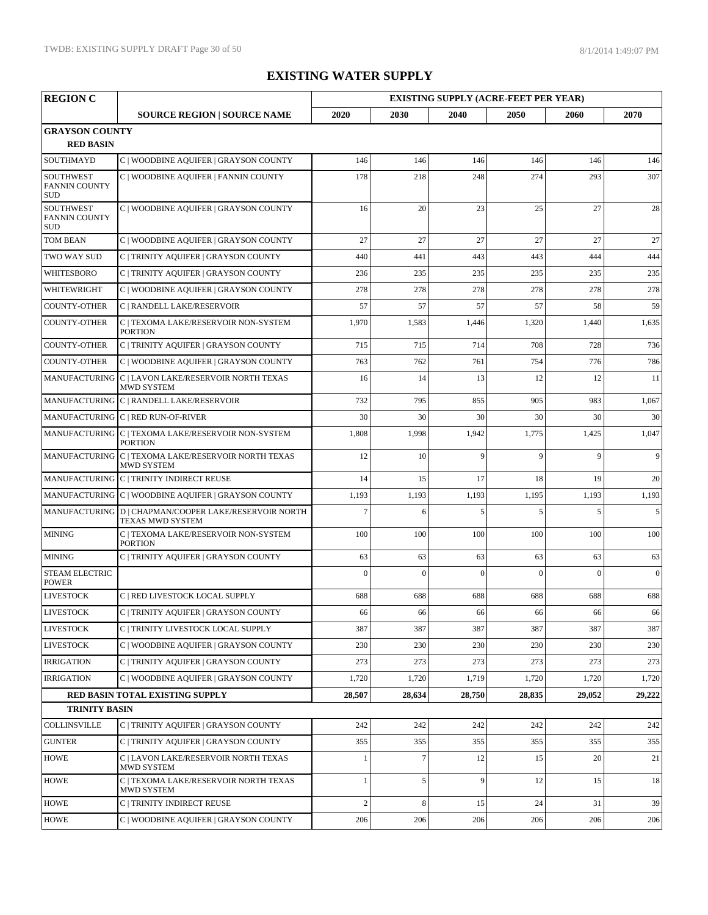| <b>REGION C</b>                                        |                                                                           |                |              |                | <b>EXISTING SUPPLY (ACRE-FEET PER YEAR)</b> |                |                  |
|--------------------------------------------------------|---------------------------------------------------------------------------|----------------|--------------|----------------|---------------------------------------------|----------------|------------------|
|                                                        | <b>SOURCE REGION   SOURCE NAME</b>                                        | 2020           | 2030         | 2040           | 2050                                        | 2060           | 2070             |
| <b>GRAYSON COUNTY</b><br><b>RED BASIN</b>              |                                                                           |                |              |                |                                             |                |                  |
| SOUTHMAYD                                              | C   WOODBINE AQUIFER   GRAYSON COUNTY                                     | 146            | 146          | 146            | 146                                         | 146            | 146              |
| <b>SOUTHWEST</b><br><b>FANNIN COUNTY</b><br><b>SUD</b> | C   WOODBINE AQUIFER   FANNIN COUNTY                                      | 178            | 218          | 248            | 274                                         | 293            | 307              |
| <b>SOUTHWEST</b><br><b>FANNIN COUNTY</b><br><b>SUD</b> | C   WOODBINE AQUIFER   GRAYSON COUNTY                                     | 16             | 20           | 23             | 25                                          | 27             | 28               |
| <b>TOM BEAN</b>                                        | C   WOODBINE AQUIFER   GRAYSON COUNTY                                     | 27             | 27           | 27             | 27                                          | 27             | 27               |
| TWO WAY SUD                                            | C   TRINITY AQUIFER   GRAYSON COUNTY                                      | 440            | 441          | 443            | 443                                         | 444            | 444              |
| WHITESBORO                                             | C   TRINITY AQUIFER   GRAYSON COUNTY                                      | 236            | 235          | 235            | 235                                         | 235            | 235              |
| WHITEWRIGHT                                            | C   WOODBINE AQUIFER   GRAYSON COUNTY                                     | 278            | 278          | 278            | 278                                         | 278            | 278              |
| <b>COUNTY-OTHER</b>                                    | C   RANDELL LAKE/RESERVOIR                                                | 57             | 57           | 57             | 57                                          | 58             | 59               |
| <b>COUNTY-OTHER</b>                                    | C   TEXOMA LAKE/RESERVOIR NON-SYSTEM<br><b>PORTION</b>                    | 1,970          | 1,583        | 1,446          | 1,320                                       | 1,440          | 1,635            |
| <b>COUNTY-OTHER</b>                                    | C   TRINITY AQUIFER   GRAYSON COUNTY                                      | 715            | 715          | 714            | 708                                         | 728            | 736              |
| <b>COUNTY-OTHER</b>                                    | C   WOODBINE AQUIFER   GRAYSON COUNTY                                     | 763            | 762          | 761            | 754                                         | 776            | 786              |
|                                                        | MANUFACTURING C   LAVON LAKE/RESERVOIR NORTH TEXAS<br><b>MWD SYSTEM</b>   | 16             | 14           | 13             | 12                                          | 12             | 11               |
|                                                        | MANUFACTURING C   RANDELL LAKE/RESERVOIR                                  | 732            | 795          | 855            | 905                                         | 983            | 1,067            |
|                                                        | MANUFACTURING C   RED RUN-OF-RIVER                                        | 30             | 30           | 30             | 30                                          | 30             | 30               |
|                                                        | MANUFACTURING C   TEXOMA LAKE/RESERVOIR NON-SYSTEM<br><b>PORTION</b>      | 1,808          | 1,998        | 1,942          | 1,775                                       | 1,425          | 1,047            |
|                                                        | MANUFACTURING C   TEXOMA LAKE/RESERVOIR NORTH TEXAS<br>MWD SYSTEM         | 12             | 10           | $\overline{9}$ | $\overline{9}$                              | $\overline{Q}$ | 9                |
|                                                        | MANUFACTURING C   TRINITY INDIRECT REUSE                                  | 14             | 15           | 17             | 18                                          | 19             | 20               |
|                                                        | MANUFACTURING C   WOODBINE AQUIFER   GRAYSON COUNTY                       | 1,193          | 1,193        | 1,193          | 1,195                                       | 1,193          | 1,193            |
|                                                        | MANUFACTURING D   CHAPMAN/COOPER LAKE/RESERVOIR NORTH<br>TEXAS MWD SYSTEM | $\overline{7}$ | 6            | 5              | $\overline{5}$                              | 5              | 5                |
| <b>MINING</b>                                          | C   TEXOMA LAKE/RESERVOIR NON-SYSTEM<br><b>PORTION</b>                    | 100            | 100          | 100            | 100                                         | 100            | 100              |
| <b>MINING</b>                                          | C   TRINITY AQUIFER   GRAYSON COUNTY                                      | 63             | 63           | 63             | 63                                          | 63             | 63               |
| <b>STEAM ELECTRIC</b><br><b>POWER</b>                  |                                                                           | $\Omega$       | $\mathbf{0}$ | $\mathbf{0}$   | $\overline{0}$                              | $\theta$       | $\boldsymbol{0}$ |
| <b>LIVESTOCK</b>                                       | C   RED LIVESTOCK LOCAL SUPPLY                                            | 688            | 688          | 688            | 688                                         | 688            | 688              |
| LIVESTOCK                                              | C   TRINITY AQUIFER   GRAYSON COUNTY                                      | 66             | 66           | 66             | 66                                          | 66             | 66               |
| <b>LIVESTOCK</b>                                       | C   TRINITY LIVESTOCK LOCAL SUPPLY                                        | 387            | 387          | 387            | 387                                         | 387            | 387              |
| <b>LIVESTOCK</b>                                       | C   WOODBINE AQUIFER   GRAYSON COUNTY                                     | 230            | 230          | 230            | 230                                         | 230            | 230              |
| <b>IRRIGATION</b>                                      | C   TRINITY AQUIFER   GRAYSON COUNTY                                      | 273            | 273          | 273            | 273                                         | 273            | 273              |
| <b>IRRIGATION</b>                                      | C   WOODBINE AQUIFER   GRAYSON COUNTY                                     | 1,720          | 1,720        | 1,719          | 1,720                                       | 1,720          | 1,720            |
|                                                        | RED BASIN TOTAL EXISTING SUPPLY                                           | 28,507         | 28,634       | 28,750         | 28,835                                      | 29,052         | 29,222           |
| <b>TRINITY BASIN</b>                                   |                                                                           |                |              |                |                                             |                |                  |
| <b>COLLINSVILLE</b>                                    | C   TRINITY AQUIFER   GRAYSON COUNTY                                      | 242            | 242          | 242            | 242                                         | 242            | 242              |
| <b>GUNTER</b>                                          | C   TRINITY AOUIFER   GRAYSON COUNTY                                      | 355            | 355          | 355            | 355                                         | 355            | 355              |
| <b>HOWE</b>                                            | C   LAVON LAKE/RESERVOIR NORTH TEXAS<br><b>MWD SYSTEM</b>                 |                | $\tau$       | 12             | 15                                          | 20             | 21               |
| <b>HOWE</b>                                            | C   TEXOMA LAKE/RESERVOIR NORTH TEXAS<br>MWD SYSTEM                       | $\mathbf{1}$   | 5            | 9              | 12                                          | 15             | 18               |
| <b>HOWE</b>                                            | C   TRINITY INDIRECT REUSE                                                | $\overline{c}$ | $\,8\,$      | 15             | 24                                          | 31             | 39               |
| <b>HOWE</b>                                            | C   WOODBINE AQUIFER   GRAYSON COUNTY                                     | 206            | 206          | 206            | 206                                         | 206            | 206              |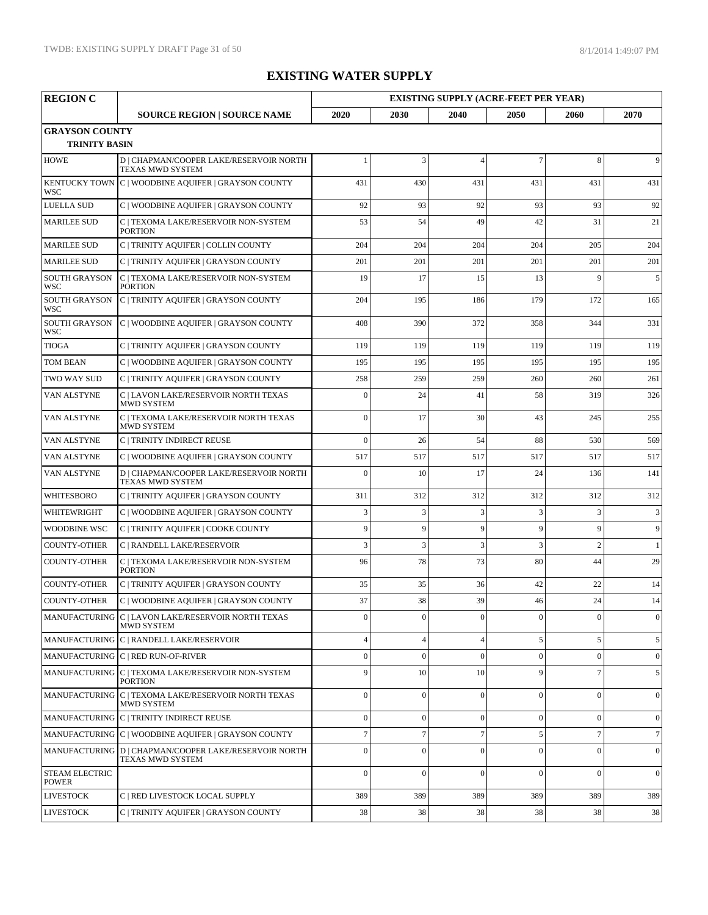| <b>REGION C</b>                               |                                                                           |                |                  | <b>EXISTING SUPPLY (ACRE-FEET PER YEAR)</b> |                |                |                 |
|-----------------------------------------------|---------------------------------------------------------------------------|----------------|------------------|---------------------------------------------|----------------|----------------|-----------------|
|                                               | <b>SOURCE REGION   SOURCE NAME</b>                                        | 2020           | 2030             | 2040                                        | 2050           | 2060           | 2070            |
| <b>GRAYSON COUNTY</b><br><b>TRINITY BASIN</b> |                                                                           |                |                  |                                             |                |                |                 |
| <b>HOWE</b>                                   | D   CHAPMAN/COOPER LAKE/RESERVOIR NORTH<br>TEXAS MWD SYSTEM               |                | 3                | $\overline{4}$                              | $\overline{7}$ | 8              | 9               |
| <b>WSC</b>                                    | KENTUCKY TOWN C   WOODBINE AQUIFER   GRAYSON COUNTY                       | 431            | 430              | 431                                         | 431            | 431            | 431             |
| <b>LUELLA SUD</b>                             | C   WOODBINE AQUIFER   GRAYSON COUNTY                                     | 92             | 93               | 92                                          | 93             | 93             | 92              |
| <b>MARILEE SUD</b>                            | C   TEXOMA LAKE/RESERVOIR NON-SYSTEM<br><b>PORTION</b>                    | 53             | 54               | 49                                          | 42             | 31             | 21              |
| <b>MARILEE SUD</b>                            | C   TRINITY AQUIFER   COLLIN COUNTY                                       | 204            | 204              | 204                                         | 204            | 205            | 204             |
| <b>MARILEE SUD</b>                            | C   TRINITY AQUIFER   GRAYSON COUNTY                                      | 201            | 201              | 201                                         | 201            | 201            | 201             |
| <b>SOUTH GRAYSON</b><br>WSC                   | C   TEXOMA LAKE/RESERVOIR NON-SYSTEM<br><b>PORTION</b>                    | 19             | 17               | 15                                          | 13             | 9              | 5               |
| <b>SOUTH GRAYSON</b><br>WSC                   | C   TRINITY AQUIFER   GRAYSON COUNTY                                      | 204            | 195              | 186                                         | 179            | 172            | 165             |
| <b>SOUTH GRAYSON</b><br>WSC                   | C   WOODBINE AQUIFER   GRAYSON COUNTY                                     | 408            | 390              | 372                                         | 358            | 344            | 331             |
| <b>TIOGA</b>                                  | C   TRINITY AQUIFER   GRAYSON COUNTY                                      | 119            | 119              | 119                                         | 119            | 119            | 119             |
| <b>TOM BEAN</b>                               | C   WOODBINE AQUIFER   GRAYSON COUNTY                                     | 195            | 195              | 195                                         | 195            | 195            | 195             |
| TWO WAY SUD                                   | C   TRINITY AQUIFER   GRAYSON COUNTY                                      | 258            | 259              | 259                                         | 260            | 260            | 261             |
| VAN ALSTYNE                                   | C   LAVON LAKE/RESERVOIR NORTH TEXAS<br><b>MWD SYSTEM</b>                 | $\overline{0}$ | 24               | 41                                          | 58             | 319            | 326             |
| VAN ALSTYNE                                   | C   TEXOMA LAKE/RESERVOIR NORTH TEXAS<br><b>MWD SYSTEM</b>                | $\mathbf{0}$   | 17               | 30                                          | 43             | 245            | 255             |
| VAN ALSTYNE                                   | C   TRINITY INDIRECT REUSE                                                | $\Omega$       | 26               | 54                                          | 88             | 530            | 569             |
| VAN ALSTYNE                                   | C   WOODBINE AQUIFER   GRAYSON COUNTY                                     | 517            | 517              | 517                                         | 517            | 517            | 517             |
| VAN ALSTYNE                                   | D   CHAPMAN/COOPER LAKE/RESERVOIR NORTH<br>TEXAS MWD SYSTEM               | $\mathbf{0}$   | 10               | 17                                          | 24             | 136            | 141             |
| <b>WHITESBORO</b>                             | C   TRINITY AQUIFER   GRAYSON COUNTY                                      | 311            | 312              | 312                                         | 312            | 312            | 312             |
| WHITEWRIGHT                                   | C   WOODBINE AQUIFER   GRAYSON COUNTY                                     | 3              | 3                | 3                                           | 3              | 3              | $\mathfrak{Z}$  |
| <b>WOODBINE WSC</b>                           | C   TRINITY AQUIFER   COOKE COUNTY                                        | 9              | 9                | 9                                           | 9              | 9              | 9               |
| <b>COUNTY-OTHER</b>                           | C   RANDELL LAKE/RESERVOIR                                                | 3              | 3                | 3                                           | $\overline{3}$ | $\mathcal{P}$  | 1               |
| COUNTY-OTHER                                  | C   TEXOMA LAKE/RESERVOIR NON-SYSTEM<br><b>PORTION</b>                    | 96             | 78               | 73                                          | 80             | 44             | 29              |
| <b>COUNTY-OTHER</b>                           | C   TRINITY AQUIFER   GRAYSON COUNTY                                      | 35             | 35               | 36                                          | 42             | 22             | 14              |
| <b>COUNTY-OTHER</b>                           | C   WOODBINE AQUIFER   GRAYSON COUNTY                                     | 37             | 38               | 39                                          | 46             | 24             | 14              |
|                                               | MANUFACTURING C   LAVON LAKE/RESERVOIR NORTH TEXAS<br><b>MWD SYSTEM</b>   | $\theta$       | $\boldsymbol{0}$ | $\boldsymbol{0}$                            | $\mathbf{0}$   | $\overline{0}$ | $\vert 0 \vert$ |
|                                               | MANUFACTURING C   RANDELL LAKE/RESERVOIR                                  | $\overline{4}$ | $\overline{4}$   | $\overline{4}$                              | 5              | 5              | 5 <sup>5</sup>  |
|                                               | MANUFACTURING C   RED RUN-OF-RIVER                                        | $\mathbf{0}$   | $\overline{0}$   | $\overline{0}$                              | $\mathbf{0}$   | $\Omega$       | $\vert 0 \vert$ |
|                                               | MANUFACTURING C   TEXOMA LAKE/RESERVOIR NON-SYSTEM<br><b>PORTION</b>      | 9              | 10               | 10                                          | 9              | $\overline{7}$ | 5 <sup>5</sup>  |
|                                               | MANUFACTURING C   TEXOMA LAKE/RESERVOIR NORTH TEXAS<br>MWD SYSTEM         | $\mathbf{0}$   | $\boldsymbol{0}$ | $\mathbf{0}$                                | $\mathbf{0}$   | $\Omega$       | $\overline{0}$  |
|                                               | MANUFACTURING C   TRINITY INDIRECT REUSE                                  | $\theta$       | $\boldsymbol{0}$ | $\overline{0}$                              | $\mathbf{0}$   | $\Omega$       | $\overline{0}$  |
|                                               | MANUFACTURING C   WOODBINE AQUIFER   GRAYSON COUNTY                       | $\overline{7}$ | $\overline{7}$   | $\overline{7}$                              | 5              | $\overline{7}$ | $7\overline{ }$ |
|                                               | MANUFACTURING D   CHAPMAN/COOPER LAKE/RESERVOIR NORTH<br>TEXAS MWD SYSTEM | $\Omega$       | $\boldsymbol{0}$ | $\overline{0}$                              | $\mathbf{0}$   | $\Omega$       | $\overline{0}$  |
| <b>STEAM ELECTRIC</b><br><b>POWER</b>         |                                                                           | $\theta$       | $\mathbf{0}$     | $\overline{0}$                              | $\mathbf{0}$   | $\Omega$       | $\overline{0}$  |
| <b>LIVESTOCK</b>                              | C   RED LIVESTOCK LOCAL SUPPLY                                            | 389            | 389              | 389                                         | 389            | 389            | 389             |
| <b>LIVESTOCK</b>                              | C   TRINITY AQUIFER   GRAYSON COUNTY                                      | 38             | 38               | 38                                          | 38             | 38             | 38              |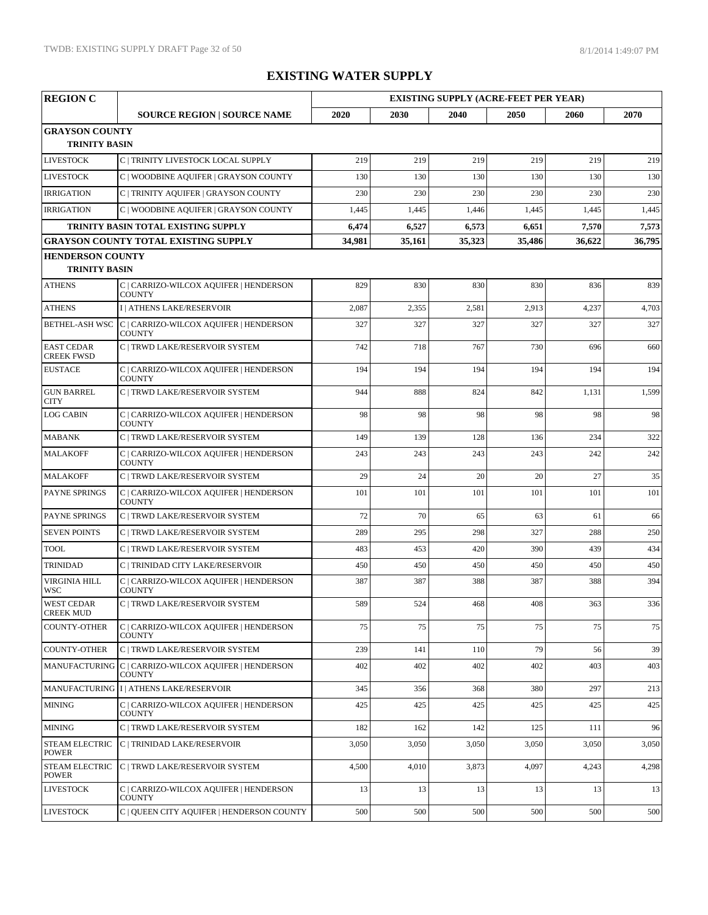| <b>REGION C</b>                        |                                                                       | <b>EXISTING SUPPLY (ACRE-FEET PER YEAR)</b> |        |        |        |        |        |  |
|----------------------------------------|-----------------------------------------------------------------------|---------------------------------------------|--------|--------|--------|--------|--------|--|
|                                        | <b>SOURCE REGION   SOURCE NAME</b>                                    | 2020                                        | 2030   | 2040   | 2050   | 2060   | 2070   |  |
| <b>GRAYSON COUNTY</b>                  |                                                                       |                                             |        |        |        |        |        |  |
| <b>TRINITY BASIN</b>                   |                                                                       |                                             |        |        |        |        |        |  |
| <b>LIVESTOCK</b>                       | C   TRINITY LIVESTOCK LOCAL SUPPLY                                    | 219                                         | 219    | 219    | 219    | 219    | 219    |  |
| <b>LIVESTOCK</b>                       | C   WOODBINE AQUIFER   GRAYSON COUNTY                                 | 130                                         | 130    | 130    | 130    | 130    | 130    |  |
| <b>IRRIGATION</b>                      | C   TRINITY AQUIFER   GRAYSON COUNTY                                  | 230                                         | 230    | 230    | 230    | 230    | 230    |  |
| <b>IRRIGATION</b>                      | C   WOODBINE AQUIFER   GRAYSON COUNTY                                 | 1,445                                       | 1,445  | 1,446  | 1,445  | 1,445  | 1,445  |  |
|                                        | TRINITY BASIN TOTAL EXISTING SUPPLY                                   | 6,474                                       | 6,527  | 6,573  | 6,651  | 7,570  | 7,573  |  |
|                                        | <b>GRAYSON COUNTY TOTAL EXISTING SUPPLY</b>                           | 34,981                                      | 35,161 | 35,323 | 35,486 | 36,622 | 36,795 |  |
| <b>HENDERSON COUNTY</b>                |                                                                       |                                             |        |        |        |        |        |  |
| <b>TRINITY BASIN</b>                   |                                                                       |                                             |        |        |        |        |        |  |
| <b>ATHENS</b>                          | C   CARRIZO-WILCOX AQUIFER   HENDERSON<br><b>COUNTY</b>               | 829                                         | 830    | 830    | 830    | 836    | 839    |  |
| <b>ATHENS</b>                          | I   ATHENS LAKE/RESERVOIR                                             | 2,087                                       | 2,355  | 2,581  | 2,913  | 4,237  | 4,703  |  |
| <b>BETHEL-ASH WSC</b>                  | C   CARRIZO-WILCOX AQUIFER   HENDERSON<br><b>COUNTY</b>               | 327                                         | 327    | 327    | 327    | 327    | 327    |  |
| <b>EAST CEDAR</b><br><b>CREEK FWSD</b> | C   TRWD LAKE/RESERVOIR SYSTEM                                        | 742                                         | 718    | 767    | 730    | 696    | 660    |  |
| <b>EUSTACE</b>                         | C   CARRIZO-WILCOX AQUIFER   HENDERSON<br><b>COUNTY</b>               | 194                                         | 194    | 194    | 194    | 194    | 194    |  |
| <b>GUN BARREL</b><br><b>CITY</b>       | C   TRWD LAKE/RESERVOIR SYSTEM                                        | 944                                         | 888    | 824    | 842    | 1,131  | 1,599  |  |
| <b>LOG CABIN</b>                       | C   CARRIZO-WILCOX AQUIFER   HENDERSON<br><b>COUNTY</b>               | 98                                          | 98     | 98     | 98     | 98     | 98     |  |
| <b>MABANK</b>                          | C   TRWD LAKE/RESERVOIR SYSTEM                                        | 149                                         | 139    | 128    | 136    | 234    | 322    |  |
| <b>MALAKOFF</b>                        | C   CARRIZO-WILCOX AQUIFER   HENDERSON<br><b>COUNTY</b>               | 243                                         | 243    | 243    | 243    | 242    | 242    |  |
| MALAKOFF                               | C   TRWD LAKE/RESERVOIR SYSTEM                                        | 29                                          | 24     | 20     | 20     | 27     | 35     |  |
| <b>PAYNE SPRINGS</b>                   | C   CARRIZO-WILCOX AQUIFER   HENDERSON<br><b>COUNTY</b>               | 101                                         | 101    | 101    | 101    | 101    | 101    |  |
| <b>PAYNE SPRINGS</b>                   | C   TRWD LAKE/RESERVOIR SYSTEM                                        | 72                                          | 70     | 65     | 63     | 61     | 66     |  |
| <b>SEVEN POINTS</b>                    | C   TRWD LAKE/RESERVOIR SYSTEM                                        | 289                                         | 295    | 298    | 327    | 288    | 250    |  |
| <b>TOOL</b>                            | C   TRWD LAKE/RESERVOIR SYSTEM                                        | 483                                         | 453    | 420    | 390    | 439    | 434    |  |
| <b>TRINIDAD</b>                        | C   TRINIDAD CITY LAKE/RESERVOIR                                      | 450                                         | 450    | 450    | 450    | 450    | 450    |  |
| <b>VIRGINIA HILL</b><br><b>WSC</b>     | C   CARRIZO-WILCOX AQUIFER   HENDERSON<br><b>COUNTY</b>               | 387                                         | 387    | 388    | 387    | 388    | 394    |  |
| <b>WEST CEDAR</b><br><b>CREEK MUD</b>  | C   TRWD LAKE/RESERVOIR SYSTEM                                        | 589                                         | 524    | 468    | 408    | 363    | 336    |  |
| <b>COUNTY-OTHER</b>                    | C   CARRIZO-WILCOX AQUIFER   HENDERSON<br>COUNTY                      | 75                                          | 75     | 75     | 75     | 75     | 75     |  |
| <b>COUNTY-OTHER</b>                    | C   TRWD LAKE/RESERVOIR SYSTEM                                        | 239                                         | 141    | 110    | 79     | 56     | 39     |  |
|                                        | MANUFACTURING C   CARRIZO-WILCOX AQUIFER   HENDERSON<br><b>COUNTY</b> | 402                                         | 402    | 402    | 402    | 403    | 403    |  |
|                                        | MANUFACTURING I   ATHENS LAKE/RESERVOIR                               | 345                                         | 356    | 368    | 380    | 297    | 213    |  |
| <b>MINING</b>                          | C   CARRIZO-WILCOX AQUIFER   HENDERSON<br><b>COUNTY</b>               | 425                                         | 425    | 425    | 425    | 425    | 425    |  |
| <b>MINING</b>                          | C   TRWD LAKE/RESERVOIR SYSTEM                                        | 182                                         | 162    | 142    | 125    | 111    | 96     |  |
| <b>STEAM ELECTRIC</b><br><b>POWER</b>  | C   TRINIDAD LAKE/RESERVOIR                                           | 3,050                                       | 3,050  | 3,050  | 3,050  | 3,050  | 3,050  |  |
| <b>STEAM ELECTRIC</b><br><b>POWER</b>  | C   TRWD LAKE/RESERVOIR SYSTEM                                        | 4,500                                       | 4,010  | 3,873  | 4,097  | 4,243  | 4,298  |  |
| <b>LIVESTOCK</b>                       | C   CARRIZO-WILCOX AQUIFER   HENDERSON<br><b>COUNTY</b>               | 13                                          | 13     | 13     | 13     | 13     | 13     |  |
| <b>LIVESTOCK</b>                       | C   QUEEN CITY AQUIFER   HENDERSON COUNTY                             | 500                                         | 500    | 500    | 500    | 500    | 500    |  |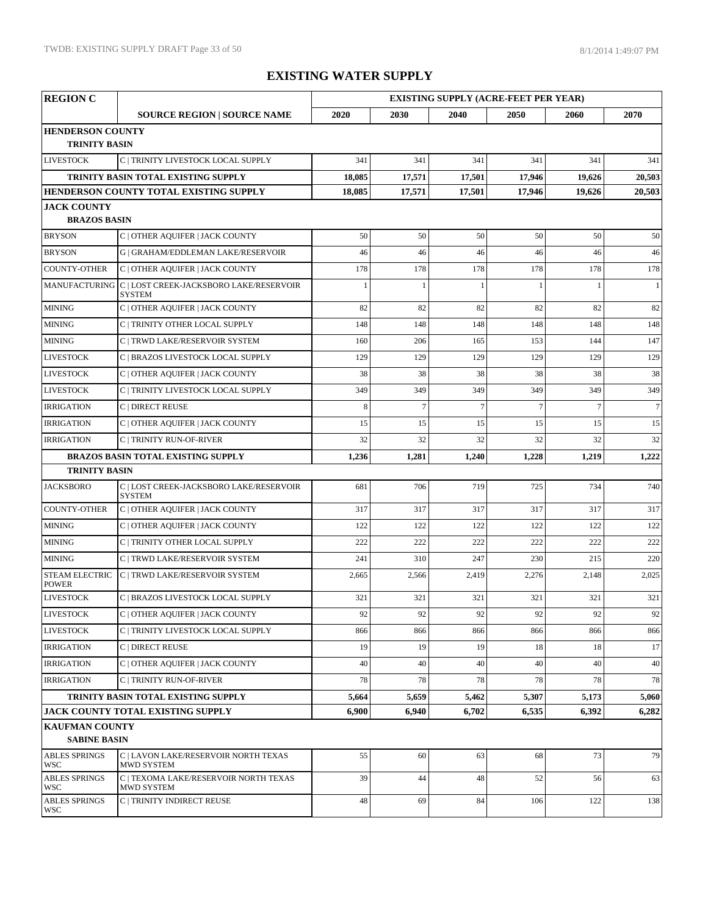| <b>REGION C</b>                           |                                                           | <b>EXISTING SUPPLY (ACRE-FEET PER YEAR)</b> |                |                |                |                |                  |  |
|-------------------------------------------|-----------------------------------------------------------|---------------------------------------------|----------------|----------------|----------------|----------------|------------------|--|
|                                           | <b>SOURCE REGION   SOURCE NAME</b>                        | 2020                                        | 2030           | 2040           | 2050           | 2060           | 2070             |  |
| <b>HENDERSON COUNTY</b>                   |                                                           |                                             |                |                |                |                |                  |  |
| <b>TRINITY BASIN</b>                      |                                                           |                                             |                |                |                |                |                  |  |
| <b>LIVESTOCK</b>                          | C   TRINITY LIVESTOCK LOCAL SUPPLY                        | 341                                         | 341            | 341            | 341            | 341            | 341              |  |
|                                           | TRINITY BASIN TOTAL EXISTING SUPPLY                       | 18,085                                      | 17,571         | 17,501         | 17,946         | 19,626         | 20,503           |  |
|                                           | HENDERSON COUNTY TOTAL EXISTING SUPPLY                    | 18,085                                      | 17,571         | 17,501         | 17,946         | 19,626         | 20,503           |  |
| <b>JACK COUNTY</b><br><b>BRAZOS BASIN</b> |                                                           |                                             |                |                |                |                |                  |  |
| <b>BRYSON</b>                             | C   OTHER AQUIFER   JACK COUNTY                           | 50                                          | 50             | 50             | 50             | 50             | 50               |  |
| <b>BRYSON</b>                             | G   GRAHAM/EDDLEMAN LAKE/RESERVOIR                        | 46                                          | 46             | 46             | 46             | 46             | 46               |  |
| <b>COUNTY-OTHER</b>                       | C   OTHER AQUIFER   JACK COUNTY                           | 178                                         | 178            | 178            | 178            | 178            | 178              |  |
|                                           | MANUFACTURING C   LOST CREEK-JACKSBORO LAKE/RESERVOIR     |                                             |                |                |                | 1              | 1                |  |
|                                           | <b>SYSTEM</b>                                             |                                             |                |                |                |                |                  |  |
| <b>MINING</b>                             | C   OTHER AQUIFER   JACK COUNTY                           | 82                                          | 82             | 82             | 82             | 82             | 82               |  |
| <b>MINING</b>                             | C   TRINITY OTHER LOCAL SUPPLY                            | 148                                         | 148            | 148            | 148            | 148            | 148              |  |
| <b>MINING</b>                             | C   TRWD LAKE/RESERVOIR SYSTEM                            | 160                                         | 206            | 165            | 153            | 144            | 147              |  |
| <b>LIVESTOCK</b>                          | C   BRAZOS LIVESTOCK LOCAL SUPPLY                         | 129                                         | 129            | 129            | 129            | 129            | 129              |  |
| <b>LIVESTOCK</b>                          | C   OTHER AQUIFER   JACK COUNTY                           | 38                                          | 38             | 38             | 38             | 38             | 38               |  |
| <b>LIVESTOCK</b>                          | C   TRINITY LIVESTOCK LOCAL SUPPLY                        | 349                                         | 349            | 349            | 349            | 349            | 349              |  |
| <b>IRRIGATION</b>                         | C   DIRECT REUSE                                          | 8                                           | $\overline{7}$ | $\overline{7}$ | $\overline{7}$ | $\overline{7}$ | $\boldsymbol{7}$ |  |
| <b>IRRIGATION</b>                         | C   OTHER AQUIFER   JACK COUNTY                           | 15                                          | 15             | 15             | 15             | 15             | 15               |  |
| <b>IRRIGATION</b>                         | <b>C   TRINITY RUN-OF-RIVER</b>                           | 32                                          | 32             | 32             | 32             | 32             | 32               |  |
|                                           | <b>BRAZOS BASIN TOTAL EXISTING SUPPLY</b>                 | 1,236                                       | 1,281          | 1,240          | 1,228          | 1,219          | 1,222            |  |
| <b>TRINITY BASIN</b>                      |                                                           |                                             |                |                |                |                |                  |  |
| <b>JACKSBORO</b>                          | C   LOST CREEK-JACKSBORO LAKE/RESERVOIR<br><b>SYSTEM</b>  | 681                                         | 706            | 719            | 725            | 734            | 740              |  |
| <b>COUNTY-OTHER</b>                       | C   OTHER AQUIFER   JACK COUNTY                           | 317                                         | 317            | 317            | 317            | 317            | 317              |  |
| <b>MINING</b>                             | C   OTHER AQUIFER   JACK COUNTY                           | 122                                         | 122            | 122            | 122            | 122            | 122              |  |
| <b>MINING</b>                             | C   TRINITY OTHER LOCAL SUPPLY                            | 222                                         | 222            | 222            | 222            | 222            | 222              |  |
| <b>MINING</b>                             | C   TRWD LAKE/RESERVOIR SYSTEM                            | 241                                         | 310            | 247            | 230            | 215            | 220              |  |
| <b>STEAM ELECTRIC</b><br><b>POWER</b>     | C   TRWD LAKE/RESERVOIR SYSTEM                            | 2,665                                       | 2,566          | 2,419          | 2,276          | 2,148          | 2,025            |  |
| <b>LIVESTOCK</b>                          | C   BRAZOS LIVESTOCK LOCAL SUPPLY                         | 321                                         | 321            | 321            | 321            | 321            | 321              |  |
| <b>LIVESTOCK</b>                          | C   OTHER AQUIFER   JACK COUNTY                           | 92                                          | 92             | 92             | 92             | 92             | 92               |  |
| <b>LIVESTOCK</b>                          | C   TRINITY LIVESTOCK LOCAL SUPPLY                        | 866                                         | 866            | 866            | 866            | 866            | 866              |  |
| <b>IRRIGATION</b>                         | C   DIRECT REUSE                                          | 19                                          | 19             | 19             | 18             | 18             | 17               |  |
| <b>IRRIGATION</b>                         | C   OTHER AQUIFER   JACK COUNTY                           | 40                                          | 40             | 40             | 40             | 40             | 40               |  |
| <b>IRRIGATION</b>                         | C   TRINITY RUN-OF-RIVER                                  | 78                                          | 78             | 78             | 78             | 78             | 78               |  |
|                                           | TRINITY BASIN TOTAL EXISTING SUPPLY                       | 5,664                                       | 5,659          | 5,462          | 5,307          | 5,173          | 5,060            |  |
|                                           | JACK COUNTY TOTAL EXISTING SUPPLY                         | 6,900                                       | 6,940          | 6,702          | 6,535          | 6,392          | 6,282            |  |
| <b>KAUFMAN COUNTY</b>                     |                                                           |                                             |                |                |                |                |                  |  |
| <b>SABINE BASIN</b>                       |                                                           |                                             |                |                |                |                |                  |  |
| <b>ABLES SPRINGS</b><br>WSC               | C   LAVON LAKE/RESERVOIR NORTH TEXAS<br><b>MWD SYSTEM</b> | 55                                          | 60             | 63             | 68             | 73             | 79               |  |
| <b>ABLES SPRINGS</b><br>WSC               | C   TEXOMA LAKE/RESERVOIR NORTH TEXAS<br>MWD SYSTEM       | 39                                          | 44             | 48             | 52             | 56             | 63               |  |
| <b>ABLES SPRINGS</b><br>WSC-              | C   TRINITY INDIRECT REUSE                                | 48                                          | 69             | 84             | 106            | 122            | 138              |  |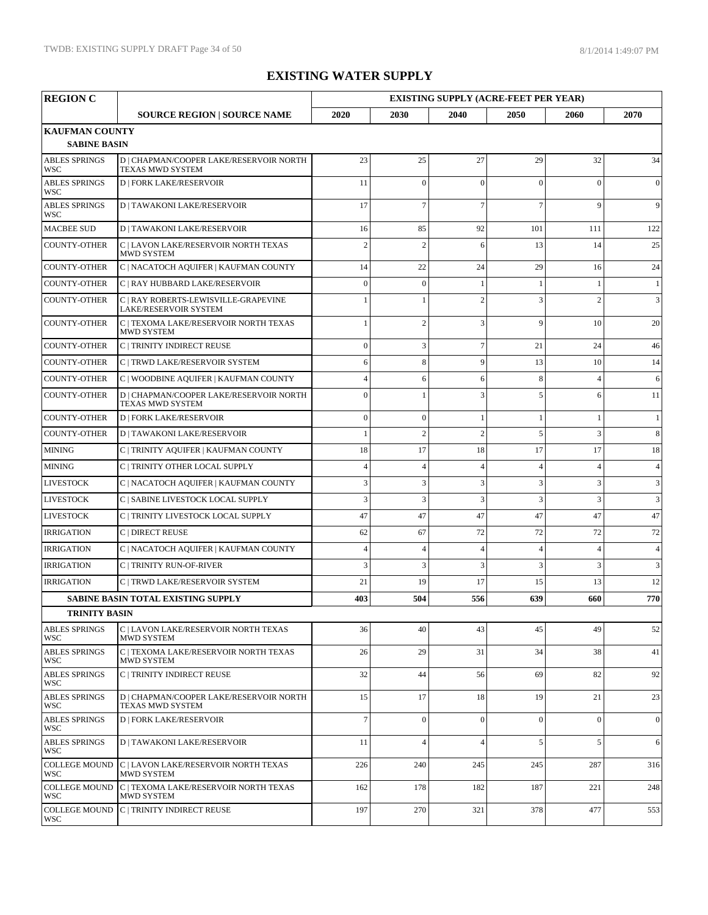| <b>REGION C</b>                              |                                                                    |                |                  | <b>EXISTING SUPPLY (ACRE-FEET PER YEAR)</b> |                          |                |                |
|----------------------------------------------|--------------------------------------------------------------------|----------------|------------------|---------------------------------------------|--------------------------|----------------|----------------|
|                                              | <b>SOURCE REGION   SOURCE NAME</b>                                 | 2020           | 2030             | 2040                                        | 2050                     | 2060           | 2070           |
| <b>KAUFMAN COUNTY</b><br><b>SABINE BASIN</b> |                                                                    |                |                  |                                             |                          |                |                |
| <b>ABLES SPRINGS</b><br>WSC                  | D   CHAPMAN/COOPER LAKE/RESERVOIR NORTH<br><b>TEXAS MWD SYSTEM</b> | 23             | 25               | 27                                          | 29                       | 32             | 34             |
| <b>ABLES SPRINGS</b><br>WSC                  | <b>D   FORK LAKE/RESERVOIR</b>                                     | 11             | $\theta$         | $\Omega$                                    | $\Omega$                 | $\Omega$       | $\overline{0}$ |
| <b>ABLES SPRINGS</b><br>WSC                  | <b>D   TAWAKONI LAKE/RESERVOIR</b>                                 | 17             | $\overline{7}$   | $\overline{7}$                              | $\overline{7}$           | $\mathbf{Q}$   | 9              |
| <b>MACBEE SUD</b>                            | <b>D   TAWAKONI LAKE/RESERVOIR</b>                                 | 16             | 85               | 92                                          | 101                      | 111            | 122            |
| <b>COUNTY-OTHER</b>                          | C   LAVON LAKE/RESERVOIR NORTH TEXAS<br><b>MWD SYSTEM</b>          | $\overline{c}$ | $\overline{2}$   | 6                                           | 13                       | 14             | 25             |
| <b>COUNTY-OTHER</b>                          | C   NACATOCH AQUIFER   KAUFMAN COUNTY                              | 14             | 22               | 24                                          | 29                       | 16             | 24             |
| <b>COUNTY-OTHER</b>                          | C   RAY HUBBARD LAKE/RESERVOIR                                     | $\mathbf{0}$   | $\boldsymbol{0}$ | $\mathbf{1}$                                | 1                        | 1              | $\mathbf{1}$   |
| <b>COUNTY-OTHER</b>                          | C   RAY ROBERTS-LEWISVILLE-GRAPEVINE<br>LAKE/RESERVOIR SYSTEM      |                |                  | $\mathcal{P}$                               | 3                        | $\overline{c}$ | 3              |
| <b>COUNTY-OTHER</b>                          | C   TEXOMA LAKE/RESERVOIR NORTH TEXAS<br>MWD SYSTEM                |                | $\overline{2}$   | 3                                           | 9                        | 10             | 20             |
| <b>COUNTY-OTHER</b>                          | C   TRINITY INDIRECT REUSE                                         | $\mathbf{0}$   | 3                | $\overline{7}$                              | 21                       | 24             | 46             |
| <b>COUNTY-OTHER</b>                          | C   TRWD LAKE/RESERVOIR SYSTEM                                     | 6              | 8                | 9                                           | 13                       | 10             | 14             |
| <b>COUNTY-OTHER</b>                          | C   WOODBINE AQUIFER   KAUFMAN COUNTY                              | $\overline{4}$ | 6                | 6                                           | 8                        | $\overline{4}$ | 6              |
| <b>COUNTY-OTHER</b>                          | D   CHAPMAN/COOPER LAKE/RESERVOIR NORTH<br><b>TEXAS MWD SYSTEM</b> | $\Omega$       | $\mathbf{1}$     | 3                                           | 5                        | 6              | 11             |
| <b>COUNTY-OTHER</b>                          | <b>D   FORK LAKE/RESERVOIR</b>                                     | $\mathbf{0}$   | $\boldsymbol{0}$ |                                             |                          | 1              | $\mathbf{1}$   |
| <b>COUNTY-OTHER</b>                          | <b>D   TAWAKONI LAKE/RESERVOIR</b>                                 | $\mathbf{1}$   | $\overline{2}$   | $\overline{2}$                              | 5                        | 3              | 8              |
| <b>MINING</b>                                | C   TRINITY AQUIFER   KAUFMAN COUNTY                               | 18             | 17               | 18                                          | 17                       | 17             | 18             |
| <b>MINING</b>                                | C   TRINITY OTHER LOCAL SUPPLY                                     | $\overline{4}$ | $\overline{4}$   | $\overline{4}$                              | $\overline{4}$           | $\overline{4}$ | $\overline{4}$ |
| <b>LIVESTOCK</b>                             | C   NACATOCH AQUIFER   KAUFMAN COUNTY                              | 3              | 3                | 3                                           | 3                        | 3              | 3              |
| <b>LIVESTOCK</b>                             | C   SABINE LIVESTOCK LOCAL SUPPLY                                  | 3              | 3                | 3                                           | 3                        | 3              | 3              |
| <b>LIVESTOCK</b>                             | C   TRINITY LIVESTOCK LOCAL SUPPLY                                 | 47             | 47               | 47                                          | 47                       | 47             | 47             |
| <b>IRRIGATION</b>                            | C   DIRECT REUSE                                                   | 62             | 67               | 72                                          | 72                       | 72             | 72             |
| <b>IRRIGATION</b>                            | C   NACATOCH AQUIFER   KAUFMAN COUNTY                              | $\overline{4}$ | $\overline{4}$   | $\overline{4}$                              | $\overline{\mathcal{L}}$ | $\overline{4}$ | $\overline{4}$ |
| <b>IRRIGATION</b>                            | C   TRINITY RUN-OF-RIVER                                           | 3              | 3                | 3                                           | 3                        | 3              | 3              |
| <b>IRRIGATION</b>                            | C   TRWD LAKE/RESERVOIR SYSTEM                                     | 21             | 19               | 17                                          | 15                       | 13             | 12             |
|                                              | <b>SABINE BASIN TOTAL EXISTING SUPPLY</b>                          | 403            | 504              | 556                                         | 639                      | 660            | 770            |
| <b>TRINITY BASIN</b>                         |                                                                    |                |                  |                                             |                          |                |                |
| <b>ABLES SPRINGS</b><br>WSC                  | C   LAVON LAKE/RESERVOIR NORTH TEXAS<br>MWD SYSTEM                 | 36             | 40               | 43                                          | 45                       | 49             | 52             |
| <b>ABLES SPRINGS</b><br>WSC                  | C   TEXOMA LAKE/RESERVOIR NORTH TEXAS<br><b>MWD SYSTEM</b>         | 26             | 29               | 31                                          | 34                       | 38             | 41             |
| <b>ABLES SPRINGS</b><br>WSC                  | C   TRINITY INDIRECT REUSE                                         | 32             | 44               | 56                                          | 69                       | 82             | 92             |
| <b>ABLES SPRINGS</b><br>WSC                  | D   CHAPMAN/COOPER LAKE/RESERVOIR NORTH<br>TEXAS MWD SYSTEM        | 15             | 17               | 18                                          | 19                       | 21             | 23             |
| <b>ABLES SPRINGS</b><br>WSC                  | <b>D   FORK LAKE/RESERVOIR</b>                                     | $\overline{7}$ | $\overline{0}$   | $\overline{0}$                              | $\overline{0}$           | $\Omega$       | $\mathbf{0}$   |
| <b>ABLES SPRINGS</b><br>WSC                  | <b>D   TAWAKONI LAKE/RESERVOIR</b>                                 | 11             | $\overline{4}$   | $\overline{4}$                              | 5                        | 5              | 6              |
| COLLEGE MOUND<br>WSC                         | C   LAVON LAKE/RESERVOIR NORTH TEXAS<br><b>MWD SYSTEM</b>          | 226            | 240              | 245                                         | 245                      | 287            | 316            |
| <b>COLLEGE MOUND</b><br>WSC                  | C   TEXOMA LAKE/RESERVOIR NORTH TEXAS<br>MWD SYSTEM                | 162            | 178              | 182                                         | 187                      | 221            | 248            |
| <b>COLLEGE MOUND</b><br>WSC                  | C   TRINITY INDIRECT REUSE                                         | 197            | 270              | 321                                         | 378                      | 477            | 553            |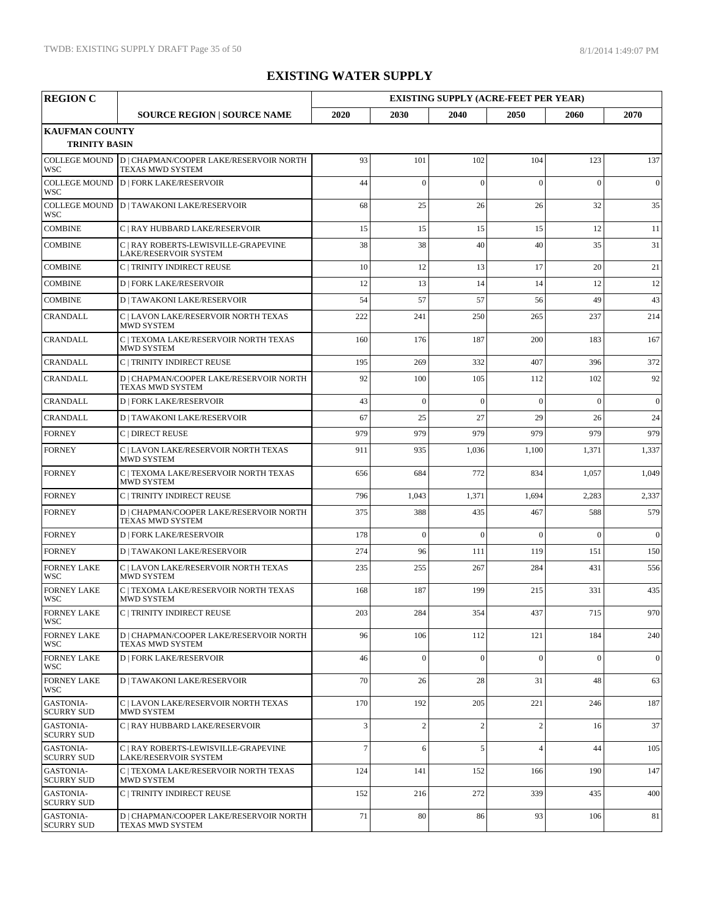| <b>REGION C</b>                               |                                                                                  |                |                |                | <b>EXISTING SUPPLY (ACRE-FEET PER YEAR)</b> |                |              |  |
|-----------------------------------------------|----------------------------------------------------------------------------------|----------------|----------------|----------------|---------------------------------------------|----------------|--------------|--|
|                                               | <b>SOURCE REGION   SOURCE NAME</b>                                               | 2020           | 2030           | 2040           | 2050                                        | 2060           | 2070         |  |
| <b>KAUFMAN COUNTY</b><br><b>TRINITY BASIN</b> |                                                                                  |                |                |                |                                             |                |              |  |
| WSC                                           | COLLEGE MOUND D   CHAPMAN/COOPER LAKE/RESERVOIR NORTH<br><b>TEXAS MWD SYSTEM</b> | 93             | 101            | 102            | 104                                         | 123            | 137          |  |
| <b>COLLEGE MOUND</b><br><b>WSC</b>            | <b>D   FORK LAKE/RESERVOIR</b>                                                   | 44             | $\Omega$       | $\theta$       | $\overline{0}$                              | $\theta$       | $\mathbf{0}$ |  |
| <b>COLLEGE MOUND</b><br>WSC                   | <b>D   TAWAKONI LAKE/RESERVOIR</b>                                               | 68             | 25             | 26             | 26                                          | 32             | 35           |  |
| <b>COMBINE</b>                                | C   RAY HUBBARD LAKE/RESERVOIR                                                   | 15             | 15             | 15             | 15                                          | 12             | 11           |  |
| <b>COMBINE</b>                                | C   RAY ROBERTS-LEWISVILLE-GRAPEVINE<br><b>LAKE/RESERVOIR SYSTEM</b>             | 38             | 38             | 40             | 40                                          | 35             | 31           |  |
| <b>COMBINE</b>                                | C   TRINITY INDIRECT REUSE                                                       | 10             | 12             | 13             | 17                                          | 20             | 21           |  |
| <b>COMBINE</b>                                | <b>D   FORK LAKE/RESERVOIR</b>                                                   | 12             | 13             | 14             | 14                                          | 12             | 12           |  |
| <b>COMBINE</b>                                | <b>D   TAWAKONI LAKE/RESERVOIR</b>                                               | 54             | 57             | 57             | 56                                          | 49             | 43           |  |
| CRANDALL                                      | C   LAVON LAKE/RESERVOIR NORTH TEXAS<br><b>MWD SYSTEM</b>                        | 222            | 241            | 250            | 265                                         | 237            | 214          |  |
| <b>CRANDALL</b>                               | C   TEXOMA LAKE/RESERVOIR NORTH TEXAS<br>MWD SYSTEM                              | 160            | 176            | 187            | 200                                         | 183            | 167          |  |
| <b>CRANDALL</b>                               | C   TRINITY INDIRECT REUSE                                                       | 195            | 269            | 332            | 407                                         | 396            | 372          |  |
| <b>CRANDALL</b>                               | D   CHAPMAN/COOPER LAKE/RESERVOIR NORTH<br>TEXAS MWD SYSTEM                      | 92             | 100            | 105            | 112                                         | 102            | 92           |  |
| <b>CRANDALL</b>                               | <b>D   FORK LAKE/RESERVOIR</b>                                                   | 43             | $\theta$       | $\theta$       | $\Omega$                                    | $\theta$       | $\mathbf{0}$ |  |
| <b>CRANDALL</b>                               | <b>D   TAWAKONI LAKE/RESERVOIR</b>                                               | 67             | 25             | 27             | 29                                          | 26             | 24           |  |
| <b>FORNEY</b>                                 | C   DIRECT REUSE                                                                 | 979            | 979            | 979            | 979                                         | 979            | 979          |  |
| <b>FORNEY</b>                                 | C   LAVON LAKE/RESERVOIR NORTH TEXAS<br>MWD SYSTEM                               | 911            | 935            | 1,036          | 1,100                                       | 1,371          | 1,337        |  |
| <b>FORNEY</b>                                 | C   TEXOMA LAKE/RESERVOIR NORTH TEXAS<br><b>MWD SYSTEM</b>                       | 656            | 684            | 772            | 834                                         | 1,057          | 1,049        |  |
| <b>FORNEY</b>                                 | C   TRINITY INDIRECT REUSE                                                       | 796            | 1,043          | 1,371          | 1,694                                       | 2,283          | 2,337        |  |
| <b>FORNEY</b>                                 | D   CHAPMAN/COOPER LAKE/RESERVOIR NORTH<br><b>TEXAS MWD SYSTEM</b>               | 375            | 388            | 435            | 467                                         | 588            | 579          |  |
| <b>FORNEY</b>                                 | <b>D   FORK LAKE/RESERVOIR</b>                                                   | 178            | $\overline{0}$ | $\overline{0}$ | $\theta$                                    | $\overline{0}$ | $\mathbf{0}$ |  |
| <b>FORNEY</b>                                 | <b>D   TAWAKONI LAKE/RESERVOIR</b>                                               | 274            | 96             | 111            | 119                                         | 151            | 150          |  |
| <b>FORNEY LAKE</b><br>WSC                     | C   LAVON LAKE/RESERVOIR NORTH TEXAS<br><b>MWD SYSTEM</b>                        | 235            | 255            | 267            | 284                                         | 431            | 556          |  |
| <b>FORNEY LAKE</b><br>WSC                     | C   TEXOMA LAKE/RESERVOIR NORTH TEXAS<br><b>MWD SYSTEM</b>                       | 168            | 187            | 199            | 215                                         | 331            | 435          |  |
| <b>FORNEY LAKE</b><br>WSC                     | C   TRINITY INDIRECT REUSE                                                       | 203            | 284            | 354            | 437                                         | 715            | 970          |  |
| <b>FORNEY LAKE</b><br>WSC                     | D   CHAPMAN/COOPER LAKE/RESERVOIR NORTH<br><b>TEXAS MWD SYSTEM</b>               | 96             | 106            | 112            | 121                                         | 184            | 240          |  |
| <b>FORNEY LAKE</b><br>WSC                     | <b>D   FORK LAKE/RESERVOIR</b>                                                   | 46             | $\overline{0}$ | $\theta$       | $\mathbf{0}$                                | $\overline{0}$ | $\mathbf{0}$ |  |
| <b>FORNEY LAKE</b><br><b>WSC</b>              | <b>D</b>   TAWAKONI LAKE/RESERVOIR                                               | 70             | 26             | 28             | 31                                          | 48             | 63           |  |
| <b>GASTONIA-</b><br><b>SCURRY SUD</b>         | C   LAVON LAKE/RESERVOIR NORTH TEXAS<br><b>MWD SYSTEM</b>                        | 170            | 192            | 205            | 221                                         | 246            | 187          |  |
| <b>GASTONIA-</b><br> SCURRY SUD               | C   RAY HUBBARD LAKE/RESERVOIR                                                   | 3              | $\overline{2}$ | $\overline{c}$ | $\overline{2}$                              | 16             | 37           |  |
| <b>GASTONIA-</b><br><b>SCURRY SUD</b>         | C   RAY ROBERTS-LEWISVILLE-GRAPEVINE<br><b>LAKE/RESERVOIR SYSTEM</b>             | $\overline{7}$ | 6              | 5              | $\overline{\mathcal{A}}$                    | 44             | 105          |  |
| <b>GASTONIA-</b><br><b>SCURRY SUD</b>         | C   TEXOMA LAKE/RESERVOIR NORTH TEXAS<br>MWD SYSTEM                              | 124            | 141            | 152            | 166                                         | 190            | 147          |  |
| GASTONIA-<br><b>SCURRY SUD</b>                | C   TRINITY INDIRECT REUSE                                                       | 152            | 216            | 272            | 339                                         | 435            | 400          |  |
| <b>GASTONIA-</b><br><b>SCURRY SUD</b>         | D   CHAPMAN/COOPER LAKE/RESERVOIR NORTH<br>TEXAS MWD SYSTEM                      | 71             | 80             | 86             | 93                                          | 106            | 81           |  |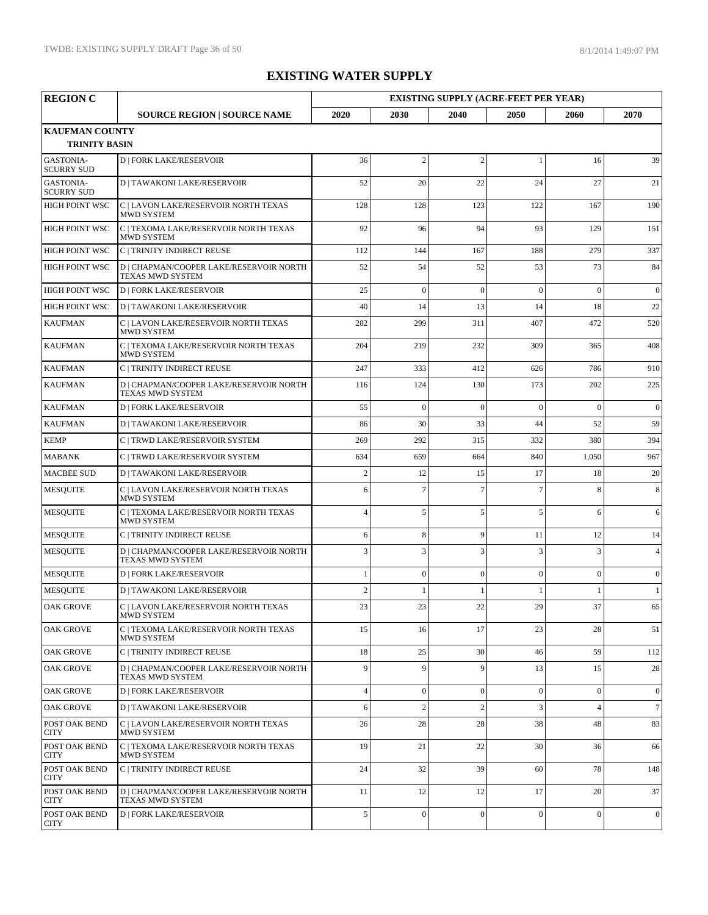| <b>REGION C</b>                               |                                                             |                |                | <b>EXISTING SUPPLY (ACRE-FEET PER YEAR)</b> |                |                |                  |
|-----------------------------------------------|-------------------------------------------------------------|----------------|----------------|---------------------------------------------|----------------|----------------|------------------|
|                                               | <b>SOURCE REGION   SOURCE NAME</b>                          | 2020           | 2030           | 2040                                        | 2050           | 2060           | 2070             |
| <b>KAUFMAN COUNTY</b><br><b>TRINITY BASIN</b> |                                                             |                |                |                                             |                |                |                  |
| <b>GASTONIA-</b><br><b>SCURRY SUD</b>         | <b>D   FORK LAKE/RESERVOIR</b>                              | 36             | $\overline{2}$ | $\overline{2}$                              | 1              | 16             | 39               |
| <b>GASTONIA-</b><br><b>SCURRY SUD</b>         | <b>D   TAWAKONI LAKE/RESERVOIR</b>                          | 52             | 20             | 22                                          | 24             | 27             | 21               |
| <b>HIGH POINT WSC</b>                         | C   LAVON LAKE/RESERVOIR NORTH TEXAS<br><b>MWD SYSTEM</b>   | 128            | 128            | 123                                         | 122            | 167            | 190              |
| <b>HIGH POINT WSC</b>                         | C   TEXOMA LAKE/RESERVOIR NORTH TEXAS<br><b>MWD SYSTEM</b>  | 92             | 96             | 94                                          | 93             | 129            | 151              |
| <b>HIGH POINT WSC</b>                         | C   TRINITY INDIRECT REUSE                                  | 112            | 144            | 167                                         | 188            | 279            | 337              |
| <b>HIGH POINT WSC</b>                         | D   CHAPMAN/COOPER LAKE/RESERVOIR NORTH<br>TEXAS MWD SYSTEM | 52             | 54             | 52                                          | 53             | 73             | 84               |
| HIGH POINT WSC                                | <b>D   FORK LAKE/RESERVOIR</b>                              | 25             | $\overline{0}$ | $\theta$                                    | $\theta$       | $\theta$       | $\mathbf{0}$     |
| <b>HIGH POINT WSC</b>                         | <b>D   TAWAKONI LAKE/RESERVOIR</b>                          | 40             | 14             | 13                                          | 14             | 18             | 22               |
| <b>KAUFMAN</b>                                | C   LAVON LAKE/RESERVOIR NORTH TEXAS<br><b>MWD SYSTEM</b>   | 282            | 299            | 311                                         | 407            | 472            | 520              |
| <b>KAUFMAN</b>                                | C   TEXOMA LAKE/RESERVOIR NORTH TEXAS<br><b>MWD SYSTEM</b>  | 204            | 219            | 232                                         | 309            | 365            | 408              |
| <b>KAUFMAN</b>                                | C   TRINITY INDIRECT REUSE                                  | 247            | 333            | 412                                         | 626            | 786            | 910              |
| <b>KAUFMAN</b>                                | D   CHAPMAN/COOPER LAKE/RESERVOIR NORTH<br>TEXAS MWD SYSTEM | 116            | 124            | 130                                         | 173            | 202            | 225              |
| <b>KAUFMAN</b>                                | <b>D   FORK LAKE/RESERVOIR</b>                              | 55             | $\theta$       | $\theta$                                    | $\theta$       | $\theta$       | $\mathbf{0}$     |
| <b>KAUFMAN</b>                                | <b>D   TAWAKONI LAKE/RESERVOIR</b>                          | 86             | 30             | 33                                          | 44             | 52             | 59               |
| <b>KEMP</b>                                   | C   TRWD LAKE/RESERVOIR SYSTEM                              | 269            | 292            | 315                                         | 332            | 380            | 394              |
| <b>MABANK</b>                                 | C   TRWD LAKE/RESERVOIR SYSTEM                              | 634            | 659            | 664                                         | 840            | 1,050          | 967              |
| <b>MACBEE SUD</b>                             | <b>D   TAWAKONI LAKE/RESERVOIR</b>                          | $\overline{c}$ | 12             | 15                                          | 17             | 18             | 20               |
| <b>MESQUITE</b>                               | C   LAVON LAKE/RESERVOIR NORTH TEXAS<br><b>MWD SYSTEM</b>   | 6              | $\overline{7}$ | $\overline{7}$                              | $\overline{7}$ | 8              | 8                |
| <b>MESQUITE</b>                               | C   TEXOMA LAKE/RESERVOIR NORTH TEXAS<br><b>MWD SYSTEM</b>  | $\overline{A}$ | 5              | 5                                           | 5              | 6              | 6                |
| <b>MESQUITE</b>                               | C   TRINITY INDIRECT REUSE                                  | 6              | 8              | 9                                           | 11             | 12             | 14               |
| <b>MESQUITE</b>                               | D   CHAPMAN/COOPER LAKE/RESERVOIR NORTH<br>TEXAS MWD SYSTEM | 3              | 3              | 3                                           | 3              | 3              | $\overline{4}$   |
| <b>MESQUITE</b>                               | <b>D   FORK LAKE/RESERVOIR</b>                              |                | $\overline{0}$ | $\overline{0}$                              | $\overline{0}$ | $\Omega$       | $\boldsymbol{0}$ |
| <b>MESQUITE</b>                               | <b>D   TAWAKONI LAKE/RESERVOIR</b>                          | $\overline{c}$ |                |                                             |                |                | 1                |
| <b>OAK GROVE</b>                              | C   LAVON LAKE/RESERVOIR NORTH TEXAS<br>MWD SYSTEM          | 23             | 23             | 22                                          | 29             | 37             | 65               |
| <b>OAK GROVE</b>                              | C   TEXOMA LAKE/RESERVOIR NORTH TEXAS<br>MWD SYSTEM         | 15             | 16             | 17                                          | 23             | 28             | 51               |
| <b>OAK GROVE</b>                              | C   TRINITY INDIRECT REUSE                                  | 18             | 25             | 30                                          | 46             | 59             | 112              |
| <b>OAK GROVE</b>                              | D   CHAPMAN/COOPER LAKE/RESERVOIR NORTH<br>TEXAS MWD SYSTEM | 9              | 9              | 9                                           | 13             | 15             | 28               |
| <b>OAK GROVE</b>                              | <b>D   FORK LAKE/RESERVOIR</b>                              | $\overline{4}$ | $\overline{0}$ | $\overline{0}$                              | $\theta$       | $\overline{0}$ | $\mathbf{0}$     |
| <b>OAK GROVE</b>                              | <b>D   TAWAKONI LAKE/RESERVOIR</b>                          | 6              | $\overline{2}$ | $\overline{2}$                              | 3              | $\overline{4}$ | $\tau$           |
| POST OAK BEND<br><b>CITY</b>                  | C   LAVON LAKE/RESERVOIR NORTH TEXAS<br>MWD SYSTEM          | 26             | 28             | 28                                          | 38             | 48             | 83               |
| <b>POST OAK BEND</b><br><b>CITY</b>           | C   TEXOMA LAKE/RESERVOIR NORTH TEXAS<br>MWD SYSTEM         | 19             | 21             | 22                                          | 30             | 36             | 66               |
| POST OAK BEND<br><b>CITY</b>                  | C   TRINITY INDIRECT REUSE                                  | 24             | 32             | 39                                          | 60             | 78             | 148              |
| <b>POST OAK BEND</b><br><b>CITY</b>           | D   CHAPMAN/COOPER LAKE/RESERVOIR NORTH<br>TEXAS MWD SYSTEM | 11             | 12             | 12                                          | 17             | 20             | 37               |
| POST OAK BEND<br><b>CITY</b>                  | <b>D   FORK LAKE/RESERVOIR</b>                              | 5              | $\overline{0}$ | $\Omega$                                    | $\mathbf{0}$   | $\theta$       | $\mathbf{0}$     |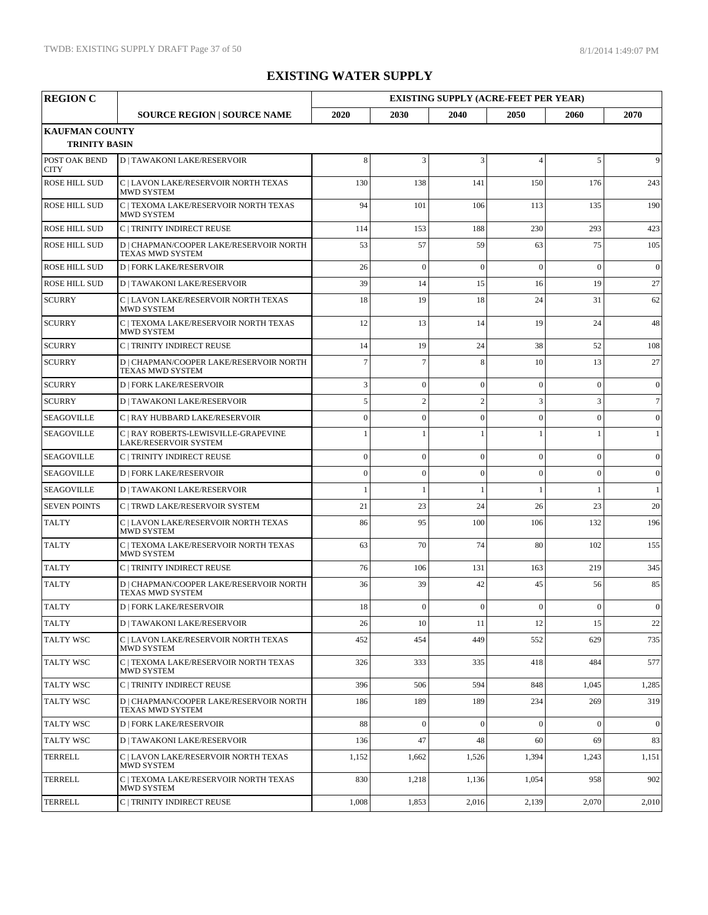| <b>REGION C</b>              |                                                                    | <b>EXISTING SUPPLY (ACRE-FEET PER YEAR)</b> |                 |                |                |                |              |
|------------------------------|--------------------------------------------------------------------|---------------------------------------------|-----------------|----------------|----------------|----------------|--------------|
|                              | <b>SOURCE REGION   SOURCE NAME</b>                                 | 2020                                        | 2030            | 2040           | 2050           | 2060           | 2070         |
| <b>KAUFMAN COUNTY</b>        |                                                                    |                                             |                 |                |                |                |              |
| <b>TRINITY BASIN</b>         |                                                                    |                                             |                 |                |                |                |              |
| POST OAK BEND<br><b>CITY</b> | <b>D   TAWAKONI LAKE/RESERVOIR</b>                                 | 8                                           | $\overline{3}$  | 3              | $\overline{4}$ | 5              | 9            |
| <b>ROSE HILL SUD</b>         | C   LAVON LAKE/RESERVOIR NORTH TEXAS<br><b>MWD SYSTEM</b>          | 130                                         | 138             | 141            | 150            | 176            | 243          |
| <b>ROSE HILL SUD</b>         | C   TEXOMA LAKE/RESERVOIR NORTH TEXAS<br>MWD SYSTEM                | 94                                          | 101             | 106            | 113            | 135            | 190          |
| ROSE HILL SUD                | C   TRINITY INDIRECT REUSE                                         | 114                                         | 153             | 188            | 230            | 293            | 423          |
| <b>ROSE HILL SUD</b>         | D   CHAPMAN/COOPER LAKE/RESERVOIR NORTH<br>TEXAS MWD SYSTEM        | 53                                          | 57              | 59             | 63             | 75             | 105          |
| <b>ROSE HILL SUD</b>         | <b>D   FORK LAKE/RESERVOIR</b>                                     | 26                                          | $\mathbf{0}$    | $\overline{0}$ | $\mathbf{0}$   | $\theta$       | $\mathbf{0}$ |
| <b>ROSE HILL SUD</b>         | <b>D   TAWAKONI LAKE/RESERVOIR</b>                                 | 39                                          | 14              | 15             | 16             | 19             | 27           |
| <b>SCURRY</b>                | C   LAVON LAKE/RESERVOIR NORTH TEXAS<br>MWD SYSTEM                 | 18                                          | 19              | 18             | 24             | 31             | 62           |
| <b>SCURRY</b>                | C   TEXOMA LAKE/RESERVOIR NORTH TEXAS<br>MWD SYSTEM                | 12                                          | 13              | 14             | 19             | 24             | 48           |
| <b>SCURRY</b>                | C   TRINITY INDIRECT REUSE                                         | 14                                          | 19              | 24             | 38             | 52             | 108          |
| <b>SCURRY</b>                | D   CHAPMAN/COOPER LAKE/RESERVOIR NORTH<br><b>TEXAS MWD SYSTEM</b> | $\overline{7}$                              | $7\phantom{.0}$ | 8              | 10             | 13             | 27           |
| <b>SCURRY</b>                | <b>D   FORK LAKE/RESERVOIR</b>                                     | 3                                           | $\mathbf{0}$    | $\overline{0}$ | $\mathbf{0}$   | $\overline{0}$ | $\mathbf{0}$ |
| <b>SCURRY</b>                | <b>D   TAWAKONI LAKE/RESERVOIR</b>                                 | 5                                           | $\sqrt{2}$      | $\overline{2}$ | 3              | 3              | $\tau$       |
| <b>SEAGOVILLE</b>            | C   RAY HUBBARD LAKE/RESERVOIR                                     | $\Omega$                                    | $\mathbf{0}$    | $\theta$       | $\mathbf{0}$   | $\overline{0}$ | $\mathbf{0}$ |
| <b>SEAGOVILLE</b>            | C   RAY ROBERTS-LEWISVILLE-GRAPEVINE<br>LAKE/RESERVOIR SYSTEM      |                                             | $\mathbf{1}$    |                | 1              | 1              | 1            |
| <b>SEAGOVILLE</b>            | C   TRINITY INDIRECT REUSE                                         | $\theta$                                    | $\mathbf{0}$    | $\overline{0}$ | $\mathbf{0}$   | $\theta$       | $\mathbf{0}$ |
| <b>SEAGOVILLE</b>            | <b>D   FORK LAKE/RESERVOIR</b>                                     | $\overline{0}$                              | $\mathbf{0}$    | $\theta$       | $\theta$       | $\overline{0}$ | $\mathbf{0}$ |
| <b>SEAGOVILLE</b>            | <b>D   TAWAKONI LAKE/RESERVOIR</b>                                 |                                             | $\mathbf{1}$    | $\mathbf{1}$   | 1              | 1              | $\mathbf{1}$ |
| <b>SEVEN POINTS</b>          | C   TRWD LAKE/RESERVOIR SYSTEM                                     | 21                                          | 23              | 24             | 26             | 23             | 20           |
| <b>TALTY</b>                 | C   LAVON LAKE/RESERVOIR NORTH TEXAS<br><b>MWD SYSTEM</b>          | 86                                          | 95              | 100            | 106            | 132            | 196          |
| <b>TALTY</b>                 | C   TEXOMA LAKE/RESERVOIR NORTH TEXAS<br>MWD SYSTEM                | 63                                          | 70              | 74             | 80             | 102            | 155          |
| <b>TALTY</b>                 | C   TRINITY INDIRECT REUSE                                         | 76                                          | 106             | 131            | 163            | 219            | 345          |
| <b>TALTY</b>                 | D   CHAPMAN/COOPER LAKE/RESERVOIR NORTH<br>TEXAS MWD SYSTEM        | 36                                          | 39              | 42             | 45             | 56             | 85           |
| <b>TALTY</b>                 | <b>D   FORK LAKE/RESERVOIR</b>                                     | 18                                          | $\Omega$        | $\Omega$       | $\Omega$       | $\Omega$       | $\Omega$     |
| <b>TALTY</b>                 | <b>D   TAWAKONI LAKE/RESERVOIR</b>                                 | 26                                          | 10              | 11             | 12             | 15             | 22           |
| <b>TALTY WSC</b>             | C   LAVON LAKE/RESERVOIR NORTH TEXAS<br>MWD SYSTEM                 | 452                                         | 454             | 449            | 552            | 629            | 735          |
| <b>TALTY WSC</b>             | C   TEXOMA LAKE/RESERVOIR NORTH TEXAS<br>MWD SYSTEM                | 326                                         | 333             | 335            | 418            | 484            | 577          |
| <b>TALTY WSC</b>             | C   TRINITY INDIRECT REUSE                                         | 396                                         | 506             | 594            | 848            | 1,045          | 1,285        |
| <b>TALTY WSC</b>             | D   CHAPMAN/COOPER LAKE/RESERVOIR NORTH<br>TEXAS MWD SYSTEM        | 186                                         | 189             | 189            | 234            | 269            | 319          |
| <b>TALTY WSC</b>             | <b>D   FORK LAKE/RESERVOIR</b>                                     | 88                                          | $\mathbf{0}$    | $\theta$       | $\mathbf{0}$   | $\overline{0}$ | $\mathbf{0}$ |
| <b>TALTY WSC</b>             | <b>D   TAWAKONI LAKE/RESERVOIR</b>                                 | 136                                         | 47              | 48             | 60             | 69             | 83           |
| <b>TERRELL</b>               | C   LAVON LAKE/RESERVOIR NORTH TEXAS<br>MWD SYSTEM                 | 1,152                                       | 1,662           | 1,526          | 1,394          | 1,243          | 1,151        |
| <b>TERRELL</b>               | C   TEXOMA LAKE/RESERVOIR NORTH TEXAS<br>MWD SYSTEM                | 830                                         | 1,218           | 1,136          | 1,054          | 958            | 902          |
| <b>TERRELL</b>               | C   TRINITY INDIRECT REUSE                                         | 1,008                                       | 1,853           | 2,016          | 2,139          | 2,070          | 2,010        |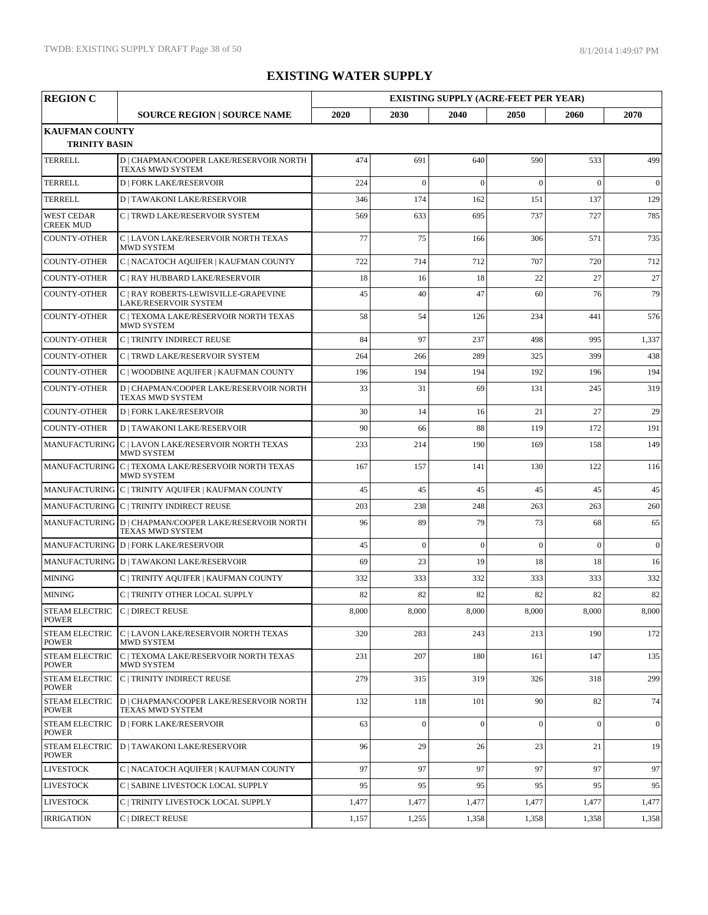| <b>REGION C</b>                                 |                                                                           |       |                |                | <b>EXISTING SUPPLY (ACRE-FEET PER YEAR)</b> |              |                |  |
|-------------------------------------------------|---------------------------------------------------------------------------|-------|----------------|----------------|---------------------------------------------|--------------|----------------|--|
|                                                 | <b>SOURCE REGION   SOURCE NAME</b>                                        | 2020  | 2030           | 2040           | 2050                                        | 2060         | 2070           |  |
| <b>KAUFMAN COUNTY</b><br><b>TRINITY BASIN</b>   |                                                                           |       |                |                |                                             |              |                |  |
| <b>TERRELL</b>                                  | D   CHAPMAN/COOPER LAKE/RESERVOIR NORTH<br>TEXAS MWD SYSTEM               | 474   | 691            | 640            | 590                                         | 533          | 499            |  |
| <b>TERRELL</b>                                  | <b>D   FORK LAKE/RESERVOIR</b>                                            | 224   | $\Omega$       | $\overline{0}$ | $\theta$                                    | $\theta$     | $\mathbf{0}$   |  |
| <b>TERRELL</b>                                  | <b>D   TAWAKONI LAKE/RESERVOIR</b>                                        | 346   | 174            | 162            | 151                                         | 137          | 129            |  |
| <b>WEST CEDAR</b><br><b>CREEK MUD</b>           | C   TRWD LAKE/RESERVOIR SYSTEM                                            | 569   | 633            | 695            | 737                                         | 727          | 785            |  |
| <b>COUNTY-OTHER</b>                             | C   LAVON LAKE/RESERVOIR NORTH TEXAS<br>MWD SYSTEM                        | 77    | 75             | 166            | 306                                         | 571          | 735            |  |
| <b>COUNTY-OTHER</b>                             | C   NACATOCH AQUIFER   KAUFMAN COUNTY                                     | 722   | 714            | 712            | 707                                         | 720          | 712            |  |
| <b>COUNTY-OTHER</b>                             | C   RAY HUBBARD LAKE/RESERVOIR                                            | 18    | 16             | 18             | 22                                          | 27           | 27             |  |
| <b>COUNTY-OTHER</b>                             | C   RAY ROBERTS-LEWISVILLE-GRAPEVINE<br>LAKE/RESERVOIR SYSTEM             | 45    | 40             | 47             | 60                                          | 76           | 79             |  |
| <b>COUNTY-OTHER</b>                             | C   TEXOMA LAKE/RESERVOIR NORTH TEXAS<br><b>MWD SYSTEM</b>                | 58    | 54             | 126            | 234                                         | 441          | 576            |  |
| <b>COUNTY-OTHER</b>                             | C   TRINITY INDIRECT REUSE                                                | 84    | 97             | 237            | 498                                         | 995          | 1,337          |  |
| <b>COUNTY-OTHER</b>                             | C   TRWD LAKE/RESERVOIR SYSTEM                                            | 264   | 266            | 289            | 325                                         | 399          | 438            |  |
| <b>COUNTY-OTHER</b>                             | C   WOODBINE AQUIFER   KAUFMAN COUNTY                                     | 196   | 194            | 194            | 192                                         | 196          | 194            |  |
| <b>COUNTY-OTHER</b>                             | D   CHAPMAN/COOPER LAKE/RESERVOIR NORTH<br>TEXAS MWD SYSTEM               | 33    | 31             | 69             | 131                                         | 245          | 319            |  |
| <b>COUNTY-OTHER</b>                             | <b>D   FORK LAKE/RESERVOIR</b>                                            | 30    | 14             | 16             | 21                                          | 27           | 29             |  |
| <b>COUNTY-OTHER</b>                             | <b>D   TAWAKONI LAKE/RESERVOIR</b>                                        | 90    | 66             | 88             | 119                                         | 172          | 191            |  |
|                                                 | MANUFACTURING C   LAVON LAKE/RESERVOIR NORTH TEXAS<br><b>MWD SYSTEM</b>   | 233   | 214            | 190            | 169                                         | 158          | 149            |  |
|                                                 | MANUFACTURING C   TEXOMA LAKE/RESERVOIR NORTH TEXAS<br><b>MWD SYSTEM</b>  | 167   | 157            | 141            | 130                                         | 122          | 116            |  |
|                                                 | MANUFACTURING C   TRINITY AQUIFER   KAUFMAN COUNTY                        | 45    | 45             | 45             | 45                                          | 45           | 45             |  |
|                                                 | MANUFACTURING C   TRINITY INDIRECT REUSE                                  | 203   | 238            | 248            | 263                                         | 263          | 260            |  |
|                                                 | MANUFACTURING D   CHAPMAN/COOPER LAKE/RESERVOIR NORTH<br>TEXAS MWD SYSTEM | 96    | 89             | 79             | 73                                          | 68           | 65             |  |
|                                                 | MANUFACTURING D   FORK LAKE/RESERVOIR                                     | 45    | $\overline{0}$ | $\overline{0}$ | $\mathbf{0}$                                | $\theta$     | $\mathbf{0}$   |  |
|                                                 | MANUFACTURING D   TAWAKONI LAKE/RESERVOIR                                 | 69    | 23             | 19             | 18                                          | 18           | 16             |  |
| <b>MINING</b>                                   | C   TRINITY AQUIFER   KAUFMAN COUNTY                                      | 332   | 333            | 332            | 333                                         | 333          | 332            |  |
| <b>MINING</b>                                   | C   TRINITY OTHER LOCAL SUPPLY                                            | 82    | 82             | 82             | 82                                          | 82           | 82             |  |
| STEAM ELECTRIC C   DIRECT REUSE<br><b>POWER</b> |                                                                           | 8,000 | 8,000          | 8,000          | 8,000                                       | 8,000        | 8,000          |  |
| <b>STEAM ELECTRIC</b><br><b>POWER</b>           | C   LAVON LAKE/RESERVOIR NORTH TEXAS<br>MWD SYSTEM                        | 320   | 283            | 243            | 213                                         | 190          | 172            |  |
| <b>STEAM ELECTRIC</b><br><b>POWER</b>           | C   TEXOMA LAKE/RESERVOIR NORTH TEXAS<br>MWD SYSTEM                       | 231   | 207            | 180            | 161                                         | 147          | 135            |  |
| STEAM ELECTRIC<br><b>POWER</b>                  | C   TRINITY INDIRECT REUSE                                                | 279   | 315            | 319            | 326                                         | 318          | 299            |  |
| STEAM ELECTRIC<br><b>POWER</b>                  | D   CHAPMAN/COOPER LAKE/RESERVOIR NORTH<br>TEXAS MWD SYSTEM               | 132   | 118            | 101            | 90                                          | 82           | 74             |  |
| <b>STEAM ELECTRIC</b><br><b>POWER</b>           | <b>D   FORK LAKE/RESERVOIR</b>                                            | 63    | $\mathbf{0}$   | $\mathbf{0}$   | $\mathbf{0}$                                | $\mathbf{0}$ | $\overline{0}$ |  |
| <b>STEAM ELECTRIC</b><br><b>POWER</b>           | <b>D   TAWAKONI LAKE/RESERVOIR</b>                                        | 96    | 29             | 26             | 23                                          | 21           | 19             |  |
| <b>LIVESTOCK</b>                                | C   NACATOCH AQUIFER   KAUFMAN COUNTY                                     | 97    | 97             | 97             | 97                                          | 97           | 97             |  |
| <b>LIVESTOCK</b>                                | C   SABINE LIVESTOCK LOCAL SUPPLY                                         | 95    | 95             | 95             | 95                                          | 95           | 95             |  |
| <b>LIVESTOCK</b>                                | C   TRINITY LIVESTOCK LOCAL SUPPLY                                        | 1,477 | 1,477          | 1,477          | 1,477                                       | 1,477        | 1,477          |  |
| <b>IRRIGATION</b>                               | C   DIRECT REUSE                                                          | 1,157 | 1,255          | 1,358          | 1,358                                       | 1,358        | 1,358          |  |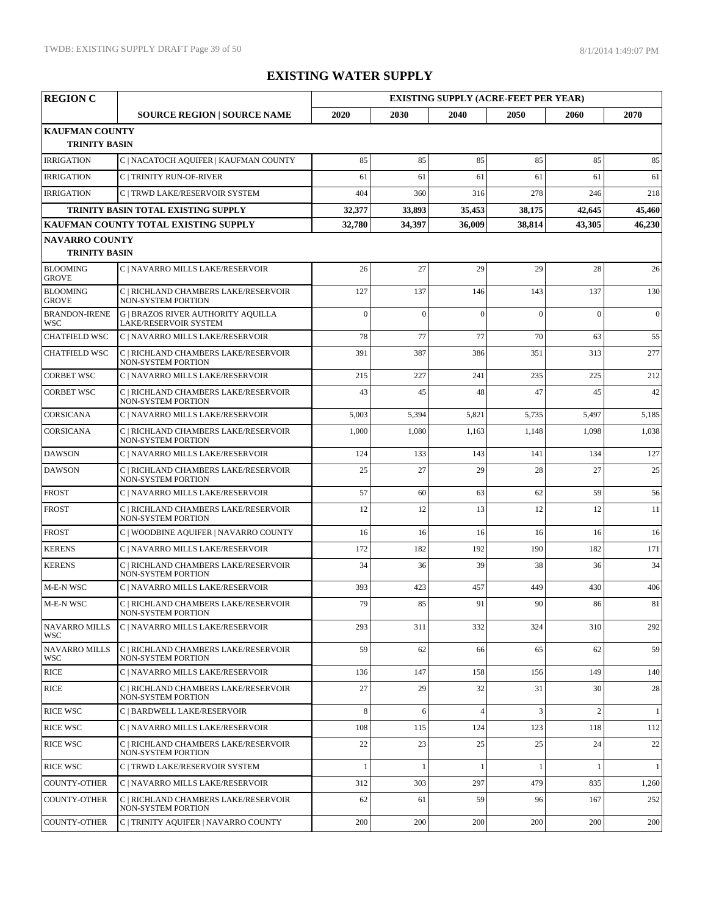| <b>REGION C</b>                    |                                                                    |          |              |                | <b>EXISTING SUPPLY (ACRE-FEET PER YEAR)</b> |                |              |  |
|------------------------------------|--------------------------------------------------------------------|----------|--------------|----------------|---------------------------------------------|----------------|--------------|--|
|                                    | <b>SOURCE REGION   SOURCE NAME</b>                                 | 2020     | 2030         | 2040           | 2050                                        | 2060           | 2070         |  |
| <b>KAUFMAN COUNTY</b>              |                                                                    |          |              |                |                                             |                |              |  |
| <b>TRINITY BASIN</b>               |                                                                    |          |              |                |                                             |                |              |  |
| <b>IRRIGATION</b>                  | C   NACATOCH AQUIFER   KAUFMAN COUNTY                              | 85       | 85           | 85             | 85                                          | 85             | 85           |  |
| <b>IRRIGATION</b>                  | <b>C   TRINITY RUN-OF-RIVER</b>                                    | 61       | 61           | 61             | 61                                          | 61             | 61           |  |
| <b>IRRIGATION</b>                  | C   TRWD LAKE/RESERVOIR SYSTEM                                     | 404      | 360          | 316            | 278                                         | 246            | 218          |  |
|                                    | TRINITY BASIN TOTAL EXISTING SUPPLY                                | 32,377   | 33,893       | 35,453         | 38,175                                      | 42,645         | 45,460       |  |
| <b>NAVARRO COUNTY</b>              | KAUFMAN COUNTY TOTAL EXISTING SUPPLY                               | 32,780   | 34.397       | 36,009         | 38.814                                      | 43,305         | 46,230       |  |
| <b>TRINITY BASIN</b>               |                                                                    |          |              |                |                                             |                |              |  |
| <b>BLOOMING</b><br><b>GROVE</b>    | C   NAVARRO MILLS LAKE/RESERVOIR                                   | 26       | 27           | 29             | 29                                          | 28             | 26           |  |
| <b>BLOOMING</b><br><b>GROVE</b>    | C   RICHLAND CHAMBERS LAKE/RESERVOIR<br>NON-SYSTEM PORTION         | 127      | 137          | 146            | 143                                         | 137            | 130          |  |
| <b>BRANDON-IRENE</b><br><b>WSC</b> | <b>G   BRAZOS RIVER AUTHORITY AQUILLA</b><br>LAKE/RESERVOIR SYSTEM | $\theta$ | $\Omega$     | $\overline{0}$ | $\Omega$                                    | $\theta$       | $\mathbf{0}$ |  |
| CHATFIELD WSC                      | C   NAVARRO MILLS LAKE/RESERVOIR                                   | 78       | 77           | 77             | 70                                          | 63             | 55           |  |
| <b>CHATFIELD WSC</b>               | C   RICHLAND CHAMBERS LAKE/RESERVOIR<br>NON-SYSTEM PORTION         | 391      | 387          | 386            | 351                                         | 313            | 277          |  |
| <b>CORBET WSC</b>                  | C   NAVARRO MILLS LAKE/RESERVOIR                                   | 215      | 227          | 241            | 235                                         | 225            | 212          |  |
| <b>CORBET WSC</b>                  | C   RICHLAND CHAMBERS LAKE/RESERVOIR<br>NON-SYSTEM PORTION         | 43       | 45           | 48             | 47                                          | 45             | 42           |  |
| <b>CORSICANA</b>                   | C   NAVARRO MILLS LAKE/RESERVOIR                                   | 5,003    | 5,394        | 5,821          | 5,735                                       | 5,497          | 5,185        |  |
| <b>CORSICANA</b>                   | C   RICHLAND CHAMBERS LAKE/RESERVOIR<br>NON-SYSTEM PORTION         | 1,000    | 1,080        | 1,163          | 1,148                                       | 1,098          | 1,038        |  |
| <b>DAWSON</b>                      | C   NAVARRO MILLS LAKE/RESERVOIR                                   | 124      | 133          | 143            | 141                                         | 134            | 127          |  |
| <b>DAWSON</b>                      | C   RICHLAND CHAMBERS LAKE/RESERVOIR<br><b>NON-SYSTEM PORTION</b>  | 25       | 27           | 29             | 28                                          | 27             | 25           |  |
| <b>FROST</b>                       | C   NAVARRO MILLS LAKE/RESERVOIR                                   | 57       | 60           | 63             | 62                                          | 59             | 56           |  |
| <b>FROST</b>                       | C   RICHLAND CHAMBERS LAKE/RESERVOIR<br>NON-SYSTEM PORTION         | 12       | 12           | 13             | 12                                          | 12             | 11           |  |
| <b>FROST</b>                       | C   WOODBINE AQUIFER   NAVARRO COUNTY                              | 16       | 16           | 16             | 16                                          | 16             | 16           |  |
| <b>KERENS</b>                      | C   NAVARRO MILLS LAKE/RESERVOIR                                   | 172      | 182          | 192            | 190                                         | 182            | 171          |  |
| <b>KERENS</b>                      | C   RICHLAND CHAMBERS LAKE/RESERVOIR<br><b>NON-SYSTEM PORTION</b>  | 34       | 36           | 39             | 38                                          | 36             | 34           |  |
| M-E-N WSC                          | C   NAVARRO MILLS LAKE/RESERVOIR                                   | 393      | 423          | 457            | 449                                         | 430            | 406          |  |
| M-E-N WSC                          | C   RICHLAND CHAMBERS LAKE/RESERVOIR<br>NON-SYSTEM PORTION         | 79       | 85           | 91             | 90                                          | 86             | 81           |  |
| <b>NAVARRO MILLS</b><br><b>WSC</b> | C   NAVARRO MILLS LAKE/RESERVOIR                                   | 293      | 311          | 332            | 324                                         | 310            | 292          |  |
| <b>NAVARRO MILLS</b><br><b>WSC</b> | C   RICHLAND CHAMBERS LAKE/RESERVOIR<br>NON-SYSTEM PORTION         | 59       | 62           | 66             | 65                                          | 62             | 59           |  |
| <b>RICE</b>                        | C   NAVARRO MILLS LAKE/RESERVOIR                                   | 136      | 147          | 158            | 156                                         | 149            | 140          |  |
| <b>RICE</b>                        | C   RICHLAND CHAMBERS LAKE/RESERVOIR<br><b>NON-SYSTEM PORTION</b>  | 27       | 29           | 32             | 31                                          | 30             | 28           |  |
| <b>RICE WSC</b>                    | C   BARDWELL LAKE/RESERVOIR                                        | 8        | 6            | $\overline{A}$ | 3                                           | $\overline{2}$ | 1            |  |
| <b>RICE WSC</b>                    | C   NAVARRO MILLS LAKE/RESERVOIR                                   | 108      | 115          | 124            | 123                                         | 118            | 112          |  |
| <b>RICE WSC</b>                    | C   RICHLAND CHAMBERS LAKE/RESERVOIR<br><b>NON-SYSTEM PORTION</b>  | 22       | 23           | 25             | 25                                          | 24             | 22           |  |
| <b>RICE WSC</b>                    | C   TRWD LAKE/RESERVOIR SYSTEM                                     |          | $\mathbf{1}$ | $\mathbf{1}$   | 1                                           | $\mathbf{1}$   | 1            |  |
| <b>COUNTY-OTHER</b>                | C   NAVARRO MILLS LAKE/RESERVOIR                                   | 312      | 303          | 297            | 479                                         | 835            | 1,260        |  |
| <b>COUNTY-OTHER</b>                | C   RICHLAND CHAMBERS LAKE/RESERVOIR<br><b>NON-SYSTEM PORTION</b>  | 62       | 61           | 59             | 96                                          | 167            | 252          |  |
| <b>COUNTY-OTHER</b>                | C   TRINITY AQUIFER   NAVARRO COUNTY                               | 200      | 200          | 200            | 200                                         | 200            | 200          |  |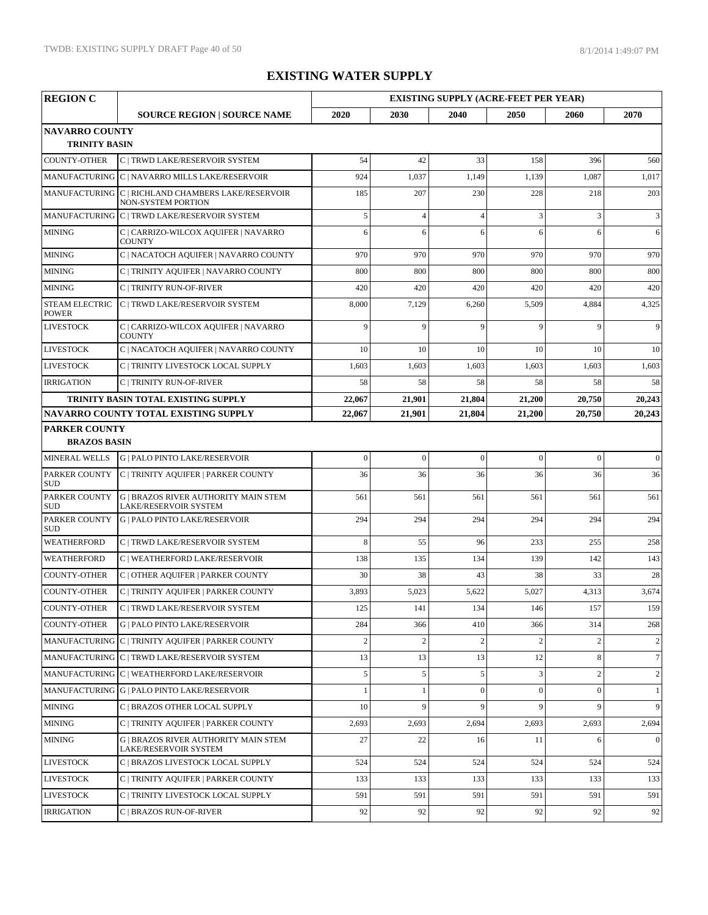| <b>REGION C</b>                               |                                                                          |                |                | <b>EXISTING SUPPLY (ACRE-FEET PER YEAR)</b> |                |              |              |
|-----------------------------------------------|--------------------------------------------------------------------------|----------------|----------------|---------------------------------------------|----------------|--------------|--------------|
|                                               | <b>SOURCE REGION   SOURCE NAME</b>                                       | 2020           | 2030           | 2040                                        | 2050           | 2060         | 2070         |
| <b>NAVARRO COUNTY</b><br><b>TRINITY BASIN</b> |                                                                          |                |                |                                             |                |              |              |
| <b>COUNTY-OTHER</b>                           | C   TRWD LAKE/RESERVOIR SYSTEM                                           | 54             | 42             | 33                                          | 158            | 396          | 560          |
|                                               | MANUFACTURING C   NAVARRO MILLS LAKE/RESERVOIR                           | 924            | 1,037          | 1,149                                       | 1,139          | 1,087        | 1,017        |
|                                               | MANUFACTURING C   RICHLAND CHAMBERS LAKE/RESERVOIR<br>NON-SYSTEM PORTION | 185            | 207            | 230                                         | 228            | 218          | 203          |
|                                               | MANUFACTURING C   TRWD LAKE/RESERVOIR SYSTEM                             | 5              | $\overline{4}$ | $\overline{4}$                              | 3              | 3            | 3            |
| <b>MINING</b>                                 | C   CARRIZO-WILCOX AQUIFER   NAVARRO<br><b>COUNTY</b>                    | 6              | 6              | 6                                           | 6              | 6            | 6            |
| <b>MINING</b>                                 | C   NACATOCH AQUIFER   NAVARRO COUNTY                                    | 970            | 970            | 970                                         | 970            | 970          | 970          |
| <b>MINING</b>                                 | C   TRINITY AQUIFER   NAVARRO COUNTY                                     | 800            | 800            | 800                                         | 800            | 800          | 800          |
| <b>MINING</b>                                 | C   TRINITY RUN-OF-RIVER                                                 | 420            | 420            | 420                                         | 420            | 420          | 420          |
| <b>STEAM ELECTRIC</b><br><b>POWER</b>         | C   TRWD LAKE/RESERVOIR SYSTEM                                           | 8,000          | 7,129          | 6,260                                       | 5,509          | 4,884        | 4,325        |
| <b>LIVESTOCK</b>                              | C   CARRIZO-WILCOX AQUIFER   NAVARRO<br><b>COUNTY</b>                    | 9              | 9              | 9                                           | 9              | 9            | 9            |
| <b>LIVESTOCK</b>                              | C   NACATOCH AQUIFER   NAVARRO COUNTY                                    | 10             | 10             | 10                                          | 10             | 10           | 10           |
| <b>LIVESTOCK</b>                              | C   TRINITY LIVESTOCK LOCAL SUPPLY                                       | 1,603          | 1,603          | 1,603                                       | 1,603          | 1,603        | 1,603        |
| <b>IRRIGATION</b>                             | C   TRINITY RUN-OF-RIVER                                                 | 58             | 58             | 58                                          | 58             | 58           | 58           |
|                                               | TRINITY BASIN TOTAL EXISTING SUPPLY                                      | 22,067         | 21,901         | 21,804                                      | 21,200         | 20,750       | 20,243       |
|                                               | <b>NAVARRO COUNTY TOTAL EXISTING SUPPLY</b>                              | 22,067         | 21,901         | 21,804                                      | 21,200         | 20,750       | 20,243       |
| <b>PARKER COUNTY</b>                          |                                                                          |                |                |                                             |                |              |              |
| <b>BRAZOS BASIN</b><br>MINERAL WELLS          | <b>G   PALO PINTO LAKE/RESERVOIR</b>                                     | $\mathbf{0}$   | $\mathbf{0}$   | $\overline{0}$                              | $\overline{0}$ | $\mathbf{0}$ | $\theta$     |
| PARKER COUNTY                                 | C   TRINITY AQUIFER   PARKER COUNTY                                      | 36             | 36             | 36                                          | 36             | 36           | 36           |
| <b>SUD</b>                                    |                                                                          |                |                |                                             |                |              |              |
| PARKER COUNTY<br><b>SUD</b>                   | <b>G   BRAZOS RIVER AUTHORITY MAIN STEM</b><br>LAKE/RESERVOIR SYSTEM     | 561            | 561            | 561                                         | 561            | 561          | 561          |
| PARKER COUNTY<br><b>SUD</b>                   | <b>G   PALO PINTO LAKE/RESERVOIR</b>                                     | 294            | 294            | 294                                         | 294            | 294          | 294          |
| <b>WEATHERFORD</b>                            | C   TRWD LAKE/RESERVOIR SYSTEM                                           | 8              | 55             | 96                                          | 233            | 255          | 258          |
| <b>WEATHERFORD</b>                            | C   WEATHERFORD LAKE/RESERVOIR                                           | 138            | 135            | 134                                         | 139            | 142          | 143          |
| <b>COUNTY-OTHER</b>                           | C   OTHER AQUIFER   PARKER COUNTY                                        | 30             | 38             | 43                                          | 38             | 33           | 28           |
| <b>COUNTY-OTHER</b>                           | C   TRINITY AQUIFER   PARKER COUNTY                                      | 3,893          | 5,023          | 5,622                                       | 5,027          | 4,313        | 3,674        |
| COUNTY-OTHER                                  | $\mathcal{C}$   TRWD LAKE/RESERVOIR SYSTEM                               | 125            | 141            | 134                                         | 146            | 157          | 159          |
| <b>COUNTY-OTHER</b>                           | <b>G   PALO PINTO LAKE/RESERVOIR</b>                                     | 284            | 366            | 410                                         | 366            | 314          | 268          |
|                                               | MANUFACTURING C   TRINITY AQUIFER   PARKER COUNTY                        | $\overline{c}$ | $\sqrt{2}$     | $\overline{2}$                              | $\overline{2}$ | $\mathbf{2}$ | 2            |
|                                               | MANUFACTURING C   TRWD LAKE/RESERVOIR SYSTEM                             | 13             | 13             | 13                                          | 12             | 8            | $\tau$       |
|                                               | MANUFACTURING C   WEATHERFORD LAKE/RESERVOIR                             | 5              | $\mathfrak{S}$ | $\mathfrak{I}$                              | $\overline{3}$ | 2            | 2            |
|                                               | MANUFACTURING G   PALO PINTO LAKE/RESERVOIR                              |                | $\mathbf{1}$   | $\Omega$                                    | $\mathbf{0}$   | $\Omega$     | 1            |
| <b>MINING</b>                                 | C   BRAZOS OTHER LOCAL SUPPLY                                            | 10             | 9              | $\mathbf{Q}$                                | $\mathbf{Q}$   | $\mathbf{Q}$ | 9            |
| <b>MINING</b>                                 | C   TRINITY AQUIFER   PARKER COUNTY                                      | 2,693          | 2,693          | 2,694                                       | 2,693          | 2,693        | 2,694        |
| <b>MINING</b>                                 | <b>G   BRAZOS RIVER AUTHORITY MAIN STEM</b><br>LAKE/RESERVOIR SYSTEM     | 27             | 22             | 16                                          | 11             | 6            | $\mathbf{0}$ |
| <b>LIVESTOCK</b>                              | C   BRAZOS LIVESTOCK LOCAL SUPPLY                                        | 524            | 524            | 524                                         | 524            | 524          | 524          |
| <b>LIVESTOCK</b>                              | C   TRINITY AQUIFER   PARKER COUNTY                                      | 133            | 133            | 133                                         | 133            | 133          | 133          |
| <b>LIVESTOCK</b>                              | C   TRINITY LIVESTOCK LOCAL SUPPLY                                       | 591            | 591            | 591                                         | 591            | 591          | 591          |
| <b>IRRIGATION</b>                             | C   BRAZOS RUN-OF-RIVER                                                  | 92             | 92             | 92                                          | 92             | 92           | 92           |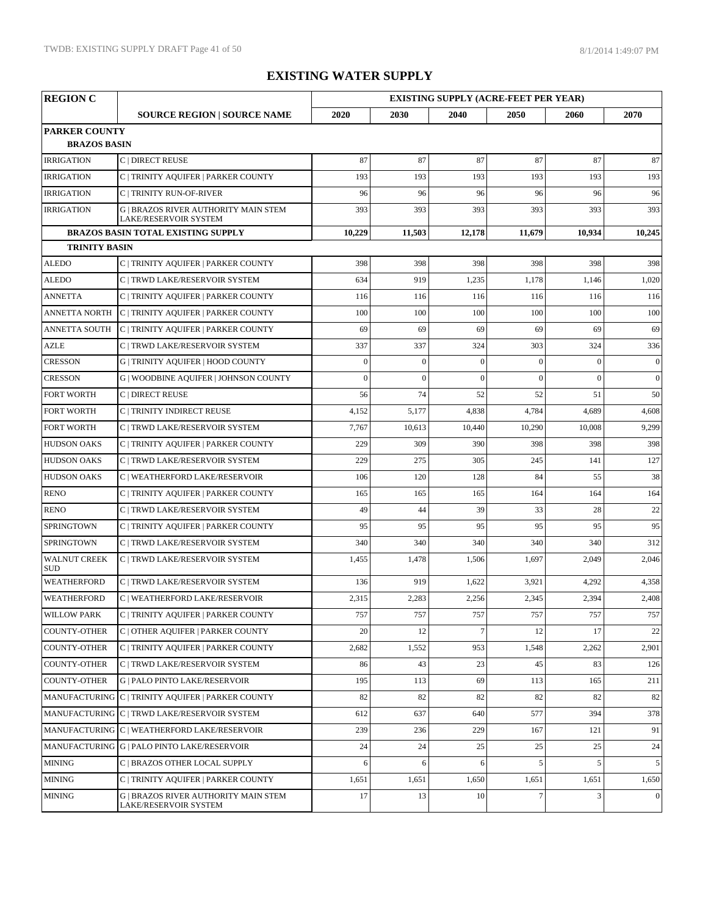| <b>REGION C</b>                   |                                                                             |              |                | <b>EXISTING SUPPLY (ACRE-FEET PER YEAR)</b> |                |                |              |  |
|-----------------------------------|-----------------------------------------------------------------------------|--------------|----------------|---------------------------------------------|----------------|----------------|--------------|--|
|                                   | <b>SOURCE REGION   SOURCE NAME</b>                                          | 2020         | 2030           | 2040                                        | 2050           | 2060           | 2070         |  |
| <b>PARKER COUNTY</b>              |                                                                             |              |                |                                             |                |                |              |  |
| <b>BRAZOS BASIN</b>               |                                                                             |              |                |                                             |                |                |              |  |
| <b>IRRIGATION</b>                 | C   DIRECT REUSE                                                            | 87           | 87             | 87                                          | 87             | 87             | 87           |  |
| <b>IRRIGATION</b>                 | C   TRINITY AQUIFER   PARKER COUNTY                                         | 193          | 193            | 193                                         | 193            | 193            | 193          |  |
| <b>IRRIGATION</b>                 | C   TRINITY RUN-OF-RIVER                                                    | 96           | 96             | 96                                          | 96             | 96             | 96           |  |
| <b>IRRIGATION</b>                 | <b>G   BRAZOS RIVER AUTHORITY MAIN STEM</b><br><b>LAKE/RESERVOIR SYSTEM</b> | 393          | 393            | 393                                         | 393            | 393            | 393          |  |
|                                   | <b>BRAZOS BASIN TOTAL EXISTING SUPPLY</b>                                   | 10,229       | 11,503         | 12,178                                      | 11,679         | 10,934         | 10,245       |  |
| <b>TRINITY BASIN</b>              |                                                                             |              |                |                                             |                |                |              |  |
| <b>ALEDO</b>                      | C   TRINITY AQUIFER   PARKER COUNTY                                         | 398          | 398            | 398                                         | 398            | 398            | 398          |  |
| <b>ALEDO</b>                      | C   TRWD LAKE/RESERVOIR SYSTEM                                              | 634          | 919            | 1,235                                       | 1,178          | 1,146          | 1,020        |  |
| <b>ANNETTA</b>                    | C   TRINITY AQUIFER   PARKER COUNTY                                         | 116          | 116            | 116                                         | 116            | 116            | 116          |  |
| <b>ANNETTA NORTH</b>              | C   TRINITY AQUIFER   PARKER COUNTY                                         | 100          | 100            | 100                                         | 100            | 100            | 100          |  |
| <b>ANNETTA SOUTH</b>              | C   TRINITY AQUIFER   PARKER COUNTY                                         | 69           | 69             | 69                                          | 69             | 69             | 69           |  |
| <b>AZLE</b>                       | C   TRWD LAKE/RESERVOIR SYSTEM                                              | 337          | 337            | 324                                         | 303            | 324            | 336          |  |
| <b>CRESSON</b>                    | G   TRINITY AQUIFER   HOOD COUNTY                                           | $\mathbf{0}$ | $\mathbf{0}$   | $\mathbf{0}$                                | $\mathbf{0}$   | $\mathbf{0}$   | $\mathbf{0}$ |  |
| <b>CRESSON</b>                    | <b>G   WOODBINE AQUIFER   JOHNSON COUNTY</b>                                | $\mathbf{0}$ | $\overline{0}$ | $\overline{0}$                              | $\overline{0}$ | $\overline{0}$ | $\mathbf{0}$ |  |
| <b>FORT WORTH</b>                 | C   DIRECT REUSE                                                            | 56           | 74             | 52                                          | 52             | 51             | 50           |  |
| <b>FORT WORTH</b>                 | C   TRINITY INDIRECT REUSE                                                  | 4,152        | 5,177          | 4,838                                       | 4,784          | 4,689          | 4,608        |  |
| <b>FORT WORTH</b>                 | C   TRWD LAKE/RESERVOIR SYSTEM                                              | 7,767        | 10,613         | 10,440                                      | 10,290         | 10,008         | 9,299        |  |
| <b>HUDSON OAKS</b>                | C   TRINITY AQUIFER   PARKER COUNTY                                         | 229          | 309            | 390                                         | 398            | 398            | 398          |  |
| <b>HUDSON OAKS</b>                | C   TRWD LAKE/RESERVOIR SYSTEM                                              | 229          | 275            | 305                                         | 245            | 141            | 127          |  |
| <b>HUDSON OAKS</b>                | C   WEATHERFORD LAKE/RESERVOIR                                              | 106          | 120            | 128                                         | 84             | 55             | 38           |  |
| <b>RENO</b>                       | C   TRINITY AQUIFER   PARKER COUNTY                                         | 165          | 165            | 165                                         | 164            | 164            | 164          |  |
| <b>RENO</b>                       | C   TRWD LAKE/RESERVOIR SYSTEM                                              | 49           | 44             | 39                                          | 33             | 28             | 22           |  |
| <b>SPRINGTOWN</b>                 | C   TRINITY AQUIFER   PARKER COUNTY                                         | 95           | 95             | 95                                          | 95             | 95             | 95           |  |
| <b>SPRINGTOWN</b>                 | C   TRWD LAKE/RESERVOIR SYSTEM                                              | 340          | 340            | 340                                         | 340            | 340            | 312          |  |
| <b>WALNUT CREEK</b><br><b>SUD</b> | C   TRWD LAKE/RESERVOIR SYSTEM                                              | 1,455        | 1,478          | 1,506                                       | 1,697          | 2,049          | 2,046        |  |
| <b>WEATHERFORD</b>                | C   TRWD LAKE/RESERVOIR SYSTEM                                              | 136          | 919            | 1,622                                       | 3,921          | 4,292          | 4,358        |  |
| <b>WEATHERFORD</b>                | C   WEATHERFORD LAKE/RESERVOIR                                              | 2,315        | 2,283          | 2,256                                       | 2,345          | 2,394          | 2,408        |  |
| <b>WILLOW PARK</b>                | C   TRINITY AQUIFER   PARKER COUNTY                                         | 757          | 757            | 757                                         | 757            | 757            | 757          |  |
| <b>COUNTY-OTHER</b>               | C   OTHER AQUIFER   PARKER COUNTY                                           | 20           | 12             | $\overline{7}$                              | 12             | 17             | 22           |  |
| <b>COUNTY-OTHER</b>               | C   TRINITY AQUIFER   PARKER COUNTY                                         | 2,682        | 1,552          | 953                                         | 1,548          | 2,262          | 2,901        |  |
| <b>COUNTY-OTHER</b>               | C   TRWD LAKE/RESERVOIR SYSTEM                                              | 86           | 43             | 23                                          | 45             | 83             | 126          |  |
| <b>COUNTY-OTHER</b>               | <b>G   PALO PINTO LAKE/RESERVOIR</b>                                        | 195          | 113            | 69                                          | 113            | 165            | 211          |  |
|                                   | MANUFACTURING C   TRINITY AQUIFER   PARKER COUNTY                           | 82           | 82             | 82                                          | 82             | 82             | 82           |  |
|                                   | MANUFACTURING C   TRWD LAKE/RESERVOIR SYSTEM                                | 612          | 637            | 640                                         | 577            | 394            | 378          |  |
|                                   | MANUFACTURING C   WEATHERFORD LAKE/RESERVOIR                                | 239          | 236            | 229                                         | 167            | 121            | 91           |  |
|                                   | MANUFACTURING G   PALO PINTO LAKE/RESERVOIR                                 | 24           | 24             | 25                                          | 25             | 25             | 24           |  |
| <b>MINING</b>                     | C   BRAZOS OTHER LOCAL SUPPLY                                               | 6            | 6              | 6                                           | 5              | 5              | 5            |  |
| <b>MINING</b>                     | C   TRINITY AQUIFER   PARKER COUNTY                                         | 1,651        | 1,651          | 1,650                                       | 1,651          | 1,651          | 1,650        |  |
| <b>MINING</b>                     | <b>G   BRAZOS RIVER AUTHORITY MAIN STEM</b><br>LAKE/RESERVOIR SYSTEM        | 17           | 13             | 10 <sup>1</sup>                             | $\tau$         | 3              | $\Omega$     |  |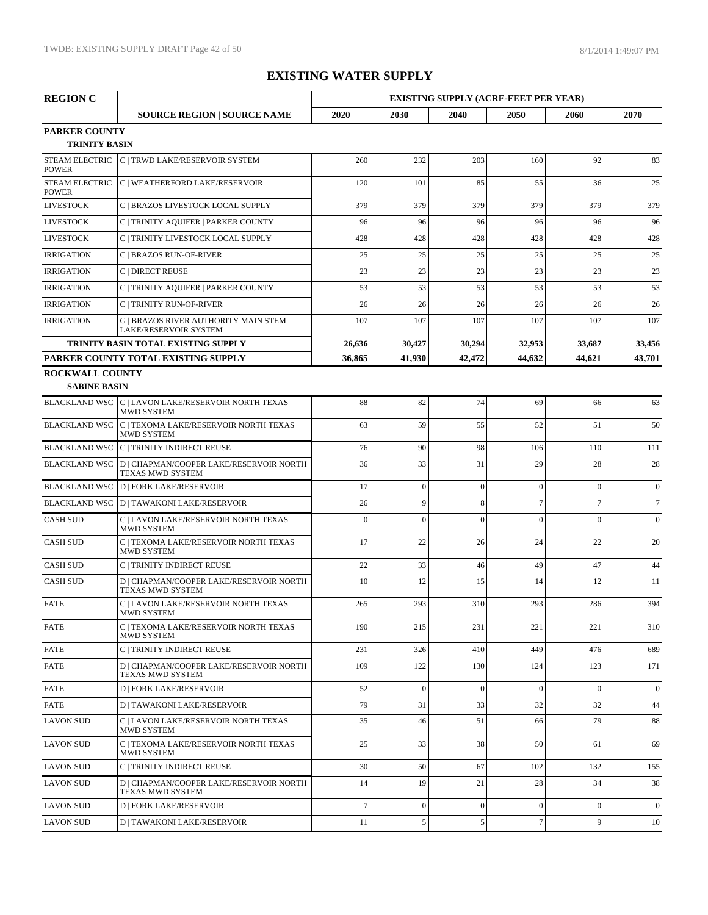| <b>REGION C</b>                               |                                                                             |                |              | <b>EXISTING SUPPLY (ACRE-FEET PER YEAR)</b> |                |                |                |
|-----------------------------------------------|-----------------------------------------------------------------------------|----------------|--------------|---------------------------------------------|----------------|----------------|----------------|
|                                               | <b>SOURCE REGION   SOURCE NAME</b>                                          | 2020           | 2030         | 2040                                        | 2050           | 2060           | 2070           |
| <b>PARKER COUNTY</b><br><b>TRINITY BASIN</b>  |                                                                             |                |              |                                             |                |                |                |
| <b>POWER</b>                                  | STEAM ELECTRIC C   TRWD LAKE/RESERVOIR SYSTEM                               | 260            | 232          | 203                                         | 160            | 92             | 83             |
| <b>STEAM ELECTRIC</b><br><b>POWER</b>         | C   WEATHERFORD LAKE/RESERVOIR                                              | 120            | 101          | 85                                          | 55             | 36             | 25             |
| <b>LIVESTOCK</b>                              | C   BRAZOS LIVESTOCK LOCAL SUPPLY                                           | 379            | 379          | 379                                         | 379            | 379            | 379            |
| <b>LIVESTOCK</b>                              | C   TRINITY AQUIFER   PARKER COUNTY                                         | 96             | 96           | 96                                          | 96             | 96             | 96             |
| <b>LIVESTOCK</b>                              | C   TRINITY LIVESTOCK LOCAL SUPPLY                                          | 428            | 428          | 428                                         | 428            | 428            | 428            |
| <b>IRRIGATION</b>                             | C   BRAZOS RUN-OF-RIVER                                                     | 25             | 25           | 25                                          | 25             | 25             | 25             |
| <b>IRRIGATION</b>                             | C   DIRECT REUSE                                                            | 23             | 23           | 23                                          | 23             | 23             | 23             |
| <b>IRRIGATION</b>                             | C   TRINITY AQUIFER   PARKER COUNTY                                         | 53             | 53           | 53                                          | 53             | 53             | 53             |
| <b>IRRIGATION</b>                             | <b>C   TRINITY RUN-OF-RIVER</b>                                             | 26             | 26           | 26                                          | 26             | 26             | 26             |
| <b>IRRIGATION</b>                             | <b>G   BRAZOS RIVER AUTHORITY MAIN STEM</b><br><b>LAKE/RESERVOIR SYSTEM</b> | 107            | 107          | 107                                         | 107            | 107            | 107            |
|                                               | TRINITY BASIN TOTAL EXISTING SUPPLY                                         | 26,636         | 30,427       | 30,294                                      | 32,953         | 33,687         | 33,456         |
|                                               | PARKER COUNTY TOTAL EXISTING SUPPLY                                         | 36,865         | 41,930       | 42,472                                      | 44,632         | 44,621         | 43,701         |
| <b>ROCKWALL COUNTY</b><br><b>SABINE BASIN</b> |                                                                             |                |              |                                             |                |                |                |
|                                               | BLACKLAND WSC C   LAVON LAKE/RESERVOIR NORTH TEXAS<br><b>MWD SYSTEM</b>     | 88             | 82           | 74                                          | 69             | 66             | 63             |
|                                               | BLACKLAND WSC C   TEXOMA LAKE/RESERVOIR NORTH TEXAS<br><b>MWD SYSTEM</b>    | 63             | 59           | 55                                          | 52             | 51             | 50             |
|                                               | BLACKLAND WSC C   TRINITY INDIRECT REUSE                                    | 76             | 90           | 98                                          | 106            | 110            | 111            |
|                                               | BLACKLAND WSC   D   CHAPMAN/COOPER LAKE/RESERVOIR NORTH<br>TEXAS MWD SYSTEM | 36             | 33           | 31                                          | 29             | 28             | 28             |
|                                               | <b>BLACKLAND WSC D   FORK LAKE/RESERVOIR</b>                                | 17             | $\mathbf{0}$ | $\overline{0}$                              | $\overline{0}$ | $\Omega$       | $\overline{0}$ |
|                                               | BLACKLAND WSC D   TAWAKONI LAKE/RESERVOIR                                   | 26             | 9            | 8                                           | $\overline{7}$ | $\overline{7}$ | $\tau$         |
| <b>CASH SUD</b>                               | C   LAVON LAKE/RESERVOIR NORTH TEXAS<br>MWD SYSTEM                          | $\overline{0}$ | $\theta$     | $\theta$                                    | $\theta$       | $\theta$       | $\mathbf{0}$   |
| <b>CASH SUD</b>                               | C   TEXOMA LAKE/RESERVOIR NORTH TEXAS<br><b>MWD SYSTEM</b>                  | 17             | 22           | 26                                          | 24             | 22             | 20             |
| <b>CASH SUD</b>                               | C   TRINITY INDIRECT REUSE                                                  | 22             | 33           | 46                                          | 49             | 47             | 44             |
| <b>CASH SUD</b>                               | D   CHAPMAN/COOPER LAKE/RESERVOIR NORTH<br><b>TEXAS MWD SYSTEM</b>          | 10             | 12           | 15                                          | 14             | 12             | 11             |
| <b>FATE</b>                                   | C   LAVON LAKE/RESERVOIR NORTH TEXAS<br>MWD SYSTEM                          | 265            | 293          | 310                                         | 293            | 286            | 394            |
| <b>FATE</b>                                   | C   TEXOMA LAKE/RESERVOIR NORTH TEXAS<br>MWD SYSTEM                         | 190            | 215          | 231                                         | 221            | 221            | 310            |
| <b>FATE</b>                                   | C   TRINITY INDIRECT REUSE                                                  | 231            | 326          | 410                                         | 449            | 476            | 689            |
| <b>FATE</b>                                   | D   CHAPMAN/COOPER LAKE/RESERVOIR NORTH<br>TEXAS MWD SYSTEM                 | 109            | 122          | 130                                         | 124            | 123            | 171            |
| <b>FATE</b>                                   | <b>D   FORK LAKE/RESERVOIR</b>                                              | 52             | $\theta$     | $\Omega$                                    | $\overline{0}$ | $\theta$       | $\overline{0}$ |
| <b>FATE</b>                                   | <b>D   TAWAKONI LAKE/RESERVOIR</b>                                          | 79             | 31           | 33                                          | 32             | 32             | 44             |
| <b>LAVON SUD</b>                              | C   LAVON LAKE/RESERVOIR NORTH TEXAS<br>MWD SYSTEM                          | 35             | 46           | 51                                          | 66             | 79             | 88             |
| <b>LAVON SUD</b>                              | C   TEXOMA LAKE/RESERVOIR NORTH TEXAS<br><b>MWD SYSTEM</b>                  | 25             | 33           | 38                                          | 50             | 61             | 69             |
| <b>LAVON SUD</b>                              | C   TRINITY INDIRECT REUSE                                                  | 30             | 50           | 67                                          | 102            | 132            | 155            |
| <b>LAVON SUD</b>                              | D   CHAPMAN/COOPER LAKE/RESERVOIR NORTH<br>TEXAS MWD SYSTEM                 | 14             | 19           | 21                                          | 28             | 34             | 38             |
| <b>LAVON SUD</b>                              | <b>D   FORK LAKE/RESERVOIR</b>                                              | $\overline{7}$ | $\mathbf{0}$ | $\Omega$                                    | $\theta$       | $\mathbf{0}$   | $\theta$       |
| <b>LAVON SUD</b>                              | <b>D   TAWAKONI LAKE/RESERVOIR</b>                                          | 11             | 5            | 5                                           | $\overline{7}$ | 9              | 10             |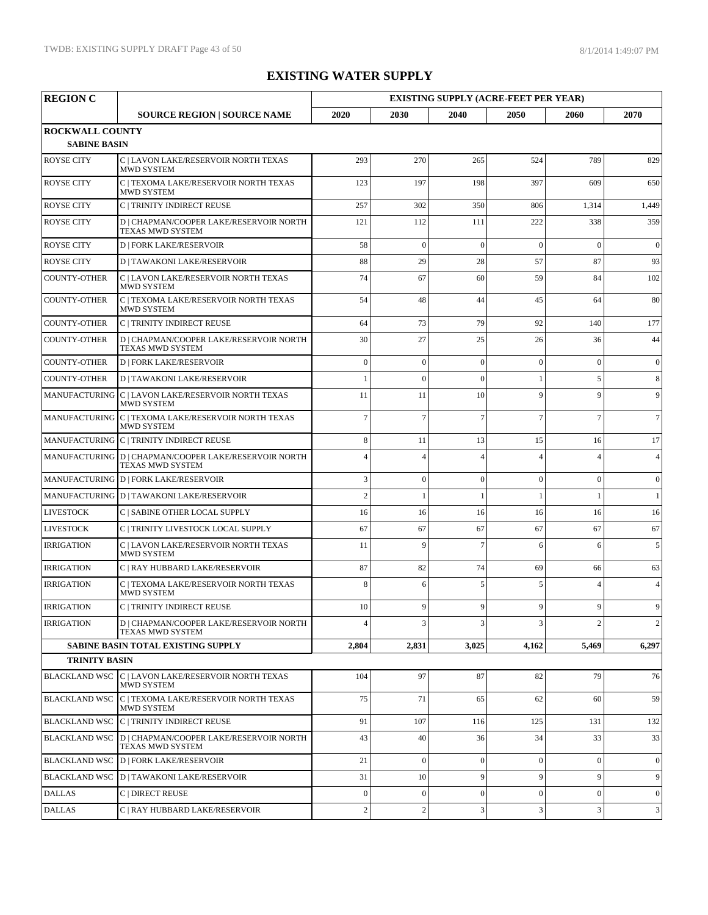| <b>REGION C</b>                               |                                                                                  | <b>EXISTING SUPPLY (ACRE-FEET PER YEAR)</b> |                  |                |                |                |                |  |
|-----------------------------------------------|----------------------------------------------------------------------------------|---------------------------------------------|------------------|----------------|----------------|----------------|----------------|--|
|                                               | <b>SOURCE REGION   SOURCE NAME</b>                                               | 2020                                        | 2030             | 2040           | 2050           | 2060           | 2070           |  |
| <b>ROCKWALL COUNTY</b><br><b>SABINE BASIN</b> |                                                                                  |                                             |                  |                |                |                |                |  |
| <b>ROYSE CITY</b>                             | C   LAVON LAKE/RESERVOIR NORTH TEXAS<br><b>MWD SYSTEM</b>                        | 293                                         | 270              | 265            | 524            | 789            | 829            |  |
| <b>ROYSE CITY</b>                             | C   TEXOMA LAKE/RESERVOIR NORTH TEXAS<br><b>MWD SYSTEM</b>                       | 123                                         | 197              | 198            | 397            | 609            | 650            |  |
| <b>ROYSE CITY</b>                             | C   TRINITY INDIRECT REUSE                                                       | 257                                         | 302              | 350            | 806            | 1,314          | 1,449          |  |
| <b>ROYSE CITY</b>                             | D   CHAPMAN/COOPER LAKE/RESERVOIR NORTH<br><b>TEXAS MWD SYSTEM</b>               | 121                                         | 112              | 111            | 222            | 338            | 359            |  |
| <b>ROYSE CITY</b>                             | <b>D   FORK LAKE/RESERVOIR</b>                                                   | 58                                          | $\overline{0}$   | $\overline{0}$ | $\overline{0}$ | $\overline{0}$ | $\mathbf{0}$   |  |
| <b>ROYSE CITY</b>                             | <b>D   TAWAKONI LAKE/RESERVOIR</b>                                               | 88                                          | 29               | 28             | 57             | 87             | 93             |  |
| <b>COUNTY-OTHER</b>                           | C   LAVON LAKE/RESERVOIR NORTH TEXAS<br><b>MWD SYSTEM</b>                        | 74                                          | 67               | 60             | 59             | 84             | 102            |  |
| <b>COUNTY-OTHER</b>                           | C   TEXOMA LAKE/RESERVOIR NORTH TEXAS<br><b>MWD SYSTEM</b>                       | 54                                          | 48               | 44             | 45             | 64             | 80             |  |
| <b>COUNTY-OTHER</b>                           | <b>C   TRINITY INDIRECT REUSE</b>                                                | 64                                          | 73               | 79             | 92             | 140            | 177            |  |
| <b>COUNTY-OTHER</b>                           | D   CHAPMAN/COOPER LAKE/RESERVOIR NORTH<br>TEXAS MWD SYSTEM                      | 30                                          | 27               | 25             | 26             | 36             | 44             |  |
| <b>COUNTY-OTHER</b>                           | <b>D   FORK LAKE/RESERVOIR</b>                                                   | $\Omega$                                    | $\mathbf{0}$     | $\overline{0}$ | $\mathbf{0}$   | $\Omega$       | $\overline{0}$ |  |
| <b>COUNTY-OTHER</b>                           | <b>D   TAWAKONI LAKE/RESERVOIR</b>                                               | $\mathbf{1}$                                | $\mathbf{0}$     | $\mathbf{0}$   | 1              | 5              | 8              |  |
|                                               | MANUFACTURING C   LAVON LAKE/RESERVOIR NORTH TEXAS<br>MWD SYSTEM                 | 11                                          | 11               | 10             | 9              | 9              | 9              |  |
|                                               | MANUFACTURING C   TEXOMA LAKE/RESERVOIR NORTH TEXAS<br><b>MWD SYSTEM</b>         | $\overline{7}$                              | $\overline{7}$   | $\overline{7}$ | $\overline{7}$ | $\overline{7}$ | $\tau$         |  |
|                                               | MANUFACTURING C   TRINITY INDIRECT REUSE                                         | 8                                           | 11               | 13             | 15             | 16             | 17             |  |
|                                               | MANUFACTURING D   CHAPMAN/COOPER LAKE/RESERVOIR NORTH<br><b>TEXAS MWD SYSTEM</b> | Δ                                           | $\overline{4}$   | $\Delta$       | $\overline{4}$ | $\overline{A}$ | $\overline{4}$ |  |
|                                               | MANUFACTURING D   FORK LAKE/RESERVOIR                                            | 3                                           | $\boldsymbol{0}$ | $\mathbf{0}$   | $\mathbf{0}$   | $\theta$       | $\overline{0}$ |  |
|                                               | MANUFACTURING D   TAWAKONI LAKE/RESERVOIR                                        | $\overline{c}$                              | $\mathbf{1}$     | $\mathbf{1}$   | 1              | 1              | $\mathbf{1}$   |  |
| <b>LIVESTOCK</b>                              | C   SABINE OTHER LOCAL SUPPLY                                                    | 16                                          | 16               | 16             | 16             | 16             | 16             |  |
| <b>LIVESTOCK</b>                              | C   TRINITY LIVESTOCK LOCAL SUPPLY                                               | 67                                          | 67               | 67             | 67             | 67             | 67             |  |
| <b>IRRIGATION</b>                             | C   LAVON LAKE/RESERVOIR NORTH TEXAS<br><b>MWD SYSTEM</b>                        | 11                                          | 9                | $\overline{7}$ | 6              | 6              | 5              |  |
| <b>IRRIGATION</b>                             | C   RAY HUBBARD LAKE/RESERVOIR                                                   | 87                                          | 82               | 74             | 69             | 66             | 63             |  |
| <b>IRRIGATION</b>                             | C   TEXOMA LAKE/RESERVOIR NORTH TEXAS<br><b>MWD SYSTEM</b>                       | 8                                           | 6                | 5              | 5              | $\Delta$       | $\overline{4}$ |  |
| <b>IRRIGATION</b>                             | $\mathcal{C}\mid$ TRINITY INDIRECT REUSE                                         | 10                                          | $\mathbf Q$      | $\mathbf Q$    | $\mathbf Q$    | $\mathbf{Q}$   | $\mathbf{Q}$   |  |
| <b>IRRIGATION</b>                             | D   CHAPMAN/COOPER LAKE/RESERVOIR NORTH<br>TEXAS MWD SYSTEM                      |                                             | 3                | 3              | $\mathbf{3}$   | $\overline{c}$ | $\mathbf{2}$   |  |
|                                               | <b>SABINE BASIN TOTAL EXISTING SUPPLY</b>                                        | 2,804                                       | 2,831            | 3,025          | 4,162          | 5,469          | 6,297          |  |
| <b>TRINITY BASIN</b>                          |                                                                                  |                                             |                  |                |                |                |                |  |
| <b>BLACKLAND WSC</b>                          | C   LAVON LAKE/RESERVOIR NORTH TEXAS<br>MWD SYSTEM                               | 104                                         | 97               | 87             | 82             | 79             | 76             |  |
|                                               | BLACKLAND WSC C   TEXOMA LAKE/RESERVOIR NORTH TEXAS<br>MWD SYSTEM                | 75                                          | 71               | 65             | 62             | 60             | 59             |  |
|                                               | <b>BLACKLAND WSC C   TRINITY INDIRECT REUSE</b>                                  | 91                                          | 107              | 116            | 125            | 131            | 132            |  |
| <b>BLACKLAND WSC</b>                          | D   CHAPMAN/COOPER LAKE/RESERVOIR NORTH<br>TEXAS MWD SYSTEM                      | 43                                          | 40               | 36             | 34             | 33             | 33             |  |
|                                               | BLACKLAND WSC D   FORK LAKE/RESERVOIR                                            | 21                                          | $\mathbf{0}$     | $\mathbf{0}$   | $\mathbf{0}$   | $\Omega$       | $\overline{0}$ |  |
|                                               | BLACKLAND WSC   D   TAWAKONI LAKE/RESERVOIR                                      | 31                                          | 10               | 9              | 9              | 9              | 9              |  |
| <b>DALLAS</b>                                 | C   DIRECT REUSE                                                                 | $\boldsymbol{0}$                            | $\mathbf{0}$     | $\mathbf{0}$   | $\mathbf{0}$   | $\mathbf{0}$   | $\overline{0}$ |  |
| <b>DALLAS</b>                                 | C   RAY HUBBARD LAKE/RESERVOIR                                                   | $\overline{c}$                              | $\sqrt{2}$       | 3              | 3              | 3              | 3              |  |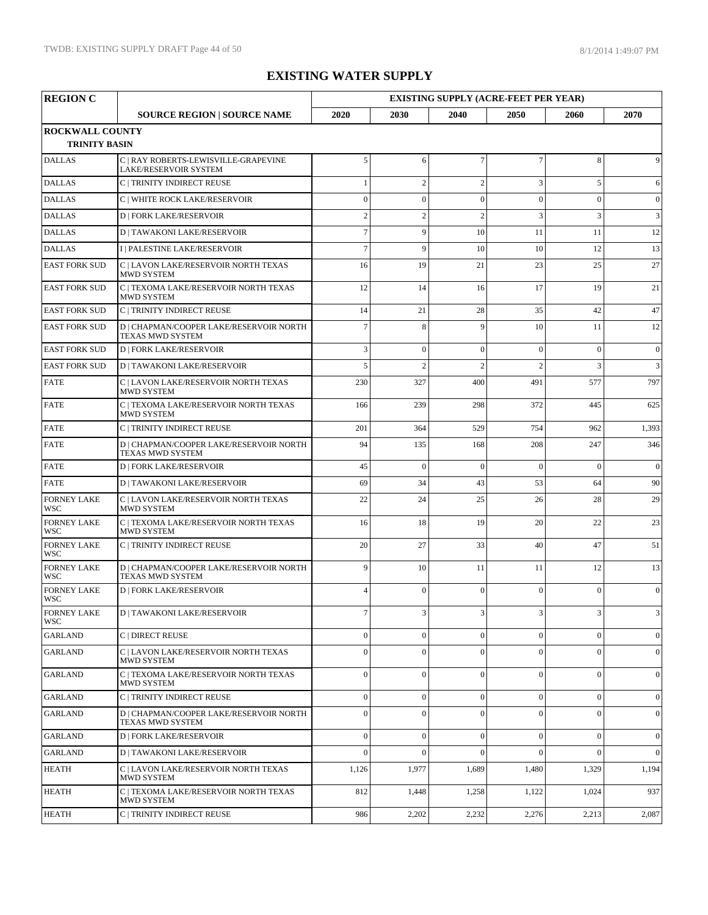| <b>REGION C</b>                                |                                                                    |                |                | <b>EXISTING SUPPLY (ACRE-FEET PER YEAR)</b> |                  |                |                |
|------------------------------------------------|--------------------------------------------------------------------|----------------|----------------|---------------------------------------------|------------------|----------------|----------------|
|                                                | <b>SOURCE REGION   SOURCE NAME</b>                                 | 2020           | 2030           | 2040                                        | 2050             | 2060           | 2070           |
| <b>ROCKWALL COUNTY</b><br><b>TRINITY BASIN</b> |                                                                    |                |                |                                             |                  |                |                |
| <b>DALLAS</b>                                  | C   RAY ROBERTS-LEWISVILLE-GRAPEVINE<br>LAKE/RESERVOIR SYSTEM      | 5              | 6              | $\overline{7}$                              | $\boldsymbol{7}$ | 8              | 9              |
| <b>DALLAS</b>                                  | C   TRINITY INDIRECT REUSE                                         |                | $\overline{c}$ | $\overline{2}$                              | 3                | 5              | 6              |
| <b>DALLAS</b>                                  | C   WHITE ROCK LAKE/RESERVOIR                                      | $\Omega$       | $\overline{0}$ | $\theta$                                    | $\mathbf{0}$     | $\theta$       | $\overline{0}$ |
| <b>DALLAS</b>                                  | <b>D   FORK LAKE/RESERVOIR</b>                                     | $\overline{2}$ | $\overline{c}$ | $\overline{2}$                              | 3                | 3              | 3              |
| <b>DALLAS</b>                                  | <b>D   TAWAKONI LAKE/RESERVOIR</b>                                 | $\overline{7}$ | 9              | 10                                          | 11               | 11             | 12             |
| <b>DALLAS</b>                                  | I   PALESTINE LAKE/RESERVOIR                                       | $\overline{7}$ | 9              | 10                                          | 10               | 12             | 13             |
| <b>EAST FORK SUD</b>                           | C   LAVON LAKE/RESERVOIR NORTH TEXAS<br><b>MWD SYSTEM</b>          | 16             | 19             | 21                                          | 23               | 25             | 27             |
| <b>EAST FORK SUD</b>                           | C   TEXOMA LAKE/RESERVOIR NORTH TEXAS<br><b>MWD SYSTEM</b>         | 12             | 14             | 16                                          | 17               | 19             | 21             |
| <b>EAST FORK SUD</b>                           | C   TRINITY INDIRECT REUSE                                         | 14             | 21             | 28                                          | 35               | 42             | 47             |
| <b>EAST FORK SUD</b>                           | D   CHAPMAN/COOPER LAKE/RESERVOIR NORTH<br>TEXAS MWD SYSTEM        | $\overline{7}$ | $\,8\,$        | 9                                           | 10               | 11             | 12             |
| <b>EAST FORK SUD</b>                           | <b>D   FORK LAKE/RESERVOIR</b>                                     | 3              | $\mathbf{0}$   | $\overline{0}$                              | $\mathbf{0}$     | $\overline{0}$ | $\mathbf{0}$   |
| <b>EAST FORK SUD</b>                           | <b>D   TAWAKONI LAKE/RESERVOIR</b>                                 | 5              | $\overline{c}$ | $\overline{c}$                              | $\overline{c}$   | 3              | 3              |
| <b>FATE</b>                                    | C   LAVON LAKE/RESERVOIR NORTH TEXAS<br>MWD SYSTEM                 | 230            | 327            | 400                                         | 491              | 577            | 797            |
| <b>FATE</b>                                    | C   TEXOMA LAKE/RESERVOIR NORTH TEXAS<br><b>MWD SYSTEM</b>         | 166            | 239            | 298                                         | 372              | 445            | 625            |
| <b>FATE</b>                                    | C   TRINITY INDIRECT REUSE                                         | 201            | 364            | 529                                         | 754              | 962            | 1,393          |
| <b>FATE</b>                                    | D   CHAPMAN/COOPER LAKE/RESERVOIR NORTH<br>TEXAS MWD SYSTEM        | 94             | 135            | 168                                         | 208              | 247            | 346            |
| <b>FATE</b>                                    | <b>D   FORK LAKE/RESERVOIR</b>                                     | 45             | $\overline{0}$ | $\Omega$                                    | $\Omega$         | $\theta$       | $\mathbf{0}$   |
| <b>FATE</b>                                    | <b>D   TAWAKONI LAKE/RESERVOIR</b>                                 | 69             | 34             | 43                                          | 53               | 64             | 90             |
| <b>FORNEY LAKE</b><br><b>WSC</b>               | C   LAVON LAKE/RESERVOIR NORTH TEXAS<br>MWD SYSTEM                 | 22             | 24             | 25                                          | 26               | 28             | 29             |
| <b>FORNEY LAKE</b><br><b>WSC</b>               | C   TEXOMA LAKE/RESERVOIR NORTH TEXAS<br><b>MWD SYSTEM</b>         | 16             | 18             | 19                                          | 20               | 22             | 23             |
| <b>FORNEY LAKE</b><br><b>WSC</b>               | C   TRINITY INDIRECT REUSE                                         | 20             | 27             | 33                                          | 40               | 47             | 51             |
| <b>FORNEY LAKE</b><br><b>WSC</b>               | D   CHAPMAN/COOPER LAKE/RESERVOIR NORTH<br><b>TEXAS MWD SYSTEM</b> | 9              | 10             | 11                                          | 11               | 12             | 13             |
| <b>FORNEY LAKE</b><br><b>WSC</b>               | <b>D   FORK LAKE/RESERVOIR</b>                                     | $\Delta$       | $\mathbf{0}$   | $\mathbf{0}$                                | $\mathbf{0}$     | $\theta$       | $\mathbf{0}$   |
| <b>FORNEY LAKE</b><br><b>WSC</b>               | <b>D   TAWAKONI LAKE/RESERVOIR</b>                                 | 7              | $\mathbf{3}$   | 3                                           | $\overline{3}$   | $\mathbf{3}$   | 3              |
| <b>GARLAND</b>                                 | C   DIRECT REUSE                                                   | $\mathbf{0}$   | $\mathbf{0}$   | $\mathbf{0}$                                | $\mathbf{0}$     | $\Omega$       | $\overline{0}$ |
| <b>GARLAND</b>                                 | C   LAVON LAKE/RESERVOIR NORTH TEXAS<br>MWD SYSTEM                 | $\Omega$       | $\theta$       | $\theta$                                    | $\theta$         | $\Omega$       | $\mathbf{0}$   |
| <b>GARLAND</b>                                 | C   TEXOMA LAKE/RESERVOIR NORTH TEXAS<br>MWD SYSTEM                | $\Omega$       | $\mathbf{0}$   | $\mathbf{0}$                                | $\mathbf{0}$     | $\Omega$       | $\mathbf{0}$   |
| <b>GARLAND</b>                                 | C   TRINITY INDIRECT REUSE                                         | $\mathbf{0}$   | $\mathbf{0}$   | $\mathbf{0}$                                | $\mathbf{0}$     | $\Omega$       | $\mathbf{0}$   |
| <b>GARLAND</b>                                 | D   CHAPMAN/COOPER LAKE/RESERVOIR NORTH<br>TEXAS MWD SYSTEM        | $\Omega$       | $\mathbf{0}$   | $\theta$                                    | $\Omega$         | $\theta$       | $\mathbf{0}$   |
| <b>GARLAND</b>                                 | <b>D   FORK LAKE/RESERVOIR</b>                                     | $\mathbf{0}$   | $\mathbf{0}$   | $\mathbf{0}$                                | $\mathbf{0}$     | $\mathbf{0}$   | $\mathbf{0}$   |
| <b>GARLAND</b>                                 | <b>D   TAWAKONI LAKE/RESERVOIR</b>                                 | $\theta$       | $\Omega$       | $\theta$                                    | $\Omega$         | $\Omega$       | $\mathbf{0}$   |
| <b>HEATH</b>                                   | C   LAVON LAKE/RESERVOIR NORTH TEXAS<br>MWD SYSTEM                 | 1,126          | 1,977          | 1,689                                       | 1,480            | 1,329          | 1,194          |
| <b>HEATH</b>                                   | C   TEXOMA LAKE/RESERVOIR NORTH TEXAS<br>MWD SYSTEM                | 812            | 1,448          | 1,258                                       | 1,122            | 1,024          | 937            |
| <b>HEATH</b>                                   | C   TRINITY INDIRECT REUSE                                         | 986            | 2,202          | 2,232                                       | 2,276            | 2,213          | 2,087          |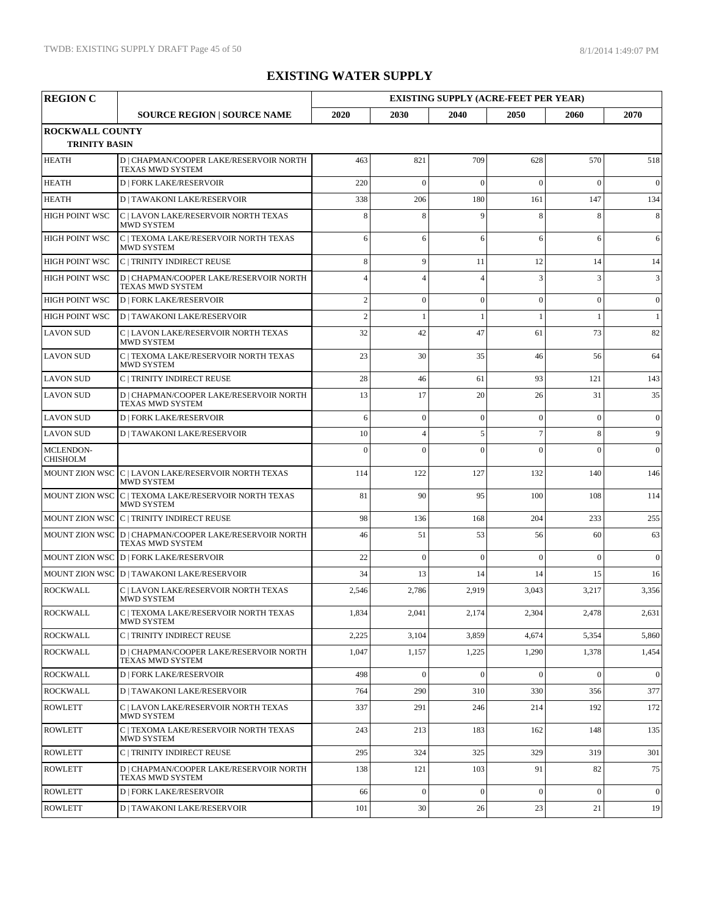| <b>REGION C</b>                                |                                                                            | <b>EXISTING SUPPLY (ACRE-FEET PER YEAR)</b> |                |                |                 |                |              |
|------------------------------------------------|----------------------------------------------------------------------------|---------------------------------------------|----------------|----------------|-----------------|----------------|--------------|
|                                                | <b>SOURCE REGION   SOURCE NAME</b>                                         | 2020                                        | 2030           | 2040           | 2050            | 2060           | 2070         |
| <b>ROCKWALL COUNTY</b><br><b>TRINITY BASIN</b> |                                                                            |                                             |                |                |                 |                |              |
| <b>HEATH</b>                                   | D   CHAPMAN/COOPER LAKE/RESERVOIR NORTH<br>TEXAS MWD SYSTEM                | 463                                         | 821            | 709            | 628             | 570            | 518          |
| <b>HEATH</b>                                   | <b>D   FORK LAKE/RESERVOIR</b>                                             | 220                                         | $\theta$       | $\Omega$       | $\Omega$        | $\theta$       | $\mathbf{0}$ |
| <b>HEATH</b>                                   | <b>D   TAWAKONI LAKE/RESERVOIR</b>                                         | 338                                         | 206            | 180            | 161             | 147            | 134          |
| <b>HIGH POINT WSC</b>                          | C   LAVON LAKE/RESERVOIR NORTH TEXAS<br>MWD SYSTEM                         | 8                                           | 8              | 9              | 8               | 8              | 8            |
| <b>HIGH POINT WSC</b>                          | C   TEXOMA LAKE/RESERVOIR NORTH TEXAS<br><b>MWD SYSTEM</b>                 | 6                                           | 6              | 6              | 6               | 6              | 6            |
| HIGH POINT WSC                                 | C   TRINITY INDIRECT REUSE                                                 | 8                                           | 9              | 11             | 12              | 14             | 14           |
| <b>HIGH POINT WSC</b>                          | D   CHAPMAN/COOPER LAKE/RESERVOIR NORTH<br><b>TEXAS MWD SYSTEM</b>         |                                             | $\overline{4}$ | 4              | 3               | 3              | 3            |
| HIGH POINT WSC                                 | <b>D   FORK LAKE/RESERVOIR</b>                                             | $\overline{c}$                              | $\mathbf{0}$   | $\overline{0}$ | $\mathbf{0}$    | $\overline{0}$ | $\mathbf{0}$ |
| <b>HIGH POINT WSC</b>                          | <b>D   TAWAKONI LAKE/RESERVOIR</b>                                         | $\overline{c}$                              | $\mathbf{1}$   |                | 1               |                | $\mathbf{1}$ |
| <b>LAVON SUD</b>                               | C   LAVON LAKE/RESERVOIR NORTH TEXAS<br><b>MWD SYSTEM</b>                  | 32                                          | 42             | 47             | 61              | 73             | 82           |
| <b>LAVON SUD</b>                               | C   TEXOMA LAKE/RESERVOIR NORTH TEXAS<br><b>MWD SYSTEM</b>                 | 23                                          | 30             | 35             | 46              | 56             | 64           |
| <b>LAVON SUD</b>                               | C   TRINITY INDIRECT REUSE                                                 | 28                                          | 46             | 61             | 93              | 121            | 143          |
| <b>LAVON SUD</b>                               | D   CHAPMAN/COOPER LAKE/RESERVOIR NORTH<br>TEXAS MWD SYSTEM                | 13                                          | 17             | 20             | 26              | 31             | 35           |
| <b>LAVON SUD</b>                               | <b>D   FORK LAKE/RESERVOIR</b>                                             | 6                                           | $\mathbf{0}$   | $\mathbf{0}$   | $\mathbf{0}$    | $\Omega$       | $\mathbf{0}$ |
| <b>LAVON SUD</b>                               | <b>D   TAWAKONI LAKE/RESERVOIR</b>                                         | 10                                          | $\overline{4}$ | 5              | $7\phantom{.0}$ | 8              | 9            |
| MCLENDON-<br><b>CHISHOLM</b>                   |                                                                            | $\Omega$                                    | $\Omega$       | $\theta$       | $\Omega$        | $\theta$       | $\mathbf{0}$ |
|                                                | MOUNT ZION WSC C   LAVON LAKE/RESERVOIR NORTH TEXAS<br><b>MWD SYSTEM</b>   | 114                                         | 122            | 127            | 132             | 140            | 146          |
|                                                | MOUNT ZION WSC C   TEXOMA LAKE/RESERVOIR NORTH TEXAS<br><b>MWD SYSTEM</b>  | 81                                          | 90             | 95             | 100             | 108            | 114          |
|                                                | MOUNT ZION WSC C   TRINITY INDIRECT REUSE                                  | 98                                          | 136            | 168            | 204             | 233            | 255          |
|                                                | MOUNT ZION WSC D   CHAPMAN/COOPER LAKE/RESERVOIR NORTH<br>TEXAS MWD SYSTEM | 46                                          | 51             | 53             | 56              | 60             | 63           |
|                                                | MOUNT ZION WSC D   FORK LAKE/RESERVOIR                                     | 22                                          | $\Omega$       | $\Omega$       | $\Omega$        | $\theta$       | $\theta$     |
|                                                | MOUNT ZION WSC D   TAWAKONI LAKE/RESERVOIR                                 | 34                                          | 13             | 14             | 14              | 15             | 16           |
| <b>ROCKWALL</b>                                | C   LAVON LAKE/RESERVOIR NORTH TEXAS<br><b>MWD SYSTEM</b>                  | 2,546                                       | 2,786          | 2,919          | 3,043           | 3,217          | 3,356        |
| <b>ROCKWALL</b>                                | C   TEXOMA LAKE/RESERVOIR NORTH TEXAS<br>MWD SYSTEM                        | 1,834                                       | 2,041          | 2,174          | 2,304           | 2,478          | 2,631        |
| <b>ROCKWALL</b>                                | C   TRINITY INDIRECT REUSE                                                 | 2,225                                       | 3,104          | 3,859          | 4,674           | 5,354          | 5,860        |
| <b>ROCKWALL</b>                                | D   CHAPMAN/COOPER LAKE/RESERVOIR NORTH<br><b>TEXAS MWD SYSTEM</b>         | 1,047                                       | 1,157          | 1,225          | 1,290           | 1,378          | 1,454        |
| <b>ROCKWALL</b>                                | <b>D   FORK LAKE/RESERVOIR</b>                                             | 498                                         | $\mathbf{0}$   | $\overline{0}$ | $\mathbf{0}$    | $\overline{0}$ | $\mathbf{0}$ |
| <b>ROCKWALL</b>                                | <b>D   TAWAKONI LAKE/RESERVOIR</b>                                         | 764                                         | 290            | 310            | 330             | 356            | 377          |
| <b>ROWLETT</b>                                 | C   LAVON LAKE/RESERVOIR NORTH TEXAS<br>MWD SYSTEM                         | 337                                         | 291            | 246            | 214             | 192            | 172          |
| <b>ROWLETT</b>                                 | C   TEXOMA LAKE/RESERVOIR NORTH TEXAS<br>MWD SYSTEM                        | 243                                         | 213            | 183            | 162             | 148            | 135          |
| <b>ROWLETT</b>                                 | C   TRINITY INDIRECT REUSE                                                 | 295                                         | 324            | 325            | 329             | 319            | 301          |
| <b>ROWLETT</b>                                 | D   CHAPMAN/COOPER LAKE/RESERVOIR NORTH<br>TEXAS MWD SYSTEM                | 138                                         | 121            | 103            | 91              | 82             | 75           |
| <b>ROWLETT</b>                                 | <b>D   FORK LAKE/RESERVOIR</b>                                             | 66                                          | $\mathbf{0}$   | $\theta$       | $\mathbf{0}$    | $\mathbf{0}$   | $\mathbf{0}$ |
| <b>ROWLETT</b>                                 | <b>D   TAWAKONI LAKE/RESERVOIR</b>                                         | 101                                         | 30             | 26             | 23              | 21             | 19           |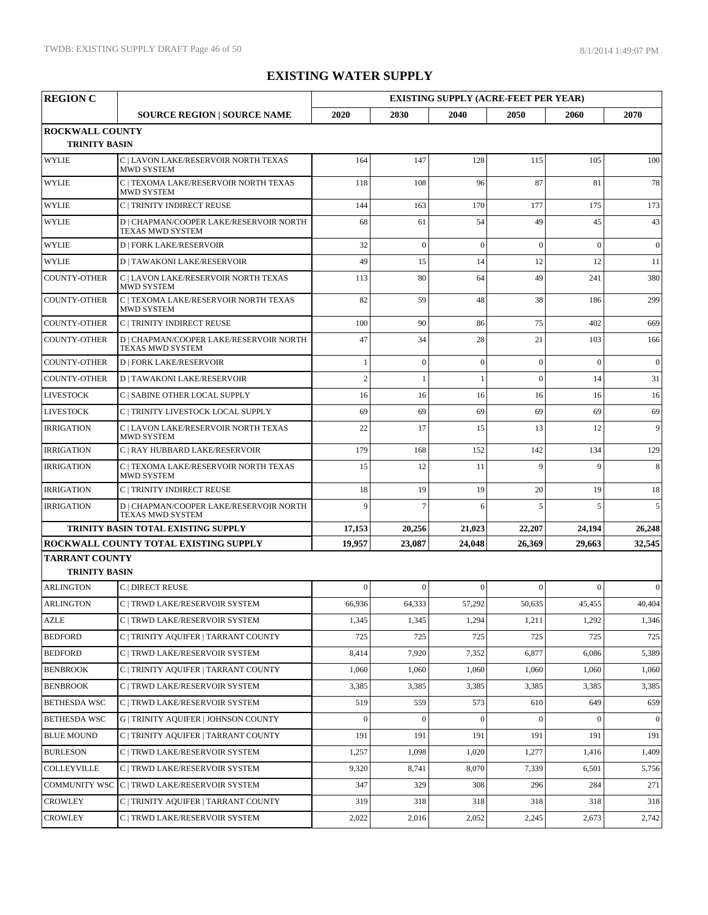| <b>REGION C</b>                                |                                                                    | <b>EXISTING SUPPLY (ACRE-FEET PER YEAR)</b> |                |              |                |              |                  |  |
|------------------------------------------------|--------------------------------------------------------------------|---------------------------------------------|----------------|--------------|----------------|--------------|------------------|--|
|                                                | <b>SOURCE REGION   SOURCE NAME</b>                                 | 2020                                        | 2030           | 2040         | 2050           | 2060         | 2070             |  |
| <b>ROCKWALL COUNTY</b><br><b>TRINITY BASIN</b> |                                                                    |                                             |                |              |                |              |                  |  |
| <b>WYLIE</b>                                   | C   LAVON LAKE/RESERVOIR NORTH TEXAS<br><b>MWD SYSTEM</b>          | 164                                         | 147            | 128          | 115            | 105          | 100              |  |
| <b>WYLIE</b>                                   | C   TEXOMA LAKE/RESERVOIR NORTH TEXAS<br><b>MWD SYSTEM</b>         | 118                                         | 108            | 96           | 87             | 81           | 78               |  |
| <b>WYLIE</b>                                   | C   TRINITY INDIRECT REUSE                                         | 144                                         | 163            | 170          | 177            | 175          | 173              |  |
| <b>WYLIE</b>                                   | D   CHAPMAN/COOPER LAKE/RESERVOIR NORTH<br>TEXAS MWD SYSTEM        | 68                                          | 61             | 54           | 49             | 45           | 43               |  |
| <b>WYLIE</b>                                   | <b>D   FORK LAKE/RESERVOIR</b>                                     | 32                                          | $\theta$       | $\theta$     | $\mathbf{0}$   | $\theta$     | $\mathbf{0}$     |  |
| <b>WYLIE</b>                                   | <b>D   TAWAKONI LAKE/RESERVOIR</b>                                 | 49                                          | 15             | 14           | 12             | 12           | 11               |  |
| <b>COUNTY-OTHER</b>                            | C   LAVON LAKE/RESERVOIR NORTH TEXAS<br><b>MWD SYSTEM</b>          | 113                                         | 80             | 64           | 49             | 241          | 380              |  |
| <b>COUNTY-OTHER</b>                            | C   TEXOMA LAKE/RESERVOIR NORTH TEXAS<br><b>MWD SYSTEM</b>         | 82                                          | 59             | 48           | 38             | 186          | 299              |  |
| <b>COUNTY-OTHER</b>                            | C   TRINITY INDIRECT REUSE                                         | 100                                         | 90             | 86           | 75             | 402          | 669              |  |
| <b>COUNTY-OTHER</b>                            | D   CHAPMAN/COOPER LAKE/RESERVOIR NORTH<br><b>TEXAS MWD SYSTEM</b> | 47                                          | 34             | 28           | 21             | 103          | 166              |  |
| <b>COUNTY-OTHER</b>                            | <b>D   FORK LAKE/RESERVOIR</b>                                     | $\mathbf{1}$                                | $\mathbf{0}$   | $\mathbf{0}$ | $\mathbf{0}$   | $\theta$     | $\overline{0}$   |  |
| <b>COUNTY-OTHER</b>                            | <b>D   TAWAKONI LAKE/RESERVOIR</b>                                 | $\overline{c}$                              | 1              |              | $\theta$       | 14           | 31               |  |
| <b>LIVESTOCK</b>                               | C   SABINE OTHER LOCAL SUPPLY                                      | 16                                          | 16             | 16           | 16             | 16           | 16               |  |
| <b>LIVESTOCK</b>                               | C   TRINITY LIVESTOCK LOCAL SUPPLY                                 | 69                                          | 69             | 69           | 69             | 69           | 69               |  |
| <b>IRRIGATION</b>                              | C   LAVON LAKE/RESERVOIR NORTH TEXAS<br><b>MWD SYSTEM</b>          | 22                                          | 17             | 15           | 13             | 12           | 9                |  |
| <b>IRRIGATION</b>                              | C   RAY HUBBARD LAKE/RESERVOIR                                     | 179                                         | 168            | 152          | 142            | 134          | 129              |  |
| <b>IRRIGATION</b>                              | C   TEXOMA LAKE/RESERVOIR NORTH TEXAS<br><b>MWD SYSTEM</b>         | 15                                          | 12             | 11           | $\overline{9}$ | $\mathbf{Q}$ | 8                |  |
| <b>IRRIGATION</b>                              | C   TRINITY INDIRECT REUSE                                         | 18                                          | 19             | 19           | 20             | 19           | 18               |  |
| <b>IRRIGATION</b>                              | D   CHAPMAN/COOPER LAKE/RESERVOIR NORTH<br>TEXAS MWD SYSTEM        | $\overline{Q}$                              | $\overline{7}$ | 6            | 5              | 5            | 5                |  |
|                                                | <b>TRINITY BASIN TOTAL EXISTING SUPPLY</b>                         | 17,153                                      | 20,256         | 21,023       | 22,207         | 24,194       | 26,248           |  |
|                                                | ROCKWALL COUNTY TOTAL EXISTING SUPPLY                              | 19,957                                      | 23,087         | 24,048       | 26,369         | 29,663       | 32,545           |  |
| <b>TARRANT COUNTY</b><br><b>TRINITY BASIN</b>  |                                                                    |                                             |                |              |                |              |                  |  |
| <b>ARLINGTON</b>                               | C   DIRECT REUSE                                                   | $\Omega$                                    | $\theta$       | $\Omega$     | $\theta$       | $\Omega$     | $\mathbf{0}$     |  |
| <b>ARLINGTON</b>                               | C   TRWD LAKE/RESERVOIR SYSTEM                                     | 66,936                                      | 64,333         | 57,292       | 50,635         | 45,455       | 40,404           |  |
| AZLE                                           | C   TRWD LAKE/RESERVOIR SYSTEM                                     | 1,345                                       | 1,345          | 1,294        | 1,211          | 1,292        | 1,346            |  |
| <b>BEDFORD</b>                                 | C   TRINITY AQUIFER   TARRANT COUNTY                               | 725                                         | 725            | 725          | 725            | 725          | 725              |  |
| <b>BEDFORD</b>                                 | C   TRWD LAKE/RESERVOIR SYSTEM                                     | 8,414                                       | 7,920          | 7,352        | 6,877          | 6,086        | 5,389            |  |
| <b>BENBROOK</b>                                | C   TRINITY AQUIFER   TARRANT COUNTY                               | 1,060                                       | 1,060          | 1,060        | 1,060          | 1,060        | 1,060            |  |
| <b>BENBROOK</b>                                | C   TRWD LAKE/RESERVOIR SYSTEM                                     | 3,385                                       | 3,385          | 3,385        | 3,385          | 3,385        | 3,385            |  |
| <b>BETHESDA WSC</b>                            | C   TRWD LAKE/RESERVOIR SYSTEM                                     | 519                                         | 559            | 573          | 610            | 649          | 659              |  |
| <b>BETHESDA WSC</b>                            | <b>G   TRINITY AQUIFER   JOHNSON COUNTY</b>                        | $\mathbf{0}$                                | $\Omega$       | $\mathbf{0}$ | $\Omega$       | $\mathbf{0}$ | $\boldsymbol{0}$ |  |
| <b>BLUE MOUND</b>                              | C   TRINITY AQUIFER   TARRANT COUNTY                               | 191                                         | 191            | 191          | 191            | 191          | 191              |  |
| <b>BURLESON</b>                                | C   TRWD LAKE/RESERVOIR SYSTEM                                     | 1,257                                       | 1,098          | 1,020        | 1,277          | 1,416        | 1,409            |  |
| COLLEYVILLE                                    | C   TRWD LAKE/RESERVOIR SYSTEM                                     | 9,320                                       | 8,741          | 8,070        | 7,339          | 6,501        | 5,756            |  |
| <b>COMMUNITY WSC</b>                           | C   TRWD LAKE/RESERVOIR SYSTEM                                     | 347                                         | 329            | 308          | 296            | 284          | 271              |  |
| <b>CROWLEY</b>                                 | C   TRINITY AQUIFER   TARRANT COUNTY                               | 319                                         | 318            | 318          | 318            | 318          | 318              |  |
| <b>CROWLEY</b>                                 | C   TRWD LAKE/RESERVOIR SYSTEM                                     | 2,022                                       | 2,016          | 2,052        | 2,245          | 2,673        | 2,742            |  |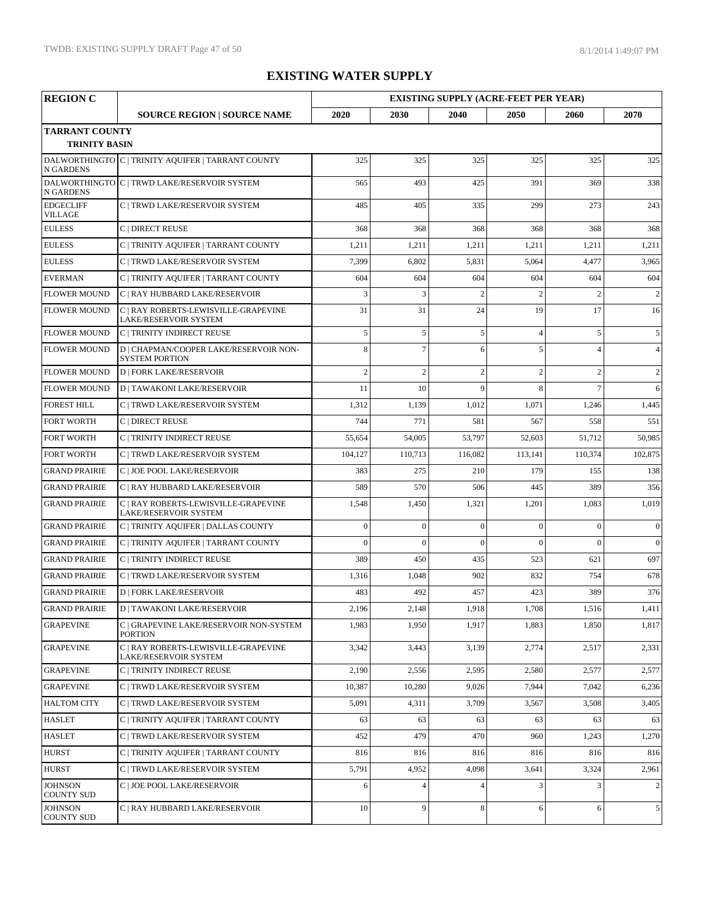| <b>REGION C</b>                               |                                                                 |                |                | <b>EXISTING SUPPLY (ACRE-FEET PER YEAR)</b> |                |                |                |
|-----------------------------------------------|-----------------------------------------------------------------|----------------|----------------|---------------------------------------------|----------------|----------------|----------------|
|                                               | <b>SOURCE REGION   SOURCE NAME</b>                              | 2020           | 2030           | 2040                                        | 2050           | 2060           | 2070           |
| <b>TARRANT COUNTY</b><br><b>TRINITY BASIN</b> |                                                                 |                |                |                                             |                |                |                |
| <b>N GARDENS</b>                              | DALWORTHINGTO C   TRINITY AQUIFER   TARRANT COUNTY              | 325            | 325            | 325                                         | 325            | 325            | 325            |
| <b>N GARDENS</b>                              | DALWORTHINGTO C   TRWD LAKE/RESERVOIR SYSTEM                    | 565            | 493            | 425                                         | 391            | 369            | 338            |
| <b>EDGECLIFF</b><br><b>VILLAGE</b>            | C   TRWD LAKE/RESERVOIR SYSTEM                                  | 485            | 405            | 335                                         | 299            | 273            | 243            |
| <b>EULESS</b>                                 | C   DIRECT REUSE                                                | 368            | 368            | 368                                         | 368            | 368            | 368            |
| <b>EULESS</b>                                 | C   TRINITY AQUIFER   TARRANT COUNTY                            | 1,211          | 1,211          | 1,211                                       | 1,211          | 1,211          | 1,211          |
| <b>EULESS</b>                                 | C   TRWD LAKE/RESERVOIR SYSTEM                                  | 7,399          | 6,802          | 5,831                                       | 5,064          | 4,477          | 3,965          |
| <b>EVERMAN</b>                                | C   TRINITY AQUIFER   TARRANT COUNTY                            | 604            | 604            | 604                                         | 604            | 604            | 604            |
| <b>FLOWER MOUND</b>                           | C   RAY HUBBARD LAKE/RESERVOIR                                  | 3              | 3              | $\overline{2}$                              | $\overline{2}$ | $\overline{2}$ | $\overline{2}$ |
| <b>FLOWER MOUND</b>                           | C   RAY ROBERTS-LEWISVILLE-GRAPEVINE<br>LAKE/RESERVOIR SYSTEM   | 31             | 31             | 24                                          | 19             | 17             | 16             |
| <b>FLOWER MOUND</b>                           | C   TRINITY INDIRECT REUSE                                      | 5              | 5              | 5                                           | $\overline{4}$ | 5              | 5              |
| <b>FLOWER MOUND</b>                           | D   CHAPMAN/COOPER LAKE/RESERVOIR NON-<br><b>SYSTEM PORTION</b> | 8              | $\overline{7}$ | 6                                           | 5              | $\Delta$       | $\overline{4}$ |
| <b>FLOWER MOUND</b>                           | <b>D   FORK LAKE/RESERVOIR</b>                                  | $\overline{c}$ | $\overline{2}$ | $\overline{2}$                              | $\overline{2}$ | $\overline{2}$ | $\overline{c}$ |
| <b>FLOWER MOUND</b>                           | <b>D   TAWAKONI LAKE/RESERVOIR</b>                              | 11             | 10             | $\mathbf{Q}$                                | 8              | $\overline{7}$ | 6              |
| <b>FOREST HILL</b>                            | C   TRWD LAKE/RESERVOIR SYSTEM                                  | 1,312          | 1,139          | 1,012                                       | 1,071          | 1,246          | 1,445          |
| <b>FORT WORTH</b>                             | C   DIRECT REUSE                                                | 744            | 771            | 581                                         | 567            | 558            | 551            |
| <b>FORT WORTH</b>                             | C   TRINITY INDIRECT REUSE                                      | 55,654         | 54,005         | 53,797                                      | 52,603         | 51,712         | 50,985         |
| <b>FORT WORTH</b>                             | C   TRWD LAKE/RESERVOIR SYSTEM                                  | 104,127        | 110,713        | 116,082                                     | 113,141        | 110,374        | 102,875        |
| <b>GRAND PRAIRIE</b>                          | C   JOE POOL LAKE/RESERVOIR                                     | 383            | 275            | 210                                         | 179            | 155            | 138            |
| <b>GRAND PRAIRIE</b>                          | C   RAY HUBBARD LAKE/RESERVOIR                                  | 589            | 570            | 506                                         | 445            | 389            | 356            |
| <b>GRAND PRAIRIE</b>                          | C   RAY ROBERTS-LEWISVILLE-GRAPEVINE<br>LAKE/RESERVOIR SYSTEM   | 1,548          | 1,450          | 1,321                                       | 1,201          | 1,083          | 1,019          |
| <b>GRAND PRAIRIE</b>                          | C   TRINITY AQUIFER   DALLAS COUNTY                             | $\mathbf{0}$   | $\mathbf{0}$   | $\overline{0}$                              | $\mathbf{0}$   | $\overline{0}$ | $\mathbf{0}$   |
| <b>GRAND PRAIRIE</b>                          | C   TRINITY AQUIFER   TARRANT COUNTY                            | $\theta$       | $\Omega$       | $\Omega$                                    | $\Omega$       | $\Omega$       | $\Omega$       |
| <b>GRAND PRAIRIE</b>                          | C   TRINITY INDIRECT REUSE                                      | 389            | 450            | 435                                         | 523            | 621            | 697            |
| <b>GRAND PRAIRIE</b>                          | C   TRWD LAKE/RESERVOIR SYSTEM                                  | 1,316          | 1,048          | 902                                         | 832            | 754            | 678            |
| <b>GRAND PRAIRIE</b>                          | <b>D   FORK LAKE/RESERVOIR</b>                                  | 483            | 492            | 457                                         | 423            | 389            | 376            |
| GRAND PRAIRIE                                 | <b>D   TAWAKONI LAKE/RESERVOIR</b>                              | 2,196          | 2,148          | 1,918                                       | 1,708          | 1,516          | 1,411          |
| <b>GRAPEVINE</b>                              | C   GRAPEVINE LAKE/RESERVOIR NON-SYSTEM<br><b>PORTION</b>       | 1,983          | 1,950          | 1,917                                       | 1,883          | 1,850          | 1,817          |
| <b>GRAPEVINE</b>                              | C   RAY ROBERTS-LEWISVILLE-GRAPEVINE<br>LAKE/RESERVOIR SYSTEM   | 3,342          | 3,443          | 3,139                                       | 2,774          | 2,517          | 2,331          |
| <b>GRAPEVINE</b>                              | C   TRINITY INDIRECT REUSE                                      | 2,190          | 2,556          | 2,595                                       | 2,580          | 2,577          | 2,577          |
| <b>GRAPEVINE</b>                              | C   TRWD LAKE/RESERVOIR SYSTEM                                  | 10,387         | 10,280         | 9,026                                       | 7,944          | 7,042          | 6,236          |
| <b>HALTOM CITY</b>                            | C   TRWD LAKE/RESERVOIR SYSTEM                                  | 5,091          | 4,311          | 3,709                                       | 3,567          | 3,508          | 3,405          |
| <b>HASLET</b>                                 | C   TRINITY AQUIFER   TARRANT COUNTY                            | 63             | 63             | 63                                          | 63             | 63             | 63             |
| <b>HASLET</b>                                 | C   TRWD LAKE/RESERVOIR SYSTEM                                  | 452            | 479            | 470                                         | 960            | 1,243          | 1,270          |
| <b>HURST</b>                                  | C   TRINITY AQUIFER   TARRANT COUNTY                            | 816            | 816            | 816                                         | 816            | 816            | 816            |
| <b>HURST</b>                                  | C   TRWD LAKE/RESERVOIR SYSTEM                                  | 5,791          | 4,952          | 4,098                                       | 3,641          | 3,324          | 2,961          |
| <b>JOHNSON</b><br><b>COUNTY SUD</b>           | C   JOE POOL LAKE/RESERVOIR                                     | 6              | $\overline{4}$ | $\overline{4}$                              | 3              | 3              | $\overline{2}$ |
| <b>JOHNSON</b><br><b>COUNTY SUD</b>           | C   RAY HUBBARD LAKE/RESERVOIR                                  | $10\,$         | 9              | 8                                           | 6              | 6              | 5 <sup>1</sup> |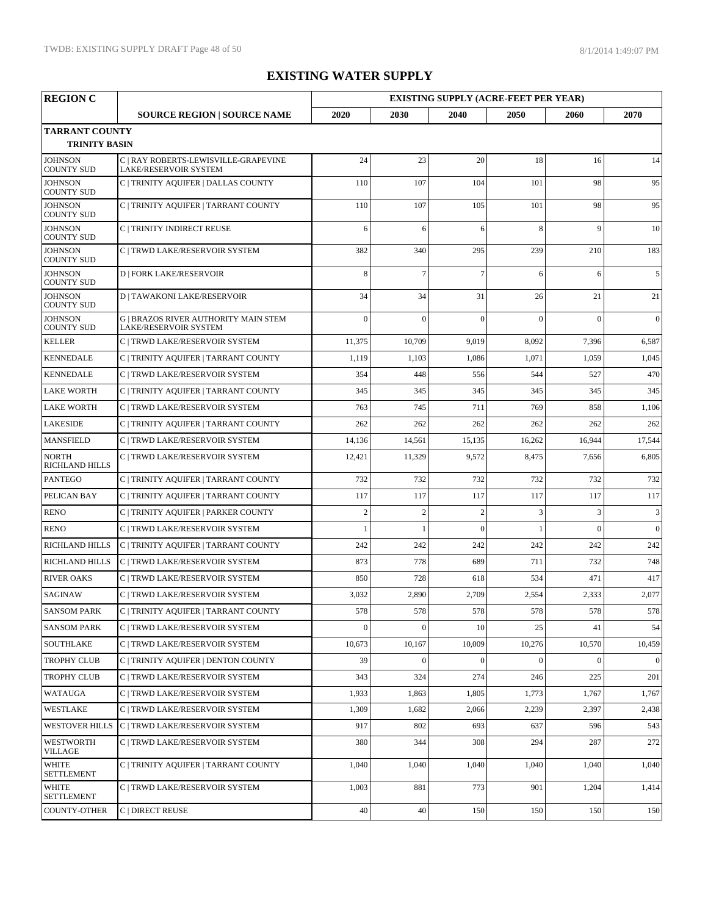| <b>REGION C</b>                               |                                                                      |                |                | <b>EXISTING SUPPLY (ACRE-FEET PER YEAR)</b> |          |                |                |
|-----------------------------------------------|----------------------------------------------------------------------|----------------|----------------|---------------------------------------------|----------|----------------|----------------|
|                                               | <b>SOURCE REGION   SOURCE NAME</b>                                   | 2020           | 2030           | 2040                                        | 2050     | 2060           | 2070           |
| <b>TARRANT COUNTY</b><br><b>TRINITY BASIN</b> |                                                                      |                |                |                                             |          |                |                |
| <b>JOHNSON</b><br><b>COUNTY SUD</b>           | C   RAY ROBERTS-LEWISVILLE-GRAPEVINE<br>LAKE/RESERVOIR SYSTEM        | 24             | 23             | 20                                          | 18       | 16             | 14             |
| <b>JOHNSON</b><br><b>COUNTY SUD</b>           | C   TRINITY AQUIFER   DALLAS COUNTY                                  | 110            | 107            | 104                                         | 101      | 98             | 95             |
| <b>JOHNSON</b><br><b>COUNTY SUD</b>           | C   TRINITY AQUIFER   TARRANT COUNTY                                 | 110            | 107            | 105                                         | 101      | 98             | 95             |
| <b>JOHNSON</b><br><b>COUNTY SUD</b>           | C   TRINITY INDIRECT REUSE                                           | 6              | 6              | 6                                           | 8        | $\overline{9}$ | 10             |
| <b>JOHNSON</b><br><b>COUNTY SUD</b>           | C   TRWD LAKE/RESERVOIR SYSTEM                                       | 382            | 340            | 295                                         | 239      | 210            | 183            |
| <b>JOHNSON</b><br><b>COUNTY SUD</b>           | <b>D   FORK LAKE/RESERVOIR</b>                                       | 8              | $\overline{7}$ | $\overline{7}$                              | 6        | 6              | 5              |
| <b>JOHNSON</b><br><b>COUNTY SUD</b>           | <b>D   TAWAKONI LAKE/RESERVOIR</b>                                   | 34             | 34             | 31                                          | 26       | 21             | 21             |
| <b>JOHNSON</b><br><b>COUNTY SUD</b>           | <b>G   BRAZOS RIVER AUTHORITY MAIN STEM</b><br>LAKE/RESERVOIR SYSTEM | $\theta$       | $\Omega$       | $\Omega$                                    | $\Omega$ | $\theta$       | $\mathbf{0}$   |
| <b>KELLER</b>                                 | C   TRWD LAKE/RESERVOIR SYSTEM                                       | 11,375         | 10,709         | 9,019                                       | 8,092    | 7,396          | 6,587          |
| <b>KENNEDALE</b>                              | C   TRINITY AQUIFER   TARRANT COUNTY                                 | 1,119          | 1,103          | 1,086                                       | 1,071    | 1,059          | 1,045          |
| <b>KENNEDALE</b>                              | C   TRWD LAKE/RESERVOIR SYSTEM                                       | 354            | 448            | 556                                         | 544      | 527            | 470            |
| <b>LAKE WORTH</b>                             | C   TRINITY AQUIFER   TARRANT COUNTY                                 | 345            | 345            | 345                                         | 345      | 345            | 345            |
| <b>LAKE WORTH</b>                             | C   TRWD LAKE/RESERVOIR SYSTEM                                       | 763            | 745            | 711                                         | 769      | 858            | 1,106          |
| <b>LAKESIDE</b>                               | C   TRINITY AQUIFER   TARRANT COUNTY                                 | 262            | 262            | 262                                         | 262      | 262            | 262            |
| <b>MANSFIELD</b>                              | C   TRWD LAKE/RESERVOIR SYSTEM                                       | 14,136         | 14,561         | 15,135                                      | 16,262   | 16,944         | 17,544         |
| <b>NORTH</b><br><b>RICHLAND HILLS</b>         | C   TRWD LAKE/RESERVOIR SYSTEM                                       | 12,421         | 11,329         | 9,572                                       | 8,475    | 7,656          | 6,805          |
| <b>PANTEGO</b>                                | C   TRINITY AQUIFER   TARRANT COUNTY                                 | 732            | 732            | 732                                         | 732      | 732            | 732            |
| PELICAN BAY                                   | C   TRINITY AQUIFER   TARRANT COUNTY                                 | 117            | 117            | 117                                         | 117      | 117            | 117            |
| <b>RENO</b>                                   | C   TRINITY AQUIFER   PARKER COUNTY                                  | $\overline{c}$ | $\overline{2}$ | $\overline{2}$                              | 3        | 3              | $\overline{3}$ |
| <b>RENO</b>                                   | C   TRWD LAKE/RESERVOIR SYSTEM                                       |                |                | $\theta$                                    |          | $\Omega$       | $\overline{0}$ |
| <b>RICHLAND HILLS</b>                         | C   TRINITY AQUIFER   TARRANT COUNTY                                 | 242            | 242            | 242                                         | 242      | 242            | 242            |
| <b>RICHLAND HILLS</b>                         | C   TRWD LAKE/RESERVOIR SYSTEM                                       | 873            | 778            | 689                                         | 711      | 732            | 748            |
| <b>RIVER OAKS</b>                             | C   TRWD LAKE/RESERVOIR SYSTEM                                       | 850            | 728            | 618                                         | 534      | 471            | 417            |
| <b>SAGINAW</b>                                | C   TRWD LAKE/RESERVOIR SYSTEM                                       | 3,032          | 2,890          | 2,709                                       | 2,554    | 2,333          | 2,077          |
| <b>SANSOM PARK</b>                            | C   TRINITY AQUIFER   TARRANT COUNTY                                 | 578            | 578            | 578                                         | 578      | 578            | 578            |
| <b>SANSOM PARK</b>                            | C   TRWD LAKE/RESERVOIR SYSTEM                                       | $\theta$       | $\Omega$       | 10                                          | 25       | 41             | 54             |
| <b>SOUTHLAKE</b>                              | C   TRWD LAKE/RESERVOIR SYSTEM                                       | 10,673         | 10,167         | 10,009                                      | 10,276   | 10,570         | 10,459         |
| <b>TROPHY CLUB</b>                            | C   TRINITY AQUIFER   DENTON COUNTY                                  | 39             | $\Omega$       | $\theta$                                    | $\Omega$ | $\Omega$       | $\overline{0}$ |
| <b>TROPHY CLUB</b>                            | C   TRWD LAKE/RESERVOIR SYSTEM                                       | 343            | 324            | 274                                         | 246      | 225            | 201            |
| WATAUGA                                       | C   TRWD LAKE/RESERVOIR SYSTEM                                       | 1,933          | 1,863          | 1,805                                       | 1,773    | 1,767          | 1,767          |
| <b>WESTLAKE</b>                               | C   TRWD LAKE/RESERVOIR SYSTEM                                       | 1,309          | 1,682          | 2,066                                       | 2,239    | 2,397          | 2,438          |
| <b>WESTOVER HILLS</b>                         | C   TRWD LAKE/RESERVOIR SYSTEM                                       | 917            | 802            | 693                                         | 637      | 596            | 543            |
| <b>WESTWORTH</b><br><b>VILLAGE</b>            | C   TRWD LAKE/RESERVOIR SYSTEM                                       | 380            | 344            | 308                                         | 294      | 287            | 272            |
| <b>WHITE</b><br><b>SETTLEMENT</b>             | C   TRINITY AQUIFER   TARRANT COUNTY                                 | 1,040          | 1,040          | 1,040                                       | 1,040    | 1,040          | 1,040          |
| <b>WHITE</b><br><b>SETTLEMENT</b>             | C   TRWD LAKE/RESERVOIR SYSTEM                                       | 1,003          | 881            | 773                                         | 901      | 1,204          | 1,414          |
| COUNTY-OTHER                                  | C   DIRECT REUSE                                                     | 40             | 40             | 150                                         | 150      | 150            | 150            |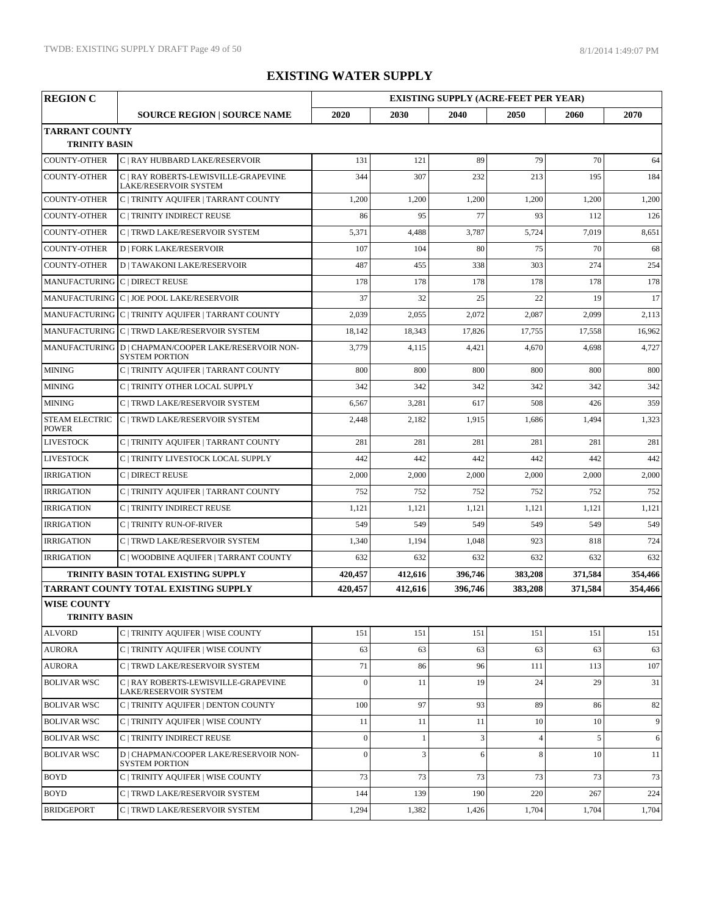| <b>REGION C</b>                               |                                                                               |                |              | <b>EXISTING SUPPLY (ACRE-FEET PER YEAR)</b> |                |         |         |
|-----------------------------------------------|-------------------------------------------------------------------------------|----------------|--------------|---------------------------------------------|----------------|---------|---------|
|                                               | <b>SOURCE REGION   SOURCE NAME</b>                                            | 2020           | 2030         | 2040                                        | 2050           | 2060    | 2070    |
| <b>TARRANT COUNTY</b><br><b>TRINITY BASIN</b> |                                                                               |                |              |                                             |                |         |         |
| <b>COUNTY-OTHER</b>                           | C   RAY HUBBARD LAKE/RESERVOIR                                                | 131            | 121          | 89                                          | 79             | 70      | 64      |
| <b>COUNTY-OTHER</b>                           | C   RAY ROBERTS-LEWISVILLE-GRAPEVINE<br>LAKE/RESERVOIR SYSTEM                 | 344            | 307          | 232                                         | 213            | 195     | 184     |
| COUNTY-OTHER                                  | C   TRINITY AQUIFER   TARRANT COUNTY                                          | 1,200          | 1,200        | 1,200                                       | 1,200          | 1,200   | 1,200   |
| <b>COUNTY-OTHER</b>                           | C   TRINITY INDIRECT REUSE                                                    | 86             | 95           | 77                                          | 93             | 112     | 126     |
| <b>COUNTY-OTHER</b>                           | C   TRWD LAKE/RESERVOIR SYSTEM                                                | 5,371          | 4,488        | 3,787                                       | 5,724          | 7,019   | 8,651   |
| COUNTY-OTHER                                  | <b>D   FORK LAKE/RESERVOIR</b>                                                | 107            | 104          | 80                                          | 75             | 70      | 68      |
| COUNTY-OTHER                                  | <b>D   TAWAKONI LAKE/RESERVOIR</b>                                            | 487            | 455          | 338                                         | 303            | 274     | 254     |
| MANUFACTURING C   DIRECT REUSE                |                                                                               | 178            | 178          | 178                                         | 178            | 178     | 178     |
|                                               | MANUFACTURING C   JOE POOL LAKE/RESERVOIR                                     | 37             | 32           | 25                                          | 22             | 19      | 17      |
|                                               | MANUFACTURING C   TRINITY AQUIFER   TARRANT COUNTY                            | 2,039          | 2,055        | 2,072                                       | 2,087          | 2,099   | 2,113   |
|                                               | MANUFACTURING C   TRWD LAKE/RESERVOIR SYSTEM                                  | 18,142         | 18,343       | 17,826                                      | 17,755         | 17,558  | 16,962  |
|                                               | MANUFACTURING D   CHAPMAN/COOPER LAKE/RESERVOIR NON-<br><b>SYSTEM PORTION</b> | 3,779          | 4,115        | 4,421                                       | 4,670          | 4,698   | 4,727   |
| <b>MINING</b>                                 | C   TRINITY AQUIFER   TARRANT COUNTY                                          | 800            | 800          | 800                                         | 800            | 800     | 800     |
| <b>MINING</b>                                 | C   TRINITY OTHER LOCAL SUPPLY                                                | 342            | 342          | 342                                         | 342            | 342     | 342     |
| <b>MINING</b>                                 | C   TRWD LAKE/RESERVOIR SYSTEM                                                | 6,567          | 3,281        | 617                                         | 508            | 426     | 359     |
| <b>STEAM ELECTRIC</b><br><b>POWER</b>         | C   TRWD LAKE/RESERVOIR SYSTEM                                                | 2,448          | 2,182        | 1,915                                       | 1,686          | 1,494   | 1,323   |
| <b>LIVESTOCK</b>                              | C   TRINITY AQUIFER   TARRANT COUNTY                                          | 281            | 281          | 281                                         | 281            | 281     | 281     |
| <b>LIVESTOCK</b>                              | C   TRINITY LIVESTOCK LOCAL SUPPLY                                            | 442            | 442          | 442                                         | 442            | 442     | 442     |
| <b>IRRIGATION</b>                             | C   DIRECT REUSE                                                              | 2,000          | 2,000        | 2,000                                       | 2,000          | 2,000   | 2,000   |
| <b>IRRIGATION</b>                             | C   TRINITY AQUIFER   TARRANT COUNTY                                          | 752            | 752          | 752                                         | 752            | 752     | 752     |
| <b>IRRIGATION</b>                             | C   TRINITY INDIRECT REUSE                                                    | 1,121          | 1,121        | 1,121                                       | 1,121          | 1,121   | 1,121   |
| <b>IRRIGATION</b>                             | <b>C   TRINITY RUN-OF-RIVER</b>                                               | 549            | 549          | 549                                         | 549            | 549     | 549     |
| <b>IRRIGATION</b>                             | C   TRWD LAKE/RESERVOIR SYSTEM                                                | 1,340          | 1,194        | 1,048                                       | 923            | 818     | 724     |
| <b>IRRIGATION</b>                             | C   WOODBINE AQUIFER   TARRANT COUNTY                                         | 632            | 632          | 632                                         | 632            | 632     | 632     |
|                                               | TRINITY BASIN TOTAL EXISTING SUPPLY                                           | 420,457        | 412,616      | 396,746                                     | 383,208        | 371,584 | 354,466 |
|                                               | TARRANT COUNTY TOTAL EXISTING SUPPLY                                          | 420,457        | 412,616      | 396,746                                     | 383,208        | 371,584 | 354,466 |
| <b>WISE COUNTY</b><br><b>TRINITY BASIN</b>    |                                                                               |                |              |                                             |                |         |         |
| <b>ALVORD</b>                                 | C   TRINITY AQUIFER   WISE COUNTY                                             | 151            | 151          | 151                                         | 151            | 151     | 151     |
| <b>AURORA</b>                                 | C   TRINITY AOUIFER   WISE COUNTY                                             | 63             | 63           | 63                                          | 63             | 63      | 63      |
| <b>AURORA</b>                                 | C   TRWD LAKE/RESERVOIR SYSTEM                                                | 71             | 86           | 96                                          | 111            | 113     | 107     |
| <b>BOLIVAR WSC</b>                            | C   RAY ROBERTS-LEWISVILLE-GRAPEVINE                                          | $\theta$       | 11           | 19                                          | 24             | 29      | 31      |
| <b>BOLIVAR WSC</b>                            | LAKE/RESERVOIR SYSTEM<br>C   TRINITY AOUIFER   DENTON COUNTY                  | 100            | 97           | 93                                          | 89             | 86      | 82      |
| <b>BOLIVAR WSC</b>                            | C   TRINITY AQUIFER   WISE COUNTY                                             | 11             | 11           | 11                                          | 10             | 10      | 9       |
| <b>BOLIVAR WSC</b>                            | C   TRINITY INDIRECT REUSE                                                    | $\mathbf{0}$   | $\mathbf{1}$ | 3                                           | $\overline{4}$ | 5       | 6       |
| <b>BOLIVAR WSC</b>                            | D   CHAPMAN/COOPER LAKE/RESERVOIR NON-<br><b>SYSTEM PORTION</b>               | $\overline{0}$ | 3            | 6                                           | 8              | 10      | 11      |
| <b>BOYD</b>                                   | C   TRINITY AQUIFER   WISE COUNTY                                             | 73             | 73           | 73                                          | 73             | 73      | 73      |
| <b>BOYD</b>                                   | C   TRWD LAKE/RESERVOIR SYSTEM                                                | 144            | 139          | 190                                         | 220            | 267     | 224     |
| <b>BRIDGEPORT</b>                             | C   TRWD LAKE/RESERVOIR SYSTEM                                                | 1,294          | 1,382        | 1,426                                       | 1,704          | 1,704   | 1,704   |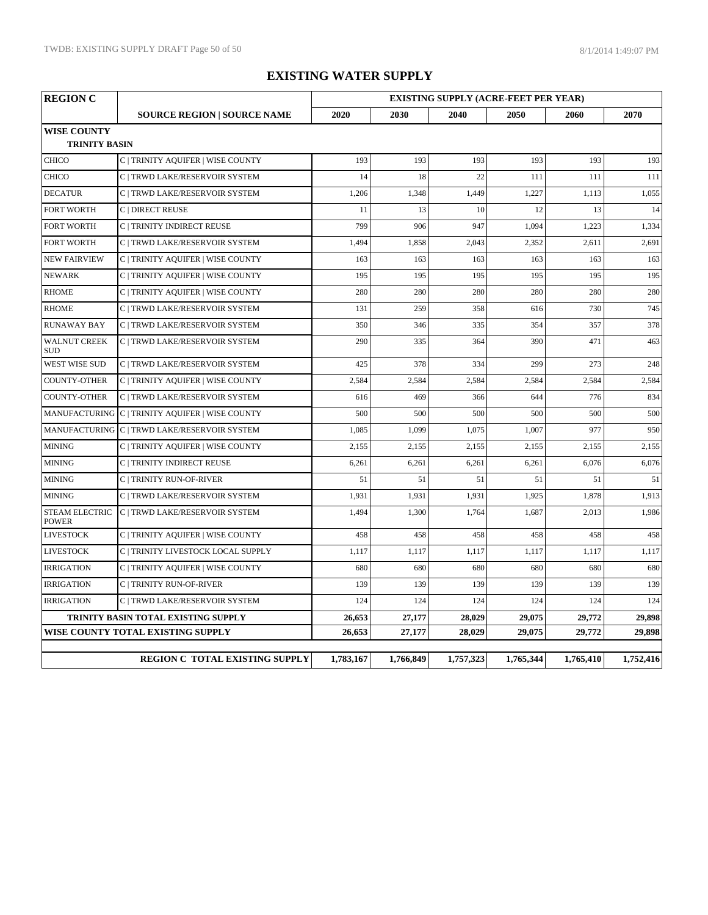| <b>REGION C</b>                            |                                                 | <b>EXISTING SUPPLY (ACRE-FEET PER YEAR)</b> |           |           |           |           |           |  |
|--------------------------------------------|-------------------------------------------------|---------------------------------------------|-----------|-----------|-----------|-----------|-----------|--|
|                                            | <b>SOURCE REGION   SOURCE NAME</b>              | 2020                                        | 2030      | 2040      | 2050      | 2060      | 2070      |  |
| <b>WISE COUNTY</b><br><b>TRINITY BASIN</b> |                                                 |                                             |           |           |           |           |           |  |
| <b>CHICO</b>                               | C   TRINITY AQUIFER   WISE COUNTY               | 193                                         | 193       | 193       | 193       | 193       | 193       |  |
| <b>CHICO</b>                               | C   TRWD LAKE/RESERVOIR SYSTEM                  | 14                                          | 18        | 22        | 111       | 111       | 111       |  |
| <b>DECATUR</b>                             | C   TRWD LAKE/RESERVOIR SYSTEM                  | 1,206                                       | 1,348     | 1,449     | 1,227     | 1,113     | 1,055     |  |
| <b>FORT WORTH</b>                          | C   DIRECT REUSE                                | 11                                          | 13        | 10        | 12        | 13        | 14        |  |
| <b>FORT WORTH</b>                          | C   TRINITY INDIRECT REUSE                      | 799                                         | 906       | 947       | 1,094     | 1,223     | 1,334     |  |
| <b>FORT WORTH</b>                          | C   TRWD LAKE/RESERVOIR SYSTEM                  | 1,494                                       | 1,858     | 2,043     | 2,352     | 2,611     | 2,691     |  |
| <b>NEW FAIRVIEW</b>                        | C   TRINITY AQUIFER   WISE COUNTY               | 163                                         | 163       | 163       | 163       | 163       | 163       |  |
| <b>NEWARK</b>                              | C   TRINITY AQUIFER   WISE COUNTY               | 195                                         | 195       | 195       | 195       | 195       | 195       |  |
| <b>RHOME</b>                               | C   TRINITY AQUIFER   WISE COUNTY               | 280                                         | 280       | 280       | 280       | 280       | 280       |  |
| <b>RHOME</b>                               | C   TRWD LAKE/RESERVOIR SYSTEM                  | 131                                         | 259       | 358       | 616       | 730       | 745       |  |
| <b>RUNAWAY BAY</b>                         | C   TRWD LAKE/RESERVOIR SYSTEM                  | 350                                         | 346       | 335       | 354       | 357       | 378       |  |
| <b>WALNUT CREEK</b><br><b>SUD</b>          | C   TRWD LAKE/RESERVOIR SYSTEM                  | 290                                         | 335       | 364       | 390       | 471       | 463       |  |
| <b>WEST WISE SUD</b>                       | C   TRWD LAKE/RESERVOIR SYSTEM                  | 425                                         | 378       | 334       | 299       | 273       | 248       |  |
| <b>COUNTY-OTHER</b>                        | C   TRINITY AQUIFER   WISE COUNTY               | 2,584                                       | 2,584     | 2,584     | 2,584     | 2,584     | 2,584     |  |
| <b>COUNTY-OTHER</b>                        | C   TRWD LAKE/RESERVOIR SYSTEM                  | 616                                         | 469       | 366       | 644       | 776       | 834       |  |
|                                            | MANUFACTURING C   TRINITY AQUIFER   WISE COUNTY | 500                                         | 500       | 500       | 500       | 500       | 500       |  |
|                                            | MANUFACTURING C   TRWD LAKE/RESERVOIR SYSTEM    | 1,085                                       | 1,099     | 1,075     | 1,007     | 977       | 950       |  |
| <b>MINING</b>                              | C   TRINITY AQUIFER   WISE COUNTY               | 2,155                                       | 2,155     | 2,155     | 2,155     | 2,155     | 2,155     |  |
| <b>MINING</b>                              | C   TRINITY INDIRECT REUSE                      | 6,261                                       | 6,261     | 6,261     | 6,261     | 6,076     | 6,076     |  |
| <b>MINING</b>                              | C   TRINITY RUN-OF-RIVER                        | 51                                          | 51        | 51        | 51        | 51        | 51        |  |
| <b>MINING</b>                              | C   TRWD LAKE/RESERVOIR SYSTEM                  | 1,931                                       | 1,931     | 1,931     | 1,925     | 1,878     | 1,913     |  |
| <b>STEAM ELECTRIC</b><br><b>POWER</b>      | C   TRWD LAKE/RESERVOIR SYSTEM                  | 1,494                                       | 1,300     | 1,764     | 1,687     | 2,013     | 1,986     |  |
| <b>LIVESTOCK</b>                           | C   TRINITY AQUIFER   WISE COUNTY               | 458                                         | 458       | 458       | 458       | 458       | 458       |  |
| <b>LIVESTOCK</b>                           | C   TRINITY LIVESTOCK LOCAL SUPPLY              | 1,117                                       | 1,117     | 1,117     | 1,117     | 1,117     | 1,117     |  |
| <b>IRRIGATION</b>                          | C   TRINITY AQUIFER   WISE COUNTY               | 680                                         | 680       | 680       | 680       | 680       | 680       |  |
| <b>IRRIGATION</b>                          | C   TRINITY RUN-OF-RIVER                        | 139                                         | 139       | 139       | 139       | 139       | 139       |  |
| <b>IRRIGATION</b>                          | C   TRWD LAKE/RESERVOIR SYSTEM                  | 124                                         | 124       | 124       | 124       | 124       | 124       |  |
|                                            | TRINITY BASIN TOTAL EXISTING SUPPLY             | 26,653                                      | 27,177    | 28,029    | 29,075    | 29,772    | 29,898    |  |
|                                            | WISE COUNTY TOTAL EXISTING SUPPLY               | 26,653                                      | 27,177    | 28,029    | 29,075    | 29,772    | 29,898    |  |
|                                            | REGION C TOTAL EXISTING SUPPLY                  | 1,783,167                                   | 1,766,849 | 1,757,323 | 1,765,344 | 1,765,410 | 1,752,416 |  |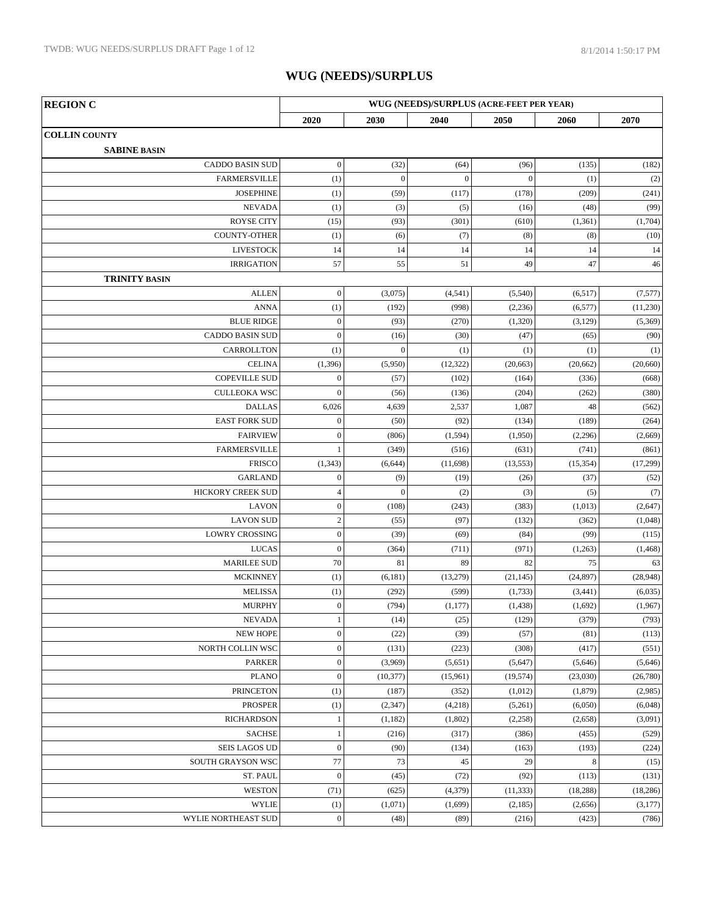| <b>REGION C</b>               | WUG (NEEDS)/SURPLUS (ACRE-FEET PER YEAR) |                  |              |              |            |                      |
|-------------------------------|------------------------------------------|------------------|--------------|--------------|------------|----------------------|
|                               | 2020                                     | 2030             | 2040         | 2050         | 2060       | 2070                 |
| <b>COLLIN COUNTY</b>          |                                          |                  |              |              |            |                      |
| <b>SABINE BASIN</b>           |                                          |                  |              |              |            |                      |
| <b>CADDO BASIN SUD</b>        | $\mathbf{0}$                             | (32)             | (64)         | (96)         | (135)      | (182)                |
| <b>FARMERSVILLE</b>           | (1)                                      | $\boldsymbol{0}$ | $\mathbf{0}$ | $\mathbf{0}$ | (1)        | (2)                  |
| <b>JOSEPHINE</b>              | (1)                                      | (59)             | (117)        | (178)        | (209)      | (241)                |
| <b>NEVADA</b>                 | (1)                                      | (3)              | (5)          | (16)         | (48)       | (99)                 |
| <b>ROYSE CITY</b>             | (15)                                     | (93)             | (301)        | (610)        | (1, 361)   | (1,704)              |
| COUNTY-OTHER                  | (1)                                      | (6)              | (7)          | (8)          | (8)        | (10)                 |
| <b>LIVESTOCK</b>              | 14                                       | 14               | 14           | 14           | 14         | 14                   |
| <b>IRRIGATION</b>             | 57                                       | 55               | 51           | 49           | 47         | 46                   |
| <b>TRINITY BASIN</b>          |                                          |                  |              |              |            |                      |
| <b>ALLEN</b>                  | $\mathbf{0}$                             | (3,075)          | (4, 541)     | (5,540)      | (6,517)    | (7,577)              |
| <b>ANNA</b>                   | (1)                                      | (192)            | (998)        | (2,236)      | (6, 577)   | (11,230)             |
| <b>BLUE RIDGE</b>             | $\mathbf{0}$                             | (93)             | (270)        | (1,320)      | (3,129)    | (5,369)              |
| <b>CADDO BASIN SUD</b>        | $\mathbf{0}$                             | (16)             | (30)         | (47)         | (65)       | (90)                 |
| CARROLLTON                    | (1)                                      | $\overline{0}$   | (1)          | (1)          | (1)        | (1)                  |
| <b>CELINA</b>                 | (1, 396)                                 | (5,950)          | (12, 322)    | (20, 663)    | (20, 662)  | (20, 660)            |
| <b>COPEVILLE SUD</b>          | $\mathbf{0}$                             | (57)             | (102)        | (164)        | (336)      | (668)                |
| <b>CULLEOKA WSC</b>           | $\Omega$                                 | (56)             | (136)        | (204)        | (262)      | (380)                |
| <b>DALLAS</b>                 | 6,026                                    | 4,639            | 2,537        | 1,087        | 48         | (562)                |
| <b>EAST FORK SUD</b>          | $\mathbf{0}$                             | (50)             | (92)         | (134)        | (189)      | (264)                |
| <b>FAIRVIEW</b>               | $\mathbf{0}$                             | (806)            | (1, 594)     | (1,950)      | (2,296)    | (2,669)              |
| <b>FARMERSVILLE</b>           |                                          | (349)            | (516)        | (631)        | (741)      | (861)                |
| <b>FRISCO</b>                 | (1, 343)                                 | (6, 644)         | (11,698)     | (13, 553)    | (15, 354)  | (17,299)             |
| <b>GARLAND</b>                | $\boldsymbol{0}$                         | (9)              | (19)         | (26)         | (37)       | (52)                 |
| HICKORY CREEK SUD             | $\overline{4}$                           | $\mathbf{0}$     | (2)          | (3)          | (5)        | (7)                  |
| LAVON                         | $\boldsymbol{0}$                         | (108)            | (243)        | (383)        | (1,013)    | (2,647)              |
| <b>LAVON SUD</b>              | $\sqrt{2}$                               | (55)             | (97)         | (132)        | (362)      | (1,048)              |
| <b>LOWRY CROSSING</b>         | $\boldsymbol{0}$                         | (39)             | (69)         | (84)         | (99)       | (115)                |
| LUCAS                         | $\boldsymbol{0}$                         | (364)            | (711)        | (971)        | (1,263)    | (1, 468)             |
| <b>MARILEE SUD</b>            | 70                                       | 81               | 89           | 82           | 75         | 63                   |
| <b>MCKINNEY</b>               | (1)                                      | (6,181)          | (13,279)     | (21, 145)    | (24, 897)  | (28,948)             |
| <b>MELISSA</b>                | (1)                                      | (292)            | (599)        | (1,733)      | (3,441)    | (6,035)              |
| <b>MURPHY</b>                 | $\boldsymbol{0}$                         | (794)            | (1,177)      | (1, 438)     | (1,692)    | (1,967)              |
| <b>NEVADA</b>                 | $\mathbf{1}$                             | (14)             | (25)         | (129)        | (379)      | (793)                |
| <b>NEW HOPE</b>               | $\boldsymbol{0}$                         | (22)             | (39)         | (57)         | (81)       | (113)                |
| NORTH COLLIN WSC              | $\boldsymbol{0}$                         | (131)            | (223)        | (308)        | (417)      | (551)                |
| PARKER                        | $\boldsymbol{0}$                         | (3,969)          | (5,651)      | (5,647)      | (5,646)    | (5,646)              |
| <b>PLANO</b>                  | $\mathbf{0}$                             | (10, 377)        | (15,961)     | (19, 574)    | (23,030)   | (26,780)             |
| <b>PRINCETON</b>              | (1)                                      | (187)            | (352)        | (1,012)      | (1, 879)   | (2,985)              |
| <b>PROSPER</b>                | (1)                                      | (2, 347)         | (4,218)      | (5,261)      | (6,050)    | (6,048)              |
| <b>RICHARDSON</b>             | 1                                        | (1,182)          | (1,802)      | (2,258)      | (2,658)    | (3,091)              |
| <b>SACHSE</b>                 | 1                                        | (216)            | (317)        | (386)        | (455)      | (529)                |
| SEIS LAGOS UD                 | $\boldsymbol{0}$<br>77                   | (90)<br>73       | (134)<br>45  | (163)        | (193)      | (224)                |
| SOUTH GRAYSON WSC<br>ST. PAUL | $\boldsymbol{0}$                         | (45)             | (72)         | 29<br>(92)   | 8<br>(113) | (15)<br>(131)        |
| <b>WESTON</b>                 | (71)                                     | (625)            | (4, 379)     | (11, 333)    | (18, 288)  |                      |
| <b>WYLIE</b>                  | (1)                                      | (1,071)          | (1,699)      | (2,185)      | (2,656)    | (18, 286)<br>(3,177) |
| WYLIE NORTHEAST SUD           | $\boldsymbol{0}$                         | (48)             | (89)         | (216)        | (423)      | (786)                |
|                               |                                          |                  |              |              |            |                      |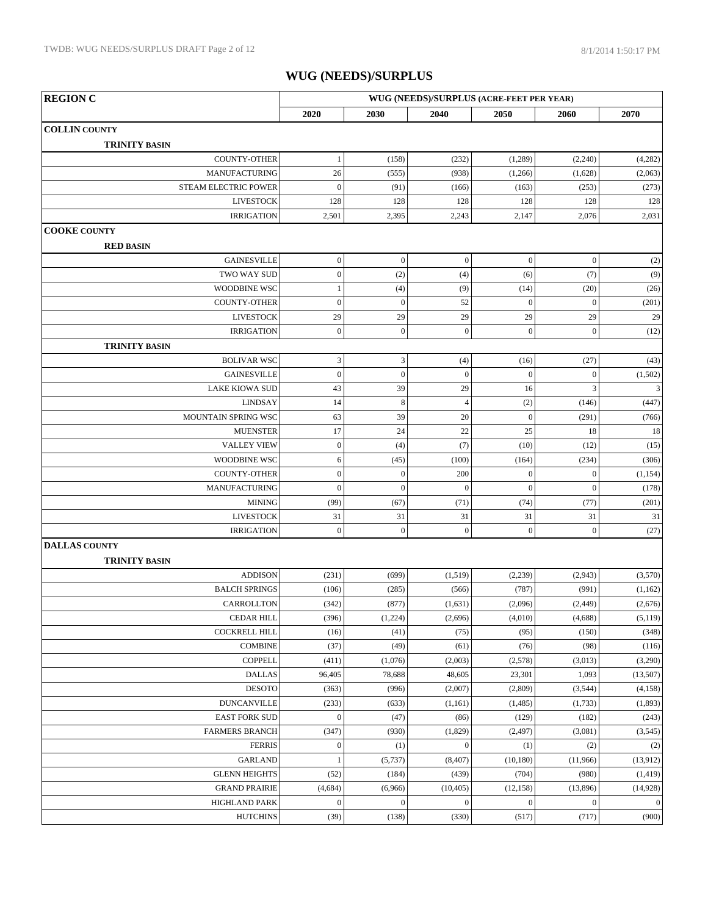| <b>REGION C</b>       | WUG (NEEDS)/SURPLUS (ACRE-FEET PER YEAR) |                             |                |                  |                  |                         |
|-----------------------|------------------------------------------|-----------------------------|----------------|------------------|------------------|-------------------------|
|                       | 2020                                     | 2030                        | 2040           | 2050             | 2060             | 2070                    |
| <b>COLLIN COUNTY</b>  |                                          |                             |                |                  |                  |                         |
| <b>TRINITY BASIN</b>  |                                          |                             |                |                  |                  |                         |
| COUNTY-OTHER          | $\mathbf{1}$                             | (158)                       | (232)          | (1,289)          | (2,240)          | (4,282)                 |
| <b>MANUFACTURING</b>  | 26                                       | (555)                       | (938)          | (1,266)          | (1,628)          | (2,063)                 |
| STEAM ELECTRIC POWER  | $\mathbf{0}$                             | (91)                        | (166)          | (163)            | (253)            | (273)                   |
| <b>LIVESTOCK</b>      | 128                                      | 128                         | 128            | 128              | 128              | 128                     |
| <b>IRRIGATION</b>     | 2,501                                    | 2,395                       | 2,243          | 2,147            | 2,076            | 2,031                   |
| <b>COOKE COUNTY</b>   |                                          |                             |                |                  |                  |                         |
| <b>RED BASIN</b>      |                                          |                             |                |                  |                  |                         |
| <b>GAINESVILLE</b>    | $\boldsymbol{0}$                         | $\mathbf{0}$                | $\mathbf{0}$   | $\mathbf{0}$     | $\boldsymbol{0}$ | (2)                     |
| TWO WAY SUD           | $\boldsymbol{0}$                         | (2)                         | (4)            | (6)              | (7)              | (9)                     |
| WOODBINE WSC          | $\mathbf{1}$                             | (4)                         | (9)            | (14)             | (20)             | (26)                    |
| <b>COUNTY-OTHER</b>   | $\boldsymbol{0}$                         | $\mathbf{0}$                | 52             | $\mathbf{0}$     | $\boldsymbol{0}$ | (201)                   |
| <b>LIVESTOCK</b>      | 29                                       | 29                          | 29             | 29               | 29               | 29                      |
| <b>IRRIGATION</b>     | $\boldsymbol{0}$                         | $\mathbf{0}$                | $\mathbf{0}$   | $\boldsymbol{0}$ | $\boldsymbol{0}$ | (12)                    |
| <b>TRINITY BASIN</b>  |                                          |                             |                |                  |                  |                         |
| <b>BOLIVAR WSC</b>    | $\mathfrak{Z}$                           | $\ensuremath{\mathfrak{Z}}$ | (4)            | (16)             | (27)             | (43)                    |
| <b>GAINESVILLE</b>    | $\boldsymbol{0}$                         | $\mathbf{0}$                | $\mathbf{0}$   | $\mathbf{0}$     | $\boldsymbol{0}$ | (1,502)                 |
| <b>LAKE KIOWA SUD</b> | 43                                       | 39                          | 29             | 16               | $\mathfrak{Z}$   | $\overline{\mathbf{3}}$ |
| <b>LINDSAY</b>        | 14                                       | $\,8\,$                     | $\overline{4}$ | (2)              | (146)            | (447)                   |
| MOUNTAIN SPRING WSC   | 63                                       | 39                          | 20             | $\mathbf{0}$     | (291)            | (766)                   |
| <b>MUENSTER</b>       | 17                                       | 24                          | 22             | 25               | 18               | 18                      |
| <b>VALLEY VIEW</b>    | $\boldsymbol{0}$                         | (4)                         | (7)            | (10)             | (12)             | (15)                    |
| WOODBINE WSC          | 6                                        | (45)                        | (100)          | (164)            | (234)            | (306)                   |
| <b>COUNTY-OTHER</b>   | $\boldsymbol{0}$                         | $\overline{0}$              | 200            | $\boldsymbol{0}$ | $\boldsymbol{0}$ | (1, 154)                |
| <b>MANUFACTURING</b>  | $\overline{0}$                           | $\overline{0}$              | $\mathbf{0}$   | $\mathbf{0}$     | $\theta$         | (178)                   |
| <b>MINING</b>         | (99)                                     | (67)                        | (71)           | (74)             | (77)             | (201)                   |
| <b>LIVESTOCK</b>      | 31                                       | 31                          | 31             | 31               | 31               | 31                      |
| <b>IRRIGATION</b>     | $\boldsymbol{0}$                         | $\mathbf{0}$                | $\overline{0}$ | $\mathbf{0}$     | $\boldsymbol{0}$ | (27)                    |
| <b>DALLAS COUNTY</b>  |                                          |                             |                |                  |                  |                         |
| <b>TRINITY BASIN</b>  |                                          |                             |                |                  |                  |                         |
| <b>ADDISON</b>        | (231)                                    | (699)                       | (1,519)        | (2,239)          | (2,943)          | (3,570)                 |
| <b>BALCH SPRINGS</b>  | (106)                                    | (285)                       | (566)          | (787)            | (991)            | (1,162)                 |
| <b>CARROLLTON</b>     | (342)                                    | (877)                       | (1,631)        | (2,096)          | (2, 449)         | (2,676)                 |
| <b>CEDAR HILL</b>     | (396)                                    | (1,224)                     | (2,696)        | (4,010)          | (4,688)          | (5,119)                 |
| <b>COCKRELL HILL</b>  | (16)                                     | (41)                        | (75)           | (95)             | (150)            | (348)                   |
| <b>COMBINE</b>        | (37)                                     | (49)                        | (61)           | (76)             | (98)             | (116)                   |
| <b>COPPELL</b>        | (411)                                    | (1,076)                     | (2,003)        | (2,578)          | (3,013)          | (3,290)                 |
| <b>DALLAS</b>         | 96,405                                   | 78,688                      | 48,605         | 23,301           | 1,093            | (13,507)                |
| <b>DESOTO</b>         | (363)                                    | (996)                       | (2,007)        | (2,809)          | (3,544)          | (4,158)                 |
| <b>DUNCANVILLE</b>    | (233)                                    | (633)                       | (1,161)        | (1, 485)         | (1,733)          | (1,893)                 |
| <b>EAST FORK SUD</b>  | $\boldsymbol{0}$                         | (47)                        | (86)           | (129)            | (182)            | (243)                   |
| <b>FARMERS BRANCH</b> | (347)                                    | (930)                       | (1,829)        | (2, 497)         | (3,081)          | (3,545)                 |
| <b>FERRIS</b>         | $\boldsymbol{0}$                         | (1)                         | $\mathbf{0}$   | (1)              | (2)              | (2)                     |
| <b>GARLAND</b>        | $\mathbf{1}$                             | (5,737)                     | (8, 407)       | (10, 180)        | (11,966)         | (13,912)                |
| <b>GLENN HEIGHTS</b>  | (52)                                     | (184)                       | (439)          | (704)            | (980)            | (1, 419)                |
| <b>GRAND PRAIRIE</b>  | (4,684)                                  | (6,966)                     | (10, 405)      | (12, 158)        | (13,896)         | (14, 928)               |
| <b>HIGHLAND PARK</b>  | $\boldsymbol{0}$                         | $\mathbf{0}$                | $\mathbf{0}$   | $\boldsymbol{0}$ | $\boldsymbol{0}$ | $\boldsymbol{0}$        |
| <b>HUTCHINS</b>       | (39)                                     | (138)                       | (330)          | (517)            | (717)            | (900)                   |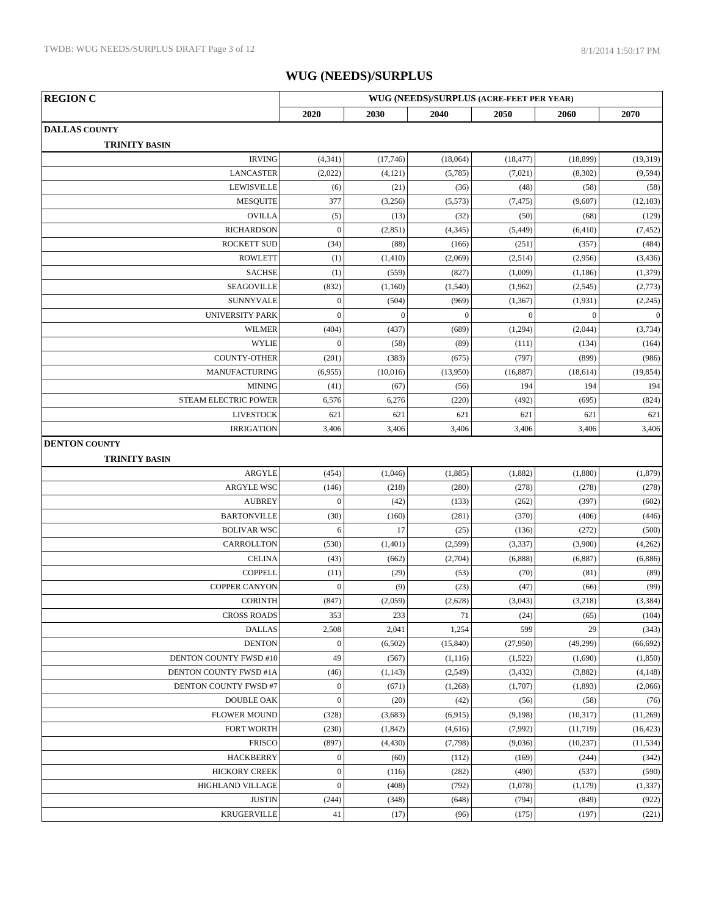| <b>REGION C</b>                              | WUG (NEEDS)/SURPLUS (ACRE-FEET PER YEAR) |                |              |              |                |                  |  |
|----------------------------------------------|------------------------------------------|----------------|--------------|--------------|----------------|------------------|--|
|                                              | 2020                                     | 2030           | 2040         | 2050         | 2060           | 2070             |  |
| <b>DALLAS COUNTY</b>                         |                                          |                |              |              |                |                  |  |
| <b>TRINITY BASIN</b>                         |                                          |                |              |              |                |                  |  |
| <b>IRVING</b>                                | (4, 341)                                 | (17,746)       | (18,064)     | (18, 477)    | (18, 899)      | (19, 319)        |  |
| <b>LANCASTER</b>                             | (2,022)                                  | (4, 121)       | (5,785)      | (7,021)      | (8, 302)       | (9, 594)         |  |
| <b>LEWISVILLE</b>                            | (6)                                      | (21)           | (36)         | (48)         | (58)           | (58)             |  |
| <b>MESQUITE</b>                              | 377                                      | (3,256)        | (5,573)      | (7, 475)     | (9,607)        | (12, 103)        |  |
| <b>OVILLA</b>                                | (5)                                      | (13)           | (32)         | (50)         | (68)           | (129)            |  |
| <b>RICHARDSON</b>                            | $\mathbf{0}$                             | (2, 851)       | (4, 345)     | (5, 449)     | (6, 410)       | (7, 452)         |  |
| <b>ROCKETT SUD</b>                           | (34)                                     | (88)           | (166)        | (251)        | (357)          | (484)            |  |
| <b>ROWLETT</b>                               | (1)                                      | (1, 410)       | (2,069)      | (2,514)      | (2,956)        | (3, 436)         |  |
| <b>SACHSE</b>                                | (1)                                      | (559)          | (827)        | (1,009)      | (1, 186)       | (1, 379)         |  |
| <b>SEAGOVILLE</b>                            | (832)                                    | (1,160)        | (1,540)      | (1,962)      | (2,545)        | (2,773)          |  |
| <b>SUNNYVALE</b>                             | $\boldsymbol{0}$                         | (504)          | (969)        | (1, 367)     | (1,931)        | (2,245)          |  |
| <b>UNIVERSITY PARK</b>                       | $\overline{0}$                           | $\overline{0}$ | $\mathbf{0}$ | $\mathbf{0}$ | $\overline{0}$ | $\boldsymbol{0}$ |  |
| <b>WILMER</b>                                | (404)                                    | (437)          | (689)        | (1,294)      | (2,044)        | (3,734)          |  |
| <b>WYLIE</b>                                 | $\mathbf{0}$                             | (58)           | (89)         | (111)        | (134)          | (164)            |  |
| <b>COUNTY-OTHER</b>                          | (201)                                    | (383)          | (675)        | (797)        | (899)          | (986)            |  |
| <b>MANUFACTURING</b>                         | (6,955)                                  | (10,016)       | (13,950)     | (16, 887)    | (18,614)       | (19, 854)        |  |
| <b>MINING</b>                                | (41)                                     | (67)           | (56)         | 194          | 194            | 194              |  |
| STEAM ELECTRIC POWER                         | 6,576                                    | 6,276          | (220)        | (492)        | (695)          | (824)            |  |
| <b>LIVESTOCK</b>                             | 621                                      | 621            | 621          | 621          | 621            | 621              |  |
| <b>IRRIGATION</b>                            | 3,406                                    | 3,406          | 3,406        | 3,406        | 3,406          | 3,406            |  |
| <b>DENTON COUNTY</b><br><b>TRINITY BASIN</b> |                                          |                |              |              |                |                  |  |
| ARGYLE                                       | (454)                                    | (1,046)        | (1,885)      | (1,882)      | (1,880)        | (1, 879)         |  |
| ARGYLE WSC                                   | (146)                                    | (218)          | (280)        | (278)        | (278)          | (278)            |  |
| <b>AUBREY</b>                                | $\boldsymbol{0}$                         | (42)           | (133)        | (262)        | (397)          | (602)            |  |
| <b>BARTONVILLE</b>                           | (30)                                     | (160)          | (281)        | (370)        | (406)          | (446)            |  |
| <b>BOLIVAR WSC</b>                           | 6                                        | 17             | (25)         | (136)        | (272)          | (500)            |  |
| CARROLLTON                                   | (530)                                    | (1,401)        | (2, 599)     | (3, 337)     | (3,900)        | (4,262)          |  |
| <b>CELINA</b>                                | (43)                                     | (662)          | (2,704)      | (6,888)      | (6,887)        | (6,886)          |  |
| <b>COPPELL</b>                               | (11)                                     | (29)           | (53)         | (70)         | (81)           | (89)             |  |
| <b>COPPER CANYON</b>                         | $\overline{0}$                           | (9)            | (23)         | (47)         | (66)           | (99)             |  |
| <b>CORINTH</b>                               | (847)                                    | (2,059)        | (2,628)      | (3,043)      | (3,218)        | (3, 384)         |  |
| <b>CROSS ROADS</b>                           | 353                                      | 233            | 71           | (24)         | (65)           | (104)            |  |
| <b>DALLAS</b>                                | 2,508                                    | 2,041          | 1,254        | 599          | 29             | (343)            |  |
| <b>DENTON</b>                                | $\boldsymbol{0}$                         | (6,502)        | (15, 840)    | (27,950)     | (49,299)       | (66, 692)        |  |
| DENTON COUNTY FWSD #10                       | 49                                       | (567)          | (1,116)      | (1,522)      | (1,690)        | (1,850)          |  |
| DENTON COUNTY FWSD #1A                       | (46)                                     | (1, 143)       | (2,549)      | (3,432)      | (3,882)        | (4,148)          |  |
| DENTON COUNTY FWSD #7                        | $\boldsymbol{0}$                         | (671)          | (1,268)      | (1,707)      | (1,893)        | (2,066)          |  |
| <b>DOUBLE OAK</b>                            | $\boldsymbol{0}$                         | (20)           | (42)         | (56)         | (58)           | (76)             |  |
| <b>FLOWER MOUND</b>                          | (328)                                    | (3,683)        | (6,915)      | (9,198)      | (10, 317)      | (11,269)         |  |
| FORT WORTH                                   | (230)                                    | (1, 842)       | (4,616)      | (7,992)      | (11, 719)      | (16, 423)        |  |
| <b>FRISCO</b>                                | (897)                                    | (4, 430)       | (7,798)      | (9,036)      | (10, 237)      | (11, 534)        |  |
| <b>HACKBERRY</b>                             | $\boldsymbol{0}$                         | (60)           | (112)        | (169)        | (244)          | (342)            |  |
| <b>HICKORY CREEK</b>                         | $\boldsymbol{0}$                         | (116)          | (282)        | (490)        | (537)          | (590)            |  |
| HIGHLAND VILLAGE                             | $\boldsymbol{0}$                         | (408)          | (792)        | (1,078)      | (1,179)        | (1, 337)         |  |
| <b>JUSTIN</b>                                | (244)                                    | (348)          | (648)        | (794)        | (849)          | (922)            |  |
| <b>KRUGERVILLE</b>                           | $41\,$                                   | (17)           | (96)         | (175)        | (197)          | (221)            |  |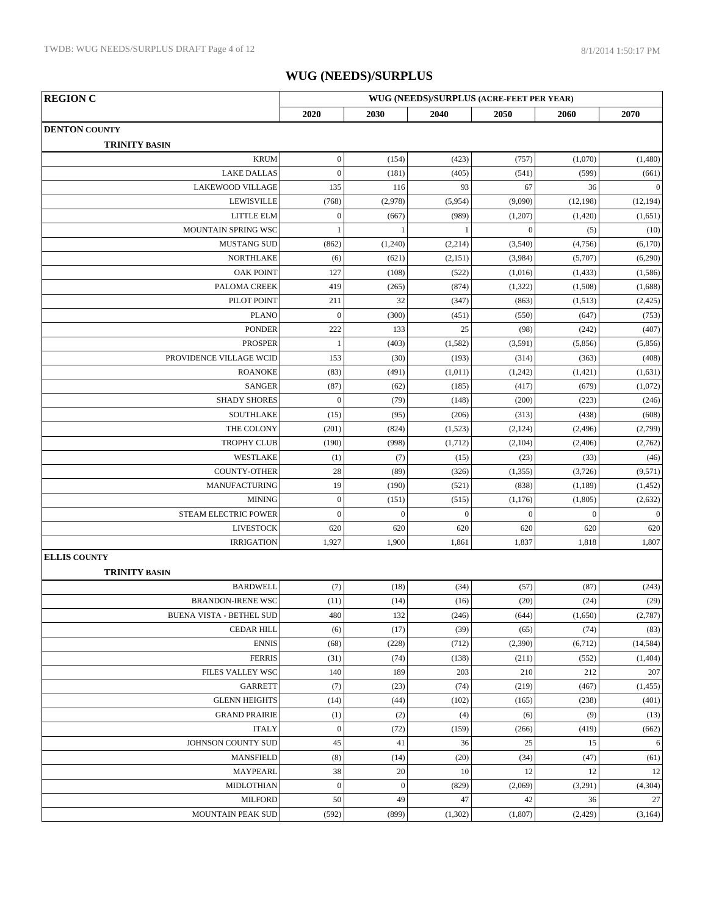| <b>REGION C</b>                 | WUG (NEEDS)/SURPLUS (ACRE-FEET PER YEAR) |                  |              |                  |                  |                  |
|---------------------------------|------------------------------------------|------------------|--------------|------------------|------------------|------------------|
|                                 | 2020                                     | 2030             | 2040         | 2050             | 2060             | 2070             |
| <b>DENTON COUNTY</b>            |                                          |                  |              |                  |                  |                  |
| <b>TRINITY BASIN</b>            |                                          |                  |              |                  |                  |                  |
| <b>KRUM</b>                     | $\boldsymbol{0}$                         | (154)            | (423)        | (757)            | (1,070)          | (1,480)          |
| <b>LAKE DALLAS</b>              | $\boldsymbol{0}$                         | (181)            | (405)        | (541)            | (599)            | (661)            |
| <b>LAKEWOOD VILLAGE</b>         | 135                                      | 116              | 93           | 67               | 36               | $\overline{0}$   |
| <b>LEWISVILLE</b>               | (768)                                    | (2,978)          | (5,954)      | (9,090)          | (12, 198)        | (12, 194)        |
| LITTLE ELM                      | $\boldsymbol{0}$                         | (667)            | (989)        | (1,207)          | (1,420)          | (1,651)          |
| MOUNTAIN SPRING WSC             | $\mathbf{1}$                             | -1               | 1            | $\boldsymbol{0}$ | (5)              | (10)             |
| <b>MUSTANG SUD</b>              | (862)                                    | (1,240)          | (2,214)      | (3,540)          | (4,756)          | (6,170)          |
| <b>NORTHLAKE</b>                | (6)                                      | (621)            | (2,151)      | (3,984)          | (5,707)          | (6,290)          |
| <b>OAK POINT</b>                | 127                                      | (108)            | (522)        | (1,016)          | (1, 433)         | (1,586)          |
| PALOMA CREEK                    | 419                                      | (265)            | (874)        | (1,322)          | (1,508)          | (1,688)          |
| PILOT POINT                     | 211                                      | 32               | (347)        | (863)            | (1,513)          | (2, 425)         |
| <b>PLANO</b>                    | $\boldsymbol{0}$                         | (300)            | (451)        | (550)            | (647)            | (753)            |
| <b>PONDER</b>                   | 222                                      | 133              | 25           | (98)             | (242)            | (407)            |
| <b>PROSPER</b>                  | $\mathbf{1}$                             | (403)            | (1, 582)     | (3,591)          | (5,856)          | (5,856)          |
| PROVIDENCE VILLAGE WCID         | 153                                      | (30)             | (193)        | (314)            | (363)            | (408)            |
| <b>ROANOKE</b>                  | (83)                                     | (491)            | (1,011)      | (1,242)          | (1,421)          | (1,631)          |
| <b>SANGER</b>                   | (87)                                     | (62)             | (185)        | (417)            | (679)            | (1,072)          |
| <b>SHADY SHORES</b>             | $\boldsymbol{0}$                         | (79)             | (148)        | (200)            | (223)            | (246)            |
| <b>SOUTHLAKE</b>                | (15)                                     | (95)             | (206)        | (313)            | (438)            | (608)            |
| THE COLONY                      | (201)                                    | (824)            | (1,523)      | (2, 124)         | (2, 496)         | (2,799)          |
| <b>TROPHY CLUB</b>              | (190)                                    | (998)            | (1,712)      | (2,104)          | (2,406)          | (2,762)          |
| WESTLAKE                        | (1)                                      | (7)              | (15)         | (23)             | (33)             | (46)             |
| <b>COUNTY-OTHER</b>             | 28                                       | (89)             | (326)        | (1,355)          | (3,726)          | (9,571)          |
| MANUFACTURING                   | 19                                       | (190)            | (521)        | (838)            | (1, 189)         | (1, 452)         |
| <b>MINING</b>                   | $\boldsymbol{0}$                         | (151)            | (515)        | (1, 176)         | (1,805)          | (2,632)          |
| STEAM ELECTRIC POWER            | $\mathbf{0}$                             | $\boldsymbol{0}$ | $\mathbf{0}$ | $\boldsymbol{0}$ | $\boldsymbol{0}$ | $\boldsymbol{0}$ |
| <b>LIVESTOCK</b>                | 620                                      | 620              | 620          | 620              | 620              | 620              |
| <b>IRRIGATION</b>               | 1,927                                    | 1,900            | 1,861        | 1,837            | 1,818            | 1,807            |
| <b>ELLIS COUNTY</b>             |                                          |                  |              |                  |                  |                  |
| <b>TRINITY BASIN</b>            |                                          |                  |              |                  |                  |                  |
| <b>BARDWELL</b>                 | (7)                                      | (18)             | (34)         | (57)             | (87)             | (243)            |
| <b>BRANDON-IRENE WSC</b>        | (11)                                     | (14)             | (16)         | (20)             | (24)             | (29)             |
| <b>BUENA VISTA - BETHEL SUD</b> | 480                                      | 132              | (246)        | (644)            | (1,650)          | (2,787)          |
| <b>CEDAR HILL</b>               | (6)                                      | (17)             | (39)         | (65)             | (74)             | (83)             |
| <b>ENNIS</b>                    | (68)                                     | (228)            | (712)        | (2,390)          | (6,712)          | (14, 584)        |
| <b>FERRIS</b>                   | (31)                                     | (74)             | (138)        | (211)            | (552)            | (1, 404)         |
| FILES VALLEY WSC                | 140                                      | 189              | 203          | 210              | 212              | 207              |
| <b>GARRETT</b>                  |                                          | (23)             | (74)         | (219)            | (467)            | (1, 455)         |
| <b>GLENN HEIGHTS</b>            | (7)<br>(14)                              | (44)             | (102)        | (165)            | (238)            | (401)            |
|                                 |                                          |                  |              |                  |                  |                  |
| <b>GRAND PRAIRIE</b>            | (1)                                      | (2)              | (4)          | (6)              | (9)              | (13)             |
| <b>ITALY</b>                    | $\boldsymbol{0}$                         | (72)             | (159)        | (266)            | (419)            | (662)            |
| JOHNSON COUNTY SUD              | 45                                       | 41               | 36           | 25               | 15               | $\sqrt{6}$       |
| <b>MANSFIELD</b>                | (8)                                      | (14)             | (20)         | (34)             | (47)             | (61)             |
| <b>MAYPEARL</b>                 | 38                                       | 20               | 10           | 12               | 12               | $12\,$           |
| MIDLOTHIAN                      | $\boldsymbol{0}$                         | $\boldsymbol{0}$ | (829)        | (2,069)          | (3,291)          | (4,304)          |
| <b>MILFORD</b>                  | 50                                       | 49               | 47           | 42               | 36               | $27\,$           |
| MOUNTAIN PEAK SUD               | (592)                                    | (899)            | (1,302)      | (1,807)          | (2, 429)         | (3,164)          |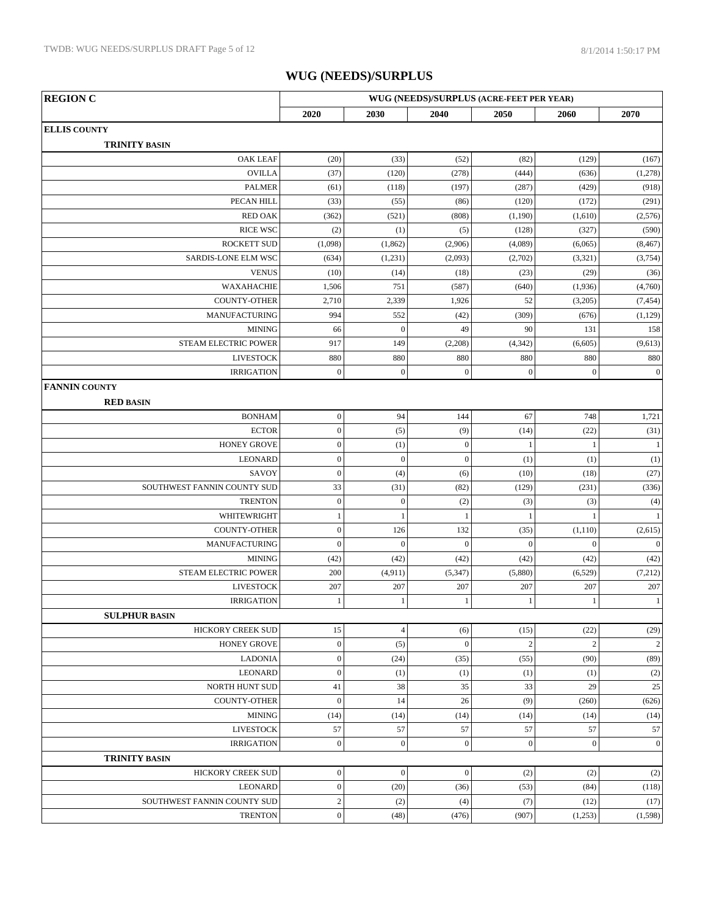| <b>REGION C</b>             |                  |                  |                  | WUG (NEEDS)/SURPLUS (ACRE-FEET PER YEAR) |                  |                  |
|-----------------------------|------------------|------------------|------------------|------------------------------------------|------------------|------------------|
|                             | 2020             | 2030             | 2040             | 2050                                     | 2060             | 2070             |
| <b>ELLIS COUNTY</b>         |                  |                  |                  |                                          |                  |                  |
| <b>TRINITY BASIN</b>        |                  |                  |                  |                                          |                  |                  |
| <b>OAK LEAF</b>             | (20)             | (33)             | (52)             | (82)                                     | (129)            | (167)            |
| <b>OVILLA</b>               | (37)             | (120)            | (278)            | (444)                                    | (636)            | (1,278)          |
| <b>PALMER</b>               | (61)             | (118)            | (197)            | (287)                                    | (429)            | (918)            |
| PECAN HILL                  | (33)             | (55)             | (86)             | (120)                                    | (172)            | (291)            |
| <b>RED OAK</b>              | (362)            | (521)            | (808)            | (1,190)                                  | (1,610)          | (2,576)          |
| <b>RICE WSC</b>             | (2)              | (1)              | (5)              | (128)                                    | (327)            | (590)            |
| <b>ROCKETT SUD</b>          | (1,098)          | (1, 862)         | (2,906)          | (4,089)                                  | (6,065)          | (8, 467)         |
| SARDIS-LONE ELM WSC         | (634)            | (1,231)          | (2,093)          | (2,702)                                  | (3,321)          | (3,754)          |
| <b>VENUS</b>                | (10)             | (14)             | (18)             | (23)                                     | (29)             | (36)             |
| WAXAHACHIE                  | 1,506            | 751              | (587)            | (640)                                    | (1,936)          | (4,760)          |
| <b>COUNTY-OTHER</b>         | 2,710            | 2,339            | 1,926            | 52                                       | (3,205)          | (7, 454)         |
| MANUFACTURING               | 994              | 552              | (42)             | (309)                                    | (676)            | (1,129)          |
| <b>MINING</b>               | 66               | $\overline{0}$   | 49               | 90                                       | 131              | 158              |
| STEAM ELECTRIC POWER        | 917              | 149              | (2,208)          | (4, 342)                                 | (6,605)          | (9,613)          |
| <b>LIVESTOCK</b>            | 880              | 880              | 880              | 880                                      | 880              | 880              |
| <b>IRRIGATION</b>           | $\mathbf{0}$     | $\boldsymbol{0}$ | $\boldsymbol{0}$ | $\boldsymbol{0}$                         | $\boldsymbol{0}$ | $\boldsymbol{0}$ |
| <b>FANNIN COUNTY</b>        |                  |                  |                  |                                          |                  |                  |
| <b>RED BASIN</b>            |                  |                  |                  |                                          |                  |                  |
| <b>BONHAM</b>               | $\boldsymbol{0}$ | 94               | 144              | 67                                       | 748              | 1,721            |
| <b>ECTOR</b>                | $\overline{0}$   | (5)              | (9)              | (14)                                     | (22)             | (31)             |
| <b>HONEY GROVE</b>          | $\boldsymbol{0}$ | (1)              | $\boldsymbol{0}$ | $\mathbf{1}$                             | -1               | $\mathbf{1}$     |
| <b>LEONARD</b>              | $\boldsymbol{0}$ | $\overline{0}$   | $\boldsymbol{0}$ | (1)                                      | (1)              | (1)              |
| SAVOY                       | $\boldsymbol{0}$ | (4)              | (6)              | (10)                                     | (18)             | (27)             |
| SOUTHWEST FANNIN COUNTY SUD | 33               | (31)             | (82)             | (129)                                    | (231)            | (336)            |
| <b>TRENTON</b>              | $\boldsymbol{0}$ | $\mathbf{0}$     | (2)              | (3)                                      | (3)              | (4)              |
| WHITEWRIGHT                 | $\mathbf{1}$     |                  | $\mathbf{1}$     | $\mathbf{1}$                             | -1               | $\mathbf{1}$     |
| <b>COUNTY-OTHER</b>         | $\boldsymbol{0}$ | 126              | 132              | (35)                                     | (1,110)          | (2,615)          |
| MANUFACTURING               | $\boldsymbol{0}$ | $\overline{0}$   | $\boldsymbol{0}$ | $\mathbf{0}$                             | $\boldsymbol{0}$ | $\boldsymbol{0}$ |
| <b>MINING</b>               | (42)             | (42)             | (42)             | (42)                                     | (42)             | (42)             |
| STEAM ELECTRIC POWER        | 200              | (4, 911)         | (5, 347)         | (5,880)                                  | (6,529)          | (7,212)          |
| <b>LIVESTOCK</b>            | 207              | 207              | 207              | 207                                      | 207              | 207              |
| <b>IRRIGATION</b>           | $\mathbf{1}$     | 1                | $\mathbf{1}$     | $\mathbf{1}$                             | 1                | $\,1\,$          |
| <b>SULPHUR BASIN</b>        |                  |                  |                  |                                          |                  |                  |
| HICKORY CREEK SUD           | 15               | $\overline{4}$   | (6)              | (15)                                     | (22)             | (29)             |
| <b>HONEY GROVE</b>          | $\boldsymbol{0}$ | (5)              | $\boldsymbol{0}$ | $\sqrt{2}$                               | $\sqrt{2}$       | $\sqrt{2}$       |
| <b>LADONIA</b>              | $\boldsymbol{0}$ | (24)             | (35)             | (55)                                     | (90)             | (89)             |
| <b>LEONARD</b>              | $\boldsymbol{0}$ | (1)              | (1)              | (1)                                      | (1)              | (2)              |
| NORTH HUNT SUD              | 41               | 38               | 35               | 33                                       | 29               | 25               |
| <b>COUNTY-OTHER</b>         | $\boldsymbol{0}$ | 14               | 26               | (9)                                      | (260)            | (626)            |
| <b>MINING</b>               | (14)             | (14)             | (14)             | (14)                                     | (14)             | (14)             |
| <b>LIVESTOCK</b>            | 57               | 57               | 57               | 57                                       | 57               | 57               |
| <b>IRRIGATION</b>           | $\boldsymbol{0}$ | $\boldsymbol{0}$ | $\boldsymbol{0}$ | $\boldsymbol{0}$                         | $\boldsymbol{0}$ | $\mathbf{0}$     |
| <b>TRINITY BASIN</b>        |                  |                  |                  |                                          |                  |                  |
| HICKORY CREEK SUD           | $\boldsymbol{0}$ | $\mathbf{0}$     | $\boldsymbol{0}$ | (2)                                      | (2)              | (2)              |
| <b>LEONARD</b>              | $\boldsymbol{0}$ | (20)             | (36)             | (53)                                     | (84)             | (118)            |
| SOUTHWEST FANNIN COUNTY SUD | $\sqrt{2}$       | (2)              | (4)              | (7)                                      | (12)             | (17)             |
| <b>TRENTON</b>              | $\boldsymbol{0}$ | (48)             | (476)            | (907)                                    | (1,253)          | (1,598)          |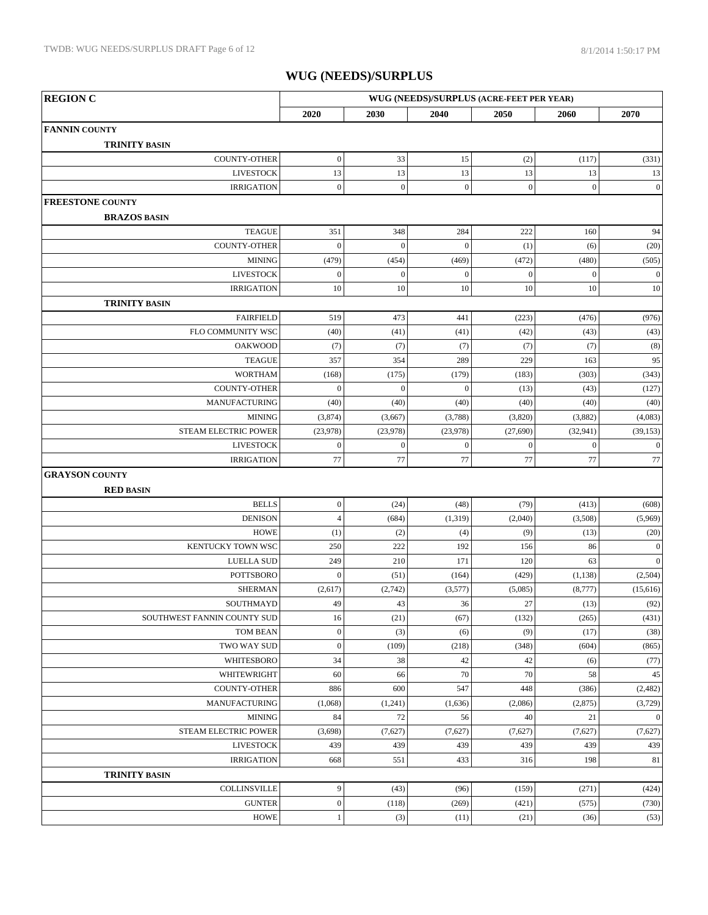| <b>REGION C</b>                          | WUG (NEEDS)/SURPLUS (ACRE-FEET PER YEAR) |                  |                  |                  |                  |                     |  |
|------------------------------------------|------------------------------------------|------------------|------------------|------------------|------------------|---------------------|--|
|                                          | 2020                                     | 2030             | 2040             | 2050             | 2060             | 2070                |  |
| <b>FANNIN COUNTY</b>                     |                                          |                  |                  |                  |                  |                     |  |
| <b>TRINITY BASIN</b>                     |                                          |                  |                  |                  |                  |                     |  |
| COUNTY-OTHER                             | $\boldsymbol{0}$                         | 33               | 15               | (2)              | (117)            | (331)               |  |
| <b>LIVESTOCK</b>                         | 13                                       | 13               | $13\,$           | 13               | 13               | 13                  |  |
| <b>IRRIGATION</b>                        | $\boldsymbol{0}$                         | $\boldsymbol{0}$ | $\boldsymbol{0}$ | $\boldsymbol{0}$ | $\boldsymbol{0}$ | $\boldsymbol{0}$    |  |
| <b>FREESTONE COUNTY</b>                  |                                          |                  |                  |                  |                  |                     |  |
| <b>BRAZOS BASIN</b>                      |                                          |                  |                  |                  |                  |                     |  |
| <b>TEAGUE</b>                            | 351                                      | 348              | 284              | 222              | 160              | 94                  |  |
| <b>COUNTY-OTHER</b>                      | $\overline{0}$                           | $\boldsymbol{0}$ | $\mathbf{0}$     | (1)              | (6)              | (20)                |  |
| <b>MINING</b>                            | (479)                                    | (454)            | (469)            | (472)            | (480)            | (505)               |  |
| <b>LIVESTOCK</b>                         | $\boldsymbol{0}$                         | $\boldsymbol{0}$ | $\mathbf{0}$     | $\boldsymbol{0}$ | $\boldsymbol{0}$ | $\mathbf{0}$        |  |
| <b>IRRIGATION</b>                        | 10                                       | 10               | 10               | 10               | 10               | 10                  |  |
| <b>TRINITY BASIN</b>                     |                                          |                  |                  |                  |                  |                     |  |
| <b>FAIRFIELD</b>                         | 519                                      | 473              | 441              | (223)            | (476)            | (976)               |  |
| FLO COMMUNITY WSC                        | (40)                                     | (41)             | (41)             | (42)             | (43)             | (43)                |  |
| <b>OAKWOOD</b>                           | (7)                                      | (7)              | (7)              | (7)              | (7)              | (8)                 |  |
| <b>TEAGUE</b>                            | 357                                      | 354              | 289              | 229              | 163              | 95                  |  |
| <b>WORTHAM</b>                           | (168)                                    | (175)            | (179)            | (183)            | (303)            | (343)               |  |
| <b>COUNTY-OTHER</b>                      | $\boldsymbol{0}$                         | $\boldsymbol{0}$ | $\mathbf{0}$     | (13)             | (43)             | (127)               |  |
| <b>MANUFACTURING</b>                     | (40)                                     | (40)             | (40)             | (40)             | (40)             | (40)                |  |
| <b>MINING</b>                            | (3,874)                                  | (3,667)          | (3,788)          | (3,820)          | (3,882)          | (4,083)             |  |
| STEAM ELECTRIC POWER                     | (23,978)                                 | (23,978)         | (23,978)         | (27, 690)        | (32, 941)        | (39, 153)           |  |
| <b>LIVESTOCK</b>                         | $\boldsymbol{0}$                         | $\boldsymbol{0}$ | $\mathbf{0}$     | $\mathbf{0}$     | $\theta$         | $\mathbf{0}$        |  |
| <b>IRRIGATION</b>                        | 77                                       | 77               | $77\,$           | 77               | 77               | $77\,$              |  |
| <b>GRAYSON COUNTY</b>                    |                                          |                  |                  |                  |                  |                     |  |
| <b>RED BASIN</b>                         |                                          |                  |                  |                  |                  |                     |  |
| <b>BELLS</b>                             | $\boldsymbol{0}$                         | (24)             | (48)             | (79)             | (413)            | (608)               |  |
| <b>DENISON</b>                           | $\overline{4}$                           | (684)            | (1,319)          | (2,040)          | (3,508)          | (5,969)             |  |
| <b>HOWE</b>                              | (1)                                      | (2)              | (4)              | (9)              | (13)             | (20)                |  |
| KENTUCKY TOWN WSC                        | 250                                      | 222              | 192              | 156              | 86               | $\mathbf{0}$        |  |
| <b>LUELLA SUD</b><br><b>POTTSBORO</b>    | 249<br>$\boldsymbol{0}$                  | 210              | 171              | 120              | 63               | $\mathbf{0}$        |  |
|                                          |                                          | (51)             | (164)            | (429)            | (1, 138)         | (2,504)<br>(15,616) |  |
| <b>SHERMAN</b>                           | (2,617)<br>49                            | (2,742)<br>43    | (3,577)<br>36    | (5,085)<br>27    | (8,777)          |                     |  |
| SOUTHMAYD<br>SOUTHWEST FANNIN COUNTY SUD | 16                                       | (21)             | (67)             | (132)            | (13)<br>(265)    | (92)<br>(431)       |  |
| TOM BEAN                                 | $\boldsymbol{0}$                         | (3)              | (6)              | (9)              | (17)             | (38)                |  |
| TWO WAY SUD                              | $\boldsymbol{0}$                         | (109)            | (218)            | (348)            | (604)            | (865)               |  |
| WHITESBORO                               | 34                                       | 38               | 42               | 42               | (6)              | (77)                |  |
| WHITEWRIGHT                              | 60                                       | 66               | 70               | 70               | 58               | $45\,$              |  |
| COUNTY-OTHER                             | 886                                      | 600              | 547              | 448              | (386)            | (2, 482)            |  |
| <b>MANUFACTURING</b>                     | (1,068)                                  | (1,241)          | (1,636)          | (2,086)          | (2,875)          | (3,729)             |  |
| <b>MINING</b>                            | 84                                       | 72               | 56               | 40               | 21               | $\boldsymbol{0}$    |  |
| STEAM ELECTRIC POWER                     | (3,698)                                  | (7,627)          | (7,627)          | (7,627)          | (7,627)          | (7,627)             |  |
| <b>LIVESTOCK</b>                         | 439                                      | 439              | 439              | 439              | 439              | 439                 |  |
| <b>IRRIGATION</b>                        | 668                                      | 551              | 433              | 316              | 198              | 81                  |  |
| <b>TRINITY BASIN</b>                     |                                          |                  |                  |                  |                  |                     |  |
| <b>COLLINSVILLE</b>                      | 9                                        | (43)             | (96)             | (159)            | (271)            | (424)               |  |
| <b>GUNTER</b>                            | $\boldsymbol{0}$                         | (118)            | (269)            | (421)            | (575)            | (730)               |  |
| <b>HOWE</b>                              | 1                                        | (3)              | (11)             | (21)             | (36)             | (53)                |  |
|                                          |                                          |                  |                  |                  |                  |                     |  |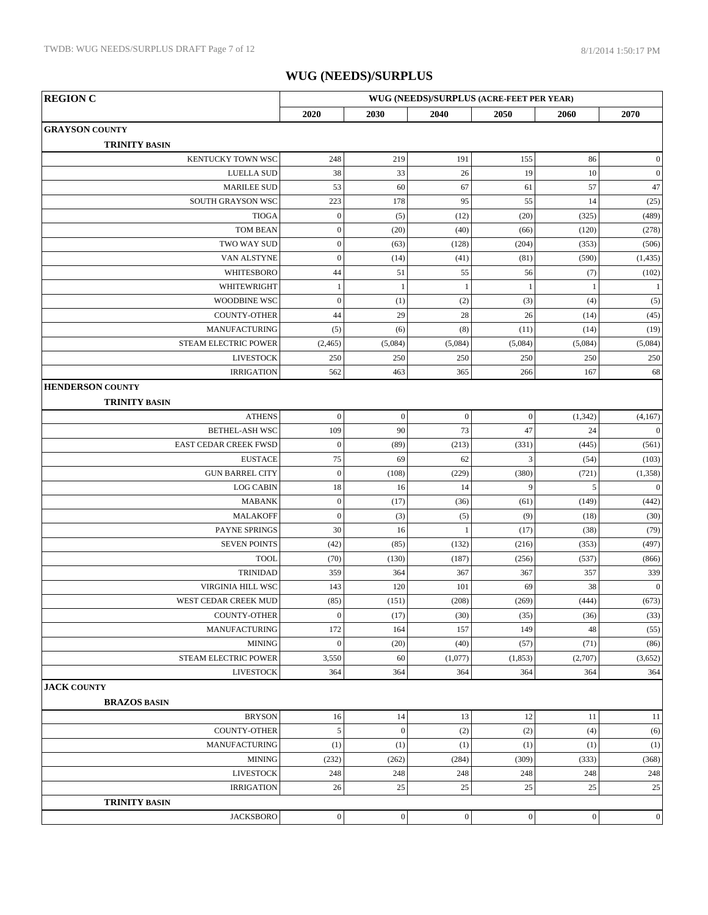| <b>REGION C</b>                | WUG (NEEDS)/SURPLUS (ACRE-FEET PER YEAR) |                  |                |                  |                  |                  |
|--------------------------------|------------------------------------------|------------------|----------------|------------------|------------------|------------------|
|                                | 2020                                     | 2030             | 2040           | 2050             | 2060             | 2070             |
| <b>GRAYSON COUNTY</b>          |                                          |                  |                |                  |                  |                  |
| <b>TRINITY BASIN</b>           |                                          |                  |                |                  |                  |                  |
| KENTUCKY TOWN WSC              | 248                                      | 219              | 191            | 155              | 86               | $\vert 0 \vert$  |
| <b>LUELLA SUD</b>              | 38                                       | 33               | 26             | 19               | 10               | $\vert 0 \vert$  |
| <b>MARILEE SUD</b>             | 53                                       | 60               | 67             | 61               | 57               | 47               |
| SOUTH GRAYSON WSC              | 223                                      | 178              | 95             | 55               | 14               | (25)             |
| <b>TIOGA</b>                   | $\boldsymbol{0}$                         | (5)              | (12)           | (20)             | (325)            | (489)            |
| <b>TOM BEAN</b>                | $\boldsymbol{0}$                         | (20)             | (40)           | (66)             | (120)            | (278)            |
| TWO WAY SUD                    | $\boldsymbol{0}$                         | (63)             | (128)          | (204)            | (353)            | (506)            |
| VAN ALSTYNE                    | $\boldsymbol{0}$                         | (14)             | (41)           | (81)             | (590)            | (1, 435)         |
| WHITESBORO                     | 44                                       | 51               | 55             | 56               | (7)              | (102)            |
| WHITEWRIGHT                    | $\,1$                                    | $\mathbf{1}$     | $\mathbf{1}$   | $\mathbf{1}$     | $\mathbf{1}$     | $\left  \right $ |
| <b>WOODBINE WSC</b>            | $\boldsymbol{0}$                         | (1)              | (2)            | (3)              | (4)              | (5)              |
| <b>COUNTY-OTHER</b>            | 44                                       | 29               | 28             | 26               | (14)             | (45)             |
| MANUFACTURING                  | (5)                                      | (6)              | (8)            | (11)             | (14)             | (19)             |
| <b>STEAM ELECTRIC POWER</b>    | (2, 465)                                 | (5,084)          | (5,084)        | (5,084)          | (5,084)          | (5,084)          |
| <b>LIVESTOCK</b>               | 250                                      | 250              | 250            | 250              | 250              | 250              |
| <b>IRRIGATION</b>              | 562                                      | 463              | 365            | 266              | 167              | 68               |
| <b>HENDERSON COUNTY</b>        |                                          |                  |                |                  |                  |                  |
| <b>TRINITY BASIN</b>           |                                          |                  |                |                  |                  |                  |
| <b>ATHENS</b>                  | $\boldsymbol{0}$                         | $\boldsymbol{0}$ | $\mathbf{0}$   | $\boldsymbol{0}$ | (1, 342)         | (4,167)          |
| <b>BETHEL-ASH WSC</b>          | 109                                      | 90               | 73             | 47               | 24               | 0                |
| EAST CEDAR CREEK FWSD          | $\boldsymbol{0}$                         | (89)             | (213)          | (331)            | (445)            | (561)            |
| <b>EUSTACE</b>                 | 75                                       | 69               | 62             | 3                | (54)             | (103)            |
| <b>GUN BARREL CITY</b>         | $\boldsymbol{0}$                         | (108)            | (229)          | (380)            | (721)            | (1,358)          |
| <b>LOG CABIN</b>               | 18                                       | 16               | 14             | 9                | $\sqrt{5}$       | 0                |
| <b>MABANK</b>                  | $\boldsymbol{0}$                         | (17)             | (36)           | (61)             | (149)            | (442)            |
| <b>MALAKOFF</b>                | $\mathbf{0}$                             | (3)              | (5)            | (9)              | (18)             | (30)             |
| PAYNE SPRINGS                  | 30                                       | 16               | $\mathbf{1}$   | (17)             | (38)             | (79)             |
| <b>SEVEN POINTS</b>            | (42)                                     | (85)             | (132)          | (216)            | (353)            | (497)            |
| <b>TOOL</b><br><b>TRINIDAD</b> | (70)<br>359                              | (130)<br>364     | (187)<br>367   | (256)<br>367     | (537)<br>357     | (866)<br>339     |
| VIRGINIA HILL WSC              | 143                                      | 120              | 101            | 69               | 38               | $\vert 0 \vert$  |
| WEST CEDAR CREEK MUD           | (85)                                     | (151)            | (208)          | (269)            | (444)            | (673)            |
| <b>COUNTY-OTHER</b>            | $\boldsymbol{0}$                         | (17)             | (30)           | (35)             | (36)             | (33)             |
| <b>MANUFACTURING</b>           | 172                                      | 164              | 157            | 149              | 48               | (55)             |
| <b>MINING</b>                  | $\boldsymbol{0}$                         | (20)             | (40)           | (57)             | (71)             | (86)             |
| STEAM ELECTRIC POWER           | 3,550                                    | 60               | (1,077)        | (1, 853)         | (2,707)          | (3,652)          |
| <b>LIVESTOCK</b>               | 364                                      | 364              | 364            | 364              | 364              | 364              |
| <b>JACK COUNTY</b>             |                                          |                  |                |                  |                  |                  |
| <b>BRAZOS BASIN</b>            |                                          |                  |                |                  |                  |                  |
| <b>BRYSON</b>                  | 16                                       | 14               | 13             | 12               | 11               | 11               |
| <b>COUNTY-OTHER</b>            | $\sqrt{5}$                               | $\boldsymbol{0}$ | (2)            | (2)              | (4)              | (6)              |
| <b>MANUFACTURING</b>           | (1)                                      | (1)              | (1)            | (1)              | (1)              | (1)              |
| <b>MINING</b>                  | (232)                                    | (262)            | (284)          | (309)            | (333)            | (368)            |
| <b>LIVESTOCK</b>               | 248                                      | 248              | 248            | 248              | 248              | 248              |
| <b>IRRIGATION</b>              | 26                                       | 25               | 25             | 25               | 25               | 25               |
| <b>TRINITY BASIN</b>           |                                          |                  |                |                  |                  |                  |
| <b>JACKSBORO</b>               | $\boldsymbol{0}$                         | $\boldsymbol{0}$ | $\overline{0}$ | $\boldsymbol{0}$ | $\boldsymbol{0}$ | $\vert 0 \vert$  |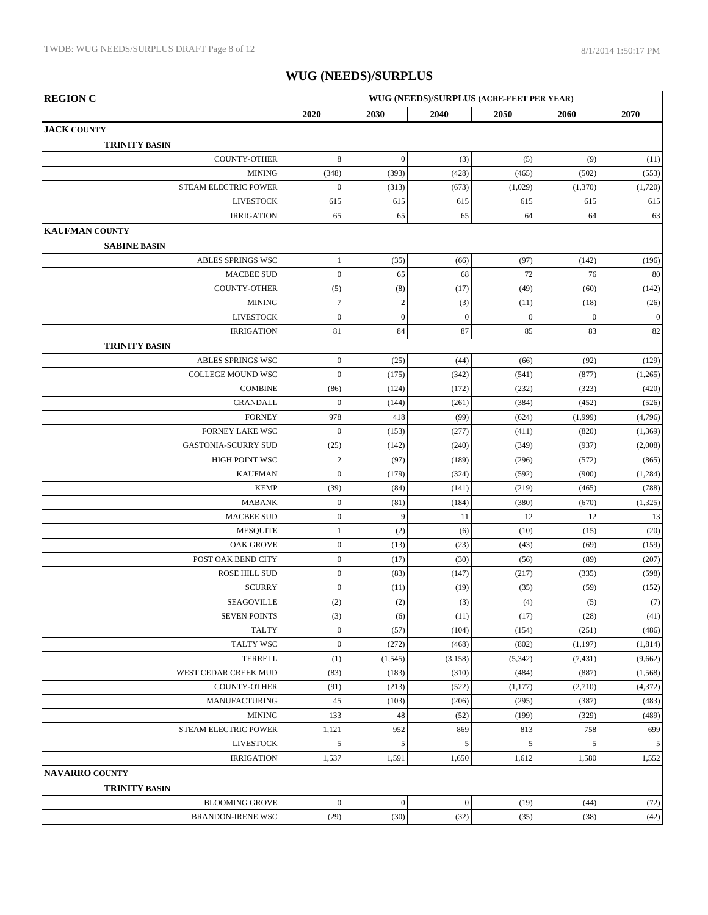| <b>REGION C</b>                               | WUG (NEEDS)/SURPLUS (ACRE-FEET PER YEAR) |                  |                  |                  |                  |                  |
|-----------------------------------------------|------------------------------------------|------------------|------------------|------------------|------------------|------------------|
|                                               | 2020                                     | 2030             | 2040             | 2050             | 2060             | 2070             |
| <b>JACK COUNTY</b>                            |                                          |                  |                  |                  |                  |                  |
| <b>TRINITY BASIN</b>                          |                                          |                  |                  |                  |                  |                  |
| <b>COUNTY-OTHER</b>                           | $\,8\,$                                  | $\boldsymbol{0}$ | (3)              | (5)              | (9)              | (11)             |
| <b>MINING</b>                                 | (348)                                    | (393)            | (428)            | (465)            | (502)            | (553)            |
| STEAM ELECTRIC POWER                          | $\boldsymbol{0}$                         | (313)            | (673)            | (1,029)          | (1,370)          | (1,720)          |
| <b>LIVESTOCK</b>                              | 615                                      | 615              | 615              | 615              | 615              | 615              |
| <b>IRRIGATION</b>                             | 65                                       | 65               | 65               | 64               | 64               | 63               |
| <b>KAUFMAN COUNTY</b>                         |                                          |                  |                  |                  |                  |                  |
| <b>SABINE BASIN</b>                           |                                          |                  |                  |                  |                  |                  |
| ABLES SPRINGS WSC                             | 1                                        | (35)             | (66)             | (97)             | (142)            | (196)            |
| <b>MACBEE SUD</b>                             | $\boldsymbol{0}$                         | 65               | 68               | 72               | 76               | 80               |
| <b>COUNTY-OTHER</b>                           | (5)                                      | (8)              | (17)             | (49)             | (60)             | (142)            |
| <b>MINING</b>                                 | $\boldsymbol{7}$                         | $\overline{c}$   | (3)              | (11)             | (18)             | (26)             |
| <b>LIVESTOCK</b>                              | $\boldsymbol{0}$                         | $\boldsymbol{0}$ | $\boldsymbol{0}$ | $\boldsymbol{0}$ | $\boldsymbol{0}$ | $\vert 0 \vert$  |
| <b>IRRIGATION</b>                             | 81                                       | 84               | 87               | 85               | 83               | 82               |
| <b>TRINITY BASIN</b>                          |                                          |                  |                  |                  |                  |                  |
| ABLES SPRINGS WSC                             | $\boldsymbol{0}$                         | (25)             | (44)             | (66)             | (92)             | (129)            |
| COLLEGE MOUND WSC                             | $\boldsymbol{0}$                         | (175)            | (342)            | (541)            | (877)            | (1,265)          |
| <b>COMBINE</b>                                | (86)                                     | (124)            | (172)            | (232)            | (323)            | (420)            |
| <b>CRANDALL</b>                               | $\mathbf{0}$                             | (144)            | (261)            | (384)            | (452)            | (526)            |
| <b>FORNEY</b>                                 | 978                                      | 418              | (99)             | (624)            | (1,999)          | (4,796)          |
| FORNEY LAKE WSC                               | $\mathbf{0}$                             | (153)            | (277)            | (411)            | (820)            | (1,369)          |
| <b>GASTONIA-SCURRY SUD</b><br>HIGH POINT WSC  | (25)<br>$\sqrt{2}$                       | (142)<br>(97)    | (240)<br>(189)   | (349)<br>(296)   | (937)<br>(572)   | (2,008)<br>(865) |
| <b>KAUFMAN</b>                                | $\boldsymbol{0}$                         | (179)            | (324)            | (592)            | (900)            | (1,284)          |
| <b>KEMP</b>                                   | (39)                                     | (84)             | (141)            | (219)            | (465)            | (788)            |
| <b>MABANK</b>                                 | $\boldsymbol{0}$                         | (81)             | (184)            | (380)            | (670)            | (1,325)          |
| <b>MACBEE SUD</b>                             | $\boldsymbol{0}$                         | 9                | 11               | 12               | 12               | 13               |
| <b>MESQUITE</b>                               | 1                                        | (2)              | (6)              | (10)             | (15)             | (20)             |
| <b>OAK GROVE</b>                              | $\boldsymbol{0}$                         | (13)             | (23)             | (43)             | (69)             | (159)            |
| POST OAK BEND CITY                            | $\boldsymbol{0}$                         | (17)             | (30)             | (56)             | (89)             | (207)            |
| <b>ROSE HILL SUD</b>                          | $\boldsymbol{0}$                         | (83)             | (147)            | (217)            | (335)            | (598)            |
| <b>SCURRY</b>                                 | $\boldsymbol{0}$                         | (11)             | (19)             | (35)             | (59)             | (152)            |
| SEAGOVILLE                                    | (2)                                      | (2)              | (3)              | (4)              | (5)              | (7)              |
| <b>SEVEN POINTS</b>                           | (3)                                      | (6)              | (11)             | (17)             | (28)             | (41)             |
| <b>TALTY</b>                                  | $\boldsymbol{0}$                         | (57)             | (104)            | (154)            | (251)            | (486)            |
| TALTY WSC                                     | $\boldsymbol{0}$                         | (272)            | (468)            | (802)            | (1, 197)         | (1, 814)         |
| <b>TERRELL</b>                                | (1)                                      | (1, 545)         | (3, 158)         | (5, 342)         | (7, 431)         | (9,662)          |
| WEST CEDAR CREEK MUD                          | (83)                                     | (183)            | (310)            | (484)            | (887)            | (1,568)          |
| COUNTY-OTHER                                  | (91)                                     | (213)            | (522)            | (1,177)          | (2,710)          | (4,372)          |
| <b>MANUFACTURING</b>                          | 45                                       | (103)            | (206)            | (295)            | (387)            | (483)            |
| <b>MINING</b>                                 | 133                                      | 48               | (52)             | (199)            | (329)            | (489)            |
| STEAM ELECTRIC POWER                          | 1,121                                    | 952              | 869              | 813              | 758              | 699              |
| <b>LIVESTOCK</b>                              | $\sqrt{5}$                               | 5                | 5                | 5                | 5                | 5 <sup>1</sup>   |
| <b>IRRIGATION</b>                             | 1,537                                    | 1,591            | 1,650            | 1,612            | 1,580            | 1,552            |
| <b>NAVARRO COUNTY</b><br><b>TRINITY BASIN</b> |                                          |                  |                  |                  |                  |                  |
| <b>BLOOMING GROVE</b>                         | $\boldsymbol{0}$                         | $\boldsymbol{0}$ | $\boldsymbol{0}$ | (19)             | (44)             | (72)             |
| <b>BRANDON-IRENE WSC</b>                      | (29)                                     | (30)             | (32)             | (35)             | (38)             | (42)             |
|                                               |                                          |                  |                  |                  |                  |                  |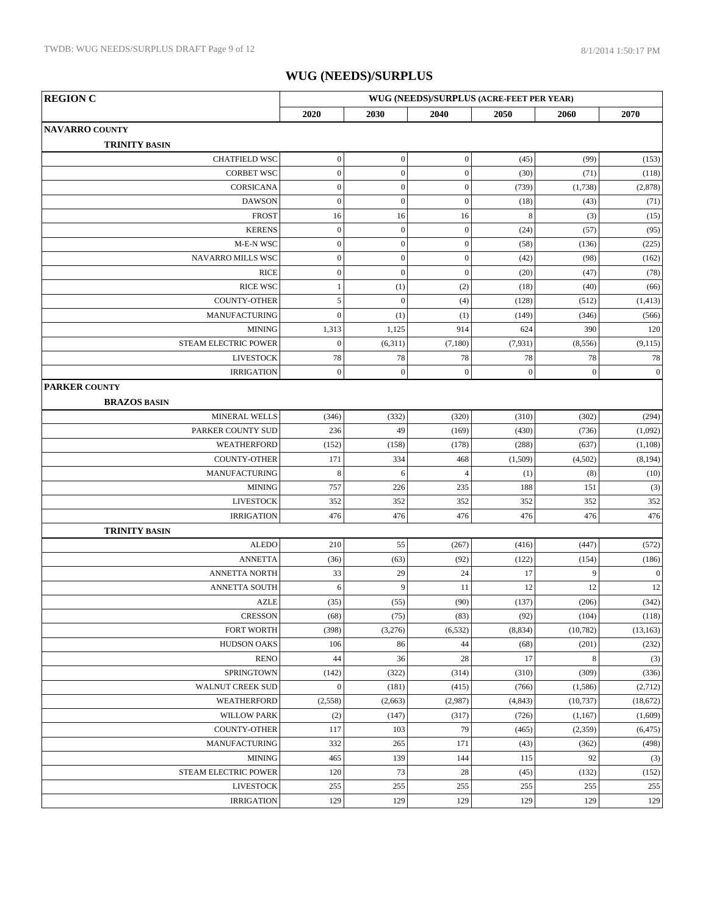| <b>REGION C</b>             | WUG (NEEDS)/SURPLUS (ACRE-FEET PER YEAR) |                  |                  |              |              |              |
|-----------------------------|------------------------------------------|------------------|------------------|--------------|--------------|--------------|
|                             | 2020                                     | 2030             | 2040             | 2050         | 2060         | 2070         |
| <b> NAVARRO COUNTY</b>      |                                          |                  |                  |              |              |              |
| <b>TRINITY BASIN</b>        |                                          |                  |                  |              |              |              |
| CHATFIELD WSC               | $\boldsymbol{0}$                         | $\boldsymbol{0}$ | $\overline{0}$   | (45)         | (99)         | (153)        |
| <b>CORBET WSC</b>           | $\boldsymbol{0}$                         | $\boldsymbol{0}$ | $\boldsymbol{0}$ | (30)         | (71)         | (118)        |
| CORSICANA                   | $\boldsymbol{0}$                         | $\boldsymbol{0}$ | $\boldsymbol{0}$ | (739)        | (1,738)      | (2,878)      |
| <b>DAWSON</b>               | $\boldsymbol{0}$                         | $\boldsymbol{0}$ | $\boldsymbol{0}$ | (18)         | (43)         | (71)         |
| <b>FROST</b>                | 16                                       | 16               | 16               | $\,8\,$      | (3)          | (15)         |
| <b>KERENS</b>               | $\boldsymbol{0}$                         | $\boldsymbol{0}$ | $\mathbf{0}$     | (24)         | (57)         | (95)         |
| M-E-N WSC                   | $\boldsymbol{0}$                         | $\boldsymbol{0}$ | $\boldsymbol{0}$ | (58)         | (136)        | (225)        |
| NAVARRO MILLS WSC           | $\boldsymbol{0}$                         | $\boldsymbol{0}$ | $\boldsymbol{0}$ | (42)         | (98)         | (162)        |
| <b>RICE</b>                 | $\boldsymbol{0}$                         | $\boldsymbol{0}$ | $\boldsymbol{0}$ | (20)         | (47)         | (78)         |
| <b>RICE WSC</b>             | $\,1$                                    | (1)              | (2)              | (18)         | (40)         | (66)         |
| <b>COUNTY-OTHER</b>         | 5                                        | $\overline{0}$   | (4)              | (128)        | (512)        | (1, 413)     |
| <b>MANUFACTURING</b>        | $\overline{0}$                           | (1)              | (1)              | (149)        | (346)        | (566)        |
| <b>MINING</b>               | 1,313                                    | 1,125            | 914              | 624          | 390          | 120          |
| <b>STEAM ELECTRIC POWER</b> | $\boldsymbol{0}$                         | (6,311)          | (7,180)          | (7,931)      | (8, 556)     | (9, 115)     |
| <b>LIVESTOCK</b>            | 78                                       | 78               | 78               | 78           | 78           | 78           |
| <b>IRRIGATION</b>           | $\boldsymbol{0}$                         | $\boldsymbol{0}$ | $\mathbf{0}$     | $\mathbf{0}$ | $\mathbf{0}$ | $\mathbf{0}$ |
| <b>PARKER COUNTY</b>        |                                          |                  |                  |              |              |              |
| <b>BRAZOS BASIN</b>         |                                          |                  |                  |              |              |              |
| MINERAL WELLS               | (346)                                    | (332)            | (320)            | (310)        | (302)        | (294)        |
| PARKER COUNTY SUD           | 236                                      | 49               | (169)            | (430)        | (736)        | (1,092)      |
| WEATHERFORD                 | (152)                                    | (158)            | (178)            | (288)        | (637)        | (1, 108)     |
| <b>COUNTY-OTHER</b>         | 171                                      | 334              | 468              | (1,509)      | (4,502)      | (8, 194)     |
| MANUFACTURING               | $\,8\,$                                  | 6                | $\overline{4}$   | (1)          | (8)          | (10)         |
| <b>MINING</b>               | 757                                      | 226              | 235              | 188          | 151          | (3)          |
| <b>LIVESTOCK</b>            | 352                                      | 352              | 352              | 352          | 352          | 352          |
| <b>IRRIGATION</b>           | 476                                      | 476              | 476              | 476          | 476          | 476          |
| <b>TRINITY BASIN</b>        |                                          |                  |                  |              |              |              |
| <b>ALEDO</b>                | 210                                      | 55               | (267)            | (416)        | (447)        | (572)        |
| <b>ANNETTA</b>              | (36)                                     | (63)             | (92)             | (122)        | (154)        | (186)        |
| <b>ANNETTA NORTH</b>        | 33                                       | 29               | 24               | 17           | 9            | $\mathbf{0}$ |
| <b>ANNETTA SOUTH</b>        | 6                                        | 9                | 11               | 12           | 12           | 12           |
| <b>AZLE</b>                 | (35)                                     | (55)             | (90)             | (137)        | (206)        | (342)        |
| <b>CRESSON</b>              | (68)                                     | (75)             | (83)             | (92)         | (104)        | (118)        |
| <b>FORT WORTH</b>           | (398)                                    | (3,276)          | (6, 532)         | (8, 834)     | (10, 782)    | (13, 163)    |
| <b>HUDSON OAKS</b>          | 106                                      | 86               | 44               | (68)         | (201)        | (232)        |
| <b>RENO</b>                 | 44                                       | 36               | $28\,$           | 17           | $\,$ 8 $\,$  | (3)          |
| SPRINGTOWN                  | (142)                                    | (322)            | (314)            | (310)        | (309)        | (336)        |
| WALNUT CREEK SUD            | $\boldsymbol{0}$                         | (181)            | (415)            | (766)        | (1,586)      | (2,712)      |
| WEATHERFORD                 | (2,558)                                  | (2,663)          | (2,987)          | (4, 843)     | (10, 737)    | (18,672)     |
| <b>WILLOW PARK</b>          | (2)                                      | (147)            | (317)            | (726)        | (1,167)      | (1,609)      |
| <b>COUNTY-OTHER</b>         | 117                                      | 103              | 79               | (465)        | (2,359)      | (6, 475)     |
| <b>MANUFACTURING</b>        | 332                                      | 265              | 171              | (43)         | (362)        | (498)        |
| <b>MINING</b>               | 465                                      | 139              | 144              | 115          | 92           | (3)          |
| STEAM ELECTRIC POWER        | 120                                      | 73               | $28\,$           | (45)         | (132)        | (152)        |
| <b>LIVESTOCK</b>            | 255                                      | 255              | 255              | 255          | 255          | 255          |
| <b>IRRIGATION</b>           | 129                                      | 129              | 129              | 129          | 129          | 129          |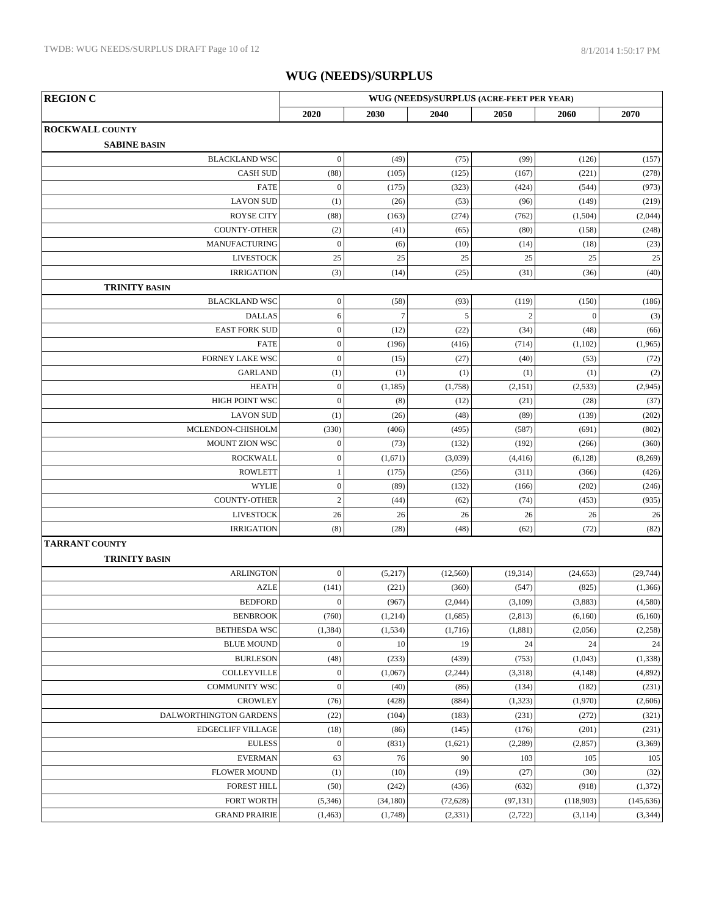| <b>REGION C</b>                                    | WUG (NEEDS)/SURPLUS (ACRE-FEET PER YEAR) |                |               |                |                |                |
|----------------------------------------------------|------------------------------------------|----------------|---------------|----------------|----------------|----------------|
|                                                    | 2020                                     | 2030           | 2040          | 2050           | 2060           | 2070           |
| <b>ROCKWALL COUNTY</b>                             |                                          |                |               |                |                |                |
| <b>SABINE BASIN</b>                                |                                          |                |               |                |                |                |
| <b>BLACKLAND WSC</b>                               | $\boldsymbol{0}$                         | (49)           | (75)          | (99)           | (126)          | (157)          |
| <b>CASH SUD</b>                                    | (88)                                     | (105)          | (125)         | (167)          | (221)          | (278)          |
| <b>FATE</b>                                        | $\mathbf{0}$                             | (175)          | (323)         | (424)          | (544)          | (973)          |
| <b>LAVON SUD</b>                                   | (1)                                      | (26)           | (53)          | (96)           | (149)          | (219)          |
| <b>ROYSE CITY</b>                                  | (88)                                     | (163)          | (274)         | (762)          | (1,504)        | (2,044)        |
| <b>COUNTY-OTHER</b>                                | (2)                                      | (41)           | (65)          | (80)           | (158)          | (248)          |
| MANUFACTURING                                      | $\boldsymbol{0}$                         | (6)            | (10)          | (14)           | (18)           | (23)           |
| <b>LIVESTOCK</b>                                   | 25                                       | 25             | 25            | 25             | 25             | $25\,$         |
| <b>IRRIGATION</b>                                  | (3)                                      | (14)           | (25)          | (31)           | (36)           | (40)           |
| <b>TRINITY BASIN</b>                               |                                          |                |               |                |                |                |
| <b>BLACKLAND WSC</b>                               | $\boldsymbol{0}$                         | (58)           | (93)          | (119)          | (150)          | (186)          |
| <b>DALLAS</b>                                      | 6                                        | $\overline{7}$ | 5             | $\overline{c}$ | $\overline{0}$ | (3)            |
| <b>EAST FORK SUD</b>                               | $\boldsymbol{0}$                         | (12)           | (22)          | (34)           | (48)           | (66)           |
| <b>FATE</b>                                        | $\mathbf{0}$                             | (196)          | (416)         | (714)          | (1,102)        | (1,965)        |
| <b>FORNEY LAKE WSC</b>                             | $\mathbf{0}$                             | (15)           | (27)          | (40)           | (53)           | (72)           |
| <b>GARLAND</b>                                     | (1)                                      | (1)            | (1)           | (1)            | (1)            | (2)            |
| <b>HEATH</b>                                       | $\boldsymbol{0}$                         | (1, 185)       | (1,758)       | (2,151)        | (2,533)        | (2,945)        |
| <b>HIGH POINT WSC</b>                              | $\boldsymbol{0}$                         | (8)            | (12)          | (21)           | (28)           | (37)           |
| <b>LAVON SUD</b>                                   | (1)                                      | (26)           | (48)          | (89)           | (139)          | (202)          |
| MCLENDON-CHISHOLM                                  | (330)                                    | (406)          | (495)         | (587)          | (691)          | (802)          |
| MOUNT ZION WSC                                     | $\boldsymbol{0}$                         | (73)           | (132)         | (192)          | (266)          | (360)          |
| <b>ROCKWALL</b>                                    | $\boldsymbol{0}$                         | (1,671)        | (3,039)       | (4, 416)       | (6,128)        | (8,269)        |
| <b>ROWLETT</b>                                     | $\,1$                                    | (175)          | (256)         | (311)          | (366)          | (426)          |
| <b>WYLIE</b>                                       | $\mathbf{0}$                             | (89)           | (132)         | (166)          | (202)          | (246)          |
| <b>COUNTY-OTHER</b>                                | $\sqrt{2}$                               | (44)           | (62)          | (74)           | (453)          | (935)          |
| <b>LIVESTOCK</b>                                   | 26                                       | 26             | 26            | 26             | 26             | 26             |
| <b>IRRIGATION</b>                                  | (8)                                      | (28)           | (48)          | (62)           | (72)           | (82)           |
| <b>TARRANT COUNTY</b>                              |                                          |                |               |                |                |                |
| <b>TRINITY BASIN</b>                               |                                          |                |               |                |                |                |
| <b>ARLINGTON</b>                                   | $\boldsymbol{0}$                         | (5,217)        | (12,560)      | (19,314)       | (24, 653)      | (29, 744)      |
| <b>AZLE</b>                                        | (141)                                    | (221)          | (360)         | (547)          | (825)          | (1,366)        |
| <b>BEDFORD</b>                                     | $\boldsymbol{0}$                         | (967)          | (2,044)       | (3,109)        | (3,883)        | (4,580)        |
| <b>BENBROOK</b>                                    | (760)                                    | (1,214)        | (1,685)       | (2, 813)       | (6,160)        | (6,160)        |
| <b>BETHESDA WSC</b>                                | (1, 384)                                 | (1, 534)       | (1,716)       | (1,881)        | (2,056)        | (2,258)        |
| <b>BLUE MOUND</b>                                  | $\mathbf{0}$                             | 10             | 19            | 24             | 24             | 24             |
| <b>BURLESON</b>                                    | (48)                                     | (233)          | (439)         | (753)          | (1,043)        | (1, 338)       |
| COLLEYVILLE                                        | $\mathbf{0}$                             | (1,067)        | (2,244)       | (3,318)        | (4, 148)       | (4,892)        |
| <b>COMMUNITY WSC</b><br><b>CROWLEY</b>             | $\boldsymbol{0}$                         | (40)           | (86)          | (134)          | (182)          | (231)          |
|                                                    | (76)                                     | (428)          | (884)         | (1,323)        | (1,970)        | (2,606)        |
| DALWORTHINGTON GARDENS<br><b>EDGECLIFF VILLAGE</b> | (22)<br>(18)                             | (104)          | (183)         | (231)          | (272)          | (321)          |
| <b>EULESS</b>                                      | $\mathbf{0}$                             | (86)           | (145)         | (176)          | (201)          | (231)          |
| <b>EVERMAN</b>                                     | 63                                       | (831)<br>76    | (1,621)<br>90 | (2,289)<br>103 | (2,857)<br>105 | (3,369)<br>105 |
| <b>FLOWER MOUND</b>                                | (1)                                      | (10)           | (19)          | (27)           | (30)           | (32)           |
| <b>FOREST HILL</b>                                 | (50)                                     | (242)          | (436)         | (632)          | (918)          | (1, 372)       |
| <b>FORT WORTH</b>                                  | (5,346)                                  | (34,180)       | (72, 628)     | (97, 131)      | (118,903)      | (145, 636)     |
| <b>GRAND PRAIRIE</b>                               | (1, 463)                                 | (1,748)        | (2,331)       | (2,722)        | (3,114)        | (3, 344)       |
|                                                    |                                          |                |               |                |                |                |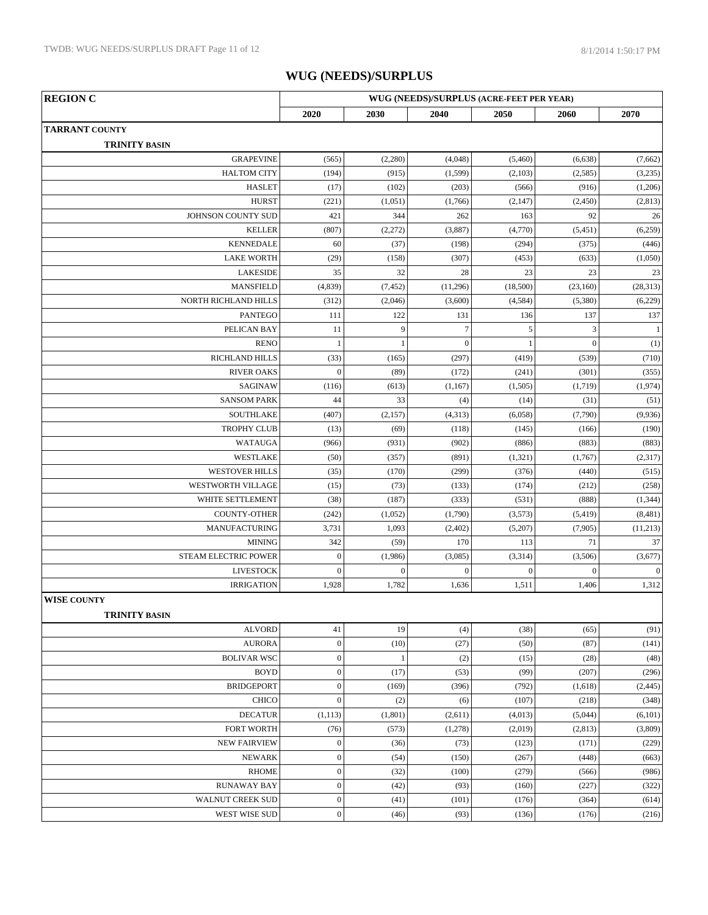| <b>REGION C</b>       | WUG (NEEDS)/SURPLUS (ACRE-FEET PER YEAR) |              |                  |                  |                  |              |
|-----------------------|------------------------------------------|--------------|------------------|------------------|------------------|--------------|
|                       | 2020                                     | 2030         | 2040             | 2050             | 2060             | 2070         |
| <b>TARRANT COUNTY</b> |                                          |              |                  |                  |                  |              |
| <b>TRINITY BASIN</b>  |                                          |              |                  |                  |                  |              |
| <b>GRAPEVINE</b>      | (565)                                    | (2,280)      | (4,048)          | (5,460)          | (6, 638)         | (7,662)      |
| <b>HALTOM CITY</b>    | (194)                                    | (915)        | (1, 599)         | (2,103)          | (2,585)          | (3,235)      |
| <b>HASLET</b>         | (17)                                     | (102)        | (203)            | (566)            | (916)            | (1,206)      |
| <b>HURST</b>          | (221)                                    | (1,051)      | (1,766)          | (2,147)          | (2, 450)         | (2,813)      |
| JOHNSON COUNTY SUD    | 421                                      | 344          | 262              | 163              | 92               | 26           |
| <b>KELLER</b>         | (807)                                    | (2,272)      | (3,887)          | (4,770)          | (5,451)          | (6,259)      |
| <b>KENNEDALE</b>      | 60                                       | (37)         | (198)            | (294)            | (375)            | (446)        |
| <b>LAKE WORTH</b>     | (29)                                     | (158)        | (307)            | (453)            | (633)            | (1,050)      |
| <b>LAKESIDE</b>       | 35                                       | 32           | 28               | 23               | 23               | 23           |
| <b>MANSFIELD</b>      | (4, 839)                                 | (7, 452)     | (11,296)         | (18,500)         | (23,160)         | (28, 313)    |
| NORTH RICHLAND HILLS  | (312)                                    | (2,046)      | (3,600)          | (4, 584)         | (5,380)          | (6,229)      |
| <b>PANTEGO</b>        | 111                                      | 122          | 131              | 136              | 137              | 137          |
| PELICAN BAY           | 11                                       | 9            | $\boldsymbol{7}$ | $\sqrt{5}$       | 3                | $\mathbf{1}$ |
| <b>RENO</b>           | $\mathbf{1}$                             | $\mathbf{1}$ | $\mathbf{0}$     | 1                | $\overline{0}$   | (1)          |
| RICHLAND HILLS        | (33)                                     | (165)        | (297)            | (419)            | (539)            | (710)        |
| <b>RIVER OAKS</b>     | $\mathbf{0}$                             | (89)         | (172)            | (241)            | (301)            | (355)        |
| SAGINAW               | (116)                                    | (613)        | (1,167)          | (1,505)          | (1,719)          | (1,974)      |
| <b>SANSOM PARK</b>    | 44                                       | 33           | (4)              | (14)             | (31)             | (51)         |
| <b>SOUTHLAKE</b>      | (407)                                    | (2,157)      | (4,313)          | (6,058)          | (7,790)          | (9,936)      |
| <b>TROPHY CLUB</b>    | (13)                                     | (69)         | (118)            | (145)            | (166)            | (190)        |
| WATAUGA               | (966)                                    | (931)        | (902)            | (886)            | (883)            | (883)        |
| WESTLAKE              | (50)                                     | (357)        | (891)            | (1, 321)         | (1,767)          | (2,317)      |
| <b>WESTOVER HILLS</b> | (35)                                     | (170)        | (299)            | (376)            | (440)            | (515)        |
| WESTWORTH VILLAGE     | (15)                                     | (73)         | (133)            | (174)            | (212)            | (258)        |
| WHITE SETTLEMENT      | (38)                                     | (187)        | (333)            | (531)            | (888)            | (1, 344)     |
| COUNTY-OTHER          | (242)                                    | (1,052)      | (1,790)          | (3,573)          | (5, 419)         | (8,481)      |
| <b>MANUFACTURING</b>  | 3,731                                    | 1,093        | (2,402)          | (5,207)          | (7,905)          | (11,213)     |
| <b>MINING</b>         | 342                                      | (59)         | 170              | 113              | 71               | 37           |
| STEAM ELECTRIC POWER  | $\boldsymbol{0}$                         | (1,986)      | (3,085)          | (3,314)          | (3,506)          | (3,677)      |
| <b>LIVESTOCK</b>      | $\boldsymbol{0}$                         | $\mathbf{0}$ | $\mathbf{0}$     | $\boldsymbol{0}$ | $\boldsymbol{0}$ | $\mathbf{0}$ |
| <b>IRRIGATION</b>     | 1,928                                    | 1,782        | 1,636            | 1,511            | 1,406            | 1,312        |
| <b>WISE COUNTY</b>    |                                          |              |                  |                  |                  |              |
| <b>TRINITY BASIN</b>  |                                          |              |                  |                  |                  |              |
| <b>ALVORD</b>         | 41                                       | 19           | (4)              | (38)             | (65)             | (91)         |
| <b>AURORA</b>         | $\boldsymbol{0}$                         | (10)         | (27)             | (50)             | (87)             | (141)        |
| <b>BOLIVAR WSC</b>    | $\boldsymbol{0}$                         | 1            | (2)              | (15)             | (28)             | (48)         |
| <b>BOYD</b>           | $\boldsymbol{0}$                         | (17)         | (53)             | (99)             | (207)            | (296)        |
| <b>BRIDGEPORT</b>     | $\boldsymbol{0}$                         | (169)        | (396)            | (792)            | (1,618)          | (2, 445)     |
| <b>CHICO</b>          | $\boldsymbol{0}$                         | (2)          | (6)              | (107)            | (218)            | (348)        |
| <b>DECATUR</b>        | (1, 113)                                 | (1,801)      | (2,611)          | (4,013)          | (5,044)          | (6,101)      |
| FORT WORTH            | (76)                                     | (573)        | (1,278)          | (2,019)          | (2, 813)         | (3,809)      |
| <b>NEW FAIRVIEW</b>   | $\boldsymbol{0}$                         | (36)         | (73)             | (123)            | (171)            | (229)        |
| <b>NEWARK</b>         | $\boldsymbol{0}$                         | (54)         | (150)            | (267)            | (448)            | (663)        |
| <b>RHOME</b>          | $\boldsymbol{0}$                         | (32)         | (100)            | (279)            | (566)            | (986)        |
| <b>RUNAWAY BAY</b>    | $\boldsymbol{0}$                         | (42)         | (93)             | (160)            | (227)            | (322)        |
| WALNUT CREEK SUD      | $\boldsymbol{0}$                         | (41)         | (101)            | (176)            | (364)            | (614)        |
| WEST WISE SUD         | $\boldsymbol{0}$                         | (46)         | (93)             | (136)            | (176)            | (216)        |